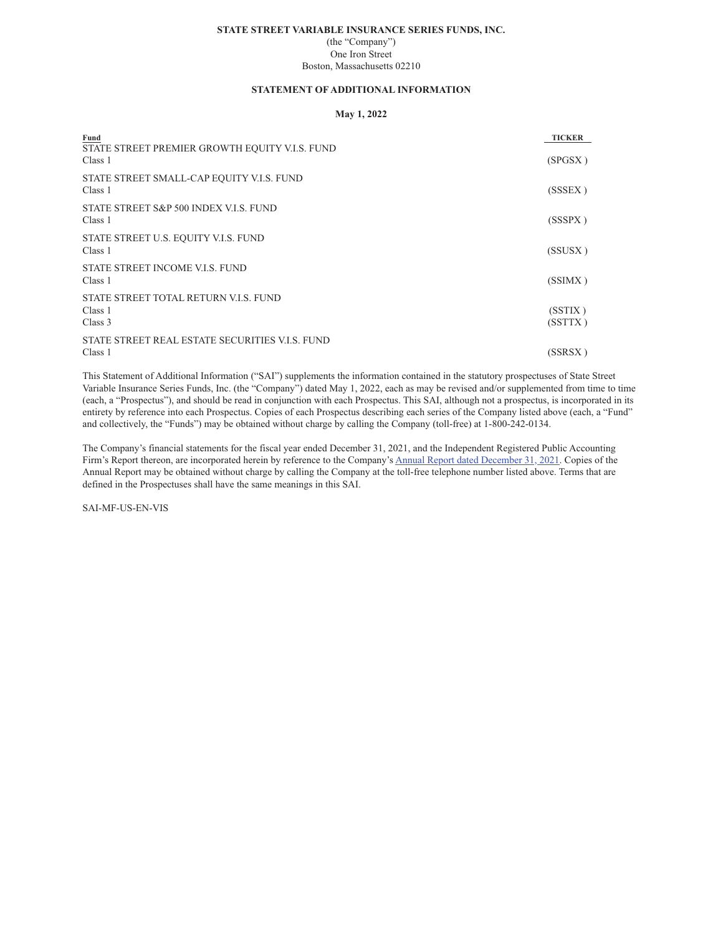# **STATE STREET VARIABLE INSURANCE SERIES FUNDS, INC.**

(the "Company") One Iron Street

### Boston, Massachusetts 02210

## **STATEMENT OF ADDITIONAL INFORMATION**

### **May 1, 2022**

| Fund                                                        | <b>TICKER</b>      |
|-------------------------------------------------------------|--------------------|
| STATE STREET PREMIER GROWTH EQUITY V.I.S. FUND<br>Class 1   | (SPGSX)            |
| STATE STREET SMALL-CAP EQUITY V.I.S. FUND<br>Class 1        | (SSSEX)            |
| STATE STREET S&P 500 INDEX V.I.S. FUND<br>Class 1           | (SSSPX)            |
| STATE STREET U.S. EQUITY V.I.S. FUND<br>Class 1             | (SSUSX)            |
| STATE STREET INCOME V.I.S. FUND<br>Class 1                  | (SSIMX)            |
| STATE STREET TOTAL RETURN V.I.S. FUND<br>Class 1<br>Class 3 | (SSTIX)<br>(SSTTX) |
| STATE STREET REAL ESTATE SECURITIES V.I.S. FUND<br>Class 1  | (SSRSX)            |

This Statement of Additional Information ("SAI") supplements the information contained in the statutory prospectuses of State Street Variable Insurance Series Funds, Inc. (the "Company") dated May 1, 2022, each as may be revised and/or supplemented from time to time (each, a "Prospectus"), and should be read in conjunction with each Prospectus. This SAI, although not a prospectus, is incorporated in its entirety by reference into each Prospectus. Copies of each Prospectus describing each series of the Company listed above (each, a "Fund" and collectively, the "Funds") may be obtained without charge by calling the Company (toll-free) at 1-800-242-0134.

The Company's financial statements for the fiscal year ended December 31, 2021, and the Independent Registered Public Accounting Firm's Report thereon, are incorporated herein by reference to the Company's Annual Report dated December 31, 2021. Copies of the Annual Report may be obtained without charge by calling the Company at the toll-free telephone number listed above. Terms that are defined in the Prospectuses shall have the same meanings in this SAI.

SAI-MF-US-EN-VIS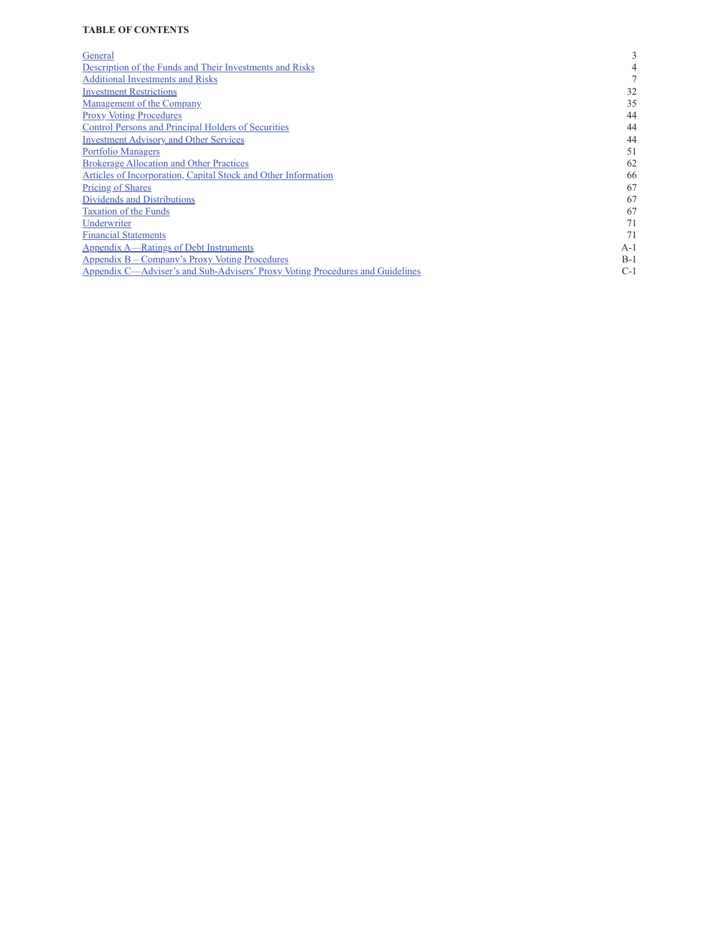# **TABLE OF CONTENTS**

| General                                                                       | 3     |
|-------------------------------------------------------------------------------|-------|
| Description of the Funds and Their Investments and Risks                      | 4     |
| <b>Additional Investments and Risks</b>                                       |       |
| <b>Investment Restrictions</b>                                                | 32    |
| Management of the Company                                                     | 35    |
| <b>Proxy Voting Procedures</b>                                                | 44    |
| Control Persons and Principal Holders of Securities                           | 44    |
| <b>Investment Advisory and Other Services</b>                                 | 44    |
| <b>Portfolio Managers</b>                                                     | 51    |
| <b>Brokerage Allocation and Other Practices</b>                               | 62    |
| Articles of Incorporation, Capital Stock and Other Information                | 66    |
| <b>Pricing of Shares</b>                                                      | 67    |
| Dividends and Distributions                                                   | 67    |
| <b>Taxation of the Funds</b>                                                  | 67    |
| Underwriter                                                                   | 71    |
| <b>Financial Statements</b>                                                   | 71    |
| Appendix A—Ratings of Debt Instruments                                        | $A-1$ |
| Appendix B – Company's Proxy Voting Procedures                                | $B-1$ |
| Appendix C—Adviser's and Sub-Advisers' Proxy Voting Procedures and Guidelines | $C-1$ |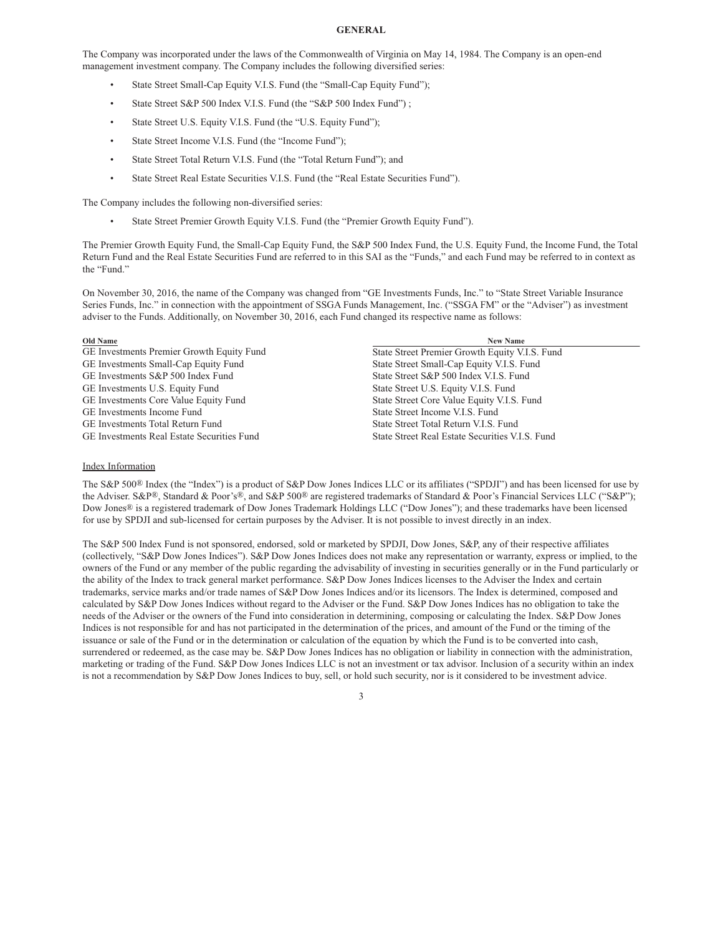## **GENERAL**

The Company was incorporated under the laws of the Commonwealth of Virginia on May 14, 1984. The Company is an open-end management investment company. The Company includes the following diversified series:

- State Street Small-Cap Equity V.I.S. Fund (the "Small-Cap Equity Fund");
- State Street S&P 500 Index V.I.S. Fund (the "S&P 500 Index Fund");
- State Street U.S. Equity V.I.S. Fund (the "U.S. Equity Fund");
- State Street Income V.I.S. Fund (the "Income Fund");
- State Street Total Return V.I.S. Fund (the "Total Return Fund"); and
- State Street Real Estate Securities V.I.S. Fund (the "Real Estate Securities Fund").

The Company includes the following non-diversified series:

• State Street Premier Growth Equity V.I.S. Fund (the "Premier Growth Equity Fund").

The Premier Growth Equity Fund, the Small-Cap Equity Fund, the S&P 500 Index Fund, the U.S. Equity Fund, the Income Fund, the Total Return Fund and the Real Estate Securities Fund are referred to in this SAI as the "Funds," and each Fund may be referred to in context as the "Fund."

On November 30, 2016, the name of the Company was changed from "GE Investments Funds, Inc." to "State Street Variable Insurance Series Funds, Inc." in connection with the appointment of SSGA Funds Management, Inc. ("SSGA FM" or the "Adviser") as investment adviser to the Funds. Additionally, on November 30, 2016, each Fund changed its respective name as follows:

#### **Old Name New Name New Name New Name New Name**

GE Investments Small-Cap Equity Fund State Street Small-Cap Equity V.I.S. Fund GE Investments S&P 500 Index Fund<br>GE Investments U.S. Equity Fund<br>State Street U.S. Equity V.I.S. Fund<br>State Street U.S. Equity V.I.S. Fund GE Investments Core Value Equity Fund State Street Core Value Equity V.I.S. Fund GE Investments Income Fund State Street Income V.I.S. Fund GE Investments Total Return Fund State Street Total Return V.I.S. Fund GE Investments Real Estate Securities Fund State Street Real Estate Securities V.I.S. Fund

GE Investments Premier Growth Equity Fund State Street Premier Growth Equity V.I.S. Fund State Street U.S. Equity V.I.S. Fund

# Index Information

The S&P 500® Index (the "Index") is a product of S&P Dow Jones Indices LLC or its affiliates ("SPDJI") and has been licensed for use by the Adviser. S&P®, Standard & Poor's®, and S&P 500® are registered trademarks of Standard & Poor's Financial Services LLC ("S&P"); Dow Jones® is a registered trademark of Dow Jones Trademark Holdings LLC ("Dow Jones"); and these trademarks have been licensed for use by SPDJI and sub-licensed for certain purposes by the Adviser. It is not possible to invest directly in an index.

The S&P 500 Index Fund is not sponsored, endorsed, sold or marketed by SPDJI, Dow Jones, S&P, any of their respective affiliates (collectively, "S&P Dow Jones Indices"). S&P Dow Jones Indices does not make any representation or warranty, express or implied, to the owners of the Fund or any member of the public regarding the advisability of investing in securities generally or in the Fund particularly or the ability of the Index to track general market performance. S&P Dow Jones Indices licenses to the Adviser the Index and certain trademarks, service marks and/or trade names of S&P Dow Jones Indices and/or its licensors. The Index is determined, composed and calculated by S&P Dow Jones Indices without regard to the Adviser or the Fund. S&P Dow Jones Indices has no obligation to take the needs of the Adviser or the owners of the Fund into consideration in determining, composing or calculating the Index. S&P Dow Jones Indices is not responsible for and has not participated in the determination of the prices, and amount of the Fund or the timing of the issuance or sale of the Fund or in the determination or calculation of the equation by which the Fund is to be converted into cash, surrendered or redeemed, as the case may be. S&P Dow Jones Indices has no obligation or liability in connection with the administration, marketing or trading of the Fund. S&P Dow Jones Indices LLC is not an investment or tax advisor. Inclusion of a security within an index is not a recommendation by S&P Dow Jones Indices to buy, sell, or hold such security, nor is it considered to be investment advice.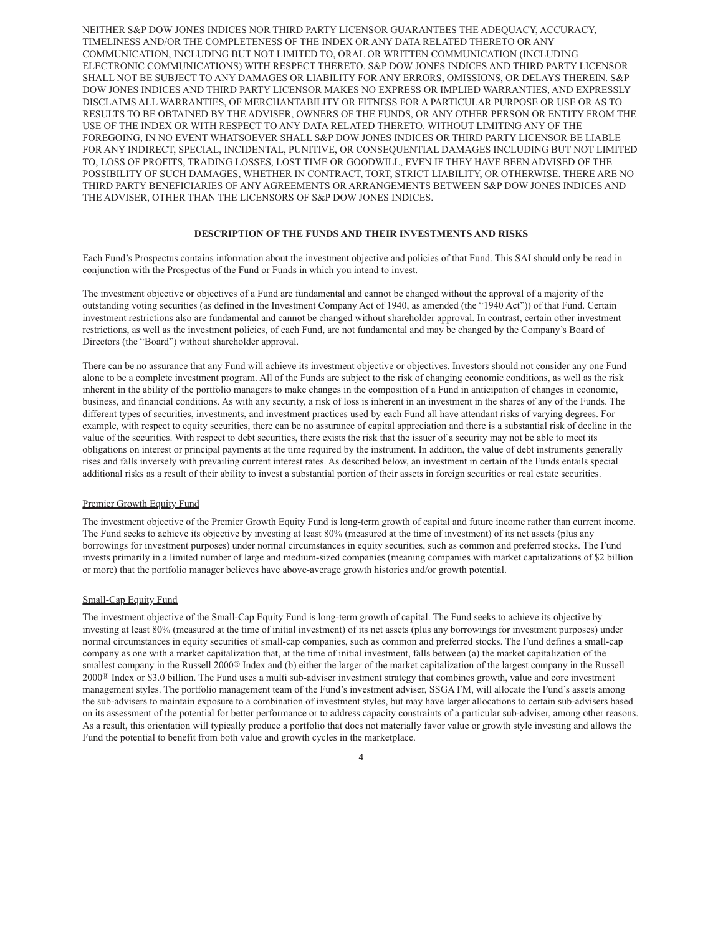NEITHER S&P DOW JONES INDICES NOR THIRD PARTY LICENSOR GUARANTEES THE ADEQUACY, ACCURACY, TIMELINESS AND/OR THE COMPLETENESS OF THE INDEX OR ANY DATA RELATED THERETO OR ANY COMMUNICATION, INCLUDING BUT NOT LIMITED TO, ORAL OR WRITTEN COMMUNICATION (INCLUDING ELECTRONIC COMMUNICATIONS) WITH RESPECT THERETO. S&P DOW JONES INDICES AND THIRD PARTY LICENSOR SHALL NOT BE SUBJECT TO ANY DAMAGES OR LIABILITY FOR ANY ERRORS, OMISSIONS, OR DELAYS THEREIN. S&P DOW JONES INDICES AND THIRD PARTY LICENSOR MAKES NO EXPRESS OR IMPLIED WARRANTIES, AND EXPRESSLY DISCLAIMS ALL WARRANTIES, OF MERCHANTABILITY OR FITNESS FOR A PARTICULAR PURPOSE OR USE OR AS TO RESULTS TO BE OBTAINED BY THE ADVISER, OWNERS OF THE FUNDS, OR ANY OTHER PERSON OR ENTITY FROM THE USE OF THE INDEX OR WITH RESPECT TO ANY DATA RELATED THERETO. WITHOUT LIMITING ANY OF THE FOREGOING, IN NO EVENT WHATSOEVER SHALL S&P DOW JONES INDICES OR THIRD PARTY LICENSOR BE LIABLE FOR ANY INDIRECT, SPECIAL, INCIDENTAL, PUNITIVE, OR CONSEQUENTIAL DAMAGES INCLUDING BUT NOT LIMITED TO, LOSS OF PROFITS, TRADING LOSSES, LOST TIME OR GOODWILL, EVEN IF THEY HAVE BEEN ADVISED OF THE POSSIBILITY OF SUCH DAMAGES, WHETHER IN CONTRACT, TORT, STRICT LIABILITY, OR OTHERWISE. THERE ARE NO THIRD PARTY BENEFICIARIES OF ANY AGREEMENTS OR ARRANGEMENTS BETWEEN S&P DOW JONES INDICES AND THE ADVISER, OTHER THAN THE LICENSORS OF S&P DOW JONES INDICES.

## **DESCRIPTION OF THE FUNDS AND THEIR INVESTMENTS AND RISKS**

Each Fund's Prospectus contains information about the investment objective and policies of that Fund. This SAI should only be read in conjunction with the Prospectus of the Fund or Funds in which you intend to invest.

The investment objective or objectives of a Fund are fundamental and cannot be changed without the approval of a majority of the outstanding voting securities (as defined in the Investment Company Act of 1940, as amended (the "1940 Act")) of that Fund. Certain investment restrictions also are fundamental and cannot be changed without shareholder approval. In contrast, certain other investment restrictions, as well as the investment policies, of each Fund, are not fundamental and may be changed by the Company's Board of Directors (the "Board") without shareholder approval.

There can be no assurance that any Fund will achieve its investment objective or objectives. Investors should not consider any one Fund alone to be a complete investment program. All of the Funds are subject to the risk of changing economic conditions, as well as the risk inherent in the ability of the portfolio managers to make changes in the composition of a Fund in anticipation of changes in economic, business, and financial conditions. As with any security, a risk of loss is inherent in an investment in the shares of any of the Funds. The different types of securities, investments, and investment practices used by each Fund all have attendant risks of varying degrees. For example, with respect to equity securities, there can be no assurance of capital appreciation and there is a substantial risk of decline in the value of the securities. With respect to debt securities, there exists the risk that the issuer of a security may not be able to meet its obligations on interest or principal payments at the time required by the instrument. In addition, the value of debt instruments generally rises and falls inversely with prevailing current interest rates. As described below, an investment in certain of the Funds entails special additional risks as a result of their ability to invest a substantial portion of their assets in foreign securities or real estate securities.

### Premier Growth Equity Fund

The investment objective of the Premier Growth Equity Fund is long-term growth of capital and future income rather than current income. The Fund seeks to achieve its objective by investing at least 80% (measured at the time of investment) of its net assets (plus any borrowings for investment purposes) under normal circumstances in equity securities, such as common and preferred stocks. The Fund invests primarily in a limited number of large and medium-sized companies (meaning companies with market capitalizations of \$2 billion or more) that the portfolio manager believes have above-average growth histories and/or growth potential.

#### Small-Cap Equity Fund

The investment objective of the Small-Cap Equity Fund is long-term growth of capital. The Fund seeks to achieve its objective by investing at least 80% (measured at the time of initial investment) of its net assets (plus any borrowings for investment purposes) under normal circumstances in equity securities of small-cap companies, such as common and preferred stocks. The Fund defines a small-cap company as one with a market capitalization that, at the time of initial investment, falls between (a) the market capitalization of the smallest company in the Russell 2000® Index and (b) either the larger of the market capitalization of the largest company in the Russell 2000® Index or \$3.0 billion. The Fund uses a multi sub-adviser investment strategy that combines growth, value and core investment management styles. The portfolio management team of the Fund's investment adviser, SSGA FM, will allocate the Fund's assets among the sub-advisers to maintain exposure to a combination of investment styles, but may have larger allocations to certain sub-advisers based on its assessment of the potential for better performance or to address capacity constraints of a particular sub-adviser, among other reasons. As a result, this orientation will typically produce a portfolio that does not materially favor value or growth style investing and allows the Fund the potential to benefit from both value and growth cycles in the marketplace.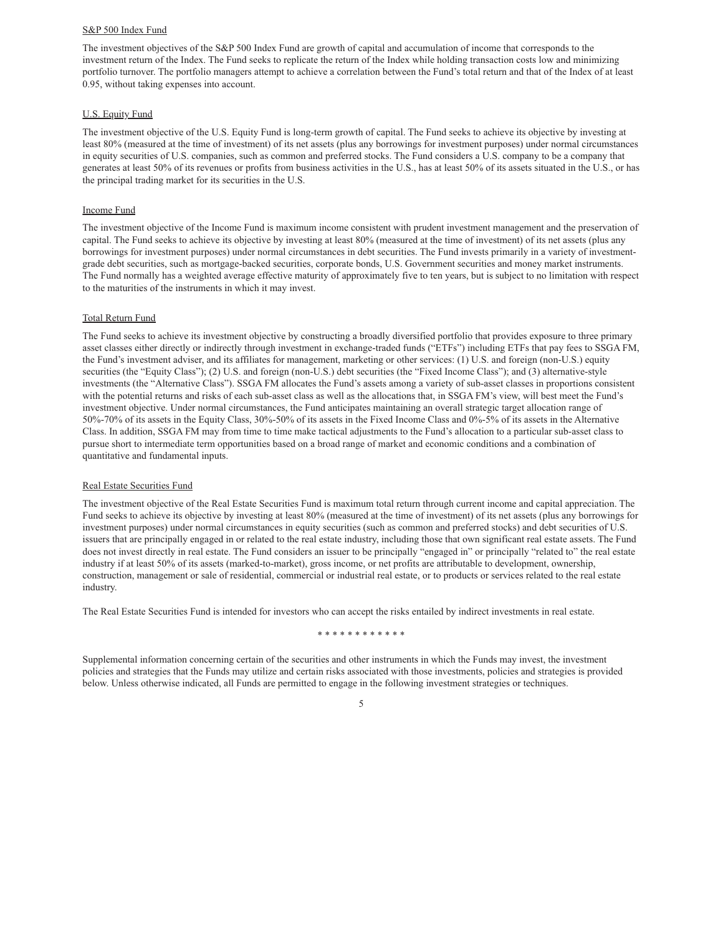### S&P 500 Index Fund

The investment objectives of the S&P 500 Index Fund are growth of capital and accumulation of income that corresponds to the investment return of the Index. The Fund seeks to replicate the return of the Index while holding transaction costs low and minimizing portfolio turnover. The portfolio managers attempt to achieve a correlation between the Fund's total return and that of the Index of at least 0.95, without taking expenses into account.

## U.S. Equity Fund

The investment objective of the U.S. Equity Fund is long-term growth of capital. The Fund seeks to achieve its objective by investing at least 80% (measured at the time of investment) of its net assets (plus any borrowings for investment purposes) under normal circumstances in equity securities of U.S. companies, such as common and preferred stocks. The Fund considers a U.S. company to be a company that generates at least 50% of its revenues or profits from business activities in the U.S., has at least 50% of its assets situated in the U.S., or has the principal trading market for its securities in the U.S.

#### Income Fund

The investment objective of the Income Fund is maximum income consistent with prudent investment management and the preservation of capital. The Fund seeks to achieve its objective by investing at least 80% (measured at the time of investment) of its net assets (plus any borrowings for investment purposes) under normal circumstances in debt securities. The Fund invests primarily in a variety of investmentgrade debt securities, such as mortgage-backed securities, corporate bonds, U.S. Government securities and money market instruments. The Fund normally has a weighted average effective maturity of approximately five to ten years, but is subject to no limitation with respect to the maturities of the instruments in which it may invest.

## Total Return Fund

The Fund seeks to achieve its investment objective by constructing a broadly diversified portfolio that provides exposure to three primary asset classes either directly or indirectly through investment in exchange-traded funds ("ETFs") including ETFs that pay fees to SSGA FM, the Fund's investment adviser, and its affiliates for management, marketing or other services: (1) U.S. and foreign (non-U.S.) equity securities (the "Equity Class"); (2) U.S. and foreign (non-U.S.) debt securities (the "Fixed Income Class"); and (3) alternative-style investments (the "Alternative Class"). SSGA FM allocates the Fund's assets among a variety of sub-asset classes in proportions consistent with the potential returns and risks of each sub-asset class as well as the allocations that, in SSGA FM's view, will best meet the Fund's investment objective. Under normal circumstances, the Fund anticipates maintaining an overall strategic target allocation range of 50%-70% of its assets in the Equity Class, 30%-50% of its assets in the Fixed Income Class and 0%-5% of its assets in the Alternative Class. In addition, SSGA FM may from time to time make tactical adjustments to the Fund's allocation to a particular sub-asset class to pursue short to intermediate term opportunities based on a broad range of market and economic conditions and a combination of quantitative and fundamental inputs.

### Real Estate Securities Fund

The investment objective of the Real Estate Securities Fund is maximum total return through current income and capital appreciation. The Fund seeks to achieve its objective by investing at least 80% (measured at the time of investment) of its net assets (plus any borrowings for investment purposes) under normal circumstances in equity securities (such as common and preferred stocks) and debt securities of U.S. issuers that are principally engaged in or related to the real estate industry, including those that own significant real estate assets. The Fund does not invest directly in real estate. The Fund considers an issuer to be principally "engaged in" or principally "related to" the real estate industry if at least 50% of its assets (marked-to-market), gross income, or net profits are attributable to development, ownership, construction, management or sale of residential, commercial or industrial real estate, or to products or services related to the real estate industry.

The Real Estate Securities Fund is intended for investors who can accept the risks entailed by indirect investments in real estate.

\* \* \* \* \* \* \* \* \* \* \*

Supplemental information concerning certain of the securities and other instruments in which the Funds may invest, the investment policies and strategies that the Funds may utilize and certain risks associated with those investments, policies and strategies is provided below. Unless otherwise indicated, all Funds are permitted to engage in the following investment strategies or techniques.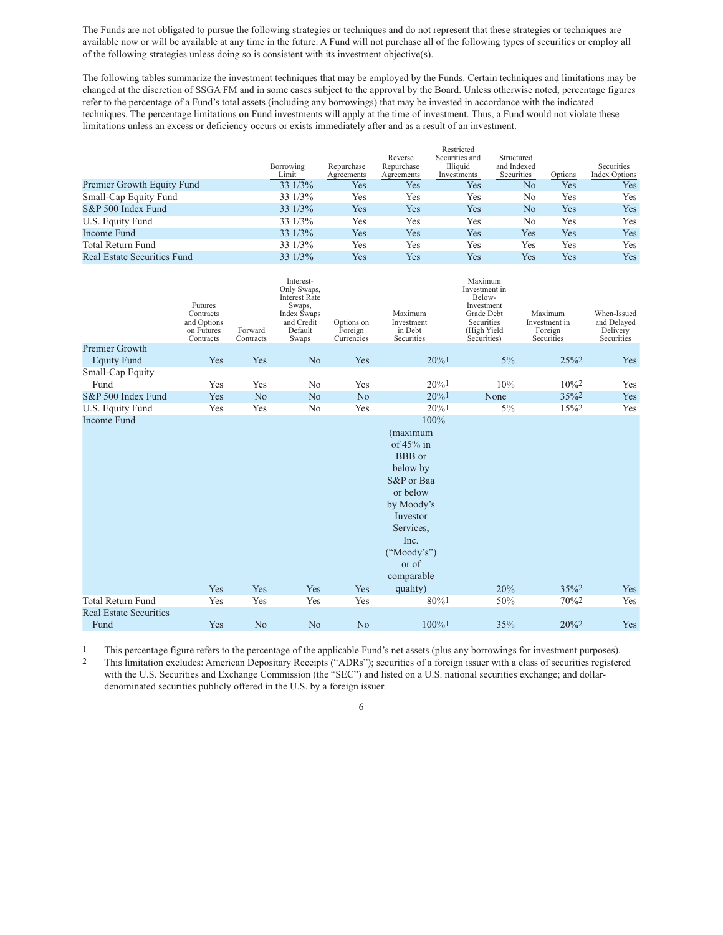The Funds are not obligated to pursue the following strategies or techniques and do not represent that these strategies or techniques are available now or will be available at any time in the future. A Fund will not purchase all of the following types of securities or employ all of the following strategies unless doing so is consistent with its investment objective(s).

The following tables summarize the investment techniques that may be employed by the Funds. Certain techniques and limitations may be changed at the discretion of SSGA FM and in some cases subject to the approval by the Board. Unless otherwise noted, percentage figures refer to the percentage of a Fund's total assets (including any borrowings) that may be invested in accordance with the indicated techniques. The percentage limitations on Fund investments will apply at the time of investment. Thus, a Fund would not violate these limitations unless an excess or deficiency occurs or exists immediately after and as a result of an investment.

|                                    | Borrowing<br>Limit | Repurchase<br>Agreements | Reverse<br>Repurchase<br>Agreements | Restricted<br>Securities and<br>Illiquid<br>Investments | Structured<br>and Indexed<br>Securities | Options | Securities<br>Index Options |
|------------------------------------|--------------------|--------------------------|-------------------------------------|---------------------------------------------------------|-----------------------------------------|---------|-----------------------------|
| Premier Growth Equity Fund         | 33 1/3%            | Yes                      | Yes                                 | Yes                                                     | No                                      | Yes     | Yes                         |
| Small-Cap Equity Fund              | 33 1/3%            | Yes                      | Yes                                 | Yes                                                     | No                                      | Yes     | Yes                         |
| S&P 500 Index Fund                 | 33 1/3%            | Yes                      | Yes                                 | Yes                                                     | N <sub>0</sub>                          | Yes     | <b>Yes</b>                  |
| U.S. Equity Fund                   | 33 1/3%            | Yes                      | Yes                                 | Yes                                                     | N <sub>0</sub>                          | Yes     | Yes                         |
| Income Fund                        | 33 1/3%            | Yes                      | Yes                                 | Yes                                                     | Yes                                     | Yes     | <b>Yes</b>                  |
| Total Return Fund                  | 33 1/3%            | Yes                      | Yes                                 | Yes                                                     | Yes                                     | Yes     | Yes                         |
| <b>Real Estate Securities Fund</b> | 33 1/3%            | Yes                      | Yes                                 | Yes                                                     | Yes                                     | Yes     | <b>Yes</b>                  |

|                                       | Futures<br>Contracts<br>and Options<br>on Futures<br>Contracts | Forward<br>Contracts | Interest-<br>Only Swaps,<br><b>Interest Rate</b><br>Swaps,<br><b>Index Swaps</b><br>and Credit<br>Default<br>Swaps | Options on<br>Foreign<br>Currencies | Maximum<br>Investment<br>in Debt<br>Securities                                                                                                                               | Maximum<br>Investment in<br>Below-<br>Investment<br>Grade Debt<br>Securities<br>(High Yield<br>Securities) | Maximum<br>Investment in<br>Foreign<br>Securities | When-Issued<br>and Delayed<br>Delivery<br>Securities |
|---------------------------------------|----------------------------------------------------------------|----------------------|--------------------------------------------------------------------------------------------------------------------|-------------------------------------|------------------------------------------------------------------------------------------------------------------------------------------------------------------------------|------------------------------------------------------------------------------------------------------------|---------------------------------------------------|------------------------------------------------------|
| <b>Premier Growth</b>                 |                                                                |                      |                                                                                                                    |                                     |                                                                                                                                                                              |                                                                                                            |                                                   |                                                      |
| <b>Equity Fund</b>                    | Yes                                                            | Yes                  | N <sub>o</sub>                                                                                                     | Yes                                 | $20\%$ <sup>1</sup>                                                                                                                                                          | $5\%$                                                                                                      | $25\%2$                                           | Yes                                                  |
| Small-Cap Equity                      |                                                                |                      |                                                                                                                    |                                     |                                                                                                                                                                              |                                                                                                            |                                                   |                                                      |
| Fund                                  | Yes                                                            | Yes                  | No                                                                                                                 | Yes                                 | 20%1                                                                                                                                                                         | 10%                                                                                                        | 10%2                                              | Yes                                                  |
| S&P 500 Index Fund                    | Yes                                                            | No                   | No                                                                                                                 | N <sub>o</sub>                      | 20%1                                                                                                                                                                         | None                                                                                                       | 35%2                                              | Yes                                                  |
| U.S. Equity Fund                      | Yes                                                            | Yes                  | No                                                                                                                 | Yes                                 | 20%1                                                                                                                                                                         | $5\%$                                                                                                      | 15%2                                              | Yes                                                  |
| <b>Income Fund</b>                    |                                                                |                      |                                                                                                                    |                                     | 100%<br>(maximum<br>of $45\%$ in<br><b>BBB</b> or<br>below by<br>S&P or Baa<br>or below<br>by Moody's<br>Investor<br>Services,<br>Inc.<br>("Moody's")<br>or of<br>comparable |                                                                                                            |                                                   |                                                      |
|                                       | Yes                                                            | Yes                  | Yes                                                                                                                | Yes                                 | quality)                                                                                                                                                                     | 20%                                                                                                        | 35%2                                              | Yes                                                  |
| <b>Total Return Fund</b>              | Yes                                                            | Yes                  | Yes                                                                                                                | Yes                                 | 80%1                                                                                                                                                                         | 50%                                                                                                        | 70%2                                              | Yes                                                  |
| <b>Real Estate Securities</b><br>Fund | Yes                                                            | N <sub>o</sub>       | No                                                                                                                 | N <sub>o</sub>                      | $100\%$ <sup>1</sup>                                                                                                                                                         | 35%                                                                                                        | $20\%2$                                           | Yes                                                  |

1 This percentage figure refers to the percentage of the applicable Fund's net assets (plus any borrowings for investment purposes).<br>2 This limitation excludes: American Depositary Receipts ("ADRs"): securities of a foreig

2 This limitation excludes: American Depositary Receipts ("ADRs"); securities of a foreign issuer with a class of securities registered with the U.S. Securities and Exchange Commission (the "SEC") and listed on a U.S. national securities exchange; and dollardenominated securities publicly offered in the U.S. by a foreign issuer.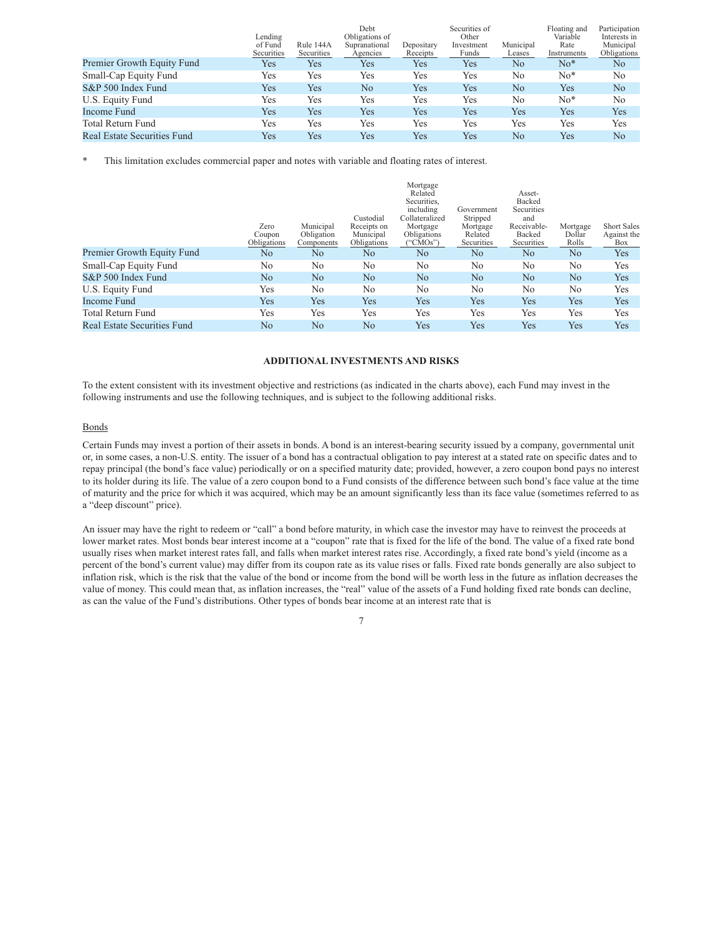|                                    |            |            | Debt           |            | Securities of |           | Floating and | Participation  |
|------------------------------------|------------|------------|----------------|------------|---------------|-----------|--------------|----------------|
|                                    | Lending    |            | Obligations of |            | Other         |           | Variable     | Interests in   |
|                                    | of Fund    | Rule 144A  | Supranational  | Depositary | Investment    | Municipal | Rate         | Municipal      |
|                                    | Securities | Securities | Agencies       | Receipts   | Funds         | Leases    | Instruments  | Obligations    |
| Premier Growth Equity Fund         | Yes        | Yes        | Yes            | Yes        | Yes           | No        | $No*$        | N <sub>o</sub> |
| Small-Cap Equity Fund              | Yes        | Yes        | Yes            | Yes        | Yes           | No        | $No*$        | N <sub>0</sub> |
| S&P 500 Index Fund                 | Yes        | Yes        | N <sub>0</sub> | Yes        | Yes           | No        | Yes          | N <sub>0</sub> |
| U.S. Equity Fund                   | Yes        | Yes        | Yes            | Yes        | Yes           | No        | $No*$        | N <sub>0</sub> |
| Income Fund                        | Yes        | Yes        | Yes            | Yes        | Yes           | Yes       | Yes          | Yes            |
| <b>Total Return Fund</b>           | Yes        | Yes        | Yes            | Yes        | Yes           | Yes       | Yes          | Yes            |
| <b>Real Estate Securities Fund</b> | Yes        | Yes        | Yes            | Yes        | Yes           | No        | Yes          | No             |

\* This limitation excludes commercial paper and notes with variable and floating rates of interest.

|                             | Zero<br>Coupon<br>Obligations | Municipal<br>Obligation<br>Components | Custodial<br>Receipts on<br>Municipal<br>Obligations | Mortgage<br>Related<br>Securities,<br>including<br>Collateralized<br>Mortgage<br>Obligations<br>("CMOs") | Government<br>Stripped<br>Mortgage<br>Related<br>Securities | Asset-<br>Backed<br>Securities<br>and<br>Receivable-<br>Backed<br>Securities | Mortgage<br>Dollar<br>Rolls | <b>Short Sales</b><br>Against the<br>Box |
|-----------------------------|-------------------------------|---------------------------------------|------------------------------------------------------|----------------------------------------------------------------------------------------------------------|-------------------------------------------------------------|------------------------------------------------------------------------------|-----------------------------|------------------------------------------|
| Premier Growth Equity Fund  | N <sub>0</sub>                | No                                    | No                                                   | No                                                                                                       | No.                                                         | N <sub>0</sub>                                                               | N <sub>o</sub>              | Yes                                      |
| Small-Cap Equity Fund       | N <sub>0</sub>                | No                                    | No                                                   | N <sub>0</sub>                                                                                           | No                                                          | No                                                                           | No                          | Yes                                      |
| S&P 500 Index Fund          | N <sub>0</sub>                | No                                    | No                                                   | No                                                                                                       | No.                                                         | No                                                                           | No                          | Yes                                      |
| U.S. Equity Fund            | Yes                           | No                                    | No                                                   | No                                                                                                       | No                                                          | No                                                                           | No                          | Yes                                      |
| Income Fund                 | Yes                           | Yes                                   | Yes                                                  | Yes                                                                                                      | Yes                                                         | Yes                                                                          | Yes                         | Yes                                      |
| <b>Total Return Fund</b>    | Yes                           | Yes                                   | Yes                                                  | Yes                                                                                                      | Yes                                                         | Yes                                                                          | Yes                         | Yes                                      |
| Real Estate Securities Fund | No                            | No                                    | No                                                   | Yes                                                                                                      | Yes                                                         | Yes                                                                          | Yes                         | Yes                                      |

### **ADDITIONAL INVESTMENTS AND RISKS**

To the extent consistent with its investment objective and restrictions (as indicated in the charts above), each Fund may invest in the following instruments and use the following techniques, and is subject to the following additional risks.

# Bonds

Certain Funds may invest a portion of their assets in bonds. A bond is an interest-bearing security issued by a company, governmental unit or, in some cases, a non-U.S. entity. The issuer of a bond has a contractual obligation to pay interest at a stated rate on specific dates and to repay principal (the bond's face value) periodically or on a specified maturity date; provided, however, a zero coupon bond pays no interest to its holder during its life. The value of a zero coupon bond to a Fund consists of the difference between such bond's face value at the time of maturity and the price for which it was acquired, which may be an amount significantly less than its face value (sometimes referred to as a "deep discount" price).

An issuer may have the right to redeem or "call" a bond before maturity, in which case the investor may have to reinvest the proceeds at lower market rates. Most bonds bear interest income at a "coupon" rate that is fixed for the life of the bond. The value of a fixed rate bond usually rises when market interest rates fall, and falls when market interest rates rise. Accordingly, a fixed rate bond's yield (income as a percent of the bond's current value) may differ from its coupon rate as its value rises or falls. Fixed rate bonds generally are also subject to inflation risk, which is the risk that the value of the bond or income from the bond will be worth less in the future as inflation decreases the value of money. This could mean that, as inflation increases, the "real" value of the assets of a Fund holding fixed rate bonds can decline, as can the value of the Fund's distributions. Other types of bonds bear income at an interest rate that is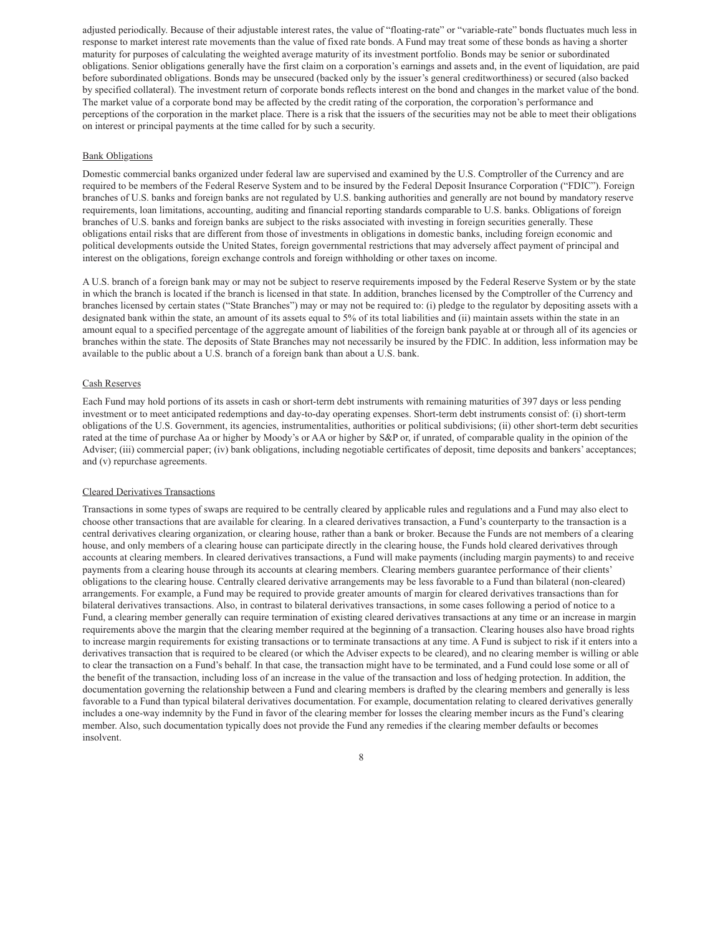adjusted periodically. Because of their adjustable interest rates, the value of "floating-rate" or "variable-rate" bonds fluctuates much less in response to market interest rate movements than the value of fixed rate bonds. A Fund may treat some of these bonds as having a shorter maturity for purposes of calculating the weighted average maturity of its investment portfolio. Bonds may be senior or subordinated obligations. Senior obligations generally have the first claim on a corporation's earnings and assets and, in the event of liquidation, are paid before subordinated obligations. Bonds may be unsecured (backed only by the issuer's general creditworthiness) or secured (also backed by specified collateral). The investment return of corporate bonds reflects interest on the bond and changes in the market value of the bond. The market value of a corporate bond may be affected by the credit rating of the corporation, the corporation's performance and perceptions of the corporation in the market place. There is a risk that the issuers of the securities may not be able to meet their obligations on interest or principal payments at the time called for by such a security.

## **Bank Obligations**

Domestic commercial banks organized under federal law are supervised and examined by the U.S. Comptroller of the Currency and are required to be members of the Federal Reserve System and to be insured by the Federal Deposit Insurance Corporation ("FDIC"). Foreign branches of U.S. banks and foreign banks are not regulated by U.S. banking authorities and generally are not bound by mandatory reserve requirements, loan limitations, accounting, auditing and financial reporting standards comparable to U.S. banks. Obligations of foreign branches of U.S. banks and foreign banks are subject to the risks associated with investing in foreign securities generally. These obligations entail risks that are different from those of investments in obligations in domestic banks, including foreign economic and political developments outside the United States, foreign governmental restrictions that may adversely affect payment of principal and interest on the obligations, foreign exchange controls and foreign withholding or other taxes on income.

A U.S. branch of a foreign bank may or may not be subject to reserve requirements imposed by the Federal Reserve System or by the state in which the branch is located if the branch is licensed in that state. In addition, branches licensed by the Comptroller of the Currency and branches licensed by certain states ("State Branches") may or may not be required to: (i) pledge to the regulator by depositing assets with a designated bank within the state, an amount of its assets equal to 5% of its total liabilities and (ii) maintain assets within the state in an amount equal to a specified percentage of the aggregate amount of liabilities of the foreign bank payable at or through all of its agencies or branches within the state. The deposits of State Branches may not necessarily be insured by the FDIC. In addition, less information may be available to the public about a U.S. branch of a foreign bank than about a U.S. bank.

# Cash Reserves

Each Fund may hold portions of its assets in cash or short-term debt instruments with remaining maturities of 397 days or less pending investment or to meet anticipated redemptions and day-to-day operating expenses. Short-term debt instruments consist of: (i) short-term obligations of the U.S. Government, its agencies, instrumentalities, authorities or political subdivisions; (ii) other short-term debt securities rated at the time of purchase Aa or higher by Moody's or AA or higher by S&P or, if unrated, of comparable quality in the opinion of the Adviser; (iii) commercial paper; (iv) bank obligations, including negotiable certificates of deposit, time deposits and bankers' acceptances; and (v) repurchase agreements.

#### Cleared Derivatives Transactions

Transactions in some types of swaps are required to be centrally cleared by applicable rules and regulations and a Fund may also elect to choose other transactions that are available for clearing. In a cleared derivatives transaction, a Fund's counterparty to the transaction is a central derivatives clearing organization, or clearing house, rather than a bank or broker. Because the Funds are not members of a clearing house, and only members of a clearing house can participate directly in the clearing house, the Funds hold cleared derivatives through accounts at clearing members. In cleared derivatives transactions, a Fund will make payments (including margin payments) to and receive payments from a clearing house through its accounts at clearing members. Clearing members guarantee performance of their clients' obligations to the clearing house. Centrally cleared derivative arrangements may be less favorable to a Fund than bilateral (non-cleared) arrangements. For example, a Fund may be required to provide greater amounts of margin for cleared derivatives transactions than for bilateral derivatives transactions. Also, in contrast to bilateral derivatives transactions, in some cases following a period of notice to a Fund, a clearing member generally can require termination of existing cleared derivatives transactions at any time or an increase in margin requirements above the margin that the clearing member required at the beginning of a transaction. Clearing houses also have broad rights to increase margin requirements for existing transactions or to terminate transactions at any time. A Fund is subject to risk if it enters into a derivatives transaction that is required to be cleared (or which the Adviser expects to be cleared), and no clearing member is willing or able to clear the transaction on a Fund's behalf. In that case, the transaction might have to be terminated, and a Fund could lose some or all of the benefit of the transaction, including loss of an increase in the value of the transaction and loss of hedging protection. In addition, the documentation governing the relationship between a Fund and clearing members is drafted by the clearing members and generally is less favorable to a Fund than typical bilateral derivatives documentation. For example, documentation relating to cleared derivatives generally includes a one-way indemnity by the Fund in favor of the clearing member for losses the clearing member incurs as the Fund's clearing member. Also, such documentation typically does not provide the Fund any remedies if the clearing member defaults or becomes insolvent.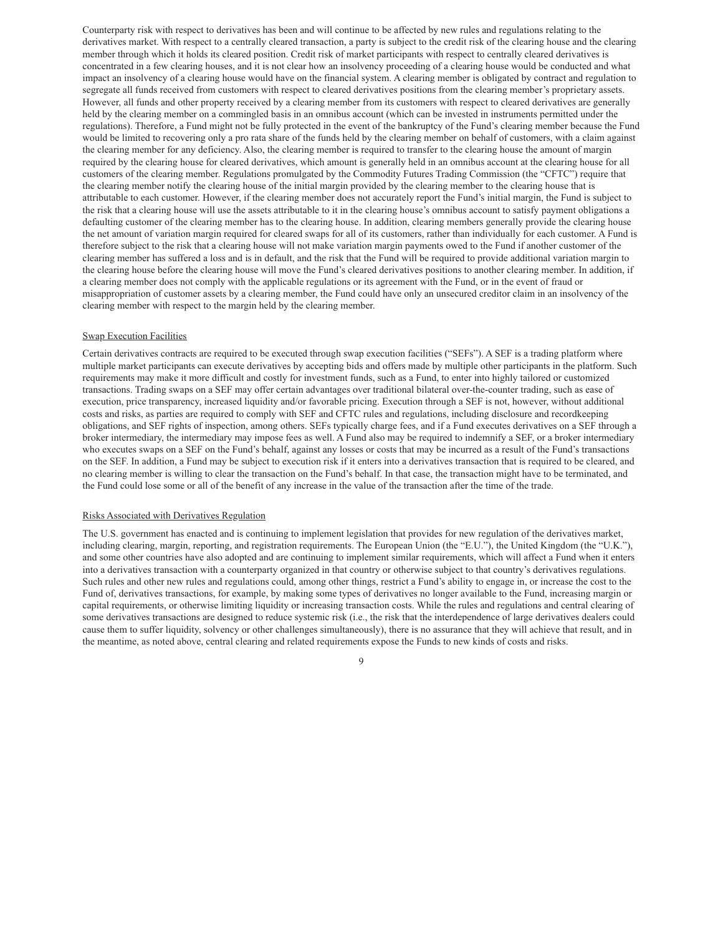Counterparty risk with respect to derivatives has been and will continue to be affected by new rules and regulations relating to the derivatives market. With respect to a centrally cleared transaction, a party is subject to the credit risk of the clearing house and the clearing member through which it holds its cleared position. Credit risk of market participants with respect to centrally cleared derivatives is concentrated in a few clearing houses, and it is not clear how an insolvency proceeding of a clearing house would be conducted and what impact an insolvency of a clearing house would have on the financial system. A clearing member is obligated by contract and regulation to segregate all funds received from customers with respect to cleared derivatives positions from the clearing member's proprietary assets. However, all funds and other property received by a clearing member from its customers with respect to cleared derivatives are generally held by the clearing member on a commingled basis in an omnibus account (which can be invested in instruments permitted under the regulations). Therefore, a Fund might not be fully protected in the event of the bankruptcy of the Fund's clearing member because the Fund would be limited to recovering only a pro rata share of the funds held by the clearing member on behalf of customers, with a claim against the clearing member for any deficiency. Also, the clearing member is required to transfer to the clearing house the amount of margin required by the clearing house for cleared derivatives, which amount is generally held in an omnibus account at the clearing house for all customers of the clearing member. Regulations promulgated by the Commodity Futures Trading Commission (the "CFTC") require that the clearing member notify the clearing house of the initial margin provided by the clearing member to the clearing house that is attributable to each customer. However, if the clearing member does not accurately report the Fund's initial margin, the Fund is subject to the risk that a clearing house will use the assets attributable to it in the clearing house's omnibus account to satisfy payment obligations a defaulting customer of the clearing member has to the clearing house. In addition, clearing members generally provide the clearing house the net amount of variation margin required for cleared swaps for all of its customers, rather than individually for each customer. A Fund is therefore subject to the risk that a clearing house will not make variation margin payments owed to the Fund if another customer of the clearing member has suffered a loss and is in default, and the risk that the Fund will be required to provide additional variation margin to the clearing house before the clearing house will move the Fund's cleared derivatives positions to another clearing member. In addition, if a clearing member does not comply with the applicable regulations or its agreement with the Fund, or in the event of fraud or misappropriation of customer assets by a clearing member, the Fund could have only an unsecured creditor claim in an insolvency of the clearing member with respect to the margin held by the clearing member.

### Swap Execution Facilities

Certain derivatives contracts are required to be executed through swap execution facilities ("SEFs"). A SEF is a trading platform where multiple market participants can execute derivatives by accepting bids and offers made by multiple other participants in the platform. Such requirements may make it more difficult and costly for investment funds, such as a Fund, to enter into highly tailored or customized transactions. Trading swaps on a SEF may offer certain advantages over traditional bilateral over-the-counter trading, such as ease of execution, price transparency, increased liquidity and/or favorable pricing. Execution through a SEF is not, however, without additional costs and risks, as parties are required to comply with SEF and CFTC rules and regulations, including disclosure and recordkeeping obligations, and SEF rights of inspection, among others. SEFs typically charge fees, and if a Fund executes derivatives on a SEF through a broker intermediary, the intermediary may impose fees as well. A Fund also may be required to indemnify a SEF, or a broker intermediary who executes swaps on a SEF on the Fund's behalf, against any losses or costs that may be incurred as a result of the Fund's transactions on the SEF. In addition, a Fund may be subject to execution risk if it enters into a derivatives transaction that is required to be cleared, and no clearing member is willing to clear the transaction on the Fund's behalf. In that case, the transaction might have to be terminated, and the Fund could lose some or all of the benefit of any increase in the value of the transaction after the time of the trade.

#### Risks Associated with Derivatives Regulation

The U.S. government has enacted and is continuing to implement legislation that provides for new regulation of the derivatives market, including clearing, margin, reporting, and registration requirements. The European Union (the "E.U."), the United Kingdom (the "U.K."), and some other countries have also adopted and are continuing to implement similar requirements, which will affect a Fund when it enters into a derivatives transaction with a counterparty organized in that country or otherwise subject to that country's derivatives regulations. Such rules and other new rules and regulations could, among other things, restrict a Fund's ability to engage in, or increase the cost to the Fund of, derivatives transactions, for example, by making some types of derivatives no longer available to the Fund, increasing margin or capital requirements, or otherwise limiting liquidity or increasing transaction costs. While the rules and regulations and central clearing of some derivatives transactions are designed to reduce systemic risk (i.e., the risk that the interdependence of large derivatives dealers could cause them to suffer liquidity, solvency or other challenges simultaneously), there is no assurance that they will achieve that result, and in the meantime, as noted above, central clearing and related requirements expose the Funds to new kinds of costs and risks.

# $\overline{Q}$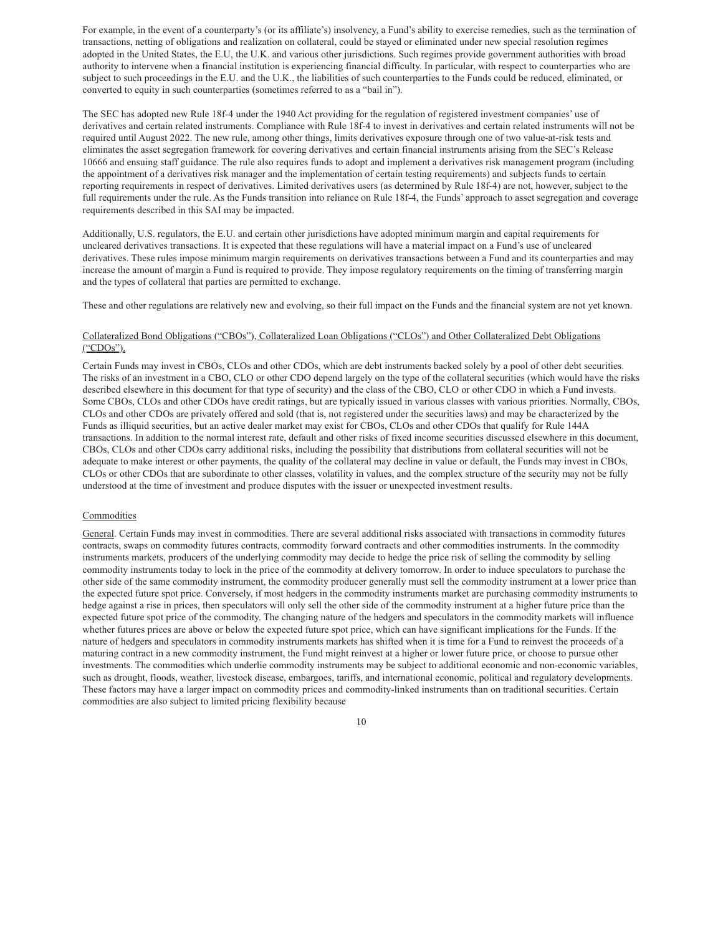For example, in the event of a counterparty's (or its affiliate's) insolvency, a Fund's ability to exercise remedies, such as the termination of transactions, netting of obligations and realization on collateral, could be stayed or eliminated under new special resolution regimes adopted in the United States, the E.U, the U.K. and various other jurisdictions. Such regimes provide government authorities with broad authority to intervene when a financial institution is experiencing financial difficulty. In particular, with respect to counterparties who are subject to such proceedings in the E.U. and the U.K., the liabilities of such counterparties to the Funds could be reduced, eliminated, or converted to equity in such counterparties (sometimes referred to as a "bail in").

The SEC has adopted new Rule 18f-4 under the 1940 Act providing for the regulation of registered investment companies' use of derivatives and certain related instruments. Compliance with Rule 18f-4 to invest in derivatives and certain related instruments will not be required until August 2022. The new rule, among other things, limits derivatives exposure through one of two value-at-risk tests and eliminates the asset segregation framework for covering derivatives and certain financial instruments arising from the SEC's Release 10666 and ensuing staff guidance. The rule also requires funds to adopt and implement a derivatives risk management program (including the appointment of a derivatives risk manager and the implementation of certain testing requirements) and subjects funds to certain reporting requirements in respect of derivatives. Limited derivatives users (as determined by Rule 18f-4) are not, however, subject to the full requirements under the rule. As the Funds transition into reliance on Rule 18f-4, the Funds' approach to asset segregation and coverage requirements described in this SAI may be impacted.

Additionally, U.S. regulators, the E.U. and certain other jurisdictions have adopted minimum margin and capital requirements for uncleared derivatives transactions. It is expected that these regulations will have a material impact on a Fund's use of uncleared derivatives. These rules impose minimum margin requirements on derivatives transactions between a Fund and its counterparties and may increase the amount of margin a Fund is required to provide. They impose regulatory requirements on the timing of transferring margin and the types of collateral that parties are permitted to exchange.

These and other regulations are relatively new and evolving, so their full impact on the Funds and the financial system are not yet known.

# Collateralized Bond Obligations ("CBOs"), Collateralized Loan Obligations ("CLOs") and Other Collateralized Debt Obligations ("CDOs").

Certain Funds may invest in CBOs, CLOs and other CDOs, which are debt instruments backed solely by a pool of other debt securities. The risks of an investment in a CBO, CLO or other CDO depend largely on the type of the collateral securities (which would have the risks described elsewhere in this document for that type of security) and the class of the CBO, CLO or other CDO in which a Fund invests. Some CBOs, CLOs and other CDOs have credit ratings, but are typically issued in various classes with various priorities. Normally, CBOs, CLOs and other CDOs are privately offered and sold (that is, not registered under the securities laws) and may be characterized by the Funds as illiquid securities, but an active dealer market may exist for CBOs, CLOs and other CDOs that qualify for Rule 144A transactions. In addition to the normal interest rate, default and other risks of fixed income securities discussed elsewhere in this document, CBOs, CLOs and other CDOs carry additional risks, including the possibility that distributions from collateral securities will not be adequate to make interest or other payments, the quality of the collateral may decline in value or default, the Funds may invest in CBOs, CLOs or other CDOs that are subordinate to other classes, volatility in values, and the complex structure of the security may not be fully understood at the time of investment and produce disputes with the issuer or unexpected investment results.

### Commodities

General. Certain Funds may invest in commodities. There are several additional risks associated with transactions in commodity futures contracts, swaps on commodity futures contracts, commodity forward contracts and other commodities instruments. In the commodity instruments markets, producers of the underlying commodity may decide to hedge the price risk of selling the commodity by selling commodity instruments today to lock in the price of the commodity at delivery tomorrow. In order to induce speculators to purchase the other side of the same commodity instrument, the commodity producer generally must sell the commodity instrument at a lower price than the expected future spot price. Conversely, if most hedgers in the commodity instruments market are purchasing commodity instruments to hedge against a rise in prices, then speculators will only sell the other side of the commodity instrument at a higher future price than the expected future spot price of the commodity. The changing nature of the hedgers and speculators in the commodity markets will influence whether futures prices are above or below the expected future spot price, which can have significant implications for the Funds. If the nature of hedgers and speculators in commodity instruments markets has shifted when it is time for a Fund to reinvest the proceeds of a maturing contract in a new commodity instrument, the Fund might reinvest at a higher or lower future price, or choose to pursue other investments. The commodities which underlie commodity instruments may be subject to additional economic and non-economic variables, such as drought, floods, weather, livestock disease, embargoes, tariffs, and international economic, political and regulatory developments. These factors may have a larger impact on commodity prices and commodity-linked instruments than on traditional securities. Certain commodities are also subject to limited pricing flexibility because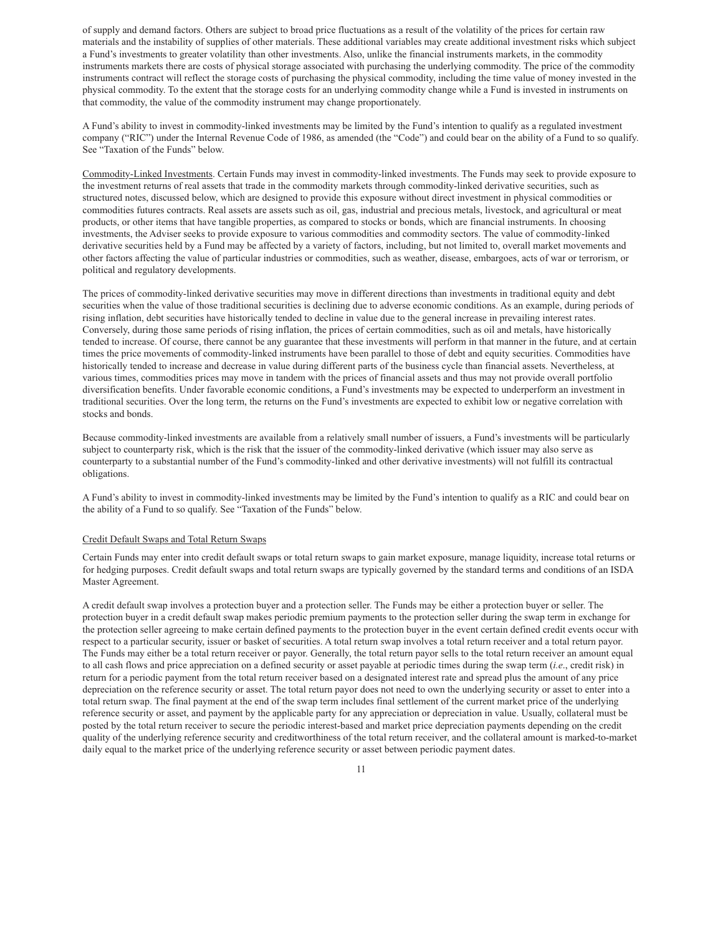of supply and demand factors. Others are subject to broad price fluctuations as a result of the volatility of the prices for certain raw materials and the instability of supplies of other materials. These additional variables may create additional investment risks which subject a Fund's investments to greater volatility than other investments. Also, unlike the financial instruments markets, in the commodity instruments markets there are costs of physical storage associated with purchasing the underlying commodity. The price of the commodity instruments contract will reflect the storage costs of purchasing the physical commodity, including the time value of money invested in the physical commodity. To the extent that the storage costs for an underlying commodity change while a Fund is invested in instruments on that commodity, the value of the commodity instrument may change proportionately.

A Fund's ability to invest in commodity-linked investments may be limited by the Fund's intention to qualify as a regulated investment company ("RIC") under the Internal Revenue Code of 1986, as amended (the "Code") and could bear on the ability of a Fund to so qualify. See "Taxation of the Funds" below.

Commodity-Linked Investments. Certain Funds may invest in commodity-linked investments. The Funds may seek to provide exposure to the investment returns of real assets that trade in the commodity markets through commodity-linked derivative securities, such as structured notes, discussed below, which are designed to provide this exposure without direct investment in physical commodities or commodities futures contracts. Real assets are assets such as oil, gas, industrial and precious metals, livestock, and agricultural or meat products, or other items that have tangible properties, as compared to stocks or bonds, which are financial instruments. In choosing investments, the Adviser seeks to provide exposure to various commodities and commodity sectors. The value of commodity-linked derivative securities held by a Fund may be affected by a variety of factors, including, but not limited to, overall market movements and other factors affecting the value of particular industries or commodities, such as weather, disease, embargoes, acts of war or terrorism, or political and regulatory developments.

The prices of commodity-linked derivative securities may move in different directions than investments in traditional equity and debt securities when the value of those traditional securities is declining due to adverse economic conditions. As an example, during periods of rising inflation, debt securities have historically tended to decline in value due to the general increase in prevailing interest rates. Conversely, during those same periods of rising inflation, the prices of certain commodities, such as oil and metals, have historically tended to increase. Of course, there cannot be any guarantee that these investments will perform in that manner in the future, and at certain times the price movements of commodity-linked instruments have been parallel to those of debt and equity securities. Commodities have historically tended to increase and decrease in value during different parts of the business cycle than financial assets. Nevertheless, at various times, commodities prices may move in tandem with the prices of financial assets and thus may not provide overall portfolio diversification benefits. Under favorable economic conditions, a Fund's investments may be expected to underperform an investment in traditional securities. Over the long term, the returns on the Fund's investments are expected to exhibit low or negative correlation with stocks and bonds.

Because commodity-linked investments are available from a relatively small number of issuers, a Fund's investments will be particularly subject to counterparty risk, which is the risk that the issuer of the commodity-linked derivative (which issuer may also serve as counterparty to a substantial number of the Fund's commodity-linked and other derivative investments) will not fulfill its contractual obligations.

A Fund's ability to invest in commodity-linked investments may be limited by the Fund's intention to qualify as a RIC and could bear on the ability of a Fund to so qualify. See "Taxation of the Funds" below.

## Credit Default Swaps and Total Return Swaps

Certain Funds may enter into credit default swaps or total return swaps to gain market exposure, manage liquidity, increase total returns or for hedging purposes. Credit default swaps and total return swaps are typically governed by the standard terms and conditions of an ISDA Master Agreement.

A credit default swap involves a protection buyer and a protection seller. The Funds may be either a protection buyer or seller. The protection buyer in a credit default swap makes periodic premium payments to the protection seller during the swap term in exchange for the protection seller agreeing to make certain defined payments to the protection buyer in the event certain defined credit events occur with respect to a particular security, issuer or basket of securities. A total return swap involves a total return receiver and a total return payor. The Funds may either be a total return receiver or payor. Generally, the total return payor sells to the total return receiver an amount equal to all cash flows and price appreciation on a defined security or asset payable at periodic times during the swap term (*i.e*., credit risk) in return for a periodic payment from the total return receiver based on a designated interest rate and spread plus the amount of any price depreciation on the reference security or asset. The total return payor does not need to own the underlying security or asset to enter into a total return swap. The final payment at the end of the swap term includes final settlement of the current market price of the underlying reference security or asset, and payment by the applicable party for any appreciation or depreciation in value. Usually, collateral must be posted by the total return receiver to secure the periodic interest-based and market price depreciation payments depending on the credit quality of the underlying reference security and creditworthiness of the total return receiver, and the collateral amount is marked-to-market daily equal to the market price of the underlying reference security or asset between periodic payment dates.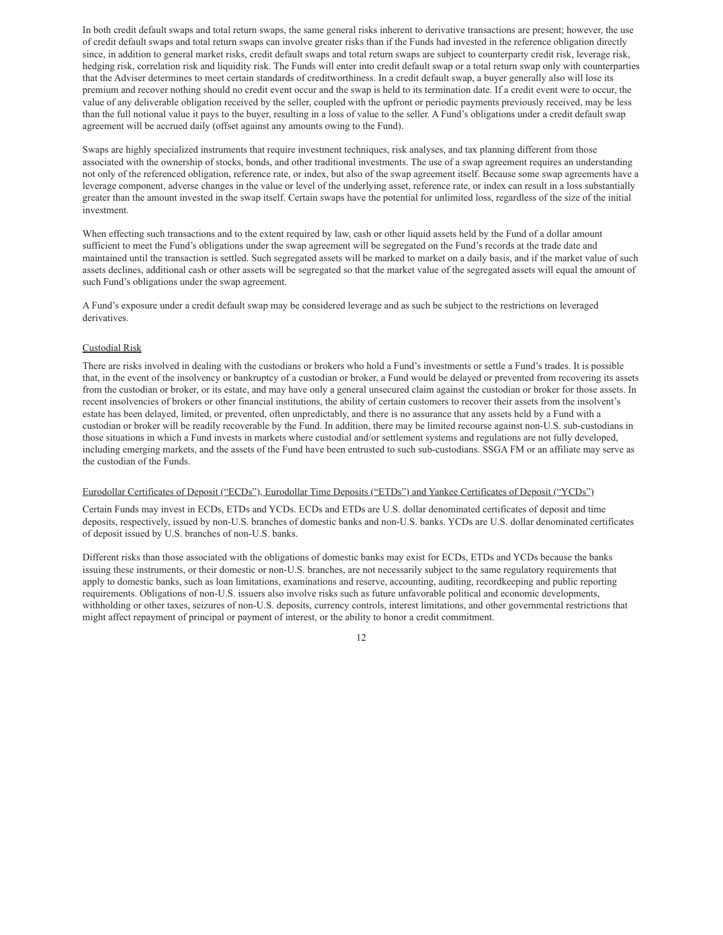In both credit default swaps and total return swaps, the same general risks inherent to derivative transactions are present; however, the use of credit default swaps and total return swaps can involve greater risks than if the Funds had invested in the reference obligation directly since, in addition to general market risks, credit default swaps and total return swaps are subject to counterparty credit risk, leverage risk, hedging risk, correlation risk and liquidity risk. The Funds will enter into credit default swap or a total return swap only with counterparties that the Adviser determines to meet certain standards of creditworthiness. In a credit default swap, a buyer generally also will lose its premium and recover nothing should no credit event occur and the swap is held to its termination date. If a credit event were to occur, the value of any deliverable obligation received by the seller, coupled with the upfront or periodic payments previously received, may be less than the full notional value it pays to the buyer, resulting in a loss of value to the seller. A Fund's obligations under a credit default swap agreement will be accrued daily (offset against any amounts owing to the Fund).

Swaps are highly specialized instruments that require investment techniques, risk analyses, and tax planning different from those associated with the ownership of stocks, bonds, and other traditional investments. The use of a swap agreement requires an understanding not only of the referenced obligation, reference rate, or index, but also of the swap agreement itself. Because some swap agreements have a leverage component, adverse changes in the value or level of the underlying asset, reference rate, or index can result in a loss substantially greater than the amount invested in the swap itself. Certain swaps have the potential for unlimited loss, regardless of the size of the initial investment.

When effecting such transactions and to the extent required by law, cash or other liquid assets held by the Fund of a dollar amount sufficient to meet the Fund's obligations under the swap agreement will be segregated on the Fund's records at the trade date and maintained until the transaction is settled. Such segregated assets will be marked to market on a daily basis, and if the market value of such assets declines, additional cash or other assets will be segregated so that the market value of the segregated assets will equal the amount of such Fund's obligations under the swap agreement.

A Fund's exposure under a credit default swap may be considered leverage and as such be subject to the restrictions on leveraged derivatives.

## Custodial Risk

There are risks involved in dealing with the custodians or brokers who hold a Fund's investments or settle a Fund's trades. It is possible that, in the event of the insolvency or bankruptcy of a custodian or broker, a Fund would be delayed or prevented from recovering its assets from the custodian or broker, or its estate, and may have only a general unsecured claim against the custodian or broker for those assets. In recent insolvencies of brokers or other financial institutions, the ability of certain customers to recover their assets from the insolvent's estate has been delayed, limited, or prevented, often unpredictably, and there is no assurance that any assets held by a Fund with a custodian or broker will be readily recoverable by the Fund. In addition, there may be limited recourse against non-U.S. sub-custodians in those situations in which a Fund invests in markets where custodial and/or settlement systems and regulations are not fully developed, including emerging markets, and the assets of the Fund have been entrusted to such sub-custodians. SSGA FM or an affiliate may serve as the custodian of the Funds.

#### Eurodollar Certificates of Deposit ("ECDs"), Eurodollar Time Deposits ("ETDs") and Yankee Certificates of Deposit ("YCDs")

Certain Funds may invest in ECDs, ETDs and YCDs. ECDs and ETDs are U.S. dollar denominated certificates of deposit and time deposits, respectively, issued by non-U.S. branches of domestic banks and non-U.S. banks. YCDs are U.S. dollar denominated certificates of deposit issued by U.S. branches of non-U.S. banks.

Different risks than those associated with the obligations of domestic banks may exist for ECDs, ETDs and YCDs because the banks issuing these instruments, or their domestic or non-U.S. branches, are not necessarily subject to the same regulatory requirements that apply to domestic banks, such as loan limitations, examinations and reserve, accounting, auditing, recordkeeping and public reporting requirements. Obligations of non-U.S. issuers also involve risks such as future unfavorable political and economic developments, withholding or other taxes, seizures of non-U.S. deposits, currency controls, interest limitations, and other governmental restrictions that might affect repayment of principal or payment of interest, or the ability to honor a credit commitment.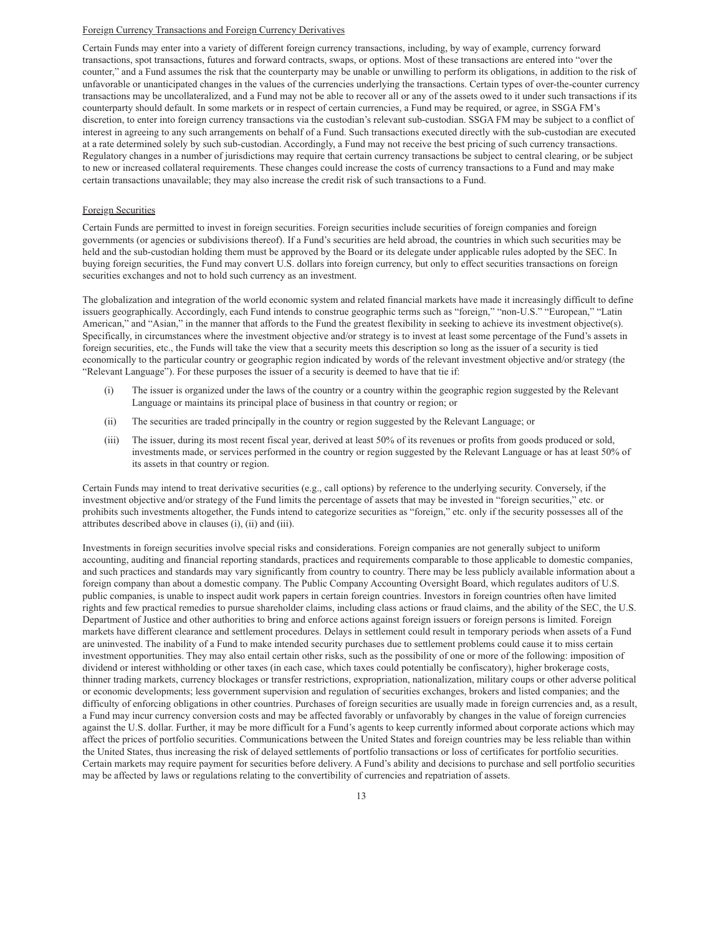### Foreign Currency Transactions and Foreign Currency Derivatives

Certain Funds may enter into a variety of different foreign currency transactions, including, by way of example, currency forward transactions, spot transactions, futures and forward contracts, swaps, or options. Most of these transactions are entered into "over the counter," and a Fund assumes the risk that the counterparty may be unable or unwilling to perform its obligations, in addition to the risk of unfavorable or unanticipated changes in the values of the currencies underlying the transactions. Certain types of over-the-counter currency transactions may be uncollateralized, and a Fund may not be able to recover all or any of the assets owed to it under such transactions if its counterparty should default. In some markets or in respect of certain currencies, a Fund may be required, or agree, in SSGA FM's discretion, to enter into foreign currency transactions via the custodian's relevant sub-custodian. SSGA FM may be subject to a conflict of interest in agreeing to any such arrangements on behalf of a Fund. Such transactions executed directly with the sub-custodian are executed at a rate determined solely by such sub-custodian. Accordingly, a Fund may not receive the best pricing of such currency transactions. Regulatory changes in a number of jurisdictions may require that certain currency transactions be subject to central clearing, or be subject to new or increased collateral requirements. These changes could increase the costs of currency transactions to a Fund and may make certain transactions unavailable; they may also increase the credit risk of such transactions to a Fund.

# Foreign Securities

Certain Funds are permitted to invest in foreign securities. Foreign securities include securities of foreign companies and foreign governments (or agencies or subdivisions thereof). If a Fund's securities are held abroad, the countries in which such securities may be held and the sub-custodian holding them must be approved by the Board or its delegate under applicable rules adopted by the SEC. In buying foreign securities, the Fund may convert U.S. dollars into foreign currency, but only to effect securities transactions on foreign securities exchanges and not to hold such currency as an investment.

The globalization and integration of the world economic system and related financial markets have made it increasingly difficult to define issuers geographically. Accordingly, each Fund intends to construe geographic terms such as "foreign," "non-U.S." "European," "Latin American," and "Asian," in the manner that affords to the Fund the greatest flexibility in seeking to achieve its investment objective(s). Specifically, in circumstances where the investment objective and/or strategy is to invest at least some percentage of the Fund's assets in foreign securities, etc., the Funds will take the view that a security meets this description so long as the issuer of a security is tied economically to the particular country or geographic region indicated by words of the relevant investment objective and/or strategy (the "Relevant Language"). For these purposes the issuer of a security is deemed to have that tie if:

- (i) The issuer is organized under the laws of the country or a country within the geographic region suggested by the Relevant Language or maintains its principal place of business in that country or region; or
- (ii) The securities are traded principally in the country or region suggested by the Relevant Language; or
- (iii) The issuer, during its most recent fiscal year, derived at least 50% of its revenues or profits from goods produced or sold, investments made, or services performed in the country or region suggested by the Relevant Language or has at least 50% of its assets in that country or region.

Certain Funds may intend to treat derivative securities (e.g., call options) by reference to the underlying security. Conversely, if the investment objective and/or strategy of the Fund limits the percentage of assets that may be invested in "foreign securities," etc. or prohibits such investments altogether, the Funds intend to categorize securities as "foreign," etc. only if the security possesses all of the attributes described above in clauses (i), (ii) and (iii).

Investments in foreign securities involve special risks and considerations. Foreign companies are not generally subject to uniform accounting, auditing and financial reporting standards, practices and requirements comparable to those applicable to domestic companies, and such practices and standards may vary significantly from country to country. There may be less publicly available information about a foreign company than about a domestic company. The Public Company Accounting Oversight Board, which regulates auditors of U.S. public companies, is unable to inspect audit work papers in certain foreign countries. Investors in foreign countries often have limited rights and few practical remedies to pursue shareholder claims, including class actions or fraud claims, and the ability of the SEC, the U.S. Department of Justice and other authorities to bring and enforce actions against foreign issuers or foreign persons is limited. Foreign markets have different clearance and settlement procedures. Delays in settlement could result in temporary periods when assets of a Fund are uninvested. The inability of a Fund to make intended security purchases due to settlement problems could cause it to miss certain investment opportunities. They may also entail certain other risks, such as the possibility of one or more of the following: imposition of dividend or interest withholding or other taxes (in each case, which taxes could potentially be confiscatory), higher brokerage costs, thinner trading markets, currency blockages or transfer restrictions, expropriation, nationalization, military coups or other adverse political or economic developments; less government supervision and regulation of securities exchanges, brokers and listed companies; and the difficulty of enforcing obligations in other countries. Purchases of foreign securities are usually made in foreign currencies and, as a result, a Fund may incur currency conversion costs and may be affected favorably or unfavorably by changes in the value of foreign currencies against the U.S. dollar. Further, it may be more difficult for a Fund's agents to keep currently informed about corporate actions which may affect the prices of portfolio securities. Communications between the United States and foreign countries may be less reliable than within the United States, thus increasing the risk of delayed settlements of portfolio transactions or loss of certificates for portfolio securities. Certain markets may require payment for securities before delivery. A Fund's ability and decisions to purchase and sell portfolio securities may be affected by laws or regulations relating to the convertibility of currencies and repatriation of assets.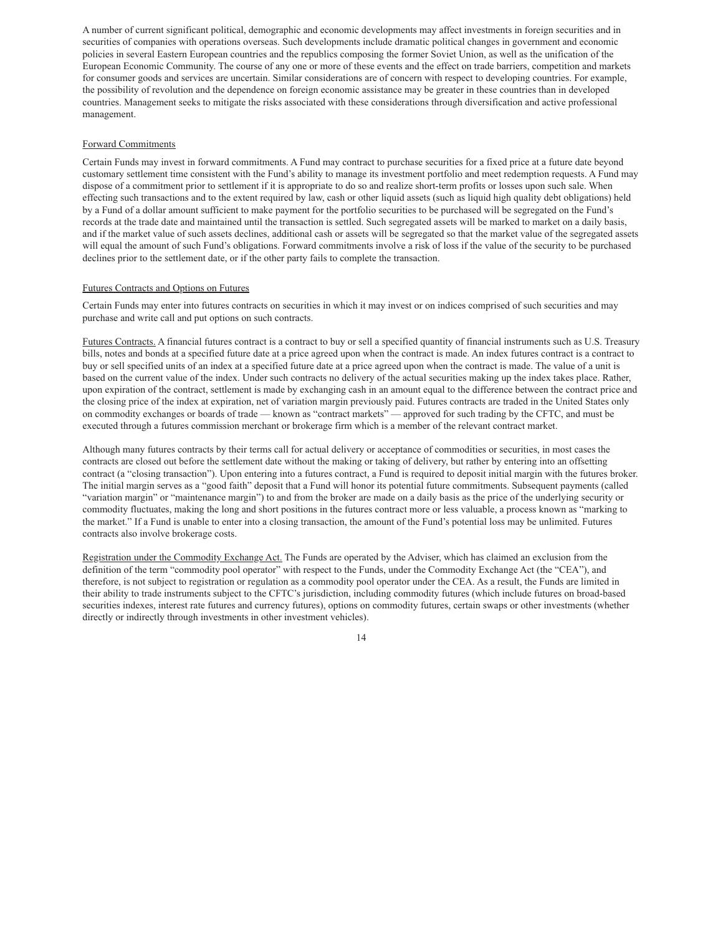A number of current significant political, demographic and economic developments may affect investments in foreign securities and in securities of companies with operations overseas. Such developments include dramatic political changes in government and economic policies in several Eastern European countries and the republics composing the former Soviet Union, as well as the unification of the European Economic Community. The course of any one or more of these events and the effect on trade barriers, competition and markets for consumer goods and services are uncertain. Similar considerations are of concern with respect to developing countries. For example, the possibility of revolution and the dependence on foreign economic assistance may be greater in these countries than in developed countries. Management seeks to mitigate the risks associated with these considerations through diversification and active professional management.

# Forward Commitments

Certain Funds may invest in forward commitments. A Fund may contract to purchase securities for a fixed price at a future date beyond customary settlement time consistent with the Fund's ability to manage its investment portfolio and meet redemption requests. A Fund may dispose of a commitment prior to settlement if it is appropriate to do so and realize short-term profits or losses upon such sale. When effecting such transactions and to the extent required by law, cash or other liquid assets (such as liquid high quality debt obligations) held by a Fund of a dollar amount sufficient to make payment for the portfolio securities to be purchased will be segregated on the Fund's records at the trade date and maintained until the transaction is settled. Such segregated assets will be marked to market on a daily basis, and if the market value of such assets declines, additional cash or assets will be segregated so that the market value of the segregated assets will equal the amount of such Fund's obligations. Forward commitments involve a risk of loss if the value of the security to be purchased declines prior to the settlement date, or if the other party fails to complete the transaction.

### Futures Contracts and Options on Futures

Certain Funds may enter into futures contracts on securities in which it may invest or on indices comprised of such securities and may purchase and write call and put options on such contracts.

Futures Contracts. A financial futures contract is a contract to buy or sell a specified quantity of financial instruments such as U.S. Treasury bills, notes and bonds at a specified future date at a price agreed upon when the contract is made. An index futures contract is a contract to buy or sell specified units of an index at a specified future date at a price agreed upon when the contract is made. The value of a unit is based on the current value of the index. Under such contracts no delivery of the actual securities making up the index takes place. Rather, upon expiration of the contract, settlement is made by exchanging cash in an amount equal to the difference between the contract price and the closing price of the index at expiration, net of variation margin previously paid. Futures contracts are traded in the United States only on commodity exchanges or boards of trade — known as "contract markets" — approved for such trading by the CFTC, and must be executed through a futures commission merchant or brokerage firm which is a member of the relevant contract market.

Although many futures contracts by their terms call for actual delivery or acceptance of commodities or securities, in most cases the contracts are closed out before the settlement date without the making or taking of delivery, but rather by entering into an offsetting contract (a "closing transaction"). Upon entering into a futures contract, a Fund is required to deposit initial margin with the futures broker. The initial margin serves as a "good faith" deposit that a Fund will honor its potential future commitments. Subsequent payments (called "variation margin" or "maintenance margin") to and from the broker are made on a daily basis as the price of the underlying security or commodity fluctuates, making the long and short positions in the futures contract more or less valuable, a process known as "marking to the market." If a Fund is unable to enter into a closing transaction, the amount of the Fund's potential loss may be unlimited. Futures contracts also involve brokerage costs.

Registration under the Commodity Exchange Act. The Funds are operated by the Adviser, which has claimed an exclusion from the definition of the term "commodity pool operator" with respect to the Funds, under the Commodity Exchange Act (the "CEA"), and therefore, is not subject to registration or regulation as a commodity pool operator under the CEA. As a result, the Funds are limited in their ability to trade instruments subject to the CFTC's jurisdiction, including commodity futures (which include futures on broad-based securities indexes, interest rate futures and currency futures), options on commodity futures, certain swaps or other investments (whether directly or indirectly through investments in other investment vehicles).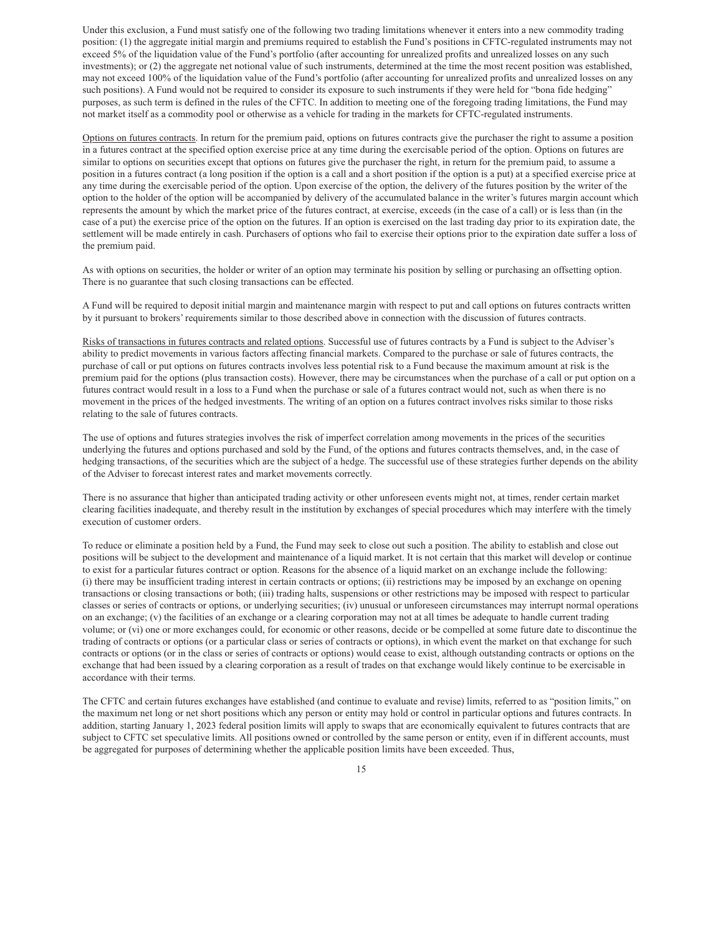Under this exclusion, a Fund must satisfy one of the following two trading limitations whenever it enters into a new commodity trading position: (1) the aggregate initial margin and premiums required to establish the Fund's positions in CFTC-regulated instruments may not exceed 5% of the liquidation value of the Fund's portfolio (after accounting for unrealized profits and unrealized losses on any such investments); or (2) the aggregate net notional value of such instruments, determined at the time the most recent position was established, may not exceed 100% of the liquidation value of the Fund's portfolio (after accounting for unrealized profits and unrealized losses on any such positions). A Fund would not be required to consider its exposure to such instruments if they were held for "bona fide hedging" purposes, as such term is defined in the rules of the CFTC. In addition to meeting one of the foregoing trading limitations, the Fund may not market itself as a commodity pool or otherwise as a vehicle for trading in the markets for CFTC-regulated instruments.

Options on futures contracts. In return for the premium paid, options on futures contracts give the purchaser the right to assume a position in a futures contract at the specified option exercise price at any time during the exercisable period of the option. Options on futures are similar to options on securities except that options on futures give the purchaser the right, in return for the premium paid, to assume a position in a futures contract (a long position if the option is a call and a short position if the option is a put) at a specified exercise price at any time during the exercisable period of the option. Upon exercise of the option, the delivery of the futures position by the writer of the option to the holder of the option will be accompanied by delivery of the accumulated balance in the writer's futures margin account which represents the amount by which the market price of the futures contract, at exercise, exceeds (in the case of a call) or is less than (in the case of a put) the exercise price of the option on the futures. If an option is exercised on the last trading day prior to its expiration date, the settlement will be made entirely in cash. Purchasers of options who fail to exercise their options prior to the expiration date suffer a loss of the premium paid.

As with options on securities, the holder or writer of an option may terminate his position by selling or purchasing an offsetting option. There is no guarantee that such closing transactions can be effected.

A Fund will be required to deposit initial margin and maintenance margin with respect to put and call options on futures contracts written by it pursuant to brokers' requirements similar to those described above in connection with the discussion of futures contracts.

Risks of transactions in futures contracts and related options. Successful use of futures contracts by a Fund is subject to the Adviser's ability to predict movements in various factors affecting financial markets. Compared to the purchase or sale of futures contracts, the purchase of call or put options on futures contracts involves less potential risk to a Fund because the maximum amount at risk is the premium paid for the options (plus transaction costs). However, there may be circumstances when the purchase of a call or put option on a futures contract would result in a loss to a Fund when the purchase or sale of a futures contract would not, such as when there is no movement in the prices of the hedged investments. The writing of an option on a futures contract involves risks similar to those risks relating to the sale of futures contracts.

The use of options and futures strategies involves the risk of imperfect correlation among movements in the prices of the securities underlying the futures and options purchased and sold by the Fund, of the options and futures contracts themselves, and, in the case of hedging transactions, of the securities which are the subject of a hedge. The successful use of these strategies further depends on the ability of the Adviser to forecast interest rates and market movements correctly.

There is no assurance that higher than anticipated trading activity or other unforeseen events might not, at times, render certain market clearing facilities inadequate, and thereby result in the institution by exchanges of special procedures which may interfere with the timely execution of customer orders.

To reduce or eliminate a position held by a Fund, the Fund may seek to close out such a position. The ability to establish and close out positions will be subject to the development and maintenance of a liquid market. It is not certain that this market will develop or continue to exist for a particular futures contract or option. Reasons for the absence of a liquid market on an exchange include the following: (i) there may be insufficient trading interest in certain contracts or options; (ii) restrictions may be imposed by an exchange on opening transactions or closing transactions or both; (iii) trading halts, suspensions or other restrictions may be imposed with respect to particular classes or series of contracts or options, or underlying securities; (iv) unusual or unforeseen circumstances may interrupt normal operations on an exchange; (v) the facilities of an exchange or a clearing corporation may not at all times be adequate to handle current trading volume; or (vi) one or more exchanges could, for economic or other reasons, decide or be compelled at some future date to discontinue the trading of contracts or options (or a particular class or series of contracts or options), in which event the market on that exchange for such contracts or options (or in the class or series of contracts or options) would cease to exist, although outstanding contracts or options on the exchange that had been issued by a clearing corporation as a result of trades on that exchange would likely continue to be exercisable in accordance with their terms.

The CFTC and certain futures exchanges have established (and continue to evaluate and revise) limits, referred to as "position limits," on the maximum net long or net short positions which any person or entity may hold or control in particular options and futures contracts. In addition, starting January 1, 2023 federal position limits will apply to swaps that are economically equivalent to futures contracts that are subject to CFTC set speculative limits. All positions owned or controlled by the same person or entity, even if in different accounts, must be aggregated for purposes of determining whether the applicable position limits have been exceeded. Thus,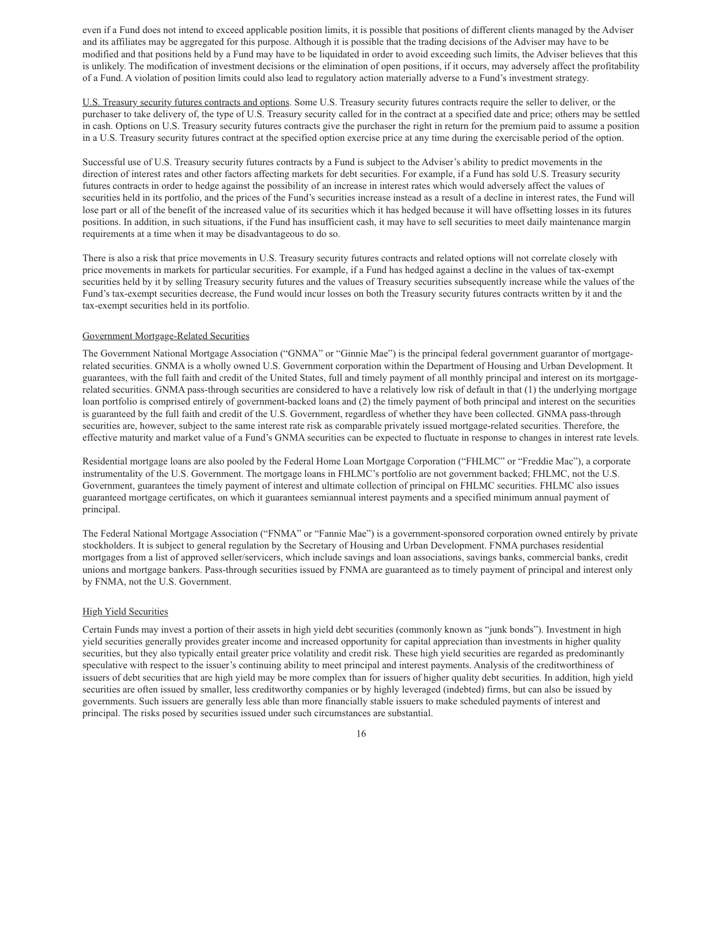even if a Fund does not intend to exceed applicable position limits, it is possible that positions of different clients managed by the Adviser and its affiliates may be aggregated for this purpose. Although it is possible that the trading decisions of the Adviser may have to be modified and that positions held by a Fund may have to be liquidated in order to avoid exceeding such limits, the Adviser believes that this is unlikely. The modification of investment decisions or the elimination of open positions, if it occurs, may adversely affect the profitability of a Fund. A violation of position limits could also lead to regulatory action materially adverse to a Fund's investment strategy.

U.S. Treasury security futures contracts and options. Some U.S. Treasury security futures contracts require the seller to deliver, or the purchaser to take delivery of, the type of U.S. Treasury security called for in the contract at a specified date and price; others may be settled in cash. Options on U.S. Treasury security futures contracts give the purchaser the right in return for the premium paid to assume a position in a U.S. Treasury security futures contract at the specified option exercise price at any time during the exercisable period of the option.

Successful use of U.S. Treasury security futures contracts by a Fund is subject to the Adviser's ability to predict movements in the direction of interest rates and other factors affecting markets for debt securities. For example, if a Fund has sold U.S. Treasury security futures contracts in order to hedge against the possibility of an increase in interest rates which would adversely affect the values of securities held in its portfolio, and the prices of the Fund's securities increase instead as a result of a decline in interest rates, the Fund will lose part or all of the benefit of the increased value of its securities which it has hedged because it will have offsetting losses in its futures positions. In addition, in such situations, if the Fund has insufficient cash, it may have to sell securities to meet daily maintenance margin requirements at a time when it may be disadvantageous to do so.

There is also a risk that price movements in U.S. Treasury security futures contracts and related options will not correlate closely with price movements in markets for particular securities. For example, if a Fund has hedged against a decline in the values of tax-exempt securities held by it by selling Treasury security futures and the values of Treasury securities subsequently increase while the values of the Fund's tax-exempt securities decrease, the Fund would incur losses on both the Treasury security futures contracts written by it and the tax-exempt securities held in its portfolio.

# Government Mortgage-Related Securities

The Government National Mortgage Association ("GNMA" or "Ginnie Mae") is the principal federal government guarantor of mortgagerelated securities. GNMA is a wholly owned U.S. Government corporation within the Department of Housing and Urban Development. It guarantees, with the full faith and credit of the United States, full and timely payment of all monthly principal and interest on its mortgagerelated securities. GNMA pass-through securities are considered to have a relatively low risk of default in that (1) the underlying mortgage loan portfolio is comprised entirely of government-backed loans and (2) the timely payment of both principal and interest on the securities is guaranteed by the full faith and credit of the U.S. Government, regardless of whether they have been collected. GNMA pass-through securities are, however, subject to the same interest rate risk as comparable privately issued mortgage-related securities. Therefore, the effective maturity and market value of a Fund's GNMA securities can be expected to fluctuate in response to changes in interest rate levels.

Residential mortgage loans are also pooled by the Federal Home Loan Mortgage Corporation ("FHLMC" or "Freddie Mac"), a corporate instrumentality of the U.S. Government. The mortgage loans in FHLMC's portfolio are not government backed; FHLMC, not the U.S. Government, guarantees the timely payment of interest and ultimate collection of principal on FHLMC securities. FHLMC also issues guaranteed mortgage certificates, on which it guarantees semiannual interest payments and a specified minimum annual payment of principal.

The Federal National Mortgage Association ("FNMA" or "Fannie Mae") is a government-sponsored corporation owned entirely by private stockholders. It is subject to general regulation by the Secretary of Housing and Urban Development. FNMA purchases residential mortgages from a list of approved seller/servicers, which include savings and loan associations, savings banks, commercial banks, credit unions and mortgage bankers. Pass-through securities issued by FNMA are guaranteed as to timely payment of principal and interest only by FNMA, not the U.S. Government.

## High Yield Securities

Certain Funds may invest a portion of their assets in high yield debt securities (commonly known as "junk bonds"). Investment in high yield securities generally provides greater income and increased opportunity for capital appreciation than investments in higher quality securities, but they also typically entail greater price volatility and credit risk. These high yield securities are regarded as predominantly speculative with respect to the issuer's continuing ability to meet principal and interest payments. Analysis of the creditworthiness of issuers of debt securities that are high yield may be more complex than for issuers of higher quality debt securities. In addition, high yield securities are often issued by smaller, less creditworthy companies or by highly leveraged (indebted) firms, but can also be issued by governments. Such issuers are generally less able than more financially stable issuers to make scheduled payments of interest and principal. The risks posed by securities issued under such circumstances are substantial.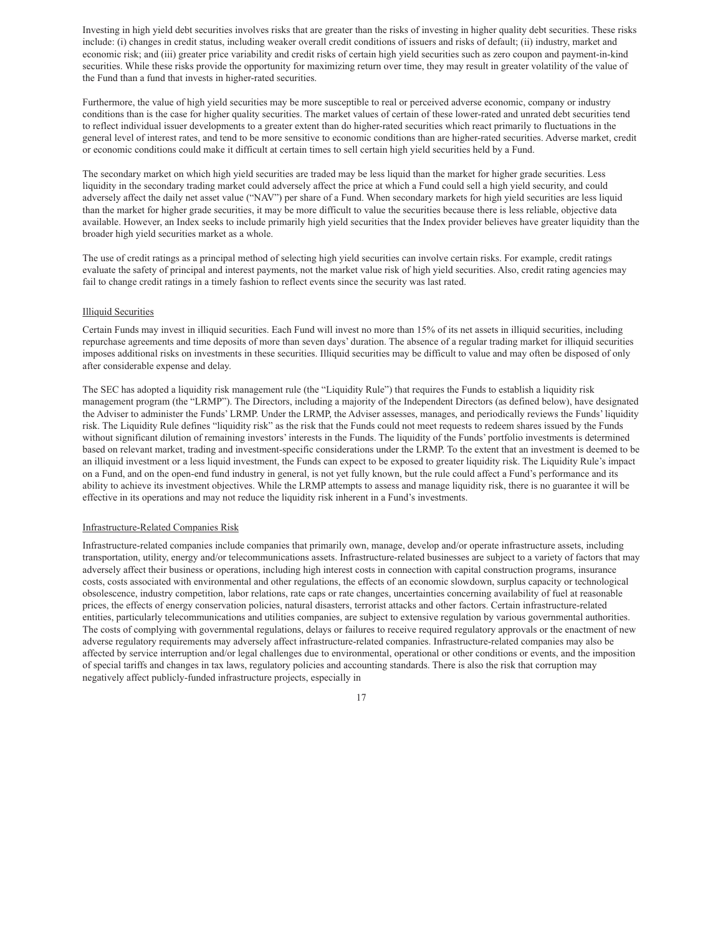Investing in high yield debt securities involves risks that are greater than the risks of investing in higher quality debt securities. These risks include: (i) changes in credit status, including weaker overall credit conditions of issuers and risks of default; (ii) industry, market and economic risk; and (iii) greater price variability and credit risks of certain high yield securities such as zero coupon and payment-in-kind securities. While these risks provide the opportunity for maximizing return over time, they may result in greater volatility of the value of the Fund than a fund that invests in higher-rated securities.

Furthermore, the value of high yield securities may be more susceptible to real or perceived adverse economic, company or industry conditions than is the case for higher quality securities. The market values of certain of these lower-rated and unrated debt securities tend to reflect individual issuer developments to a greater extent than do higher-rated securities which react primarily to fluctuations in the general level of interest rates, and tend to be more sensitive to economic conditions than are higher-rated securities. Adverse market, credit or economic conditions could make it difficult at certain times to sell certain high yield securities held by a Fund.

The secondary market on which high yield securities are traded may be less liquid than the market for higher grade securities. Less liquidity in the secondary trading market could adversely affect the price at which a Fund could sell a high yield security, and could adversely affect the daily net asset value ("NAV") per share of a Fund. When secondary markets for high yield securities are less liquid than the market for higher grade securities, it may be more difficult to value the securities because there is less reliable, objective data available. However, an Index seeks to include primarily high yield securities that the Index provider believes have greater liquidity than the broader high yield securities market as a whole.

The use of credit ratings as a principal method of selecting high yield securities can involve certain risks. For example, credit ratings evaluate the safety of principal and interest payments, not the market value risk of high yield securities. Also, credit rating agencies may fail to change credit ratings in a timely fashion to reflect events since the security was last rated.

## Illiquid Securities

Certain Funds may invest in illiquid securities. Each Fund will invest no more than 15% of its net assets in illiquid securities, including repurchase agreements and time deposits of more than seven days' duration. The absence of a regular trading market for illiquid securities imposes additional risks on investments in these securities. Illiquid securities may be difficult to value and may often be disposed of only after considerable expense and delay.

The SEC has adopted a liquidity risk management rule (the "Liquidity Rule") that requires the Funds to establish a liquidity risk management program (the "LRMP"). The Directors, including a majority of the Independent Directors (as defined below), have designated the Adviser to administer the Funds' LRMP. Under the LRMP, the Adviser assesses, manages, and periodically reviews the Funds' liquidity risk. The Liquidity Rule defines "liquidity risk" as the risk that the Funds could not meet requests to redeem shares issued by the Funds without significant dilution of remaining investors' interests in the Funds. The liquidity of the Funds' portfolio investments is determined based on relevant market, trading and investment-specific considerations under the LRMP. To the extent that an investment is deemed to be an illiquid investment or a less liquid investment, the Funds can expect to be exposed to greater liquidity risk. The Liquidity Rule's impact on a Fund, and on the open-end fund industry in general, is not yet fully known, but the rule could affect a Fund's performance and its ability to achieve its investment objectives. While the LRMP attempts to assess and manage liquidity risk, there is no guarantee it will be effective in its operations and may not reduce the liquidity risk inherent in a Fund's investments.

### Infrastructure-Related Companies Risk

Infrastructure-related companies include companies that primarily own, manage, develop and/or operate infrastructure assets, including transportation, utility, energy and/or telecommunications assets. Infrastructure-related businesses are subject to a variety of factors that may adversely affect their business or operations, including high interest costs in connection with capital construction programs, insurance costs, costs associated with environmental and other regulations, the effects of an economic slowdown, surplus capacity or technological obsolescence, industry competition, labor relations, rate caps or rate changes, uncertainties concerning availability of fuel at reasonable prices, the effects of energy conservation policies, natural disasters, terrorist attacks and other factors. Certain infrastructure-related entities, particularly telecommunications and utilities companies, are subject to extensive regulation by various governmental authorities. The costs of complying with governmental regulations, delays or failures to receive required regulatory approvals or the enactment of new adverse regulatory requirements may adversely affect infrastructure-related companies. Infrastructure-related companies may also be affected by service interruption and/or legal challenges due to environmental, operational or other conditions or events, and the imposition of special tariffs and changes in tax laws, regulatory policies and accounting standards. There is also the risk that corruption may negatively affect publicly-funded infrastructure projects, especially in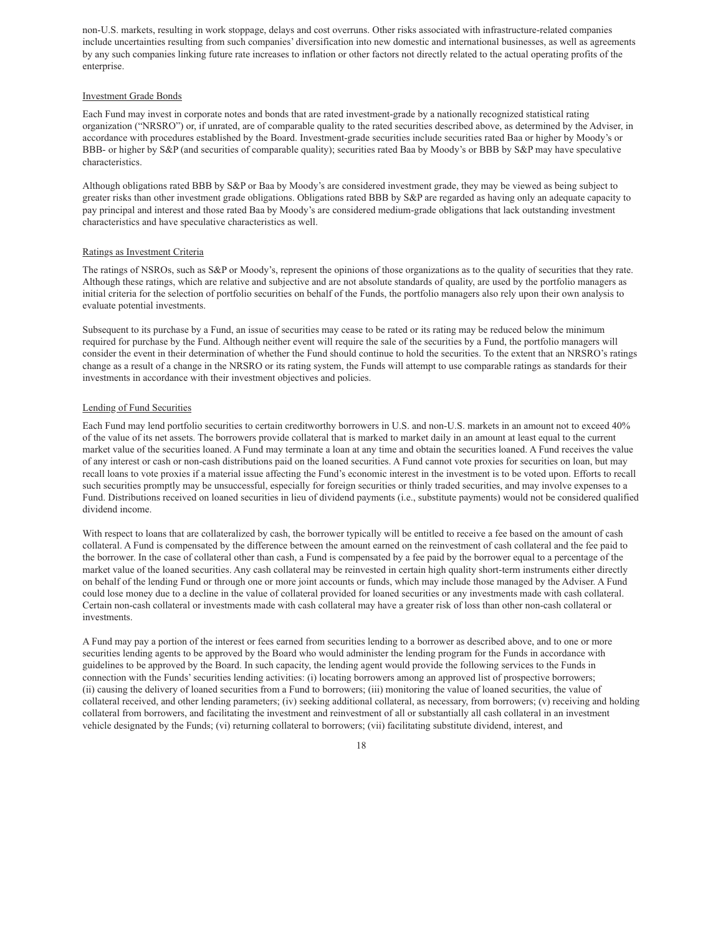non-U.S. markets, resulting in work stoppage, delays and cost overruns. Other risks associated with infrastructure-related companies include uncertainties resulting from such companies' diversification into new domestic and international businesses, as well as agreements by any such companies linking future rate increases to inflation or other factors not directly related to the actual operating profits of the enterprise.

## Investment Grade Bonds

Each Fund may invest in corporate notes and bonds that are rated investment-grade by a nationally recognized statistical rating organization ("NRSRO") or, if unrated, are of comparable quality to the rated securities described above, as determined by the Adviser, in accordance with procedures established by the Board. Investment-grade securities include securities rated Baa or higher by Moody's or BBB- or higher by S&P (and securities of comparable quality); securities rated Baa by Moody's or BBB by S&P may have speculative characteristics.

Although obligations rated BBB by S&P or Baa by Moody's are considered investment grade, they may be viewed as being subject to greater risks than other investment grade obligations. Obligations rated BBB by S&P are regarded as having only an adequate capacity to pay principal and interest and those rated Baa by Moody's are considered medium-grade obligations that lack outstanding investment characteristics and have speculative characteristics as well.

## Ratings as Investment Criteria

The ratings of NSROs, such as S&P or Moody's, represent the opinions of those organizations as to the quality of securities that they rate. Although these ratings, which are relative and subjective and are not absolute standards of quality, are used by the portfolio managers as initial criteria for the selection of portfolio securities on behalf of the Funds, the portfolio managers also rely upon their own analysis to evaluate potential investments.

Subsequent to its purchase by a Fund, an issue of securities may cease to be rated or its rating may be reduced below the minimum required for purchase by the Fund. Although neither event will require the sale of the securities by a Fund, the portfolio managers will consider the event in their determination of whether the Fund should continue to hold the securities. To the extent that an NRSRO's ratings change as a result of a change in the NRSRO or its rating system, the Funds will attempt to use comparable ratings as standards for their investments in accordance with their investment objectives and policies.

### Lending of Fund Securities

Each Fund may lend portfolio securities to certain creditworthy borrowers in U.S. and non-U.S. markets in an amount not to exceed 40% of the value of its net assets. The borrowers provide collateral that is marked to market daily in an amount at least equal to the current market value of the securities loaned. A Fund may terminate a loan at any time and obtain the securities loaned. A Fund receives the value of any interest or cash or non-cash distributions paid on the loaned securities. A Fund cannot vote proxies for securities on loan, but may recall loans to vote proxies if a material issue affecting the Fund's economic interest in the investment is to be voted upon. Efforts to recall such securities promptly may be unsuccessful, especially for foreign securities or thinly traded securities, and may involve expenses to a Fund. Distributions received on loaned securities in lieu of dividend payments (i.e., substitute payments) would not be considered qualified dividend income.

With respect to loans that are collateralized by cash, the borrower typically will be entitled to receive a fee based on the amount of cash collateral. A Fund is compensated by the difference between the amount earned on the reinvestment of cash collateral and the fee paid to the borrower. In the case of collateral other than cash, a Fund is compensated by a fee paid by the borrower equal to a percentage of the market value of the loaned securities. Any cash collateral may be reinvested in certain high quality short-term instruments either directly on behalf of the lending Fund or through one or more joint accounts or funds, which may include those managed by the Adviser. A Fund could lose money due to a decline in the value of collateral provided for loaned securities or any investments made with cash collateral. Certain non-cash collateral or investments made with cash collateral may have a greater risk of loss than other non-cash collateral or investments.

A Fund may pay a portion of the interest or fees earned from securities lending to a borrower as described above, and to one or more securities lending agents to be approved by the Board who would administer the lending program for the Funds in accordance with guidelines to be approved by the Board. In such capacity, the lending agent would provide the following services to the Funds in connection with the Funds' securities lending activities: (i) locating borrowers among an approved list of prospective borrowers; (ii) causing the delivery of loaned securities from a Fund to borrowers; (iii) monitoring the value of loaned securities, the value of collateral received, and other lending parameters; (iv) seeking additional collateral, as necessary, from borrowers; (v) receiving and holding collateral from borrowers, and facilitating the investment and reinvestment of all or substantially all cash collateral in an investment vehicle designated by the Funds; (vi) returning collateral to borrowers; (vii) facilitating substitute dividend, interest, and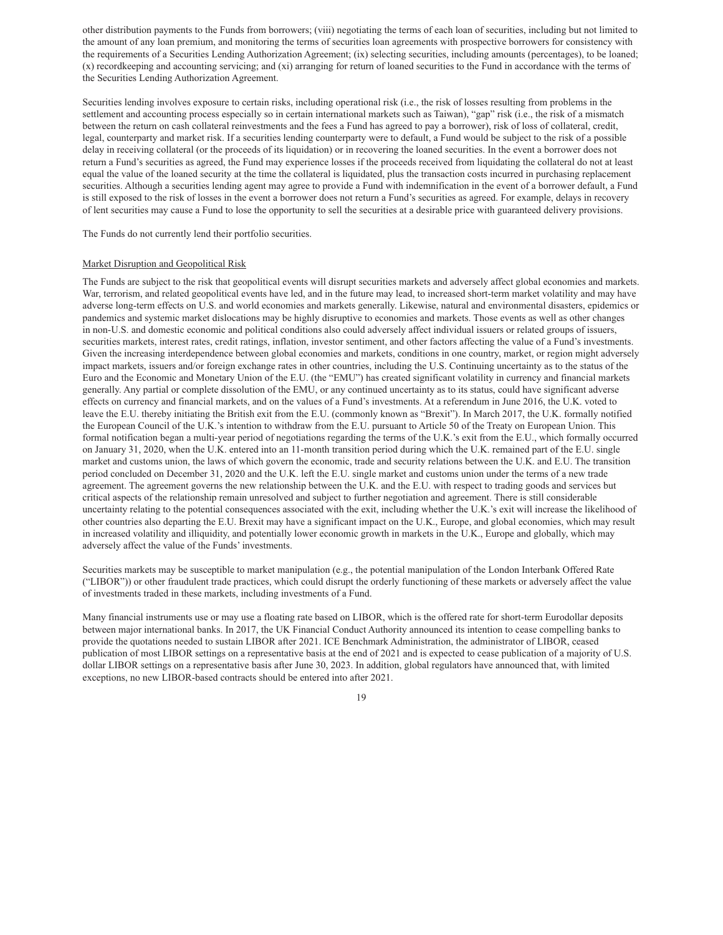other distribution payments to the Funds from borrowers; (viii) negotiating the terms of each loan of securities, including but not limited to the amount of any loan premium, and monitoring the terms of securities loan agreements with prospective borrowers for consistency with the requirements of a Securities Lending Authorization Agreement; (ix) selecting securities, including amounts (percentages), to be loaned; (x) recordkeeping and accounting servicing; and (xi) arranging for return of loaned securities to the Fund in accordance with the terms of the Securities Lending Authorization Agreement.

Securities lending involves exposure to certain risks, including operational risk (i.e., the risk of losses resulting from problems in the settlement and accounting process especially so in certain international markets such as Taiwan), "gap" risk (i.e., the risk of a mismatch between the return on cash collateral reinvestments and the fees a Fund has agreed to pay a borrower), risk of loss of collateral, credit, legal, counterparty and market risk. If a securities lending counterparty were to default, a Fund would be subject to the risk of a possible delay in receiving collateral (or the proceeds of its liquidation) or in recovering the loaned securities. In the event a borrower does not return a Fund's securities as agreed, the Fund may experience losses if the proceeds received from liquidating the collateral do not at least equal the value of the loaned security at the time the collateral is liquidated, plus the transaction costs incurred in purchasing replacement securities. Although a securities lending agent may agree to provide a Fund with indemnification in the event of a borrower default, a Fund is still exposed to the risk of losses in the event a borrower does not return a Fund's securities as agreed. For example, delays in recovery of lent securities may cause a Fund to lose the opportunity to sell the securities at a desirable price with guaranteed delivery provisions.

The Funds do not currently lend their portfolio securities.

#### Market Disruption and Geopolitical Risk

The Funds are subject to the risk that geopolitical events will disrupt securities markets and adversely affect global economies and markets. War, terrorism, and related geopolitical events have led, and in the future may lead, to increased short-term market volatility and may have adverse long-term effects on U.S. and world economies and markets generally. Likewise, natural and environmental disasters, epidemics or pandemics and systemic market dislocations may be highly disruptive to economies and markets. Those events as well as other changes in non-U.S. and domestic economic and political conditions also could adversely affect individual issuers or related groups of issuers, securities markets, interest rates, credit ratings, inflation, investor sentiment, and other factors affecting the value of a Fund's investments. Given the increasing interdependence between global economies and markets, conditions in one country, market, or region might adversely impact markets, issuers and/or foreign exchange rates in other countries, including the U.S. Continuing uncertainty as to the status of the Euro and the Economic and Monetary Union of the E.U. (the "EMU") has created significant volatility in currency and financial markets generally. Any partial or complete dissolution of the EMU, or any continued uncertainty as to its status, could have significant adverse effects on currency and financial markets, and on the values of a Fund's investments. At a referendum in June 2016, the U.K. voted to leave the E.U. thereby initiating the British exit from the E.U. (commonly known as "Brexit"). In March 2017, the U.K. formally notified the European Council of the U.K.'s intention to withdraw from the E.U. pursuant to Article 50 of the Treaty on European Union. This formal notification began a multi-year period of negotiations regarding the terms of the U.K.'s exit from the E.U., which formally occurred on January 31, 2020, when the U.K. entered into an 11-month transition period during which the U.K. remained part of the E.U. single market and customs union, the laws of which govern the economic, trade and security relations between the U.K. and E.U. The transition period concluded on December 31, 2020 and the U.K. left the E.U. single market and customs union under the terms of a new trade agreement. The agreement governs the new relationship between the U.K. and the E.U. with respect to trading goods and services but critical aspects of the relationship remain unresolved and subject to further negotiation and agreement. There is still considerable uncertainty relating to the potential consequences associated with the exit, including whether the U.K.'s exit will increase the likelihood of other countries also departing the E.U. Brexit may have a significant impact on the U.K., Europe, and global economies, which may result in increased volatility and illiquidity, and potentially lower economic growth in markets in the U.K., Europe and globally, which may adversely affect the value of the Funds' investments.

Securities markets may be susceptible to market manipulation (e.g., the potential manipulation of the London Interbank Offered Rate ("LIBOR")) or other fraudulent trade practices, which could disrupt the orderly functioning of these markets or adversely affect the value of investments traded in these markets, including investments of a Fund.

Many financial instruments use or may use a floating rate based on LIBOR, which is the offered rate for short-term Eurodollar deposits between major international banks. In 2017, the UK Financial Conduct Authority announced its intention to cease compelling banks to provide the quotations needed to sustain LIBOR after 2021. ICE Benchmark Administration, the administrator of LIBOR, ceased publication of most LIBOR settings on a representative basis at the end of 2021 and is expected to cease publication of a majority of U.S. dollar LIBOR settings on a representative basis after June 30, 2023. In addition, global regulators have announced that, with limited exceptions, no new LIBOR-based contracts should be entered into after 2021.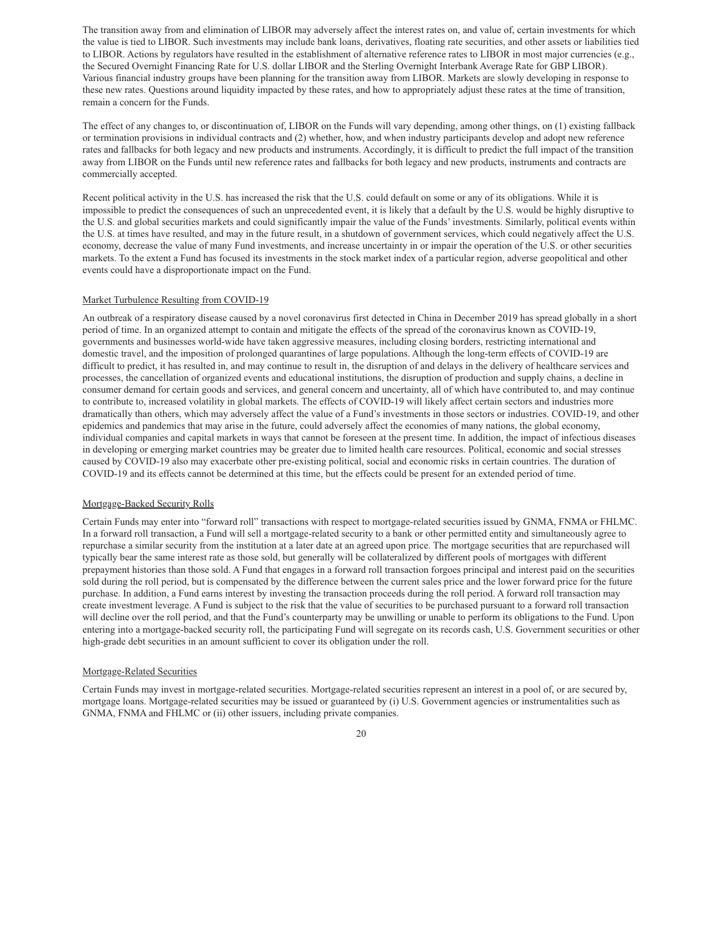The transition away from and elimination of LIBOR may adversely affect the interest rates on, and value of, certain investments for which the value is tied to LIBOR. Such investments may include bank loans, derivatives, floating rate securities, and other assets or liabilities tied to LIBOR. Actions by regulators have resulted in the establishment of alternative reference rates to LIBOR in most major currencies (e.g., the Secured Overnight Financing Rate for U.S. dollar LIBOR and the Sterling Overnight Interbank Average Rate for GBP LIBOR). Various financial industry groups have been planning for the transition away from LIBOR. Markets are slowly developing in response to these new rates. Questions around liquidity impacted by these rates, and how to appropriately adjust these rates at the time of transition, remain a concern for the Funds.

The effect of any changes to, or discontinuation of, LIBOR on the Funds will vary depending, among other things, on (1) existing fallback or termination provisions in individual contracts and (2) whether, how, and when industry participants develop and adopt new reference rates and fallbacks for both legacy and new products and instruments. Accordingly, it is difficult to predict the full impact of the transition away from LIBOR on the Funds until new reference rates and fallbacks for both legacy and new products, instruments and contracts are commercially accepted.

Recent political activity in the U.S. has increased the risk that the U.S. could default on some or any of its obligations. While it is impossible to predict the consequences of such an unprecedented event, it is likely that a default by the U.S. would be highly disruptive to the U.S. and global securities markets and could significantly impair the value of the Funds' investments. Similarly, political events within the U.S. at times have resulted, and may in the future result, in a shutdown of government services, which could negatively affect the U.S. economy, decrease the value of many Fund investments, and increase uncertainty in or impair the operation of the U.S. or other securities markets. To the extent a Fund has focused its investments in the stock market index of a particular region, adverse geopolitical and other events could have a disproportionate impact on the Fund.

## Market Turbulence Resulting from COVID-19

An outbreak of a respiratory disease caused by a novel coronavirus first detected in China in December 2019 has spread globally in a short period of time. In an organized attempt to contain and mitigate the effects of the spread of the coronavirus known as COVID-19, governments and businesses world-wide have taken aggressive measures, including closing borders, restricting international and domestic travel, and the imposition of prolonged quarantines of large populations. Although the long-term effects of COVID-19 are difficult to predict, it has resulted in, and may continue to result in, the disruption of and delays in the delivery of healthcare services and processes, the cancellation of organized events and educational institutions, the disruption of production and supply chains, a decline in consumer demand for certain goods and services, and general concern and uncertainty, all of which have contributed to, and may continue to contribute to, increased volatility in global markets. The effects of COVID-19 will likely affect certain sectors and industries more dramatically than others, which may adversely affect the value of a Fund's investments in those sectors or industries. COVID-19, and other epidemics and pandemics that may arise in the future, could adversely affect the economies of many nations, the global economy, individual companies and capital markets in ways that cannot be foreseen at the present time. In addition, the impact of infectious diseases in developing or emerging market countries may be greater due to limited health care resources. Political, economic and social stresses caused by COVID-19 also may exacerbate other pre-existing political, social and economic risks in certain countries. The duration of COVID-19 and its effects cannot be determined at this time, but the effects could be present for an extended period of time.

## Mortgage-Backed Security Rolls

Certain Funds may enter into "forward roll" transactions with respect to mortgage-related securities issued by GNMA, FNMA or FHLMC. In a forward roll transaction, a Fund will sell a mortgage-related security to a bank or other permitted entity and simultaneously agree to repurchase a similar security from the institution at a later date at an agreed upon price. The mortgage securities that are repurchased will typically bear the same interest rate as those sold, but generally will be collateralized by different pools of mortgages with different prepayment histories than those sold. A Fund that engages in a forward roll transaction forgoes principal and interest paid on the securities sold during the roll period, but is compensated by the difference between the current sales price and the lower forward price for the future purchase. In addition, a Fund earns interest by investing the transaction proceeds during the roll period. A forward roll transaction may create investment leverage. A Fund is subject to the risk that the value of securities to be purchased pursuant to a forward roll transaction will decline over the roll period, and that the Fund's counterparty may be unwilling or unable to perform its obligations to the Fund. Upon entering into a mortgage-backed security roll, the participating Fund will segregate on its records cash, U.S. Government securities or other high-grade debt securities in an amount sufficient to cover its obligation under the roll.

# Mortgage-Related Securities

Certain Funds may invest in mortgage-related securities. Mortgage-related securities represent an interest in a pool of, or are secured by, mortgage loans. Mortgage-related securities may be issued or guaranteed by (i) U.S. Government agencies or instrumentalities such as GNMA, FNMA and FHLMC or (ii) other issuers, including private companies.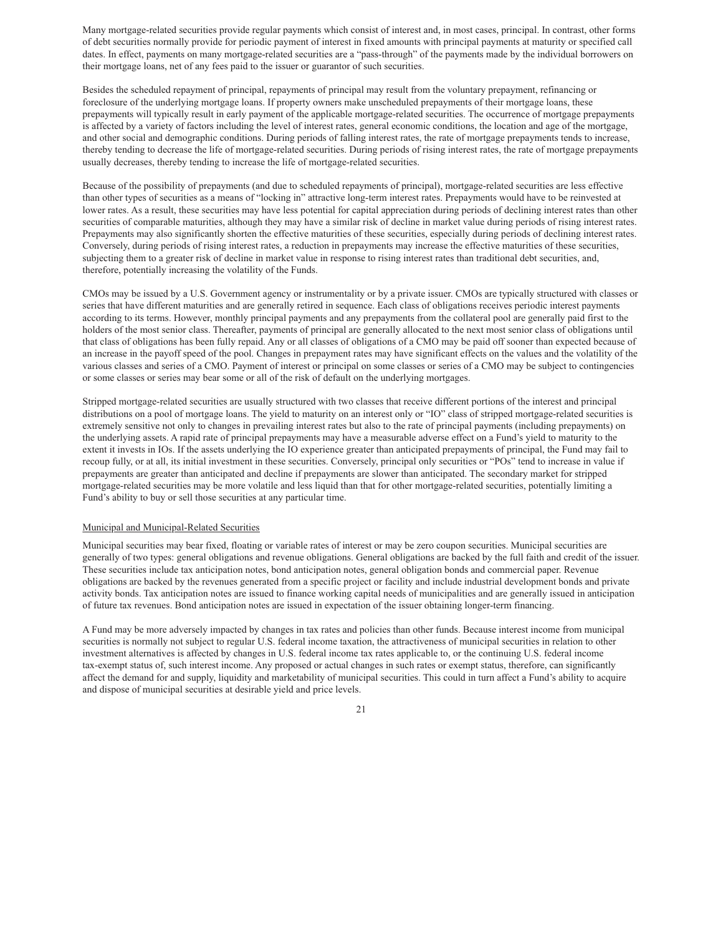Many mortgage-related securities provide regular payments which consist of interest and, in most cases, principal. In contrast, other forms of debt securities normally provide for periodic payment of interest in fixed amounts with principal payments at maturity or specified call dates. In effect, payments on many mortgage-related securities are a "pass-through" of the payments made by the individual borrowers on their mortgage loans, net of any fees paid to the issuer or guarantor of such securities.

Besides the scheduled repayment of principal, repayments of principal may result from the voluntary prepayment, refinancing or foreclosure of the underlying mortgage loans. If property owners make unscheduled prepayments of their mortgage loans, these prepayments will typically result in early payment of the applicable mortgage-related securities. The occurrence of mortgage prepayments is affected by a variety of factors including the level of interest rates, general economic conditions, the location and age of the mortgage, and other social and demographic conditions. During periods of falling interest rates, the rate of mortgage prepayments tends to increase, thereby tending to decrease the life of mortgage-related securities. During periods of rising interest rates, the rate of mortgage prepayments usually decreases, thereby tending to increase the life of mortgage-related securities.

Because of the possibility of prepayments (and due to scheduled repayments of principal), mortgage-related securities are less effective than other types of securities as a means of "locking in" attractive long-term interest rates. Prepayments would have to be reinvested at lower rates. As a result, these securities may have less potential for capital appreciation during periods of declining interest rates than other securities of comparable maturities, although they may have a similar risk of decline in market value during periods of rising interest rates. Prepayments may also significantly shorten the effective maturities of these securities, especially during periods of declining interest rates. Conversely, during periods of rising interest rates, a reduction in prepayments may increase the effective maturities of these securities, subjecting them to a greater risk of decline in market value in response to rising interest rates than traditional debt securities, and, therefore, potentially increasing the volatility of the Funds.

CMOs may be issued by a U.S. Government agency or instrumentality or by a private issuer. CMOs are typically structured with classes or series that have different maturities and are generally retired in sequence. Each class of obligations receives periodic interest payments according to its terms. However, monthly principal payments and any prepayments from the collateral pool are generally paid first to the holders of the most senior class. Thereafter, payments of principal are generally allocated to the next most senior class of obligations until that class of obligations has been fully repaid. Any or all classes of obligations of a CMO may be paid off sooner than expected because of an increase in the payoff speed of the pool. Changes in prepayment rates may have significant effects on the values and the volatility of the various classes and series of a CMO. Payment of interest or principal on some classes or series of a CMO may be subject to contingencies or some classes or series may bear some or all of the risk of default on the underlying mortgages.

Stripped mortgage-related securities are usually structured with two classes that receive different portions of the interest and principal distributions on a pool of mortgage loans. The yield to maturity on an interest only or "IO" class of stripped mortgage-related securities is extremely sensitive not only to changes in prevailing interest rates but also to the rate of principal payments (including prepayments) on the underlying assets. A rapid rate of principal prepayments may have a measurable adverse effect on a Fund's yield to maturity to the extent it invests in IOs. If the assets underlying the IO experience greater than anticipated prepayments of principal, the Fund may fail to recoup fully, or at all, its initial investment in these securities. Conversely, principal only securities or "POs" tend to increase in value if prepayments are greater than anticipated and decline if prepayments are slower than anticipated. The secondary market for stripped mortgage-related securities may be more volatile and less liquid than that for other mortgage-related securities, potentially limiting a Fund's ability to buy or sell those securities at any particular time.

# Municipal and Municipal-Related Securities

Municipal securities may bear fixed, floating or variable rates of interest or may be zero coupon securities. Municipal securities are generally of two types: general obligations and revenue obligations. General obligations are backed by the full faith and credit of the issuer. These securities include tax anticipation notes, bond anticipation notes, general obligation bonds and commercial paper. Revenue obligations are backed by the revenues generated from a specific project or facility and include industrial development bonds and private activity bonds. Tax anticipation notes are issued to finance working capital needs of municipalities and are generally issued in anticipation of future tax revenues. Bond anticipation notes are issued in expectation of the issuer obtaining longer-term financing.

A Fund may be more adversely impacted by changes in tax rates and policies than other funds. Because interest income from municipal securities is normally not subject to regular U.S. federal income taxation, the attractiveness of municipal securities in relation to other investment alternatives is affected by changes in U.S. federal income tax rates applicable to, or the continuing U.S. federal income tax-exempt status of, such interest income. Any proposed or actual changes in such rates or exempt status, therefore, can significantly affect the demand for and supply, liquidity and marketability of municipal securities. This could in turn affect a Fund's ability to acquire and dispose of municipal securities at desirable yield and price levels.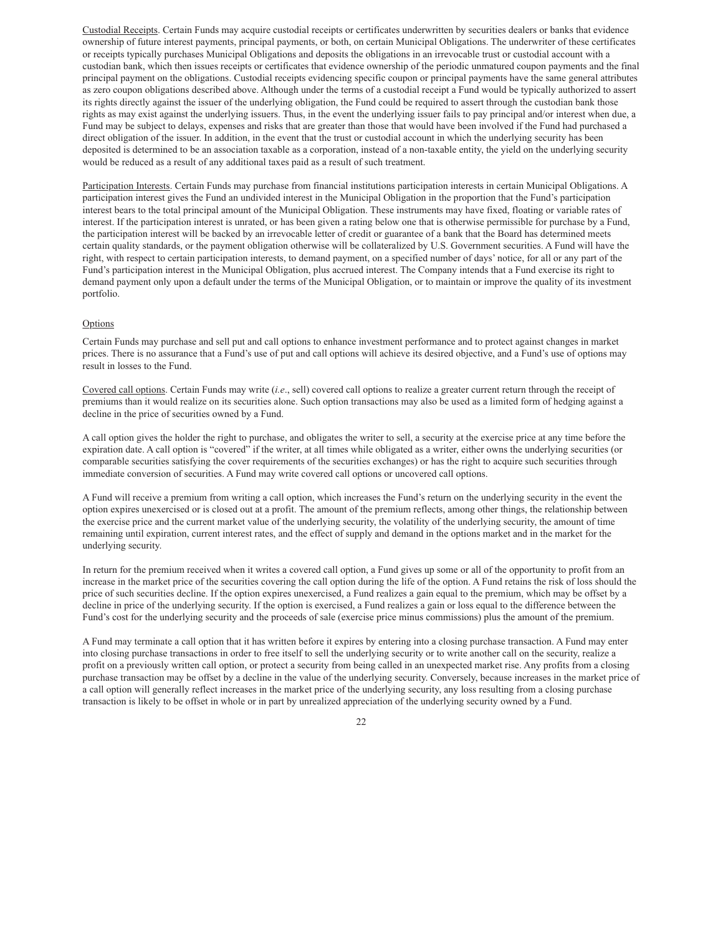Custodial Receipts. Certain Funds may acquire custodial receipts or certificates underwritten by securities dealers or banks that evidence ownership of future interest payments, principal payments, or both, on certain Municipal Obligations. The underwriter of these certificates or receipts typically purchases Municipal Obligations and deposits the obligations in an irrevocable trust or custodial account with a custodian bank, which then issues receipts or certificates that evidence ownership of the periodic unmatured coupon payments and the final principal payment on the obligations. Custodial receipts evidencing specific coupon or principal payments have the same general attributes as zero coupon obligations described above. Although under the terms of a custodial receipt a Fund would be typically authorized to assert its rights directly against the issuer of the underlying obligation, the Fund could be required to assert through the custodian bank those rights as may exist against the underlying issuers. Thus, in the event the underlying issuer fails to pay principal and/or interest when due, a Fund may be subject to delays, expenses and risks that are greater than those that would have been involved if the Fund had purchased a direct obligation of the issuer. In addition, in the event that the trust or custodial account in which the underlying security has been deposited is determined to be an association taxable as a corporation, instead of a non-taxable entity, the yield on the underlying security would be reduced as a result of any additional taxes paid as a result of such treatment.

Participation Interests. Certain Funds may purchase from financial institutions participation interests in certain Municipal Obligations. A participation interest gives the Fund an undivided interest in the Municipal Obligation in the proportion that the Fund's participation interest bears to the total principal amount of the Municipal Obligation. These instruments may have fixed, floating or variable rates of interest. If the participation interest is unrated, or has been given a rating below one that is otherwise permissible for purchase by a Fund, the participation interest will be backed by an irrevocable letter of credit or guarantee of a bank that the Board has determined meets certain quality standards, or the payment obligation otherwise will be collateralized by U.S. Government securities. A Fund will have the right, with respect to certain participation interests, to demand payment, on a specified number of days' notice, for all or any part of the Fund's participation interest in the Municipal Obligation, plus accrued interest. The Company intends that a Fund exercise its right to demand payment only upon a default under the terms of the Municipal Obligation, or to maintain or improve the quality of its investment portfolio.

## **Options**

Certain Funds may purchase and sell put and call options to enhance investment performance and to protect against changes in market prices. There is no assurance that a Fund's use of put and call options will achieve its desired objective, and a Fund's use of options may result in losses to the Fund.

Covered call options. Certain Funds may write (*i.e*., sell) covered call options to realize a greater current return through the receipt of premiums than it would realize on its securities alone. Such option transactions may also be used as a limited form of hedging against a decline in the price of securities owned by a Fund.

A call option gives the holder the right to purchase, and obligates the writer to sell, a security at the exercise price at any time before the expiration date. A call option is "covered" if the writer, at all times while obligated as a writer, either owns the underlying securities (or comparable securities satisfying the cover requirements of the securities exchanges) or has the right to acquire such securities through immediate conversion of securities. A Fund may write covered call options or uncovered call options.

A Fund will receive a premium from writing a call option, which increases the Fund's return on the underlying security in the event the option expires unexercised or is closed out at a profit. The amount of the premium reflects, among other things, the relationship between the exercise price and the current market value of the underlying security, the volatility of the underlying security, the amount of time remaining until expiration, current interest rates, and the effect of supply and demand in the options market and in the market for the underlying security.

In return for the premium received when it writes a covered call option, a Fund gives up some or all of the opportunity to profit from an increase in the market price of the securities covering the call option during the life of the option. A Fund retains the risk of loss should the price of such securities decline. If the option expires unexercised, a Fund realizes a gain equal to the premium, which may be offset by a decline in price of the underlying security. If the option is exercised, a Fund realizes a gain or loss equal to the difference between the Fund's cost for the underlying security and the proceeds of sale (exercise price minus commissions) plus the amount of the premium.

A Fund may terminate a call option that it has written before it expires by entering into a closing purchase transaction. A Fund may enter into closing purchase transactions in order to free itself to sell the underlying security or to write another call on the security, realize a profit on a previously written call option, or protect a security from being called in an unexpected market rise. Any profits from a closing purchase transaction may be offset by a decline in the value of the underlying security. Conversely, because increases in the market price of a call option will generally reflect increases in the market price of the underlying security, any loss resulting from a closing purchase transaction is likely to be offset in whole or in part by unrealized appreciation of the underlying security owned by a Fund.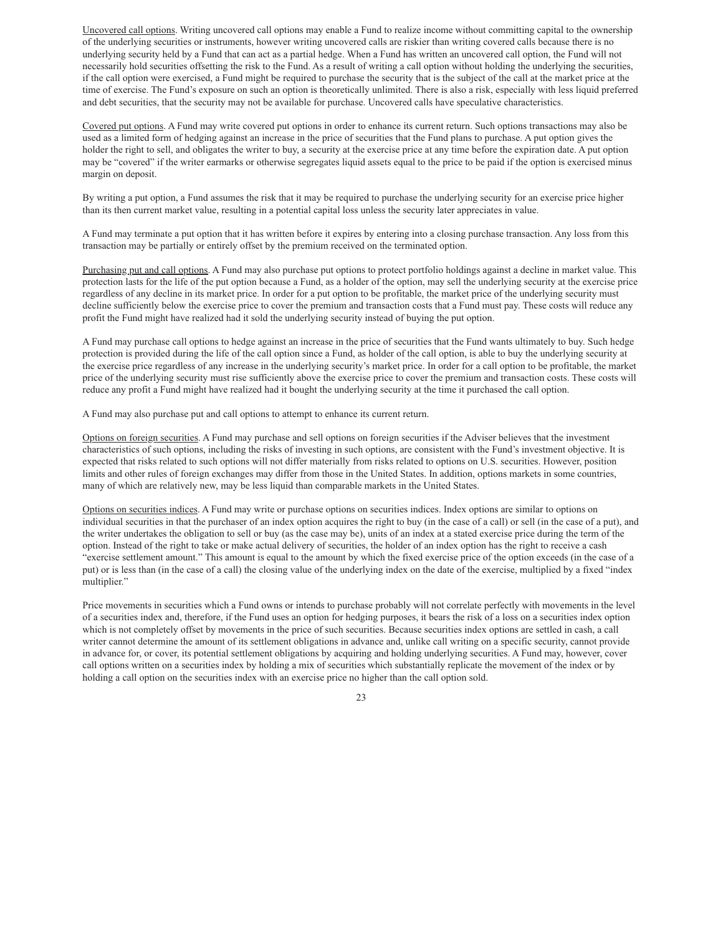Uncovered call options. Writing uncovered call options may enable a Fund to realize income without committing capital to the ownership of the underlying securities or instruments, however writing uncovered calls are riskier than writing covered calls because there is no underlying security held by a Fund that can act as a partial hedge. When a Fund has written an uncovered call option, the Fund will not necessarily hold securities offsetting the risk to the Fund. As a result of writing a call option without holding the underlying the securities, if the call option were exercised, a Fund might be required to purchase the security that is the subject of the call at the market price at the time of exercise. The Fund's exposure on such an option is theoretically unlimited. There is also a risk, especially with less liquid preferred and debt securities, that the security may not be available for purchase. Uncovered calls have speculative characteristics.

Covered put options. A Fund may write covered put options in order to enhance its current return. Such options transactions may also be used as a limited form of hedging against an increase in the price of securities that the Fund plans to purchase. A put option gives the holder the right to sell, and obligates the writer to buy, a security at the exercise price at any time before the expiration date. A put option may be "covered" if the writer earmarks or otherwise segregates liquid assets equal to the price to be paid if the option is exercised minus margin on deposit.

By writing a put option, a Fund assumes the risk that it may be required to purchase the underlying security for an exercise price higher than its then current market value, resulting in a potential capital loss unless the security later appreciates in value.

A Fund may terminate a put option that it has written before it expires by entering into a closing purchase transaction. Any loss from this transaction may be partially or entirely offset by the premium received on the terminated option.

Purchasing put and call options. A Fund may also purchase put options to protect portfolio holdings against a decline in market value. This protection lasts for the life of the put option because a Fund, as a holder of the option, may sell the underlying security at the exercise price regardless of any decline in its market price. In order for a put option to be profitable, the market price of the underlying security must decline sufficiently below the exercise price to cover the premium and transaction costs that a Fund must pay. These costs will reduce any profit the Fund might have realized had it sold the underlying security instead of buying the put option.

A Fund may purchase call options to hedge against an increase in the price of securities that the Fund wants ultimately to buy. Such hedge protection is provided during the life of the call option since a Fund, as holder of the call option, is able to buy the underlying security at the exercise price regardless of any increase in the underlying security's market price. In order for a call option to be profitable, the market price of the underlying security must rise sufficiently above the exercise price to cover the premium and transaction costs. These costs will reduce any profit a Fund might have realized had it bought the underlying security at the time it purchased the call option.

A Fund may also purchase put and call options to attempt to enhance its current return.

Options on foreign securities. A Fund may purchase and sell options on foreign securities if the Adviser believes that the investment characteristics of such options, including the risks of investing in such options, are consistent with the Fund's investment objective. It is expected that risks related to such options will not differ materially from risks related to options on U.S. securities. However, position limits and other rules of foreign exchanges may differ from those in the United States. In addition, options markets in some countries, many of which are relatively new, may be less liquid than comparable markets in the United States.

Options on securities indices. A Fund may write or purchase options on securities indices. Index options are similar to options on individual securities in that the purchaser of an index option acquires the right to buy (in the case of a call) or sell (in the case of a put), and the writer undertakes the obligation to sell or buy (as the case may be), units of an index at a stated exercise price during the term of the option. Instead of the right to take or make actual delivery of securities, the holder of an index option has the right to receive a cash "exercise settlement amount." This amount is equal to the amount by which the fixed exercise price of the option exceeds (in the case of a put) or is less than (in the case of a call) the closing value of the underlying index on the date of the exercise, multiplied by a fixed "index multiplier."

Price movements in securities which a Fund owns or intends to purchase probably will not correlate perfectly with movements in the level of a securities index and, therefore, if the Fund uses an option for hedging purposes, it bears the risk of a loss on a securities index option which is not completely offset by movements in the price of such securities. Because securities index options are settled in cash, a call writer cannot determine the amount of its settlement obligations in advance and, unlike call writing on a specific security, cannot provide in advance for, or cover, its potential settlement obligations by acquiring and holding underlying securities. A Fund may, however, cover call options written on a securities index by holding a mix of securities which substantially replicate the movement of the index or by holding a call option on the securities index with an exercise price no higher than the call option sold.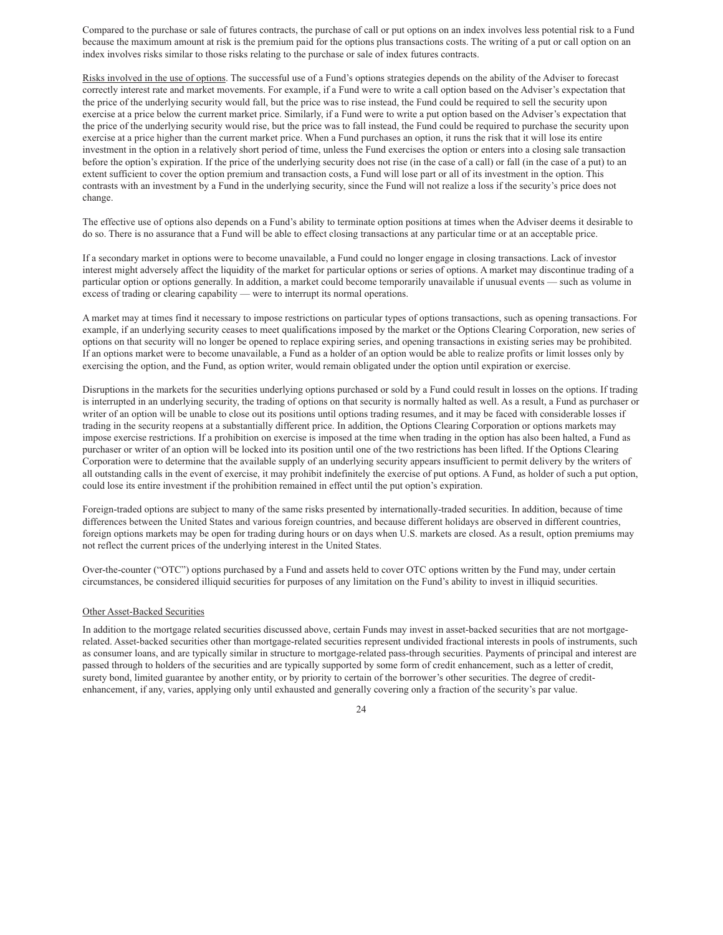Compared to the purchase or sale of futures contracts, the purchase of call or put options on an index involves less potential risk to a Fund because the maximum amount at risk is the premium paid for the options plus transactions costs. The writing of a put or call option on an index involves risks similar to those risks relating to the purchase or sale of index futures contracts.

Risks involved in the use of options. The successful use of a Fund's options strategies depends on the ability of the Adviser to forecast correctly interest rate and market movements. For example, if a Fund were to write a call option based on the Adviser's expectation that the price of the underlying security would fall, but the price was to rise instead, the Fund could be required to sell the security upon exercise at a price below the current market price. Similarly, if a Fund were to write a put option based on the Adviser's expectation that the price of the underlying security would rise, but the price was to fall instead, the Fund could be required to purchase the security upon exercise at a price higher than the current market price. When a Fund purchases an option, it runs the risk that it will lose its entire investment in the option in a relatively short period of time, unless the Fund exercises the option or enters into a closing sale transaction before the option's expiration. If the price of the underlying security does not rise (in the case of a call) or fall (in the case of a put) to an extent sufficient to cover the option premium and transaction costs, a Fund will lose part or all of its investment in the option. This contrasts with an investment by a Fund in the underlying security, since the Fund will not realize a loss if the security's price does not change.

The effective use of options also depends on a Fund's ability to terminate option positions at times when the Adviser deems it desirable to do so. There is no assurance that a Fund will be able to effect closing transactions at any particular time or at an acceptable price.

If a secondary market in options were to become unavailable, a Fund could no longer engage in closing transactions. Lack of investor interest might adversely affect the liquidity of the market for particular options or series of options. A market may discontinue trading of a particular option or options generally. In addition, a market could become temporarily unavailable if unusual events — such as volume in excess of trading or clearing capability — were to interrupt its normal operations.

A market may at times find it necessary to impose restrictions on particular types of options transactions, such as opening transactions. For example, if an underlying security ceases to meet qualifications imposed by the market or the Options Clearing Corporation, new series of options on that security will no longer be opened to replace expiring series, and opening transactions in existing series may be prohibited. If an options market were to become unavailable, a Fund as a holder of an option would be able to realize profits or limit losses only by exercising the option, and the Fund, as option writer, would remain obligated under the option until expiration or exercise.

Disruptions in the markets for the securities underlying options purchased or sold by a Fund could result in losses on the options. If trading is interrupted in an underlying security, the trading of options on that security is normally halted as well. As a result, a Fund as purchaser or writer of an option will be unable to close out its positions until options trading resumes, and it may be faced with considerable losses if trading in the security reopens at a substantially different price. In addition, the Options Clearing Corporation or options markets may impose exercise restrictions. If a prohibition on exercise is imposed at the time when trading in the option has also been halted, a Fund as purchaser or writer of an option will be locked into its position until one of the two restrictions has been lifted. If the Options Clearing Corporation were to determine that the available supply of an underlying security appears insufficient to permit delivery by the writers of all outstanding calls in the event of exercise, it may prohibit indefinitely the exercise of put options. A Fund, as holder of such a put option, could lose its entire investment if the prohibition remained in effect until the put option's expiration.

Foreign-traded options are subject to many of the same risks presented by internationally-traded securities. In addition, because of time differences between the United States and various foreign countries, and because different holidays are observed in different countries, foreign options markets may be open for trading during hours or on days when U.S. markets are closed. As a result, option premiums may not reflect the current prices of the underlying interest in the United States.

Over-the-counter ("OTC") options purchased by a Fund and assets held to cover OTC options written by the Fund may, under certain circumstances, be considered illiquid securities for purposes of any limitation on the Fund's ability to invest in illiquid securities.

### Other Asset-Backed Securities

In addition to the mortgage related securities discussed above, certain Funds may invest in asset-backed securities that are not mortgagerelated. Asset-backed securities other than mortgage-related securities represent undivided fractional interests in pools of instruments, such as consumer loans, and are typically similar in structure to mortgage-related pass-through securities. Payments of principal and interest are passed through to holders of the securities and are typically supported by some form of credit enhancement, such as a letter of credit, surety bond, limited guarantee by another entity, or by priority to certain of the borrower's other securities. The degree of creditenhancement, if any, varies, applying only until exhausted and generally covering only a fraction of the security's par value.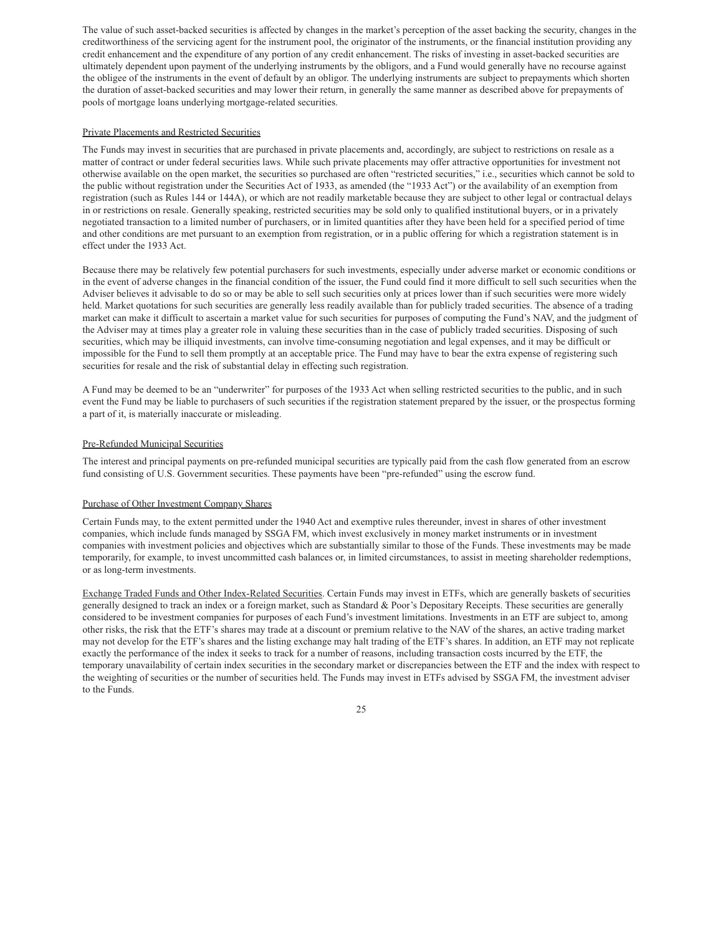The value of such asset-backed securities is affected by changes in the market's perception of the asset backing the security, changes in the creditworthiness of the servicing agent for the instrument pool, the originator of the instruments, or the financial institution providing any credit enhancement and the expenditure of any portion of any credit enhancement. The risks of investing in asset-backed securities are ultimately dependent upon payment of the underlying instruments by the obligors, and a Fund would generally have no recourse against the obligee of the instruments in the event of default by an obligor. The underlying instruments are subject to prepayments which shorten the duration of asset-backed securities and may lower their return, in generally the same manner as described above for prepayments of pools of mortgage loans underlying mortgage-related securities.

### Private Placements and Restricted Securities

The Funds may invest in securities that are purchased in private placements and, accordingly, are subject to restrictions on resale as a matter of contract or under federal securities laws. While such private placements may offer attractive opportunities for investment not otherwise available on the open market, the securities so purchased are often "restricted securities," i.e., securities which cannot be sold to the public without registration under the Securities Act of 1933, as amended (the "1933 Act") or the availability of an exemption from registration (such as Rules 144 or 144A), or which are not readily marketable because they are subject to other legal or contractual delays in or restrictions on resale. Generally speaking, restricted securities may be sold only to qualified institutional buyers, or in a privately negotiated transaction to a limited number of purchasers, or in limited quantities after they have been held for a specified period of time and other conditions are met pursuant to an exemption from registration, or in a public offering for which a registration statement is in effect under the 1933 Act.

Because there may be relatively few potential purchasers for such investments, especially under adverse market or economic conditions or in the event of adverse changes in the financial condition of the issuer, the Fund could find it more difficult to sell such securities when the Adviser believes it advisable to do so or may be able to sell such securities only at prices lower than if such securities were more widely held. Market quotations for such securities are generally less readily available than for publicly traded securities. The absence of a trading market can make it difficult to ascertain a market value for such securities for purposes of computing the Fund's NAV, and the judgment of the Adviser may at times play a greater role in valuing these securities than in the case of publicly traded securities. Disposing of such securities, which may be illiquid investments, can involve time-consuming negotiation and legal expenses, and it may be difficult or impossible for the Fund to sell them promptly at an acceptable price. The Fund may have to bear the extra expense of registering such securities for resale and the risk of substantial delay in effecting such registration.

A Fund may be deemed to be an "underwriter" for purposes of the 1933 Act when selling restricted securities to the public, and in such event the Fund may be liable to purchasers of such securities if the registration statement prepared by the issuer, or the prospectus forming a part of it, is materially inaccurate or misleading.

## Pre-Refunded Municipal Securities

The interest and principal payments on pre-refunded municipal securities are typically paid from the cash flow generated from an escrow fund consisting of U.S. Government securities. These payments have been "pre-refunded" using the escrow fund.

### Purchase of Other Investment Company Shares

Certain Funds may, to the extent permitted under the 1940 Act and exemptive rules thereunder, invest in shares of other investment companies, which include funds managed by SSGA FM, which invest exclusively in money market instruments or in investment companies with investment policies and objectives which are substantially similar to those of the Funds. These investments may be made temporarily, for example, to invest uncommitted cash balances or, in limited circumstances, to assist in meeting shareholder redemptions, or as long-term investments.

Exchange Traded Funds and Other Index-Related Securities. Certain Funds may invest in ETFs, which are generally baskets of securities generally designed to track an index or a foreign market, such as Standard & Poor's Depositary Receipts. These securities are generally considered to be investment companies for purposes of each Fund's investment limitations. Investments in an ETF are subject to, among other risks, the risk that the ETF's shares may trade at a discount or premium relative to the NAV of the shares, an active trading market may not develop for the ETF's shares and the listing exchange may halt trading of the ETF's shares. In addition, an ETF may not replicate exactly the performance of the index it seeks to track for a number of reasons, including transaction costs incurred by the ETF, the temporary unavailability of certain index securities in the secondary market or discrepancies between the ETF and the index with respect to the weighting of securities or the number of securities held. The Funds may invest in ETFs advised by SSGA FM, the investment adviser to the Funds.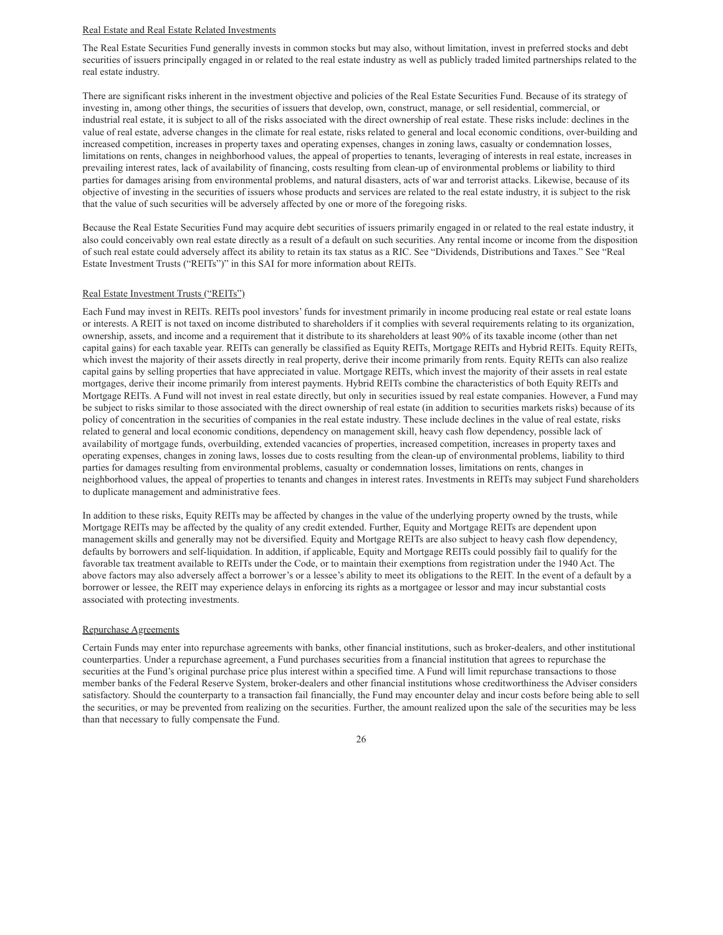#### Real Estate and Real Estate Related Investments

The Real Estate Securities Fund generally invests in common stocks but may also, without limitation, invest in preferred stocks and debt securities of issuers principally engaged in or related to the real estate industry as well as publicly traded limited partnerships related to the real estate industry.

There are significant risks inherent in the investment objective and policies of the Real Estate Securities Fund. Because of its strategy of investing in, among other things, the securities of issuers that develop, own, construct, manage, or sell residential, commercial, or industrial real estate, it is subject to all of the risks associated with the direct ownership of real estate. These risks include: declines in the value of real estate, adverse changes in the climate for real estate, risks related to general and local economic conditions, over-building and increased competition, increases in property taxes and operating expenses, changes in zoning laws, casualty or condemnation losses, limitations on rents, changes in neighborhood values, the appeal of properties to tenants, leveraging of interests in real estate, increases in prevailing interest rates, lack of availability of financing, costs resulting from clean-up of environmental problems or liability to third parties for damages arising from environmental problems, and natural disasters, acts of war and terrorist attacks. Likewise, because of its objective of investing in the securities of issuers whose products and services are related to the real estate industry, it is subject to the risk that the value of such securities will be adversely affected by one or more of the foregoing risks.

Because the Real Estate Securities Fund may acquire debt securities of issuers primarily engaged in or related to the real estate industry, it also could conceivably own real estate directly as a result of a default on such securities. Any rental income or income from the disposition of such real estate could adversely affect its ability to retain its tax status as a RIC. See "Dividends, Distributions and Taxes." See "Real Estate Investment Trusts ("REITs")" in this SAI for more information about REITs.

## Real Estate Investment Trusts ("REITs")

Each Fund may invest in REITs. REITs pool investors' funds for investment primarily in income producing real estate or real estate loans or interests. A REIT is not taxed on income distributed to shareholders if it complies with several requirements relating to its organization, ownership, assets, and income and a requirement that it distribute to its shareholders at least 90% of its taxable income (other than net capital gains) for each taxable year. REITs can generally be classified as Equity REITs, Mortgage REITs and Hybrid REITs. Equity REITs, which invest the majority of their assets directly in real property, derive their income primarily from rents. Equity REITs can also realize capital gains by selling properties that have appreciated in value. Mortgage REITs, which invest the majority of their assets in real estate mortgages, derive their income primarily from interest payments. Hybrid REITs combine the characteristics of both Equity REITs and Mortgage REITs. A Fund will not invest in real estate directly, but only in securities issued by real estate companies. However, a Fund may be subject to risks similar to those associated with the direct ownership of real estate (in addition to securities markets risks) because of its policy of concentration in the securities of companies in the real estate industry. These include declines in the value of real estate, risks related to general and local economic conditions, dependency on management skill, heavy cash flow dependency, possible lack of availability of mortgage funds, overbuilding, extended vacancies of properties, increased competition, increases in property taxes and operating expenses, changes in zoning laws, losses due to costs resulting from the clean-up of environmental problems, liability to third parties for damages resulting from environmental problems, casualty or condemnation losses, limitations on rents, changes in neighborhood values, the appeal of properties to tenants and changes in interest rates. Investments in REITs may subject Fund shareholders to duplicate management and administrative fees.

In addition to these risks, Equity REITs may be affected by changes in the value of the underlying property owned by the trusts, while Mortgage REITs may be affected by the quality of any credit extended. Further, Equity and Mortgage REITs are dependent upon management skills and generally may not be diversified. Equity and Mortgage REITs are also subject to heavy cash flow dependency, defaults by borrowers and self-liquidation. In addition, if applicable, Equity and Mortgage REITs could possibly fail to qualify for the favorable tax treatment available to REITs under the Code, or to maintain their exemptions from registration under the 1940 Act. The above factors may also adversely affect a borrower's or a lessee's ability to meet its obligations to the REIT. In the event of a default by a borrower or lessee, the REIT may experience delays in enforcing its rights as a mortgagee or lessor and may incur substantial costs associated with protecting investments.

### Repurchase Agreements

Certain Funds may enter into repurchase agreements with banks, other financial institutions, such as broker-dealers, and other institutional counterparties. Under a repurchase agreement, a Fund purchases securities from a financial institution that agrees to repurchase the securities at the Fund's original purchase price plus interest within a specified time. A Fund will limit repurchase transactions to those member banks of the Federal Reserve System, broker-dealers and other financial institutions whose creditworthiness the Adviser considers satisfactory. Should the counterparty to a transaction fail financially, the Fund may encounter delay and incur costs before being able to sell the securities, or may be prevented from realizing on the securities. Further, the amount realized upon the sale of the securities may be less than that necessary to fully compensate the Fund.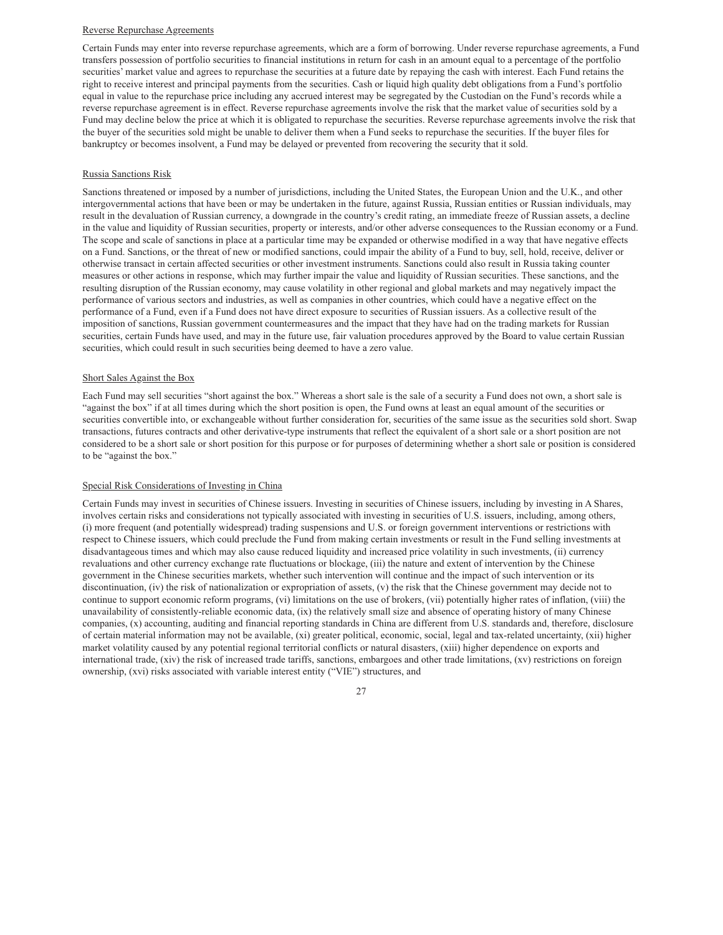### Reverse Repurchase Agreements

Certain Funds may enter into reverse repurchase agreements, which are a form of borrowing. Under reverse repurchase agreements, a Fund transfers possession of portfolio securities to financial institutions in return for cash in an amount equal to a percentage of the portfolio securities' market value and agrees to repurchase the securities at a future date by repaying the cash with interest. Each Fund retains the right to receive interest and principal payments from the securities. Cash or liquid high quality debt obligations from a Fund's portfolio equal in value to the repurchase price including any accrued interest may be segregated by the Custodian on the Fund's records while a reverse repurchase agreement is in effect. Reverse repurchase agreements involve the risk that the market value of securities sold by a Fund may decline below the price at which it is obligated to repurchase the securities. Reverse repurchase agreements involve the risk that the buyer of the securities sold might be unable to deliver them when a Fund seeks to repurchase the securities. If the buyer files for bankruptcy or becomes insolvent, a Fund may be delayed or prevented from recovering the security that it sold.

## Russia Sanctions Risk

Sanctions threatened or imposed by a number of jurisdictions, including the United States, the European Union and the U.K., and other intergovernmental actions that have been or may be undertaken in the future, against Russia, Russian entities or Russian individuals, may result in the devaluation of Russian currency, a downgrade in the country's credit rating, an immediate freeze of Russian assets, a decline in the value and liquidity of Russian securities, property or interests, and/or other adverse consequences to the Russian economy or a Fund. The scope and scale of sanctions in place at a particular time may be expanded or otherwise modified in a way that have negative effects on a Fund. Sanctions, or the threat of new or modified sanctions, could impair the ability of a Fund to buy, sell, hold, receive, deliver or otherwise transact in certain affected securities or other investment instruments. Sanctions could also result in Russia taking counter measures or other actions in response, which may further impair the value and liquidity of Russian securities. These sanctions, and the resulting disruption of the Russian economy, may cause volatility in other regional and global markets and may negatively impact the performance of various sectors and industries, as well as companies in other countries, which could have a negative effect on the performance of a Fund, even if a Fund does not have direct exposure to securities of Russian issuers. As a collective result of the imposition of sanctions, Russian government countermeasures and the impact that they have had on the trading markets for Russian securities, certain Funds have used, and may in the future use, fair valuation procedures approved by the Board to value certain Russian securities, which could result in such securities being deemed to have a zero value.

### Short Sales Against the Box

Each Fund may sell securities "short against the box." Whereas a short sale is the sale of a security a Fund does not own, a short sale is "against the box" if at all times during which the short position is open, the Fund owns at least an equal amount of the securities or securities convertible into, or exchangeable without further consideration for, securities of the same issue as the securities sold short. Swap transactions, futures contracts and other derivative-type instruments that reflect the equivalent of a short sale or a short position are not considered to be a short sale or short position for this purpose or for purposes of determining whether a short sale or position is considered to be "against the box."

### Special Risk Considerations of Investing in China

Certain Funds may invest in securities of Chinese issuers. Investing in securities of Chinese issuers, including by investing in A Shares, involves certain risks and considerations not typically associated with investing in securities of U.S. issuers, including, among others, (i) more frequent (and potentially widespread) trading suspensions and U.S. or foreign government interventions or restrictions with respect to Chinese issuers, which could preclude the Fund from making certain investments or result in the Fund selling investments at disadvantageous times and which may also cause reduced liquidity and increased price volatility in such investments, (ii) currency revaluations and other currency exchange rate fluctuations or blockage, (iii) the nature and extent of intervention by the Chinese government in the Chinese securities markets, whether such intervention will continue and the impact of such intervention or its discontinuation, (iv) the risk of nationalization or expropriation of assets, (v) the risk that the Chinese government may decide not to continue to support economic reform programs, (vi) limitations on the use of brokers, (vii) potentially higher rates of inflation, (viii) the unavailability of consistently-reliable economic data, (ix) the relatively small size and absence of operating history of many Chinese companies, (x) accounting, auditing and financial reporting standards in China are different from U.S. standards and, therefore, disclosure of certain material information may not be available, (xi) greater political, economic, social, legal and tax-related uncertainty, (xii) higher market volatility caused by any potential regional territorial conflicts or natural disasters, (xiii) higher dependence on exports and international trade, (xiv) the risk of increased trade tariffs, sanctions, embargoes and other trade limitations, (xv) restrictions on foreign ownership, (xvi) risks associated with variable interest entity ("VIE") structures, and

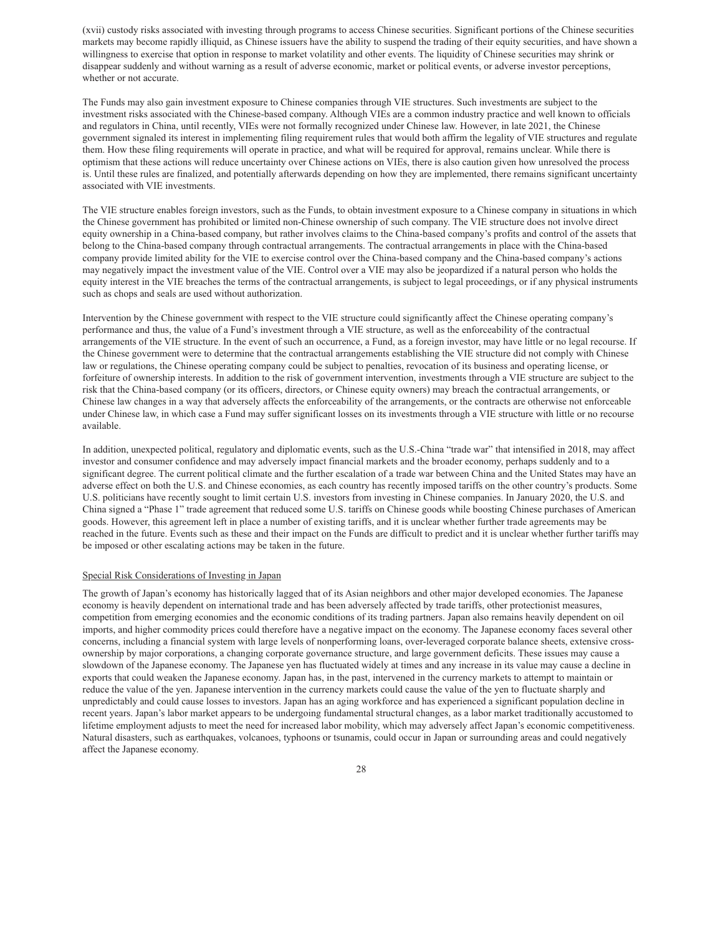(xvii) custody risks associated with investing through programs to access Chinese securities. Significant portions of the Chinese securities markets may become rapidly illiquid, as Chinese issuers have the ability to suspend the trading of their equity securities, and have shown a willingness to exercise that option in response to market volatility and other events. The liquidity of Chinese securities may shrink or disappear suddenly and without warning as a result of adverse economic, market or political events, or adverse investor perceptions, whether or not accurate.

The Funds may also gain investment exposure to Chinese companies through VIE structures. Such investments are subject to the investment risks associated with the Chinese-based company. Although VIEs are a common industry practice and well known to officials and regulators in China, until recently, VIEs were not formally recognized under Chinese law. However, in late 2021, the Chinese government signaled its interest in implementing filing requirement rules that would both affirm the legality of VIE structures and regulate them. How these filing requirements will operate in practice, and what will be required for approval, remains unclear. While there is optimism that these actions will reduce uncertainty over Chinese actions on VIEs, there is also caution given how unresolved the process is. Until these rules are finalized, and potentially afterwards depending on how they are implemented, there remains significant uncertainty associated with VIE investments.

The VIE structure enables foreign investors, such as the Funds, to obtain investment exposure to a Chinese company in situations in which the Chinese government has prohibited or limited non-Chinese ownership of such company. The VIE structure does not involve direct equity ownership in a China-based company, but rather involves claims to the China-based company's profits and control of the assets that belong to the China-based company through contractual arrangements. The contractual arrangements in place with the China-based company provide limited ability for the VIE to exercise control over the China-based company and the China-based company's actions may negatively impact the investment value of the VIE. Control over a VIE may also be jeopardized if a natural person who holds the equity interest in the VIE breaches the terms of the contractual arrangements, is subject to legal proceedings, or if any physical instruments such as chops and seals are used without authorization.

Intervention by the Chinese government with respect to the VIE structure could significantly affect the Chinese operating company's performance and thus, the value of a Fund's investment through a VIE structure, as well as the enforceability of the contractual arrangements of the VIE structure. In the event of such an occurrence, a Fund, as a foreign investor, may have little or no legal recourse. If the Chinese government were to determine that the contractual arrangements establishing the VIE structure did not comply with Chinese law or regulations, the Chinese operating company could be subject to penalties, revocation of its business and operating license, or forfeiture of ownership interests. In addition to the risk of government intervention, investments through a VIE structure are subject to the risk that the China-based company (or its officers, directors, or Chinese equity owners) may breach the contractual arrangements, or Chinese law changes in a way that adversely affects the enforceability of the arrangements, or the contracts are otherwise not enforceable under Chinese law, in which case a Fund may suffer significant losses on its investments through a VIE structure with little or no recourse available.

In addition, unexpected political, regulatory and diplomatic events, such as the U.S.-China "trade war" that intensified in 2018, may affect investor and consumer confidence and may adversely impact financial markets and the broader economy, perhaps suddenly and to a significant degree. The current political climate and the further escalation of a trade war between China and the United States may have an adverse effect on both the U.S. and Chinese economies, as each country has recently imposed tariffs on the other country's products. Some U.S. politicians have recently sought to limit certain U.S. investors from investing in Chinese companies. In January 2020, the U.S. and China signed a "Phase 1" trade agreement that reduced some U.S. tariffs on Chinese goods while boosting Chinese purchases of American goods. However, this agreement left in place a number of existing tariffs, and it is unclear whether further trade agreements may be reached in the future. Events such as these and their impact on the Funds are difficult to predict and it is unclear whether further tariffs may be imposed or other escalating actions may be taken in the future.

### Special Risk Considerations of Investing in Japan

The growth of Japan's economy has historically lagged that of its Asian neighbors and other major developed economies. The Japanese economy is heavily dependent on international trade and has been adversely affected by trade tariffs, other protectionist measures, competition from emerging economies and the economic conditions of its trading partners. Japan also remains heavily dependent on oil imports, and higher commodity prices could therefore have a negative impact on the economy. The Japanese economy faces several other concerns, including a financial system with large levels of nonperforming loans, over-leveraged corporate balance sheets, extensive crossownership by major corporations, a changing corporate governance structure, and large government deficits. These issues may cause a slowdown of the Japanese economy. The Japanese yen has fluctuated widely at times and any increase in its value may cause a decline in exports that could weaken the Japanese economy. Japan has, in the past, intervened in the currency markets to attempt to maintain or reduce the value of the yen. Japanese intervention in the currency markets could cause the value of the yen to fluctuate sharply and unpredictably and could cause losses to investors. Japan has an aging workforce and has experienced a significant population decline in recent years. Japan's labor market appears to be undergoing fundamental structural changes, as a labor market traditionally accustomed to lifetime employment adjusts to meet the need for increased labor mobility, which may adversely affect Japan's economic competitiveness. Natural disasters, such as earthquakes, volcanoes, typhoons or tsunamis, could occur in Japan or surrounding areas and could negatively affect the Japanese economy.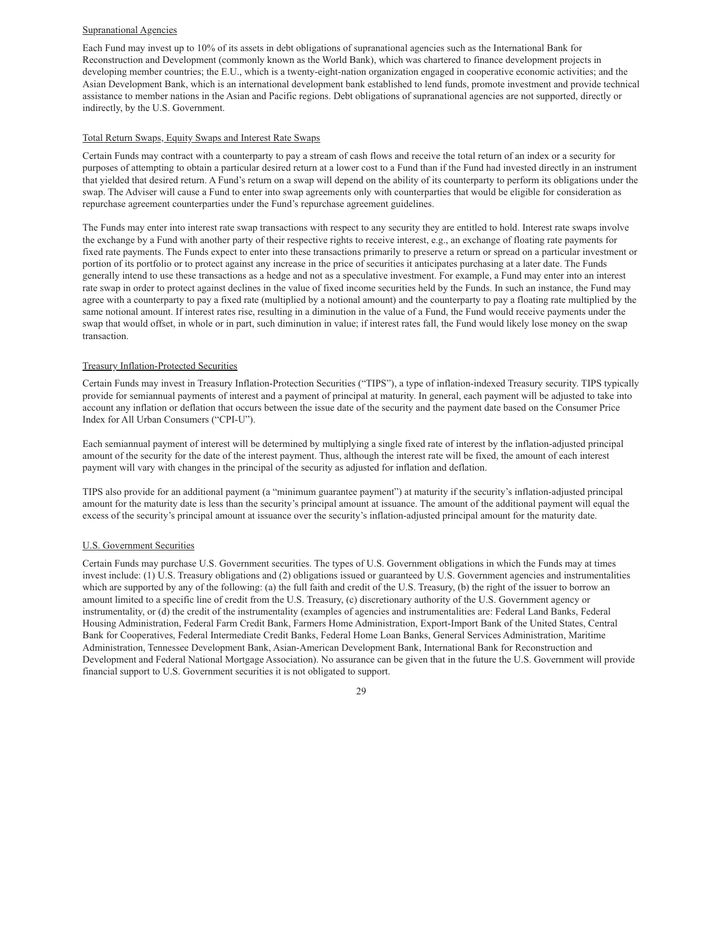## Supranational Agencies

Each Fund may invest up to 10% of its assets in debt obligations of supranational agencies such as the International Bank for Reconstruction and Development (commonly known as the World Bank), which was chartered to finance development projects in developing member countries; the E.U., which is a twenty-eight-nation organization engaged in cooperative economic activities; and the Asian Development Bank, which is an international development bank established to lend funds, promote investment and provide technical assistance to member nations in the Asian and Pacific regions. Debt obligations of supranational agencies are not supported, directly or indirectly, by the U.S. Government.

## Total Return Swaps, Equity Swaps and Interest Rate Swaps

Certain Funds may contract with a counterparty to pay a stream of cash flows and receive the total return of an index or a security for purposes of attempting to obtain a particular desired return at a lower cost to a Fund than if the Fund had invested directly in an instrument that yielded that desired return. A Fund's return on a swap will depend on the ability of its counterparty to perform its obligations under the swap. The Adviser will cause a Fund to enter into swap agreements only with counterparties that would be eligible for consideration as repurchase agreement counterparties under the Fund's repurchase agreement guidelines.

The Funds may enter into interest rate swap transactions with respect to any security they are entitled to hold. Interest rate swaps involve the exchange by a Fund with another party of their respective rights to receive interest, e.g., an exchange of floating rate payments for fixed rate payments. The Funds expect to enter into these transactions primarily to preserve a return or spread on a particular investment or portion of its portfolio or to protect against any increase in the price of securities it anticipates purchasing at a later date. The Funds generally intend to use these transactions as a hedge and not as a speculative investment. For example, a Fund may enter into an interest rate swap in order to protect against declines in the value of fixed income securities held by the Funds. In such an instance, the Fund may agree with a counterparty to pay a fixed rate (multiplied by a notional amount) and the counterparty to pay a floating rate multiplied by the same notional amount. If interest rates rise, resulting in a diminution in the value of a Fund, the Fund would receive payments under the swap that would offset, in whole or in part, such diminution in value; if interest rates fall, the Fund would likely lose money on the swap transaction.

## Treasury Inflation-Protected Securities

Certain Funds may invest in Treasury Inflation-Protection Securities ("TIPS"), a type of inflation-indexed Treasury security. TIPS typically provide for semiannual payments of interest and a payment of principal at maturity. In general, each payment will be adjusted to take into account any inflation or deflation that occurs between the issue date of the security and the payment date based on the Consumer Price Index for All Urban Consumers ("CPI-U").

Each semiannual payment of interest will be determined by multiplying a single fixed rate of interest by the inflation-adjusted principal amount of the security for the date of the interest payment. Thus, although the interest rate will be fixed, the amount of each interest payment will vary with changes in the principal of the security as adjusted for inflation and deflation.

TIPS also provide for an additional payment (a "minimum guarantee payment") at maturity if the security's inflation-adjusted principal amount for the maturity date is less than the security's principal amount at issuance. The amount of the additional payment will equal the excess of the security's principal amount at issuance over the security's inflation-adjusted principal amount for the maturity date.

## U.S. Government Securities

Certain Funds may purchase U.S. Government securities. The types of U.S. Government obligations in which the Funds may at times invest include: (1) U.S. Treasury obligations and (2) obligations issued or guaranteed by U.S. Government agencies and instrumentalities which are supported by any of the following: (a) the full faith and credit of the U.S. Treasury, (b) the right of the issuer to borrow an amount limited to a specific line of credit from the U.S. Treasury, (c) discretionary authority of the U.S. Government agency or instrumentality, or (d) the credit of the instrumentality (examples of agencies and instrumentalities are: Federal Land Banks, Federal Housing Administration, Federal Farm Credit Bank, Farmers Home Administration, Export-Import Bank of the United States, Central Bank for Cooperatives, Federal Intermediate Credit Banks, Federal Home Loan Banks, General Services Administration, Maritime Administration, Tennessee Development Bank, Asian-American Development Bank, International Bank for Reconstruction and Development and Federal National Mortgage Association). No assurance can be given that in the future the U.S. Government will provide financial support to U.S. Government securities it is not obligated to support.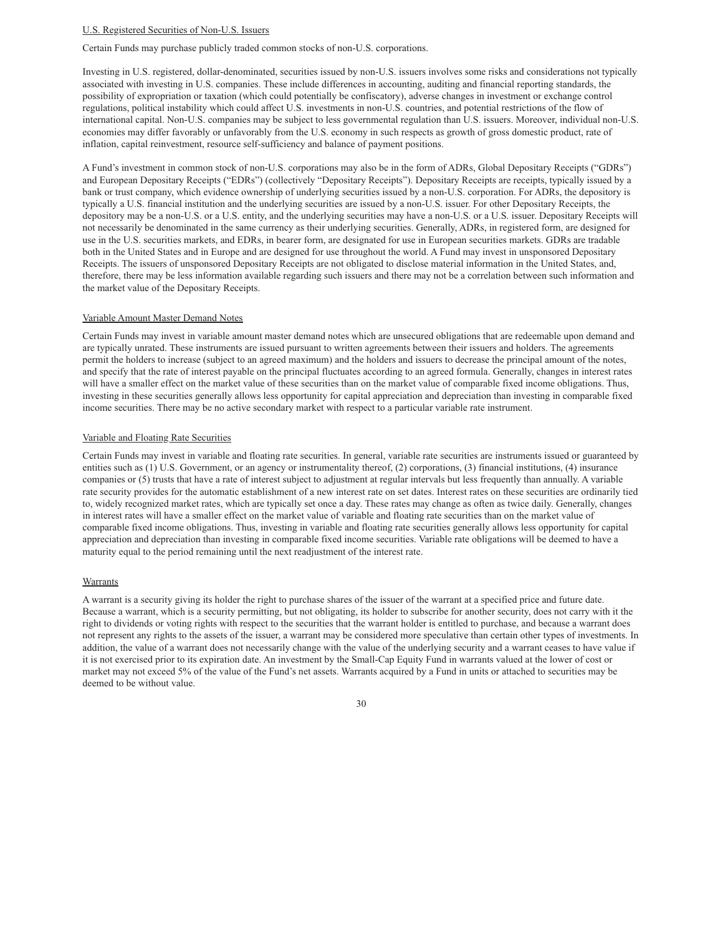## U.S. Registered Securities of Non-U.S. Issuers

Certain Funds may purchase publicly traded common stocks of non-U.S. corporations.

Investing in U.S. registered, dollar-denominated, securities issued by non-U.S. issuers involves some risks and considerations not typically associated with investing in U.S. companies. These include differences in accounting, auditing and financial reporting standards, the possibility of expropriation or taxation (which could potentially be confiscatory), adverse changes in investment or exchange control regulations, political instability which could affect U.S. investments in non-U.S. countries, and potential restrictions of the flow of international capital. Non-U.S. companies may be subject to less governmental regulation than U.S. issuers. Moreover, individual non-U.S. economies may differ favorably or unfavorably from the U.S. economy in such respects as growth of gross domestic product, rate of inflation, capital reinvestment, resource self-sufficiency and balance of payment positions.

A Fund's investment in common stock of non-U.S. corporations may also be in the form of ADRs, Global Depositary Receipts ("GDRs") and European Depositary Receipts ("EDRs") (collectively "Depositary Receipts"). Depositary Receipts are receipts, typically issued by a bank or trust company, which evidence ownership of underlying securities issued by a non-U.S. corporation. For ADRs, the depository is typically a U.S. financial institution and the underlying securities are issued by a non-U.S. issuer. For other Depositary Receipts, the depository may be a non-U.S. or a U.S. entity, and the underlying securities may have a non-U.S. or a U.S. issuer. Depositary Receipts will not necessarily be denominated in the same currency as their underlying securities. Generally, ADRs, in registered form, are designed for use in the U.S. securities markets, and EDRs, in bearer form, are designated for use in European securities markets. GDRs are tradable both in the United States and in Europe and are designed for use throughout the world. A Fund may invest in unsponsored Depositary Receipts. The issuers of unsponsored Depositary Receipts are not obligated to disclose material information in the United States, and, therefore, there may be less information available regarding such issuers and there may not be a correlation between such information and the market value of the Depositary Receipts.

## Variable Amount Master Demand Notes

Certain Funds may invest in variable amount master demand notes which are unsecured obligations that are redeemable upon demand and are typically unrated. These instruments are issued pursuant to written agreements between their issuers and holders. The agreements permit the holders to increase (subject to an agreed maximum) and the holders and issuers to decrease the principal amount of the notes, and specify that the rate of interest payable on the principal fluctuates according to an agreed formula. Generally, changes in interest rates will have a smaller effect on the market value of these securities than on the market value of comparable fixed income obligations. Thus, investing in these securities generally allows less opportunity for capital appreciation and depreciation than investing in comparable fixed income securities. There may be no active secondary market with respect to a particular variable rate instrument.

#### Variable and Floating Rate Securities

Certain Funds may invest in variable and floating rate securities. In general, variable rate securities are instruments issued or guaranteed by entities such as (1) U.S. Government, or an agency or instrumentality thereof, (2) corporations, (3) financial institutions, (4) insurance companies or (5) trusts that have a rate of interest subject to adjustment at regular intervals but less frequently than annually. A variable rate security provides for the automatic establishment of a new interest rate on set dates. Interest rates on these securities are ordinarily tied to, widely recognized market rates, which are typically set once a day. These rates may change as often as twice daily. Generally, changes in interest rates will have a smaller effect on the market value of variable and floating rate securities than on the market value of comparable fixed income obligations. Thus, investing in variable and floating rate securities generally allows less opportunity for capital appreciation and depreciation than investing in comparable fixed income securities. Variable rate obligations will be deemed to have a maturity equal to the period remaining until the next readjustment of the interest rate.

### **Warrants**

A warrant is a security giving its holder the right to purchase shares of the issuer of the warrant at a specified price and future date. Because a warrant, which is a security permitting, but not obligating, its holder to subscribe for another security, does not carry with it the right to dividends or voting rights with respect to the securities that the warrant holder is entitled to purchase, and because a warrant does not represent any rights to the assets of the issuer, a warrant may be considered more speculative than certain other types of investments. In addition, the value of a warrant does not necessarily change with the value of the underlying security and a warrant ceases to have value if it is not exercised prior to its expiration date. An investment by the Small-Cap Equity Fund in warrants valued at the lower of cost or market may not exceed 5% of the value of the Fund's net assets. Warrants acquired by a Fund in units or attached to securities may be deemed to be without value.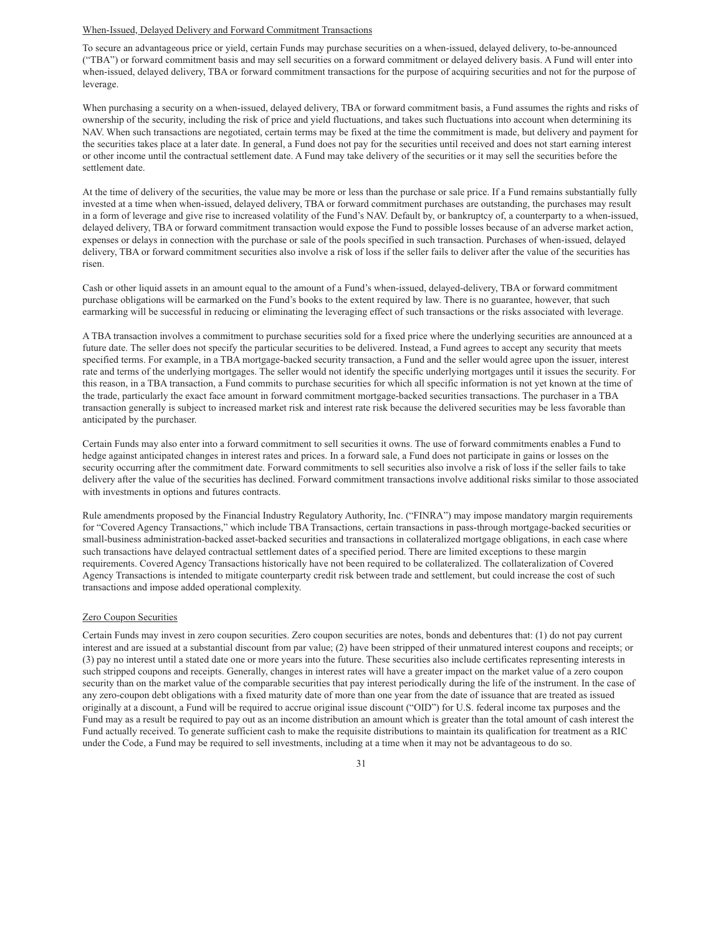#### When-Issued, Delayed Delivery and Forward Commitment Transactions

To secure an advantageous price or yield, certain Funds may purchase securities on a when-issued, delayed delivery, to-be-announced ("TBA") or forward commitment basis and may sell securities on a forward commitment or delayed delivery basis. A Fund will enter into when-issued, delayed delivery, TBA or forward commitment transactions for the purpose of acquiring securities and not for the purpose of leverage.

When purchasing a security on a when-issued, delayed delivery, TBA or forward commitment basis, a Fund assumes the rights and risks of ownership of the security, including the risk of price and yield fluctuations, and takes such fluctuations into account when determining its NAV. When such transactions are negotiated, certain terms may be fixed at the time the commitment is made, but delivery and payment for the securities takes place at a later date. In general, a Fund does not pay for the securities until received and does not start earning interest or other income until the contractual settlement date. A Fund may take delivery of the securities or it may sell the securities before the settlement date.

At the time of delivery of the securities, the value may be more or less than the purchase or sale price. If a Fund remains substantially fully invested at a time when when-issued, delayed delivery, TBA or forward commitment purchases are outstanding, the purchases may result in a form of leverage and give rise to increased volatility of the Fund's NAV. Default by, or bankruptcy of, a counterparty to a when-issued, delayed delivery, TBA or forward commitment transaction would expose the Fund to possible losses because of an adverse market action, expenses or delays in connection with the purchase or sale of the pools specified in such transaction. Purchases of when-issued, delayed delivery, TBA or forward commitment securities also involve a risk of loss if the seller fails to deliver after the value of the securities has risen.

Cash or other liquid assets in an amount equal to the amount of a Fund's when-issued, delayed-delivery, TBA or forward commitment purchase obligations will be earmarked on the Fund's books to the extent required by law. There is no guarantee, however, that such earmarking will be successful in reducing or eliminating the leveraging effect of such transactions or the risks associated with leverage.

A TBA transaction involves a commitment to purchase securities sold for a fixed price where the underlying securities are announced at a future date. The seller does not specify the particular securities to be delivered. Instead, a Fund agrees to accept any security that meets specified terms. For example, in a TBA mortgage-backed security transaction, a Fund and the seller would agree upon the issuer, interest rate and terms of the underlying mortgages. The seller would not identify the specific underlying mortgages until it issues the security. For this reason, in a TBA transaction, a Fund commits to purchase securities for which all specific information is not yet known at the time of the trade, particularly the exact face amount in forward commitment mortgage-backed securities transactions. The purchaser in a TBA transaction generally is subject to increased market risk and interest rate risk because the delivered securities may be less favorable than anticipated by the purchaser.

Certain Funds may also enter into a forward commitment to sell securities it owns. The use of forward commitments enables a Fund to hedge against anticipated changes in interest rates and prices. In a forward sale, a Fund does not participate in gains or losses on the security occurring after the commitment date. Forward commitments to sell securities also involve a risk of loss if the seller fails to take delivery after the value of the securities has declined. Forward commitment transactions involve additional risks similar to those associated with investments in options and futures contracts.

Rule amendments proposed by the Financial Industry Regulatory Authority, Inc. ("FINRA") may impose mandatory margin requirements for "Covered Agency Transactions," which include TBA Transactions, certain transactions in pass-through mortgage-backed securities or small-business administration-backed asset-backed securities and transactions in collateralized mortgage obligations, in each case where such transactions have delayed contractual settlement dates of a specified period. There are limited exceptions to these margin requirements. Covered Agency Transactions historically have not been required to be collateralized. The collateralization of Covered Agency Transactions is intended to mitigate counterparty credit risk between trade and settlement, but could increase the cost of such transactions and impose added operational complexity.

# Zero Coupon Securities

Certain Funds may invest in zero coupon securities. Zero coupon securities are notes, bonds and debentures that: (1) do not pay current interest and are issued at a substantial discount from par value; (2) have been stripped of their unmatured interest coupons and receipts; or (3) pay no interest until a stated date one or more years into the future. These securities also include certificates representing interests in such stripped coupons and receipts. Generally, changes in interest rates will have a greater impact on the market value of a zero coupon security than on the market value of the comparable securities that pay interest periodically during the life of the instrument. In the case of any zero-coupon debt obligations with a fixed maturity date of more than one year from the date of issuance that are treated as issued originally at a discount, a Fund will be required to accrue original issue discount ("OID") for U.S. federal income tax purposes and the Fund may as a result be required to pay out as an income distribution an amount which is greater than the total amount of cash interest the Fund actually received. To generate sufficient cash to make the requisite distributions to maintain its qualification for treatment as a RIC under the Code, a Fund may be required to sell investments, including at a time when it may not be advantageous to do so.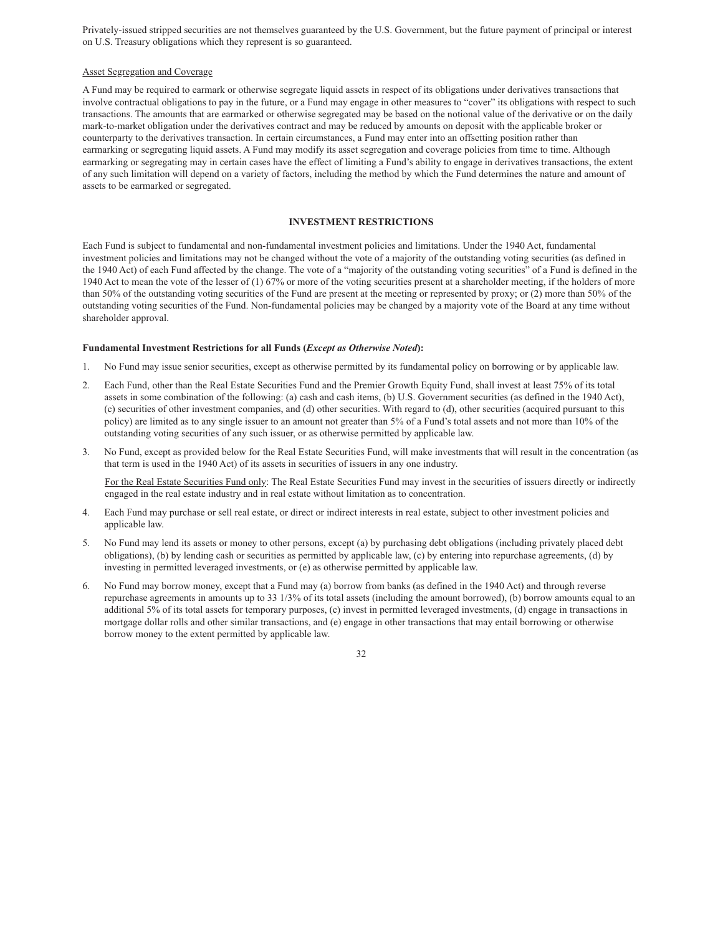Privately-issued stripped securities are not themselves guaranteed by the U.S. Government, but the future payment of principal or interest on U.S. Treasury obligations which they represent is so guaranteed.

## Asset Segregation and Coverage

A Fund may be required to earmark or otherwise segregate liquid assets in respect of its obligations under derivatives transactions that involve contractual obligations to pay in the future, or a Fund may engage in other measures to "cover" its obligations with respect to such transactions. The amounts that are earmarked or otherwise segregated may be based on the notional value of the derivative or on the daily mark-to-market obligation under the derivatives contract and may be reduced by amounts on deposit with the applicable broker or counterparty to the derivatives transaction. In certain circumstances, a Fund may enter into an offsetting position rather than earmarking or segregating liquid assets. A Fund may modify its asset segregation and coverage policies from time to time. Although earmarking or segregating may in certain cases have the effect of limiting a Fund's ability to engage in derivatives transactions, the extent of any such limitation will depend on a variety of factors, including the method by which the Fund determines the nature and amount of assets to be earmarked or segregated.

## **INVESTMENT RESTRICTIONS**

Each Fund is subject to fundamental and non-fundamental investment policies and limitations. Under the 1940 Act, fundamental investment policies and limitations may not be changed without the vote of a majority of the outstanding voting securities (as defined in the 1940 Act) of each Fund affected by the change. The vote of a "majority of the outstanding voting securities" of a Fund is defined in the 1940 Act to mean the vote of the lesser of (1) 67% or more of the voting securities present at a shareholder meeting, if the holders of more than 50% of the outstanding voting securities of the Fund are present at the meeting or represented by proxy; or (2) more than 50% of the outstanding voting securities of the Fund. Non-fundamental policies may be changed by a majority vote of the Board at any time without shareholder approval.

## **Fundamental Investment Restrictions for all Funds (***Except as Otherwise Noted***):**

- 1. No Fund may issue senior securities, except as otherwise permitted by its fundamental policy on borrowing or by applicable law.
- 2. Each Fund, other than the Real Estate Securities Fund and the Premier Growth Equity Fund, shall invest at least 75% of its total assets in some combination of the following: (a) cash and cash items, (b) U.S. Government securities (as defined in the 1940 Act), (c) securities of other investment companies, and (d) other securities. With regard to (d), other securities (acquired pursuant to this policy) are limited as to any single issuer to an amount not greater than 5% of a Fund's total assets and not more than 10% of the outstanding voting securities of any such issuer, or as otherwise permitted by applicable law.
- 3. No Fund, except as provided below for the Real Estate Securities Fund, will make investments that will result in the concentration (as that term is used in the 1940 Act) of its assets in securities of issuers in any one industry.

For the Real Estate Securities Fund only: The Real Estate Securities Fund may invest in the securities of issuers directly or indirectly engaged in the real estate industry and in real estate without limitation as to concentration.

- 4. Each Fund may purchase or sell real estate, or direct or indirect interests in real estate, subject to other investment policies and applicable law.
- 5. No Fund may lend its assets or money to other persons, except (a) by purchasing debt obligations (including privately placed debt obligations), (b) by lending cash or securities as permitted by applicable law, (c) by entering into repurchase agreements, (d) by investing in permitted leveraged investments, or (e) as otherwise permitted by applicable law.
- 6. No Fund may borrow money, except that a Fund may (a) borrow from banks (as defined in the 1940 Act) and through reverse repurchase agreements in amounts up to 33 1/3% of its total assets (including the amount borrowed), (b) borrow amounts equal to an additional 5% of its total assets for temporary purposes, (c) invest in permitted leveraged investments, (d) engage in transactions in mortgage dollar rolls and other similar transactions, and (e) engage in other transactions that may entail borrowing or otherwise borrow money to the extent permitted by applicable law.

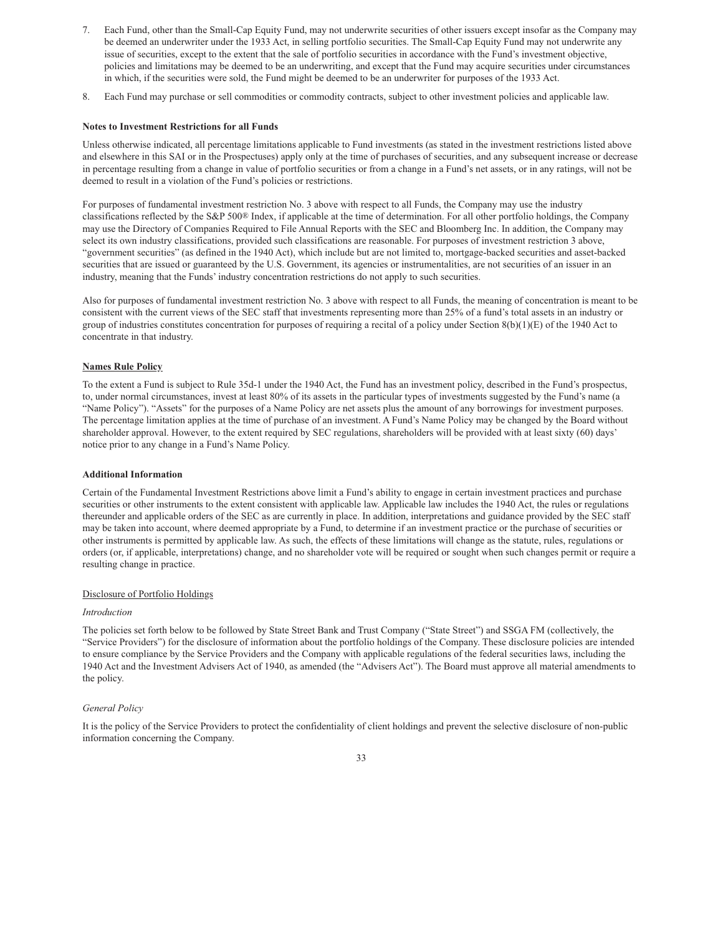- 7. Each Fund, other than the Small-Cap Equity Fund, may not underwrite securities of other issuers except insofar as the Company may be deemed an underwriter under the 1933 Act, in selling portfolio securities. The Small-Cap Equity Fund may not underwrite any issue of securities, except to the extent that the sale of portfolio securities in accordance with the Fund's investment objective, policies and limitations may be deemed to be an underwriting, and except that the Fund may acquire securities under circumstances in which, if the securities were sold, the Fund might be deemed to be an underwriter for purposes of the 1933 Act.
- 8. Each Fund may purchase or sell commodities or commodity contracts, subject to other investment policies and applicable law.

### **Notes to Investment Restrictions for all Funds**

Unless otherwise indicated, all percentage limitations applicable to Fund investments (as stated in the investment restrictions listed above and elsewhere in this SAI or in the Prospectuses) apply only at the time of purchases of securities, and any subsequent increase or decrease in percentage resulting from a change in value of portfolio securities or from a change in a Fund's net assets, or in any ratings, will not be deemed to result in a violation of the Fund's policies or restrictions.

For purposes of fundamental investment restriction No. 3 above with respect to all Funds, the Company may use the industry classifications reflected by the S&P 500® Index, if applicable at the time of determination. For all other portfolio holdings, the Company may use the Directory of Companies Required to File Annual Reports with the SEC and Bloomberg Inc. In addition, the Company may select its own industry classifications, provided such classifications are reasonable. For purposes of investment restriction 3 above, "government securities" (as defined in the 1940 Act), which include but are not limited to, mortgage-backed securities and asset-backed securities that are issued or guaranteed by the U.S. Government, its agencies or instrumentalities, are not securities of an issuer in an industry, meaning that the Funds' industry concentration restrictions do not apply to such securities.

Also for purposes of fundamental investment restriction No. 3 above with respect to all Funds, the meaning of concentration is meant to be consistent with the current views of the SEC staff that investments representing more than 25% of a fund's total assets in an industry or group of industries constitutes concentration for purposes of requiring a recital of a policy under Section 8(b)(1)(E) of the 1940 Act to concentrate in that industry.

#### **Names Rule Policy**

To the extent a Fund is subject to Rule 35d-1 under the 1940 Act, the Fund has an investment policy, described in the Fund's prospectus, to, under normal circumstances, invest at least 80% of its assets in the particular types of investments suggested by the Fund's name (a "Name Policy"). "Assets" for the purposes of a Name Policy are net assets plus the amount of any borrowings for investment purposes. The percentage limitation applies at the time of purchase of an investment. A Fund's Name Policy may be changed by the Board without shareholder approval. However, to the extent required by SEC regulations, shareholders will be provided with at least sixty (60) days' notice prior to any change in a Fund's Name Policy.

#### **Additional Information**

Certain of the Fundamental Investment Restrictions above limit a Fund's ability to engage in certain investment practices and purchase securities or other instruments to the extent consistent with applicable law. Applicable law includes the 1940 Act, the rules or regulations thereunder and applicable orders of the SEC as are currently in place. In addition, interpretations and guidance provided by the SEC staff may be taken into account, where deemed appropriate by a Fund, to determine if an investment practice or the purchase of securities or other instruments is permitted by applicable law. As such, the effects of these limitations will change as the statute, rules, regulations or orders (or, if applicable, interpretations) change, and no shareholder vote will be required or sought when such changes permit or require a resulting change in practice.

#### Disclosure of Portfolio Holdings

#### *Introduction*

The policies set forth below to be followed by State Street Bank and Trust Company ("State Street") and SSGA FM (collectively, the "Service Providers") for the disclosure of information about the portfolio holdings of the Company. These disclosure policies are intended to ensure compliance by the Service Providers and the Company with applicable regulations of the federal securities laws, including the 1940 Act and the Investment Advisers Act of 1940, as amended (the "Advisers Act"). The Board must approve all material amendments to the policy.

### *General Policy*

It is the policy of the Service Providers to protect the confidentiality of client holdings and prevent the selective disclosure of non-public information concerning the Company.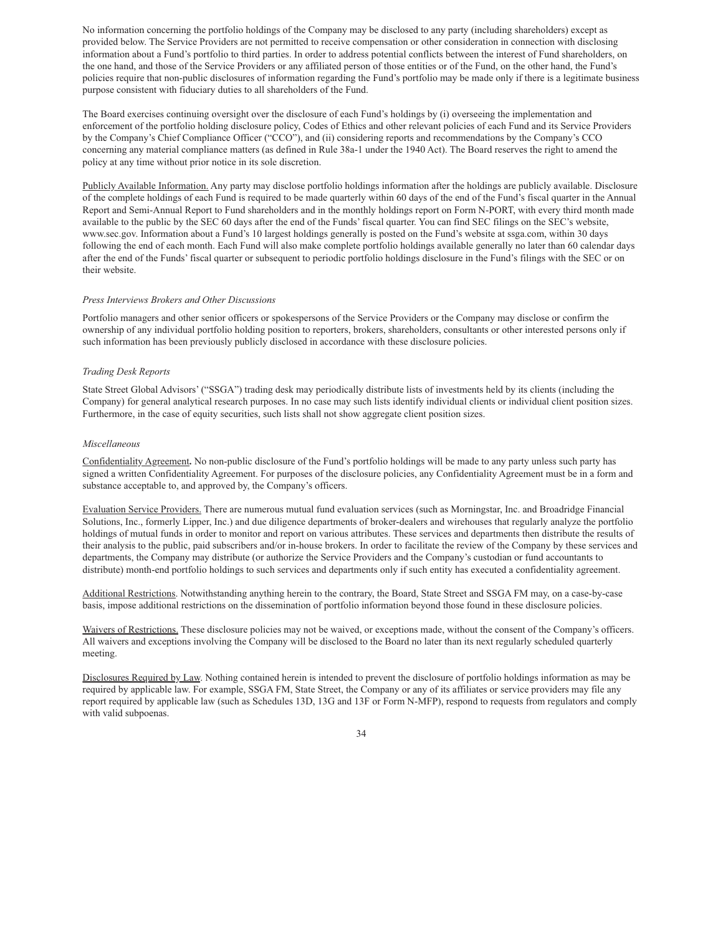No information concerning the portfolio holdings of the Company may be disclosed to any party (including shareholders) except as provided below. The Service Providers are not permitted to receive compensation or other consideration in connection with disclosing information about a Fund's portfolio to third parties. In order to address potential conflicts between the interest of Fund shareholders, on the one hand, and those of the Service Providers or any affiliated person of those entities or of the Fund, on the other hand, the Fund's policies require that non-public disclosures of information regarding the Fund's portfolio may be made only if there is a legitimate business purpose consistent with fiduciary duties to all shareholders of the Fund.

The Board exercises continuing oversight over the disclosure of each Fund's holdings by (i) overseeing the implementation and enforcement of the portfolio holding disclosure policy, Codes of Ethics and other relevant policies of each Fund and its Service Providers by the Company's Chief Compliance Officer ("CCO"), and (ii) considering reports and recommendations by the Company's CCO concerning any material compliance matters (as defined in Rule 38a-1 under the 1940 Act). The Board reserves the right to amend the policy at any time without prior notice in its sole discretion.

Publicly Available Information. Any party may disclose portfolio holdings information after the holdings are publicly available. Disclosure of the complete holdings of each Fund is required to be made quarterly within 60 days of the end of the Fund's fiscal quarter in the Annual Report and Semi-Annual Report to Fund shareholders and in the monthly holdings report on Form N-PORT, with every third month made available to the public by the SEC 60 days after the end of the Funds' fiscal quarter. You can find SEC filings on the SEC's website, www.sec.gov. Information about a Fund's 10 largest holdings generally is posted on the Fund's website at ssga.com, within 30 days following the end of each month. Each Fund will also make complete portfolio holdings available generally no later than 60 calendar days after the end of the Funds' fiscal quarter or subsequent to periodic portfolio holdings disclosure in the Fund's filings with the SEC or on their website.

#### *Press Interviews Brokers and Other Discussions*

Portfolio managers and other senior officers or spokespersons of the Service Providers or the Company may disclose or confirm the ownership of any individual portfolio holding position to reporters, brokers, shareholders, consultants or other interested persons only if such information has been previously publicly disclosed in accordance with these disclosure policies.

### *Trading Desk Reports*

State Street Global Advisors' ("SSGA") trading desk may periodically distribute lists of investments held by its clients (including the Company) for general analytical research purposes. In no case may such lists identify individual clients or individual client position sizes. Furthermore, in the case of equity securities, such lists shall not show aggregate client position sizes.

#### *Miscellaneous*

Confidentiality Agreement**.** No non-public disclosure of the Fund's portfolio holdings will be made to any party unless such party has signed a written Confidentiality Agreement. For purposes of the disclosure policies, any Confidentiality Agreement must be in a form and substance acceptable to, and approved by, the Company's officers.

Evaluation Service Providers. There are numerous mutual fund evaluation services (such as Morningstar, Inc. and Broadridge Financial Solutions, Inc., formerly Lipper, Inc.) and due diligence departments of broker-dealers and wirehouses that regularly analyze the portfolio holdings of mutual funds in order to monitor and report on various attributes. These services and departments then distribute the results of their analysis to the public, paid subscribers and/or in-house brokers. In order to facilitate the review of the Company by these services and departments, the Company may distribute (or authorize the Service Providers and the Company's custodian or fund accountants to distribute) month-end portfolio holdings to such services and departments only if such entity has executed a confidentiality agreement.

Additional Restrictions. Notwithstanding anything herein to the contrary, the Board, State Street and SSGA FM may, on a case-by-case basis, impose additional restrictions on the dissemination of portfolio information beyond those found in these disclosure policies.

Waivers of Restrictions. These disclosure policies may not be waived, or exceptions made, without the consent of the Company's officers. All waivers and exceptions involving the Company will be disclosed to the Board no later than its next regularly scheduled quarterly meeting.

Disclosures Required by Law. Nothing contained herein is intended to prevent the disclosure of portfolio holdings information as may be required by applicable law. For example, SSGA FM, State Street, the Company or any of its affiliates or service providers may file any report required by applicable law (such as Schedules 13D, 13G and 13F or Form N-MFP), respond to requests from regulators and comply with valid subpoenas.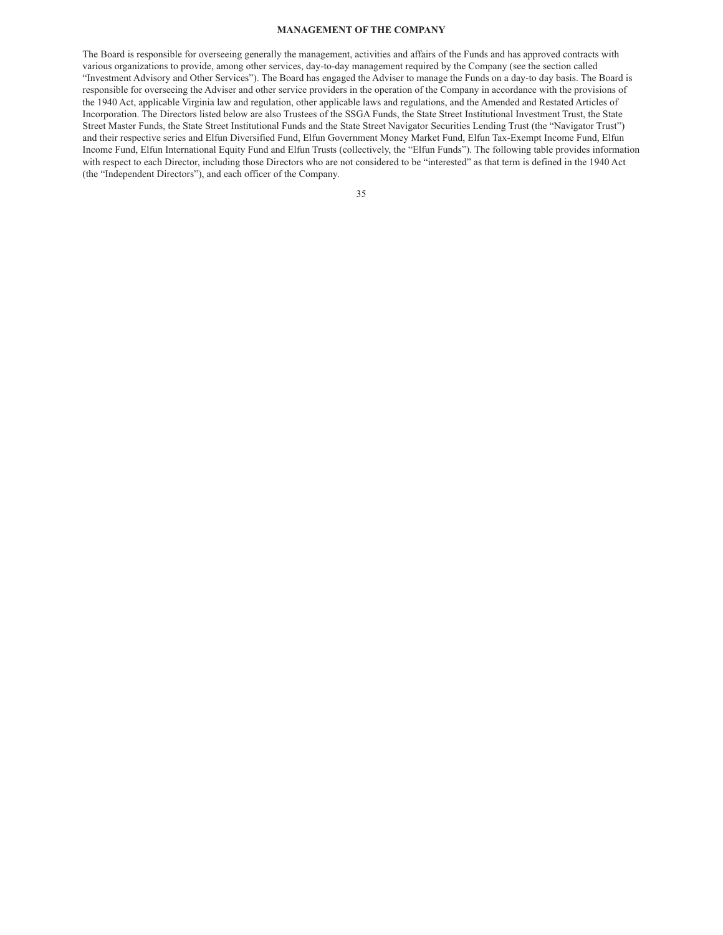### **MANAGEMENT OF THE COMPANY**

The Board is responsible for overseeing generally the management, activities and affairs of the Funds and has approved contracts with various organizations to provide, among other services, day-to-day management required by the Company (see the section called "Investment Advisory and Other Services"). The Board has engaged the Adviser to manage the Funds on a day-to day basis. The Board is responsible for overseeing the Adviser and other service providers in the operation of the Company in accordance with the provisions of the 1940 Act, applicable Virginia law and regulation, other applicable laws and regulations, and the Amended and Restated Articles of Incorporation. The Directors listed below are also Trustees of the SSGA Funds, the State Street Institutional Investment Trust, the State Street Master Funds, the State Street Institutional Funds and the State Street Navigator Securities Lending Trust (the "Navigator Trust") and their respective series and Elfun Diversified Fund, Elfun Government Money Market Fund, Elfun Tax-Exempt Income Fund, Elfun Income Fund, Elfun International Equity Fund and Elfun Trusts (collectively, the "Elfun Funds"). The following table provides information with respect to each Director, including those Directors who are not considered to be "interested" as that term is defined in the 1940 Act (the "Independent Directors"), and each officer of the Company.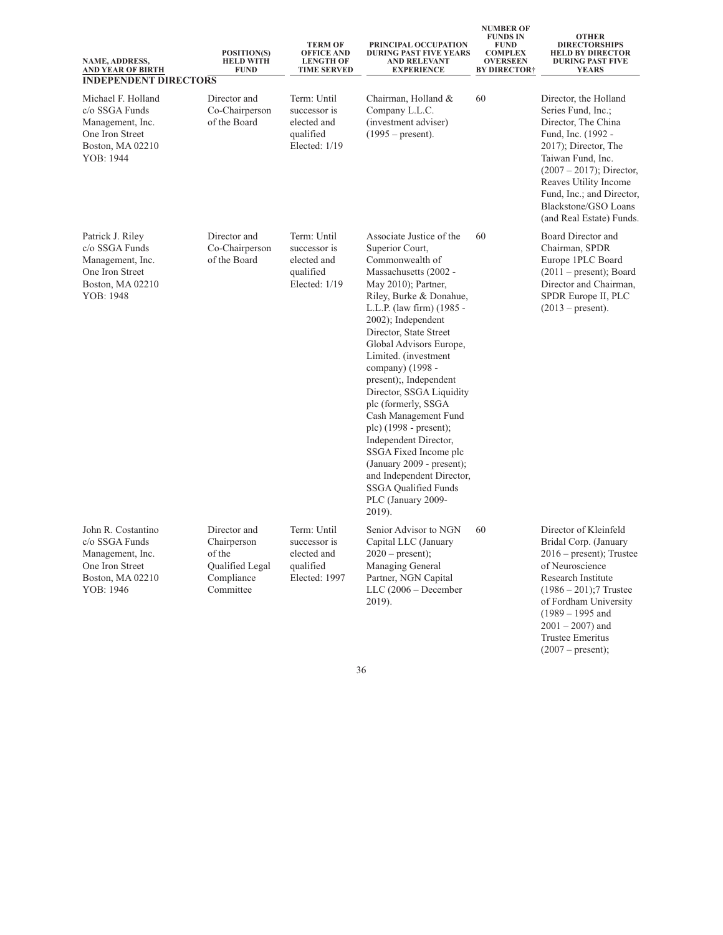| NAME, ADDRESS,<br><b>AND YEAR OF BIRTH</b><br><b>INDEPENDENT DIRECTORS</b>                                   | POSITION(S)<br><b>HELD WITH</b><br><b>FUND</b>                                      | <b>TERM OF</b><br><b>OFFICE AND</b><br><b>LENGTH OF</b><br><b>TIME SERVED</b> | PRINCIPAL OCCUPATION<br><b>DURING PAST FIVE YEARS</b><br><b>AND RELEVANT</b><br><b>EXPERIENCE</b>                                                                                                                                                                                                                                                                                                                                                                                                                                                                                                 | <b>NUMBER OF</b><br><b>FUNDS IN</b><br><b>FUND</b><br><b>COMPLEX</b><br><b>OVERSEEN</b><br><b>BY DIRECTOR†</b> | <b>OTHER</b><br><b>DIRECTORSHIPS</b><br><b>HELD BY DIRECTOR</b><br><b>DURING PAST FIVE</b><br><b>YEARS</b>                                                                                                                                                                     |
|--------------------------------------------------------------------------------------------------------------|-------------------------------------------------------------------------------------|-------------------------------------------------------------------------------|---------------------------------------------------------------------------------------------------------------------------------------------------------------------------------------------------------------------------------------------------------------------------------------------------------------------------------------------------------------------------------------------------------------------------------------------------------------------------------------------------------------------------------------------------------------------------------------------------|----------------------------------------------------------------------------------------------------------------|--------------------------------------------------------------------------------------------------------------------------------------------------------------------------------------------------------------------------------------------------------------------------------|
| Michael F. Holland<br>c/o SSGA Funds<br>Management, Inc.<br>One Iron Street<br>Boston, MA 02210<br>YOB: 1944 | Director and<br>Co-Chairperson<br>of the Board                                      | Term: Until<br>successor is<br>elected and<br>qualified<br>Elected: 1/19      | Chairman, Holland &<br>Company L.L.C.<br>(investment adviser)<br>$(1995 - present).$                                                                                                                                                                                                                                                                                                                                                                                                                                                                                                              | 60                                                                                                             | Director, the Holland<br>Series Fund, Inc.;<br>Director, The China<br>Fund, Inc. (1992 -<br>2017); Director, The<br>Taiwan Fund, Inc.<br>$(2007 - 2017)$ ; Director,<br>Reaves Utility Income<br>Fund, Inc.; and Director,<br>Blackstone/GSO Loans<br>(and Real Estate) Funds. |
| Patrick J. Riley<br>c/o SSGA Funds<br>Management, Inc.<br>One Iron Street<br>Boston, MA 02210<br>YOB: 1948   | Director and<br>Co-Chairperson<br>of the Board                                      | Term: Until<br>successor is<br>elected and<br>qualified<br>Elected: 1/19      | Associate Justice of the<br>Superior Court,<br>Commonwealth of<br>Massachusetts (2002 -<br>May 2010); Partner,<br>Riley, Burke & Donahue,<br>L.L.P. (law firm) (1985 -<br>2002); Independent<br>Director, State Street<br>Global Advisors Europe,<br>Limited. (investment)<br>company) (1998 -<br>present);, Independent<br>Director, SSGA Liquidity<br>plc (formerly, SSGA<br>Cash Management Fund<br>plc) (1998 - present);<br>Independent Director,<br>SSGA Fixed Income plc<br>(January 2009 - present);<br>and Independent Director,<br>SSGA Qualified Funds<br>PLC (January 2009-<br>2019). | 60                                                                                                             | Board Director and<br>Chairman, SPDR<br>Europe 1PLC Board<br>$(2011 - present)$ ; Board<br>Director and Chairman,<br>SPDR Europe II, PLC<br>$(2013 - present).$                                                                                                                |
| John R. Costantino<br>c/o SSGA Funds<br>Management, Inc.<br>One Iron Street<br>Boston, MA 02210<br>YOB: 1946 | Director and<br>Chairperson<br>of the<br>Qualified Legal<br>Compliance<br>Committee | Term: Until<br>successor is<br>elected and<br>qualified<br>Elected: 1997      | Senior Advisor to NGN<br>Capital LLC (January<br>$2020$ – present);<br>Managing General<br>Partner, NGN Capital<br>LLC $(2006 - December$<br>2019).                                                                                                                                                                                                                                                                                                                                                                                                                                               | 60                                                                                                             | Director of Kleinfeld<br>Bridal Corp. (January<br>$2016$ – present); Trustee<br>of Neuroscience<br>Research Institute<br>$(1986 - 201);$ 7 Trustee<br>of Fordham University<br>$(1989 - 1995$ and                                                                              |

36

 $(2007 - \text{present});$ 

 $2001 - 2007$ ) and Trustee Emeritus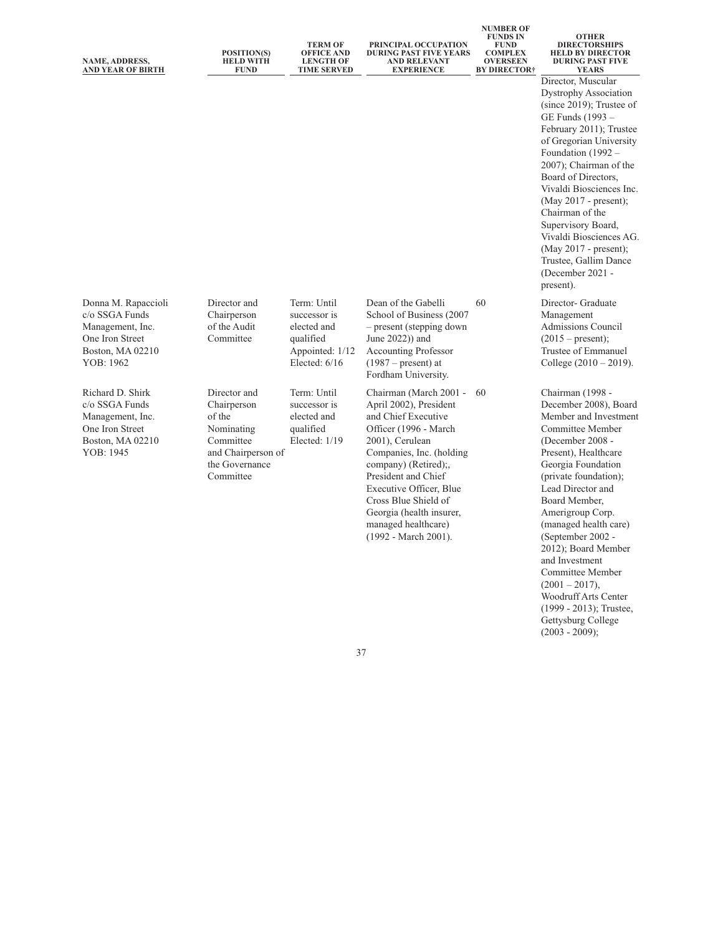| <b>NAME, ADDRESS,</b><br>AND YEAR OF BIRTH                                                                          | POSITION(S)<br><b>HELD WITH</b><br><b>FUND</b>                                                                        | <b>TERM OF</b><br><b>OFFICE AND</b><br><b>LENGTH OF</b><br><b>TIME SERVED</b>                 | PRINCIPAL OCCUPATION<br><b>DURING PAST FIVE YEARS</b><br><b>AND RELEVANT</b><br><b>EXPERIENCE</b>                                                                                                                                                                                                                           | <b>NUMBER OF</b><br><b>FUNDS IN</b><br><b>FUND</b><br><b>COMPLEX</b><br><b>OVERSEEN</b><br><b>BY DIRECTOR†</b> | <b>OTHER</b><br><b>DIRECTORSHIPS</b><br><b>HELD BY DIRECTOR</b><br><b>DURING PAST FIVE</b><br><b>YEARS</b>                                                                                                                                                                                                                                                                                                                                  |
|---------------------------------------------------------------------------------------------------------------------|-----------------------------------------------------------------------------------------------------------------------|-----------------------------------------------------------------------------------------------|-----------------------------------------------------------------------------------------------------------------------------------------------------------------------------------------------------------------------------------------------------------------------------------------------------------------------------|----------------------------------------------------------------------------------------------------------------|---------------------------------------------------------------------------------------------------------------------------------------------------------------------------------------------------------------------------------------------------------------------------------------------------------------------------------------------------------------------------------------------------------------------------------------------|
|                                                                                                                     |                                                                                                                       |                                                                                               |                                                                                                                                                                                                                                                                                                                             |                                                                                                                | Director, Muscular<br><b>Dystrophy Association</b><br>(since 2019); Trustee of<br>GE Funds (1993 -<br>February 2011); Trustee<br>of Gregorian University<br>Foundation (1992 -<br>2007); Chairman of the<br>Board of Directors,<br>Vivaldi Biosciences Inc.<br>(May 2017 - present);<br>Chairman of the<br>Supervisory Board,<br>Vivaldi Biosciences AG.<br>(May 2017 - present);<br>Trustee, Gallim Dance<br>(December 2021 -<br>present). |
| Donna M. Rapaccioli<br>$c$ / $o$ SSGA Funds<br>Management, Inc.<br>One Iron Street<br>Boston, MA 02210<br>YOB: 1962 | Director and<br>Chairperson<br>of the Audit<br>Committee                                                              | Term: Until<br>successor is<br>elected and<br>qualified<br>Appointed: 1/12<br>Elected: $6/16$ | Dean of the Gabelli<br>School of Business (2007<br>- present (stepping down<br>June 2022)) and<br><b>Accounting Professor</b><br>$(1987 - present)$ at<br>Fordham University.                                                                                                                                               | 60                                                                                                             | Director- Graduate<br>Management<br>Admissions Council<br>$(2015 - present);$<br>Trustee of Emmanuel<br>College $(2010 - 2019)$ .                                                                                                                                                                                                                                                                                                           |
| Richard D. Shirk<br>c/o SSGA Funds<br>Management, Inc.<br>One Iron Street<br>Boston, MA 02210<br>YOB: 1945          | Director and<br>Chairperson<br>of the<br>Nominating<br>Committee<br>and Chairperson of<br>the Governance<br>Committee | Term: Until<br>successor is<br>elected and<br>qualified<br>Elected: 1/19                      | Chairman (March 2001 -<br>April 2002), President<br>and Chief Executive<br>Officer (1996 - March<br>2001), Cerulean<br>Companies, Inc. (holding<br>company) (Retired);<br>President and Chief<br>Executive Officer, Blue<br>Cross Blue Shield of<br>Georgia (health insurer,<br>managed healthcare)<br>(1992 - March 2001). | 60                                                                                                             | Chairman (1998 -<br>December 2008), Board<br>Member and Investment<br>Committee Member<br>(December 2008 -<br>Present), Healthcare<br>Georgia Foundation<br>(private foundation);<br>Lead Director and<br>Board Member,<br>Amerigroup Corp.<br>(managed health care)<br>(September 2002 -                                                                                                                                                   |

37

2012); Board Member and Investment Committee Member  $(2001 - 2017),$ Woodruff Arts Center (1999 - 2013); Trustee, Gettysburg College (2003 - 2009);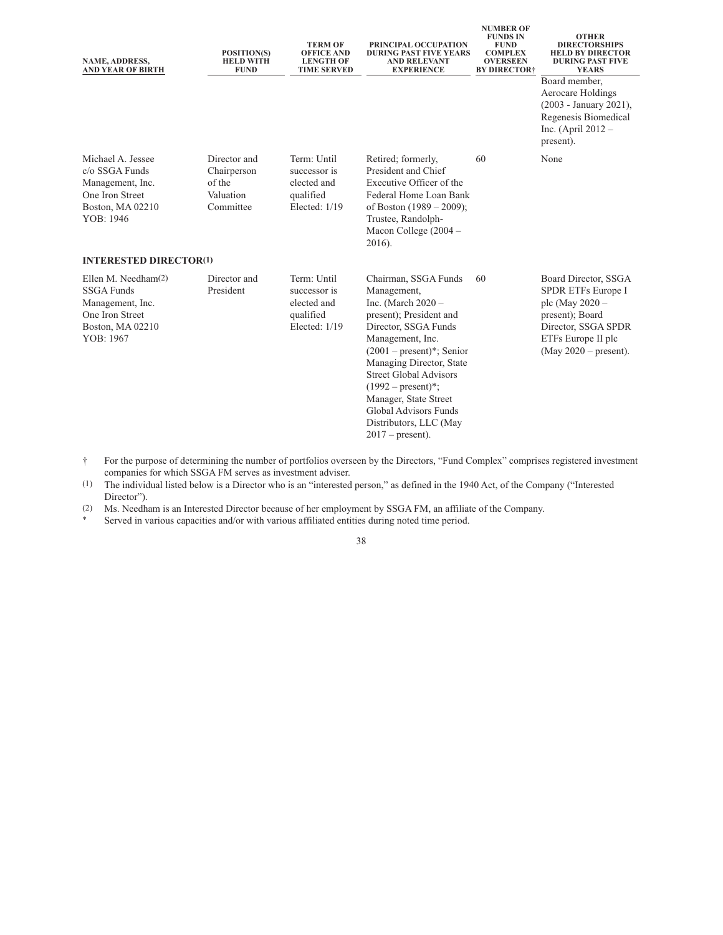| <b>NAME, ADDRESS,</b><br><b>AND YEAR OF BIRTH</b>                                                                 | POSITION(S)<br><b>HELD WITH</b><br><b>FUND</b>                  | <b>TERM OF</b><br><b>OFFICE AND</b><br><b>LENGTH OF</b><br><b>TIME SERVED</b> | PRINCIPAL OCCUPATION<br><b>DURING PAST FIVE YEARS</b><br><b>AND RELEVANT</b><br><b>EXPERIENCE</b>                                                                                                                                                                                                                                                         | <b>NUMBER OF</b><br><b>FUNDS IN</b><br><b>FUND</b><br><b>COMPLEX</b><br><b>OVERSEEN</b><br><b>BY DIRECTOR†</b> | <b>OTHER</b><br><b>DIRECTORSHIPS</b><br><b>HELD BY DIRECTOR</b><br><b>DURING PAST FIVE</b><br><b>YEARS</b>                                                 |
|-------------------------------------------------------------------------------------------------------------------|-----------------------------------------------------------------|-------------------------------------------------------------------------------|-----------------------------------------------------------------------------------------------------------------------------------------------------------------------------------------------------------------------------------------------------------------------------------------------------------------------------------------------------------|----------------------------------------------------------------------------------------------------------------|------------------------------------------------------------------------------------------------------------------------------------------------------------|
|                                                                                                                   |                                                                 |                                                                               |                                                                                                                                                                                                                                                                                                                                                           |                                                                                                                | Board member,<br>Aerocare Holdings<br>(2003 - January 2021),<br>Regenesis Biomedical<br>Inc. (April $2012 -$<br>present).                                  |
| Michael A. Jessee<br>$c$ / $o$ SSGA Funds<br>Management, Inc.<br>One Iron Street<br>Boston, MA 02210<br>YOB: 1946 | Director and<br>Chairperson<br>of the<br>Valuation<br>Committee | Term: Until<br>successor is<br>elected and<br>qualified<br>Elected: 1/19      | Retired; formerly,<br>President and Chief<br>Executive Officer of the<br>Federal Home Loan Bank<br>of Boston (1989 – 2009);<br>Trustee, Randolph-<br>Macon College (2004 -<br>2016).                                                                                                                                                                      | 60                                                                                                             | None                                                                                                                                                       |
| <b>INTERESTED DIRECTOR(1)</b>                                                                                     |                                                                 |                                                                               |                                                                                                                                                                                                                                                                                                                                                           |                                                                                                                |                                                                                                                                                            |
| Ellen M. Needham(2)<br><b>SSGA Funds</b><br>Management, Inc.<br>One Iron Street<br>Boston, MA 02210<br>YOB: 1967  | Director and<br>President                                       | Term: Until<br>successor is<br>elected and<br>qualified<br>Elected: 1/19      | Chairman, SSGA Funds<br>Management,<br>Inc. (March $2020 -$<br>present); President and<br>Director, SSGA Funds<br>Management, Inc.<br>$(2001 - present)*$ ; Senior<br>Managing Director, State<br><b>Street Global Advisors</b><br>$(1992 - present)*;$<br>Manager, State Street<br>Global Advisors Funds<br>Distributors, LLC (May<br>$2017$ – present). | 60                                                                                                             | Board Director, SSGA<br>SPDR ETFs Europe I<br>plc (May $2020 -$<br>present); Board<br>Director, SSGA SPDR<br>ETFs Europe II plc<br>$(May 2020 - present).$ |

† For the purpose of determining the number of portfolios overseen by the Directors, "Fund Complex" comprises registered investment companies for which SSGA FM serves as investment adviser.

(1) The individual listed below is a Director who is an "interested person," as defined in the 1940 Act, of the Company ("Interested Director").

(2) Ms. Needham is an Interested Director because of her employment by SSGA FM, an affiliate of the Company.

Served in various capacities and/or with various affiliated entities during noted time period.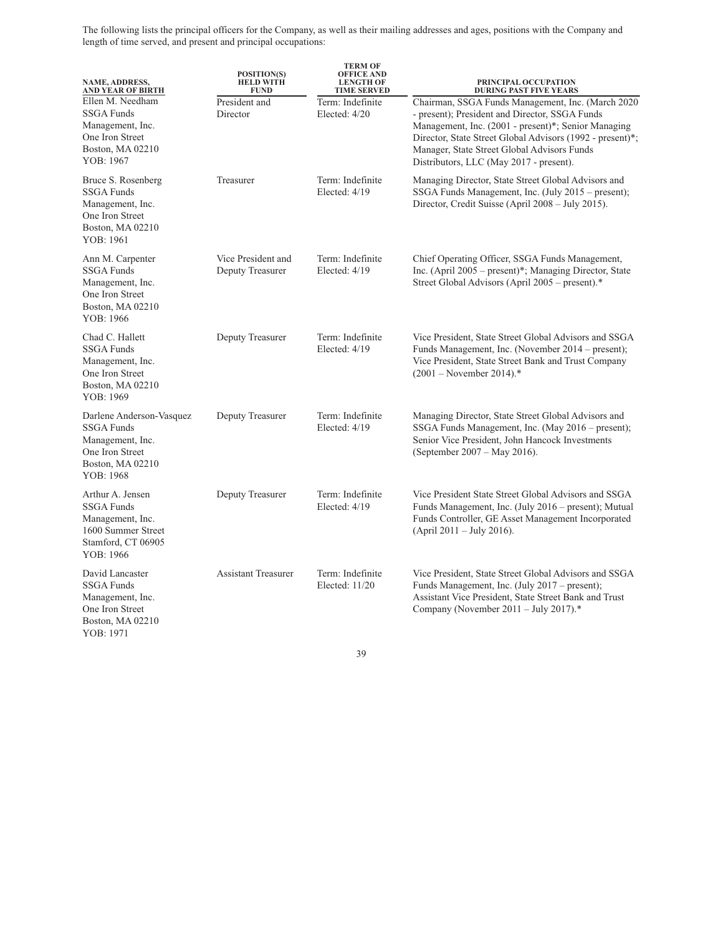The following lists the principal officers for the Company, as well as their mailing addresses and ages, positions with the Company and length of time served, and present and principal occupations:

| <b>NAME, ADDRESS,</b><br>AND YEAR OF BIRTH<br>Ellen M. Needham<br><b>SSGA Funds</b><br>Management, Inc.<br>One Iron Street<br>Boston, MA 02210<br>YOB: 1967 | POSITION(S)<br><b>HELD WITH</b><br><b>FUND</b><br>President and<br>Director | <b>TERM OF</b><br><b>OFFICE AND</b><br><b>LENGTH OF</b><br><b>TIME SERVED</b><br>Term: Indefinite<br>Elected: 4/20 | PRINCIPAL OCCUPATION<br><b>DURING PAST FIVE YEARS</b><br>Chairman, SSGA Funds Management, Inc. (March 2020<br>- present); President and Director, SSGA Funds<br>Management, Inc. (2001 - present)*; Senior Managing<br>Director, State Street Global Advisors (1992 - present)*;<br>Manager, State Street Global Advisors Funds<br>Distributors, LLC (May 2017 - present). |
|-------------------------------------------------------------------------------------------------------------------------------------------------------------|-----------------------------------------------------------------------------|--------------------------------------------------------------------------------------------------------------------|----------------------------------------------------------------------------------------------------------------------------------------------------------------------------------------------------------------------------------------------------------------------------------------------------------------------------------------------------------------------------|
| Bruce S. Rosenberg<br><b>SSGA Funds</b><br>Management, Inc.<br>One Iron Street<br>Boston, MA 02210<br>YOB: 1961                                             | Treasurer                                                                   | Term: Indefinite<br>Elected: 4/19                                                                                  | Managing Director, State Street Global Advisors and<br>SSGA Funds Management, Inc. (July 2015 – present);<br>Director, Credit Suisse (April 2008 - July 2015).                                                                                                                                                                                                             |
| Ann M. Carpenter<br><b>SSGA Funds</b><br>Management, Inc.<br>One Iron Street<br>Boston, MA 02210<br>YOB: 1966                                               | Vice President and<br>Deputy Treasurer                                      | Term: Indefinite<br>Elected: 4/19                                                                                  | Chief Operating Officer, SSGA Funds Management,<br>Inc. (April 2005 – present)*; Managing Director, State<br>Street Global Advisors (April 2005 – present).*                                                                                                                                                                                                               |
| Chad C. Hallett<br><b>SSGA Funds</b><br>Management, Inc.<br>One Iron Street<br>Boston, MA 02210<br>YOB: 1969                                                | Deputy Treasurer                                                            | Term: Indefinite<br>Elected: 4/19                                                                                  | Vice President, State Street Global Advisors and SSGA<br>Funds Management, Inc. (November 2014 – present);<br>Vice President, State Street Bank and Trust Company<br>$(2001 - November 2014).$ *                                                                                                                                                                           |
| Darlene Anderson-Vasquez<br><b>SSGA Funds</b><br>Management, Inc.<br>One Iron Street<br>Boston, MA 02210<br>YOB: 1968                                       | Deputy Treasurer                                                            | Term: Indefinite<br>Elected: 4/19                                                                                  | Managing Director, State Street Global Advisors and<br>SSGA Funds Management, Inc. (May 2016 – present);<br>Senior Vice President, John Hancock Investments<br>(September 2007 - May 2016).                                                                                                                                                                                |
| Arthur A. Jensen<br>SSGA Funds<br>Management, Inc.<br>1600 Summer Street<br>Stamford, CT 06905<br>YOB: 1966                                                 | Deputy Treasurer                                                            | Term: Indefinite<br>Elected: $4/19$                                                                                | Vice President State Street Global Advisors and SSGA<br>Funds Management, Inc. (July 2016 – present); Mutual<br>Funds Controller, GE Asset Management Incorporated<br>(April 2011 – July 2016).                                                                                                                                                                            |
| David Lancaster<br><b>SSGA Funds</b><br>Management, Inc.<br>One Iron Street<br>Boston, MA 02210<br>YOB: 1971                                                | <b>Assistant Treasurer</b>                                                  | Term: Indefinite<br>Elected: $11/20$                                                                               | Vice President, State Street Global Advisors and SSGA<br>Funds Management, Inc. (July 2017 – present);<br>Assistant Vice President, State Street Bank and Trust<br>Company (November 2011 - July 2017).*                                                                                                                                                                   |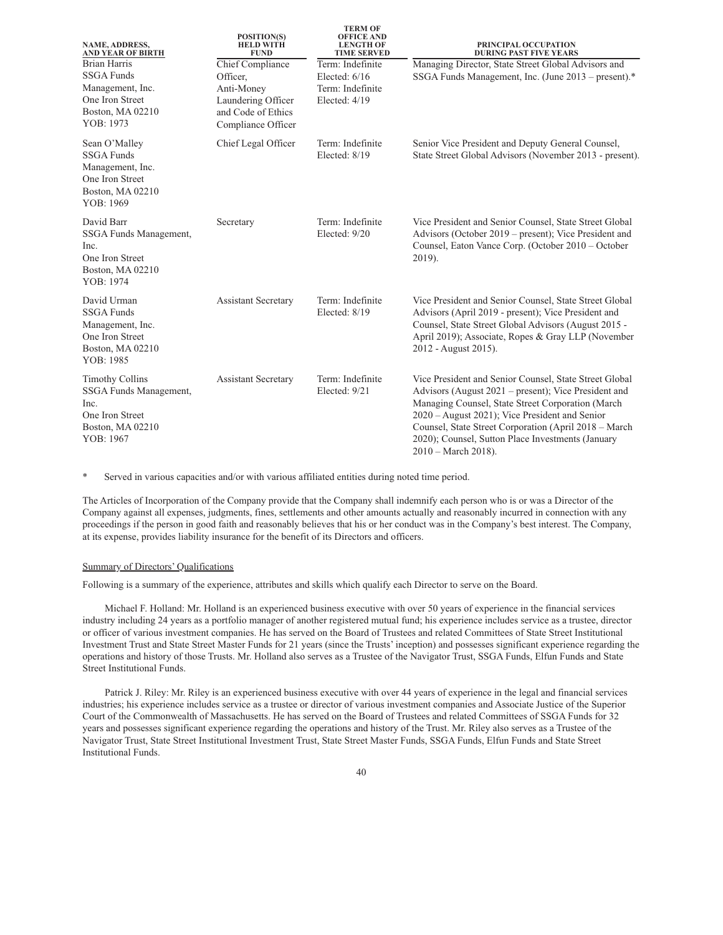| <b>NAME, ADDRESS,</b><br><b>AND YEAR OF BIRTH</b><br><b>Brian Harris</b>                                     | POSITION(S)<br><b>HELD WITH</b><br><b>FUND</b><br>Chief Compliance                       | <b>TERM OF</b><br><b>OFFICE AND</b><br><b>LENGTH OF</b><br><b>TIME SERVED</b><br>Term: Indefinite | PRINCIPAL OCCUPATION<br><b>DURING PAST FIVE YEARS</b><br>Managing Director, State Street Global Advisors and                                                                                                                                                                                                                                                     |
|--------------------------------------------------------------------------------------------------------------|------------------------------------------------------------------------------------------|---------------------------------------------------------------------------------------------------|------------------------------------------------------------------------------------------------------------------------------------------------------------------------------------------------------------------------------------------------------------------------------------------------------------------------------------------------------------------|
| <b>SSGA Funds</b><br>Management, Inc.<br>One Iron Street<br>Boston, MA 02210<br>YOB: 1973                    | Officer.<br>Anti-Money<br>Laundering Officer<br>and Code of Ethics<br>Compliance Officer | Elected: $6/16$<br>Term: Indefinite<br>Elected: 4/19                                              | SSGA Funds Management, Inc. (June 2013 – present).*                                                                                                                                                                                                                                                                                                              |
| Sean O'Malley<br><b>SSGA Funds</b><br>Management, Inc.<br>One Iron Street<br>Boston, MA 02210<br>YOB: 1969   | Chief Legal Officer                                                                      | Term: Indefinite<br>Elected: 8/19                                                                 | Senior Vice President and Deputy General Counsel,<br>State Street Global Advisors (November 2013 - present).                                                                                                                                                                                                                                                     |
| David Barr<br>SSGA Funds Management,<br>Inc.<br>One Iron Street<br>Boston, MA 02210<br>YOB: 1974             | Secretary                                                                                | Term: Indefinite<br>Elected: 9/20                                                                 | Vice President and Senior Counsel, State Street Global<br>Advisors (October 2019 – present); Vice President and<br>Counsel, Eaton Vance Corp. (October 2010 – October<br>2019).                                                                                                                                                                                  |
| David Urman<br><b>SSGA Funds</b><br>Management, Inc.<br>One Iron Street<br>Boston, MA 02210<br>YOB: 1985     | <b>Assistant Secretary</b>                                                               | Term: Indefinite<br>Elected: 8/19                                                                 | Vice President and Senior Counsel, State Street Global<br>Advisors (April 2019 - present); Vice President and<br>Counsel, State Street Global Advisors (August 2015 -<br>April 2019); Associate, Ropes & Gray LLP (November<br>2012 - August 2015).                                                                                                              |
| <b>Timothy Collins</b><br>SSGA Funds Management,<br>Inc.<br>One Iron Street<br>Boston, MA 02210<br>YOB: 1967 | <b>Assistant Secretary</b>                                                               | Term: Indefinite<br>Elected: 9/21                                                                 | Vice President and Senior Counsel, State Street Global<br>Advisors (August $2021$ – present); Vice President and<br>Managing Counsel, State Street Corporation (March<br>2020 – August 2021); Vice President and Senior<br>Counsel, State Street Corporation (April 2018 – March)<br>2020); Counsel, Sutton Place Investments (January<br>$2010 - March 2018$ ). |

\* Served in various capacities and/or with various affiliated entities during noted time period.

The Articles of Incorporation of the Company provide that the Company shall indemnify each person who is or was a Director of the Company against all expenses, judgments, fines, settlements and other amounts actually and reasonably incurred in connection with any proceedings if the person in good faith and reasonably believes that his or her conduct was in the Company's best interest. The Company, at its expense, provides liability insurance for the benefit of its Directors and officers.

## Summary of Directors' Qualifications

Following is a summary of the experience, attributes and skills which qualify each Director to serve on the Board.

Michael F. Holland: Mr. Holland is an experienced business executive with over 50 years of experience in the financial services industry including 24 years as a portfolio manager of another registered mutual fund; his experience includes service as a trustee, director or officer of various investment companies. He has served on the Board of Trustees and related Committees of State Street Institutional Investment Trust and State Street Master Funds for 21 years (since the Trusts' inception) and possesses significant experience regarding the operations and history of those Trusts. Mr. Holland also serves as a Trustee of the Navigator Trust, SSGA Funds, Elfun Funds and State Street Institutional Funds.

Patrick J. Riley: Mr. Riley is an experienced business executive with over 44 years of experience in the legal and financial services industries; his experience includes service as a trustee or director of various investment companies and Associate Justice of the Superior Court of the Commonwealth of Massachusetts. He has served on the Board of Trustees and related Committees of SSGA Funds for 32 years and possesses significant experience regarding the operations and history of the Trust. Mr. Riley also serves as a Trustee of the Navigator Trust, State Street Institutional Investment Trust, State Street Master Funds, SSGA Funds, Elfun Funds and State Street Institutional Funds.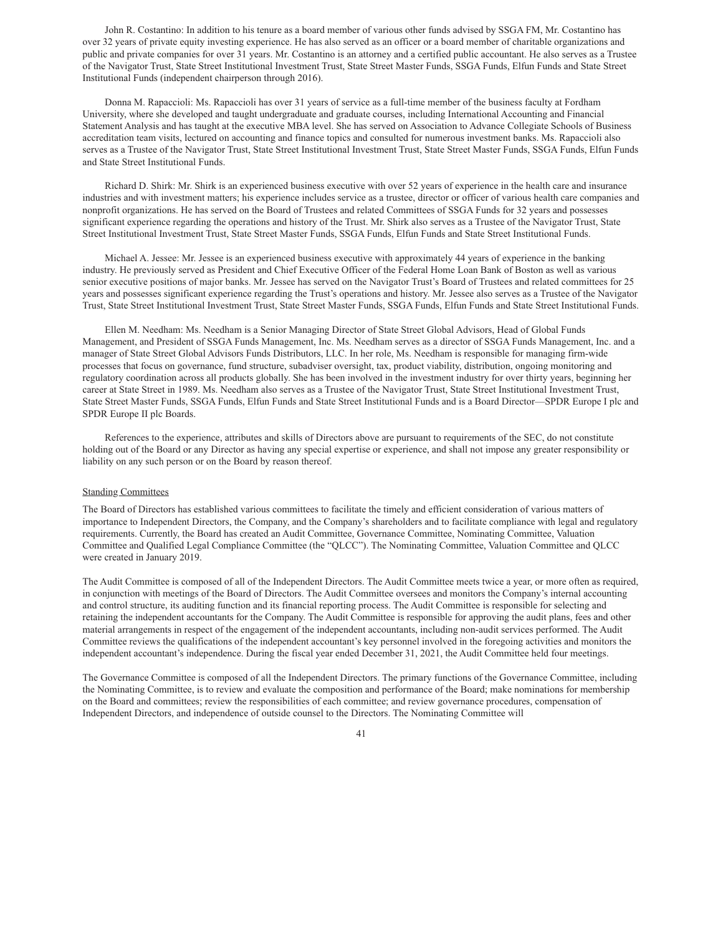John R. Costantino: In addition to his tenure as a board member of various other funds advised by SSGA FM, Mr. Costantino has over 32 years of private equity investing experience. He has also served as an officer or a board member of charitable organizations and public and private companies for over 31 years. Mr. Costantino is an attorney and a certified public accountant. He also serves as a Trustee of the Navigator Trust, State Street Institutional Investment Trust, State Street Master Funds, SSGA Funds, Elfun Funds and State Street Institutional Funds (independent chairperson through 2016).

Donna M. Rapaccioli: Ms. Rapaccioli has over 31 years of service as a full-time member of the business faculty at Fordham University, where she developed and taught undergraduate and graduate courses, including International Accounting and Financial Statement Analysis and has taught at the executive MBA level. She has served on Association to Advance Collegiate Schools of Business accreditation team visits, lectured on accounting and finance topics and consulted for numerous investment banks. Ms. Rapaccioli also serves as a Trustee of the Navigator Trust, State Street Institutional Investment Trust, State Street Master Funds, SSGA Funds, Elfun Funds and State Street Institutional Funds.

Richard D. Shirk: Mr. Shirk is an experienced business executive with over 52 years of experience in the health care and insurance industries and with investment matters; his experience includes service as a trustee, director or officer of various health care companies and nonprofit organizations. He has served on the Board of Trustees and related Committees of SSGA Funds for 32 years and possesses significant experience regarding the operations and history of the Trust. Mr. Shirk also serves as a Trustee of the Navigator Trust, State Street Institutional Investment Trust, State Street Master Funds, SSGA Funds, Elfun Funds and State Street Institutional Funds.

Michael A. Jessee: Mr. Jessee is an experienced business executive with approximately 44 years of experience in the banking industry. He previously served as President and Chief Executive Officer of the Federal Home Loan Bank of Boston as well as various senior executive positions of major banks. Mr. Jessee has served on the Navigator Trust's Board of Trustees and related committees for 25 years and possesses significant experience regarding the Trust's operations and history. Mr. Jessee also serves as a Trustee of the Navigator Trust, State Street Institutional Investment Trust, State Street Master Funds, SSGA Funds, Elfun Funds and State Street Institutional Funds.

Ellen M. Needham: Ms. Needham is a Senior Managing Director of State Street Global Advisors, Head of Global Funds Management, and President of SSGA Funds Management, Inc. Ms. Needham serves as a director of SSGA Funds Management, Inc. and a manager of State Street Global Advisors Funds Distributors, LLC. In her role, Ms. Needham is responsible for managing firm-wide processes that focus on governance, fund structure, subadviser oversight, tax, product viability, distribution, ongoing monitoring and regulatory coordination across all products globally. She has been involved in the investment industry for over thirty years, beginning her career at State Street in 1989. Ms. Needham also serves as a Trustee of the Navigator Trust, State Street Institutional Investment Trust, State Street Master Funds, SSGA Funds, Elfun Funds and State Street Institutional Funds and is a Board Director—SPDR Europe I plc and SPDR Europe II plc Boards.

References to the experience, attributes and skills of Directors above are pursuant to requirements of the SEC, do not constitute holding out of the Board or any Director as having any special expertise or experience, and shall not impose any greater responsibility or liability on any such person or on the Board by reason thereof.

## Standing Committees

The Board of Directors has established various committees to facilitate the timely and efficient consideration of various matters of importance to Independent Directors, the Company, and the Company's shareholders and to facilitate compliance with legal and regulatory requirements. Currently, the Board has created an Audit Committee, Governance Committee, Nominating Committee, Valuation Committee and Qualified Legal Compliance Committee (the "QLCC"). The Nominating Committee, Valuation Committee and QLCC were created in January 2019.

The Audit Committee is composed of all of the Independent Directors. The Audit Committee meets twice a year, or more often as required, in conjunction with meetings of the Board of Directors. The Audit Committee oversees and monitors the Company's internal accounting and control structure, its auditing function and its financial reporting process. The Audit Committee is responsible for selecting and retaining the independent accountants for the Company. The Audit Committee is responsible for approving the audit plans, fees and other material arrangements in respect of the engagement of the independent accountants, including non-audit services performed. The Audit Committee reviews the qualifications of the independent accountant's key personnel involved in the foregoing activities and monitors the independent accountant's independence. During the fiscal year ended December 31, 2021, the Audit Committee held four meetings.

The Governance Committee is composed of all the Independent Directors. The primary functions of the Governance Committee, including the Nominating Committee, is to review and evaluate the composition and performance of the Board; make nominations for membership on the Board and committees; review the responsibilities of each committee; and review governance procedures, compensation of Independent Directors, and independence of outside counsel to the Directors. The Nominating Committee will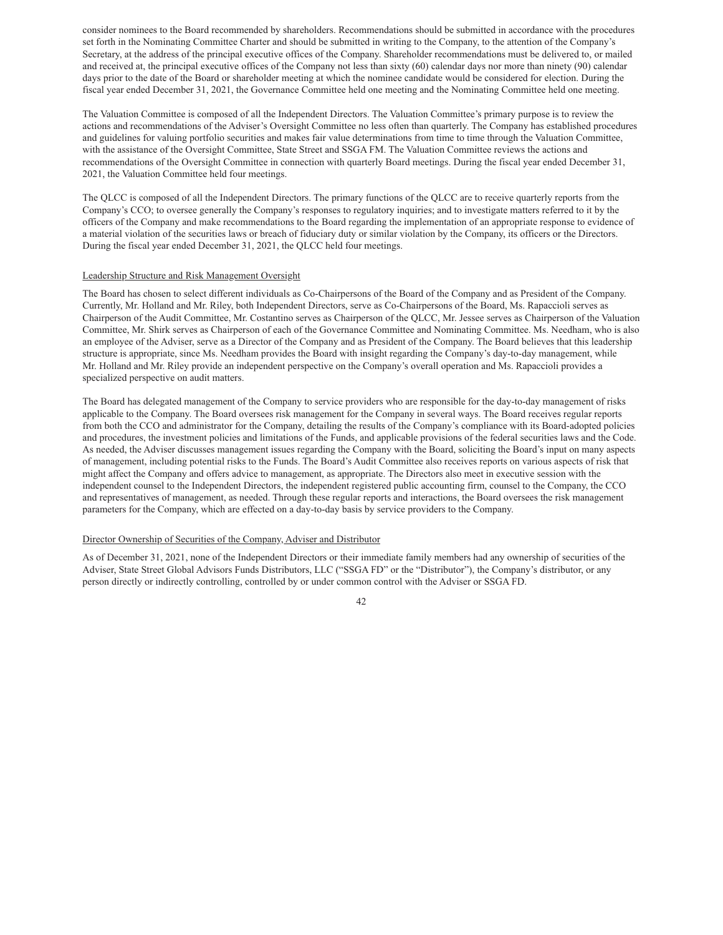consider nominees to the Board recommended by shareholders. Recommendations should be submitted in accordance with the procedures set forth in the Nominating Committee Charter and should be submitted in writing to the Company, to the attention of the Company's Secretary, at the address of the principal executive offices of the Company. Shareholder recommendations must be delivered to, or mailed and received at, the principal executive offices of the Company not less than sixty (60) calendar days nor more than ninety (90) calendar days prior to the date of the Board or shareholder meeting at which the nominee candidate would be considered for election. During the fiscal year ended December 31, 2021, the Governance Committee held one meeting and the Nominating Committee held one meeting.

The Valuation Committee is composed of all the Independent Directors. The Valuation Committee's primary purpose is to review the actions and recommendations of the Adviser's Oversight Committee no less often than quarterly. The Company has established procedures and guidelines for valuing portfolio securities and makes fair value determinations from time to time through the Valuation Committee, with the assistance of the Oversight Committee, State Street and SSGA FM. The Valuation Committee reviews the actions and recommendations of the Oversight Committee in connection with quarterly Board meetings. During the fiscal year ended December 31, 2021, the Valuation Committee held four meetings.

The QLCC is composed of all the Independent Directors. The primary functions of the QLCC are to receive quarterly reports from the Company's CCO; to oversee generally the Company's responses to regulatory inquiries; and to investigate matters referred to it by the officers of the Company and make recommendations to the Board regarding the implementation of an appropriate response to evidence of a material violation of the securities laws or breach of fiduciary duty or similar violation by the Company, its officers or the Directors. During the fiscal year ended December 31, 2021, the QLCC held four meetings.

#### Leadership Structure and Risk Management Oversight

The Board has chosen to select different individuals as Co-Chairpersons of the Board of the Company and as President of the Company. Currently, Mr. Holland and Mr. Riley, both Independent Directors, serve as Co-Chairpersons of the Board, Ms. Rapaccioli serves as Chairperson of the Audit Committee, Mr. Costantino serves as Chairperson of the QLCC, Mr. Jessee serves as Chairperson of the Valuation Committee, Mr. Shirk serves as Chairperson of each of the Governance Committee and Nominating Committee. Ms. Needham, who is also an employee of the Adviser, serve as a Director of the Company and as President of the Company. The Board believes that this leadership structure is appropriate, since Ms. Needham provides the Board with insight regarding the Company's day-to-day management, while Mr. Holland and Mr. Riley provide an independent perspective on the Company's overall operation and Ms. Rapaccioli provides a specialized perspective on audit matters.

The Board has delegated management of the Company to service providers who are responsible for the day-to-day management of risks applicable to the Company. The Board oversees risk management for the Company in several ways. The Board receives regular reports from both the CCO and administrator for the Company, detailing the results of the Company's compliance with its Board-adopted policies and procedures, the investment policies and limitations of the Funds, and applicable provisions of the federal securities laws and the Code. As needed, the Adviser discusses management issues regarding the Company with the Board, soliciting the Board's input on many aspects of management, including potential risks to the Funds. The Board's Audit Committee also receives reports on various aspects of risk that might affect the Company and offers advice to management, as appropriate. The Directors also meet in executive session with the independent counsel to the Independent Directors, the independent registered public accounting firm, counsel to the Company, the CCO and representatives of management, as needed. Through these regular reports and interactions, the Board oversees the risk management parameters for the Company, which are effected on a day-to-day basis by service providers to the Company.

# Director Ownership of Securities of the Company, Adviser and Distributor

As of December 31, 2021, none of the Independent Directors or their immediate family members had any ownership of securities of the Adviser, State Street Global Advisors Funds Distributors, LLC ("SSGA FD" or the "Distributor"), the Company's distributor, or any person directly or indirectly controlling, controlled by or under common control with the Adviser or SSGA FD.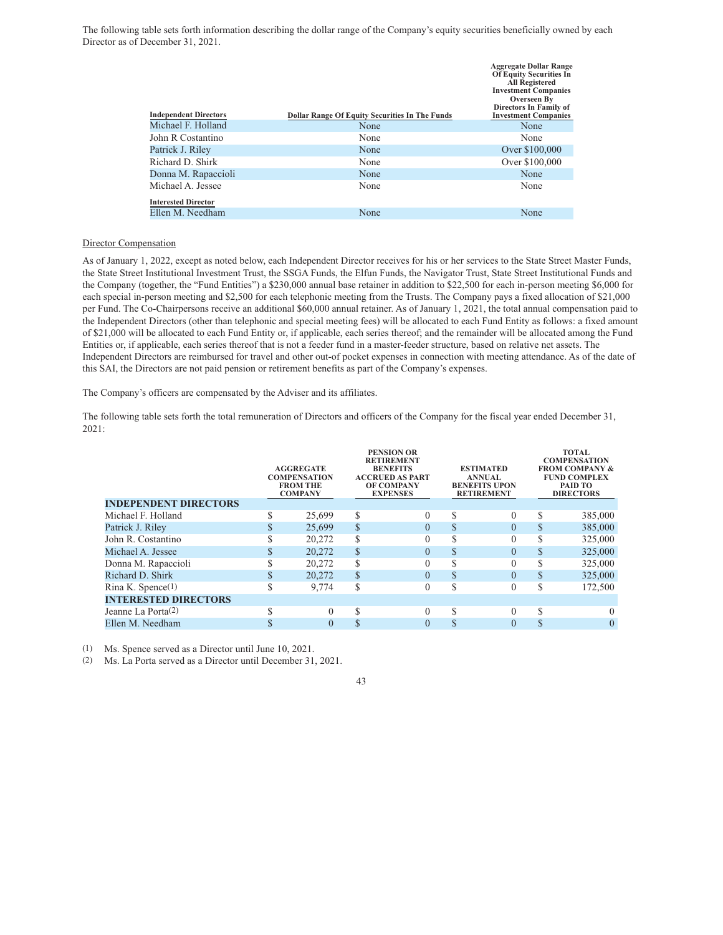The following table sets forth information describing the dollar range of the Company's equity securities beneficially owned by each Director as of December 31, 2021.

| <b>Independent Directors</b> | <b>Dollar Range Of Equity Securities In The Funds</b> | <b>Aggregate Dollar Range</b><br><b>Of Equity Securities In</b><br><b>All Registered</b><br><b>Investment Companies</b><br>Overseen By<br><b>Directors In Family of</b><br><b>Investment Companies</b> |
|------------------------------|-------------------------------------------------------|--------------------------------------------------------------------------------------------------------------------------------------------------------------------------------------------------------|
| Michael F. Holland           | None                                                  | None                                                                                                                                                                                                   |
| John R Costantino            | None                                                  | None                                                                                                                                                                                                   |
| Patrick J. Riley             | None                                                  | Over \$100,000                                                                                                                                                                                         |
| Richard D. Shirk             | None                                                  | Over \$100,000                                                                                                                                                                                         |
| Donna M. Rapaccioli          | None                                                  | None                                                                                                                                                                                                   |
| Michael A. Jessee            | None                                                  | None                                                                                                                                                                                                   |
| <b>Interested Director</b>   |                                                       |                                                                                                                                                                                                        |
| Ellen M. Needham             | None                                                  | None                                                                                                                                                                                                   |

## Director Compensation

As of January 1, 2022, except as noted below, each Independent Director receives for his or her services to the State Street Master Funds, the State Street Institutional Investment Trust, the SSGA Funds, the Elfun Funds, the Navigator Trust, State Street Institutional Funds and the Company (together, the "Fund Entities") a \$230,000 annual base retainer in addition to \$22,500 for each in-person meeting \$6,000 for each special in-person meeting and \$2,500 for each telephonic meeting from the Trusts. The Company pays a fixed allocation of \$21,000 per Fund. The Co-Chairpersons receive an additional \$60,000 annual retainer. As of January 1, 2021, the total annual compensation paid to the Independent Directors (other than telephonic and special meeting fees) will be allocated to each Fund Entity as follows: a fixed amount of \$21,000 will be allocated to each Fund Entity or, if applicable, each series thereof; and the remainder will be allocated among the Fund Entities or, if applicable, each series thereof that is not a feeder fund in a master-feeder structure, based on relative net assets. The Independent Directors are reimbursed for travel and other out-of pocket expenses in connection with meeting attendance. As of the date of this SAI, the Directors are not paid pension or retirement benefits as part of the Company's expenses.

The Company's officers are compensated by the Adviser and its affiliates.

The following table sets forth the total remuneration of Directors and officers of the Company for the fiscal year ended December 31, 2021:

|                              |    | <b>AGGREGATE</b><br><b>COMPENSATION</b><br><b>FROM THE</b><br><b>COMPANY</b> |    | PENSION OR<br><b>RETIREMENT</b><br><b>BENEFITS</b><br><b>ACCRUED AS PART</b><br><b>OF COMPANY</b><br><b>EXPENSES</b> |        | <b>ESTIMATED</b><br><b>ANNUAL</b><br><b>BENEFITS UPON</b><br><b>RETIREMENT</b> |          | <b>TOTAL</b><br><b>COMPENSATION</b><br><b>FROM COMPANY &amp;</b><br><b>FUND COMPLEX</b><br>PAID TO<br><b>DIRECTORS</b> |
|------------------------------|----|------------------------------------------------------------------------------|----|----------------------------------------------------------------------------------------------------------------------|--------|--------------------------------------------------------------------------------|----------|------------------------------------------------------------------------------------------------------------------------|
| <b>INDEPENDENT DIRECTORS</b> |    |                                                                              |    |                                                                                                                      |        |                                                                                |          |                                                                                                                        |
| Michael F. Holland           | \$ | 25,699                                                                       | S  | $\left($                                                                                                             | S      | $\Omega$                                                                       | \$.      | 385,000                                                                                                                |
| Patrick J. Riley             | \$ | 25,699                                                                       | \$ | $\theta$                                                                                                             |        | $\Omega$                                                                       | <b>S</b> | 385,000                                                                                                                |
| John R. Costantino           | \$ | 20,272                                                                       | S  | 0                                                                                                                    |        | $\Omega$                                                                       | S        | 325,000                                                                                                                |
| Michael A. Jessee            | \$ | 20,272                                                                       | \$ | $\Omega$                                                                                                             | \$.    | $\Omega$                                                                       | \$.      | 325,000                                                                                                                |
| Donna M. Rapaccioli          | \$ | 20,272                                                                       | \$ | $\Omega$                                                                                                             | ¢<br>ъ | $\Omega$                                                                       | S        | 325,000                                                                                                                |
| Richard D. Shirk             | \$ | 20,272                                                                       | \$ | $\Omega$                                                                                                             | S      | $\Omega$                                                                       | \$       | 325,000                                                                                                                |
| Rina K. Spence $(1)$         | \$ | 9.774                                                                        | \$ | $\theta$                                                                                                             | S      | $\Omega$                                                                       | S        | 172,500                                                                                                                |
| <b>INTERESTED DIRECTORS</b>  |    |                                                                              |    |                                                                                                                      |        |                                                                                |          |                                                                                                                        |
| Jeanne La Porta $(2)$        | S  | $\Omega$                                                                     | \$ | $\Omega$                                                                                                             | S      | $\Omega$                                                                       | S        | $\Omega$                                                                                                               |
| Ellen M. Needham             | \$ | 0                                                                            | J. | $\Omega$                                                                                                             | ъ      | $\theta$                                                                       | \$       | $\Omega$                                                                                                               |
|                              |    |                                                                              |    |                                                                                                                      |        |                                                                                |          |                                                                                                                        |

(1) Ms. Spence served as a Director until June 10, 2021.

(2) Ms. La Porta served as a Director until December 31, 2021.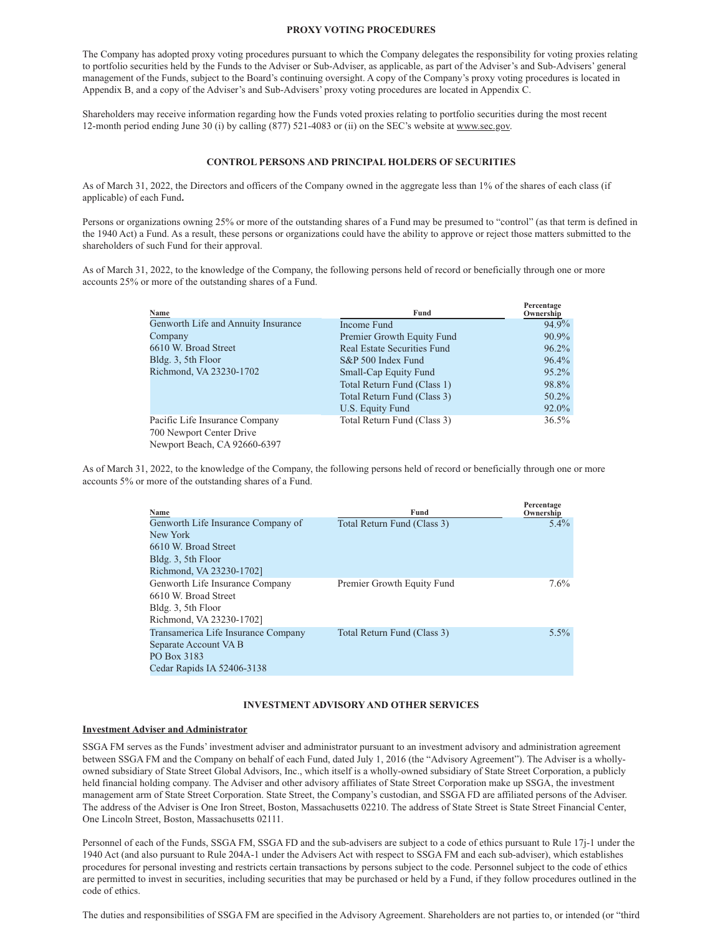#### **PROXY VOTING PROCEDURES**

The Company has adopted proxy voting procedures pursuant to which the Company delegates the responsibility for voting proxies relating to portfolio securities held by the Funds to the Adviser or Sub-Adviser, as applicable, as part of the Adviser's and Sub-Advisers' general management of the Funds, subject to the Board's continuing oversight. A copy of the Company's proxy voting procedures is located in Appendix B, and a copy of the Adviser's and Sub-Advisers' proxy voting procedures are located in Appendix C.

Shareholders may receive information regarding how the Funds voted proxies relating to portfolio securities during the most recent 12-month period ending June 30 (i) by calling (877) 521-4083 or (ii) on the SEC's website at www.sec.gov.

# **CONTROL PERSONS AND PRINCIPAL HOLDERS OF SECURITIES**

As of March 31, 2022, the Directors and officers of the Company owned in the aggregate less than 1% of the shares of each class (if applicable) of each Fund**.**

Persons or organizations owning 25% or more of the outstanding shares of a Fund may be presumed to "control" (as that term is defined in the 1940 Act) a Fund. As a result, these persons or organizations could have the ability to approve or reject those matters submitted to the shareholders of such Fund for their approval.

As of March 31, 2022, to the knowledge of the Company, the following persons held of record or beneficially through one or more accounts 25% or more of the outstanding shares of a Fund.

| Name                                                                                       | Fund                               | Percentage<br>Ownership |
|--------------------------------------------------------------------------------------------|------------------------------------|-------------------------|
| Genworth Life and Annuity Insurance                                                        | Income Fund                        | 94.9%                   |
| Company                                                                                    | Premier Growth Equity Fund         | $90.9\%$                |
| 6610 W. Broad Street                                                                       | <b>Real Estate Securities Fund</b> | $96.2\%$                |
| Bldg. 3, 5th Floor                                                                         | S&P 500 Index Fund                 | $96.4\%$                |
| Richmond, VA 23230-1702                                                                    | Small-Cap Equity Fund              | $95.2\%$                |
|                                                                                            | Total Return Fund (Class 1)        | 98.8%                   |
|                                                                                            | Total Return Fund (Class 3)        | 50.2%                   |
|                                                                                            | U.S. Equity Fund                   | 92.0%                   |
| Pacific Life Insurance Company<br>700 Newport Center Drive<br>Newport Beach, CA 92660-6397 | Total Return Fund (Class 3)        | $36.5\%$                |

As of March 31, 2022, to the knowledge of the Company, the following persons held of record or beneficially through one or more accounts 5% or more of the outstanding shares of a Fund.

| Name                                | Fund                        | Percentage<br>Ownership |
|-------------------------------------|-----------------------------|-------------------------|
| Genworth Life Insurance Company of  | Total Return Fund (Class 3) | $5.4\%$                 |
| New York                            |                             |                         |
| 6610 W. Broad Street                |                             |                         |
| Bldg. 3, 5th Floor                  |                             |                         |
| Richmond, VA 23230-1702]            |                             |                         |
| Genworth Life Insurance Company     | Premier Growth Equity Fund  | $7.6\%$                 |
| 6610 W. Broad Street                |                             |                         |
| Bldg. 3, 5th Floor                  |                             |                         |
| Richmond, VA 23230-1702]            |                             |                         |
| Transamerica Life Insurance Company | Total Return Fund (Class 3) | $5.5\%$                 |
| Separate Account VA B               |                             |                         |
| PO Box 3183                         |                             |                         |
| Cedar Rapids IA 52406-3138          |                             |                         |

# **INVESTMENT ADVISORY AND OTHER SERVICES**

#### **Investment Adviser and Administrator**

SSGA FM serves as the Funds' investment adviser and administrator pursuant to an investment advisory and administration agreement between SSGA FM and the Company on behalf of each Fund, dated July 1, 2016 (the "Advisory Agreement"). The Adviser is a whollyowned subsidiary of State Street Global Advisors, Inc., which itself is a wholly-owned subsidiary of State Street Corporation, a publicly held financial holding company. The Adviser and other advisory affiliates of State Street Corporation make up SSGA, the investment management arm of State Street Corporation. State Street, the Company's custodian, and SSGA FD are affiliated persons of the Adviser. The address of the Adviser is One Iron Street, Boston, Massachusetts 02210. The address of State Street is State Street Financial Center, One Lincoln Street, Boston, Massachusetts 02111.

Personnel of each of the Funds, SSGA FM, SSGA FD and the sub-advisers are subject to a code of ethics pursuant to Rule 17j-1 under the 1940 Act (and also pursuant to Rule 204A-1 under the Advisers Act with respect to SSGA FM and each sub-adviser), which establishes procedures for personal investing and restricts certain transactions by persons subject to the code. Personnel subject to the code of ethics are permitted to invest in securities, including securities that may be purchased or held by a Fund, if they follow procedures outlined in the code of ethics.

The duties and responsibilities of SSGA FM are specified in the Advisory Agreement. Shareholders are not parties to, or intended (or "third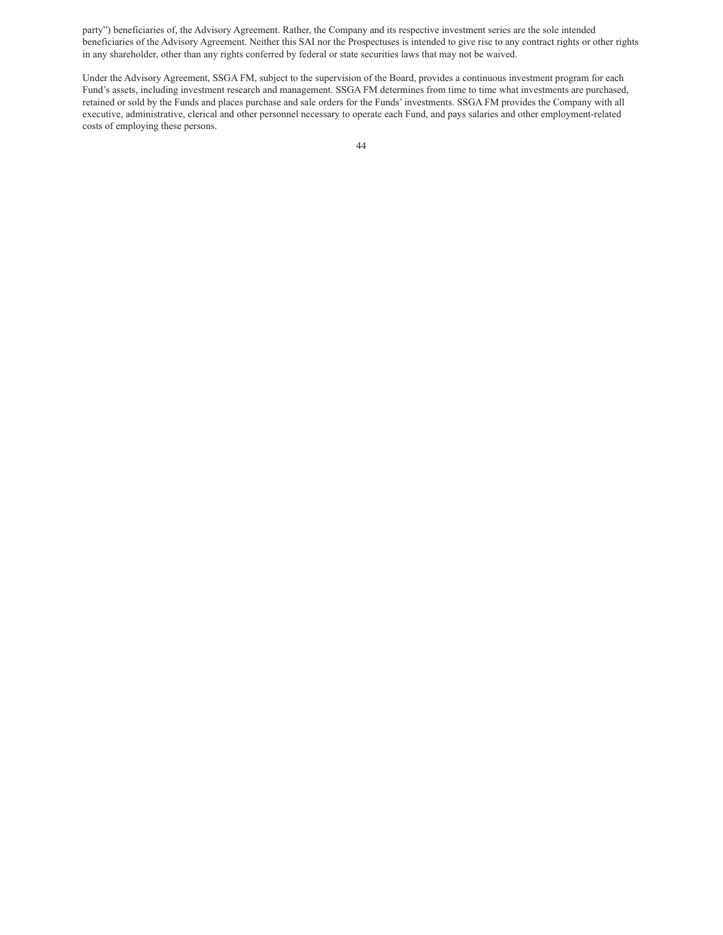party") beneficiaries of, the Advisory Agreement. Rather, the Company and its respective investment series are the sole intended beneficiaries of the Advisory Agreement. Neither this SAI nor the Prospectuses is intended to give rise to any contract rights or other rights in any shareholder, other than any rights conferred by federal or state securities laws that may not be waived.

Under the Advisory Agreement, SSGA FM, subject to the supervision of the Board, provides a continuous investment program for each Fund's assets, including investment research and management. SSGA FM determines from time to time what investments are purchased, retained or sold by the Funds and places purchase and sale orders for the Funds' investments. SSGA FM provides the Company with all executive, administrative, clerical and other personnel necessary to operate each Fund, and pays salaries and other employment-related costs of employing these persons.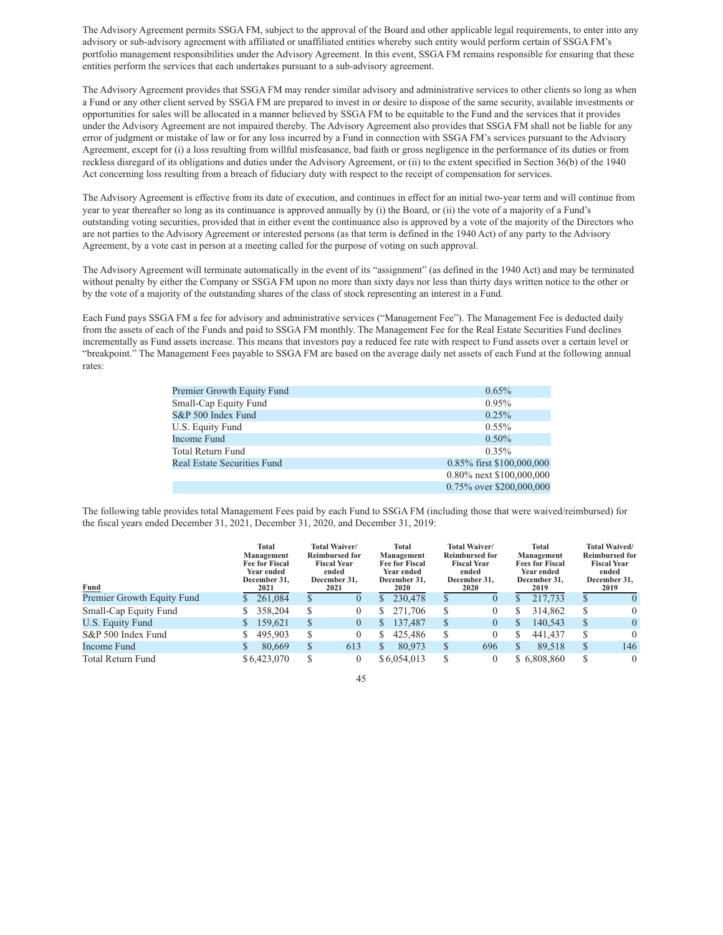The Advisory Agreement permits SSGA FM, subject to the approval of the Board and other applicable legal requirements, to enter into any advisory or sub-advisory agreement with affiliated or unaffiliated entities whereby such entity would perform certain of SSGA FM's portfolio management responsibilities under the Advisory Agreement. In this event, SSGA FM remains responsible for ensuring that these entities perform the services that each undertakes pursuant to a sub-advisory agreement.

The Advisory Agreement provides that SSGA FM may render similar advisory and administrative services to other clients so long as when a Fund or any other client served by SSGA FM are prepared to invest in or desire to dispose of the same security, available investments or opportunities for sales will be allocated in a manner believed by SSGA FM to be equitable to the Fund and the services that it provides under the Advisory Agreement are not impaired thereby. The Advisory Agreement also provides that SSGA FM shall not be liable for any error of judgment or mistake of law or for any loss incurred by a Fund in connection with SSGA FM's services pursuant to the Advisory Agreement, except for (i) a loss resulting from willful misfeasance, bad faith or gross negligence in the performance of its duties or from reckless disregard of its obligations and duties under the Advisory Agreement, or (ii) to the extent specified in Section 36(b) of the 1940 Act concerning loss resulting from a breach of fiduciary duty with respect to the receipt of compensation for services.

The Advisory Agreement is effective from its date of execution, and continues in effect for an initial two-year term and will continue from year to year thereafter so long as its continuance is approved annually by (i) the Board, or (ii) the vote of a majority of a Fund's outstanding voting securities, provided that in either event the continuance also is approved by a vote of the majority of the Directors who are not parties to the Advisory Agreement or interested persons (as that term is defined in the 1940 Act) of any party to the Advisory Agreement, by a vote cast in person at a meeting called for the purpose of voting on such approval.

The Advisory Agreement will terminate automatically in the event of its "assignment" (as defined in the 1940 Act) and may be terminated without penalty by either the Company or SSGA FM upon no more than sixty days nor less than thirty days written notice to the other or by the vote of a majority of the outstanding shares of the class of stock representing an interest in a Fund.

Each Fund pays SSGA FM a fee for advisory and administrative services ("Management Fee"). The Management Fee is deducted daily from the assets of each of the Funds and paid to SSGA FM monthly. The Management Fee for the Real Estate Securities Fund declines incrementally as Fund assets increase. This means that investors pay a reduced fee rate with respect to Fund assets over a certain level or "breakpoint." The Management Fees payable to SSGA FM are based on the average daily net assets of each Fund at the following annual rates:

| Premier Growth Equity Fund         | 0.65%                     |
|------------------------------------|---------------------------|
| Small-Cap Equity Fund              | 0.95%                     |
| S&P 500 Index Fund                 | 0.25%                     |
| U.S. Equity Fund                   | $0.55\%$                  |
| Income Fund                        | $0.50\%$                  |
| Total Return Fund                  | $0.35\%$                  |
| <b>Real Estate Securities Fund</b> | 0.85% first \$100,000,000 |
|                                    | 0.80% next \$100,000,000  |
|                                    | 0.75% over \$200,000,000  |

The following table provides total Management Fees paid by each Fund to SSGA FM (including those that were waived/reimbursed) for the fiscal years ended December 31, 2021, December 31, 2020, and December 31, 2019:

| Fund                       | <b>Total</b><br>Management<br><b>Fee for Fiscal</b><br>Year ended<br>December 31.<br>2021 | <b>Total Waiver/</b><br><b>Reimbursed for</b><br><b>Fiscal Year</b><br>ended<br>December 31.<br>2021 | <b>Total</b><br>Management<br><b>Fee for Fiscal</b><br>Year ended<br>December 31.<br>2020 | <b>Total Waiver/</b><br><b>Reimbursed for</b><br><b>Fiscal Year</b><br>ended<br>December 31.<br>2020 | Total<br>Management<br><b>Fees for Fiscal</b><br>Year ended<br>December 31.<br>2019 | <b>Total Waived/</b><br><b>Reimbursed for</b><br><b>Fiscal Year</b><br>ended<br>December 31.<br>2019 |
|----------------------------|-------------------------------------------------------------------------------------------|------------------------------------------------------------------------------------------------------|-------------------------------------------------------------------------------------------|------------------------------------------------------------------------------------------------------|-------------------------------------------------------------------------------------|------------------------------------------------------------------------------------------------------|
| Premier Growth Equity Fund | 261,084                                                                                   | \$<br>$\theta$                                                                                       | 230,478                                                                                   | \$                                                                                                   | 217,733<br>S                                                                        | S<br>$\Omega$                                                                                        |
| Small-Cap Equity Fund      | 358,204                                                                                   | S                                                                                                    | 271,706                                                                                   |                                                                                                      | 314,862                                                                             | $\theta$<br>S                                                                                        |
| U.S. Equity Fund           | 159,621                                                                                   | \$<br>$\Omega$                                                                                       | 137,487<br>S.                                                                             | \$<br>$\Omega$                                                                                       | 140,543<br>\$                                                                       | S<br>$\theta$                                                                                        |
| S&P 500 Index Fund         | 495,903<br>S.                                                                             | \$                                                                                                   | 425,486                                                                                   | S                                                                                                    | 441.437                                                                             | S<br>$\Omega$                                                                                        |
| Income Fund                | 80,669                                                                                    | \$<br>613                                                                                            | 80,973<br>S                                                                               | 696                                                                                                  | 89.518<br>S                                                                         | 146<br>S                                                                                             |
| Total Return Fund          | \$6,423,070                                                                               | S                                                                                                    | \$6,054,013                                                                               |                                                                                                      | \$6,808,860                                                                         | S<br>$\Omega$                                                                                        |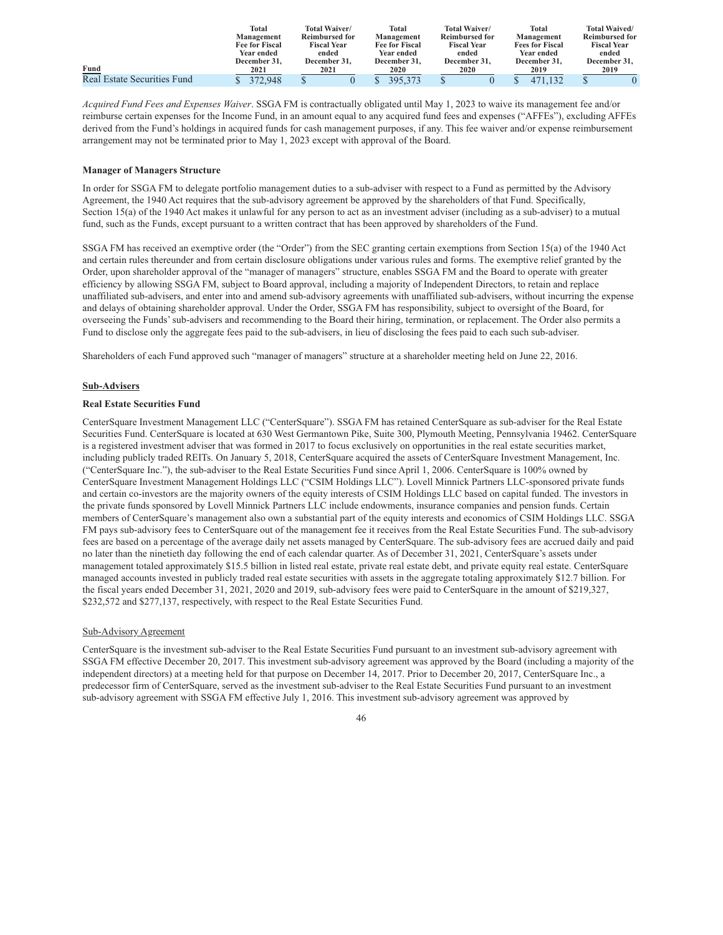|                             | Total                 | <b>Total Waiver/</b> | <b>Total</b>          | Total Waiver/         | Total                  | <b>Total Waived/</b> |
|-----------------------------|-----------------------|----------------------|-----------------------|-----------------------|------------------------|----------------------|
|                             | Management            | Reimbursed for       | Management            | <b>Reimbursed for</b> | Management             | Reimbursed for       |
|                             | <b>Fee for Fiscal</b> | <b>Fiscal Year</b>   | <b>Fee for Fiscal</b> | <b>Fiscal Year</b>    | <b>Fees for Fiscal</b> | <b>Fiscal Year</b>   |
|                             | Year ended            | ended                | Year ended            | ended                 | Year ended             | ended                |
|                             | December 31,          | December 31.         | December 31.          | December 31,          | December 31.           | December 31.         |
| Fund                        | 2021                  | 2021                 | 2020                  | 2020                  | 2019                   | 2019                 |
| Real Estate Securities Fund | 372,948               |                      | 395,373               |                       | 471.132                |                      |

*Acquired Fund Fees and Expenses Waiver*. SSGA FM is contractually obligated until May 1, 2023 to waive its management fee and/or reimburse certain expenses for the Income Fund, in an amount equal to any acquired fund fees and expenses ("AFFEs"), excluding AFFEs derived from the Fund's holdings in acquired funds for cash management purposes, if any. This fee waiver and/or expense reimbursement arrangement may not be terminated prior to May 1, 2023 except with approval of the Board.

## **Manager of Managers Structure**

In order for SSGA FM to delegate portfolio management duties to a sub-adviser with respect to a Fund as permitted by the Advisory Agreement, the 1940 Act requires that the sub-advisory agreement be approved by the shareholders of that Fund. Specifically, Section 15(a) of the 1940 Act makes it unlawful for any person to act as an investment adviser (including as a sub-adviser) to a mutual fund, such as the Funds, except pursuant to a written contract that has been approved by shareholders of the Fund.

SSGA FM has received an exemptive order (the "Order") from the SEC granting certain exemptions from Section 15(a) of the 1940 Act and certain rules thereunder and from certain disclosure obligations under various rules and forms. The exemptive relief granted by the Order, upon shareholder approval of the "manager of managers" structure, enables SSGA FM and the Board to operate with greater efficiency by allowing SSGA FM, subject to Board approval, including a majority of Independent Directors, to retain and replace unaffiliated sub-advisers, and enter into and amend sub-advisory agreements with unaffiliated sub-advisers, without incurring the expense and delays of obtaining shareholder approval. Under the Order, SSGA FM has responsibility, subject to oversight of the Board, for overseeing the Funds' sub-advisers and recommending to the Board their hiring, termination, or replacement. The Order also permits a Fund to disclose only the aggregate fees paid to the sub-advisers, in lieu of disclosing the fees paid to each such sub-adviser.

Shareholders of each Fund approved such "manager of managers" structure at a shareholder meeting held on June 22, 2016.

## **Sub-Advisers**

# **Real Estate Securities Fund**

CenterSquare Investment Management LLC ("CenterSquare"). SSGA FM has retained CenterSquare as sub-adviser for the Real Estate Securities Fund. CenterSquare is located at 630 West Germantown Pike, Suite 300, Plymouth Meeting, Pennsylvania 19462. CenterSquare is a registered investment adviser that was formed in 2017 to focus exclusively on opportunities in the real estate securities market, including publicly traded REITs. On January 5, 2018, CenterSquare acquired the assets of CenterSquare Investment Management, Inc. ("CenterSquare Inc."), the sub-adviser to the Real Estate Securities Fund since April 1, 2006. CenterSquare is 100% owned by CenterSquare Investment Management Holdings LLC ("CSIM Holdings LLC"). Lovell Minnick Partners LLC-sponsored private funds and certain co-investors are the majority owners of the equity interests of CSIM Holdings LLC based on capital funded. The investors in the private funds sponsored by Lovell Minnick Partners LLC include endowments, insurance companies and pension funds. Certain members of CenterSquare's management also own a substantial part of the equity interests and economics of CSIM Holdings LLC. SSGA FM pays sub-advisory fees to CenterSquare out of the management fee it receives from the Real Estate Securities Fund. The sub-advisory fees are based on a percentage of the average daily net assets managed by CenterSquare. The sub-advisory fees are accrued daily and paid no later than the ninetieth day following the end of each calendar quarter. As of December 31, 2021, CenterSquare's assets under management totaled approximately \$15.5 billion in listed real estate, private real estate debt, and private equity real estate. CenterSquare managed accounts invested in publicly traded real estate securities with assets in the aggregate totaling approximately \$12.7 billion. For the fiscal years ended December 31, 2021, 2020 and 2019, sub-advisory fees were paid to CenterSquare in the amount of \$219,327, \$232,572 and \$277,137, respectively, with respect to the Real Estate Securities Fund.

## Sub-Advisory Agreement

CenterSquare is the investment sub-adviser to the Real Estate Securities Fund pursuant to an investment sub-advisory agreement with SSGA FM effective December 20, 2017. This investment sub-advisory agreement was approved by the Board (including a majority of the independent directors) at a meeting held for that purpose on December 14, 2017. Prior to December 20, 2017, CenterSquare Inc., a predecessor firm of CenterSquare, served as the investment sub-adviser to the Real Estate Securities Fund pursuant to an investment sub-advisory agreement with SSGA FM effective July 1, 2016. This investment sub-advisory agreement was approved by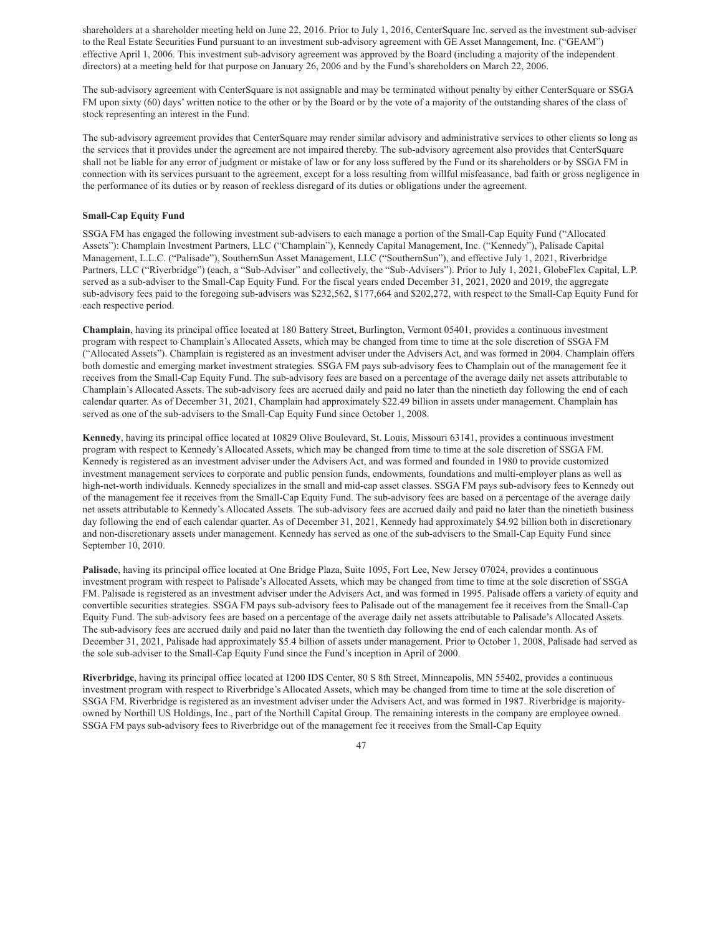shareholders at a shareholder meeting held on June 22, 2016. Prior to July 1, 2016, CenterSquare Inc. served as the investment sub-adviser to the Real Estate Securities Fund pursuant to an investment sub-advisory agreement with GE Asset Management, Inc. ("GEAM") effective April 1, 2006. This investment sub-advisory agreement was approved by the Board (including a majority of the independent directors) at a meeting held for that purpose on January 26, 2006 and by the Fund's shareholders on March 22, 2006.

The sub-advisory agreement with CenterSquare is not assignable and may be terminated without penalty by either CenterSquare or SSGA FM upon sixty (60) days' written notice to the other or by the Board or by the vote of a majority of the outstanding shares of the class of stock representing an interest in the Fund.

The sub-advisory agreement provides that CenterSquare may render similar advisory and administrative services to other clients so long as the services that it provides under the agreement are not impaired thereby. The sub-advisory agreement also provides that CenterSquare shall not be liable for any error of judgment or mistake of law or for any loss suffered by the Fund or its shareholders or by SSGA FM in connection with its services pursuant to the agreement, except for a loss resulting from willful misfeasance, bad faith or gross negligence in the performance of its duties or by reason of reckless disregard of its duties or obligations under the agreement.

## **Small-Cap Equity Fund**

SSGA FM has engaged the following investment sub-advisers to each manage a portion of the Small-Cap Equity Fund ("Allocated Assets"): Champlain Investment Partners, LLC ("Champlain"), Kennedy Capital Management, Inc. ("Kennedy"), Palisade Capital Management, L.L.C. ("Palisade"), SouthernSun Asset Management, LLC ("SouthernSun"), and effective July 1, 2021, Riverbridge Partners, LLC ("Riverbridge") (each, a "Sub-Adviser" and collectively, the "Sub-Advisers"). Prior to July 1, 2021, GlobeFlex Capital, L.P. served as a sub-adviser to the Small-Cap Equity Fund. For the fiscal years ended December 31, 2021, 2020 and 2019, the aggregate sub-advisory fees paid to the foregoing sub-advisers was \$232,562, \$177,664 and \$202,272, with respect to the Small-Cap Equity Fund for each respective period.

**Champlain**, having its principal office located at 180 Battery Street, Burlington, Vermont 05401, provides a continuous investment program with respect to Champlain's Allocated Assets, which may be changed from time to time at the sole discretion of SSGA FM ("Allocated Assets"). Champlain is registered as an investment adviser under the Advisers Act, and was formed in 2004. Champlain offers both domestic and emerging market investment strategies. SSGA FM pays sub-advisory fees to Champlain out of the management fee it receives from the Small-Cap Equity Fund. The sub-advisory fees are based on a percentage of the average daily net assets attributable to Champlain's Allocated Assets. The sub-advisory fees are accrued daily and paid no later than the ninetieth day following the end of each calendar quarter. As of December 31, 2021, Champlain had approximately \$22.49 billion in assets under management. Champlain has served as one of the sub-advisers to the Small-Cap Equity Fund since October 1, 2008.

**Kennedy**, having its principal office located at 10829 Olive Boulevard, St. Louis, Missouri 63141, provides a continuous investment program with respect to Kennedy's Allocated Assets, which may be changed from time to time at the sole discretion of SSGA FM. Kennedy is registered as an investment adviser under the Advisers Act, and was formed and founded in 1980 to provide customized investment management services to corporate and public pension funds, endowments, foundations and multi-employer plans as well as high-net-worth individuals. Kennedy specializes in the small and mid-cap asset classes. SSGA FM pays sub-advisory fees to Kennedy out of the management fee it receives from the Small-Cap Equity Fund. The sub-advisory fees are based on a percentage of the average daily net assets attributable to Kennedy's Allocated Assets. The sub-advisory fees are accrued daily and paid no later than the ninetieth business day following the end of each calendar quarter. As of December 31, 2021, Kennedy had approximately \$4.92 billion both in discretionary and non-discretionary assets under management. Kennedy has served as one of the sub-advisers to the Small-Cap Equity Fund since September 10, 2010.

**Palisade**, having its principal office located at One Bridge Plaza, Suite 1095, Fort Lee, New Jersey 07024, provides a continuous investment program with respect to Palisade's Allocated Assets, which may be changed from time to time at the sole discretion of SSGA FM. Palisade is registered as an investment adviser under the Advisers Act, and was formed in 1995. Palisade offers a variety of equity and convertible securities strategies. SSGA FM pays sub-advisory fees to Palisade out of the management fee it receives from the Small-Cap Equity Fund. The sub-advisory fees are based on a percentage of the average daily net assets attributable to Palisade's Allocated Assets. The sub-advisory fees are accrued daily and paid no later than the twentieth day following the end of each calendar month. As of December 31, 2021, Palisade had approximately \$5.4 billion of assets under management. Prior to October 1, 2008, Palisade had served as the sole sub-adviser to the Small-Cap Equity Fund since the Fund's inception in April of 2000.

**Riverbridge**, having its principal office located at 1200 IDS Center, 80 S 8th Street, Minneapolis, MN 55402, provides a continuous investment program with respect to Riverbridge's Allocated Assets, which may be changed from time to time at the sole discretion of SSGA FM. Riverbridge is registered as an investment adviser under the Advisers Act, and was formed in 1987. Riverbridge is majorityowned by Northill US Holdings, Inc., part of the Northill Capital Group. The remaining interests in the company are employee owned. SSGA FM pays sub-advisory fees to Riverbridge out of the management fee it receives from the Small-Cap Equity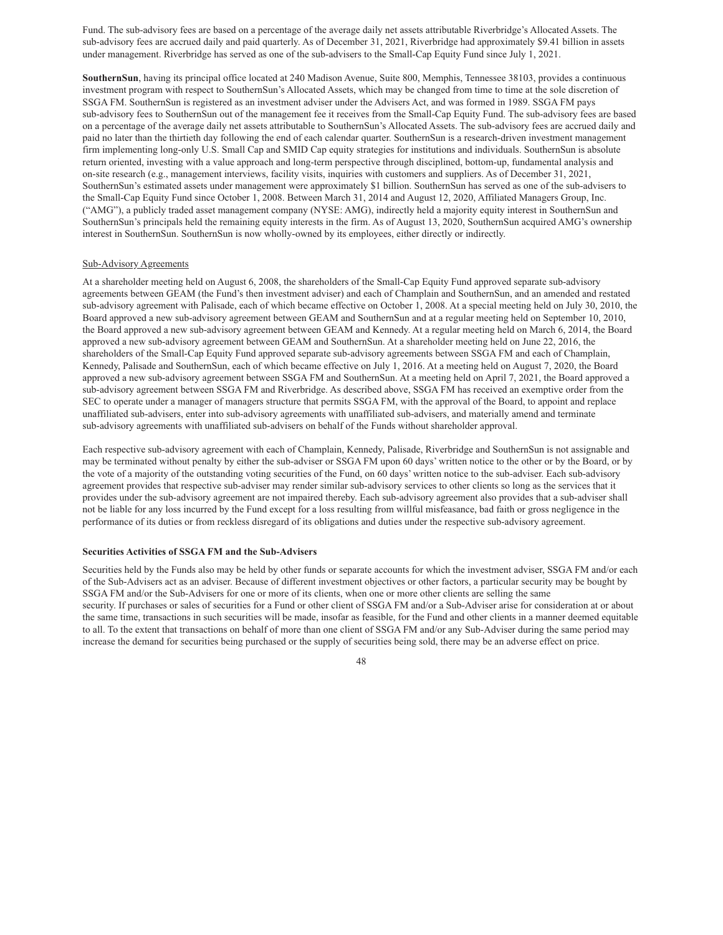Fund. The sub-advisory fees are based on a percentage of the average daily net assets attributable Riverbridge's Allocated Assets. The sub-advisory fees are accrued daily and paid quarterly. As of December 31, 2021, Riverbridge had approximately \$9.41 billion in assets under management. Riverbridge has served as one of the sub-advisers to the Small-Cap Equity Fund since July 1, 2021.

**SouthernSun**, having its principal office located at 240 Madison Avenue, Suite 800, Memphis, Tennessee 38103, provides a continuous investment program with respect to SouthernSun's Allocated Assets, which may be changed from time to time at the sole discretion of SSGA FM. SouthernSun is registered as an investment adviser under the Advisers Act, and was formed in 1989. SSGA FM pays sub-advisory fees to SouthernSun out of the management fee it receives from the Small-Cap Equity Fund. The sub-advisory fees are based on a percentage of the average daily net assets attributable to SouthernSun's Allocated Assets. The sub-advisory fees are accrued daily and paid no later than the thirtieth day following the end of each calendar quarter. SouthernSun is a research-driven investment management firm implementing long-only U.S. Small Cap and SMID Cap equity strategies for institutions and individuals. SouthernSun is absolute return oriented, investing with a value approach and long-term perspective through disciplined, bottom-up, fundamental analysis and on-site research (e.g., management interviews, facility visits, inquiries with customers and suppliers. As of December 31, 2021, SouthernSun's estimated assets under management were approximately \$1 billion. SouthernSun has served as one of the sub-advisers to the Small-Cap Equity Fund since October 1, 2008. Between March 31, 2014 and August 12, 2020, Affiliated Managers Group, Inc. ("AMG"), a publicly traded asset management company (NYSE: AMG), indirectly held a majority equity interest in SouthernSun and SouthernSun's principals held the remaining equity interests in the firm. As of August 13, 2020, SouthernSun acquired AMG's ownership interest in SouthernSun. SouthernSun is now wholly-owned by its employees, either directly or indirectly.

## Sub-Advisory Agreements

At a shareholder meeting held on August 6, 2008, the shareholders of the Small-Cap Equity Fund approved separate sub-advisory agreements between GEAM (the Fund's then investment adviser) and each of Champlain and SouthernSun, and an amended and restated sub-advisory agreement with Palisade, each of which became effective on October 1, 2008. At a special meeting held on July 30, 2010, the Board approved a new sub-advisory agreement between GEAM and SouthernSun and at a regular meeting held on September 10, 2010, the Board approved a new sub-advisory agreement between GEAM and Kennedy. At a regular meeting held on March 6, 2014, the Board approved a new sub-advisory agreement between GEAM and SouthernSun. At a shareholder meeting held on June 22, 2016, the shareholders of the Small-Cap Equity Fund approved separate sub-advisory agreements between SSGA FM and each of Champlain, Kennedy, Palisade and SouthernSun, each of which became effective on July 1, 2016. At a meeting held on August 7, 2020, the Board approved a new sub-advisory agreement between SSGA FM and SouthernSun. At a meeting held on April 7, 2021, the Board approved a sub-advisory agreement between SSGA FM and Riverbridge. As described above, SSGA FM has received an exemptive order from the SEC to operate under a manager of managers structure that permits SSGA FM, with the approval of the Board, to appoint and replace unaffiliated sub-advisers, enter into sub-advisory agreements with unaffiliated sub-advisers, and materially amend and terminate sub-advisory agreements with unaffiliated sub-advisers on behalf of the Funds without shareholder approval.

Each respective sub-advisory agreement with each of Champlain, Kennedy, Palisade, Riverbridge and SouthernSun is not assignable and may be terminated without penalty by either the sub-adviser or SSGA FM upon 60 days' written notice to the other or by the Board, or by the vote of a majority of the outstanding voting securities of the Fund, on 60 days' written notice to the sub-adviser. Each sub-advisory agreement provides that respective sub-adviser may render similar sub-advisory services to other clients so long as the services that it provides under the sub-advisory agreement are not impaired thereby. Each sub-advisory agreement also provides that a sub-adviser shall not be liable for any loss incurred by the Fund except for a loss resulting from willful misfeasance, bad faith or gross negligence in the performance of its duties or from reckless disregard of its obligations and duties under the respective sub-advisory agreement.

# **Securities Activities of SSGA FM and the Sub-Advisers**

Securities held by the Funds also may be held by other funds or separate accounts for which the investment adviser, SSGA FM and/or each of the Sub-Advisers act as an adviser. Because of different investment objectives or other factors, a particular security may be bought by SSGA FM and/or the Sub-Advisers for one or more of its clients, when one or more other clients are selling the same security. If purchases or sales of securities for a Fund or other client of SSGA FM and/or a Sub-Adviser arise for consideration at or about the same time, transactions in such securities will be made, insofar as feasible, for the Fund and other clients in a manner deemed equitable to all. To the extent that transactions on behalf of more than one client of SSGA FM and/or any Sub-Adviser during the same period may increase the demand for securities being purchased or the supply of securities being sold, there may be an adverse effect on price.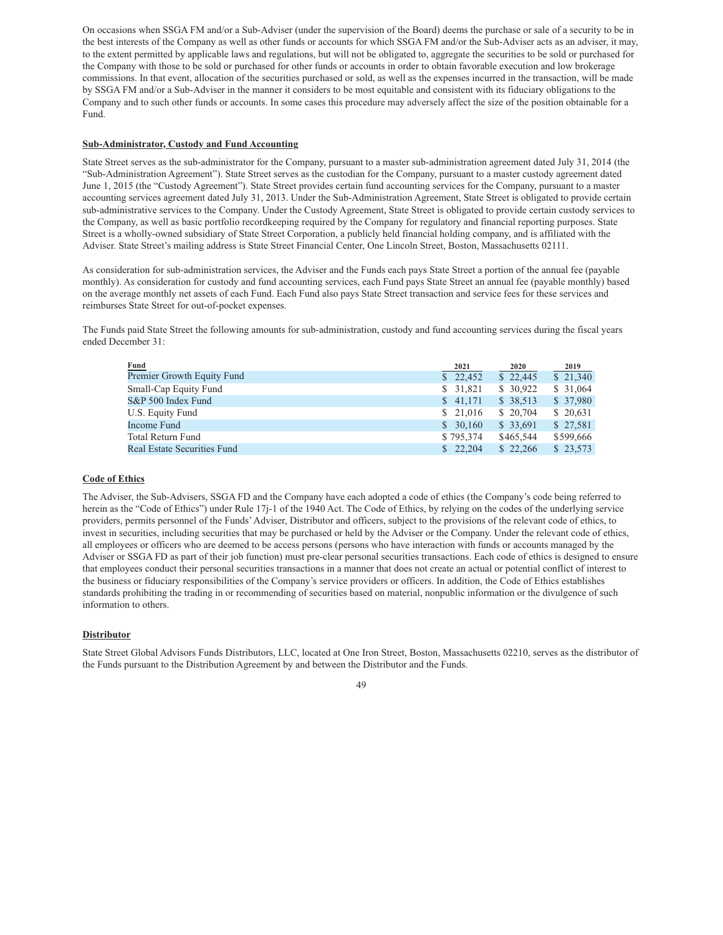On occasions when SSGA FM and/or a Sub-Adviser (under the supervision of the Board) deems the purchase or sale of a security to be in the best interests of the Company as well as other funds or accounts for which SSGA FM and/or the Sub-Adviser acts as an adviser, it may, to the extent permitted by applicable laws and regulations, but will not be obligated to, aggregate the securities to be sold or purchased for the Company with those to be sold or purchased for other funds or accounts in order to obtain favorable execution and low brokerage commissions. In that event, allocation of the securities purchased or sold, as well as the expenses incurred in the transaction, will be made by SSGA FM and/or a Sub-Adviser in the manner it considers to be most equitable and consistent with its fiduciary obligations to the Company and to such other funds or accounts. In some cases this procedure may adversely affect the size of the position obtainable for a Fund.

# **Sub-Administrator, Custody and Fund Accounting**

State Street serves as the sub-administrator for the Company, pursuant to a master sub-administration agreement dated July 31, 2014 (the "Sub-Administration Agreement"). State Street serves as the custodian for the Company, pursuant to a master custody agreement dated June 1, 2015 (the "Custody Agreement"). State Street provides certain fund accounting services for the Company, pursuant to a master accounting services agreement dated July 31, 2013. Under the Sub-Administration Agreement, State Street is obligated to provide certain sub-administrative services to the Company. Under the Custody Agreement, State Street is obligated to provide certain custody services to the Company, as well as basic portfolio recordkeeping required by the Company for regulatory and financial reporting purposes. State Street is a wholly-owned subsidiary of State Street Corporation, a publicly held financial holding company, and is affiliated with the Adviser. State Street's mailing address is State Street Financial Center, One Lincoln Street, Boston, Massachusetts 02111.

As consideration for sub-administration services, the Adviser and the Funds each pays State Street a portion of the annual fee (payable monthly). As consideration for custody and fund accounting services, each Fund pays State Street an annual fee (payable monthly) based on the average monthly net assets of each Fund. Each Fund also pays State Street transaction and service fees for these services and reimburses State Street for out-of-pocket expenses.

The Funds paid State Street the following amounts for sub-administration, custody and fund accounting services during the fiscal years ended December 31:

| <b>Fund</b>                        | 2021      | 2020      | 2019      |
|------------------------------------|-----------|-----------|-----------|
| Premier Growth Equity Fund         | \$22,452  | \$22,445  | \$21,340  |
| Small-Cap Equity Fund              | \$31,821  | \$ 30,922 | \$ 31,064 |
| S&P 500 Index Fund                 | \$41,171  | \$38,513  | \$ 37,980 |
| U.S. Equity Fund                   | \$21,016  | \$20,704  | \$20,631  |
| Income Fund                        | \$30,160  | \$33,691  | \$27,581  |
| Total Return Fund                  | \$795,374 | \$465,544 | \$599,666 |
| <b>Real Estate Securities Fund</b> | \$22,204  | \$22,266  | \$23,573  |

# **Code of Ethics**

The Adviser, the Sub-Advisers, SSGA FD and the Company have each adopted a code of ethics (the Company's code being referred to herein as the "Code of Ethics") under Rule 17<sup>-1</sup> of the 1940 Act. The Code of Ethics, by relying on the codes of the underlying service providers, permits personnel of the Funds' Adviser, Distributor and officers, subject to the provisions of the relevant code of ethics, to invest in securities, including securities that may be purchased or held by the Adviser or the Company. Under the relevant code of ethics, all employees or officers who are deemed to be access persons (persons who have interaction with funds or accounts managed by the Adviser or SSGA FD as part of their job function) must pre-clear personal securities transactions. Each code of ethics is designed to ensure that employees conduct their personal securities transactions in a manner that does not create an actual or potential conflict of interest to the business or fiduciary responsibilities of the Company's service providers or officers. In addition, the Code of Ethics establishes standards prohibiting the trading in or recommending of securities based on material, nonpublic information or the divulgence of such information to others.

## **Distributor**

State Street Global Advisors Funds Distributors, LLC, located at One Iron Street, Boston, Massachusetts 02210, serves as the distributor of the Funds pursuant to the Distribution Agreement by and between the Distributor and the Funds.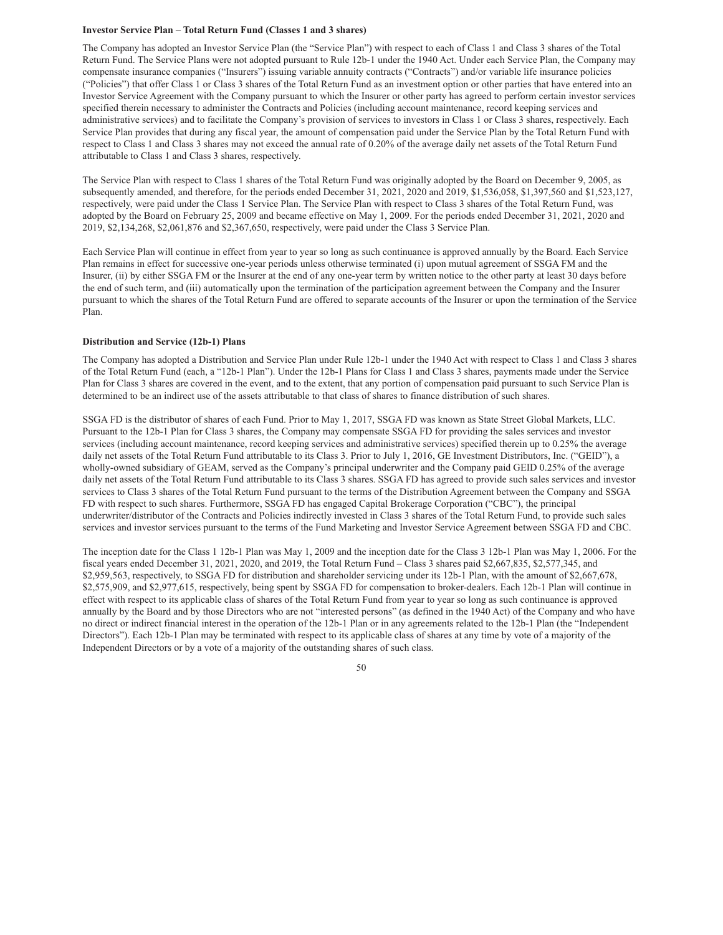## **Investor Service Plan – Total Return Fund (Classes 1 and 3 shares)**

The Company has adopted an Investor Service Plan (the "Service Plan") with respect to each of Class 1 and Class 3 shares of the Total Return Fund. The Service Plans were not adopted pursuant to Rule 12b-1 under the 1940 Act. Under each Service Plan, the Company may compensate insurance companies ("Insurers") issuing variable annuity contracts ("Contracts") and/or variable life insurance policies ("Policies") that offer Class 1 or Class 3 shares of the Total Return Fund as an investment option or other parties that have entered into an Investor Service Agreement with the Company pursuant to which the Insurer or other party has agreed to perform certain investor services specified therein necessary to administer the Contracts and Policies (including account maintenance, record keeping services and administrative services) and to facilitate the Company's provision of services to investors in Class 1 or Class 3 shares, respectively. Each Service Plan provides that during any fiscal year, the amount of compensation paid under the Service Plan by the Total Return Fund with respect to Class 1 and Class 3 shares may not exceed the annual rate of 0.20% of the average daily net assets of the Total Return Fund attributable to Class 1 and Class 3 shares, respectively.

The Service Plan with respect to Class 1 shares of the Total Return Fund was originally adopted by the Board on December 9, 2005, as subsequently amended, and therefore, for the periods ended December 31, 2021, 2020 and 2019, \$1,536,058, \$1,397,560 and \$1,523,127, respectively, were paid under the Class 1 Service Plan. The Service Plan with respect to Class 3 shares of the Total Return Fund, was adopted by the Board on February 25, 2009 and became effective on May 1, 2009. For the periods ended December 31, 2021, 2020 and 2019, \$2,134,268, \$2,061,876 and \$2,367,650, respectively, were paid under the Class 3 Service Plan.

Each Service Plan will continue in effect from year to year so long as such continuance is approved annually by the Board. Each Service Plan remains in effect for successive one-year periods unless otherwise terminated (i) upon mutual agreement of SSGA FM and the Insurer, (ii) by either SSGA FM or the Insurer at the end of any one-year term by written notice to the other party at least 30 days before the end of such term, and (iii) automatically upon the termination of the participation agreement between the Company and the Insurer pursuant to which the shares of the Total Return Fund are offered to separate accounts of the Insurer or upon the termination of the Service Plan.

## **Distribution and Service (12b-1) Plans**

The Company has adopted a Distribution and Service Plan under Rule 12b-1 under the 1940 Act with respect to Class 1 and Class 3 shares of the Total Return Fund (each, a "12b-1 Plan"). Under the 12b-1 Plans for Class 1 and Class 3 shares, payments made under the Service Plan for Class 3 shares are covered in the event, and to the extent, that any portion of compensation paid pursuant to such Service Plan is determined to be an indirect use of the assets attributable to that class of shares to finance distribution of such shares.

SSGA FD is the distributor of shares of each Fund. Prior to May 1, 2017, SSGA FD was known as State Street Global Markets, LLC. Pursuant to the 12b-1 Plan for Class 3 shares, the Company may compensate SSGA FD for providing the sales services and investor services (including account maintenance, record keeping services and administrative services) specified therein up to 0.25% the average daily net assets of the Total Return Fund attributable to its Class 3. Prior to July 1, 2016, GE Investment Distributors, Inc. ("GEID"), a wholly-owned subsidiary of GEAM, served as the Company's principal underwriter and the Company paid GEID 0.25% of the average daily net assets of the Total Return Fund attributable to its Class 3 shares. SSGA FD has agreed to provide such sales services and investor services to Class 3 shares of the Total Return Fund pursuant to the terms of the Distribution Agreement between the Company and SSGA FD with respect to such shares. Furthermore, SSGA FD has engaged Capital Brokerage Corporation ("CBC"), the principal underwriter/distributor of the Contracts and Policies indirectly invested in Class 3 shares of the Total Return Fund, to provide such sales services and investor services pursuant to the terms of the Fund Marketing and Investor Service Agreement between SSGA FD and CBC.

The inception date for the Class 1 12b-1 Plan was May 1, 2009 and the inception date for the Class 3 12b-1 Plan was May 1, 2006. For the fiscal years ended December 31, 2021, 2020, and 2019, the Total Return Fund – Class 3 shares paid \$2,667,835, \$2,577,345, and \$2,959,563, respectively, to SSGA FD for distribution and shareholder servicing under its 12b-1 Plan, with the amount of \$2,667,678, \$2,575,909, and \$2,977,615, respectively, being spent by SSGA FD for compensation to broker-dealers. Each 12b-1 Plan will continue in effect with respect to its applicable class of shares of the Total Return Fund from year to year so long as such continuance is approved annually by the Board and by those Directors who are not "interested persons" (as defined in the 1940 Act) of the Company and who have no direct or indirect financial interest in the operation of the 12b-1 Plan or in any agreements related to the 12b-1 Plan (the "Independent Directors"). Each 12b-1 Plan may be terminated with respect to its applicable class of shares at any time by vote of a majority of the Independent Directors or by a vote of a majority of the outstanding shares of such class.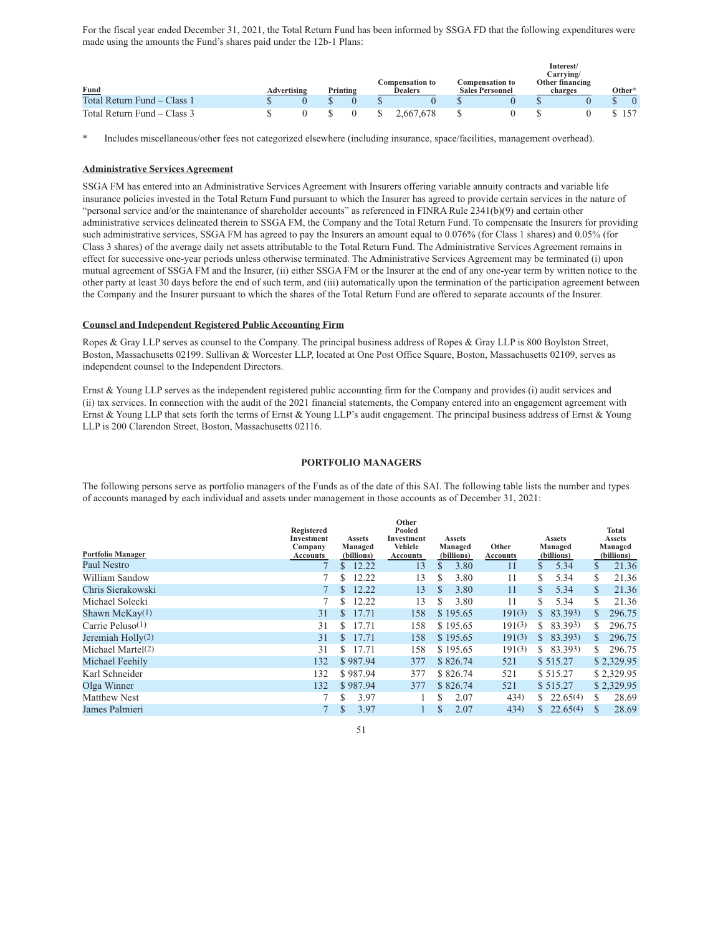For the fiscal year ended December 31, 2021, the Total Return Fund has been informed by SSGA FD that the following expenditures were made using the amounts the Fund's shares paid under the 12b-1 Plans:

|                             |             |          |                        |                        | Interest/ |                 |  |        |
|-----------------------------|-------------|----------|------------------------|------------------------|-----------|-----------------|--|--------|
|                             |             |          |                        |                        | Carrving/ |                 |  |        |
|                             |             |          | <b>Compensation to</b> | <b>Compensation to</b> |           | Other financing |  |        |
| Fund                        | Advertising | Printing | <b>Dealers</b>         | <b>Sales Personnel</b> |           | charges         |  | Other* |
| Total Return Fund – Class 1 |             |          |                        |                        |           |                 |  |        |
| Total Return Fund – Class 3 |             |          | 2.667.678              |                        |           |                 |  |        |

\* Includes miscellaneous/other fees not categorized elsewhere (including insurance, space/facilities, management overhead).

## **Administrative Services Agreement**

SSGA FM has entered into an Administrative Services Agreement with Insurers offering variable annuity contracts and variable life insurance policies invested in the Total Return Fund pursuant to which the Insurer has agreed to provide certain services in the nature of "personal service and/or the maintenance of shareholder accounts" as referenced in FINRA Rule 2341(b)(9) and certain other administrative services delineated therein to SSGA FM, the Company and the Total Return Fund. To compensate the Insurers for providing such administrative services, SSGA FM has agreed to pay the Insurers an amount equal to 0.076% (for Class 1 shares) and 0.05% (for Class 3 shares) of the average daily net assets attributable to the Total Return Fund. The Administrative Services Agreement remains in effect for successive one-year periods unless otherwise terminated. The Administrative Services Agreement may be terminated (i) upon mutual agreement of SSGA FM and the Insurer, (ii) either SSGA FM or the Insurer at the end of any one-year term by written notice to the other party at least 30 days before the end of such term, and (iii) automatically upon the termination of the participation agreement between the Company and the Insurer pursuant to which the shares of the Total Return Fund are offered to separate accounts of the Insurer.

# **Counsel and Independent Registered Public Accounting Firm**

Ropes & Gray LLP serves as counsel to the Company. The principal business address of Ropes & Gray LLP is 800 Boylston Street, Boston, Massachusetts 02199. Sullivan & Worcester LLP, located at One Post Office Square, Boston, Massachusetts 02109, serves as independent counsel to the Independent Directors.

Ernst & Young LLP serves as the independent registered public accounting firm for the Company and provides (i) audit services and (ii) tax services. In connection with the audit of the 2021 financial statements, the Company entered into an engagement agreement with Ernst & Young LLP that sets forth the terms of Ernst & Young LLP's audit engagement. The principal business address of Ernst & Young LLP is 200 Clarendon Street, Boston, Massachusetts 02116.

# **PORTFOLIO MANAGERS**

The following persons serve as portfolio managers of the Funds as of the date of this SAI. The following table lists the number and types of accounts managed by each individual and assets under management in those accounts as of December 31, 2021:

| <b>Portfolio Manager</b> | Registered<br>Investment<br>Company<br><b>Accounts</b> | <b>Assets</b><br>Managed<br>(billions) | Other<br>Pooled<br>Investment<br><b>Vehicle</b><br>Accounts | <b>Assets</b><br>Managed<br>(billions) | Other<br><b>Accounts</b> | Assets<br>Managed<br>(billions) | Total<br><b>Assets</b><br>Managed<br>(billions) |
|--------------------------|--------------------------------------------------------|----------------------------------------|-------------------------------------------------------------|----------------------------------------|--------------------------|---------------------------------|-------------------------------------------------|
| Paul Nestro              | 7                                                      | 12.22<br>$\mathcal{S}$                 | 13                                                          | \$<br>3.80                             | 11                       | \$<br>5.34                      | S.<br>21.36                                     |
| William Sandow           |                                                        | 12.22<br>\$                            | 13                                                          | \$<br>3.80                             | 11                       | \$<br>5.34                      | \$<br>21.36                                     |
| Chris Sierakowski        |                                                        | \$<br>12.22                            | 13                                                          | S<br>3.80                              | 11                       | \$<br>5.34                      | S.<br>21.36                                     |
| Michael Solecki          |                                                        | 12.22<br>S                             | 13                                                          | \$<br>3.80                             | 11                       | 5.34<br>S                       | \$<br>21.36                                     |
| Shawn McKay $(1)$        | 31                                                     | 17.71<br>S.                            | 158                                                         | \$195.65                               | 191(3)                   | 83.393)<br>S.                   | 296.75<br>\$                                    |
| Carrie Peluso $(1)$      | 31                                                     | 17.71<br>\$.                           | 158                                                         | \$195.65                               | 191(3)                   | 83.393)<br>S                    | 296.75<br>\$.                                   |
| Jeremiah $Holly(2)$      | 31                                                     | 17.71<br>\$                            | 158                                                         | \$195.65                               | 191(3)                   | 83.393)<br>\$.                  | 296.75<br>\$.                                   |
| Michael Martel(2)        | 31                                                     | 17.71<br>S.                            | 158                                                         | \$195.65                               | 191(3)                   | 83.393)<br>S.                   | 296.75<br>\$.                                   |
| Michael Feehily          | 132                                                    | \$987.94                               | 377                                                         | \$826.74                               | 521                      | \$515.27                        | \$2,329.95                                      |
| Karl Schneider           | 132                                                    | \$987.94                               | 377                                                         | \$826.74                               | 521                      | \$515.27                        | \$2,329.95                                      |
| Olga Winner              | 132                                                    | \$987.94                               | 377                                                         | \$826.74                               | 521                      | \$515.27                        | \$2,329.95                                      |
| <b>Matthew Nest</b>      |                                                        | 3.97<br>S                              |                                                             | S<br>2.07                              | 434)                     | \$22.65(4)                      | 28.69                                           |
| James Palmieri           |                                                        | 3.97<br>\$                             |                                                             | \$<br>2.07                             | 434)                     | 22.65(4)<br>\$.                 | 28.69<br>\$                                     |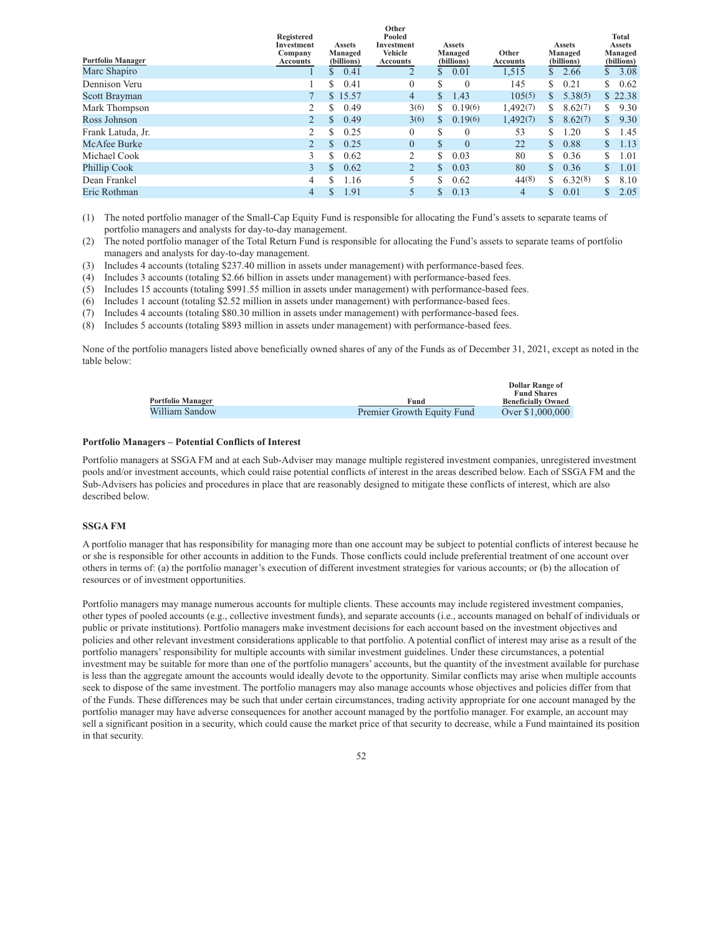| Registered<br>Investment<br>Company<br>Accounts | <b>Assets</b><br>Managed<br>(billions) | $\mathbf{\dot{\mathit{u}}}$<br>Pooled<br>Investment<br>Vehicle<br>Accounts |                |          | Other<br><b>Accounts</b>        |     |         |                                       | <b>Total</b><br>Assets<br>Managed<br>(billions) |
|-------------------------------------------------|----------------------------------------|----------------------------------------------------------------------------|----------------|----------|---------------------------------|-----|---------|---------------------------------------|-------------------------------------------------|
|                                                 | 0.41                                   |                                                                            |                | 0.01     | 1,515                           |     | 2.66    | S.                                    | 3.08                                            |
|                                                 | S<br>0.41                              | 0                                                                          | S              | $\theta$ | 145                             | S.  | 0.21    | S.                                    | 0.62                                            |
|                                                 | \$15.57                                | $\overline{4}$                                                             | $\mathbb{S}^-$ | 1.43     | 105(5)                          | S.  | 5.38(5) |                                       | \$22.38                                         |
| 2                                               | S<br>0.49                              | 3(6)                                                                       | S.             | 0.19(6)  | 1,492(7)                        | \$. | 8.62(7) | S.                                    | 9.30                                            |
| 2                                               | \$.<br>0.49                            | 3(6)                                                                       | S.             | 0.19(6)  | 1,492(7)                        | S.  | 8.62(7) | S.                                    | 9.30                                            |
| 2                                               | S<br>0.25                              | 0                                                                          | \$             | $\Omega$ | 53                              | \$  | 1.20    | S                                     | 1.45                                            |
| 2                                               | \$.<br>0.25                            | $\overline{0}$                                                             | \$             | $\Omega$ | 22                              | S.  | 0.88    | S.                                    | 1.13                                            |
| 3                                               | S<br>0.62                              | 2                                                                          | \$             | 0.03     | 80                              | S.  | 0.36    | \$                                    | 1.01                                            |
| 3                                               | \$<br>0.62                             | $\overline{2}$                                                             | $\mathbb{S}$   | 0.03     | 80                              | \$  | 0.36    | \$                                    | 1.01                                            |
| 4                                               | \$<br>1.16                             | 5                                                                          | S.             | 0.62     | 44(8)                           | S.  | 6.32(8) | \$                                    | 8.10                                            |
| $\overline{4}$                                  | 1.91<br>S                              | 5                                                                          | S.             | 0.13     | 4                               | S.  | 0.01    | \$                                    | 2.05                                            |
|                                                 |                                        |                                                                            |                |          | Assets<br>Managed<br>(billions) |     |         | Assets<br>Managed<br>(billions)<br>\$ |                                                 |

**Other**

(1) The noted portfolio manager of the Small-Cap Equity Fund is responsible for allocating the Fund's assets to separate teams of portfolio managers and analysts for day-to-day management.

- (2) The noted portfolio manager of the Total Return Fund is responsible for allocating the Fund's assets to separate teams of portfolio managers and analysts for day-to-day management.
- (3) Includes 4 accounts (totaling \$237.40 million in assets under management) with performance-based fees.
- (4) Includes 3 accounts (totaling \$2.66 billion in assets under management) with performance-based fees.
- (5) Includes 15 accounts (totaling \$991.55 million in assets under management) with performance-based fees.
- (6) Includes 1 account (totaling \$2.52 million in assets under management) with performance-based fees.
- (7) Includes 4 accounts (totaling \$80.30 million in assets under management) with performance-based fees.
- (8) Includes 5 accounts (totaling \$893 million in assets under management) with performance-based fees.

None of the portfolio managers listed above beneficially owned shares of any of the Funds as of December 31, 2021, except as noted in the table below:

**Dollar Range of**

|                          |                            | Dollar Range of           |
|--------------------------|----------------------------|---------------------------|
|                          |                            | <b>Fund Shares</b>        |
| <b>Portfolio Manager</b> | Fund                       | <b>Beneficially Owned</b> |
| William Sandow           | Premier Growth Equity Fund | Over \$1,000,000          |

### **Portfolio Managers – Potential Conflicts of Interest**

Portfolio managers at SSGA FM and at each Sub-Adviser may manage multiple registered investment companies, unregistered investment pools and/or investment accounts, which could raise potential conflicts of interest in the areas described below. Each of SSGA FM and the Sub-Advisers has policies and procedures in place that are reasonably designed to mitigate these conflicts of interest, which are also described below.

## **SSGA FM**

A portfolio manager that has responsibility for managing more than one account may be subject to potential conflicts of interest because he or she is responsible for other accounts in addition to the Funds. Those conflicts could include preferential treatment of one account over others in terms of: (a) the portfolio manager's execution of different investment strategies for various accounts; or (b) the allocation of resources or of investment opportunities.

Portfolio managers may manage numerous accounts for multiple clients. These accounts may include registered investment companies, other types of pooled accounts (e.g., collective investment funds), and separate accounts (i.e., accounts managed on behalf of individuals or public or private institutions). Portfolio managers make investment decisions for each account based on the investment objectives and policies and other relevant investment considerations applicable to that portfolio. A potential conflict of interest may arise as a result of the portfolio managers' responsibility for multiple accounts with similar investment guidelines. Under these circumstances, a potential investment may be suitable for more than one of the portfolio managers' accounts, but the quantity of the investment available for purchase is less than the aggregate amount the accounts would ideally devote to the opportunity. Similar conflicts may arise when multiple accounts seek to dispose of the same investment. The portfolio managers may also manage accounts whose objectives and policies differ from that of the Funds. These differences may be such that under certain circumstances, trading activity appropriate for one account managed by the portfolio manager may have adverse consequences for another account managed by the portfolio manager. For example, an account may sell a significant position in a security, which could cause the market price of that security to decrease, while a Fund maintained its position in that security.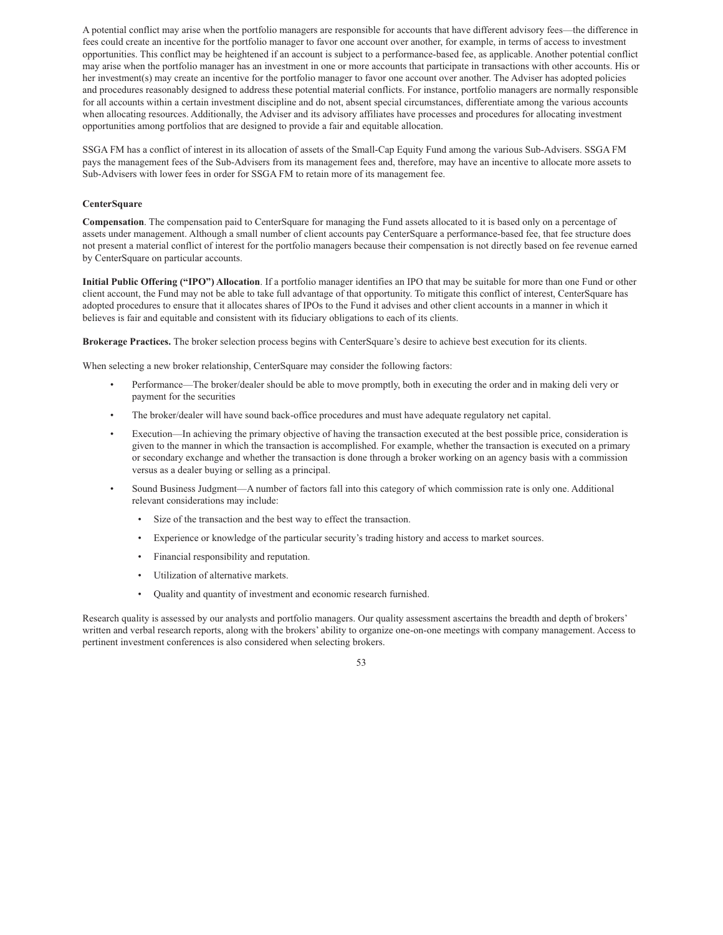A potential conflict may arise when the portfolio managers are responsible for accounts that have different advisory fees—the difference in fees could create an incentive for the portfolio manager to favor one account over another, for example, in terms of access to investment opportunities. This conflict may be heightened if an account is subject to a performance-based fee, as applicable. Another potential conflict may arise when the portfolio manager has an investment in one or more accounts that participate in transactions with other accounts. His or her investment(s) may create an incentive for the portfolio manager to favor one account over another. The Adviser has adopted policies and procedures reasonably designed to address these potential material conflicts. For instance, portfolio managers are normally responsible for all accounts within a certain investment discipline and do not, absent special circumstances, differentiate among the various accounts when allocating resources. Additionally, the Adviser and its advisory affiliates have processes and procedures for allocating investment opportunities among portfolios that are designed to provide a fair and equitable allocation.

SSGA FM has a conflict of interest in its allocation of assets of the Small-Cap Equity Fund among the various Sub-Advisers. SSGA FM pays the management fees of the Sub-Advisers from its management fees and, therefore, may have an incentive to allocate more assets to Sub-Advisers with lower fees in order for SSGA FM to retain more of its management fee.

## **CenterSquare**

**Compensation**. The compensation paid to CenterSquare for managing the Fund assets allocated to it is based only on a percentage of assets under management. Although a small number of client accounts pay CenterSquare a performance-based fee, that fee structure does not present a material conflict of interest for the portfolio managers because their compensation is not directly based on fee revenue earned by CenterSquare on particular accounts.

**Initial Public Offering ("IPO") Allocation**. If a portfolio manager identifies an IPO that may be suitable for more than one Fund or other client account, the Fund may not be able to take full advantage of that opportunity. To mitigate this conflict of interest, CenterSquare has adopted procedures to ensure that it allocates shares of IPOs to the Fund it advises and other client accounts in a manner in which it believes is fair and equitable and consistent with its fiduciary obligations to each of its clients.

**Brokerage Practices.** The broker selection process begins with CenterSquare's desire to achieve best execution for its clients.

When selecting a new broker relationship, CenterSquare may consider the following factors:

- Performance—The broker/dealer should be able to move promptly, both in executing the order and in making deli very or payment for the securities
- The broker/dealer will have sound back-office procedures and must have adequate regulatory net capital.
- Execution—In achieving the primary objective of having the transaction executed at the best possible price, consideration is given to the manner in which the transaction is accomplished. For example, whether the transaction is executed on a primary or secondary exchange and whether the transaction is done through a broker working on an agency basis with a commission versus as a dealer buying or selling as a principal.
- Sound Business Judgment—A number of factors fall into this category of which commission rate is only one. Additional relevant considerations may include:
	- Size of the transaction and the best way to effect the transaction.
	- Experience or knowledge of the particular security's trading history and access to market sources.
	- Financial responsibility and reputation.
	- Utilization of alternative markets.
	- Quality and quantity of investment and economic research furnished.

Research quality is assessed by our analysts and portfolio managers. Our quality assessment ascertains the breadth and depth of brokers' written and verbal research reports, along with the brokers' ability to organize one-on-one meetings with company management. Access to pertinent investment conferences is also considered when selecting brokers.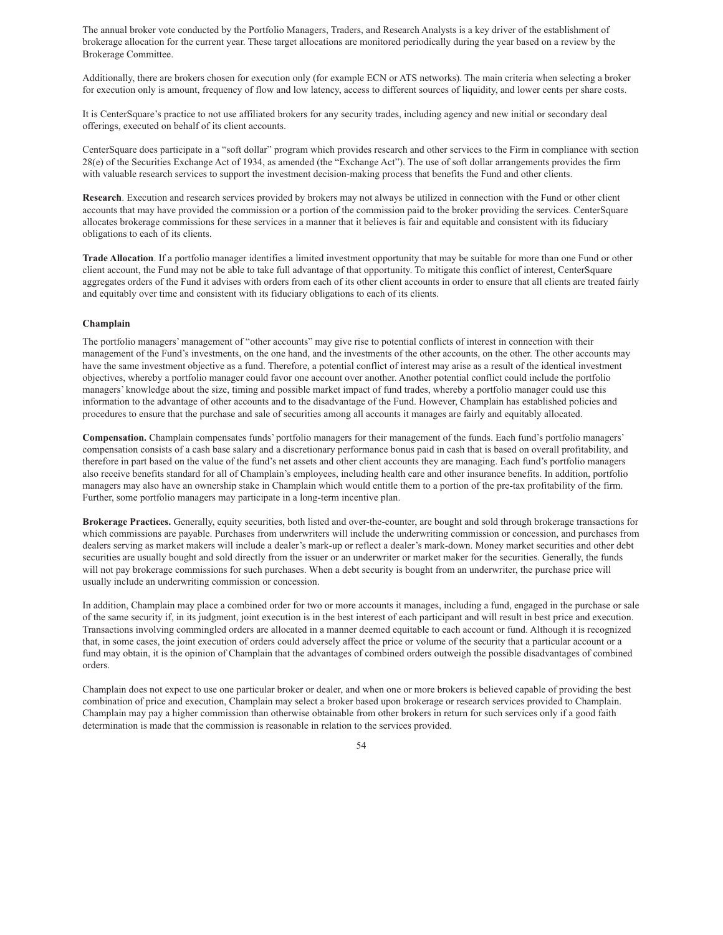The annual broker vote conducted by the Portfolio Managers, Traders, and Research Analysts is a key driver of the establishment of brokerage allocation for the current year. These target allocations are monitored periodically during the year based on a review by the Brokerage Committee.

Additionally, there are brokers chosen for execution only (for example ECN or ATS networks). The main criteria when selecting a broker for execution only is amount, frequency of flow and low latency, access to different sources of liquidity, and lower cents per share costs.

It is CenterSquare's practice to not use affiliated brokers for any security trades, including agency and new initial or secondary deal offerings, executed on behalf of its client accounts.

CenterSquare does participate in a "soft dollar" program which provides research and other services to the Firm in compliance with section 28(e) of the Securities Exchange Act of 1934, as amended (the "Exchange Act"). The use of soft dollar arrangements provides the firm with valuable research services to support the investment decision-making process that benefits the Fund and other clients.

**Research**. Execution and research services provided by brokers may not always be utilized in connection with the Fund or other client accounts that may have provided the commission or a portion of the commission paid to the broker providing the services. CenterSquare allocates brokerage commissions for these services in a manner that it believes is fair and equitable and consistent with its fiduciary obligations to each of its clients.

**Trade Allocation**. If a portfolio manager identifies a limited investment opportunity that may be suitable for more than one Fund or other client account, the Fund may not be able to take full advantage of that opportunity. To mitigate this conflict of interest, CenterSquare aggregates orders of the Fund it advises with orders from each of its other client accounts in order to ensure that all clients are treated fairly and equitably over time and consistent with its fiduciary obligations to each of its clients.

#### **Champlain**

The portfolio managers' management of "other accounts" may give rise to potential conflicts of interest in connection with their management of the Fund's investments, on the one hand, and the investments of the other accounts, on the other. The other accounts may have the same investment objective as a fund. Therefore, a potential conflict of interest may arise as a result of the identical investment objectives, whereby a portfolio manager could favor one account over another. Another potential conflict could include the portfolio managers' knowledge about the size, timing and possible market impact of fund trades, whereby a portfolio manager could use this information to the advantage of other accounts and to the disadvantage of the Fund. However, Champlain has established policies and procedures to ensure that the purchase and sale of securities among all accounts it manages are fairly and equitably allocated.

**Compensation.** Champlain compensates funds' portfolio managers for their management of the funds. Each fund's portfolio managers' compensation consists of a cash base salary and a discretionary performance bonus paid in cash that is based on overall profitability, and therefore in part based on the value of the fund's net assets and other client accounts they are managing. Each fund's portfolio managers also receive benefits standard for all of Champlain's employees, including health care and other insurance benefits. In addition, portfolio managers may also have an ownership stake in Champlain which would entitle them to a portion of the pre-tax profitability of the firm. Further, some portfolio managers may participate in a long-term incentive plan.

**Brokerage Practices.** Generally, equity securities, both listed and over-the-counter, are bought and sold through brokerage transactions for which commissions are payable. Purchases from underwriters will include the underwriting commission or concession, and purchases from dealers serving as market makers will include a dealer's mark-up or reflect a dealer's mark-down. Money market securities and other debt securities are usually bought and sold directly from the issuer or an underwriter or market maker for the securities. Generally, the funds will not pay brokerage commissions for such purchases. When a debt security is bought from an underwriter, the purchase price will usually include an underwriting commission or concession.

In addition, Champlain may place a combined order for two or more accounts it manages, including a fund, engaged in the purchase or sale of the same security if, in its judgment, joint execution is in the best interest of each participant and will result in best price and execution. Transactions involving commingled orders are allocated in a manner deemed equitable to each account or fund. Although it is recognized that, in some cases, the joint execution of orders could adversely affect the price or volume of the security that a particular account or a fund may obtain, it is the opinion of Champlain that the advantages of combined orders outweigh the possible disadvantages of combined orders.

Champlain does not expect to use one particular broker or dealer, and when one or more brokers is believed capable of providing the best combination of price and execution, Champlain may select a broker based upon brokerage or research services provided to Champlain. Champlain may pay a higher commission than otherwise obtainable from other brokers in return for such services only if a good faith determination is made that the commission is reasonable in relation to the services provided.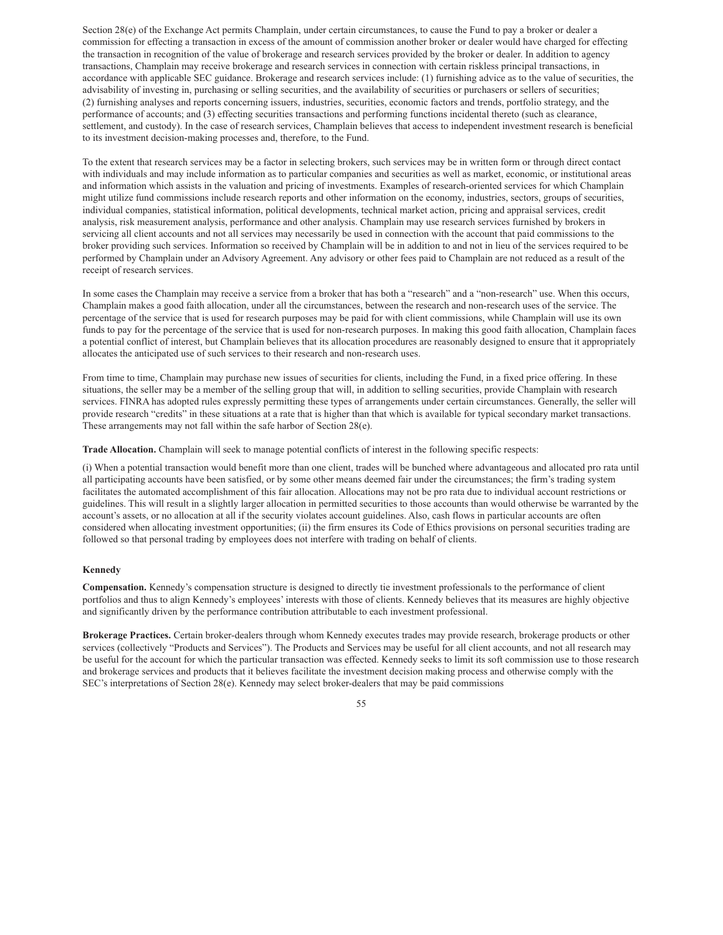Section 28(e) of the Exchange Act permits Champlain, under certain circumstances, to cause the Fund to pay a broker or dealer a commission for effecting a transaction in excess of the amount of commission another broker or dealer would have charged for effecting the transaction in recognition of the value of brokerage and research services provided by the broker or dealer. In addition to agency transactions, Champlain may receive brokerage and research services in connection with certain riskless principal transactions, in accordance with applicable SEC guidance. Brokerage and research services include: (1) furnishing advice as to the value of securities, the advisability of investing in, purchasing or selling securities, and the availability of securities or purchasers or sellers of securities; (2) furnishing analyses and reports concerning issuers, industries, securities, economic factors and trends, portfolio strategy, and the performance of accounts; and (3) effecting securities transactions and performing functions incidental thereto (such as clearance, settlement, and custody). In the case of research services, Champlain believes that access to independent investment research is beneficial to its investment decision-making processes and, therefore, to the Fund.

To the extent that research services may be a factor in selecting brokers, such services may be in written form or through direct contact with individuals and may include information as to particular companies and securities as well as market, economic, or institutional areas and information which assists in the valuation and pricing of investments. Examples of research-oriented services for which Champlain might utilize fund commissions include research reports and other information on the economy, industries, sectors, groups of securities, individual companies, statistical information, political developments, technical market action, pricing and appraisal services, credit analysis, risk measurement analysis, performance and other analysis. Champlain may use research services furnished by brokers in servicing all client accounts and not all services may necessarily be used in connection with the account that paid commissions to the broker providing such services. Information so received by Champlain will be in addition to and not in lieu of the services required to be performed by Champlain under an Advisory Agreement. Any advisory or other fees paid to Champlain are not reduced as a result of the receipt of research services.

In some cases the Champlain may receive a service from a broker that has both a "research" and a "non-research" use. When this occurs, Champlain makes a good faith allocation, under all the circumstances, between the research and non-research uses of the service. The percentage of the service that is used for research purposes may be paid for with client commissions, while Champlain will use its own funds to pay for the percentage of the service that is used for non-research purposes. In making this good faith allocation, Champlain faces a potential conflict of interest, but Champlain believes that its allocation procedures are reasonably designed to ensure that it appropriately allocates the anticipated use of such services to their research and non-research uses.

From time to time, Champlain may purchase new issues of securities for clients, including the Fund, in a fixed price offering. In these situations, the seller may be a member of the selling group that will, in addition to selling securities, provide Champlain with research services. FINRA has adopted rules expressly permitting these types of arrangements under certain circumstances. Generally, the seller will provide research "credits" in these situations at a rate that is higher than that which is available for typical secondary market transactions. These arrangements may not fall within the safe harbor of Section 28(e).

**Trade Allocation.** Champlain will seek to manage potential conflicts of interest in the following specific respects:

(i) When a potential transaction would benefit more than one client, trades will be bunched where advantageous and allocated pro rata until all participating accounts have been satisfied, or by some other means deemed fair under the circumstances; the firm's trading system facilitates the automated accomplishment of this fair allocation. Allocations may not be pro rata due to individual account restrictions or guidelines. This will result in a slightly larger allocation in permitted securities to those accounts than would otherwise be warranted by the account's assets, or no allocation at all if the security violates account guidelines. Also, cash flows in particular accounts are often considered when allocating investment opportunities; (ii) the firm ensures its Code of Ethics provisions on personal securities trading are followed so that personal trading by employees does not interfere with trading on behalf of clients.

#### **Kennedy**

**Compensation.** Kennedy's compensation structure is designed to directly tie investment professionals to the performance of client portfolios and thus to align Kennedy's employees' interests with those of clients. Kennedy believes that its measures are highly objective and significantly driven by the performance contribution attributable to each investment professional.

**Brokerage Practices.** Certain broker-dealers through whom Kennedy executes trades may provide research, brokerage products or other services (collectively "Products and Services"). The Products and Services may be useful for all client accounts, and not all research may be useful for the account for which the particular transaction was effected. Kennedy seeks to limit its soft commission use to those research and brokerage services and products that it believes facilitate the investment decision making process and otherwise comply with the SEC's interpretations of Section 28(e). Kennedy may select broker-dealers that may be paid commissions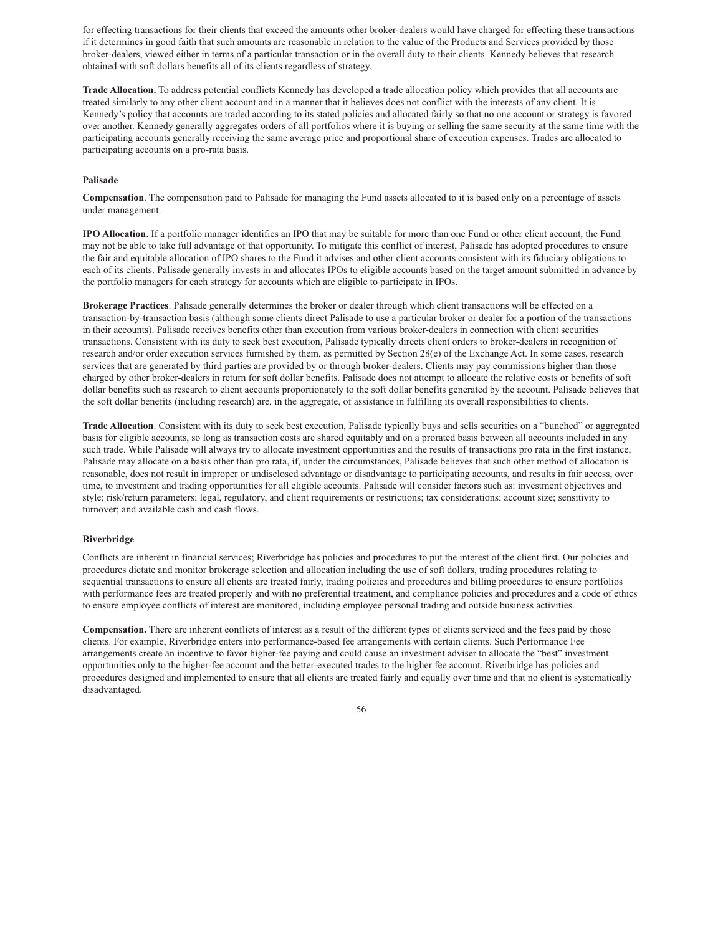for effecting transactions for their clients that exceed the amounts other broker-dealers would have charged for effecting these transactions if it determines in good faith that such amounts are reasonable in relation to the value of the Products and Services provided by those broker-dealers, viewed either in terms of a particular transaction or in the overall duty to their clients. Kennedy believes that research obtained with soft dollars benefits all of its clients regardless of strategy.

**Trade Allocation.** To address potential conflicts Kennedy has developed a trade allocation policy which provides that all accounts are treated similarly to any other client account and in a manner that it believes does not conflict with the interests of any client. It is Kennedy's policy that accounts are traded according to its stated policies and allocated fairly so that no one account or strategy is favored over another. Kennedy generally aggregates orders of all portfolios where it is buying or selling the same security at the same time with the participating accounts generally receiving the same average price and proportional share of execution expenses. Trades are allocated to participating accounts on a pro-rata basis.

## **Palisade**

**Compensation**. The compensation paid to Palisade for managing the Fund assets allocated to it is based only on a percentage of assets under management.

**IPO Allocation**. If a portfolio manager identifies an IPO that may be suitable for more than one Fund or other client account, the Fund may not be able to take full advantage of that opportunity. To mitigate this conflict of interest, Palisade has adopted procedures to ensure the fair and equitable allocation of IPO shares to the Fund it advises and other client accounts consistent with its fiduciary obligations to each of its clients. Palisade generally invests in and allocates IPOs to eligible accounts based on the target amount submitted in advance by the portfolio managers for each strategy for accounts which are eligible to participate in IPOs.

**Brokerage Practices**. Palisade generally determines the broker or dealer through which client transactions will be effected on a transaction-by-transaction basis (although some clients direct Palisade to use a particular broker or dealer for a portion of the transactions in their accounts). Palisade receives benefits other than execution from various broker-dealers in connection with client securities transactions. Consistent with its duty to seek best execution, Palisade typically directs client orders to broker-dealers in recognition of research and/or order execution services furnished by them, as permitted by Section 28(e) of the Exchange Act. In some cases, research services that are generated by third parties are provided by or through broker-dealers. Clients may pay commissions higher than those charged by other broker-dealers in return for soft dollar benefits. Palisade does not attempt to allocate the relative costs or benefits of soft dollar benefits such as research to client accounts proportionately to the soft dollar benefits generated by the account. Palisade believes that the soft dollar benefits (including research) are, in the aggregate, of assistance in fulfilling its overall responsibilities to clients.

**Trade Allocation**. Consistent with its duty to seek best execution, Palisade typically buys and sells securities on a "bunched" or aggregated basis for eligible accounts, so long as transaction costs are shared equitably and on a prorated basis between all accounts included in any such trade. While Palisade will always try to allocate investment opportunities and the results of transactions pro rata in the first instance, Palisade may allocate on a basis other than pro rata, if, under the circumstances, Palisade believes that such other method of allocation is reasonable, does not result in improper or undisclosed advantage or disadvantage to participating accounts, and results in fair access, over time, to investment and trading opportunities for all eligible accounts. Palisade will consider factors such as: investment objectives and style; risk/return parameters; legal, regulatory, and client requirements or restrictions; tax considerations; account size; sensitivity to turnover; and available cash and cash flows.

#### **Riverbridge**

Conflicts are inherent in financial services; Riverbridge has policies and procedures to put the interest of the client first. Our policies and procedures dictate and monitor brokerage selection and allocation including the use of soft dollars, trading procedures relating to sequential transactions to ensure all clients are treated fairly, trading policies and procedures and billing procedures to ensure portfolios with performance fees are treated properly and with no preferential treatment, and compliance policies and procedures and a code of ethics to ensure employee conflicts of interest are monitored, including employee personal trading and outside business activities.

**Compensation.** There are inherent conflicts of interest as a result of the different types of clients serviced and the fees paid by those clients. For example, Riverbridge enters into performance-based fee arrangements with certain clients. Such Performance Fee arrangements create an incentive to favor higher-fee paying and could cause an investment adviser to allocate the "best" investment opportunities only to the higher-fee account and the better-executed trades to the higher fee account. Riverbridge has policies and procedures designed and implemented to ensure that all clients are treated fairly and equally over time and that no client is systematically disadvantaged.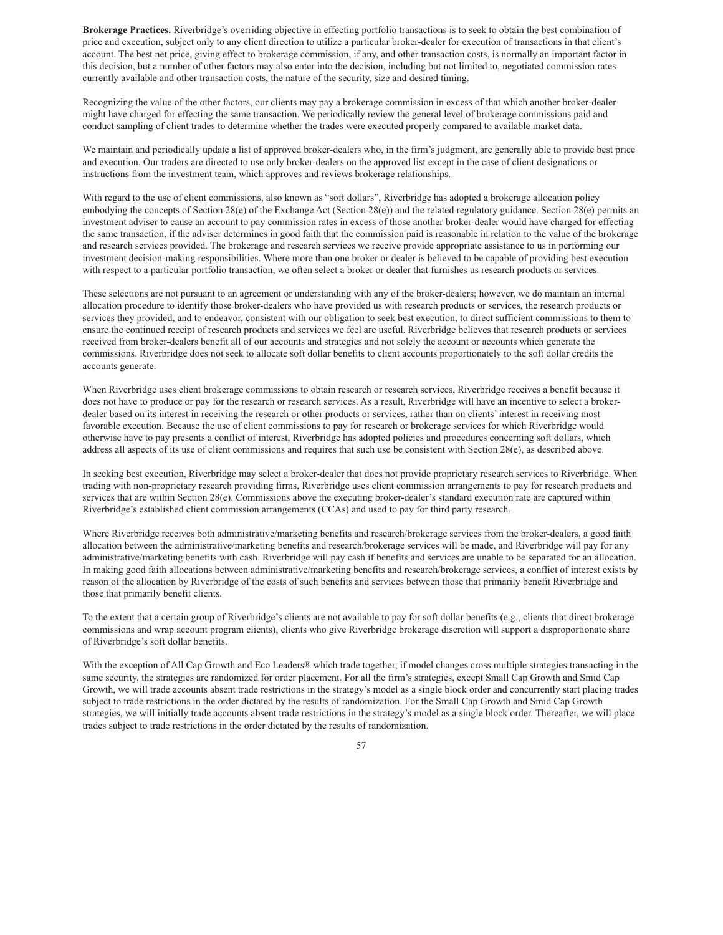**Brokerage Practices.** Riverbridge's overriding objective in effecting portfolio transactions is to seek to obtain the best combination of price and execution, subject only to any client direction to utilize a particular broker-dealer for execution of transactions in that client's account. The best net price, giving effect to brokerage commission, if any, and other transaction costs, is normally an important factor in this decision, but a number of other factors may also enter into the decision, including but not limited to, negotiated commission rates currently available and other transaction costs, the nature of the security, size and desired timing.

Recognizing the value of the other factors, our clients may pay a brokerage commission in excess of that which another broker-dealer might have charged for effecting the same transaction. We periodically review the general level of brokerage commissions paid and conduct sampling of client trades to determine whether the trades were executed properly compared to available market data.

We maintain and periodically update a list of approved broker-dealers who, in the firm's judgment, are generally able to provide best price and execution. Our traders are directed to use only broker-dealers on the approved list except in the case of client designations or instructions from the investment team, which approves and reviews brokerage relationships.

With regard to the use of client commissions, also known as "soft dollars", Riverbridge has adopted a brokerage allocation policy embodying the concepts of Section 28(e) of the Exchange Act (Section 28(e)) and the related regulatory guidance. Section 28(e) permits an investment adviser to cause an account to pay commission rates in excess of those another broker-dealer would have charged for effecting the same transaction, if the adviser determines in good faith that the commission paid is reasonable in relation to the value of the brokerage and research services provided. The brokerage and research services we receive provide appropriate assistance to us in performing our investment decision-making responsibilities. Where more than one broker or dealer is believed to be capable of providing best execution with respect to a particular portfolio transaction, we often select a broker or dealer that furnishes us research products or services.

These selections are not pursuant to an agreement or understanding with any of the broker-dealers; however, we do maintain an internal allocation procedure to identify those broker-dealers who have provided us with research products or services, the research products or services they provided, and to endeavor, consistent with our obligation to seek best execution, to direct sufficient commissions to them to ensure the continued receipt of research products and services we feel are useful. Riverbridge believes that research products or services received from broker-dealers benefit all of our accounts and strategies and not solely the account or accounts which generate the commissions. Riverbridge does not seek to allocate soft dollar benefits to client accounts proportionately to the soft dollar credits the accounts generate.

When Riverbridge uses client brokerage commissions to obtain research or research services, Riverbridge receives a benefit because it does not have to produce or pay for the research or research services. As a result, Riverbridge will have an incentive to select a brokerdealer based on its interest in receiving the research or other products or services, rather than on clients' interest in receiving most favorable execution. Because the use of client commissions to pay for research or brokerage services for which Riverbridge would otherwise have to pay presents a conflict of interest, Riverbridge has adopted policies and procedures concerning soft dollars, which address all aspects of its use of client commissions and requires that such use be consistent with Section 28(e), as described above.

In seeking best execution, Riverbridge may select a broker-dealer that does not provide proprietary research services to Riverbridge. When trading with non-proprietary research providing firms, Riverbridge uses client commission arrangements to pay for research products and services that are within Section 28(e). Commissions above the executing broker-dealer's standard execution rate are captured within Riverbridge's established client commission arrangements (CCAs) and used to pay for third party research.

Where Riverbridge receives both administrative/marketing benefits and research/brokerage services from the broker-dealers, a good faith allocation between the administrative/marketing benefits and research/brokerage services will be made, and Riverbridge will pay for any administrative/marketing benefits with cash. Riverbridge will pay cash if benefits and services are unable to be separated for an allocation. In making good faith allocations between administrative/marketing benefits and research/brokerage services, a conflict of interest exists by reason of the allocation by Riverbridge of the costs of such benefits and services between those that primarily benefit Riverbridge and those that primarily benefit clients.

To the extent that a certain group of Riverbridge's clients are not available to pay for soft dollar benefits (e.g., clients that direct brokerage commissions and wrap account program clients), clients who give Riverbridge brokerage discretion will support a disproportionate share of Riverbridge's soft dollar benefits.

With the exception of All Cap Growth and Eco Leaders® which trade together, if model changes cross multiple strategies transacting in the same security, the strategies are randomized for order placement. For all the firm's strategies, except Small Cap Growth and Smid Cap Growth, we will trade accounts absent trade restrictions in the strategy's model as a single block order and concurrently start placing trades subject to trade restrictions in the order dictated by the results of randomization. For the Small Cap Growth and Smid Cap Growth strategies, we will initially trade accounts absent trade restrictions in the strategy's model as a single block order. Thereafter, we will place trades subject to trade restrictions in the order dictated by the results of randomization.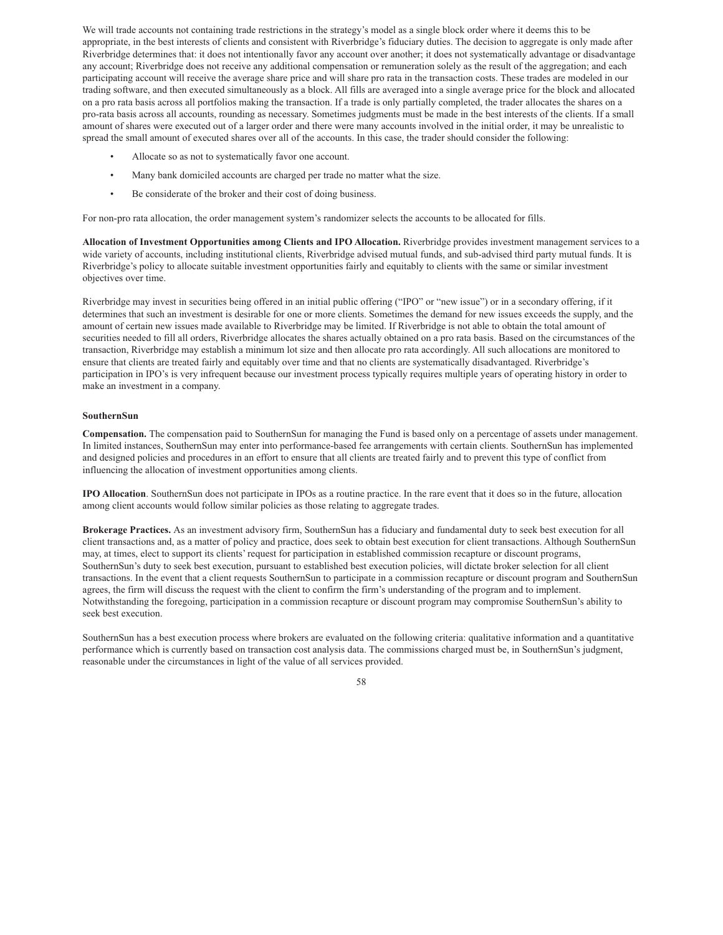We will trade accounts not containing trade restrictions in the strategy's model as a single block order where it deems this to be appropriate, in the best interests of clients and consistent with Riverbridge's fiduciary duties. The decision to aggregate is only made after Riverbridge determines that: it does not intentionally favor any account over another; it does not systematically advantage or disadvantage any account; Riverbridge does not receive any additional compensation or remuneration solely as the result of the aggregation; and each participating account will receive the average share price and will share pro rata in the transaction costs. These trades are modeled in our trading software, and then executed simultaneously as a block. All fills are averaged into a single average price for the block and allocated on a pro rata basis across all portfolios making the transaction. If a trade is only partially completed, the trader allocates the shares on a pro-rata basis across all accounts, rounding as necessary. Sometimes judgments must be made in the best interests of the clients. If a small amount of shares were executed out of a larger order and there were many accounts involved in the initial order, it may be unrealistic to spread the small amount of executed shares over all of the accounts. In this case, the trader should consider the following:

- Allocate so as not to systematically favor one account.
- Many bank domiciled accounts are charged per trade no matter what the size.
- Be considerate of the broker and their cost of doing business.

For non-pro rata allocation, the order management system's randomizer selects the accounts to be allocated for fills.

**Allocation of Investment Opportunities among Clients and IPO Allocation.** Riverbridge provides investment management services to a wide variety of accounts, including institutional clients, Riverbridge advised mutual funds, and sub-advised third party mutual funds. It is Riverbridge's policy to allocate suitable investment opportunities fairly and equitably to clients with the same or similar investment objectives over time.

Riverbridge may invest in securities being offered in an initial public offering ("IPO" or "new issue") or in a secondary offering, if it determines that such an investment is desirable for one or more clients. Sometimes the demand for new issues exceeds the supply, and the amount of certain new issues made available to Riverbridge may be limited. If Riverbridge is not able to obtain the total amount of securities needed to fill all orders, Riverbridge allocates the shares actually obtained on a pro rata basis. Based on the circumstances of the transaction, Riverbridge may establish a minimum lot size and then allocate pro rata accordingly. All such allocations are monitored to ensure that clients are treated fairly and equitably over time and that no clients are systematically disadvantaged. Riverbridge's participation in IPO's is very infrequent because our investment process typically requires multiple years of operating history in order to make an investment in a company.

## **SouthernSun**

**Compensation.** The compensation paid to SouthernSun for managing the Fund is based only on a percentage of assets under management. In limited instances, SouthernSun may enter into performance-based fee arrangements with certain clients. SouthernSun has implemented and designed policies and procedures in an effort to ensure that all clients are treated fairly and to prevent this type of conflict from influencing the allocation of investment opportunities among clients.

**IPO Allocation**. SouthernSun does not participate in IPOs as a routine practice. In the rare event that it does so in the future, allocation among client accounts would follow similar policies as those relating to aggregate trades.

**Brokerage Practices.** As an investment advisory firm, SouthernSun has a fiduciary and fundamental duty to seek best execution for all client transactions and, as a matter of policy and practice, does seek to obtain best execution for client transactions. Although SouthernSun may, at times, elect to support its clients' request for participation in established commission recapture or discount programs, SouthernSun's duty to seek best execution, pursuant to established best execution policies, will dictate broker selection for all client transactions. In the event that a client requests SouthernSun to participate in a commission recapture or discount program and SouthernSun agrees, the firm will discuss the request with the client to confirm the firm's understanding of the program and to implement. Notwithstanding the foregoing, participation in a commission recapture or discount program may compromise SouthernSun's ability to seek best execution.

SouthernSun has a best execution process where brokers are evaluated on the following criteria: qualitative information and a quantitative performance which is currently based on transaction cost analysis data. The commissions charged must be, in SouthernSun's judgment, reasonable under the circumstances in light of the value of all services provided.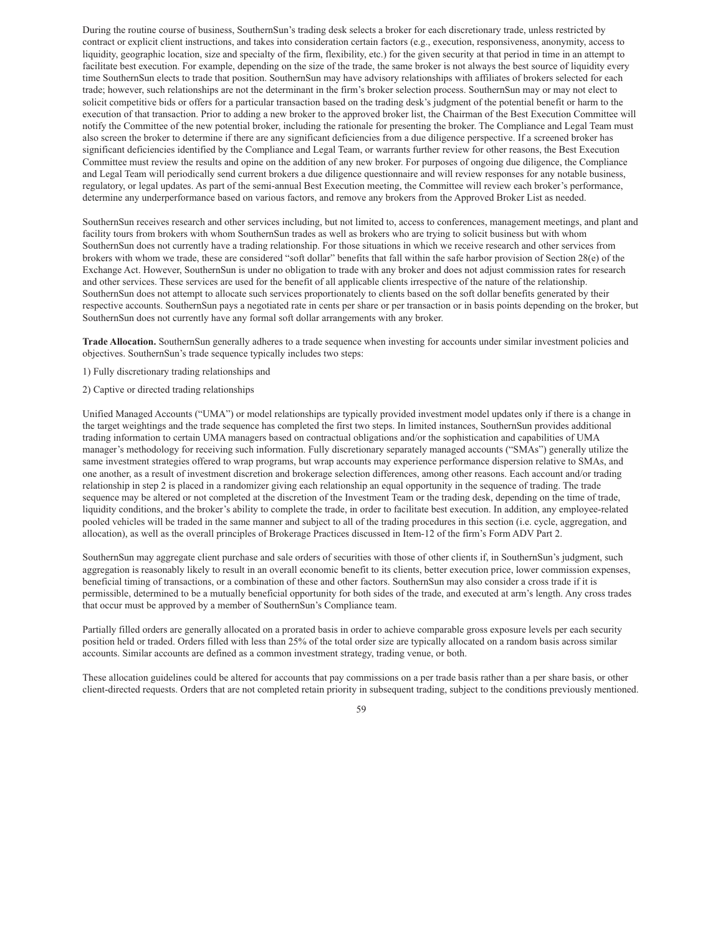During the routine course of business, SouthernSun's trading desk selects a broker for each discretionary trade, unless restricted by contract or explicit client instructions, and takes into consideration certain factors (e.g., execution, responsiveness, anonymity, access to liquidity, geographic location, size and specialty of the firm, flexibility, etc.) for the given security at that period in time in an attempt to facilitate best execution. For example, depending on the size of the trade, the same broker is not always the best source of liquidity every time SouthernSun elects to trade that position. SouthernSun may have advisory relationships with affiliates of brokers selected for each trade; however, such relationships are not the determinant in the firm's broker selection process. SouthernSun may or may not elect to solicit competitive bids or offers for a particular transaction based on the trading desk's judgment of the potential benefit or harm to the execution of that transaction. Prior to adding a new broker to the approved broker list, the Chairman of the Best Execution Committee will notify the Committee of the new potential broker, including the rationale for presenting the broker. The Compliance and Legal Team must also screen the broker to determine if there are any significant deficiencies from a due diligence perspective. If a screened broker has significant deficiencies identified by the Compliance and Legal Team, or warrants further review for other reasons, the Best Execution Committee must review the results and opine on the addition of any new broker. For purposes of ongoing due diligence, the Compliance and Legal Team will periodically send current brokers a due diligence questionnaire and will review responses for any notable business, regulatory, or legal updates. As part of the semi-annual Best Execution meeting, the Committee will review each broker's performance, determine any underperformance based on various factors, and remove any brokers from the Approved Broker List as needed.

SouthernSun receives research and other services including, but not limited to, access to conferences, management meetings, and plant and facility tours from brokers with whom SouthernSun trades as well as brokers who are trying to solicit business but with whom SouthernSun does not currently have a trading relationship. For those situations in which we receive research and other services from brokers with whom we trade, these are considered "soft dollar" benefits that fall within the safe harbor provision of Section 28(e) of the Exchange Act. However, SouthernSun is under no obligation to trade with any broker and does not adjust commission rates for research and other services. These services are used for the benefit of all applicable clients irrespective of the nature of the relationship. SouthernSun does not attempt to allocate such services proportionately to clients based on the soft dollar benefits generated by their respective accounts. SouthernSun pays a negotiated rate in cents per share or per transaction or in basis points depending on the broker, but SouthernSun does not currently have any formal soft dollar arrangements with any broker.

**Trade Allocation.** SouthernSun generally adheres to a trade sequence when investing for accounts under similar investment policies and objectives. SouthernSun's trade sequence typically includes two steps:

- 1) Fully discretionary trading relationships and
- 2) Captive or directed trading relationships

Unified Managed Accounts ("UMA") or model relationships are typically provided investment model updates only if there is a change in the target weightings and the trade sequence has completed the first two steps. In limited instances, SouthernSun provides additional trading information to certain UMA managers based on contractual obligations and/or the sophistication and capabilities of UMA manager's methodology for receiving such information. Fully discretionary separately managed accounts ("SMAs") generally utilize the same investment strategies offered to wrap programs, but wrap accounts may experience performance dispersion relative to SMAs, and one another, as a result of investment discretion and brokerage selection differences, among other reasons. Each account and/or trading relationship in step 2 is placed in a randomizer giving each relationship an equal opportunity in the sequence of trading. The trade sequence may be altered or not completed at the discretion of the Investment Team or the trading desk, depending on the time of trade, liquidity conditions, and the broker's ability to complete the trade, in order to facilitate best execution. In addition, any employee-related pooled vehicles will be traded in the same manner and subject to all of the trading procedures in this section (i.e. cycle, aggregation, and allocation), as well as the overall principles of Brokerage Practices discussed in Item-12 of the firm's Form ADV Part 2.

SouthernSun may aggregate client purchase and sale orders of securities with those of other clients if, in SouthernSun's judgment, such aggregation is reasonably likely to result in an overall economic benefit to its clients, better execution price, lower commission expenses, beneficial timing of transactions, or a combination of these and other factors. SouthernSun may also consider a cross trade if it is permissible, determined to be a mutually beneficial opportunity for both sides of the trade, and executed at arm's length. Any cross trades that occur must be approved by a member of SouthernSun's Compliance team.

Partially filled orders are generally allocated on a prorated basis in order to achieve comparable gross exposure levels per each security position held or traded. Orders filled with less than 25% of the total order size are typically allocated on a random basis across similar accounts. Similar accounts are defined as a common investment strategy, trading venue, or both.

These allocation guidelines could be altered for accounts that pay commissions on a per trade basis rather than a per share basis, or other client-directed requests. Orders that are not completed retain priority in subsequent trading, subject to the conditions previously mentioned.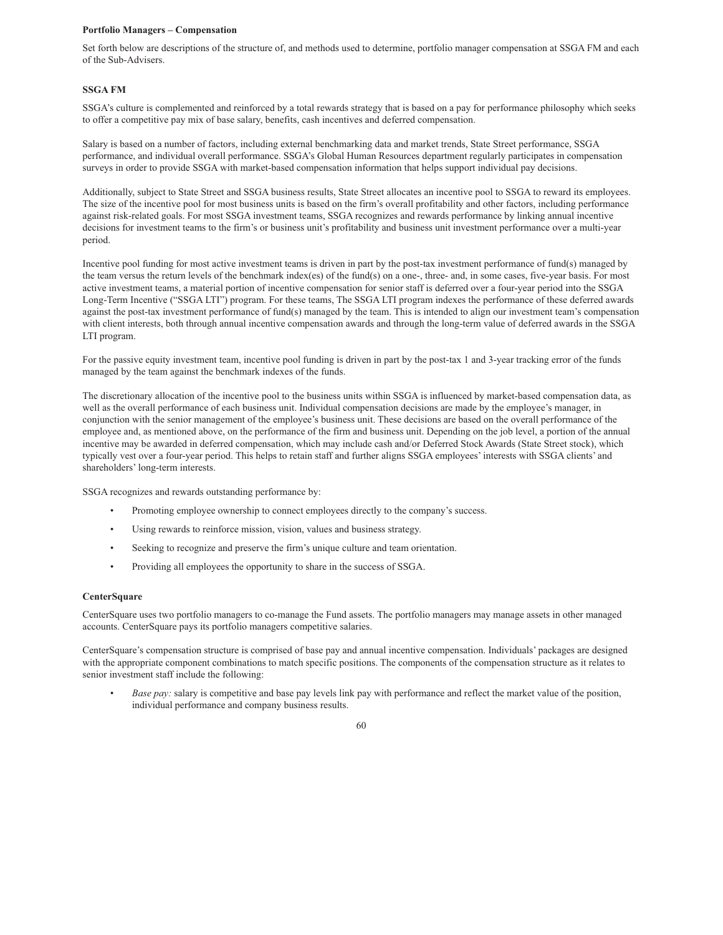## **Portfolio Managers – Compensation**

Set forth below are descriptions of the structure of, and methods used to determine, portfolio manager compensation at SSGA FM and each of the Sub-Advisers.

# **SSGA FM**

SSGA's culture is complemented and reinforced by a total rewards strategy that is based on a pay for performance philosophy which seeks to offer a competitive pay mix of base salary, benefits, cash incentives and deferred compensation.

Salary is based on a number of factors, including external benchmarking data and market trends, State Street performance, SSGA performance, and individual overall performance. SSGA's Global Human Resources department regularly participates in compensation surveys in order to provide SSGA with market-based compensation information that helps support individual pay decisions.

Additionally, subject to State Street and SSGA business results, State Street allocates an incentive pool to SSGA to reward its employees. The size of the incentive pool for most business units is based on the firm's overall profitability and other factors, including performance against risk-related goals. For most SSGA investment teams, SSGA recognizes and rewards performance by linking annual incentive decisions for investment teams to the firm's or business unit's profitability and business unit investment performance over a multi-year period.

Incentive pool funding for most active investment teams is driven in part by the post-tax investment performance of fund(s) managed by the team versus the return levels of the benchmark index(es) of the fund(s) on a one-, three- and, in some cases, five-year basis. For most active investment teams, a material portion of incentive compensation for senior staff is deferred over a four-year period into the SSGA Long-Term Incentive ("SSGA LTI") program. For these teams, The SSGA LTI program indexes the performance of these deferred awards against the post-tax investment performance of fund(s) managed by the team. This is intended to align our investment team's compensation with client interests, both through annual incentive compensation awards and through the long-term value of deferred awards in the SSGA LTI program.

For the passive equity investment team, incentive pool funding is driven in part by the post-tax 1 and 3-year tracking error of the funds managed by the team against the benchmark indexes of the funds.

The discretionary allocation of the incentive pool to the business units within SSGA is influenced by market-based compensation data, as well as the overall performance of each business unit. Individual compensation decisions are made by the employee's manager, in conjunction with the senior management of the employee's business unit. These decisions are based on the overall performance of the employee and, as mentioned above, on the performance of the firm and business unit. Depending on the job level, a portion of the annual incentive may be awarded in deferred compensation, which may include cash and/or Deferred Stock Awards (State Street stock), which typically vest over a four-year period. This helps to retain staff and further aligns SSGA employees' interests with SSGA clients' and shareholders' long-term interests.

SSGA recognizes and rewards outstanding performance by:

- Promoting employee ownership to connect employees directly to the company's success.
- Using rewards to reinforce mission, vision, values and business strategy.
- Seeking to recognize and preserve the firm's unique culture and team orientation.
- Providing all employees the opportunity to share in the success of SSGA.

## **CenterSquare**

CenterSquare uses two portfolio managers to co-manage the Fund assets. The portfolio managers may manage assets in other managed accounts. CenterSquare pays its portfolio managers competitive salaries.

CenterSquare's compensation structure is comprised of base pay and annual incentive compensation. Individuals' packages are designed with the appropriate component combinations to match specific positions. The components of the compensation structure as it relates to senior investment staff include the following:

• *Base pay:* salary is competitive and base pay levels link pay with performance and reflect the market value of the position, individual performance and company business results.

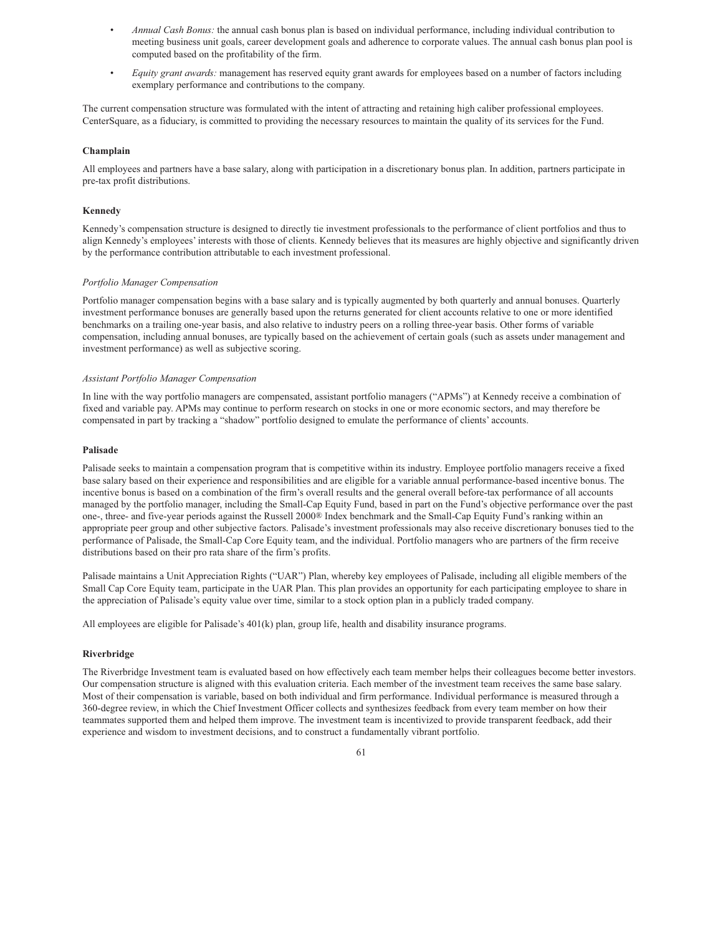- *Annual Cash Bonus:* the annual cash bonus plan is based on individual performance, including individual contribution to meeting business unit goals, career development goals and adherence to corporate values. The annual cash bonus plan pool is computed based on the profitability of the firm.
- *Equity grant awards:* management has reserved equity grant awards for employees based on a number of factors including exemplary performance and contributions to the company.

The current compensation structure was formulated with the intent of attracting and retaining high caliber professional employees. CenterSquare, as a fiduciary, is committed to providing the necessary resources to maintain the quality of its services for the Fund.

# **Champlain**

All employees and partners have a base salary, along with participation in a discretionary bonus plan. In addition, partners participate in pre-tax profit distributions.

#### **Kennedy**

Kennedy's compensation structure is designed to directly tie investment professionals to the performance of client portfolios and thus to align Kennedy's employees' interests with those of clients. Kennedy believes that its measures are highly objective and significantly driven by the performance contribution attributable to each investment professional.

#### *Portfolio Manager Compensation*

Portfolio manager compensation begins with a base salary and is typically augmented by both quarterly and annual bonuses. Quarterly investment performance bonuses are generally based upon the returns generated for client accounts relative to one or more identified benchmarks on a trailing one-year basis, and also relative to industry peers on a rolling three-year basis. Other forms of variable compensation, including annual bonuses, are typically based on the achievement of certain goals (such as assets under management and investment performance) as well as subjective scoring.

#### *Assistant Portfolio Manager Compensation*

In line with the way portfolio managers are compensated, assistant portfolio managers ("APMs") at Kennedy receive a combination of fixed and variable pay. APMs may continue to perform research on stocks in one or more economic sectors, and may therefore be compensated in part by tracking a "shadow" portfolio designed to emulate the performance of clients' accounts.

#### **Palisade**

Palisade seeks to maintain a compensation program that is competitive within its industry. Employee portfolio managers receive a fixed base salary based on their experience and responsibilities and are eligible for a variable annual performance-based incentive bonus. The incentive bonus is based on a combination of the firm's overall results and the general overall before-tax performance of all accounts managed by the portfolio manager, including the Small-Cap Equity Fund, based in part on the Fund's objective performance over the past one-, three- and five-year periods against the Russell 2000® Index benchmark and the Small-Cap Equity Fund's ranking within an appropriate peer group and other subjective factors. Palisade's investment professionals may also receive discretionary bonuses tied to the performance of Palisade, the Small-Cap Core Equity team, and the individual. Portfolio managers who are partners of the firm receive distributions based on their pro rata share of the firm's profits.

Palisade maintains a Unit Appreciation Rights ("UAR") Plan, whereby key employees of Palisade, including all eligible members of the Small Cap Core Equity team, participate in the UAR Plan. This plan provides an opportunity for each participating employee to share in the appreciation of Palisade's equity value over time, similar to a stock option plan in a publicly traded company.

All employees are eligible for Palisade's 401(k) plan, group life, health and disability insurance programs.

# **Riverbridge**

The Riverbridge Investment team is evaluated based on how effectively each team member helps their colleagues become better investors. Our compensation structure is aligned with this evaluation criteria. Each member of the investment team receives the same base salary. Most of their compensation is variable, based on both individual and firm performance. Individual performance is measured through a 360-degree review, in which the Chief Investment Officer collects and synthesizes feedback from every team member on how their teammates supported them and helped them improve. The investment team is incentivized to provide transparent feedback, add their experience and wisdom to investment decisions, and to construct a fundamentally vibrant portfolio.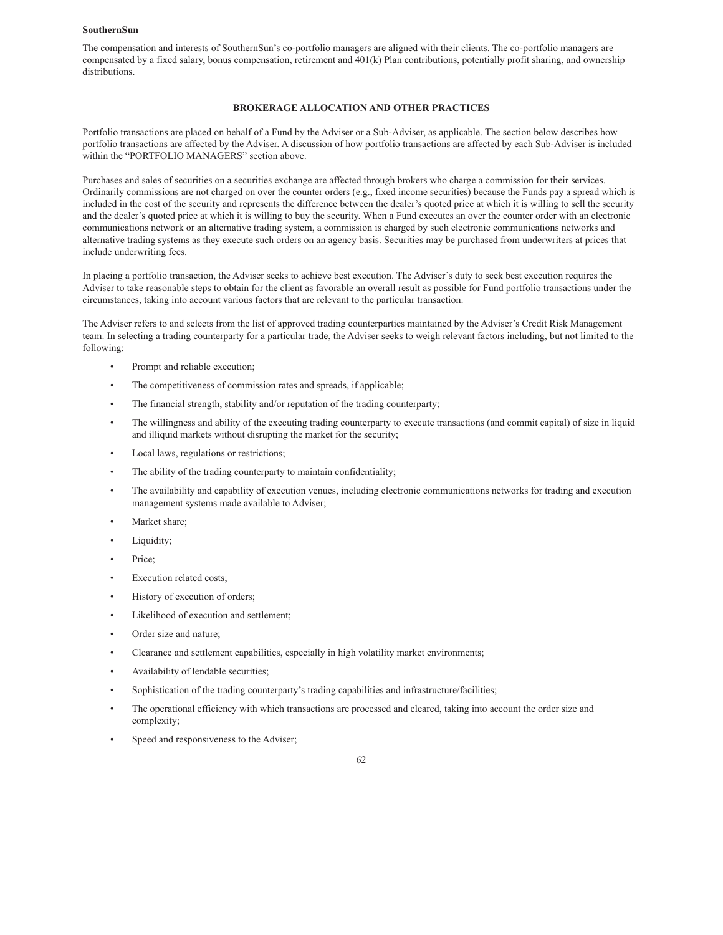#### **SouthernSun**

The compensation and interests of SouthernSun's co-portfolio managers are aligned with their clients. The co-portfolio managers are compensated by a fixed salary, bonus compensation, retirement and 401(k) Plan contributions, potentially profit sharing, and ownership distributions.

# **BROKERAGE ALLOCATION AND OTHER PRACTICES**

Portfolio transactions are placed on behalf of a Fund by the Adviser or a Sub-Adviser, as applicable. The section below describes how portfolio transactions are affected by the Adviser. A discussion of how portfolio transactions are affected by each Sub-Adviser is included within the "PORTFOLIO MANAGERS" section above.

Purchases and sales of securities on a securities exchange are affected through brokers who charge a commission for their services. Ordinarily commissions are not charged on over the counter orders (e.g., fixed income securities) because the Funds pay a spread which is included in the cost of the security and represents the difference between the dealer's quoted price at which it is willing to sell the security and the dealer's quoted price at which it is willing to buy the security. When a Fund executes an over the counter order with an electronic communications network or an alternative trading system, a commission is charged by such electronic communications networks and alternative trading systems as they execute such orders on an agency basis. Securities may be purchased from underwriters at prices that include underwriting fees.

In placing a portfolio transaction, the Adviser seeks to achieve best execution. The Adviser's duty to seek best execution requires the Adviser to take reasonable steps to obtain for the client as favorable an overall result as possible for Fund portfolio transactions under the circumstances, taking into account various factors that are relevant to the particular transaction.

The Adviser refers to and selects from the list of approved trading counterparties maintained by the Adviser's Credit Risk Management team. In selecting a trading counterparty for a particular trade, the Adviser seeks to weigh relevant factors including, but not limited to the following:

- Prompt and reliable execution;
- The competitiveness of commission rates and spreads, if applicable;
- The financial strength, stability and/or reputation of the trading counterparty;
- The willingness and ability of the executing trading counterparty to execute transactions (and commit capital) of size in liquid and illiquid markets without disrupting the market for the security;
- Local laws, regulations or restrictions;
- The ability of the trading counterparty to maintain confidentiality;
- The availability and capability of execution venues, including electronic communications networks for trading and execution management systems made available to Adviser;
- Market share;
- Liquidity;
- Price;
- Execution related costs;
- History of execution of orders;
- Likelihood of execution and settlement;
- Order size and nature;
- Clearance and settlement capabilities, especially in high volatility market environments;
- Availability of lendable securities;
- Sophistication of the trading counterparty's trading capabilities and infrastructure/facilities;
- The operational efficiency with which transactions are processed and cleared, taking into account the order size and complexity;
- Speed and responsiveness to the Adviser;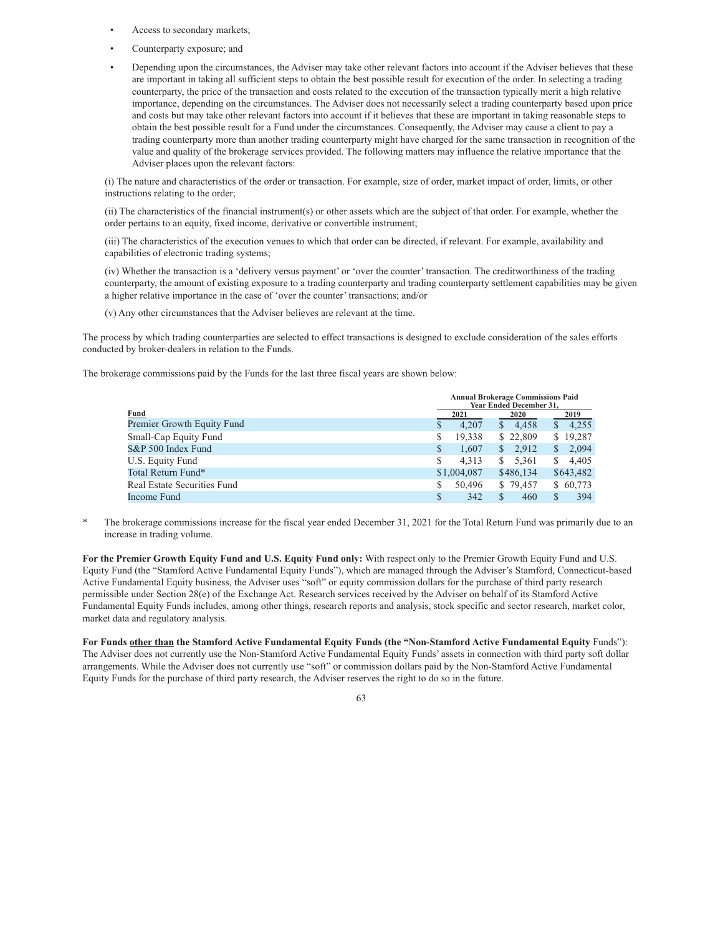- Access to secondary markets;
- Counterparty exposure; and
- Depending upon the circumstances, the Adviser may take other relevant factors into account if the Adviser believes that these are important in taking all sufficient steps to obtain the best possible result for execution of the order. In selecting a trading counterparty, the price of the transaction and costs related to the execution of the transaction typically merit a high relative importance, depending on the circumstances. The Adviser does not necessarily select a trading counterparty based upon price and costs but may take other relevant factors into account if it believes that these are important in taking reasonable steps to obtain the best possible result for a Fund under the circumstances. Consequently, the Adviser may cause a client to pay a trading counterparty more than another trading counterparty might have charged for the same transaction in recognition of the value and quality of the brokerage services provided. The following matters may influence the relative importance that the Adviser places upon the relevant factors:

(i) The nature and characteristics of the order or transaction. For example, size of order, market impact of order, limits, or other instructions relating to the order;

(ii) The characteristics of the financial instrument(s) or other assets which are the subject of that order. For example, whether the order pertains to an equity, fixed income, derivative or convertible instrument;

(iii) The characteristics of the execution venues to which that order can be directed, if relevant. For example, availability and capabilities of electronic trading systems;

(iv) Whether the transaction is a 'delivery versus payment' or 'over the counter' transaction. The creditworthiness of the trading counterparty, the amount of existing exposure to a trading counterparty and trading counterparty settlement capabilities may be given a higher relative importance in the case of 'over the counter' transactions; and/or

(v) Any other circumstances that the Adviser believes are relevant at the time.

The process by which trading counterparties are selected to effect transactions is designed to exclude consideration of the sales efforts conducted by broker-dealers in relation to the Funds.

The brokerage commissions paid by the Funds for the last three fiscal years are shown below:

|                             | <b>Annual Brokerage Commissions Paid</b><br><b>Year Ended December 31.</b> |             |    |           |    |           |
|-----------------------------|----------------------------------------------------------------------------|-------------|----|-----------|----|-----------|
| <b>Fund</b>                 |                                                                            | 2021        |    | 2020      |    | 2019      |
| Premier Growth Equity Fund  | S                                                                          | 4.207       | S. | 4.458     | S  | 4,255     |
| Small-Cap Equity Fund       | \$                                                                         | 19,338      |    | \$22,809  |    | \$19,287  |
| S&P 500 Index Fund          | \$                                                                         | 1.607       | S. | 2,912     | S  | 2,094     |
| U.S. Equity Fund            | S                                                                          | 4.313       | S. | 5,361     | \$ | 4.405     |
| Total Return Fund*          |                                                                            | \$1,004,087 |    | \$486,134 |    | \$643,482 |
| Real Estate Securities Fund | \$                                                                         | 50,496      |    | \$79,457  |    | \$60,773  |
| Income Fund                 | \$                                                                         | 342         | S  | 460       |    | 394       |

The brokerage commissions increase for the fiscal year ended December 31, 2021 for the Total Return Fund was primarily due to an increase in trading volume.

For the Premier Growth Equity Fund and U.S. Equity Fund only: With respect only to the Premier Growth Equity Fund and U.S. Equity Fund (the "Stamford Active Fundamental Equity Funds"), which are managed through the Adviser's Stamford, Connecticut-based Active Fundamental Equity business, the Adviser uses "soft" or equity commission dollars for the purchase of third party research permissible under Section 28(e) of the Exchange Act. Research services received by the Adviser on behalf of its Stamford Active Fundamental Equity Funds includes, among other things, research reports and analysis, stock specific and sector research, market color, market data and regulatory analysis.

**For Funds other than the Stamford Active Fundamental Equity Funds (the "Non-Stamford Active Fundamental Equity** Funds"): The Adviser does not currently use the Non-Stamford Active Fundamental Equity Funds' assets in connection with third party soft dollar arrangements. While the Adviser does not currently use "soft" or commission dollars paid by the Non-Stamford Active Fundamental Equity Funds for the purchase of third party research, the Adviser reserves the right to do so in the future.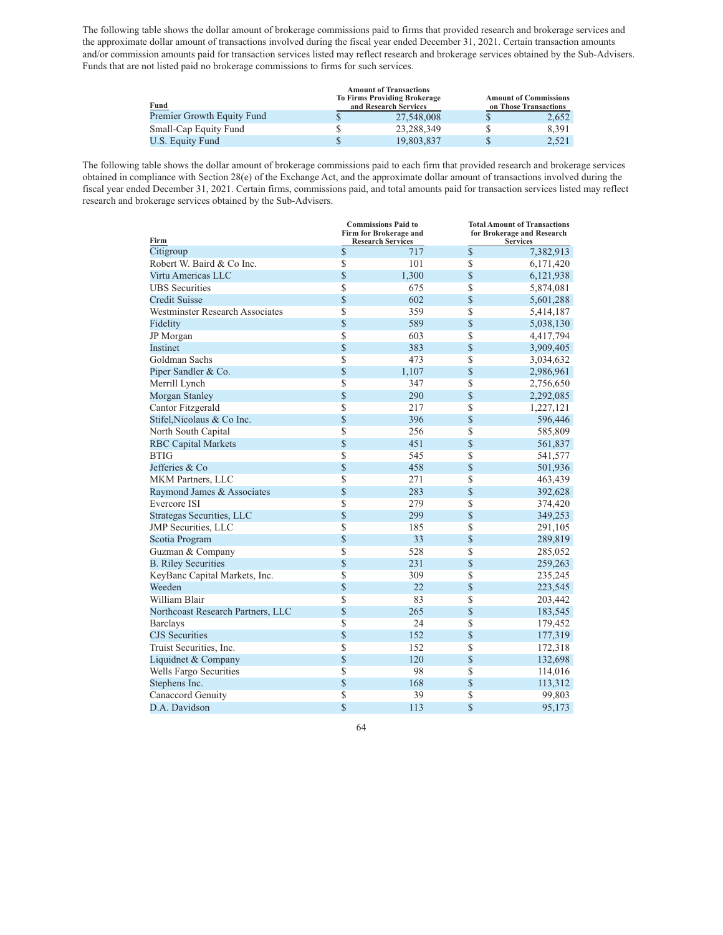The following table shows the dollar amount of brokerage commissions paid to firms that provided research and brokerage services and the approximate dollar amount of transactions involved during the fiscal year ended December 31, 2021. Certain transaction amounts and/or commission amounts paid for transaction services listed may reflect research and brokerage services obtained by the Sub-Advisers. Funds that are not listed paid no brokerage commissions to firms for such services.

| <b>Fund</b>                | <b>Amount of Transactions</b><br><b>To Firms Providing Brokerage</b><br>and Research Services | <b>Amount of Commissions</b><br>on Those Transactions |
|----------------------------|-----------------------------------------------------------------------------------------------|-------------------------------------------------------|
| Premier Growth Equity Fund | 27,548,008                                                                                    | 2.652                                                 |
| Small-Cap Equity Fund      | 23,288,349                                                                                    | 8.391                                                 |
| U.S. Equity Fund           | 19,803,837                                                                                    | 2.521                                                 |

The following table shows the dollar amount of brokerage commissions paid to each firm that provided research and brokerage services obtained in compliance with Section 28(e) of the Exchange Act, and the approximate dollar amount of transactions involved during the fiscal year ended December 31, 2021. Certain firms, commissions paid, and total amounts paid for transaction services listed may reflect research and brokerage services obtained by the Sub-Advisers.

| Firm                              |                         | <b>Commissions Paid to</b><br>Firm for Brokerage and<br><b>Research Services</b> |                           | <b>Total Amount of Transactions</b><br>for Brokerage and Research<br><b>Services</b> |
|-----------------------------------|-------------------------|----------------------------------------------------------------------------------|---------------------------|--------------------------------------------------------------------------------------|
| Citigroup                         | \$                      | 717                                                                              | $\overline{\$}$           | 7,382,913                                                                            |
| Robert W. Baird & Co Inc.         | \$                      | 101                                                                              | \$                        | 6,171,420                                                                            |
| Virtu Americas LLC                | \$                      | 1,300                                                                            | \$                        | 6,121,938                                                                            |
| <b>UBS</b> Securities             | \$                      | 675                                                                              | \$                        | 5,874,081                                                                            |
| <b>Credit Suisse</b>              | \$                      | 602                                                                              | $\sqrt{\ }$               | 5,601,288                                                                            |
| Westminster Research Associates   | $\overline{\mathbb{S}}$ | 359                                                                              | $\overline{\mathbb{S}}$   | 5,414,187                                                                            |
| Fidelity                          | \$                      | 589                                                                              | $\sqrt{\ }$               | 5,038,130                                                                            |
| JP Morgan                         | \$                      | 603                                                                              | $\overline{\mathbb{S}}$   | 4,417,794                                                                            |
| Instinet                          | \$                      | 383                                                                              | $\sqrt{\ }$               | 3,909,405                                                                            |
| Goldman Sachs                     | \$                      | 473                                                                              | \$                        | 3,034,632                                                                            |
| Piper Sandler & Co.               | \$                      | 1,107                                                                            | $\sqrt{\ }$               | 2,986,961                                                                            |
| Merrill Lynch                     | \$                      | 347                                                                              | $\overline{\mathbb{S}}$   | 2,756,650                                                                            |
| <b>Morgan Stanley</b>             | \$                      | 290                                                                              | $\boldsymbol{\mathsf{S}}$ | 2,292,085                                                                            |
| Cantor Fitzgerald                 | \$                      | 217                                                                              | \$                        | 1,227,121                                                                            |
| Stifel, Nicolaus & Co Inc.        | \$                      | 396                                                                              | \$                        | 596,446                                                                              |
| North South Capital               | $\overline{\mathbb{S}}$ | 256                                                                              | $\overline{\mathbb{S}}$   | 585,809                                                                              |
| <b>RBC Capital Markets</b>        | \$                      | 451                                                                              | $\sqrt{\ }$               | 561,837                                                                              |
| <b>BTIG</b>                       | \$                      | 545                                                                              | \$                        | 541,577                                                                              |
| Jefferies & Co                    | \$                      | 458                                                                              | $\boldsymbol{\mathsf{S}}$ | 501,936                                                                              |
| MKM Partners, LLC                 | \$                      | 271                                                                              | \$                        | 463,439                                                                              |
| Raymond James & Associates        | \$                      | 283                                                                              | \$                        | 392,628                                                                              |
| <b>Evercore ISI</b>               | $\overline{\mathbb{S}}$ | 279                                                                              | $\overline{\mathbb{S}}$   | 374,420                                                                              |
| Strategas Securities, LLC         | \$                      | 299                                                                              | $\sqrt{\ }$               | 349,253                                                                              |
| JMP Securities, LLC               | \$                      | 185                                                                              | \$                        | 291,105                                                                              |
| Scotia Program                    | \$                      | 33                                                                               | \$                        | 289,819                                                                              |
| Guzman & Company                  | \$                      | 528                                                                              | \$                        | 285,052                                                                              |
| <b>B.</b> Riley Securities        | $\sqrt{\ }$             | 231                                                                              | $\sqrt{\ }$               | 259,263                                                                              |
| KeyBanc Capital Markets, Inc.     | $\overline{\mathbb{S}}$ | 309                                                                              | $\overline{\mathbb{S}}$   | 235,245                                                                              |
| Weeden                            | \$                      | 22                                                                               | $\$\$                     | 223,545                                                                              |
| William Blair                     | \$                      | 83                                                                               | \$                        | 203,442                                                                              |
| Northcoast Research Partners, LLC | \$                      | 265                                                                              | \$                        | 183,545                                                                              |
| <b>Barclays</b>                   | \$                      | 24                                                                               | \$                        | 179,452                                                                              |
| <b>CJS</b> Securities             | $\$\,$                  | 152                                                                              | $\sqrt{\ }$               | 177,319                                                                              |
| Truist Securities, Inc.           | $\overline{\mathbb{S}}$ | 152                                                                              | $\overline{\mathbb{S}}$   | 172,318                                                                              |
| Liquidnet & Company               | \$                      | 120                                                                              | $\sqrt{\ }$               | 132,698                                                                              |
| Wells Fargo Securities            | \$                      | 98                                                                               | \$                        | 114,016                                                                              |
| Stephens Inc.                     | \$                      | 168                                                                              | \$                        | 113,312                                                                              |
| Canaccord Genuity                 | \$                      | 39                                                                               | $\overline{\mathbb{S}}$   | 99,803                                                                               |
| D.A. Davidson                     | \$                      | 113                                                                              | \$                        | 95,173                                                                               |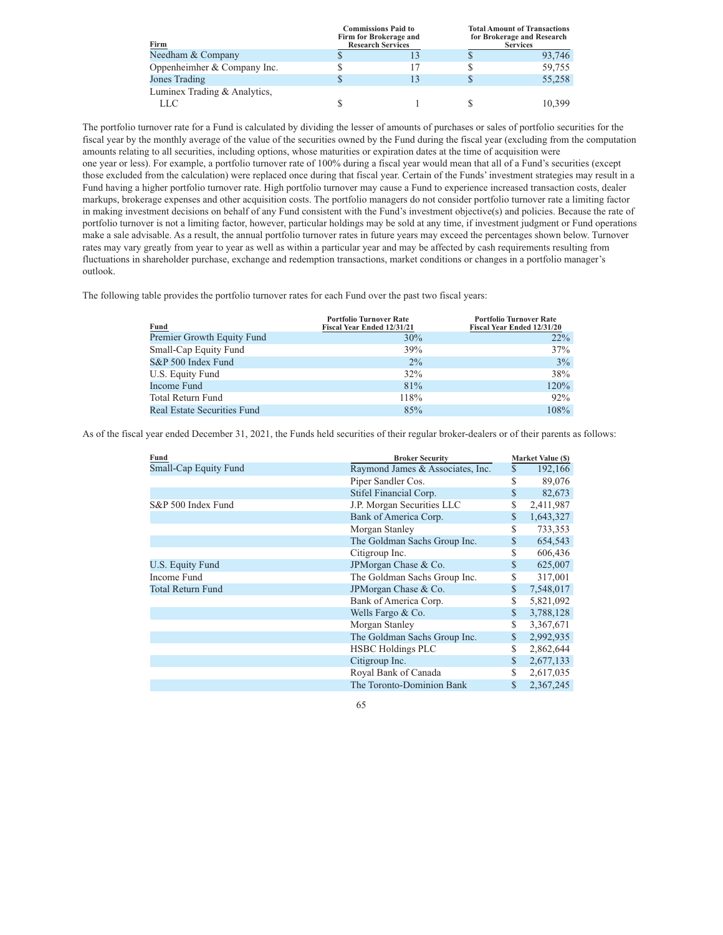| <b>Firm</b>                  | <b>Commissions Paid to</b><br>Firm for Brokerage and<br><b>Research Services</b> | <b>Total Amount of Transactions</b><br>for Brokerage and Research<br><b>Services</b> |        |  |
|------------------------------|----------------------------------------------------------------------------------|--------------------------------------------------------------------------------------|--------|--|
| Needham & Company            |                                                                                  | D                                                                                    | 93,746 |  |
| Oppenheimher & Company Inc.  |                                                                                  |                                                                                      | 59,755 |  |
| Jones Trading                |                                                                                  |                                                                                      | 55,258 |  |
| Luminex Trading & Analytics, |                                                                                  |                                                                                      |        |  |
| <b>LLC</b>                   |                                                                                  |                                                                                      | 10,399 |  |

The portfolio turnover rate for a Fund is calculated by dividing the lesser of amounts of purchases or sales of portfolio securities for the fiscal year by the monthly average of the value of the securities owned by the Fund during the fiscal year (excluding from the computation amounts relating to all securities, including options, whose maturities or expiration dates at the time of acquisition were one year or less). For example, a portfolio turnover rate of 100% during a fiscal year would mean that all of a Fund's securities (except those excluded from the calculation) were replaced once during that fiscal year. Certain of the Funds' investment strategies may result in a Fund having a higher portfolio turnover rate. High portfolio turnover may cause a Fund to experience increased transaction costs, dealer markups, brokerage expenses and other acquisition costs. The portfolio managers do not consider portfolio turnover rate a limiting factor in making investment decisions on behalf of any Fund consistent with the Fund's investment objective(s) and policies. Because the rate of portfolio turnover is not a limiting factor, however, particular holdings may be sold at any time, if investment judgment or Fund operations make a sale advisable. As a result, the annual portfolio turnover rates in future years may exceed the percentages shown below. Turnover rates may vary greatly from year to year as well as within a particular year and may be affected by cash requirements resulting from fluctuations in shareholder purchase, exchange and redemption transactions, market conditions or changes in a portfolio manager's outlook.

The following table provides the portfolio turnover rates for each Fund over the past two fiscal years:

| <b>Fund</b>                        | <b>Portfolio Turnover Rate</b><br>Fiscal Year Ended 12/31/21 | <b>Portfolio Turnover Rate</b><br>Fiscal Year Ended 12/31/20 |
|------------------------------------|--------------------------------------------------------------|--------------------------------------------------------------|
| Premier Growth Equity Fund         | 30%                                                          | $22\%$                                                       |
| Small-Cap Equity Fund              | 39%                                                          | 37%                                                          |
| S&P 500 Index Fund                 | $2\%$                                                        | 3%                                                           |
| U.S. Equity Fund                   | 32%                                                          | 38%                                                          |
| Income Fund                        | 81%                                                          | 120%                                                         |
| Total Return Fund                  | 118%                                                         | 92%                                                          |
| <b>Real Estate Securities Fund</b> | 85%                                                          | 108%                                                         |

As of the fiscal year ended December 31, 2021, the Funds held securities of their regular broker-dealers or of their parents as follows:

| Fund                     | <b>Broker Security</b>           |              | <b>Market Value (\$)</b> |
|--------------------------|----------------------------------|--------------|--------------------------|
| Small-Cap Equity Fund    | Raymond James & Associates, Inc. | \$           | 192,166                  |
|                          | Piper Sandler Cos.               | S            | 89,076                   |
|                          | Stifel Financial Corp.           | \$           | 82,673                   |
| S&P 500 Index Fund       | J.P. Morgan Securities LLC       | \$           | 2,411,987                |
|                          | Bank of America Corp.            | \$           | 1,643,327                |
|                          | Morgan Stanley                   | \$           | 733,353                  |
|                          | The Goldman Sachs Group Inc.     | \$           | 654,543                  |
|                          | Citigroup Inc.                   | \$           | 606,436                  |
| U.S. Equity Fund         | JPMorgan Chase & Co.             | \$           | 625,007                  |
| Income Fund              | The Goldman Sachs Group Inc.     | \$           | 317,001                  |
| <b>Total Return Fund</b> | JPMorgan Chase & Co.             | \$           | 7,548,017                |
|                          | Bank of America Corp.            | \$           | 5,821,092                |
|                          | Wells Fargo & Co.                | \$           | 3,788,128                |
|                          | Morgan Stanley                   | \$           | 3,367,671                |
|                          | The Goldman Sachs Group Inc.     | \$           | 2,992,935                |
|                          | <b>HSBC</b> Holdings PLC         |              | 2,862,644                |
|                          | Citigroup Inc.                   | $\mathbb{S}$ | 2,677,133                |
|                          | Royal Bank of Canada             |              | 2,617,035                |
|                          | The Toronto-Dominion Bank        | \$           | 2,367,245                |
|                          |                                  |              |                          |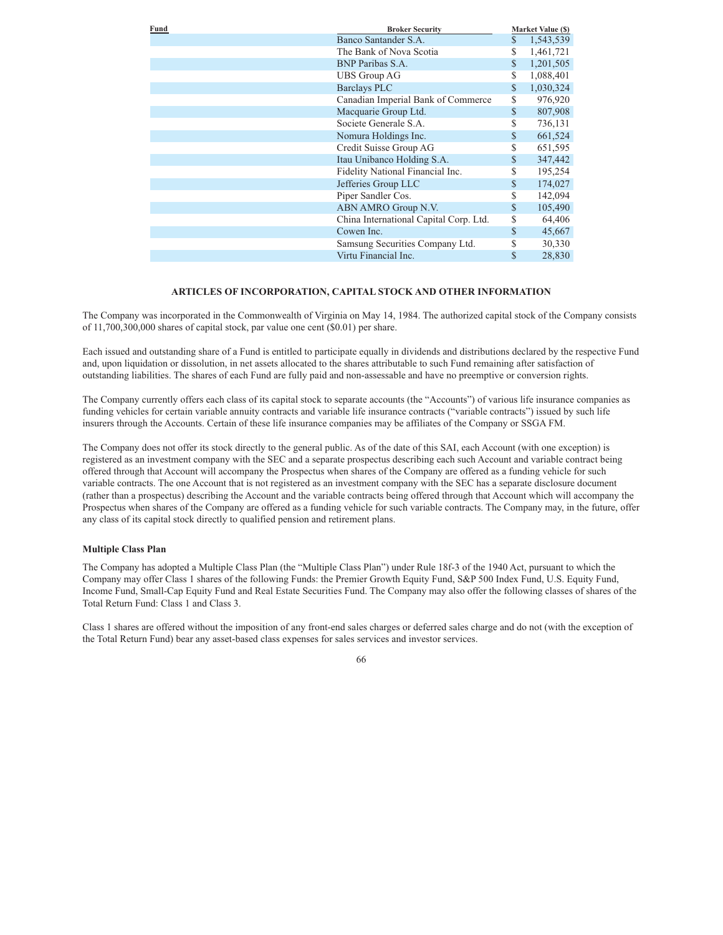| Fund | <b>Broker Security</b>                 |    | <b>Market Value (\$)</b> |
|------|----------------------------------------|----|--------------------------|
|      | Banco Santander S.A.                   | \$ | 1,543,539                |
|      | The Bank of Nova Scotia                | S  | 1,461,721                |
|      | <b>BNP</b> Paribas S.A.                | \$ | 1,201,505                |
|      | <b>UBS</b> Group AG                    | \$ | 1,088,401                |
|      | <b>Barclays PLC</b>                    | \$ | 1,030,324                |
|      | Canadian Imperial Bank of Commerce     | \$ | 976,920                  |
|      | Macquarie Group Ltd.                   | \$ | 807,908                  |
|      | Societe Generale S.A.                  | \$ | 736,131                  |
|      | Nomura Holdings Inc.                   | \$ | 661,524                  |
|      | Credit Suisse Group AG                 | \$ | 651,595                  |
|      | Itau Unibanco Holding S.A.             | \$ | 347,442                  |
|      | Fidelity National Financial Inc.       | \$ | 195,254                  |
|      | Jefferies Group LLC                    | \$ | 174,027                  |
|      | Piper Sandler Cos.                     | \$ | 142,094                  |
|      | ABN AMRO Group N.V.                    | \$ | 105,490                  |
|      | China International Capital Corp. Ltd. | \$ | 64,406                   |
|      | Cowen Inc.                             | \$ | 45,667                   |
|      | Samsung Securities Company Ltd.        | \$ | 30,330                   |
|      | Virtu Financial Inc.                   | \$ | 28,830                   |

# **ARTICLES OF INCORPORATION, CAPITAL STOCK AND OTHER INFORMATION**

The Company was incorporated in the Commonwealth of Virginia on May 14, 1984. The authorized capital stock of the Company consists of 11,700,300,000 shares of capital stock, par value one cent (\$0.01) per share.

Each issued and outstanding share of a Fund is entitled to participate equally in dividends and distributions declared by the respective Fund and, upon liquidation or dissolution, in net assets allocated to the shares attributable to such Fund remaining after satisfaction of outstanding liabilities. The shares of each Fund are fully paid and non-assessable and have no preemptive or conversion rights.

The Company currently offers each class of its capital stock to separate accounts (the "Accounts") of various life insurance companies as funding vehicles for certain variable annuity contracts and variable life insurance contracts ("variable contracts") issued by such life insurers through the Accounts. Certain of these life insurance companies may be affiliates of the Company or SSGA FM.

The Company does not offer its stock directly to the general public. As of the date of this SAI, each Account (with one exception) is registered as an investment company with the SEC and a separate prospectus describing each such Account and variable contract being offered through that Account will accompany the Prospectus when shares of the Company are offered as a funding vehicle for such variable contracts. The one Account that is not registered as an investment company with the SEC has a separate disclosure document (rather than a prospectus) describing the Account and the variable contracts being offered through that Account which will accompany the Prospectus when shares of the Company are offered as a funding vehicle for such variable contracts. The Company may, in the future, offer any class of its capital stock directly to qualified pension and retirement plans.

#### **Multiple Class Plan**

The Company has adopted a Multiple Class Plan (the "Multiple Class Plan") under Rule 18f-3 of the 1940 Act, pursuant to which the Company may offer Class 1 shares of the following Funds: the Premier Growth Equity Fund, S&P 500 Index Fund, U.S. Equity Fund, Income Fund, Small-Cap Equity Fund and Real Estate Securities Fund. The Company may also offer the following classes of shares of the Total Return Fund: Class 1 and Class 3.

Class 1 shares are offered without the imposition of any front-end sales charges or deferred sales charge and do not (with the exception of the Total Return Fund) bear any asset-based class expenses for sales services and investor services.

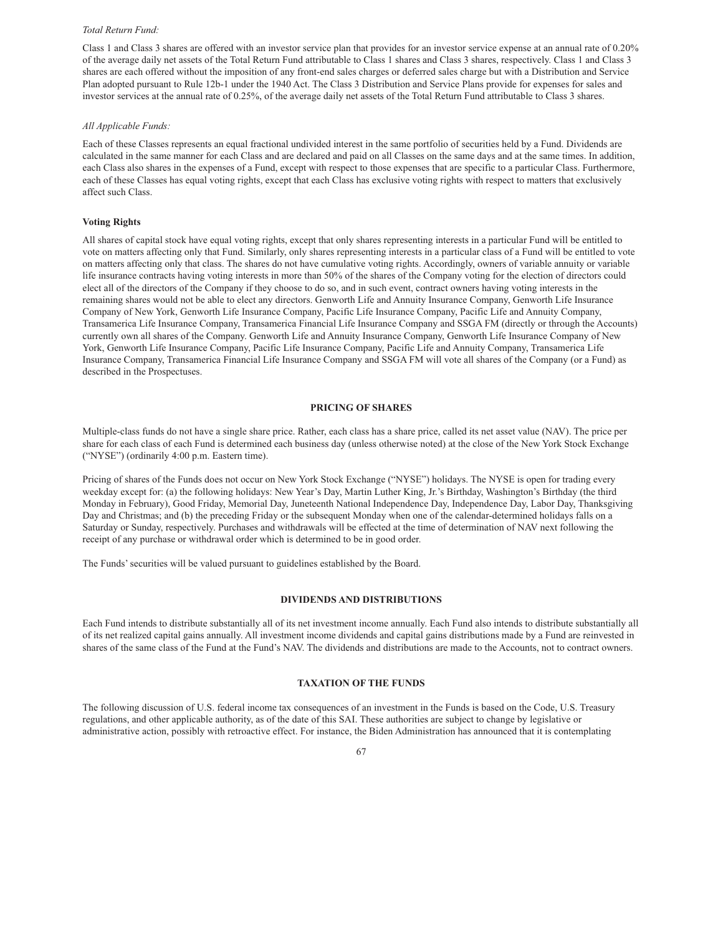### *Total Return Fund:*

Class 1 and Class 3 shares are offered with an investor service plan that provides for an investor service expense at an annual rate of 0.20% of the average daily net assets of the Total Return Fund attributable to Class 1 shares and Class 3 shares, respectively. Class 1 and Class 3 shares are each offered without the imposition of any front-end sales charges or deferred sales charge but with a Distribution and Service Plan adopted pursuant to Rule 12b-1 under the 1940 Act. The Class 3 Distribution and Service Plans provide for expenses for sales and investor services at the annual rate of 0.25%, of the average daily net assets of the Total Return Fund attributable to Class 3 shares.

#### *All Applicable Funds:*

Each of these Classes represents an equal fractional undivided interest in the same portfolio of securities held by a Fund. Dividends are calculated in the same manner for each Class and are declared and paid on all Classes on the same days and at the same times. In addition, each Class also shares in the expenses of a Fund, except with respect to those expenses that are specific to a particular Class. Furthermore, each of these Classes has equal voting rights, except that each Class has exclusive voting rights with respect to matters that exclusively affect such Class.

#### **Voting Rights**

All shares of capital stock have equal voting rights, except that only shares representing interests in a particular Fund will be entitled to vote on matters affecting only that Fund. Similarly, only shares representing interests in a particular class of a Fund will be entitled to vote on matters affecting only that class. The shares do not have cumulative voting rights. Accordingly, owners of variable annuity or variable life insurance contracts having voting interests in more than 50% of the shares of the Company voting for the election of directors could elect all of the directors of the Company if they choose to do so, and in such event, contract owners having voting interests in the remaining shares would not be able to elect any directors. Genworth Life and Annuity Insurance Company, Genworth Life Insurance Company of New York, Genworth Life Insurance Company, Pacific Life Insurance Company, Pacific Life and Annuity Company, Transamerica Life Insurance Company, Transamerica Financial Life Insurance Company and SSGA FM (directly or through the Accounts) currently own all shares of the Company. Genworth Life and Annuity Insurance Company, Genworth Life Insurance Company of New York, Genworth Life Insurance Company, Pacific Life Insurance Company, Pacific Life and Annuity Company, Transamerica Life Insurance Company, Transamerica Financial Life Insurance Company and SSGA FM will vote all shares of the Company (or a Fund) as described in the Prospectuses.

# **PRICING OF SHARES**

Multiple-class funds do not have a single share price. Rather, each class has a share price, called its net asset value (NAV). The price per share for each class of each Fund is determined each business day (unless otherwise noted) at the close of the New York Stock Exchange ("NYSE") (ordinarily 4:00 p.m. Eastern time).

Pricing of shares of the Funds does not occur on New York Stock Exchange ("NYSE") holidays. The NYSE is open for trading every weekday except for: (a) the following holidays: New Year's Day, Martin Luther King, Jr.'s Birthday, Washington's Birthday (the third Monday in February), Good Friday, Memorial Day, Juneteenth National Independence Day, Independence Day, Labor Day, Thanksgiving Day and Christmas; and (b) the preceding Friday or the subsequent Monday when one of the calendar-determined holidays falls on a Saturday or Sunday, respectively. Purchases and withdrawals will be effected at the time of determination of NAV next following the receipt of any purchase or withdrawal order which is determined to be in good order.

The Funds' securities will be valued pursuant to guidelines established by the Board.

## **DIVIDENDS AND DISTRIBUTIONS**

Each Fund intends to distribute substantially all of its net investment income annually. Each Fund also intends to distribute substantially all of its net realized capital gains annually. All investment income dividends and capital gains distributions made by a Fund are reinvested in shares of the same class of the Fund at the Fund's NAV. The dividends and distributions are made to the Accounts, not to contract owners.

# **TAXATION OF THE FUNDS**

The following discussion of U.S. federal income tax consequences of an investment in the Funds is based on the Code, U.S. Treasury regulations, and other applicable authority, as of the date of this SAI. These authorities are subject to change by legislative or administrative action, possibly with retroactive effect. For instance, the Biden Administration has announced that it is contemplating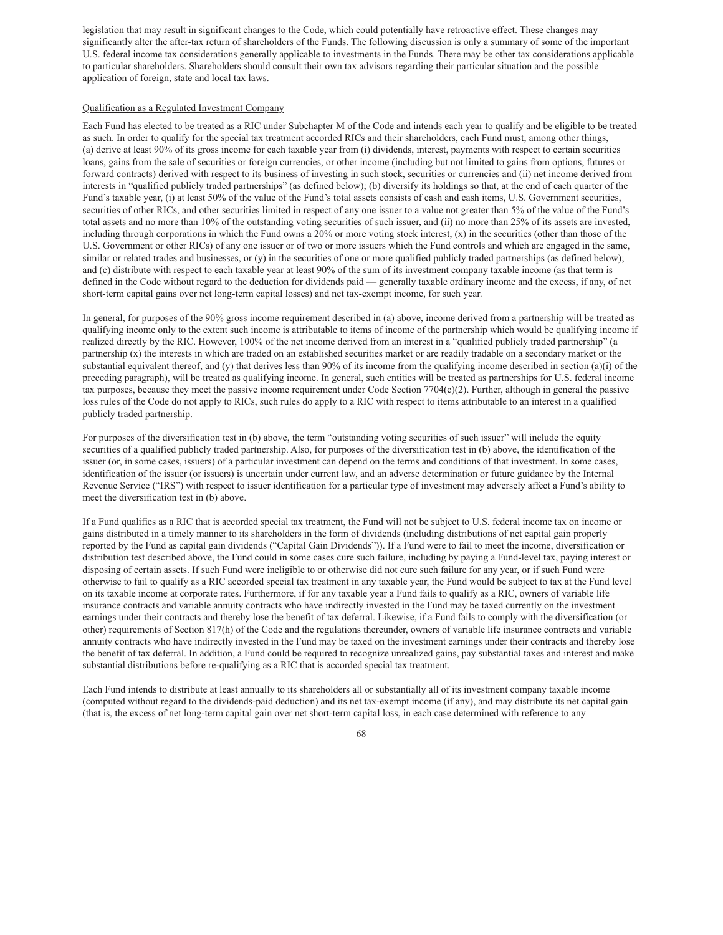legislation that may result in significant changes to the Code, which could potentially have retroactive effect. These changes may significantly alter the after-tax return of shareholders of the Funds. The following discussion is only a summary of some of the important U.S. federal income tax considerations generally applicable to investments in the Funds. There may be other tax considerations applicable to particular shareholders. Shareholders should consult their own tax advisors regarding their particular situation and the possible application of foreign, state and local tax laws.

#### Qualification as a Regulated Investment Company

Each Fund has elected to be treated as a RIC under Subchapter M of the Code and intends each year to qualify and be eligible to be treated as such. In order to qualify for the special tax treatment accorded RICs and their shareholders, each Fund must, among other things, (a) derive at least 90% of its gross income for each taxable year from (i) dividends, interest, payments with respect to certain securities loans, gains from the sale of securities or foreign currencies, or other income (including but not limited to gains from options, futures or forward contracts) derived with respect to its business of investing in such stock, securities or currencies and (ii) net income derived from interests in "qualified publicly traded partnerships" (as defined below); (b) diversify its holdings so that, at the end of each quarter of the Fund's taxable year, (i) at least 50% of the value of the Fund's total assets consists of cash and cash items, U.S. Government securities, securities of other RICs, and other securities limited in respect of any one issuer to a value not greater than 5% of the value of the Fund's total assets and no more than 10% of the outstanding voting securities of such issuer, and (ii) no more than 25% of its assets are invested, including through corporations in which the Fund owns a  $20\%$  or more voting stock interest,  $(x)$  in the securities (other than those of the U.S. Government or other RICs) of any one issuer or of two or more issuers which the Fund controls and which are engaged in the same, similar or related trades and businesses, or (y) in the securities of one or more qualified publicly traded partnerships (as defined below); and (c) distribute with respect to each taxable year at least 90% of the sum of its investment company taxable income (as that term is defined in the Code without regard to the deduction for dividends paid — generally taxable ordinary income and the excess, if any, of net short-term capital gains over net long-term capital losses) and net tax-exempt income, for such year.

In general, for purposes of the 90% gross income requirement described in (a) above, income derived from a partnership will be treated as qualifying income only to the extent such income is attributable to items of income of the partnership which would be qualifying income if realized directly by the RIC. However, 100% of the net income derived from an interest in a "qualified publicly traded partnership" (a partnership (x) the interests in which are traded on an established securities market or are readily tradable on a secondary market or the substantial equivalent thereof, and (y) that derives less than  $90\%$  of its income from the qualifying income described in section (a)(i) of the preceding paragraph), will be treated as qualifying income. In general, such entities will be treated as partnerships for U.S. federal income tax purposes, because they meet the passive income requirement under Code Section  $7704(c)(2)$ . Further, although in general the passive loss rules of the Code do not apply to RICs, such rules do apply to a RIC with respect to items attributable to an interest in a qualified publicly traded partnership.

For purposes of the diversification test in (b) above, the term "outstanding voting securities of such issuer" will include the equity securities of a qualified publicly traded partnership. Also, for purposes of the diversification test in (b) above, the identification of the issuer (or, in some cases, issuers) of a particular investment can depend on the terms and conditions of that investment. In some cases, identification of the issuer (or issuers) is uncertain under current law, and an adverse determination or future guidance by the Internal Revenue Service ("IRS") with respect to issuer identification for a particular type of investment may adversely affect a Fund's ability to meet the diversification test in (b) above.

If a Fund qualifies as a RIC that is accorded special tax treatment, the Fund will not be subject to U.S. federal income tax on income or gains distributed in a timely manner to its shareholders in the form of dividends (including distributions of net capital gain properly reported by the Fund as capital gain dividends ("Capital Gain Dividends")). If a Fund were to fail to meet the income, diversification or distribution test described above, the Fund could in some cases cure such failure, including by paying a Fund-level tax, paying interest or disposing of certain assets. If such Fund were ineligible to or otherwise did not cure such failure for any year, or if such Fund were otherwise to fail to qualify as a RIC accorded special tax treatment in any taxable year, the Fund would be subject to tax at the Fund level on its taxable income at corporate rates. Furthermore, if for any taxable year a Fund fails to qualify as a RIC, owners of variable life insurance contracts and variable annuity contracts who have indirectly invested in the Fund may be taxed currently on the investment earnings under their contracts and thereby lose the benefit of tax deferral. Likewise, if a Fund fails to comply with the diversification (or other) requirements of Section 817(h) of the Code and the regulations thereunder, owners of variable life insurance contracts and variable annuity contracts who have indirectly invested in the Fund may be taxed on the investment earnings under their contracts and thereby lose the benefit of tax deferral. In addition, a Fund could be required to recognize unrealized gains, pay substantial taxes and interest and make substantial distributions before re-qualifying as a RIC that is accorded special tax treatment.

Each Fund intends to distribute at least annually to its shareholders all or substantially all of its investment company taxable income (computed without regard to the dividends-paid deduction) and its net tax-exempt income (if any), and may distribute its net capital gain (that is, the excess of net long-term capital gain over net short-term capital loss, in each case determined with reference to any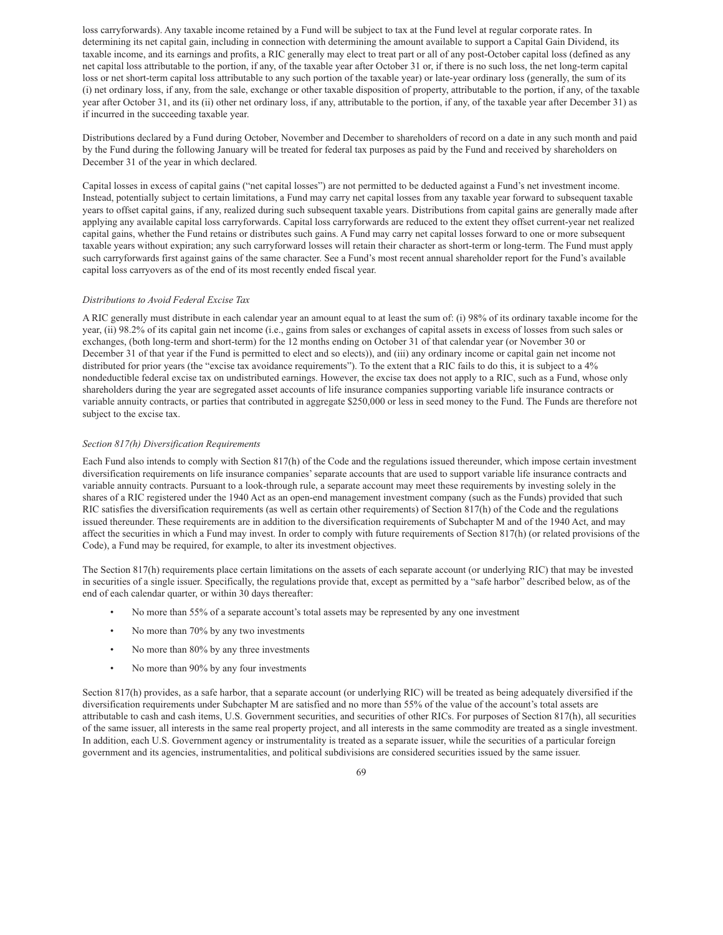loss carryforwards). Any taxable income retained by a Fund will be subject to tax at the Fund level at regular corporate rates. In determining its net capital gain, including in connection with determining the amount available to support a Capital Gain Dividend, its taxable income, and its earnings and profits, a RIC generally may elect to treat part or all of any post-October capital loss (defined as any net capital loss attributable to the portion, if any, of the taxable year after October 31 or, if there is no such loss, the net long-term capital loss or net short-term capital loss attributable to any such portion of the taxable year) or late-year ordinary loss (generally, the sum of its (i) net ordinary loss, if any, from the sale, exchange or other taxable disposition of property, attributable to the portion, if any, of the taxable year after October 31, and its (ii) other net ordinary loss, if any, attributable to the portion, if any, of the taxable year after December 31) as if incurred in the succeeding taxable year.

Distributions declared by a Fund during October, November and December to shareholders of record on a date in any such month and paid by the Fund during the following January will be treated for federal tax purposes as paid by the Fund and received by shareholders on December 31 of the year in which declared.

Capital losses in excess of capital gains ("net capital losses") are not permitted to be deducted against a Fund's net investment income. Instead, potentially subject to certain limitations, a Fund may carry net capital losses from any taxable year forward to subsequent taxable years to offset capital gains, if any, realized during such subsequent taxable years. Distributions from capital gains are generally made after applying any available capital loss carryforwards. Capital loss carryforwards are reduced to the extent they offset current-year net realized capital gains, whether the Fund retains or distributes such gains. A Fund may carry net capital losses forward to one or more subsequent taxable years without expiration; any such carryforward losses will retain their character as short-term or long-term. The Fund must apply such carryforwards first against gains of the same character. See a Fund's most recent annual shareholder report for the Fund's available capital loss carryovers as of the end of its most recently ended fiscal year.

## *Distributions to Avoid Federal Excise Tax*

A RIC generally must distribute in each calendar year an amount equal to at least the sum of: (i) 98% of its ordinary taxable income for the year, (ii) 98.2% of its capital gain net income (i.e., gains from sales or exchanges of capital assets in excess of losses from such sales or exchanges, (both long-term and short-term) for the 12 months ending on October 31 of that calendar year (or November 30 or December 31 of that year if the Fund is permitted to elect and so elects)), and (iii) any ordinary income or capital gain net income not distributed for prior years (the "excise tax avoidance requirements"). To the extent that a RIC fails to do this, it is subject to a 4% nondeductible federal excise tax on undistributed earnings. However, the excise tax does not apply to a RIC, such as a Fund, whose only shareholders during the year are segregated asset accounts of life insurance companies supporting variable life insurance contracts or variable annuity contracts, or parties that contributed in aggregate \$250,000 or less in seed money to the Fund. The Funds are therefore not subject to the excise tax.

#### *Section 817(h) Diversification Requirements*

Each Fund also intends to comply with Section 817(h) of the Code and the regulations issued thereunder, which impose certain investment diversification requirements on life insurance companies' separate accounts that are used to support variable life insurance contracts and variable annuity contracts. Pursuant to a look-through rule, a separate account may meet these requirements by investing solely in the shares of a RIC registered under the 1940 Act as an open-end management investment company (such as the Funds) provided that such RIC satisfies the diversification requirements (as well as certain other requirements) of Section 817(h) of the Code and the regulations issued thereunder. These requirements are in addition to the diversification requirements of Subchapter M and of the 1940 Act, and may affect the securities in which a Fund may invest. In order to comply with future requirements of Section 817(h) (or related provisions of the Code), a Fund may be required, for example, to alter its investment objectives.

The Section 817(h) requirements place certain limitations on the assets of each separate account (or underlying RIC) that may be invested in securities of a single issuer. Specifically, the regulations provide that, except as permitted by a "safe harbor" described below, as of the end of each calendar quarter, or within 30 days thereafter:

- No more than 55% of a separate account's total assets may be represented by any one investment
- No more than 70% by any two investments
- No more than 80% by any three investments
- No more than 90% by any four investments

Section 817(h) provides, as a safe harbor, that a separate account (or underlying RIC) will be treated as being adequately diversified if the diversification requirements under Subchapter M are satisfied and no more than 55% of the value of the account's total assets are attributable to cash and cash items, U.S. Government securities, and securities of other RICs. For purposes of Section 817(h), all securities of the same issuer, all interests in the same real property project, and all interests in the same commodity are treated as a single investment. In addition, each U.S. Government agency or instrumentality is treated as a separate issuer, while the securities of a particular foreign government and its agencies, instrumentalities, and political subdivisions are considered securities issued by the same issuer.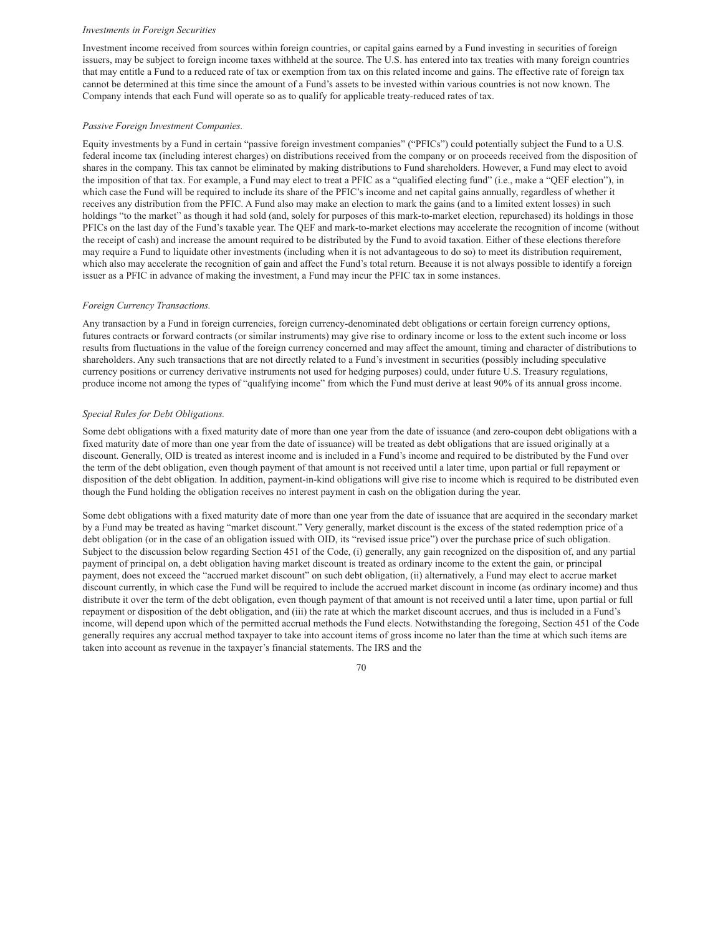### *Investments in Foreign Securities*

Investment income received from sources within foreign countries, or capital gains earned by a Fund investing in securities of foreign issuers, may be subject to foreign income taxes withheld at the source. The U.S. has entered into tax treaties with many foreign countries that may entitle a Fund to a reduced rate of tax or exemption from tax on this related income and gains. The effective rate of foreign tax cannot be determined at this time since the amount of a Fund's assets to be invested within various countries is not now known. The Company intends that each Fund will operate so as to qualify for applicable treaty-reduced rates of tax.

#### *Passive Foreign Investment Companies.*

Equity investments by a Fund in certain "passive foreign investment companies" ("PFICs") could potentially subject the Fund to a U.S. federal income tax (including interest charges) on distributions received from the company or on proceeds received from the disposition of shares in the company. This tax cannot be eliminated by making distributions to Fund shareholders. However, a Fund may elect to avoid the imposition of that tax. For example, a Fund may elect to treat a PFIC as a "qualified electing fund" (i.e., make a "QEF election"), in which case the Fund will be required to include its share of the PFIC's income and net capital gains annually, regardless of whether it receives any distribution from the PFIC. A Fund also may make an election to mark the gains (and to a limited extent losses) in such holdings "to the market" as though it had sold (and, solely for purposes of this mark-to-market election, repurchased) its holdings in those PFICs on the last day of the Fund's taxable year. The QEF and mark-to-market elections may accelerate the recognition of income (without the receipt of cash) and increase the amount required to be distributed by the Fund to avoid taxation. Either of these elections therefore may require a Fund to liquidate other investments (including when it is not advantageous to do so) to meet its distribution requirement, which also may accelerate the recognition of gain and affect the Fund's total return. Because it is not always possible to identify a foreign issuer as a PFIC in advance of making the investment, a Fund may incur the PFIC tax in some instances.

## *Foreign Currency Transactions.*

Any transaction by a Fund in foreign currencies, foreign currency-denominated debt obligations or certain foreign currency options, futures contracts or forward contracts (or similar instruments) may give rise to ordinary income or loss to the extent such income or loss results from fluctuations in the value of the foreign currency concerned and may affect the amount, timing and character of distributions to shareholders. Any such transactions that are not directly related to a Fund's investment in securities (possibly including speculative currency positions or currency derivative instruments not used for hedging purposes) could, under future U.S. Treasury regulations, produce income not among the types of "qualifying income" from which the Fund must derive at least 90% of its annual gross income.

## *Special Rules for Debt Obligations.*

Some debt obligations with a fixed maturity date of more than one year from the date of issuance (and zero-coupon debt obligations with a fixed maturity date of more than one year from the date of issuance) will be treated as debt obligations that are issued originally at a discount. Generally, OID is treated as interest income and is included in a Fund's income and required to be distributed by the Fund over the term of the debt obligation, even though payment of that amount is not received until a later time, upon partial or full repayment or disposition of the debt obligation. In addition, payment-in-kind obligations will give rise to income which is required to be distributed even though the Fund holding the obligation receives no interest payment in cash on the obligation during the year.

Some debt obligations with a fixed maturity date of more than one year from the date of issuance that are acquired in the secondary market by a Fund may be treated as having "market discount." Very generally, market discount is the excess of the stated redemption price of a debt obligation (or in the case of an obligation issued with OID, its "revised issue price") over the purchase price of such obligation. Subject to the discussion below regarding Section 451 of the Code, (i) generally, any gain recognized on the disposition of, and any partial payment of principal on, a debt obligation having market discount is treated as ordinary income to the extent the gain, or principal payment, does not exceed the "accrued market discount" on such debt obligation, (ii) alternatively, a Fund may elect to accrue market discount currently, in which case the Fund will be required to include the accrued market discount in income (as ordinary income) and thus distribute it over the term of the debt obligation, even though payment of that amount is not received until a later time, upon partial or full repayment or disposition of the debt obligation, and (iii) the rate at which the market discount accrues, and thus is included in a Fund's income, will depend upon which of the permitted accrual methods the Fund elects. Notwithstanding the foregoing, Section 451 of the Code generally requires any accrual method taxpayer to take into account items of gross income no later than the time at which such items are taken into account as revenue in the taxpayer's financial statements. The IRS and the

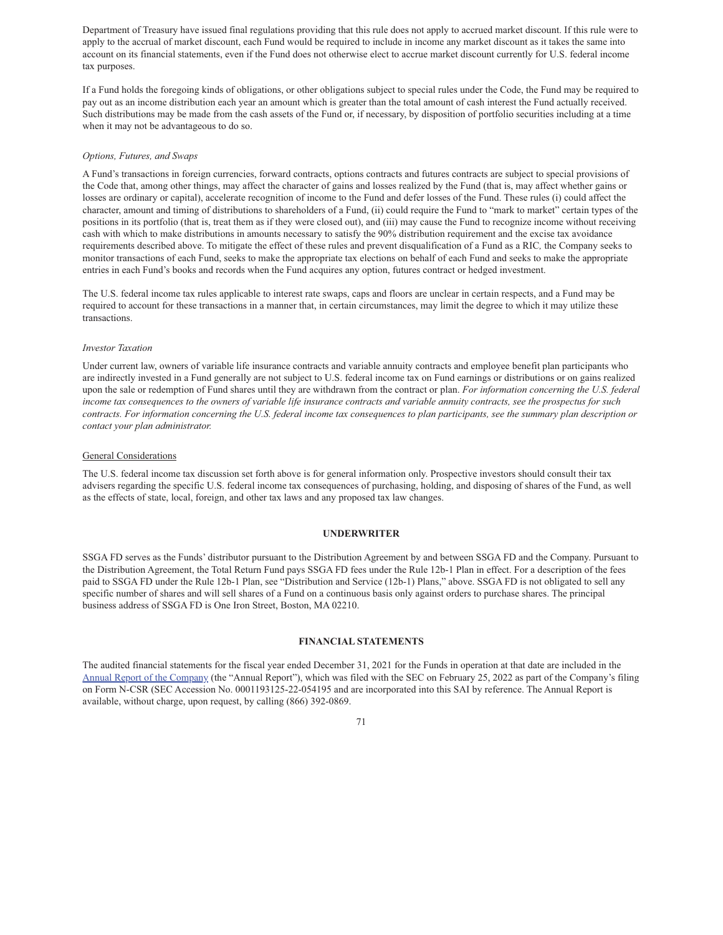Department of Treasury have issued final regulations providing that this rule does not apply to accrued market discount. If this rule were to apply to the accrual of market discount, each Fund would be required to include in income any market discount as it takes the same into account on its financial statements, even if the Fund does not otherwise elect to accrue market discount currently for U.S. federal income tax purposes.

If a Fund holds the foregoing kinds of obligations, or other obligations subject to special rules under the Code, the Fund may be required to pay out as an income distribution each year an amount which is greater than the total amount of cash interest the Fund actually received. Such distributions may be made from the cash assets of the Fund or, if necessary, by disposition of portfolio securities including at a time when it may not be advantageous to do so.

#### *Options, Futures, and Swaps*

A Fund's transactions in foreign currencies, forward contracts, options contracts and futures contracts are subject to special provisions of the Code that, among other things, may affect the character of gains and losses realized by the Fund (that is, may affect whether gains or losses are ordinary or capital), accelerate recognition of income to the Fund and defer losses of the Fund. These rules (i) could affect the character, amount and timing of distributions to shareholders of a Fund, (ii) could require the Fund to "mark to market" certain types of the positions in its portfolio (that is, treat them as if they were closed out), and (iii) may cause the Fund to recognize income without receiving cash with which to make distributions in amounts necessary to satisfy the 90% distribution requirement and the excise tax avoidance requirements described above. To mitigate the effect of these rules and prevent disqualification of a Fund as a RIC*,* the Company seeks to monitor transactions of each Fund, seeks to make the appropriate tax elections on behalf of each Fund and seeks to make the appropriate entries in each Fund's books and records when the Fund acquires any option, futures contract or hedged investment.

The U.S. federal income tax rules applicable to interest rate swaps, caps and floors are unclear in certain respects, and a Fund may be required to account for these transactions in a manner that, in certain circumstances, may limit the degree to which it may utilize these transactions.

### *Investor Taxation*

Under current law, owners of variable life insurance contracts and variable annuity contracts and employee benefit plan participants who are indirectly invested in a Fund generally are not subject to U.S. federal income tax on Fund earnings or distributions or on gains realized upon the sale or redemption of Fund shares until they are withdrawn from the contract or plan. *For information concerning the U.S. federal income tax consequences to the owners of variable life insurance contracts and variable annuity contracts, see the prospectus for such contracts. For information concerning the U.S. federal income tax consequences to plan participants, see the summary plan description or contact your plan administrator.*

## General Considerations

The U.S. federal income tax discussion set forth above is for general information only. Prospective investors should consult their tax advisers regarding the specific U.S. federal income tax consequences of purchasing, holding, and disposing of shares of the Fund, as well as the effects of state, local, foreign, and other tax laws and any proposed tax law changes.

# **UNDERWRITER**

SSGA FD serves as the Funds' distributor pursuant to the Distribution Agreement by and between SSGA FD and the Company. Pursuant to the Distribution Agreement, the Total Return Fund pays SSGA FD fees under the Rule 12b-1 Plan in effect. For a description of the fees paid to SSGA FD under the Rule 12b-1 Plan, see "Distribution and Service (12b-1) Plans," above. SSGA FD is not obligated to sell any specific number of shares and will sell shares of a Fund on a continuous basis only against orders to purchase shares. The principal business address of SSGA FD is One Iron Street, Boston, MA 02210.

# **FINANCIAL STATEMENTS**

The audited financial statements for the fiscal year ended December 31, 2021 for the Funds in operation at that date are included in the Annual Report of the Company (the "Annual Report"), which was filed with the SEC on February 25, 2022 as part of the Company's filing on Form N-CSR (SEC Accession No. 0001193125-22-054195 and are incorporated into this SAI by reference. The Annual Report is available, without charge, upon request, by calling (866) 392-0869.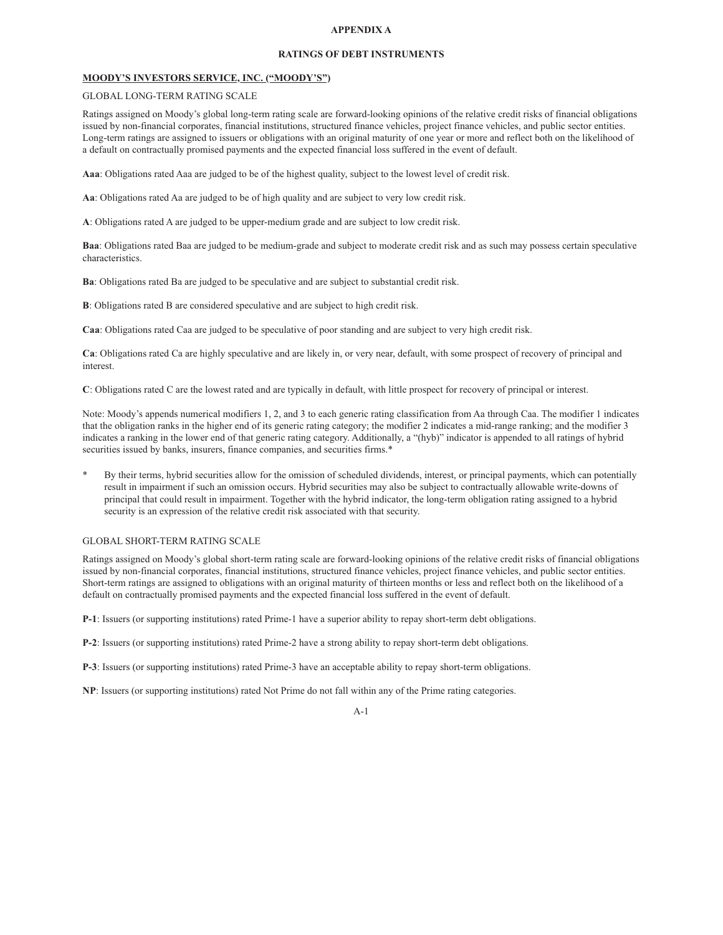## **APPENDIX A**

## **RATINGS OF DEBT INSTRUMENTS**

## **MOODY'S INVESTORS SERVICE, INC. ("MOODY'S")**

GLOBAL LONG-TERM RATING SCALE

Ratings assigned on Moody's global long-term rating scale are forward-looking opinions of the relative credit risks of financial obligations issued by non-financial corporates, financial institutions, structured finance vehicles, project finance vehicles, and public sector entities. Long-term ratings are assigned to issuers or obligations with an original maturity of one year or more and reflect both on the likelihood of a default on contractually promised payments and the expected financial loss suffered in the event of default.

**Aaa**: Obligations rated Aaa are judged to be of the highest quality, subject to the lowest level of credit risk.

**Aa**: Obligations rated Aa are judged to be of high quality and are subject to very low credit risk.

**A**: Obligations rated A are judged to be upper-medium grade and are subject to low credit risk.

**Baa**: Obligations rated Baa are judged to be medium-grade and subject to moderate credit risk and as such may possess certain speculative characteristics.

**Ba**: Obligations rated Ba are judged to be speculative and are subject to substantial credit risk.

**B**: Obligations rated B are considered speculative and are subject to high credit risk.

**Caa**: Obligations rated Caa are judged to be speculative of poor standing and are subject to very high credit risk.

**Ca**: Obligations rated Ca are highly speculative and are likely in, or very near, default, with some prospect of recovery of principal and interest.

**C**: Obligations rated C are the lowest rated and are typically in default, with little prospect for recovery of principal or interest.

Note: Moody's appends numerical modifiers 1, 2, and 3 to each generic rating classification from Aa through Caa. The modifier 1 indicates that the obligation ranks in the higher end of its generic rating category; the modifier 2 indicates a mid-range ranking; and the modifier 3 indicates a ranking in the lower end of that generic rating category. Additionally, a "(hyb)" indicator is appended to all ratings of hybrid securities issued by banks, insurers, finance companies, and securities firms.\*

By their terms, hybrid securities allow for the omission of scheduled dividends, interest, or principal payments, which can potentially result in impairment if such an omission occurs. Hybrid securities may also be subject to contractually allowable write-downs of principal that could result in impairment. Together with the hybrid indicator, the long-term obligation rating assigned to a hybrid security is an expression of the relative credit risk associated with that security.

## GLOBAL SHORT-TERM RATING SCALE

Ratings assigned on Moody's global short-term rating scale are forward-looking opinions of the relative credit risks of financial obligations issued by non-financial corporates, financial institutions, structured finance vehicles, project finance vehicles, and public sector entities. Short-term ratings are assigned to obligations with an original maturity of thirteen months or less and reflect both on the likelihood of a default on contractually promised payments and the expected financial loss suffered in the event of default.

**P-1**: Issuers (or supporting institutions) rated Prime-1 have a superior ability to repay short-term debt obligations.

**P-2**: Issuers (or supporting institutions) rated Prime-2 have a strong ability to repay short-term debt obligations.

**P-3**: Issuers (or supporting institutions) rated Prime-3 have an acceptable ability to repay short-term obligations.

**NP**: Issuers (or supporting institutions) rated Not Prime do not fall within any of the Prime rating categories.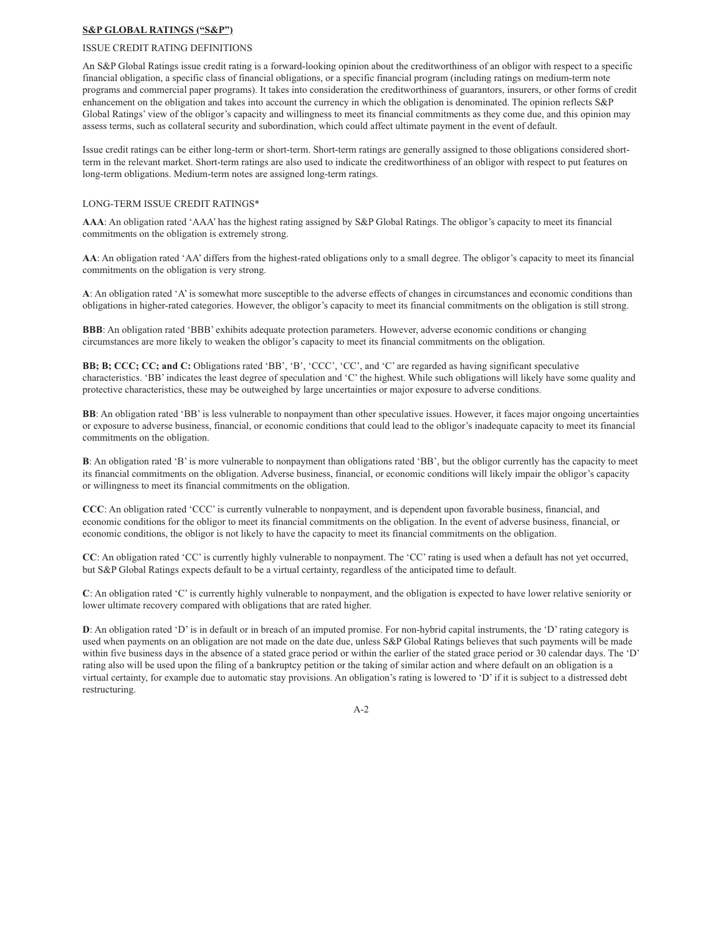## **S&P GLOBAL RATINGS ("S&P")**

## ISSUE CREDIT RATING DEFINITIONS

An S&P Global Ratings issue credit rating is a forward-looking opinion about the creditworthiness of an obligor with respect to a specific financial obligation, a specific class of financial obligations, or a specific financial program (including ratings on medium-term note programs and commercial paper programs). It takes into consideration the creditworthiness of guarantors, insurers, or other forms of credit enhancement on the obligation and takes into account the currency in which the obligation is denominated. The opinion reflects S&P Global Ratings' view of the obligor's capacity and willingness to meet its financial commitments as they come due, and this opinion may assess terms, such as collateral security and subordination, which could affect ultimate payment in the event of default.

Issue credit ratings can be either long-term or short-term. Short-term ratings are generally assigned to those obligations considered shortterm in the relevant market. Short-term ratings are also used to indicate the creditworthiness of an obligor with respect to put features on long-term obligations. Medium-term notes are assigned long-term ratings.

## LONG-TERM ISSUE CREDIT RATINGS\*

**AAA**: An obligation rated 'AAA' has the highest rating assigned by S&P Global Ratings. The obligor's capacity to meet its financial commitments on the obligation is extremely strong.

**AA**: An obligation rated 'AA' differs from the highest-rated obligations only to a small degree. The obligor's capacity to meet its financial commitments on the obligation is very strong.

**A**: An obligation rated 'A' is somewhat more susceptible to the adverse effects of changes in circumstances and economic conditions than obligations in higher-rated categories. However, the obligor's capacity to meet its financial commitments on the obligation is still strong.

**BBB**: An obligation rated 'BBB' exhibits adequate protection parameters. However, adverse economic conditions or changing circumstances are more likely to weaken the obligor's capacity to meet its financial commitments on the obligation.

**BB; B; CCC; CC; and C:** Obligations rated 'BB', 'B', 'CCC', 'CC', and 'C' are regarded as having significant speculative characteristics. 'BB' indicates the least degree of speculation and 'C' the highest. While such obligations will likely have some quality and protective characteristics, these may be outweighed by large uncertainties or major exposure to adverse conditions.

**BB**: An obligation rated 'BB' is less vulnerable to nonpayment than other speculative issues. However, it faces major ongoing uncertainties or exposure to adverse business, financial, or economic conditions that could lead to the obligor's inadequate capacity to meet its financial commitments on the obligation.

**B**: An obligation rated 'B' is more vulnerable to nonpayment than obligations rated 'BB', but the obligor currently has the capacity to meet its financial commitments on the obligation. Adverse business, financial, or economic conditions will likely impair the obligor's capacity or willingness to meet its financial commitments on the obligation.

**CCC**: An obligation rated 'CCC' is currently vulnerable to nonpayment, and is dependent upon favorable business, financial, and economic conditions for the obligor to meet its financial commitments on the obligation. In the event of adverse business, financial, or economic conditions, the obligor is not likely to have the capacity to meet its financial commitments on the obligation.

**CC**: An obligation rated 'CC' is currently highly vulnerable to nonpayment. The 'CC' rating is used when a default has not yet occurred, but S&P Global Ratings expects default to be a virtual certainty, regardless of the anticipated time to default.

**C**: An obligation rated 'C' is currently highly vulnerable to nonpayment, and the obligation is expected to have lower relative seniority or lower ultimate recovery compared with obligations that are rated higher.

**D**: An obligation rated 'D' is in default or in breach of an imputed promise. For non-hybrid capital instruments, the 'D' rating category is used when payments on an obligation are not made on the date due, unless S&P Global Ratings believes that such payments will be made within five business days in the absence of a stated grace period or within the earlier of the stated grace period or 30 calendar days. The 'D' rating also will be used upon the filing of a bankruptcy petition or the taking of similar action and where default on an obligation is a virtual certainty, for example due to automatic stay provisions. An obligation's rating is lowered to 'D' if it is subject to a distressed debt restructuring.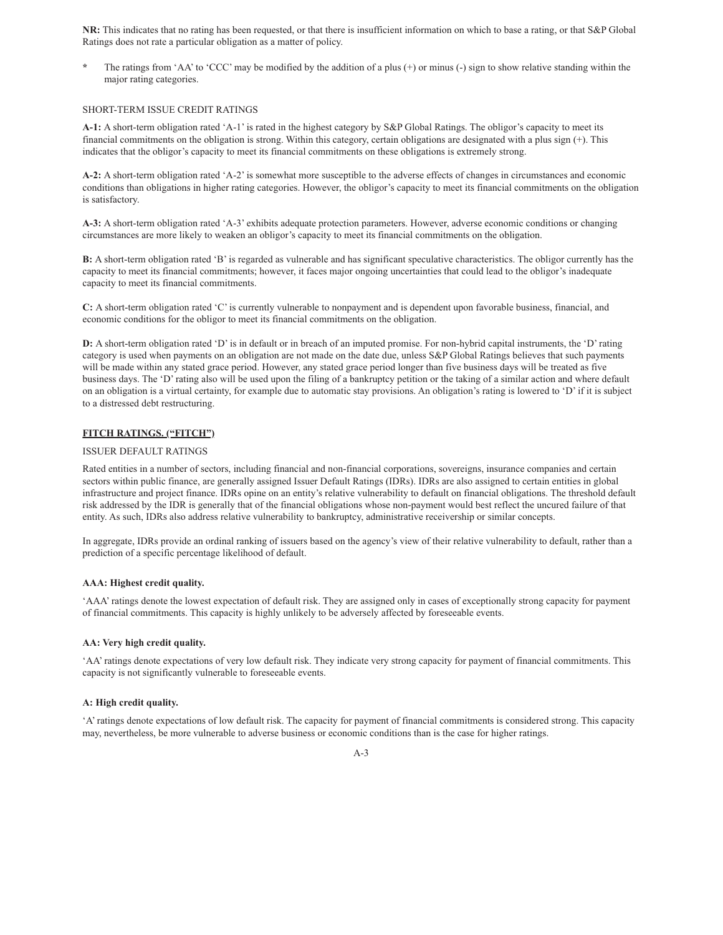**NR:** This indicates that no rating has been requested, or that there is insufficient information on which to base a rating, or that S&P Global Ratings does not rate a particular obligation as a matter of policy.

**\*** The ratings from 'AA' to 'CCC' may be modified by the addition of a plus (+) or minus (-) sign to show relative standing within the major rating categories.

## SHORT-TERM ISSUE CREDIT RATINGS

**A-1:** A short-term obligation rated 'A-1' is rated in the highest category by S&P Global Ratings. The obligor's capacity to meet its financial commitments on the obligation is strong. Within this category, certain obligations are designated with a plus sign (+). This indicates that the obligor's capacity to meet its financial commitments on these obligations is extremely strong.

**A-2:** A short-term obligation rated 'A-2' is somewhat more susceptible to the adverse effects of changes in circumstances and economic conditions than obligations in higher rating categories. However, the obligor's capacity to meet its financial commitments on the obligation is satisfactory.

**A-3:** A short-term obligation rated 'A-3' exhibits adequate protection parameters. However, adverse economic conditions or changing circumstances are more likely to weaken an obligor's capacity to meet its financial commitments on the obligation.

**B:** A short-term obligation rated 'B' is regarded as vulnerable and has significant speculative characteristics. The obligor currently has the capacity to meet its financial commitments; however, it faces major ongoing uncertainties that could lead to the obligor's inadequate capacity to meet its financial commitments.

**C:** A short-term obligation rated 'C' is currently vulnerable to nonpayment and is dependent upon favorable business, financial, and economic conditions for the obligor to meet its financial commitments on the obligation.

**D:** A short-term obligation rated 'D' is in default or in breach of an imputed promise. For non-hybrid capital instruments, the 'D' rating category is used when payments on an obligation are not made on the date due, unless S&P Global Ratings believes that such payments will be made within any stated grace period. However, any stated grace period longer than five business days will be treated as five business days. The 'D' rating also will be used upon the filing of a bankruptcy petition or the taking of a similar action and where default on an obligation is a virtual certainty, for example due to automatic stay provisions. An obligation's rating is lowered to 'D' if it is subject to a distressed debt restructuring.

## **FITCH RATINGS. ("FITCH")**

### ISSUER DEFAULT RATINGS

Rated entities in a number of sectors, including financial and non-financial corporations, sovereigns, insurance companies and certain sectors within public finance, are generally assigned Issuer Default Ratings (IDRs). IDRs are also assigned to certain entities in global infrastructure and project finance. IDRs opine on an entity's relative vulnerability to default on financial obligations. The threshold default risk addressed by the IDR is generally that of the financial obligations whose non-payment would best reflect the uncured failure of that entity. As such, IDRs also address relative vulnerability to bankruptcy, administrative receivership or similar concepts.

In aggregate, IDRs provide an ordinal ranking of issuers based on the agency's view of their relative vulnerability to default, rather than a prediction of a specific percentage likelihood of default.

## **AAA: Highest credit quality.**

'AAA' ratings denote the lowest expectation of default risk. They are assigned only in cases of exceptionally strong capacity for payment of financial commitments. This capacity is highly unlikely to be adversely affected by foreseeable events.

## **AA: Very high credit quality.**

'AA' ratings denote expectations of very low default risk. They indicate very strong capacity for payment of financial commitments. This capacity is not significantly vulnerable to foreseeable events.

### **A: High credit quality.**

'A' ratings denote expectations of low default risk. The capacity for payment of financial commitments is considered strong. This capacity may, nevertheless, be more vulnerable to adverse business or economic conditions than is the case for higher ratings.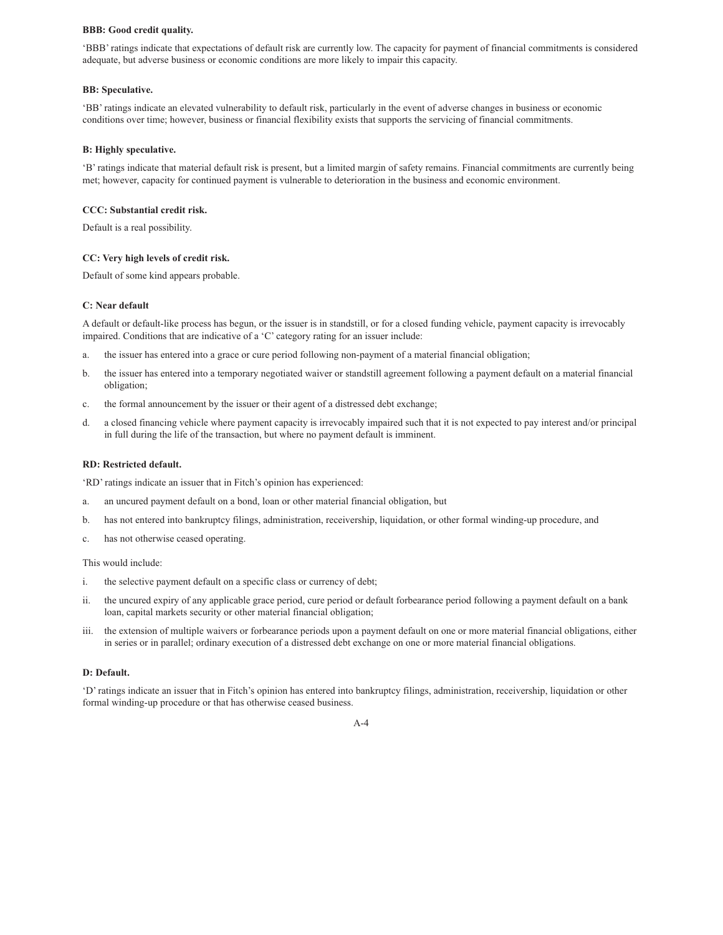### **BBB: Good credit quality.**

'BBB' ratings indicate that expectations of default risk are currently low. The capacity for payment of financial commitments is considered adequate, but adverse business or economic conditions are more likely to impair this capacity.

### **BB: Speculative.**

'BB' ratings indicate an elevated vulnerability to default risk, particularly in the event of adverse changes in business or economic conditions over time; however, business or financial flexibility exists that supports the servicing of financial commitments.

### **B: Highly speculative.**

'B' ratings indicate that material default risk is present, but a limited margin of safety remains. Financial commitments are currently being met; however, capacity for continued payment is vulnerable to deterioration in the business and economic environment.

## **CCC: Substantial credit risk.**

Default is a real possibility.

## **CC: Very high levels of credit risk.**

Default of some kind appears probable.

## **C: Near default**

A default or default-like process has begun, or the issuer is in standstill, or for a closed funding vehicle, payment capacity is irrevocably impaired. Conditions that are indicative of a 'C' category rating for an issuer include:

- a. the issuer has entered into a grace or cure period following non-payment of a material financial obligation;
- b. the issuer has entered into a temporary negotiated waiver or standstill agreement following a payment default on a material financial obligation;
- c. the formal announcement by the issuer or their agent of a distressed debt exchange;
- d. a closed financing vehicle where payment capacity is irrevocably impaired such that it is not expected to pay interest and/or principal in full during the life of the transaction, but where no payment default is imminent.

## **RD: Restricted default.**

'RD' ratings indicate an issuer that in Fitch's opinion has experienced:

- a. an uncured payment default on a bond, loan or other material financial obligation, but
- b. has not entered into bankruptcy filings, administration, receivership, liquidation, or other formal winding-up procedure, and
- c. has not otherwise ceased operating.

### This would include:

- i. the selective payment default on a specific class or currency of debt;
- ii. the uncured expiry of any applicable grace period, cure period or default forbearance period following a payment default on a bank loan, capital markets security or other material financial obligation;
- iii. the extension of multiple waivers or forbearance periods upon a payment default on one or more material financial obligations, either in series or in parallel; ordinary execution of a distressed debt exchange on one or more material financial obligations.

## **D: Default.**

'D' ratings indicate an issuer that in Fitch's opinion has entered into bankruptcy filings, administration, receivership, liquidation or other formal winding-up procedure or that has otherwise ceased business.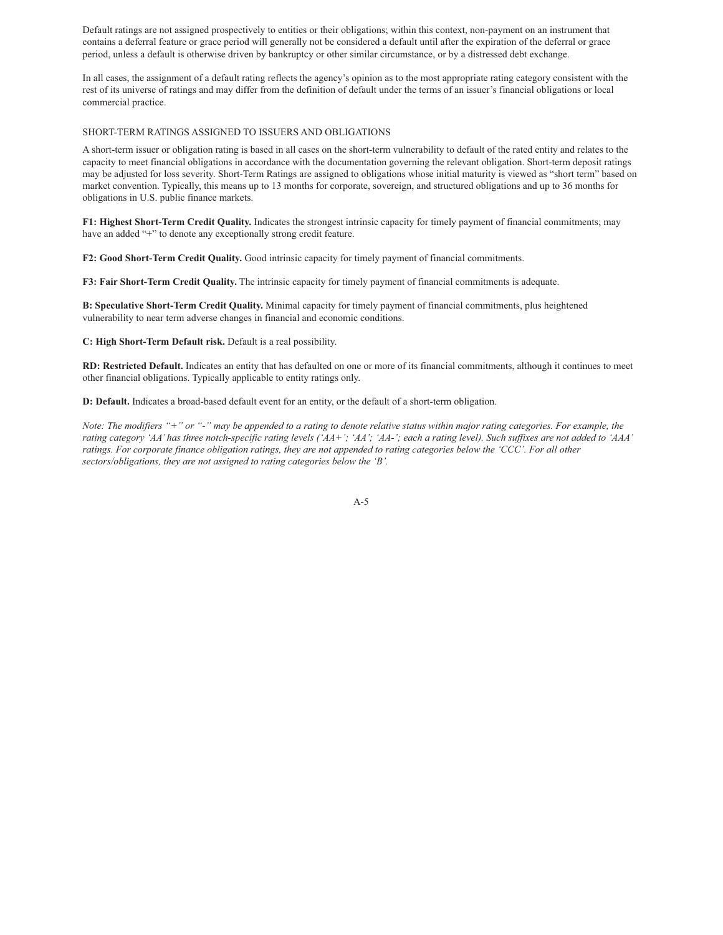Default ratings are not assigned prospectively to entities or their obligations; within this context, non-payment on an instrument that contains a deferral feature or grace period will generally not be considered a default until after the expiration of the deferral or grace period, unless a default is otherwise driven by bankruptcy or other similar circumstance, or by a distressed debt exchange.

In all cases, the assignment of a default rating reflects the agency's opinion as to the most appropriate rating category consistent with the rest of its universe of ratings and may differ from the definition of default under the terms of an issuer's financial obligations or local commercial practice.

## SHORT-TERM RATINGS ASSIGNED TO ISSUERS AND OBLIGATIONS

A short-term issuer or obligation rating is based in all cases on the short-term vulnerability to default of the rated entity and relates to the capacity to meet financial obligations in accordance with the documentation governing the relevant obligation. Short-term deposit ratings may be adjusted for loss severity. Short-Term Ratings are assigned to obligations whose initial maturity is viewed as "short term" based on market convention. Typically, this means up to 13 months for corporate, sovereign, and structured obligations and up to 36 months for obligations in U.S. public finance markets.

**F1: Highest Short-Term Credit Quality.** Indicates the strongest intrinsic capacity for timely payment of financial commitments; may have an added "+" to denote any exceptionally strong credit feature.

**F2: Good Short-Term Credit Quality.** Good intrinsic capacity for timely payment of financial commitments.

**F3: Fair Short-Term Credit Quality.** The intrinsic capacity for timely payment of financial commitments is adequate.

**B: Speculative Short-Term Credit Quality.** Minimal capacity for timely payment of financial commitments, plus heightened vulnerability to near term adverse changes in financial and economic conditions.

**C: High Short-Term Default risk.** Default is a real possibility.

**RD: Restricted Default.** Indicates an entity that has defaulted on one or more of its financial commitments, although it continues to meet other financial obligations. Typically applicable to entity ratings only.

**D: Default.** Indicates a broad-based default event for an entity, or the default of a short-term obligation.

*Note: The modifiers "+" or "-" may be appended to a rating to denote relative status within major rating categories. For example, the rating category 'AA' has three notch-specific rating levels ('AA+'; 'AA'; 'AA-'; each a rating level). Such suffixes are not added to 'AAA' ratings. For corporate finance obligation ratings, they are not appended to rating categories below the 'CCC'. For all other sectors/obligations, they are not assigned to rating categories below the 'B'.*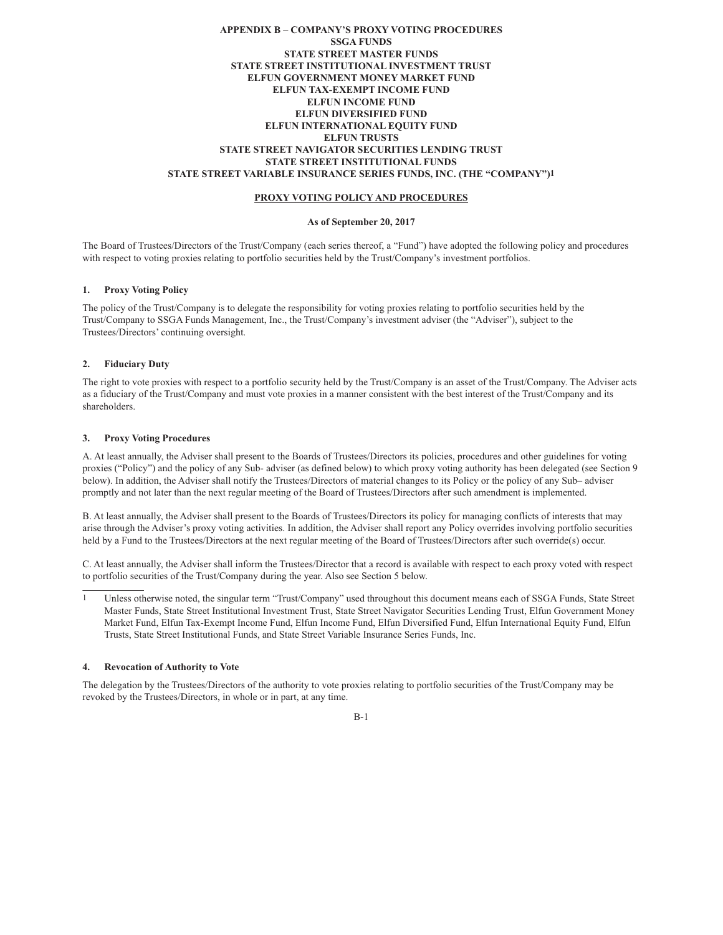## **APPENDIX B – COMPANY'S PROXY VOTING PROCEDURES SSGA FUNDS STATE STREET MASTER FUNDS STATE STREET INSTITUTIONAL INVESTMENT TRUST ELFUN GOVERNMENT MONEY MARKET FUND ELFUN TAX-EXEMPT INCOME FUND ELFUN INCOME FUND ELFUN DIVERSIFIED FUND ELFUN INTERNATIONAL EQUITY FUND ELFUN TRUSTS STATE STREET NAVIGATOR SECURITIES LENDING TRUST STATE STREET INSTITUTIONAL FUNDS STATE STREET VARIABLE INSURANCE SERIES FUNDS, INC. (THE "COMPANY")1**

## **PROXY VOTING POLICY AND PROCEDURES**

## **As of September 20, 2017**

The Board of Trustees/Directors of the Trust/Company (each series thereof, a "Fund") have adopted the following policy and procedures with respect to voting proxies relating to portfolio securities held by the Trust/Company's investment portfolios.

## **1. Proxy Voting Policy**

The policy of the Trust/Company is to delegate the responsibility for voting proxies relating to portfolio securities held by the Trust/Company to SSGA Funds Management, Inc., the Trust/Company's investment adviser (the "Adviser"), subject to the Trustees/Directors' continuing oversight.

### **2. Fiduciary Duty**

The right to vote proxies with respect to a portfolio security held by the Trust/Company is an asset of the Trust/Company. The Adviser acts as a fiduciary of the Trust/Company and must vote proxies in a manner consistent with the best interest of the Trust/Company and its shareholders.

### **3. Proxy Voting Procedures**

A. At least annually, the Adviser shall present to the Boards of Trustees/Directors its policies, procedures and other guidelines for voting proxies ("Policy") and the policy of any Sub- adviser (as defined below) to which proxy voting authority has been delegated (see Section 9 below). In addition, the Adviser shall notify the Trustees/Directors of material changes to its Policy or the policy of any Sub– adviser promptly and not later than the next regular meeting of the Board of Trustees/Directors after such amendment is implemented.

B. At least annually, the Adviser shall present to the Boards of Trustees/Directors its policy for managing conflicts of interests that may arise through the Adviser's proxy voting activities. In addition, the Adviser shall report any Policy overrides involving portfolio securities held by a Fund to the Trustees/Directors at the next regular meeting of the Board of Trustees/Directors after such override(s) occur.

C. At least annually, the Adviser shall inform the Trustees/Director that a record is available with respect to each proxy voted with respect to portfolio securities of the Trust/Company during the year. Also see Section 5 below.

### **4. Revocation of Authority to Vote**

The delegation by the Trustees/Directors of the authority to vote proxies relating to portfolio securities of the Trust/Company may be revoked by the Trustees/Directors, in whole or in part, at any time.

B-1

<sup>1</sup> Unless otherwise noted, the singular term "Trust/Company" used throughout this document means each of SSGA Funds, State Street Master Funds, State Street Institutional Investment Trust, State Street Navigator Securities Lending Trust, Elfun Government Money Market Fund, Elfun Tax-Exempt Income Fund, Elfun Income Fund, Elfun Diversified Fund, Elfun International Equity Fund, Elfun Trusts, State Street Institutional Funds, and State Street Variable Insurance Series Funds, Inc.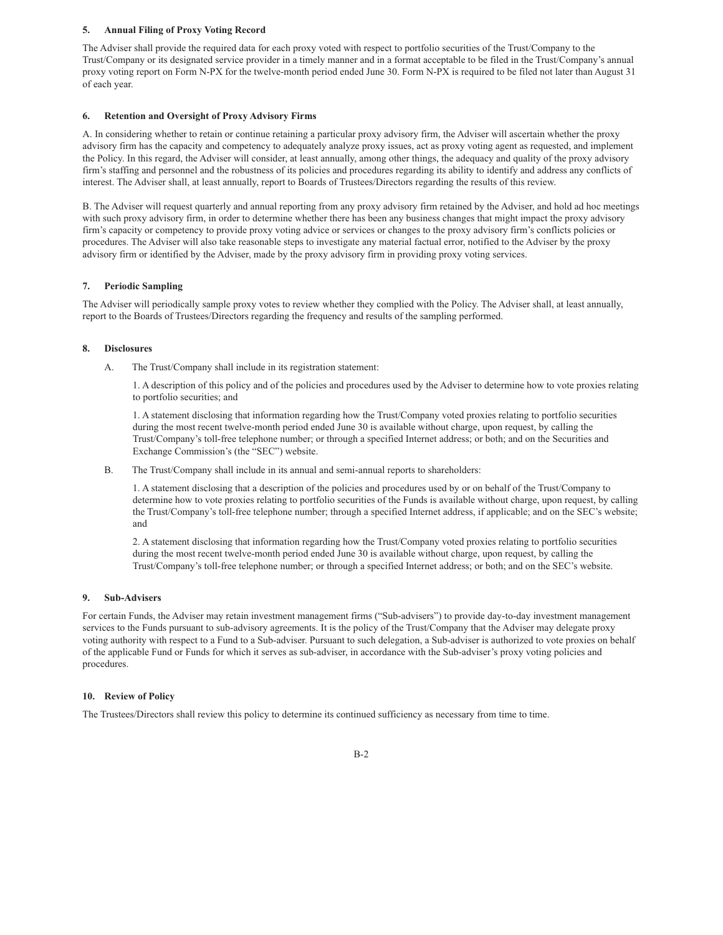## **5. Annual Filing of Proxy Voting Record**

The Adviser shall provide the required data for each proxy voted with respect to portfolio securities of the Trust/Company to the Trust/Company or its designated service provider in a timely manner and in a format acceptable to be filed in the Trust/Company's annual proxy voting report on Form N-PX for the twelve-month period ended June 30. Form N-PX is required to be filed not later than August 31 of each year.

## **6. Retention and Oversight of Proxy Advisory Firms**

A. In considering whether to retain or continue retaining a particular proxy advisory firm, the Adviser will ascertain whether the proxy advisory firm has the capacity and competency to adequately analyze proxy issues, act as proxy voting agent as requested, and implement the Policy. In this regard, the Adviser will consider, at least annually, among other things, the adequacy and quality of the proxy advisory firm's staffing and personnel and the robustness of its policies and procedures regarding its ability to identify and address any conflicts of interest. The Adviser shall, at least annually, report to Boards of Trustees/Directors regarding the results of this review.

B. The Adviser will request quarterly and annual reporting from any proxy advisory firm retained by the Adviser, and hold ad hoc meetings with such proxy advisory firm, in order to determine whether there has been any business changes that might impact the proxy advisory firm's capacity or competency to provide proxy voting advice or services or changes to the proxy advisory firm's conflicts policies or procedures. The Adviser will also take reasonable steps to investigate any material factual error, notified to the Adviser by the proxy advisory firm or identified by the Adviser, made by the proxy advisory firm in providing proxy voting services.

## **7. Periodic Sampling**

The Adviser will periodically sample proxy votes to review whether they complied with the Policy. The Adviser shall, at least annually, report to the Boards of Trustees/Directors regarding the frequency and results of the sampling performed.

## **8. Disclosures**

A. The Trust/Company shall include in its registration statement:

1. A description of this policy and of the policies and procedures used by the Adviser to determine how to vote proxies relating to portfolio securities; and

1. A statement disclosing that information regarding how the Trust/Company voted proxies relating to portfolio securities during the most recent twelve-month period ended June 30 is available without charge, upon request, by calling the Trust/Company's toll-free telephone number; or through a specified Internet address; or both; and on the Securities and Exchange Commission's (the "SEC") website.

B. The Trust/Company shall include in its annual and semi-annual reports to shareholders:

1. A statement disclosing that a description of the policies and procedures used by or on behalf of the Trust/Company to determine how to vote proxies relating to portfolio securities of the Funds is available without charge, upon request, by calling the Trust/Company's toll-free telephone number; through a specified Internet address, if applicable; and on the SEC's website; and

2. A statement disclosing that information regarding how the Trust/Company voted proxies relating to portfolio securities during the most recent twelve-month period ended June 30 is available without charge, upon request, by calling the Trust/Company's toll-free telephone number; or through a specified Internet address; or both; and on the SEC's website.

### **9. Sub-Advisers**

For certain Funds, the Adviser may retain investment management firms ("Sub-advisers") to provide day-to-day investment management services to the Funds pursuant to sub-advisory agreements. It is the policy of the Trust/Company that the Adviser may delegate proxy voting authority with respect to a Fund to a Sub-adviser. Pursuant to such delegation, a Sub-adviser is authorized to vote proxies on behalf of the applicable Fund or Funds for which it serves as sub-adviser, in accordance with the Sub-adviser's proxy voting policies and procedures.

### **10. Review of Policy**

The Trustees/Directors shall review this policy to determine its continued sufficiency as necessary from time to time.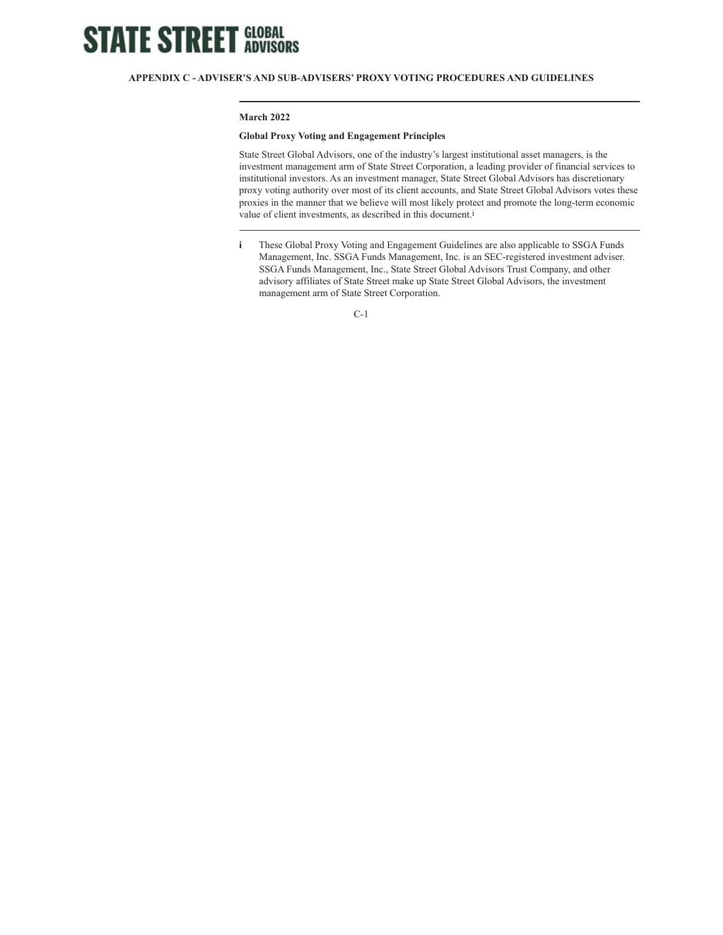**APPENDIX C - ADVISER'S AND SUB-ADVISERS' PROXY VOTING PROCEDURES AND GUIDELINES**

## **March 2022**

## **Global Proxy Voting and Engagement Principles**

State Street Global Advisors, one of the industry's largest institutional asset managers, is the investment management arm of State Street Corporation, a leading provider of financial services to institutional investors. As an investment manager, State Street Global Advisors has discretionary proxy voting authority over most of its client accounts, and State Street Global Advisors votes these proxies in the manner that we believe will most likely protect and promote the long-term economic value of client investments, as described in this document.i

**i** These Global Proxy Voting and Engagement Guidelines are also applicable to SSGA Funds Management, Inc. SSGA Funds Management, Inc. is an SEC-registered investment adviser. SSGA Funds Management, Inc., State Street Global Advisors Trust Company, and other advisory affiliates of State Street make up State Street Global Advisors, the investment management arm of State Street Corporation.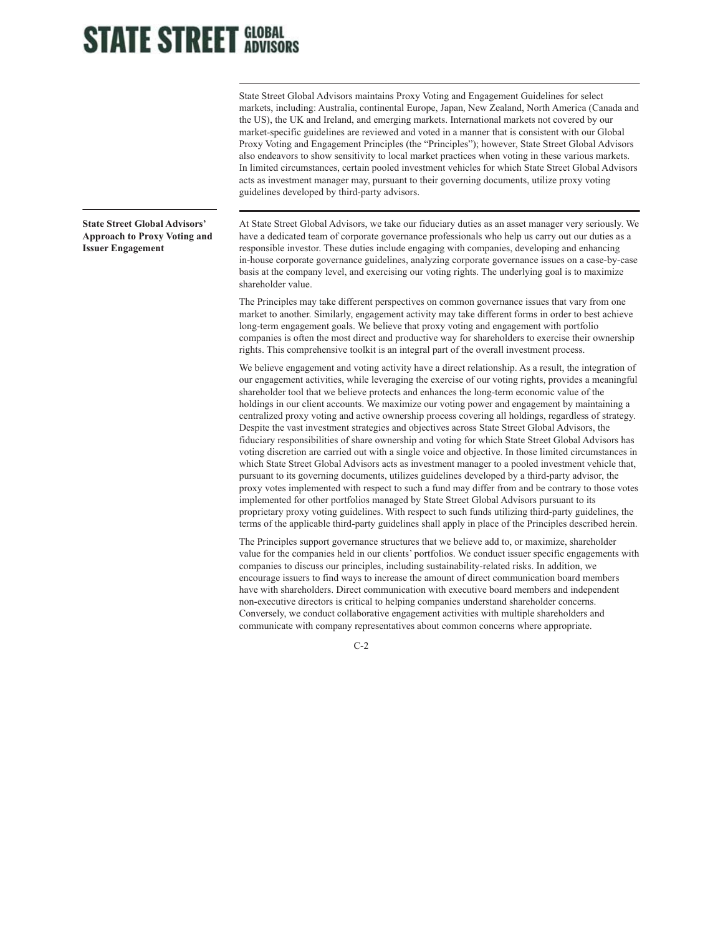State Street Global Advisors maintains Proxy Voting and Engagement Guidelines for select markets, including: Australia, continental Europe, Japan, New Zealand, North America (Canada and the US), the UK and Ireland, and emerging markets. International markets not covered by our market-specific guidelines are reviewed and voted in a manner that is consistent with our Global Proxy Voting and Engagement Principles (the "Principles"); however, State Street Global Advisors also endeavors to show sensitivity to local market practices when voting in these various markets. In limited circumstances, certain pooled investment vehicles for which State Street Global Advisors acts as investment manager may, pursuant to their governing documents, utilize proxy voting guidelines developed by third-party advisors.

**State Street Global Advisors' Approach to Proxy Voting and Issuer Engagement**

At State Street Global Advisors, we take our fiduciary duties as an asset manager very seriously. We have a dedicated team of corporate governance professionals who help us carry out our duties as a responsible investor. These duties include engaging with companies, developing and enhancing in-house corporate governance guidelines, analyzing corporate governance issues on a case-by-case basis at the company level, and exercising our voting rights. The underlying goal is to maximize shareholder value.

The Principles may take different perspectives on common governance issues that vary from one market to another. Similarly, engagement activity may take different forms in order to best achieve long-term engagement goals. We believe that proxy voting and engagement with portfolio companies is often the most direct and productive way for shareholders to exercise their ownership rights. This comprehensive toolkit is an integral part of the overall investment process.

We believe engagement and voting activity have a direct relationship. As a result, the integration of our engagement activities, while leveraging the exercise of our voting rights, provides a meaningful shareholder tool that we believe protects and enhances the long-term economic value of the holdings in our client accounts. We maximize our voting power and engagement by maintaining a centralized proxy voting and active ownership process covering all holdings, regardless of strategy. Despite the vast investment strategies and objectives across State Street Global Advisors, the fiduciary responsibilities of share ownership and voting for which State Street Global Advisors has voting discretion are carried out with a single voice and objective. In those limited circumstances in which State Street Global Advisors acts as investment manager to a pooled investment vehicle that, pursuant to its governing documents, utilizes guidelines developed by a third-party advisor, the proxy votes implemented with respect to such a fund may differ from and be contrary to those votes implemented for other portfolios managed by State Street Global Advisors pursuant to its proprietary proxy voting guidelines. With respect to such funds utilizing third-party guidelines, the terms of the applicable third-party guidelines shall apply in place of the Principles described herein.

The Principles support governance structures that we believe add to, or maximize, shareholder value for the companies held in our clients' portfolios. We conduct issuer specific engagements with companies to discuss our principles, including sustainability-related risks. In addition, we encourage issuers to find ways to increase the amount of direct communication board members have with shareholders. Direct communication with executive board members and independent non-executive directors is critical to helping companies understand shareholder concerns. Conversely, we conduct collaborative engagement activities with multiple shareholders and communicate with company representatives about common concerns where appropriate.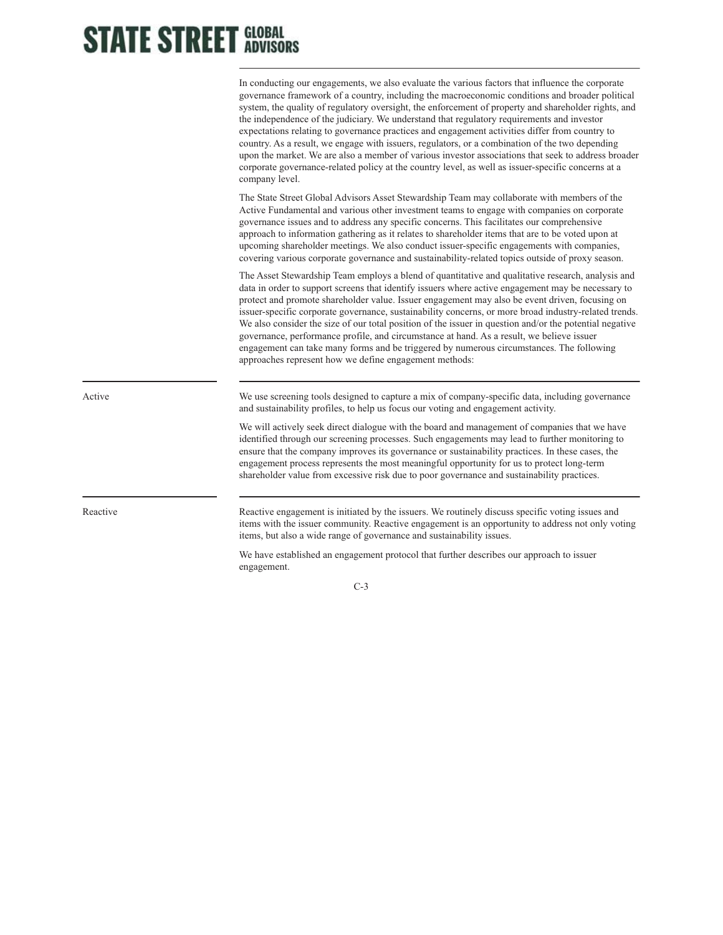In conducting our engagements, we also evaluate the various factors that influence the corporate governance framework of a country, including the macroeconomic conditions and broader political system, the quality of regulatory oversight, the enforcement of property and shareholder rights, and the independence of the judiciary. We understand that regulatory requirements and investor expectations relating to governance practices and engagement activities differ from country to country. As a result, we engage with issuers, regulators, or a combination of the two depending upon the market. We are also a member of various investor associations that seek to address broader corporate governance-related policy at the country level, as well as issuer-specific concerns at a company level.

The State Street Global Advisors Asset Stewardship Team may collaborate with members of the Active Fundamental and various other investment teams to engage with companies on corporate governance issues and to address any specific concerns. This facilitates our comprehensive approach to information gathering as it relates to shareholder items that are to be voted upon at upcoming shareholder meetings. We also conduct issuer-specific engagements with companies, covering various corporate governance and sustainability-related topics outside of proxy season.

The Asset Stewardship Team employs a blend of quantitative and qualitative research, analysis and data in order to support screens that identify issuers where active engagement may be necessary to protect and promote shareholder value. Issuer engagement may also be event driven, focusing on issuer-specific corporate governance, sustainability concerns, or more broad industry-related trends. We also consider the size of our total position of the issuer in question and/or the potential negative governance, performance profile, and circumstance at hand. As a result, we believe issuer engagement can take many forms and be triggered by numerous circumstances. The following approaches represent how we define engagement methods:

We use screening tools designed to capture a mix of company-specific data, including governance and sustainability profiles, to help us focus our voting and engagement activity.

We will actively seek direct dialogue with the board and management of companies that we have identified through our screening processes. Such engagements may lead to further monitoring to ensure that the company improves its governance or sustainability practices. In these cases, the engagement process represents the most meaningful opportunity for us to protect long-term shareholder value from excessive risk due to poor governance and sustainability practices.

Reactive

Active

Reactive engagement is initiated by the issuers. We routinely discuss specific voting issues and items with the issuer community. Reactive engagement is an opportunity to address not only voting items, but also a wide range of governance and sustainability issues.

We have established an engagement protocol that further describes our approach to issuer engagement.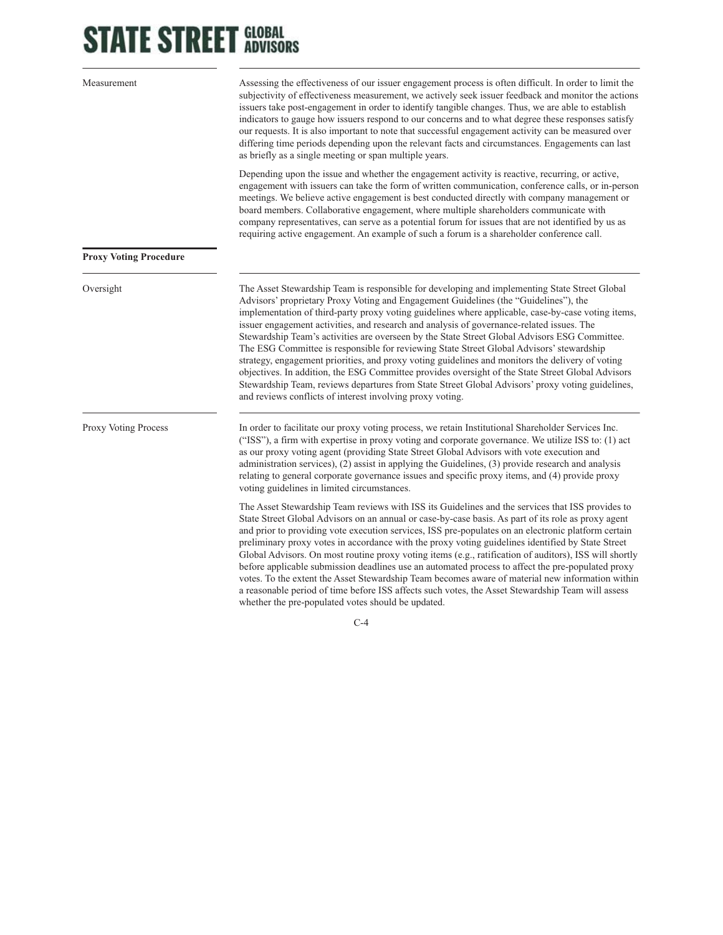| Measurement                   | Assessing the effectiveness of our issuer engagement process is often difficult. In order to limit the<br>subjectivity of effectiveness measurement, we actively seek issuer feedback and monitor the actions<br>issuers take post-engagement in order to identify tangible changes. Thus, we are able to establish<br>indicators to gauge how issuers respond to our concerns and to what degree these responses satisfy<br>our requests. It is also important to note that successful engagement activity can be measured over<br>differing time periods depending upon the relevant facts and circumstances. Engagements can last<br>as briefly as a single meeting or span multiple years.                                                                                                                                                                                                                                                                  |
|-------------------------------|-----------------------------------------------------------------------------------------------------------------------------------------------------------------------------------------------------------------------------------------------------------------------------------------------------------------------------------------------------------------------------------------------------------------------------------------------------------------------------------------------------------------------------------------------------------------------------------------------------------------------------------------------------------------------------------------------------------------------------------------------------------------------------------------------------------------------------------------------------------------------------------------------------------------------------------------------------------------|
|                               | Depending upon the issue and whether the engagement activity is reactive, recurring, or active,<br>engagement with issuers can take the form of written communication, conference calls, or in-person<br>meetings. We believe active engagement is best conducted directly with company management or<br>board members. Collaborative engagement, where multiple shareholders communicate with<br>company representatives, can serve as a potential forum for issues that are not identified by us as<br>requiring active engagement. An example of such a forum is a shareholder conference call.                                                                                                                                                                                                                                                                                                                                                              |
| <b>Proxy Voting Procedure</b> |                                                                                                                                                                                                                                                                                                                                                                                                                                                                                                                                                                                                                                                                                                                                                                                                                                                                                                                                                                 |
| Oversight                     | The Asset Stewardship Team is responsible for developing and implementing State Street Global<br>Advisors' proprietary Proxy Voting and Engagement Guidelines (the "Guidelines"), the<br>implementation of third-party proxy voting guidelines where applicable, case-by-case voting items,<br>issuer engagement activities, and research and analysis of governance-related issues. The<br>Stewardship Team's activities are overseen by the State Street Global Advisors ESG Committee.<br>The ESG Committee is responsible for reviewing State Street Global Advisors' stewardship<br>strategy, engagement priorities, and proxy voting guidelines and monitors the delivery of voting<br>objectives. In addition, the ESG Committee provides oversight of the State Street Global Advisors<br>Stewardship Team, reviews departures from State Street Global Advisors' proxy voting guidelines,<br>and reviews conflicts of interest involving proxy voting. |
| <b>Proxy Voting Process</b>   | In order to facilitate our proxy voting process, we retain Institutional Shareholder Services Inc.<br>("ISS"), a firm with expertise in proxy voting and corporate governance. We utilize ISS to: (1) act<br>as our proxy voting agent (providing State Street Global Advisors with vote execution and<br>administration services), (2) assist in applying the Guidelines, (3) provide research and analysis<br>relating to general corporate governance issues and specific proxy items, and (4) provide proxy<br>voting guidelines in limited circumstances.                                                                                                                                                                                                                                                                                                                                                                                                  |
|                               | The Asset Stewardship Team reviews with ISS its Guidelines and the services that ISS provides to<br>State Street Global Advisors on an annual or case-by-case basis. As part of its role as proxy agent<br>and prior to providing vote execution services, ISS pre-populates on an electronic platform certain<br>preliminary proxy votes in accordance with the proxy voting guidelines identified by State Street<br>Global Advisors. On most routine proxy voting items (e.g., ratification of auditors), ISS will shortly<br>before applicable submission deadlines use an automated process to affect the pre-populated proxy<br>votes. To the extent the Asset Stewardship Team becomes aware of material new information within<br>a reasonable period of time before ISS affects such votes, the Asset Stewardship Team will assess<br>whether the pre-populated votes should be updated.                                                               |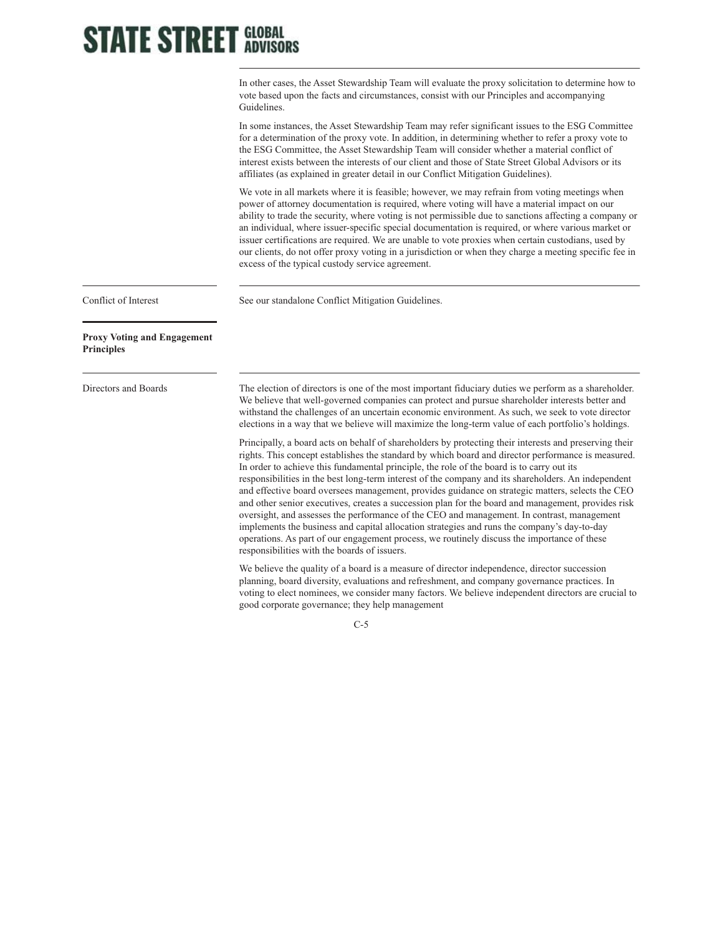In other cases, the Asset Stewardship Team will evaluate the proxy solicitation to determine how to vote based upon the facts and circumstances, consist with our Principles and accompanying Guidelines.

In some instances, the Asset Stewardship Team may refer significant issues to the ESG Committee for a determination of the proxy vote. In addition, in determining whether to refer a proxy vote to the ESG Committee, the Asset Stewardship Team will consider whether a material conflict of interest exists between the interests of our client and those of State Street Global Advisors or its affiliates (as explained in greater detail in our Conflict Mitigation Guidelines).

We vote in all markets where it is feasible; however, we may refrain from voting meetings when power of attorney documentation is required, where voting will have a material impact on our ability to trade the security, where voting is not permissible due to sanctions affecting a company or an individual, where issuer-specific special documentation is required, or where various market or issuer certifications are required. We are unable to vote proxies when certain custodians, used by our clients, do not offer proxy voting in a jurisdiction or when they charge a meeting specific fee in excess of the typical custody service agreement.

Conflict of Interest See our standalone Conflict Mitigation Guidelines.

**Proxy Voting and Engagement Principles**

Directors and Boards

The election of directors is one of the most important fiduciary duties we perform as a shareholder. We believe that well-governed companies can protect and pursue shareholder interests better and withstand the challenges of an uncertain economic environment. As such, we seek to vote director elections in a way that we believe will maximize the long-term value of each portfolio's holdings.

Principally, a board acts on behalf of shareholders by protecting their interests and preserving their rights. This concept establishes the standard by which board and director performance is measured. In order to achieve this fundamental principle, the role of the board is to carry out its responsibilities in the best long-term interest of the company and its shareholders. An independent and effective board oversees management, provides guidance on strategic matters, selects the CEO and other senior executives, creates a succession plan for the board and management, provides risk oversight, and assesses the performance of the CEO and management. In contrast, management implements the business and capital allocation strategies and runs the company's day-to-day operations. As part of our engagement process, we routinely discuss the importance of these responsibilities with the boards of issuers.

We believe the quality of a board is a measure of director independence, director succession planning, board diversity, evaluations and refreshment, and company governance practices. In voting to elect nominees, we consider many factors. We believe independent directors are crucial to good corporate governance; they help management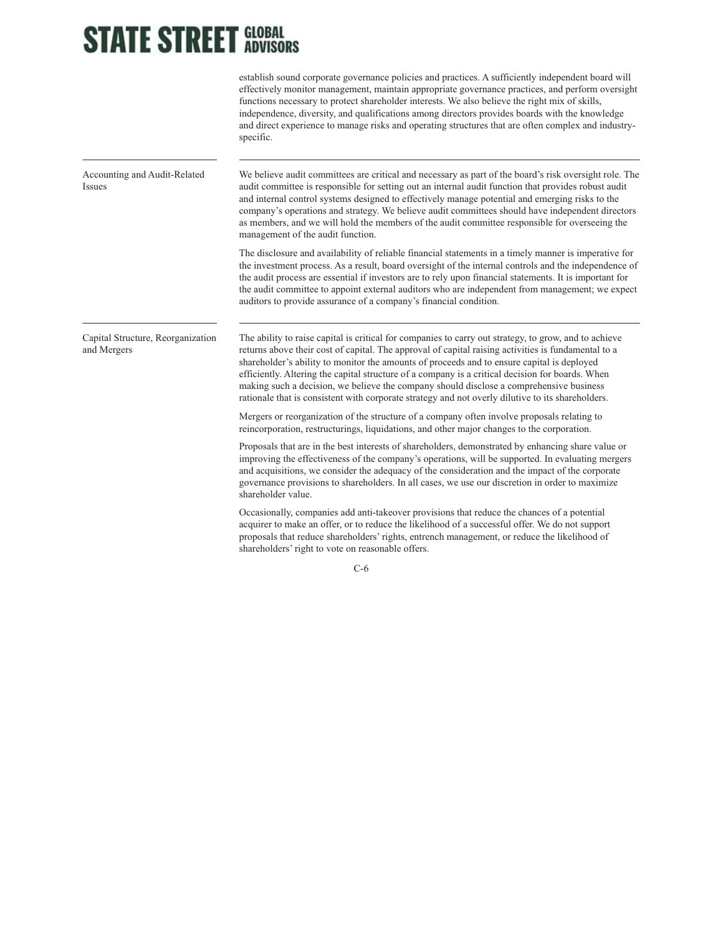## **STATE STREET GLOBAL STATE**

|                                                  | establish sound corporate governance policies and practices. A sufficiently independent board will<br>effectively monitor management, maintain appropriate governance practices, and perform oversight<br>functions necessary to protect shareholder interests. We also believe the right mix of skills,<br>independence, diversity, and qualifications among directors provides boards with the knowledge<br>and direct experience to manage risks and operating structures that are often complex and industry-<br>specific.                                                                                 |
|--------------------------------------------------|----------------------------------------------------------------------------------------------------------------------------------------------------------------------------------------------------------------------------------------------------------------------------------------------------------------------------------------------------------------------------------------------------------------------------------------------------------------------------------------------------------------------------------------------------------------------------------------------------------------|
| Accounting and Audit-Related<br><b>Issues</b>    | We believe audit committees are critical and necessary as part of the board's risk oversight role. The<br>audit committee is responsible for setting out an internal audit function that provides robust audit<br>and internal control systems designed to effectively manage potential and emerging risks to the<br>company's operations and strategy. We believe audit committees should have independent directors<br>as members, and we will hold the members of the audit committee responsible for overseeing the<br>management of the audit function.                                                   |
|                                                  | The disclosure and availability of reliable financial statements in a timely manner is imperative for<br>the investment process. As a result, board oversight of the internal controls and the independence of<br>the audit process are essential if investors are to rely upon financial statements. It is important for<br>the audit committee to appoint external auditors who are independent from management; we expect<br>auditors to provide assurance of a company's financial condition.                                                                                                              |
| Capital Structure, Reorganization<br>and Mergers | The ability to raise capital is critical for companies to carry out strategy, to grow, and to achieve<br>returns above their cost of capital. The approval of capital raising activities is fundamental to a<br>shareholder's ability to monitor the amounts of proceeds and to ensure capital is deployed<br>efficiently. Altering the capital structure of a company is a critical decision for boards. When<br>making such a decision, we believe the company should disclose a comprehensive business<br>rationale that is consistent with corporate strategy and not overly dilutive to its shareholders. |
|                                                  | Mergers or reorganization of the structure of a company often involve proposals relating to<br>reincorporation, restructurings, liquidations, and other major changes to the corporation.                                                                                                                                                                                                                                                                                                                                                                                                                      |
|                                                  | Proposals that are in the best interests of shareholders, demonstrated by enhancing share value or<br>improving the effectiveness of the company's operations, will be supported. In evaluating mergers<br>and acquisitions, we consider the adequacy of the consideration and the impact of the corporate<br>governance provisions to shareholders. In all cases, we use our discretion in order to maximize<br>shareholder value.                                                                                                                                                                            |
|                                                  | Occasionally, companies add anti-takeover provisions that reduce the chances of a potential<br>acquirer to make an offer, or to reduce the likelihood of a successful offer. We do not support<br>proposals that reduce shareholders' rights, entrench management, or reduce the likelihood of<br>shareholders' right to vote on reasonable offers.                                                                                                                                                                                                                                                            |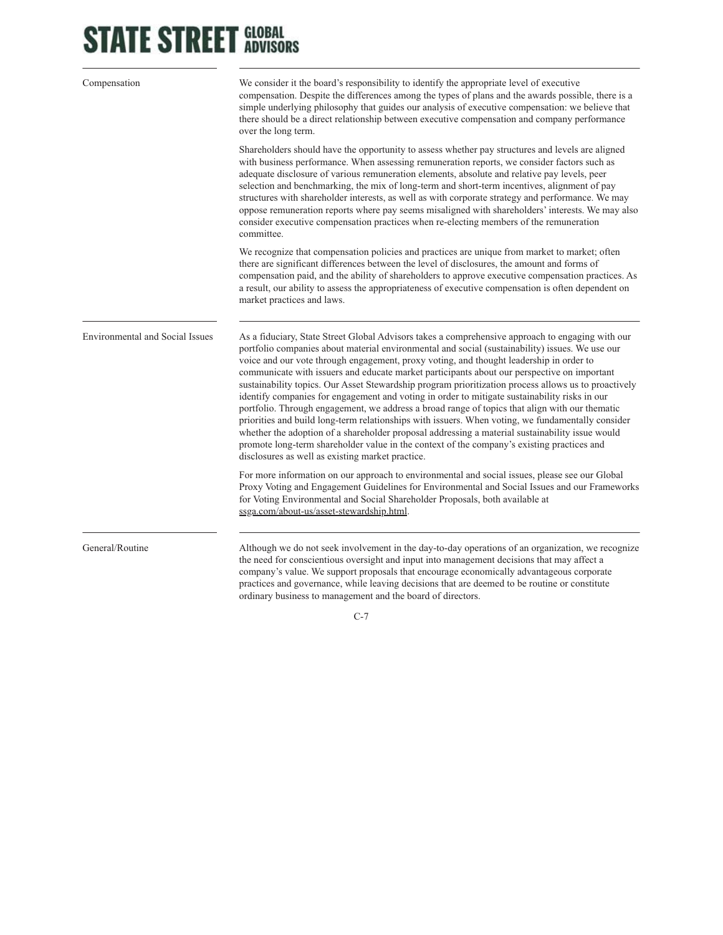| Compensation                    | We consider it the board's responsibility to identify the appropriate level of executive<br>compensation. Despite the differences among the types of plans and the awards possible, there is a<br>simple underlying philosophy that guides our analysis of executive compensation: we believe that<br>there should be a direct relationship between executive compensation and company performance<br>over the long term.                                                                                                                                                                                                                                                                                                                                                                                                                                                                                                                                                                                                                                          |
|---------------------------------|--------------------------------------------------------------------------------------------------------------------------------------------------------------------------------------------------------------------------------------------------------------------------------------------------------------------------------------------------------------------------------------------------------------------------------------------------------------------------------------------------------------------------------------------------------------------------------------------------------------------------------------------------------------------------------------------------------------------------------------------------------------------------------------------------------------------------------------------------------------------------------------------------------------------------------------------------------------------------------------------------------------------------------------------------------------------|
|                                 | Shareholders should have the opportunity to assess whether pay structures and levels are aligned<br>with business performance. When assessing remuneration reports, we consider factors such as<br>adequate disclosure of various remuneration elements, absolute and relative pay levels, peer<br>selection and benchmarking, the mix of long-term and short-term incentives, alignment of pay<br>structures with shareholder interests, as well as with corporate strategy and performance. We may<br>oppose remuneration reports where pay seems misaligned with shareholders' interests. We may also<br>consider executive compensation practices when re-electing members of the remuneration<br>committee.                                                                                                                                                                                                                                                                                                                                                   |
|                                 | We recognize that compensation policies and practices are unique from market to market; often<br>there are significant differences between the level of disclosures, the amount and forms of<br>compensation paid, and the ability of shareholders to approve executive compensation practices. As<br>a result, our ability to assess the appropriateness of executive compensation is often dependent on<br>market practices and laws.                                                                                                                                                                                                                                                                                                                                                                                                                                                                                                                                                                                                                            |
| Environmental and Social Issues | As a fiduciary, State Street Global Advisors takes a comprehensive approach to engaging with our<br>portfolio companies about material environmental and social (sustainability) issues. We use our<br>voice and our vote through engagement, proxy voting, and thought leadership in order to<br>communicate with issuers and educate market participants about our perspective on important<br>sustainability topics. Our Asset Stewardship program prioritization process allows us to proactively<br>identify companies for engagement and voting in order to mitigate sustainability risks in our<br>portfolio. Through engagement, we address a broad range of topics that align with our thematic<br>priorities and build long-term relationships with issuers. When voting, we fundamentally consider<br>whether the adoption of a shareholder proposal addressing a material sustainability issue would<br>promote long-term shareholder value in the context of the company's existing practices and<br>disclosures as well as existing market practice. |
|                                 | For more information on our approach to environmental and social issues, please see our Global<br>Proxy Voting and Engagement Guidelines for Environmental and Social Issues and our Frameworks<br>for Voting Environmental and Social Shareholder Proposals, both available at<br>ssga.com/about-us/asset-stewardship.html.                                                                                                                                                                                                                                                                                                                                                                                                                                                                                                                                                                                                                                                                                                                                       |
| General/Routine                 | Although we do not seek involvement in the day-to-day operations of an organization, we recognize<br>the need for conscientious oversight and input into management decisions that may affect a<br>company's value. We support proposals that encourage economically advantageous corporate<br>practices and governance, while leaving decisions that are deemed to be routine or constitute                                                                                                                                                                                                                                                                                                                                                                                                                                                                                                                                                                                                                                                                       |

ordinary business to management and the board of directors. C-7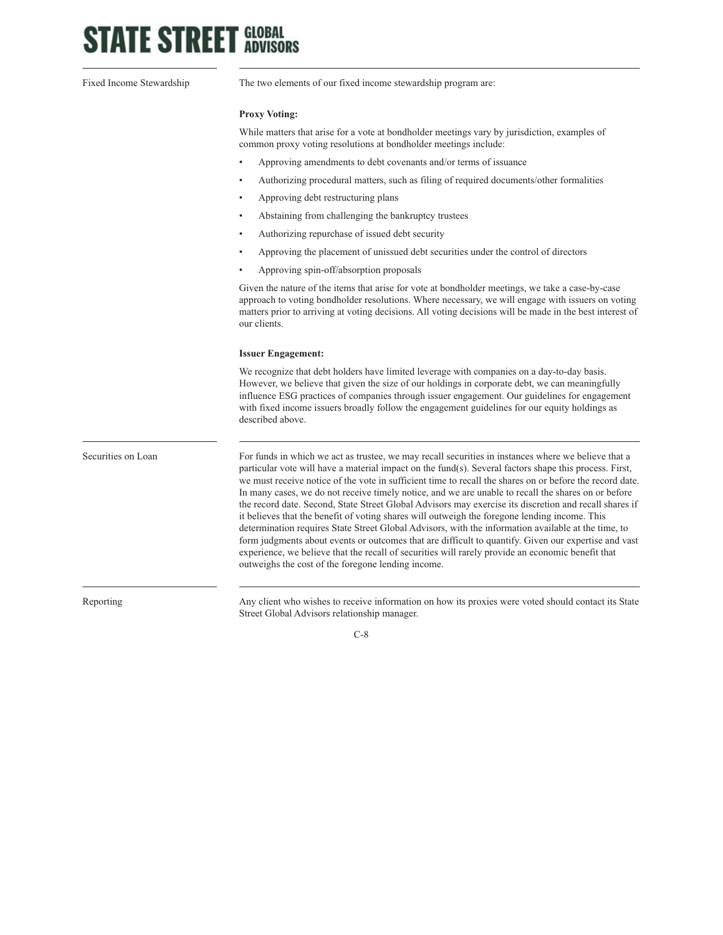Fixed Income Stewardship The two elements of our fixed income stewardship program are:

## **Proxy Voting:**

While matters that arise for a vote at bondholder meetings vary by jurisdiction, examples of common proxy voting resolutions at bondholder meetings include:

- Approving amendments to debt covenants and/or terms of issuance
- Authorizing procedural matters, such as filing of required documents/other formalities
- Approving debt restructuring plans
- Abstaining from challenging the bankruptcy trustees
- Authorizing repurchase of issued debt security
- Approving the placement of unissued debt securities under the control of directors
- Approving spin-off/absorption proposals

Given the nature of the items that arise for vote at bondholder meetings, we take a case-by-case approach to voting bondholder resolutions. Where necessary, we will engage with issuers on voting matters prior to arriving at voting decisions. All voting decisions will be made in the best interest of our clients.

## **Issuer Engagement:**

We recognize that debt holders have limited leverage with companies on a day-to-day basis. However, we believe that given the size of our holdings in corporate debt, we can meaningfully influence ESG practices of companies through issuer engagement. Our guidelines for engagement with fixed income issuers broadly follow the engagement guidelines for our equity holdings as described above.

Securities on Loan

For funds in which we act as trustee, we may recall securities in instances where we believe that a particular vote will have a material impact on the fund(s). Several factors shape this process. First, we must receive notice of the vote in sufficient time to recall the shares on or before the record date. In many cases, we do not receive timely notice, and we are unable to recall the shares on or before the record date. Second, State Street Global Advisors may exercise its discretion and recall shares if it believes that the benefit of voting shares will outweigh the foregone lending income. This determination requires State Street Global Advisors, with the information available at the time, to form judgments about events or outcomes that are difficult to quantify. Given our expertise and vast experience, we believe that the recall of securities will rarely provide an economic benefit that outweighs the cost of the foregone lending income.

Reporting

Any client who wishes to receive information on how its proxies were voted should contact its State Street Global Advisors relationship manager.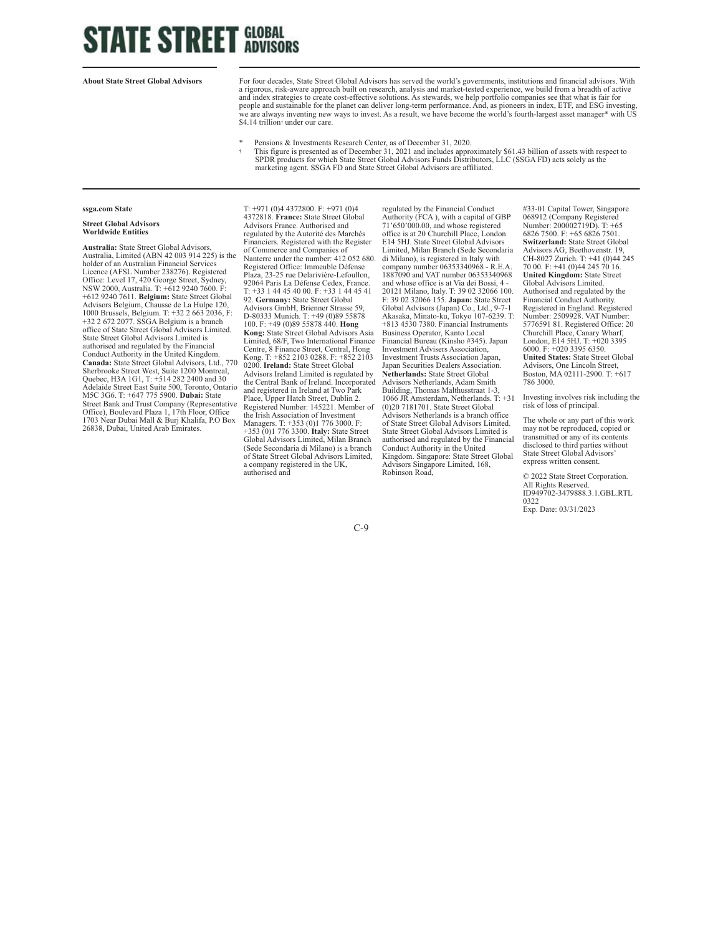**About State Street Global Advisors**

For four decades, State Street Global Advisors has served the world's governments, institutions and financial advisors. With a rigorous, risk-aware approach built on research, analysis and market-tested experience, we build from a breadth of active and index strategies to create cost-effective solutions. As stewards, we help portfolio companies see that what is fair for people and sustainable for the planet can deliver long-term performance. And, as pioneers in index, ETF, and ESG investing, we are always inventing new ways to invest. As a result, we have become the world's fourth-largest asset manager\* with US \$4.14 trillion<sup>†</sup> under our care.

- \*   Pensions & Investments Research Center, as of December 31, 2020.
- This figure is presented as of December 31, 2021 and includes approximately \$61.43 billion of assets with respect to SPDR products for which State Street Global Advisors Funds Distributors, LLC (SSGA FD) acts solely as the marketing agent. SSGA FD and State Street Global Advisors are affiliated.

## **ssga.com State**

#### **Street Global Advisors Worldwide Entities**

**Australia:** State Street Global Advisors, Australia, Limited (ABN 42 003 914 225) is the holder of an Australian Financial Services Licence (AFSL Number 238276). Registered Office: Level 17, 420 George Street, Sydney, NSW 2000, Australia. T: +612 9240 7600. F: +612 9240 7611. **Belgium:** State Street Global Advisors Belgium, Chausse de La Hulpe 120, 1000 Brussels, Belgium. T: +32 2 663 2036, F: +32 2 672 2077. SSGA Belgium is a branch office of State Street Global Advisors Limited. State Street Global Advisors Limited is authorised and regulated by the Financial Conduct Authority in the United Kingdom. **Canada:** State Street Global Advisors, Ltd., 770 Sherbrooke Street West, Suite 1200 Montreal, Quebec, H3A 1G1, T: +514 282 2400 and 30 Adelaide Street East Suite 500, Toronto, Ontario M5C 3G6. T: +647 775 5900. **Dubai:** State Street Bank and Trust Company (Representative Office), Boulevard Plaza 1, 17th Floor, Office 1703 Near Dubai Mall & Burj Khalifa, P.O Box 26838, Dubai, United Arab Emirates.

T: +971 (0)4 4372800. F: +971 (0)4 4372818. **France:** State Street Global Advisors France. Authorised and regulated by the Autorité des Marchés Financiers. Registered with the Register of Commerce and Companies of Nanterre under the number: 412 052 680. Registered Office: Immeuble Défense Plaza, 23-25 rue Delarivière-Lefoullon, 92064 Paris La Défense Cedex, France. T: +33 1 44 45 40 00. F: +33 1 44 45 41 92. **Germany:** State Street Global Advisors GmbH, Brienner Strasse 59, D-80333 Munich. T: +49 (0)89 55878 100. F: +49 (0)89 55878 440. **Hong Kong:** State Street Global Advisors Asia Limited, 68/F, Two International Finance Centre, 8 Finance Street, Central, Hong Kong. T: +852 2103 0288. F: +852 2103 0200. **Ireland:** State Street Global Advisors Ireland Limited is regulated by the Central Bank of Ireland. Incorporated and registered in Ireland at Two Park Place, Upper Hatch Street, Dublin 2. Registered Number: 145221. Member of the Irish Association of Investment Managers. T: +353 (0)1 776 3000. F: +353 (0)1 776 3300. **Italy:** State Street Global Advisors Limited, Milan Branch (Sede Secondaria di Milano) is a branch of State Street Global Advisors Limited, a company registered in the UK, authorised and

regulated by the Financial Conduct Authority (FCA ), with a capital of GBP 71'650'000.00, and whose registered office is at 20 Churchill Place, London E14 5HJ. State Street Global Advisors Limited, Milan Branch (Sede Secondaria di Milano), is registered in Italy with company number 06353340968 - R F.A. 1887090 and VAT number 06353340968 and whose office is at Via dei Bossi, 4 20121 Milano, Italy. T: 39 02 32066 100. F: 39 02 32066 155. **Japan:** State Street Global Advisors (Japan) Co., Ltd., 9-7-1 Akasaka, Minato-ku, Tokyo 107-6239. T: +813 4530 7380. Financial Instruments Business Operator, Kanto Local Financial Bureau (Kinsho #345). Japan Investment Advisers Association, Investment Trusts Association Japan, Japan Securities Dealers Association. **Netherlands:** State Street Global Advisors Netherlands, Adam Smith Building, Thomas Malthusstraat 1-3, 1066 JR Amsterdam, Netherlands. T: +31 (0)20 7181701. State Street Global Advisors Netherlands is a branch office of State Street Global Advisors Limited. State Street Global Advisors Limited is authorised and regulated by the Financial Conduct Authority in the United Kingdom. Singapore: State Street Global Advisors Singapore Limited, 168, Robinson Road,

#33-01 Capital Tower, Singapore 068912 (Company Registered Number: 200002719D). T: +65 6826 7500. F: +65 6826 7501. **Switzerland:** State Street Global Advisors AG, Beethovenstr. 19, CH-8027 Zurich. T: +41 (0)44 245 70 00. F: +41 (0)44 245 70 16. **United Kingdom:** State Street Global Advisors Limited. Authorised and regulated by the Financial Conduct Authority. Registered in England. Registered Number: 2509928. VAT Number: 5776591 81. Registered Office: 20 Churchill Place, Canary Wharf, London, E14 5HJ. T: +020 3395 6000. F: +020 3395 6350. **United States:** State Street Global Advisors, One Lincoln Street, Boston, MA 02111-2900. T: +617 786 3000.

Investing involves risk including the risk of loss of principal.

The whole or any part of this work may not be reproduced, copied or transmitted or any of its contents disclosed to third parties without State Street Global Advisors' express written consent.

© 2022 State Street Corporation. All Rights Reserved. ID949702-3479888.3.1.GBL.RTL 0322 Exp. Date: 03/31/2023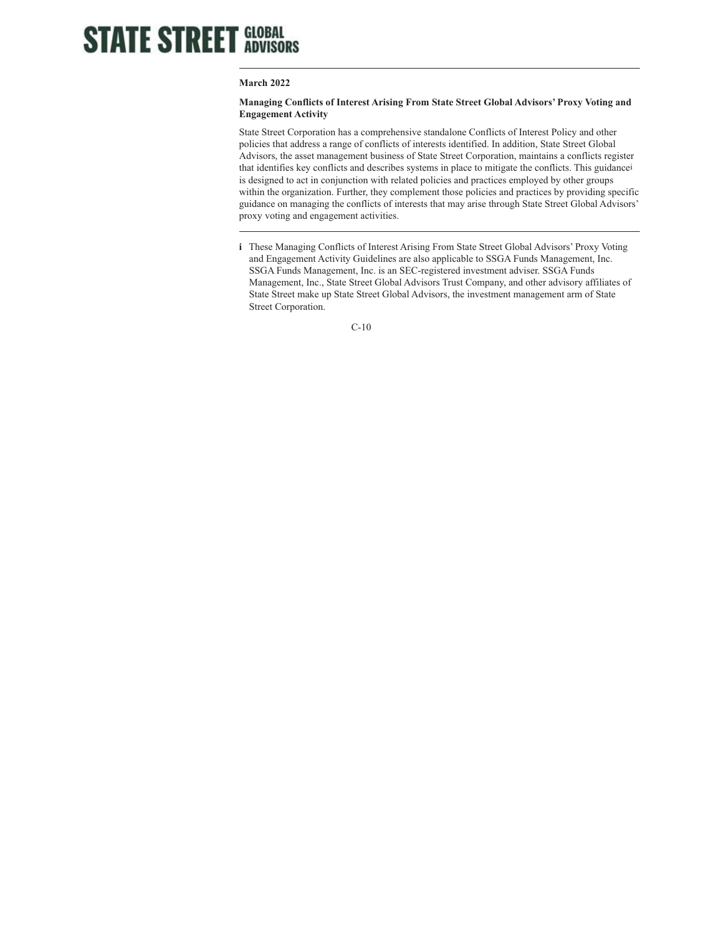## **March 2022**

## **Managing Conflicts of Interest Arising From State Street Global Advisors' Proxy Voting and Engagement Activity**

State Street Corporation has a comprehensive standalone Conflicts of Interest Policy and other policies that address a range of conflicts of interests identified. In addition, State Street Global Advisors, the asset management business of State Street Corporation, maintains a conflicts register that identifies key conflicts and describes systems in place to mitigate the conflicts. This guidancei is designed to act in conjunction with related policies and practices employed by other groups within the organization. Further, they complement those policies and practices by providing specific guidance on managing the conflicts of interests that may arise through State Street Global Advisors' proxy voting and engagement activities.

**i**  These Managing Conflicts of Interest Arising From State Street Global Advisors' Proxy Voting and Engagement Activity Guidelines are also applicable to SSGA Funds Management, Inc. SSGA Funds Management, Inc. is an SEC-registered investment adviser. SSGA Funds Management, Inc., State Street Global Advisors Trust Company, and other advisory affiliates of State Street make up State Street Global Advisors, the investment management arm of State Street Corporation.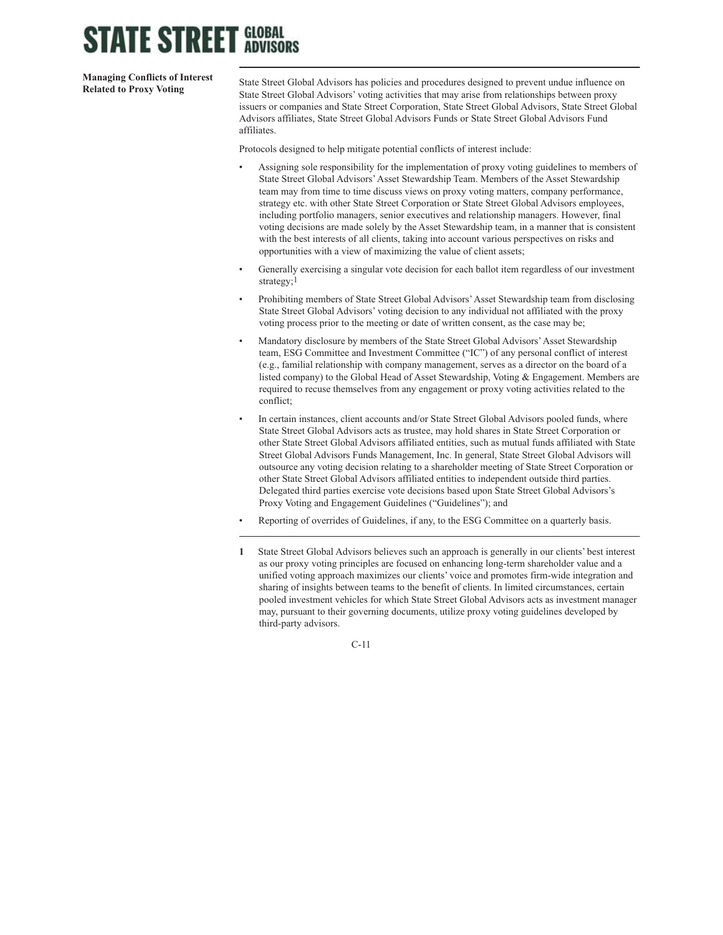**Managing Conflicts of Interest Related to Proxy Voting**

State Street Global Advisors has policies and procedures designed to prevent undue influence on State Street Global Advisors' voting activities that may arise from relationships between proxy issuers or companies and State Street Corporation, State Street Global Advisors, State Street Global Advisors affiliates, State Street Global Advisors Funds or State Street Global Advisors Fund affiliates.

Protocols designed to help mitigate potential conflicts of interest include:

- Assigning sole responsibility for the implementation of proxy voting guidelines to members of State Street Global Advisors' Asset Stewardship Team. Members of the Asset Stewardship team may from time to time discuss views on proxy voting matters, company performance, strategy etc. with other State Street Corporation or State Street Global Advisors employees, including portfolio managers, senior executives and relationship managers. However, final voting decisions are made solely by the Asset Stewardship team, in a manner that is consistent with the best interests of all clients, taking into account various perspectives on risks and opportunities with a view of maximizing the value of client assets;
- Generally exercising a singular vote decision for each ballot item regardless of our investment strategy;1
- Prohibiting members of State Street Global Advisors' Asset Stewardship team from disclosing State Street Global Advisors' voting decision to any individual not affiliated with the proxy voting process prior to the meeting or date of written consent, as the case may be;
- Mandatory disclosure by members of the State Street Global Advisors' Asset Stewardship team, ESG Committee and Investment Committee ("IC") of any personal conflict of interest (e.g., familial relationship with company management, serves as a director on the board of a listed company) to the Global Head of Asset Stewardship, Voting & Engagement. Members are required to recuse themselves from any engagement or proxy voting activities related to the conflict;
- In certain instances, client accounts and/or State Street Global Advisors pooled funds, where State Street Global Advisors acts as trustee, may hold shares in State Street Corporation or other State Street Global Advisors affiliated entities, such as mutual funds affiliated with State Street Global Advisors Funds Management, Inc. In general, State Street Global Advisors will outsource any voting decision relating to a shareholder meeting of State Street Corporation or other State Street Global Advisors affiliated entities to independent outside third parties. Delegated third parties exercise vote decisions based upon State Street Global Advisors's Proxy Voting and Engagement Guidelines ("Guidelines"); and
- Reporting of overrides of Guidelines, if any, to the ESG Committee on a quarterly basis.
- **1**State Street Global Advisors believes such an approach is generally in our clients' best interest as our proxy voting principles are focused on enhancing long-term shareholder value and a unified voting approach maximizes our clients' voice and promotes firm-wide integration and sharing of insights between teams to the benefit of clients. In limited circumstances, certain pooled investment vehicles for which State Street Global Advisors acts as investment manager may, pursuant to their governing documents, utilize proxy voting guidelines developed by third-party advisors.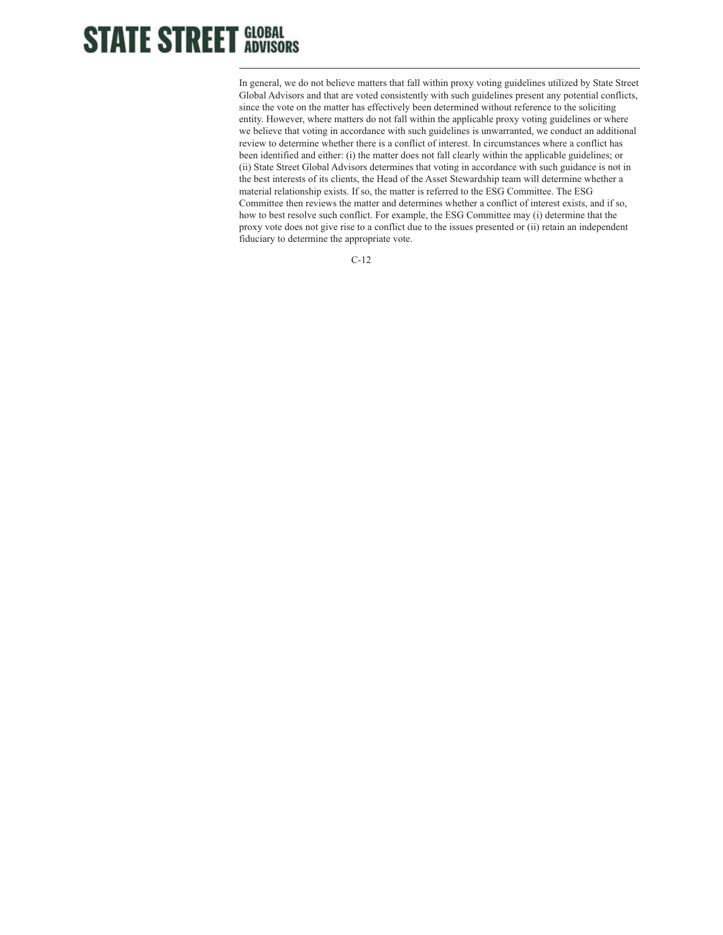In general, we do not believe matters that fall within proxy voting guidelines utilized by State Street Global Advisors and that are voted consistently with such guidelines present any potential conflicts, since the vote on the matter has effectively been determined without reference to the soliciting entity. However, where matters do not fall within the applicable proxy voting guidelines or where we believe that voting in accordance with such guidelines is unwarranted, we conduct an additional review to determine whether there is a conflict of interest. In circumstances where a conflict has been identified and either: (i) the matter does not fall clearly within the applicable guidelines; or (ii) State Street Global Advisors determines that voting in accordance with such guidance is not in the best interests of its clients, the Head of the Asset Stewardship team will determine whether a material relationship exists. If so, the matter is referred to the ESG Committee. The ESG Committee then reviews the matter and determines whether a conflict of interest exists, and if so, how to best resolve such conflict. For example, the ESG Committee may (i) determine that the proxy vote does not give rise to a conflict due to the issues presented or (ii) retain an independent fiduciary to determine the appropriate vote.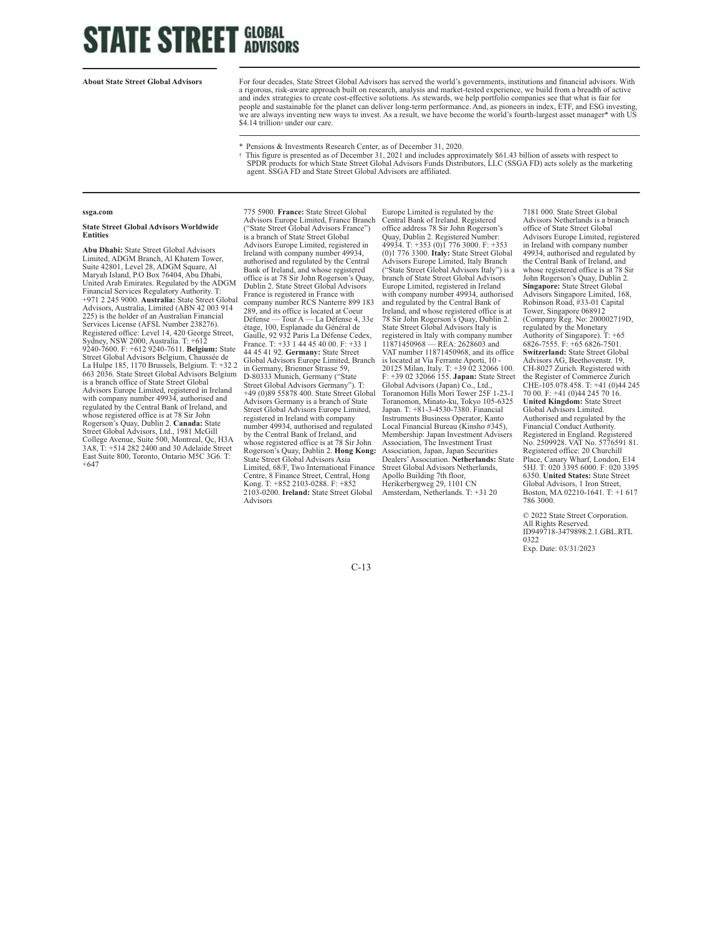**About State Street Global Advisors**

For four decades, State Street Global Advisors has served the world's governments, institutions and financial advisors. With a rigorous, risk-aware approach built on research, analysis and market-tested experience, we build from a breadth of active and index strategies to create cost-effective solutions. As stewards, we help portfolio companies see that what is fair for<br>people and sustainable for the planet can deliver long-term performance. And, as pioneers in index we are always inventing new ways to invest. As a result, we have become the world's fourth-largest asset manager\* with US \$4.14 trilliont under our care.

\*  Pensions & Investments Research Center, as of December 31, 2020.

†  This figure is presented as of December 31, 2021 and includes approximately \$61.43 billion of assets with respect to SPDR products for which State Street Global Advisors Funds Distributors, LLC (SSGA FD) acts solely as the marketing agent. SSGA FD and State Street Global Advisors are affiliated.

#### **ssga.com**

#### **State Street Global Advisors Worldwide Entities**

**Abu Dhabi:** State Street Global Advisors Limited, ADGM Branch, Al Khatem Tower, Suite 42801, Level 28, ADGM Square, Al Maryah Island, P.O Box 76404, Abu Dhabi, United Arab Emirates. Regulated by the ADGM Financial Services Regulatory Authority. T: +971 2 245 9000. **Australia:** State Street Global Advisors, Australia, Limited (ABN 42 003 914 225) is the holder of an Australian Financial Services License (AFSL Number 238276). Registered office: Level 14, 420 George Street, Sydney, NSW 2000, Australia. T: +612 9240-7600. F: +612 9240-7611. **Belgium:** State Street Global Advisors Belgium, Chaussée de La Hulpe 185, 1170 Brussels, Belgium. T: +32 2 663 2036. State Street Global Advisors Belgium is a branch office of State Street Global Advisors Europe Limited, registered in Ireland with company number 49934, authorised and regulated by the Central Bank of Ireland, and whose registered office is at 78 Sir John Rogerson's Quay, Dublin 2. **Canada:** State Street Global Advisors, Ltd., 1981 McGill College Avenue, Suite 500, Montreal, Qc, H3A 3A8, T: +514 282 2400 and 30 Adelaide Street East Suite 800, Toronto, Ontario M5C 3G6. T: +647

775 5900. **France:** State Street Global Advisors Europe Limited, France Branch ("State Street Global Advisors France") is a branch of State Street Global Advisors Europe Limited, registered in Ireland with company number 49934, authorised and regulated by the Central Bank of Ireland, and whose registered office is at 78 Sir John Rogerson's Quay, Dublin 2. State Street Global Advisors France is registered in France with company number RCS Nanterre 899 183 289, and its office is located at Coeur Défense — Tour A — La Défense 4, 33e étage, 100, Esplanade du Général de Gaulle, 92 932 Paris La Défense Cedex, France. T: +33 1 44 45 40 00. F: +33 1 44 45 41 92. **Germany:** State Street Global Advisors Europe Limited, Branch in Germany, Brienner Strasse 59, D-80333 Munich, Germany ("State Street Global Advisors Germany"). T: +49 (0)89 55878 400. State Street Global Advisors Germany is a branch of State Street Global Advisors Europe Limited, registered in Ireland with company number 49934, authorised and regulated by the Central Bank of Ireland, and whose registered office is at 78 Sir John Rogerson's Quay, Dublin 2. **Hong Kong:** State Street Global Advisors Asia Limited, 68/F, Two International Finance Centre, 8 Finance Street, Central, Hong Kong. T: +852 2103-0288. F: +852 2103-0200. **Ireland:** State Street Global Advisors

Europe Limited is regulated by the Central Bank of Ireland. Registered office address 78 Sir John Rogerson's Quay, Dublin 2. Registered Number: 49934. T: +353 (0)1 776 3000. F: +353 (0)1 776 3300. **Italy:** State Street Global Advisors Europe Limited, Italy Branch ("State Street Global Advisors Italy") is a branch of State Street Global Advisors Europe Limited, registered in Ireland with company number 49934, authorised and regulated by the Central Bank of Ireland, and whose registered office is at 78 Sir John Rogerson's Quay, Dublin 2. State Street Global Advisors Italy is registered in Italy with company number 11871450968 — REA: 2628603 and VAT number 11871450968, and its office is located at Via Ferrante Aporti, 10 - 20125 Milan, Italy. T: +39 02 32066 100. F: +39 02 32066 155. **Japan:** State Street Global Advisors (Japan) Co., Ltd., Toranomon Hills Mori Tower 25F 1-23-1 Toranomon, Minato-ku, Tokyo 105-6325 Japan. T: +81-3-4530-7380. Financial Instruments Business Operator, Kanto Local Financial Bureau (Kinsho #345), Membership: Japan Investment Advisers Association, The Investment Trust Association, Japan, Japan Securities Dealers' Association. **Netherlands:** State Street Global Advisors Netherlands, Apollo Building 7th floor, Herikerbergweg 29, 1101 CN Amsterdam, Netherlands. T: +31 20

7181 000. State Street Global Advisors Netherlands is a branch office of State Street Global Advisors Europe Limited, registered in Ireland with company number 49934, authorised and regulated by the Central Bank of Ireland, and whose registered office is at 78 Sir John Rogerson's Quay, Dublin 2. **Singapore:** State Street Global Advisors Singapore Limited, 168, Robinson Road, #33-01 Capital Tower, Singapore 068912 (Company Reg. No: 200002719D, regulated by the Monetary Authority of Singapore). T: +65 6826-7555. F: +65 6826-7501. **Switzerland:** State Street Global Advisors AG, Beethovenstr. 19, CH-8027 Zurich. Registered with the Register of Commerce Zurich CHE-105.078.458. T: +41 (0)44 245 70 00. F: +41 (0)44 245 70 16. **United Kingdom:** State Street Global Advisors Limited. Authorised and regulated by the Financial Conduct Authority. Registered in England. Registered No. 2509928. VAT No. 5776591 81. Registered office: 20 Churchill Place, Canary Wharf, London, E14 5HJ. T: 020 3395 6000. F: 020 3395 6350. **United States:** State Street Global Advisors, 1 Iron Street, Boston, MA 02210-1641. T: +1 617 786 3000.

© 2022 State Street Corporation. All Rights Reserved. ID949718-3479898.2.1.GBL.RTL 0322 Exp. Date: 03/31/2023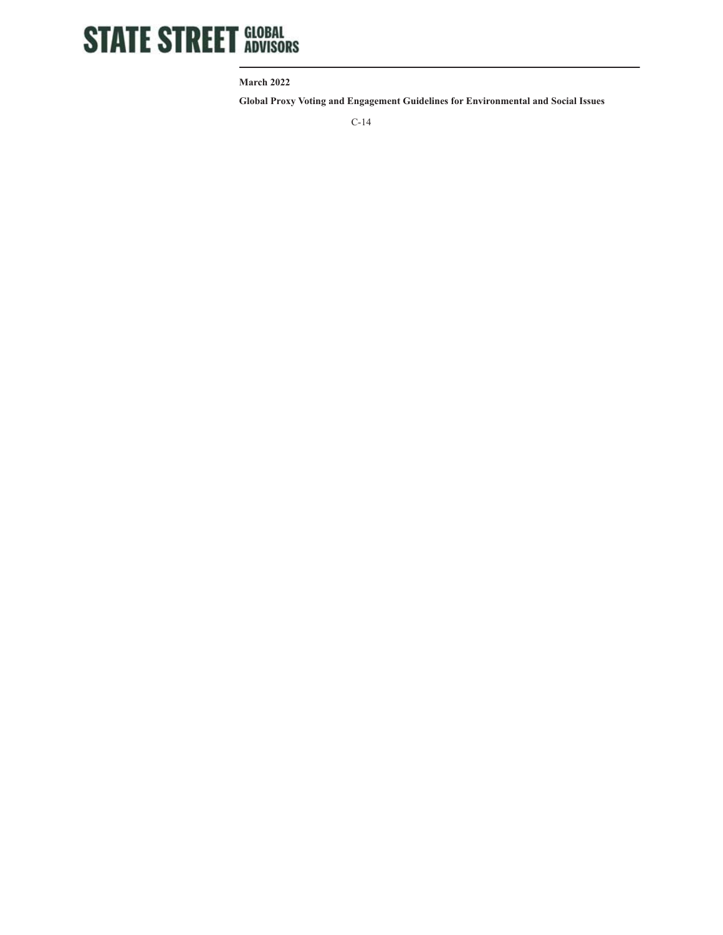## **March 2022**

**Global Proxy Voting and Engagement Guidelines for Environmental and Social Issues**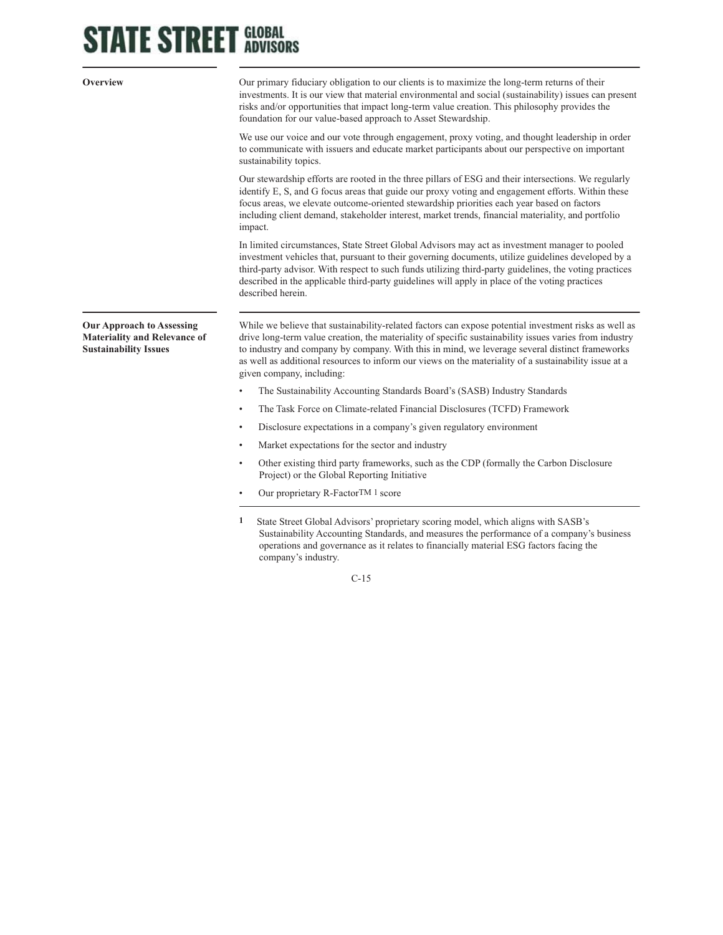| Overview                                                                                                | Our primary fiduciary obligation to our clients is to maximize the long-term returns of their<br>investments. It is our view that material environmental and social (sustainability) issues can present<br>risks and/or opportunities that impact long-term value creation. This philosophy provides the<br>foundation for our value-based approach to Asset Stewardship.                                                                               |
|---------------------------------------------------------------------------------------------------------|---------------------------------------------------------------------------------------------------------------------------------------------------------------------------------------------------------------------------------------------------------------------------------------------------------------------------------------------------------------------------------------------------------------------------------------------------------|
|                                                                                                         | We use our voice and our vote through engagement, proxy voting, and thought leadership in order<br>to communicate with issuers and educate market participants about our perspective on important<br>sustainability topics.                                                                                                                                                                                                                             |
|                                                                                                         | Our stewardship efforts are rooted in the three pillars of ESG and their intersections. We regularly<br>identify E, S, and G focus areas that guide our proxy voting and engagement efforts. Within these<br>focus areas, we elevate outcome-oriented stewardship priorities each year based on factors<br>including client demand, stakeholder interest, market trends, financial materiality, and portfolio<br>impact.                                |
|                                                                                                         | In limited circumstances, State Street Global Advisors may act as investment manager to pooled<br>investment vehicles that, pursuant to their governing documents, utilize guidelines developed by a<br>third-party advisor. With respect to such funds utilizing third-party guidelines, the voting practices<br>described in the applicable third-party guidelines will apply in place of the voting practices<br>described herein.                   |
| <b>Our Approach to Assessing</b><br><b>Materiality and Relevance of</b><br><b>Sustainability Issues</b> | While we believe that sustainability-related factors can expose potential investment risks as well as<br>drive long-term value creation, the materiality of specific sustainability issues varies from industry<br>to industry and company by company. With this in mind, we leverage several distinct frameworks<br>as well as additional resources to inform our views on the materiality of a sustainability issue at a<br>given company, including: |
|                                                                                                         | The Sustainability Accounting Standards Board's (SASB) Industry Standards<br>$\bullet$                                                                                                                                                                                                                                                                                                                                                                  |
|                                                                                                         | The Task Force on Climate-related Financial Disclosures (TCFD) Framework<br>$\bullet$                                                                                                                                                                                                                                                                                                                                                                   |
|                                                                                                         | Disclosure expectations in a company's given regulatory environment<br>$\bullet$                                                                                                                                                                                                                                                                                                                                                                        |
|                                                                                                         | Market expectations for the sector and industry<br>$\bullet$                                                                                                                                                                                                                                                                                                                                                                                            |
|                                                                                                         | Other existing third party frameworks, such as the CDP (formally the Carbon Disclosure<br>$\bullet$<br>Project) or the Global Reporting Initiative                                                                                                                                                                                                                                                                                                      |
|                                                                                                         | Our proprietary R-FactorTM 1 score                                                                                                                                                                                                                                                                                                                                                                                                                      |
|                                                                                                         | State Street Global Advisors' proprietary scoring model, which aligns with SASB's<br>1                                                                                                                                                                                                                                                                                                                                                                  |

**1**State Street Global Advisors' proprietary scoring model, which aligns with SASB's Sustainability Accounting Standards, and measures the performance of a company's business operations and governance as it relates to financially material ESG factors facing the company's industry.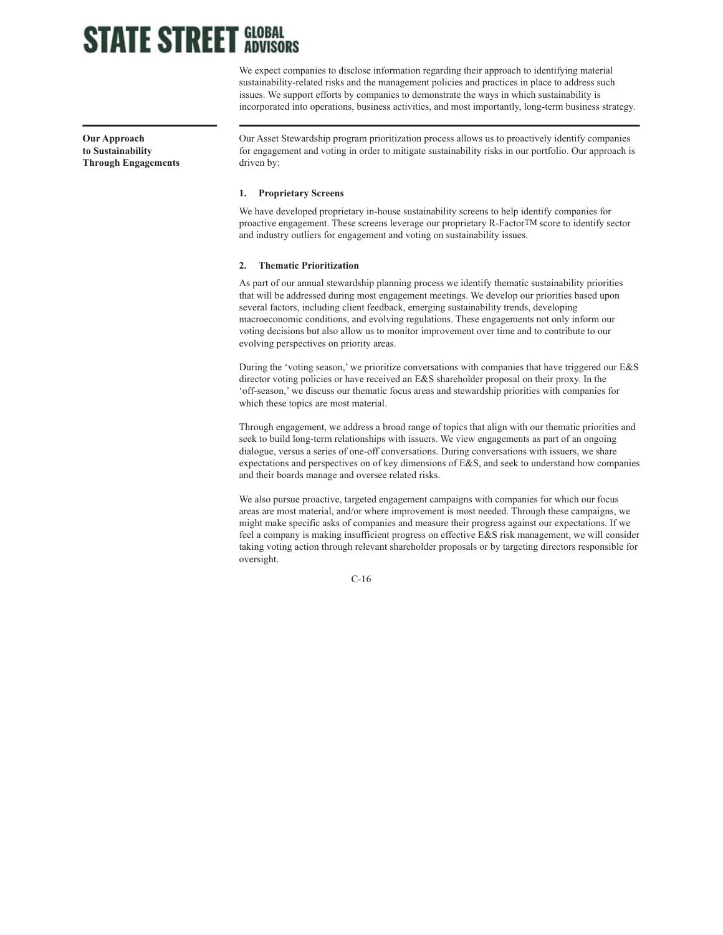We expect companies to disclose information regarding their approach to identifying material sustainability-related risks and the management policies and practices in place to address such issues. We support efforts by companies to demonstrate the ways in which sustainability is incorporated into operations, business activities, and most importantly, long-term business strategy.

**Our Approach to Sustainability Through Engagements** Our Asset Stewardship program prioritization process allows us to proactively identify companies for engagement and voting in order to mitigate sustainability risks in our portfolio. Our approach is driven by:

## **1.  Proprietary Screens**

We have developed proprietary in-house sustainability screens to help identify companies for proactive engagement. These screens leverage our proprietary R-FactorTM score to identify sector and industry outliers for engagement and voting on sustainability issues.

## **2.  Thematic Prioritization**

As part of our annual stewardship planning process we identify thematic sustainability priorities that will be addressed during most engagement meetings. We develop our priorities based upon several factors, including client feedback, emerging sustainability trends, developing macroeconomic conditions, and evolving regulations. These engagements not only inform our voting decisions but also allow us to monitor improvement over time and to contribute to our evolving perspectives on priority areas.

During the 'voting season,' we prioritize conversations with companies that have triggered our E&S director voting policies or have received an E&S shareholder proposal on their proxy. In the 'off-season,' we discuss our thematic focus areas and stewardship priorities with companies for which these topics are most material.

Through engagement, we address a broad range of topics that align with our thematic priorities and seek to build long-term relationships with issuers. We view engagements as part of an ongoing dialogue, versus a series of one-off conversations. During conversations with issuers, we share expectations and perspectives on of key dimensions of E&S, and seek to understand how companies and their boards manage and oversee related risks.

We also pursue proactive, targeted engagement campaigns with companies for which our focus areas are most material, and/or where improvement is most needed. Through these campaigns, we might make specific asks of companies and measure their progress against our expectations. If we feel a company is making insufficient progress on effective E&S risk management, we will consider taking voting action through relevant shareholder proposals or by targeting directors responsible for oversight.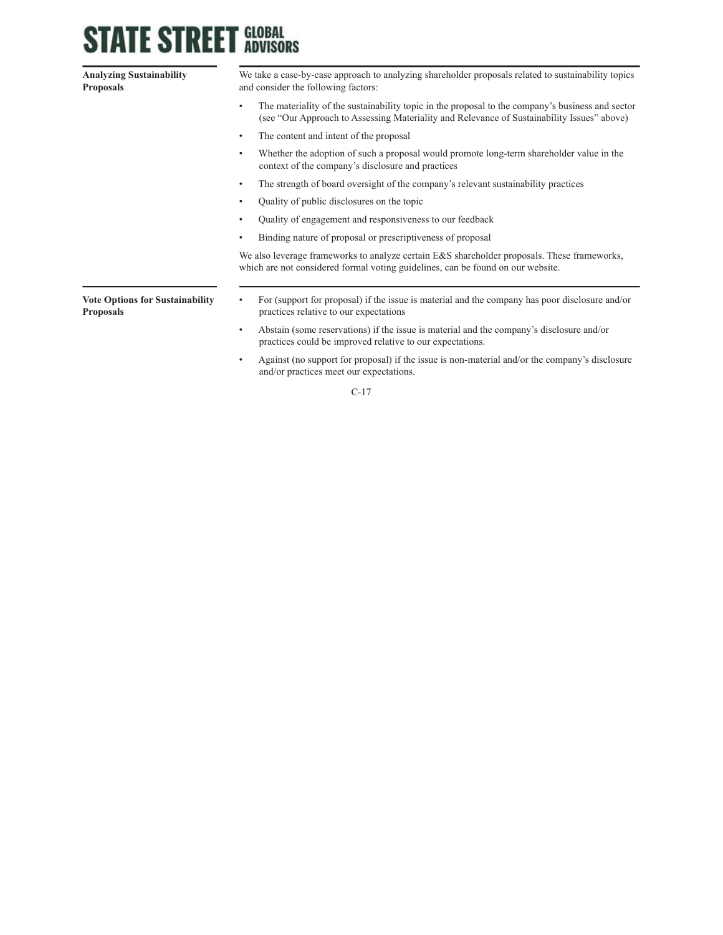## **STATE STREET SLOBAL STATE**

| <b>Analyzing Sustainability</b><br><b>Proposals</b>        | We take a case-by-case approach to analyzing shareholder proposals related to sustainability topics<br>and consider the following factors:                                                          |
|------------------------------------------------------------|-----------------------------------------------------------------------------------------------------------------------------------------------------------------------------------------------------|
|                                                            | The materiality of the sustainability topic in the proposal to the company's business and sector<br>٠<br>(see "Our Approach to Assessing Materiality and Relevance of Sustainability Issues" above) |
|                                                            | The content and intent of the proposal<br>٠                                                                                                                                                         |
|                                                            | Whether the adoption of such a proposal would promote long-term shareholder value in the<br>٠<br>context of the company's disclosure and practices                                                  |
|                                                            | The strength of board oversight of the company's relevant sustainability practices<br>٠                                                                                                             |
|                                                            | Quality of public disclosures on the topic<br>٠                                                                                                                                                     |
|                                                            | Quality of engagement and responsiveness to our feedback<br>٠                                                                                                                                       |
|                                                            | Binding nature of proposal or prescriptiveness of proposal<br>٠                                                                                                                                     |
|                                                            | We also leverage frameworks to analyze certain E&S shareholder proposals. These frameworks,<br>which are not considered formal voting guidelines, can be found on our website.                      |
| <b>Vote Options for Sustainability</b><br><b>Proposals</b> | For (support for proposal) if the issue is material and the company has poor disclosure and/or<br>practices relative to our expectations                                                            |
|                                                            | Abstain (some reservations) if the issue is material and the company's disclosure and/or<br>٠<br>practices could be improved relative to our expectations.                                          |
|                                                            | Against (no support for proposal) if the issue is non-material and/or the company's disclosure<br>٠<br>and/or practices meet our expectations.                                                      |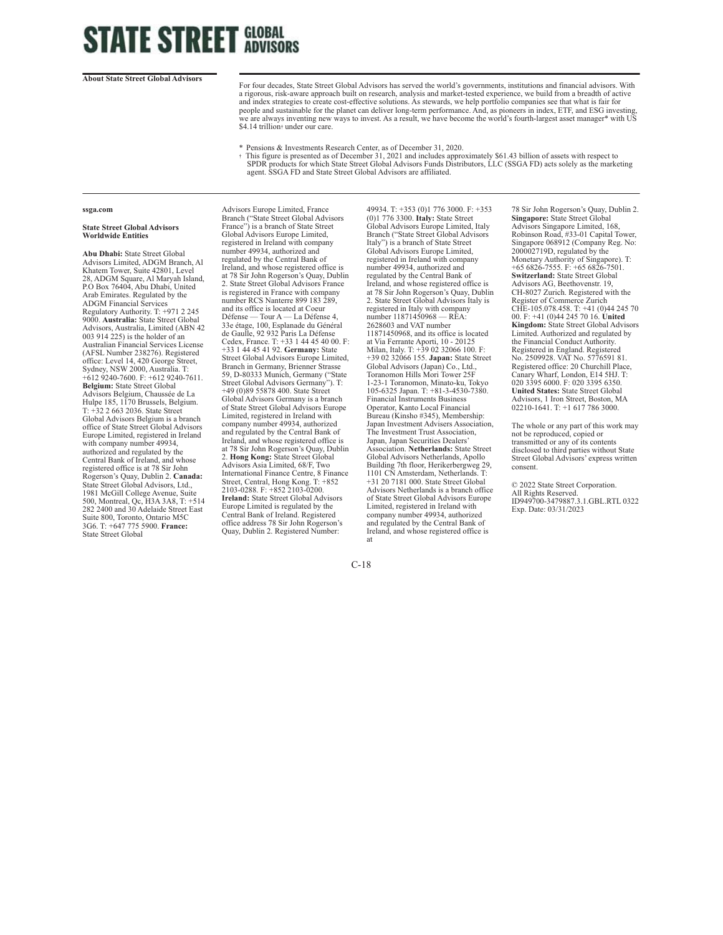**About State Street Global Advisors**

For four decades, State Street Global Advisors has served the world's governments, institutions and financial advisors. With<br>a rigorous, risk-aware approach built on research, analysis and market-tested experience, we buil and index strategies to create cost-effective solutions. As stewards, we help portfolio companies see that what is fair for<br>people and sustainable for the planet can deliver long-term performance. And, as pioneers in index we are always inventing new ways to invest. As a result, we have become the world's fourth-largest asset manager\* with US \$4.14 trillion<sup>†</sup> under our care.

\*  Pensions & Investments Research Center, as of December 31, 2020.

†  This figure is presented as of December 31, 2021 and includes approximately \$61.43 billion of assets with respect to SPDR products for which State Street Global Advisors Funds Distributors, LLC (SSGA FD) acts solely as the marketing agent. SSGA FD and State Street Global Advisors are affiliated.

#### **ssga.com**

**State Street Global Advisors Worldwide Entities**

**Abu Dhabi:** State Street Global Advisors Limited, ADGM Branch, Al Khatem Tower, Suite 42801, Level 28, ADGM Square, Al Maryah Island, P.O Box 76404, Abu Dhabi, United Arab Emirates. Regulated by the ADGM Financial Services Regulatory Authority. T: +971 2 245 9000. **Australia:** State Street Global Advisors, Australia, Limited (ABN 42 003 914 225) is the holder of an Australian Financial Services License (AFSL Number 238276). Registered office: Level 14, 420 George Street, Sydney, NSW 2000, Australia. T: +612 9240-7600. F: +612 9240-7611. **Belgium:** State Street Global Advisors Belgium, Chaussée de La Hulpe 185, 1170 Brussels, Belgium. T: +32 2 663 2036. State Street Global Advisors Belgium is a branch office of State Street Global Advisors Europe Limited, registered in Ireland with company number 49934, authorized and regulated by the Central Bank of Ireland, and whose registered office is at 78 Sir John Rogerson's Quay, Dublin 2. **Canada:** State Street Global Advisors, Ltd., 1981 McGill College Avenue, Suite 500, Montreal, Qc, H3A 3A8, T: +514 282 2400 and 30 Adelaide Street East Suite 800, Toronto, Ontario M5C 3G6. T: +647 775 5900. **France:** State Street Global

Advisors Europe Limited, France Branch ("State Street Global Advisors France") is a branch of State Street Global Advisors Europe Limited, registered in Ireland with company number 49934, authorized and regulated by the Central Bank of Ireland, and whose registered office is at 78 Sir John Rogerson's Quay, Dublin 2. State Street Global Advisors France is registered in France with company number RCS Nanterre 899 183 289, and its office is located at Coeur Défense — Tour A — La Défense 4, 33e étage, 100, Esplanade du Général de Gaulle, 92 932 Paris La Défense Cedex, France. T: +33 1 44 45 40 00. F: +33 1 44 45 41 92. **Germany:** State Street Global Advisors Europe Limited, Branch in Germany, Brienner Strasse 59, D-80333 Munich, Germany ("State Street Global Advisors Germany"). T: +49 (0)89 55878 400. State Street Global Advisors Germany is a branch of State Street Global Advisors Europe Limited, registered in Ireland with company number 49934, authorized and regulated by the Central Bank of Ireland, and whose registered office is at 78 Sir John Rogerson's Quay, Dublin 2. **Hong Kong:** State Street Global Advisors Asia Limited, 68/F, Two International Finance Centre, 8 Finance Street, Central, Hong Kong. T: +852 2103-0288. F: +852 2103-0200. **Ireland:** State Street Global Advisors Europe Limited is regulated by the Central Bank of Ireland. Registered office address 78 Sir John Rogerson's Quay, Dublin 2. Registered Number:

49934. T: +353 (0)1 776 3000. F: +353 (0)1 776 3300. **Italy:** State Street Global Advisors Europe Limited, Italy Branch ("State Street Global Advisors Italy") is a branch of State Street Global Advisors Europe Limited, registered in Ireland with company number 49934, authorized and regulated by the Central Bank of Ireland, and whose registered office is at 78 Sir John Rogerson's Quay, Dublin 2. State Street Global Advisors Italy is registered in Italy with company number 11871450968 — REA: 2628603 and VAT number 11871450968, and its office is located at Via Ferrante Aporti, 10 - 20125 Milan, Italy. T: +39 02 32066 100. F: +39 02 32066 155. **Japan:** State Street Global Advisors (Japan) Co., Ltd., Toranomon Hills Mori Tower 25F 1-23-1 Toranomon, Minato-ku, Tokyo 105-6325 Japan. T: +81-3-4530-7380. Financial Instruments Business Operator, Kanto Local Financial Bureau (Kinsho #345), Membership: Japan Investment Advisers Association, The Investment Trust Association, Japan, Japan Securities Dealers' Association. **Netherlands:** State Street Global Advisors Netherlands, Apollo Building 7th floor, Herikerbergweg 29, 1101 CN Amsterdam, Netherlands. T: +31 20 7181 000. State Street Global Advisors Netherlands is a branch office of State Street Global Advisors Europe Limited, registered in Ireland with company number 49934, authorized and regulated by the Central Bank of Ireland, and whose registered office is at

78 Sir John Rogerson's Quay, Dublin 2. **Singapore:** State Street Global Advisors Singapore Limited, 168, Robinson Road, #33-01 Capital Tower, Singapore 068912 (Company Reg. No: 200002719D, regulated by the Monetary Authority of Singapore). T: +65 6826-7555. F: +65 6826-7501. **Switzerland:** State Street Global Advisors AG, Beethovenstr. 19, CH-8027 Zurich. Registered with the Register of Commerce Zurich CHE-105.078.458. T: +41 (0)44 245 70 00. F: +41 (0)44 245 70 16. **United Kingdom:** State Street Global Advisors Limited. Authorized and regulated by the Financial Conduct Authority. Registered in England. Registered No. 2509928. VAT No. 5776591 81. Registered office: 20 Churchill Place, Canary Wharf, London, E14 5HJ. T: 020 3395 6000. F: 020 3395 6350. **United States:** State Street Global Advisors, 1 Iron Street, Boston, MA 02210-1641. T: +1 617 786 3000.

The whole or any part of this work may not be reproduced, copied or transmitted or any of its contents disclosed to third parties without State Street Global Advisors' express written consent.

© 2022 State Street Corporation. All Rights Reserved. ID949700-3479887.3.1.GBL.RTL 0322 Exp. Date: 03/31/2023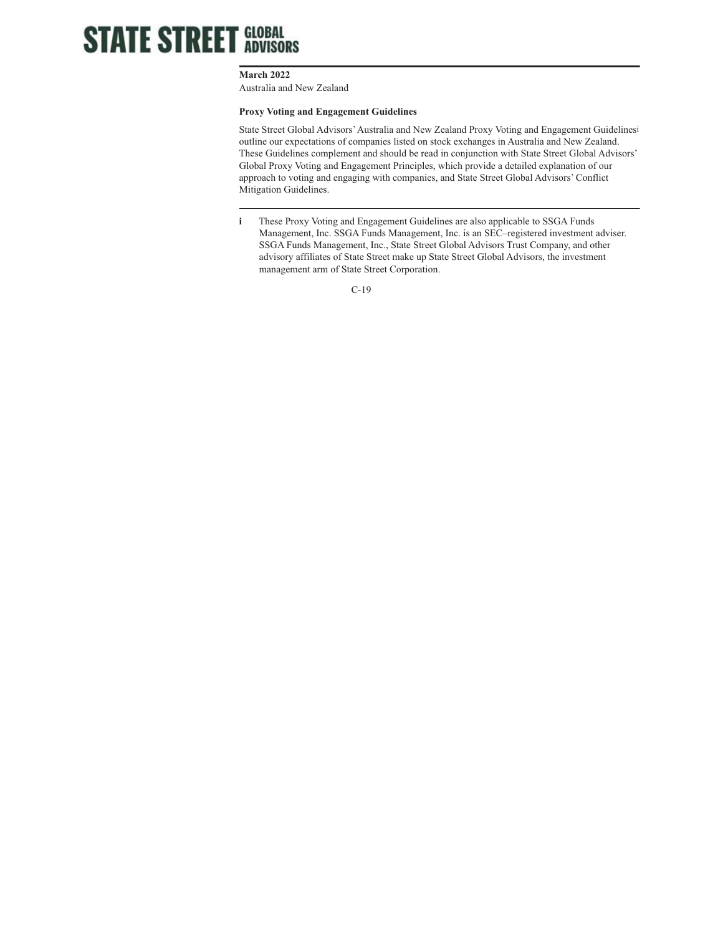**March 2022** Australia and New Zealand

## **Proxy Voting and Engagement Guidelines**

State Street Global Advisors' Australia and New Zealand Proxy Voting and Engagement Guidelinesi outline our expectations of companies listed on stock exchanges in Australia and New Zealand. These Guidelines complement and should be read in conjunction with State Street Global Advisors' Global Proxy Voting and Engagement Principles, which provide a detailed explanation of our approach to voting and engaging with companies, and State Street Global Advisors' Conflict Mitigation Guidelines.

**i**These Proxy Voting and Engagement Guidelines are also applicable to SSGA Funds Management, Inc. SSGA Funds Management, Inc. is an SEC–registered investment adviser. SSGA Funds Management, Inc., State Street Global Advisors Trust Company, and other advisory affiliates of State Street make up State Street Global Advisors, the investment management arm of State Street Corporation.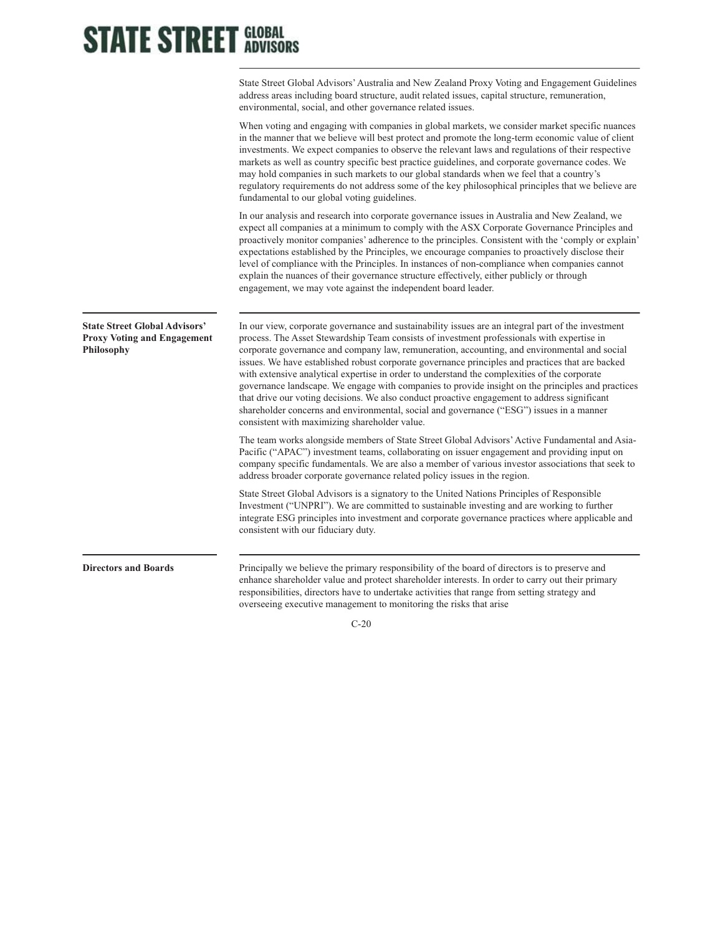State Street Global Advisors' Australia and New Zealand Proxy Voting and Engagement Guidelines address areas including board structure, audit related issues, capital structure, remuneration, environmental, social, and other governance related issues.

When voting and engaging with companies in global markets, we consider market specific nuances in the manner that we believe will best protect and promote the long-term economic value of client investments. We expect companies to observe the relevant laws and regulations of their respective markets as well as country specific best practice guidelines, and corporate governance codes. We may hold companies in such markets to our global standards when we feel that a country's regulatory requirements do not address some of the key philosophical principles that we believe are fundamental to our global voting guidelines.

In our analysis and research into corporate governance issues in Australia and New Zealand, we expect all companies at a minimum to comply with the ASX Corporate Governance Principles and proactively monitor companies' adherence to the principles. Consistent with the 'comply or explain' expectations established by the Principles, we encourage companies to proactively disclose their level of compliance with the Principles. In instances of non-compliance when companies cannot explain the nuances of their governance structure effectively, either publicly or through engagement, we may vote against the independent board leader.

| <b>State Street Global Advisors'</b><br><b>Proxy Voting and Engagement</b><br>Philosophy | In our view, corporate governance and sustainability issues are an integral part of the investment<br>process. The Asset Stewardship Team consists of investment professionals with expertise in<br>corporate governance and company law, remuneration, accounting, and environmental and social<br>issues. We have established robust corporate governance principles and practices that are backed<br>with extensive analytical expertise in order to understand the complexities of the corporate<br>governance landscape. We engage with companies to provide insight on the principles and practices<br>that drive our voting decisions. We also conduct proactive engagement to address significant<br>shareholder concerns and environmental, social and governance ("ESG") issues in a manner<br>consistent with maximizing shareholder value. |
|------------------------------------------------------------------------------------------|--------------------------------------------------------------------------------------------------------------------------------------------------------------------------------------------------------------------------------------------------------------------------------------------------------------------------------------------------------------------------------------------------------------------------------------------------------------------------------------------------------------------------------------------------------------------------------------------------------------------------------------------------------------------------------------------------------------------------------------------------------------------------------------------------------------------------------------------------------|
|                                                                                          | The team works alongside members of State Street Global Advisors' Active Fundamental and Asia-<br>Pacific ("APAC") investment teams, collaborating on issuer engagement and providing input on<br>company specific fundamentals. We are also a member of various investor associations that seek to<br>address broader corporate governance related policy issues in the region.                                                                                                                                                                                                                                                                                                                                                                                                                                                                       |
|                                                                                          | State Street Global Advisors is a signatory to the United Nations Principles of Responsible<br>Investment ("UNPRI"). We are committed to sustainable investing and are working to further<br>integrate ESG principles into investment and corporate governance practices where applicable and<br>consistent with our fiduciary duty.                                                                                                                                                                                                                                                                                                                                                                                                                                                                                                                   |
| <b>Directors and Boards</b>                                                              | Principally we believe the primary responsibility of the board of directors is to preserve and<br>enhance shareholder value and protect shareholder interests. In order to carry out their primary<br>responsibilities, directors have to undertake activities that range from setting strategy and                                                                                                                                                                                                                                                                                                                                                                                                                                                                                                                                                    |

C-20

overseeing executive management to monitoring the risks that arise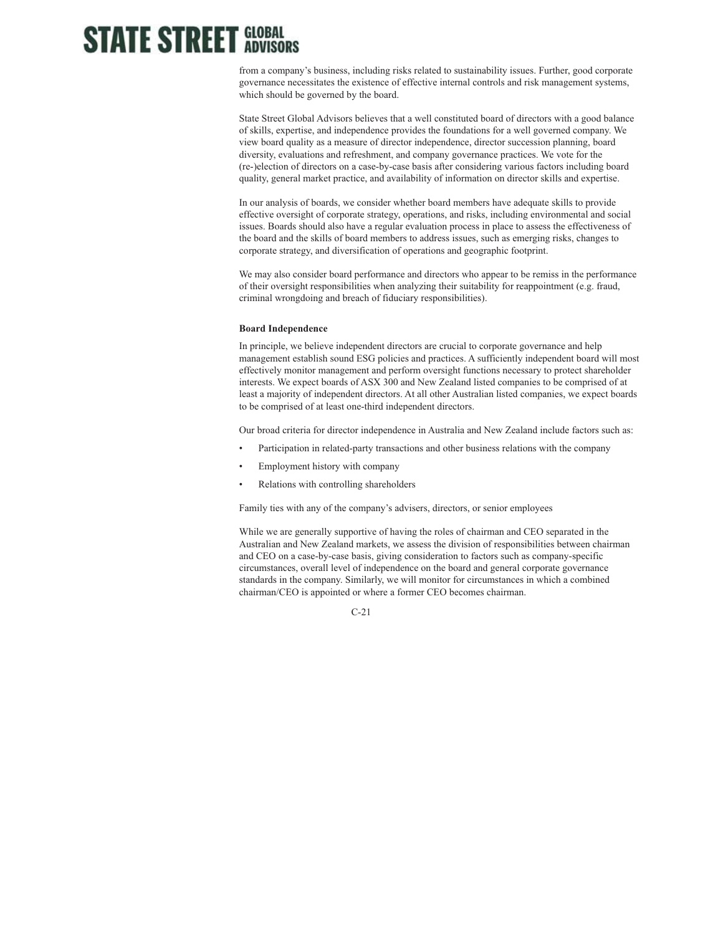from a company's business, including risks related to sustainability issues. Further, good corporate governance necessitates the existence of effective internal controls and risk management systems, which should be governed by the board.

State Street Global Advisors believes that a well constituted board of directors with a good balance of skills, expertise, and independence provides the foundations for a well governed company. We view board quality as a measure of director independence, director succession planning, board diversity, evaluations and refreshment, and company governance practices. We vote for the (re-)election of directors on a case-by-case basis after considering various factors including board quality, general market practice, and availability of information on director skills and expertise.

In our analysis of boards, we consider whether board members have adequate skills to provide effective oversight of corporate strategy, operations, and risks, including environmental and social issues. Boards should also have a regular evaluation process in place to assess the effectiveness of the board and the skills of board members to address issues, such as emerging risks, changes to corporate strategy, and diversification of operations and geographic footprint.

We may also consider board performance and directors who appear to be remiss in the performance of their oversight responsibilities when analyzing their suitability for reappointment (e.g. fraud, criminal wrongdoing and breach of fiduciary responsibilities).

## **Board Independence**

In principle, we believe independent directors are crucial to corporate governance and help management establish sound ESG policies and practices. A sufficiently independent board will most effectively monitor management and perform oversight functions necessary to protect shareholder interests. We expect boards of ASX 300 and New Zealand listed companies to be comprised of at least a majority of independent directors. At all other Australian listed companies, we expect boards to be comprised of at least one-third independent directors.

Our broad criteria for director independence in Australia and New Zealand include factors such as:

- Participation in related-party transactions and other business relations with the company
- Employment history with company
- Relations with controlling shareholders

Family ties with any of the company's advisers, directors, or senior employees

While we are generally supportive of having the roles of chairman and CEO separated in the Australian and New Zealand markets, we assess the division of responsibilities between chairman and CEO on a case-by-case basis, giving consideration to factors such as company-specific circumstances, overall level of independence on the board and general corporate governance standards in the company. Similarly, we will monitor for circumstances in which a combined chairman/CEO is appointed or where a former CEO becomes chairman.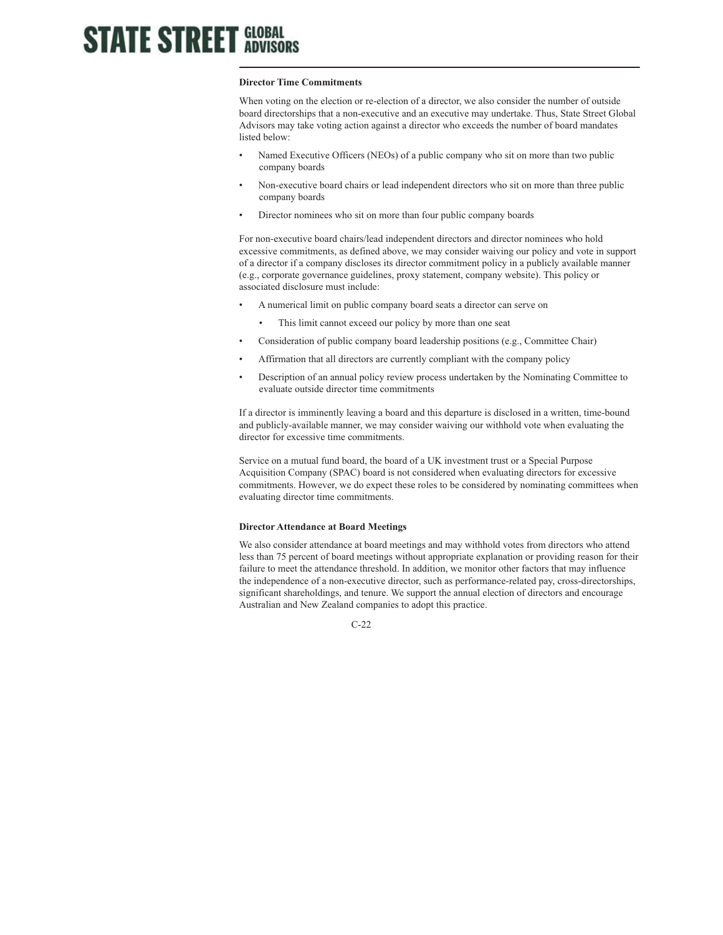### **Director Time Commitments**

When voting on the election or re-election of a director, we also consider the number of outside board directorships that a non-executive and an executive may undertake. Thus, State Street Global Advisors may take voting action against a director who exceeds the number of board mandates listed below:

- Named Executive Officers (NEOs) of a public company who sit on more than two public company boards
- Non-executive board chairs or lead independent directors who sit on more than three public company boards
- Director nominees who sit on more than four public company boards

For non-executive board chairs/lead independent directors and director nominees who hold excessive commitments, as defined above, we may consider waiving our policy and vote in support of a director if a company discloses its director commitment policy in a publicly available manner (e.g., corporate governance guidelines, proxy statement, company website). This policy or associated disclosure must include:

- A numerical limit on public company board seats a director can serve on
	- This limit cannot exceed our policy by more than one seat
- Consideration of public company board leadership positions (e.g., Committee Chair)
- Affirmation that all directors are currently compliant with the company policy
- Description of an annual policy review process undertaken by the Nominating Committee to evaluate outside director time commitments

If a director is imminently leaving a board and this departure is disclosed in a written, time-bound and publicly-available manner, we may consider waiving our withhold vote when evaluating the director for excessive time commitments.

Service on a mutual fund board, the board of a UK investment trust or a Special Purpose Acquisition Company (SPAC) board is not considered when evaluating directors for excessive commitments. However, we do expect these roles to be considered by nominating committees when evaluating director time commitments.

## **Director Attendance at Board Meetings**

We also consider attendance at board meetings and may withhold votes from directors who attend less than 75 percent of board meetings without appropriate explanation or providing reason for their failure to meet the attendance threshold. In addition, we monitor other factors that may influence the independence of a non-executive director, such as performance-related pay, cross-directorships, significant shareholdings, and tenure. We support the annual election of directors and encourage Australian and New Zealand companies to adopt this practice.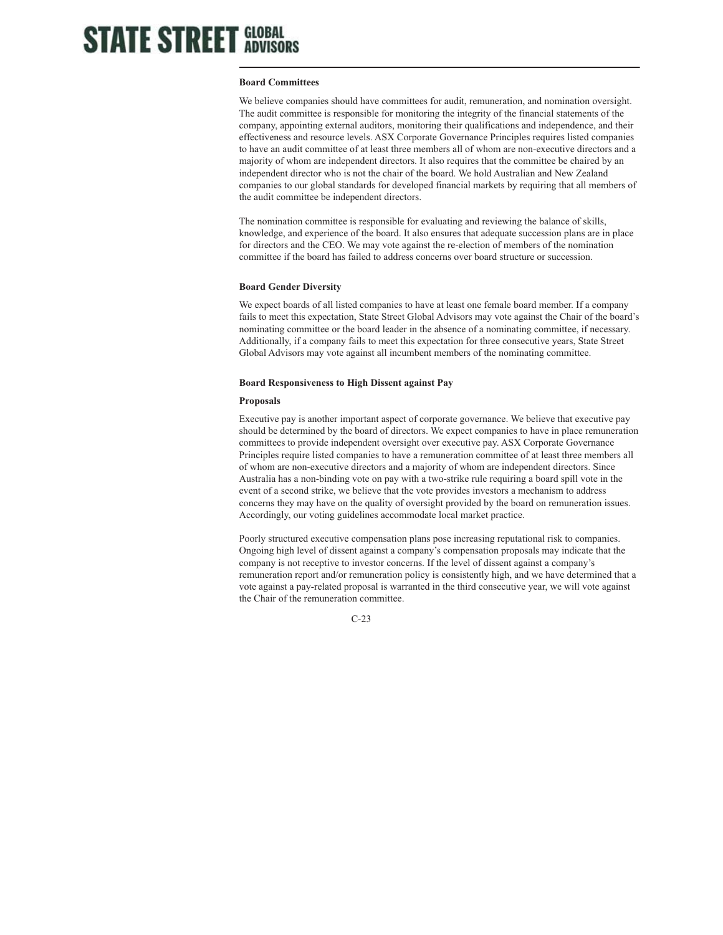### **Board Committees**

We believe companies should have committees for audit, remuneration, and nomination oversight. The audit committee is responsible for monitoring the integrity of the financial statements of the company, appointing external auditors, monitoring their qualifications and independence, and their effectiveness and resource levels. ASX Corporate Governance Principles requires listed companies to have an audit committee of at least three members all of whom are non-executive directors and a majority of whom are independent directors. It also requires that the committee be chaired by an independent director who is not the chair of the board. We hold Australian and New Zealand companies to our global standards for developed financial markets by requiring that all members of the audit committee be independent directors.

The nomination committee is responsible for evaluating and reviewing the balance of skills, knowledge, and experience of the board. It also ensures that adequate succession plans are in place for directors and the CEO. We may vote against the re-election of members of the nomination committee if the board has failed to address concerns over board structure or succession.

## **Board Gender Diversity**

We expect boards of all listed companies to have at least one female board member. If a company fails to meet this expectation, State Street Global Advisors may vote against the Chair of the board's nominating committee or the board leader in the absence of a nominating committee, if necessary. Additionally, if a company fails to meet this expectation for three consecutive years, State Street Global Advisors may vote against all incumbent members of the nominating committee.

### **Board Responsiveness to High Dissent against Pay**

### **Proposals**

Executive pay is another important aspect of corporate governance. We believe that executive pay should be determined by the board of directors. We expect companies to have in place remuneration committees to provide independent oversight over executive pay. ASX Corporate Governance Principles require listed companies to have a remuneration committee of at least three members all of whom are non-executive directors and a majority of whom are independent directors. Since Australia has a non-binding vote on pay with a two-strike rule requiring a board spill vote in the event of a second strike, we believe that the vote provides investors a mechanism to address concerns they may have on the quality of oversight provided by the board on remuneration issues. Accordingly, our voting guidelines accommodate local market practice.

Poorly structured executive compensation plans pose increasing reputational risk to companies. Ongoing high level of dissent against a company's compensation proposals may indicate that the company is not receptive to investor concerns. If the level of dissent against a company's remuneration report and/or remuneration policy is consistently high, and we have determined that a vote against a pay-related proposal is warranted in the third consecutive year, we will vote against the Chair of the remuneration committee.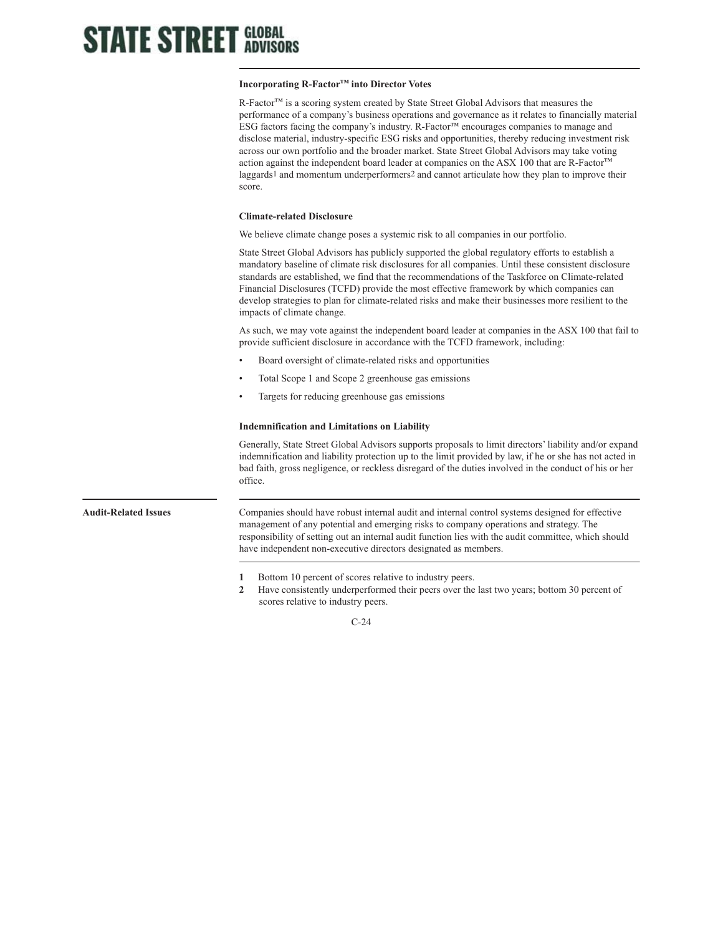## **Incorporating R-Factor™ into Director Votes**

R-Factor™ is a scoring system created by State Street Global Advisors that measures the performance of a company's business operations and governance as it relates to financially material ESG factors facing the company's industry. R-Factor™ encourages companies to manage and disclose material, industry-specific ESG risks and opportunities, thereby reducing investment risk across our own portfolio and the broader market. State Street Global Advisors may take voting action against the independent board leader at companies on the ASX 100 that are R-Factor™ laggards1 and momentum underperformers2 and cannot articulate how they plan to improve their score.

## **Climate-related Disclosure**

We believe climate change poses a systemic risk to all companies in our portfolio.

State Street Global Advisors has publicly supported the global regulatory efforts to establish a mandatory baseline of climate risk disclosures for all companies. Until these consistent disclosure standards are established, we find that the recommendations of the Taskforce on Climate-related Financial Disclosures (TCFD) provide the most effective framework by which companies can develop strategies to plan for climate-related risks and make their businesses more resilient to the impacts of climate change.

As such, we may vote against the independent board leader at companies in the ASX 100 that fail to provide sufficient disclosure in accordance with the TCFD framework, including:

- Board oversight of climate-related risks and opportunities
- Total Scope 1 and Scope 2 greenhouse gas emissions
- Targets for reducing greenhouse gas emissions

## **Indemnification and Limitations on Liability**

Generally, State Street Global Advisors supports proposals to limit directors' liability and/or expand indemnification and liability protection up to the limit provided by law, if he or she has not acted in bad faith, gross negligence, or reckless disregard of the duties involved in the conduct of his or her office.

### **Audit-Related Issues**

Companies should have robust internal audit and internal control systems designed for effective management of any potential and emerging risks to company operations and strategy. The responsibility of setting out an internal audit function lies with the audit committee, which should have independent non-executive directors designated as members.

- **1**Bottom 10 percent of scores relative to industry peers.
- **2**Have consistently underperformed their peers over the last two years; bottom 30 percent of scores relative to industry peers.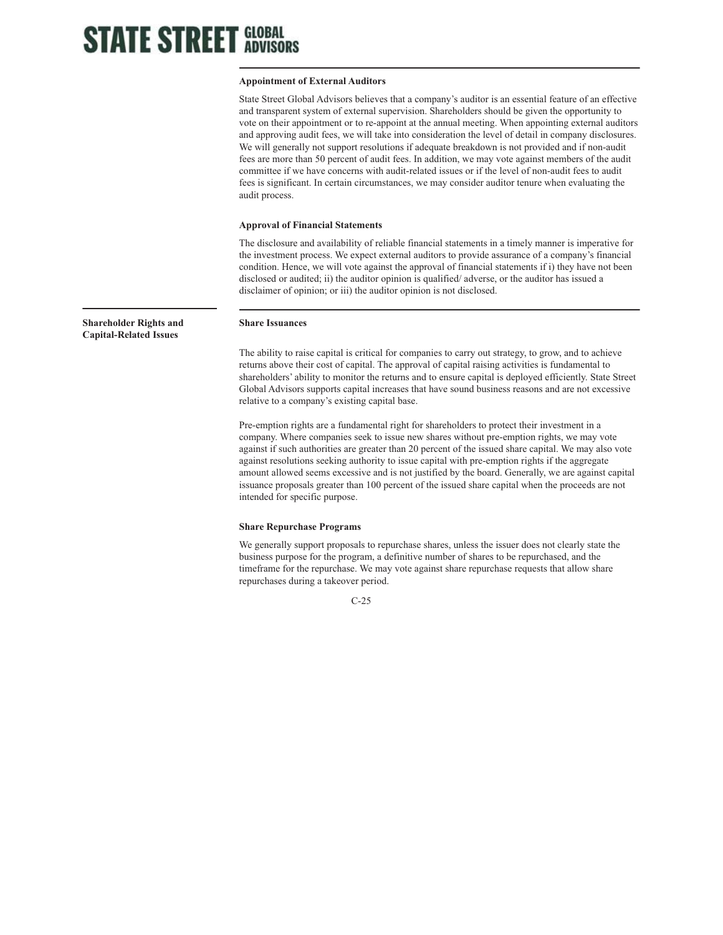## **Appointment of External Auditors**

State Street Global Advisors believes that a company's auditor is an essential feature of an effective and transparent system of external supervision. Shareholders should be given the opportunity to vote on their appointment or to re-appoint at the annual meeting. When appointing external auditors and approving audit fees, we will take into consideration the level of detail in company disclosures. We will generally not support resolutions if adequate breakdown is not provided and if non-audit fees are more than 50 percent of audit fees. In addition, we may vote against members of the audit committee if we have concerns with audit-related issues or if the level of non-audit fees to audit fees is significant. In certain circumstances, we may consider auditor tenure when evaluating the audit process.

## **Approval of Financial Statements**

The disclosure and availability of reliable financial statements in a timely manner is imperative for the investment process. We expect external auditors to provide assurance of a company's financial condition. Hence, we will vote against the approval of financial statements if i) they have not been disclosed or audited; ii) the auditor opinion is qualified/ adverse, or the auditor has issued a disclaimer of opinion; or iii) the auditor opinion is not disclosed.

## **Share Issuances**

The ability to raise capital is critical for companies to carry out strategy, to grow, and to achieve returns above their cost of capital. The approval of capital raising activities is fundamental to shareholders' ability to monitor the returns and to ensure capital is deployed efficiently. State Street Global Advisors supports capital increases that have sound business reasons and are not excessive relative to a company's existing capital base.

Pre-emption rights are a fundamental right for shareholders to protect their investment in a company. Where companies seek to issue new shares without pre-emption rights, we may vote against if such authorities are greater than 20 percent of the issued share capital. We may also vote against resolutions seeking authority to issue capital with pre-emption rights if the aggregate amount allowed seems excessive and is not justified by the board. Generally, we are against capital issuance proposals greater than 100 percent of the issued share capital when the proceeds are not intended for specific purpose.

## **Share Repurchase Programs**

We generally support proposals to repurchase shares, unless the issuer does not clearly state the business purpose for the program, a definitive number of shares to be repurchased, and the timeframe for the repurchase. We may vote against share repurchase requests that allow share repurchases during a takeover period.

C-25

**Shareholder Rights and Capital-Related Issues**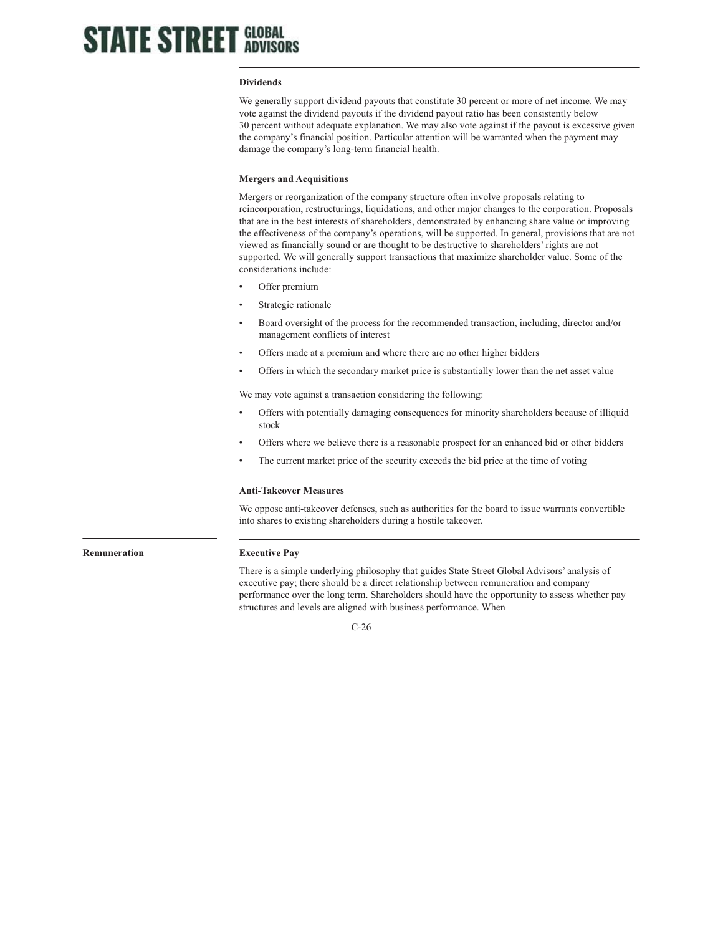### **Dividends**

We generally support dividend payouts that constitute 30 percent or more of net income. We may vote against the dividend payouts if the dividend payout ratio has been consistently below 30 percent without adequate explanation. We may also vote against if the payout is excessive given the company's financial position. Particular attention will be warranted when the payment may damage the company's long-term financial health.

### **Mergers and Acquisitions**

Mergers or reorganization of the company structure often involve proposals relating to reincorporation, restructurings, liquidations, and other major changes to the corporation. Proposals that are in the best interests of shareholders, demonstrated by enhancing share value or improving the effectiveness of the company's operations, will be supported. In general, provisions that are not viewed as financially sound or are thought to be destructive to shareholders' rights are not supported. We will generally support transactions that maximize shareholder value. Some of the considerations include:

- Offer premium
- Strategic rationale
- Board oversight of the process for the recommended transaction, including, director and/or management conflicts of interest
- Offers made at a premium and where there are no other higher bidders
- Offers in which the secondary market price is substantially lower than the net asset value

We may vote against a transaction considering the following:

- Offers with potentially damaging consequences for minority shareholders because of illiquid stock
- Offers where we believe there is a reasonable prospect for an enhanced bid or other bidders
- The current market price of the security exceeds the bid price at the time of voting

### **Anti-Takeover Measures**

We oppose anti-takeover defenses, such as authorities for the board to issue warrants convertible into shares to existing shareholders during a hostile takeover.

**Remuneration Executive Pay**

There is a simple underlying philosophy that guides State Street Global Advisors' analysis of executive pay; there should be a direct relationship between remuneration and company performance over the long term. Shareholders should have the opportunity to assess whether pay structures and levels are aligned with business performance. When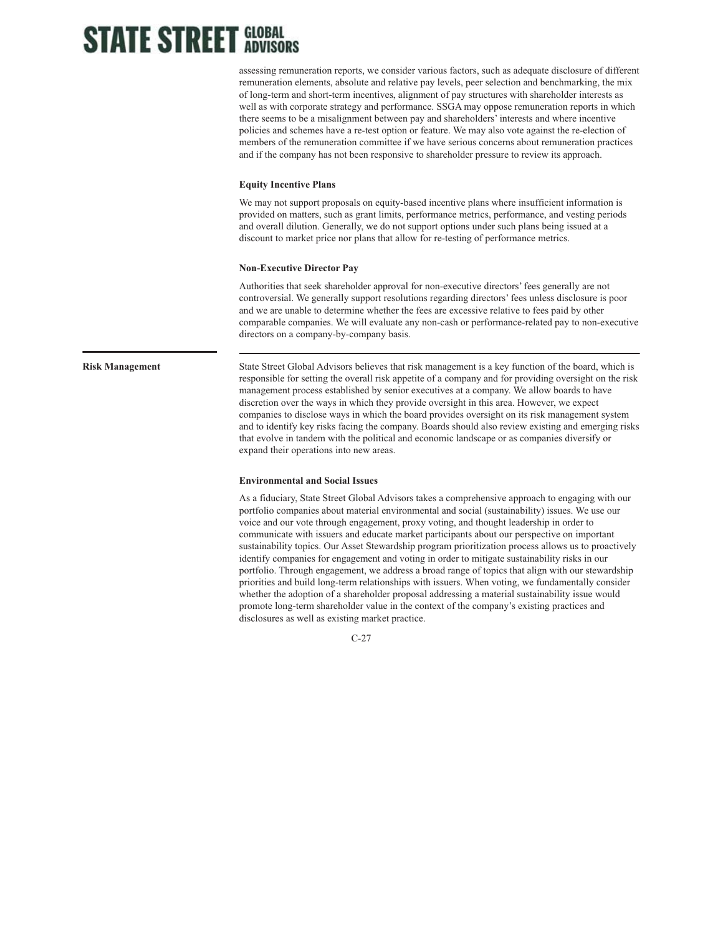assessing remuneration reports, we consider various factors, such as adequate disclosure of different remuneration elements, absolute and relative pay levels, peer selection and benchmarking, the mix of long-term and short-term incentives, alignment of pay structures with shareholder interests as well as with corporate strategy and performance. SSGA may oppose remuneration reports in which there seems to be a misalignment between pay and shareholders' interests and where incentive policies and schemes have a re-test option or feature. We may also vote against the re-election of members of the remuneration committee if we have serious concerns about remuneration practices and if the company has not been responsive to shareholder pressure to review its approach.

### **Equity Incentive Plans**

We may not support proposals on equity-based incentive plans where insufficient information is provided on matters, such as grant limits, performance metrics, performance, and vesting periods and overall dilution. Generally, we do not support options under such plans being issued at a discount to market price nor plans that allow for re-testing of performance metrics.

## **Non-Executive Director Pay**

Authorities that seek shareholder approval for non-executive directors' fees generally are not controversial. We generally support resolutions regarding directors' fees unless disclosure is poor and we are unable to determine whether the fees are excessive relative to fees paid by other comparable companies. We will evaluate any non-cash or performance-related pay to non-executive directors on a company-by-company basis.

### **Risk Management**

State Street Global Advisors believes that risk management is a key function of the board, which is responsible for setting the overall risk appetite of a company and for providing oversight on the risk management process established by senior executives at a company. We allow boards to have discretion over the ways in which they provide oversight in this area. However, we expect companies to disclose ways in which the board provides oversight on its risk management system and to identify key risks facing the company. Boards should also review existing and emerging risks that evolve in tandem with the political and economic landscape or as companies diversify or expand their operations into new areas.

## **Environmental and Social Issues**

As a fiduciary, State Street Global Advisors takes a comprehensive approach to engaging with our portfolio companies about material environmental and social (sustainability) issues. We use our voice and our vote through engagement, proxy voting, and thought leadership in order to communicate with issuers and educate market participants about our perspective on important sustainability topics. Our Asset Stewardship program prioritization process allows us to proactively identify companies for engagement and voting in order to mitigate sustainability risks in our portfolio. Through engagement, we address a broad range of topics that align with our stewardship priorities and build long-term relationships with issuers. When voting, we fundamentally consider whether the adoption of a shareholder proposal addressing a material sustainability issue would promote long-term shareholder value in the context of the company's existing practices and disclosures as well as existing market practice.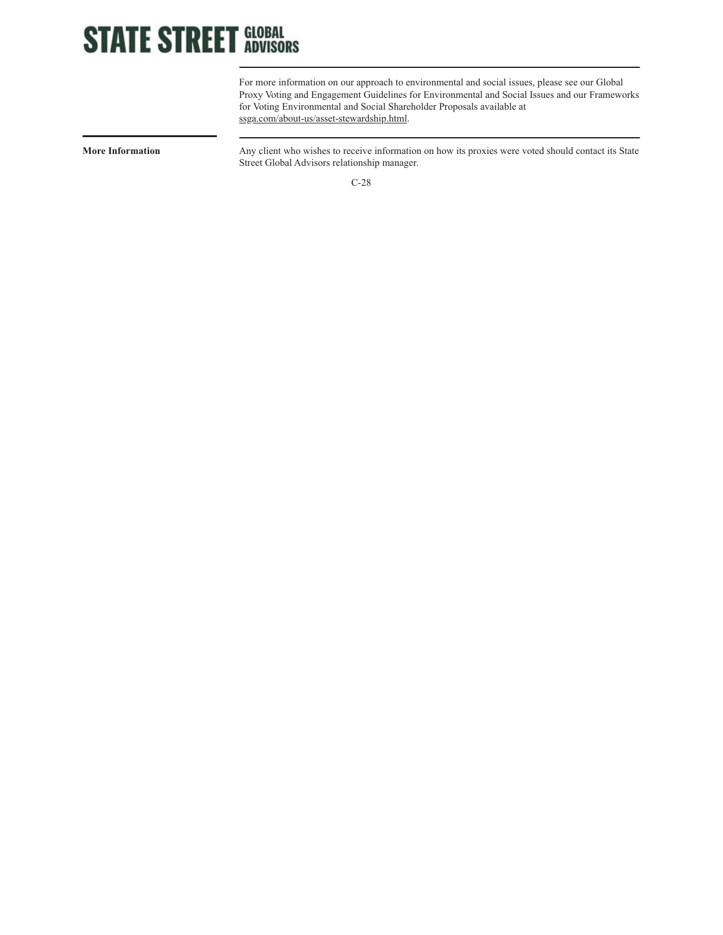For more information on our approach to environmental and social issues, please see our Global Proxy Voting and Engagement Guidelines for Environmental and Social Issues and our Frameworks for Voting Environmental and Social Shareholder Proposals available at ssga.com/about-us/asset-stewardship.html.

**More Information**

Any client who wishes to receive information on how its proxies were voted should contact its State Street Global Advisors relationship manager.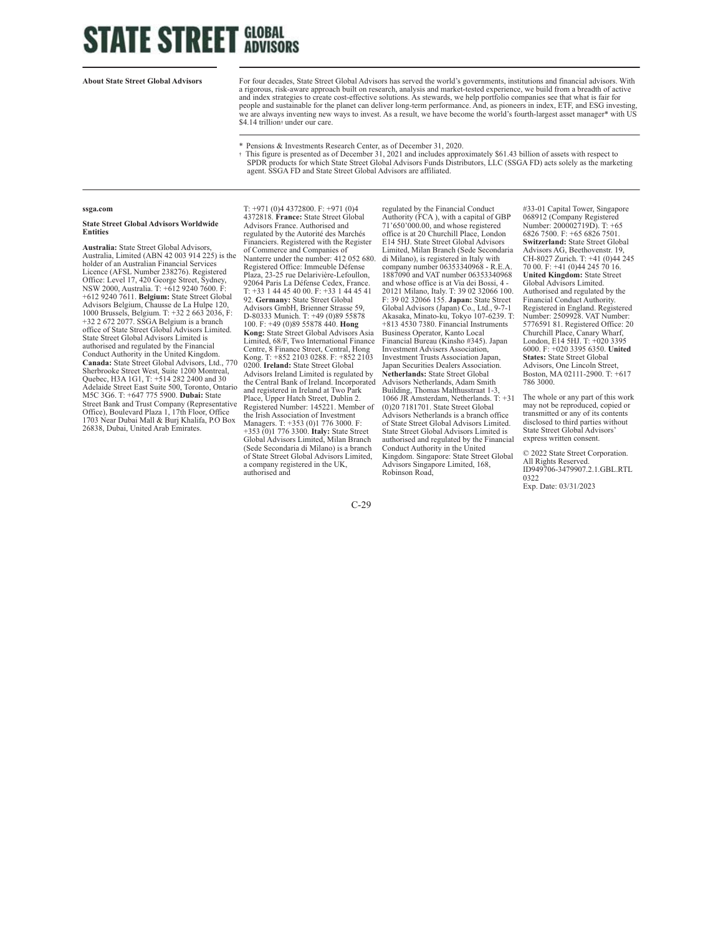**About State Street Global Advisors**

For four decades, State Street Global Advisors has served the world's governments, institutions and financial advisors. With a rigorous, risk-aware approach built on research, analysis and market-tested experience, we build from a breadth of active and index strategies to create cost-effective solutions. As stewards, we help portfolio companies see that what is fair for people and sustainable for the planet can deliver long-term performance. And, as pioneers in index, ETF, and ESG investing, we are always inventing new ways to invest. As a result, we have become the world's fourth-largest asset manager\* with US \$4.14 trillion<sup>†</sup> under our care.

\*  Pensions & Investments Research Center, as of December 31, 2020.

†  This figure is presented as of December 31, 2021 and includes approximately \$61.43 billion of assets with respect to SPDR products for which State Street Global Advisors Funds Distributors, LLC (SSGA FD) acts solely as the marketing agent. SSGA FD and State Street Global Advisors are affiliated.

#### **ssga.com**

#### **State Street Global Advisors Worldwide Entities**

**Australia:** State Street Global Advisors, Australia, Limited (ABN 42 003 914 225) is the holder of an Australian Financial Services Licence (AFSL Number 238276). Registered Office: Level 17, 420 George Street, Sydney, NSW 2000, Australia. T: +612 9240 7600. F: +612 9240 7611. **Belgium:** State Street Global Advisors Belgium, Chausse de La Hulpe 120, 1000 Brussels, Belgium. T: +32 2 663 2036, F: +32 2 672 2077. SSGA Belgium is a branch office of State Street Global Advisors Limited. State Street Global Advisors Limited is authorised and regulated by the Financial Conduct Authority in the United Kingdom. **Canada:** State Street Global Advisors, Ltd., 770 Sherbrooke Street West, Suite 1200 Montreal, Quebec, H3A 1G1, T: +514 282 2400 and 30 Adelaide Street East Suite 500, Toronto, Ontario M5C 3G6. T: +647 775 5900. **Dubai:** State Street Bank and Trust Company (Representative Office), Boulevard Plaza 1, 17th Floor, Office 1703 Near Dubai Mall & Burj Khalifa, P.O Box 26838, Dubai, United Arab Emirates.

T: +971 (0)4 4372800. F: +971 (0)4 4372818. **France:** State Street Global Advisors France. Authorised and regulated by the Autorité des Marchés Financiers. Registered with the Register of Commerce and Companies of Nanterre under the number: 412 052 680. Registered Office: Immeuble Défense Plaza, 23-25 rue Delarivière-Lefoullon, 92064 Paris La Défense Cedex, France. T: +33 1 44 45 40 00. F: +33 1 44 45 41 92. **Germany:** State Street Global Advisors GmbH, Brienner Strasse 59, D-80333 Munich. T: +49 (0)89 55878 100. F: +49 (0)89 55878 440. **Hong Kong:** State Street Global Advisors Asia Limited, 68/F, Two International Finance Centre, 8 Finance Street, Central, Hong Kong. T: +852 2103 0288. F: +852 2103 0200. **Ireland:** State Street Global Advisors Ireland Limited is regulated by the Central Bank of Ireland. Incorporated and registered in Ireland at Two Park Place, Upper Hatch Street, Dublin 2. Registered Number: 145221. Member of the Irish Association of Investment Managers. T: +353 (0)1 776 3000. F: +353 (0)1 776 3300. **Italy:** State Street Global Advisors Limited, Milan Branch (Sede Secondaria di Milano) is a branch of State Street Global Advisors Limited, a company registered in the UK, authorised and

regulated by the Financial Conduct Authority (FCA ), with a capital of GBP 71'650'000.00, and whose registered office is at 20 Churchill Place, London E14 5HJ. State Street Global Advisors Limited, Milan Branch (Sede Secondaria di Milano), is registered in Italy with company number 06353340968 - R F.A. 1887090 and VAT number 06353340968 and whose office is at Via dei Bossi, 4 20121 Milano, Italy. T: 39 02 32066 100. F: 39 02 32066 155. **Japan:** State Street Global Advisors (Japan) Co., Ltd., 9-7-1 Akasaka, Minato-ku, Tokyo 107-6239. T: +813 4530 7380. Financial Instruments Business Operator, Kanto Local Financial Bureau (Kinsho #345). Japan Investment Advisers Association, Investment Trusts Association Japan, Japan Securities Dealers Association. **Netherlands:** State Street Global Advisors Netherlands, Adam Smith Building, Thomas Malthusstraat 1-3, 1066 JR Amsterdam, Netherlands. T: +31 (0)20 7181701. State Street Global Advisors Netherlands is a branch office of State Street Global Advisors Limited. State Street Global Advisors Limited is authorised and regulated by the Financial Conduct Authority in the United Kingdom. Singapore: State Street Global Advisors Singapore Limited, 168, Robinson Road,

#33-01 Capital Tower, Singapore 068912 (Company Registered Number: 200002719D). T: +65 6826 7500. F: +65 6826 7501. **Switzerland:** State Street Global Advisors AG, Beethovenstr. 19, CH-8027 Zurich. T: +41 (0)44 245 70 00. F: +41 (0)44 245 70 16. **United Kingdom:** State Street Global Advisors Limited. Authorised and regulated by the Financial Conduct Authority. Registered in England. Registered Number: 2509928. VAT Number: 5776591 81. Registered Office: 20 Churchill Place, Canary Wharf, London, E14 5HJ. T: +020 3395 6000. F: +020 3395 6350. **United States:** State Street Global Advisors, One Lincoln Street, Boston, MA 02111-2900. T: +617 786 3000.

The whole or any part of this work may not be reproduced, copied or transmitted or any of its contents disclosed to third parties without State Street Global Advisors' express written consent.

© 2022 State Street Corporation. All Rights Reserved. ID949706-3479907.2.1.GBL.RTL 0322 Exp. Date: 03/31/2023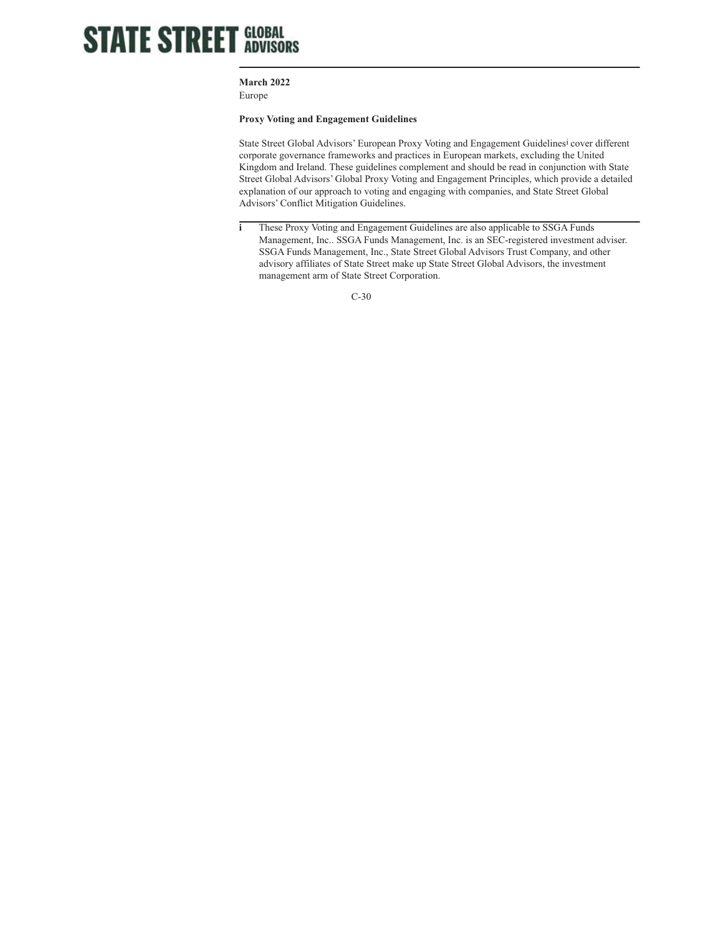**March 2022** Europe

### **Proxy Voting and Engagement Guidelines**

State Street Global Advisors' European Proxy Voting and Engagement Guidelinesi cover different corporate governance frameworks and practices in European markets, excluding the United Kingdom and Ireland. These guidelines complement and should be read in conjunction with State Street Global Advisors' Global Proxy Voting and Engagement Principles, which provide a detailed explanation of our approach to voting and engaging with companies, and State Street Global Advisors' Conflict Mitigation Guidelines.

**i These Proxy Voting and Engagement Guidelines are also applicable to SSGA Funds** Management, Inc.. SSGA Funds Management, Inc. is an SEC-registered investment adviser. SSGA Funds Management, Inc., State Street Global Advisors Trust Company, and other advisory affiliates of State Street make up State Street Global Advisors, the investment management arm of State Street Corporation.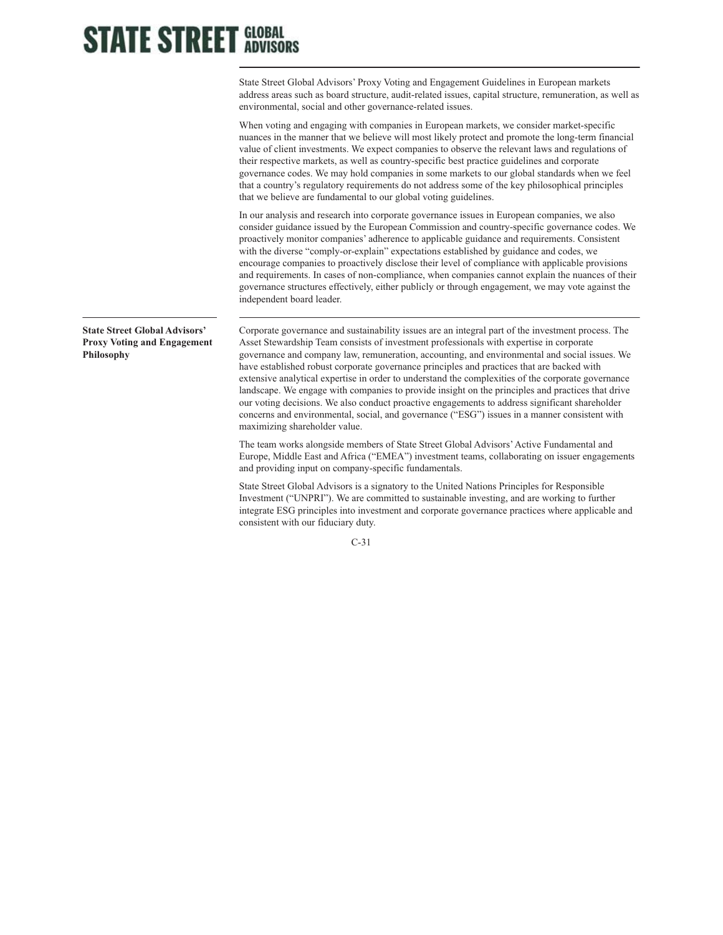State Street Global Advisors' Proxy Voting and Engagement Guidelines in European markets address areas such as board structure, audit-related issues, capital structure, remuneration, as well as environmental, social and other governance-related issues.

When voting and engaging with companies in European markets, we consider market-specific nuances in the manner that we believe will most likely protect and promote the long-term financial value of client investments. We expect companies to observe the relevant laws and regulations of their respective markets, as well as country-specific best practice guidelines and corporate governance codes. We may hold companies in some markets to our global standards when we feel that a country's regulatory requirements do not address some of the key philosophical principles that we believe are fundamental to our global voting guidelines.

In our analysis and research into corporate governance issues in European companies, we also consider guidance issued by the European Commission and country-specific governance codes. We proactively monitor companies' adherence to applicable guidance and requirements. Consistent with the diverse "comply-or-explain" expectations established by guidance and codes, we encourage companies to proactively disclose their level of compliance with applicable provisions and requirements. In cases of non-compliance, when companies cannot explain the nuances of their governance structures effectively, either publicly or through engagement, we may vote against the independent board leader.

**State Street Global Advisors' Proxy Voting and Engagement Philosophy**

Corporate governance and sustainability issues are an integral part of the investment process. The Asset Stewardship Team consists of investment professionals with expertise in corporate governance and company law, remuneration, accounting, and environmental and social issues. We have established robust corporate governance principles and practices that are backed with extensive analytical expertise in order to understand the complexities of the corporate governance landscape. We engage with companies to provide insight on the principles and practices that drive our voting decisions. We also conduct proactive engagements to address significant shareholder concerns and environmental, social, and governance ("ESG") issues in a manner consistent with maximizing shareholder value.

The team works alongside members of State Street Global Advisors' Active Fundamental and Europe, Middle East and Africa ("EMEA") investment teams, collaborating on issuer engagements and providing input on company-specific fundamentals.

State Street Global Advisors is a signatory to the United Nations Principles for Responsible Investment ("UNPRI"). We are committed to sustainable investing, and are working to further integrate ESG principles into investment and corporate governance practices where applicable and consistent with our fiduciary duty.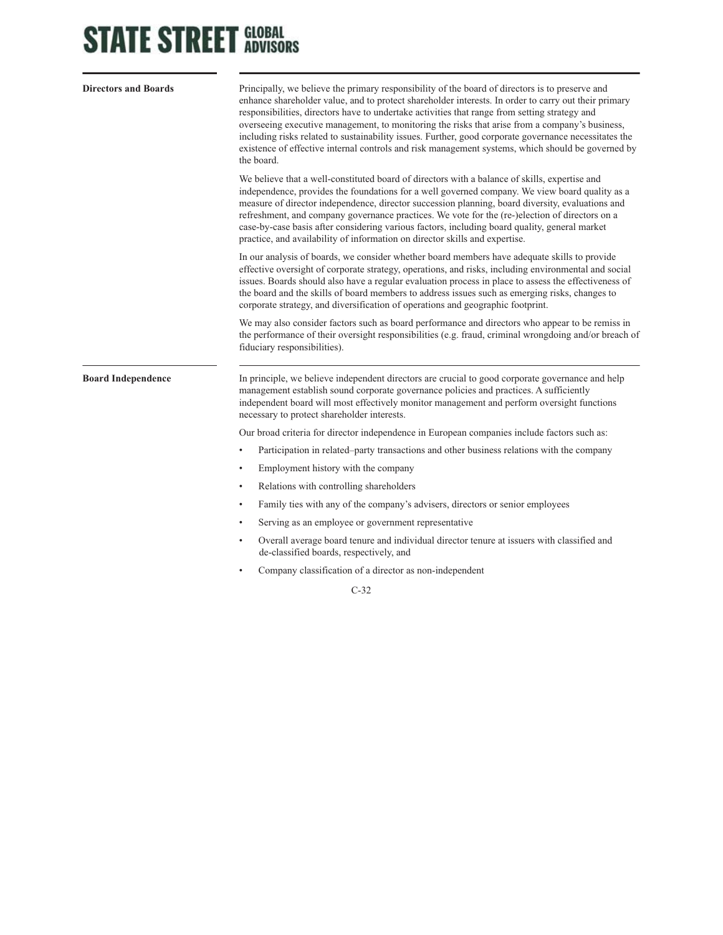# **STATE STREET SLOBAL STATE**

| <b>Directors and Boards</b> | Principally, we believe the primary responsibility of the board of directors is to preserve and<br>enhance shareholder value, and to protect shareholder interests. In order to carry out their primary<br>responsibilities, directors have to undertake activities that range from setting strategy and<br>overseeing executive management, to monitoring the risks that arise from a company's business,<br>including risks related to sustainability issues. Further, good corporate governance necessitates the<br>existence of effective internal controls and risk management systems, which should be governed by<br>the board. |
|-----------------------------|----------------------------------------------------------------------------------------------------------------------------------------------------------------------------------------------------------------------------------------------------------------------------------------------------------------------------------------------------------------------------------------------------------------------------------------------------------------------------------------------------------------------------------------------------------------------------------------------------------------------------------------|
|                             | We believe that a well-constituted board of directors with a balance of skills, expertise and<br>independence, provides the foundations for a well governed company. We view board quality as a<br>measure of director independence, director succession planning, board diversity, evaluations and<br>refreshment, and company governance practices. We vote for the (re-)election of directors on a<br>case-by-case basis after considering various factors, including board quality, general market<br>practice, and availability of information on director skills and expertise.                                                  |
|                             | In our analysis of boards, we consider whether board members have adequate skills to provide<br>effective oversight of corporate strategy, operations, and risks, including environmental and social<br>issues. Boards should also have a regular evaluation process in place to assess the effectiveness of<br>the board and the skills of board members to address issues such as emerging risks, changes to<br>corporate strategy, and diversification of operations and geographic footprint.                                                                                                                                      |
|                             | We may also consider factors such as board performance and directors who appear to be remiss in<br>the performance of their oversight responsibilities (e.g. fraud, criminal wrongdoing and/or breach of<br>fiduciary responsibilities).                                                                                                                                                                                                                                                                                                                                                                                               |
| <b>Board Independence</b>   | In principle, we believe independent directors are crucial to good corporate governance and help<br>management establish sound corporate governance policies and practices. A sufficiently<br>independent board will most effectively monitor management and perform oversight functions<br>necessary to protect shareholder interests.                                                                                                                                                                                                                                                                                                |
|                             | Our broad criteria for director independence in European companies include factors such as:                                                                                                                                                                                                                                                                                                                                                                                                                                                                                                                                            |
|                             | Participation in related–party transactions and other business relations with the company                                                                                                                                                                                                                                                                                                                                                                                                                                                                                                                                              |
|                             | Employment history with the company<br>$\bullet$                                                                                                                                                                                                                                                                                                                                                                                                                                                                                                                                                                                       |
|                             | Relations with controlling shareholders<br>$\bullet$                                                                                                                                                                                                                                                                                                                                                                                                                                                                                                                                                                                   |
|                             | Family ties with any of the company's advisers, directors or senior employees<br>$\bullet$                                                                                                                                                                                                                                                                                                                                                                                                                                                                                                                                             |
|                             | Serving as an employee or government representative                                                                                                                                                                                                                                                                                                                                                                                                                                                                                                                                                                                    |
|                             | Overall average board tenure and individual director tenure at issuers with classified and<br>de-classified boards, respectively, and                                                                                                                                                                                                                                                                                                                                                                                                                                                                                                  |
|                             | Company classification of a director as non-independent                                                                                                                                                                                                                                                                                                                                                                                                                                                                                                                                                                                |
|                             | $C-32$                                                                                                                                                                                                                                                                                                                                                                                                                                                                                                                                                                                                                                 |
|                             |                                                                                                                                                                                                                                                                                                                                                                                                                                                                                                                                                                                                                                        |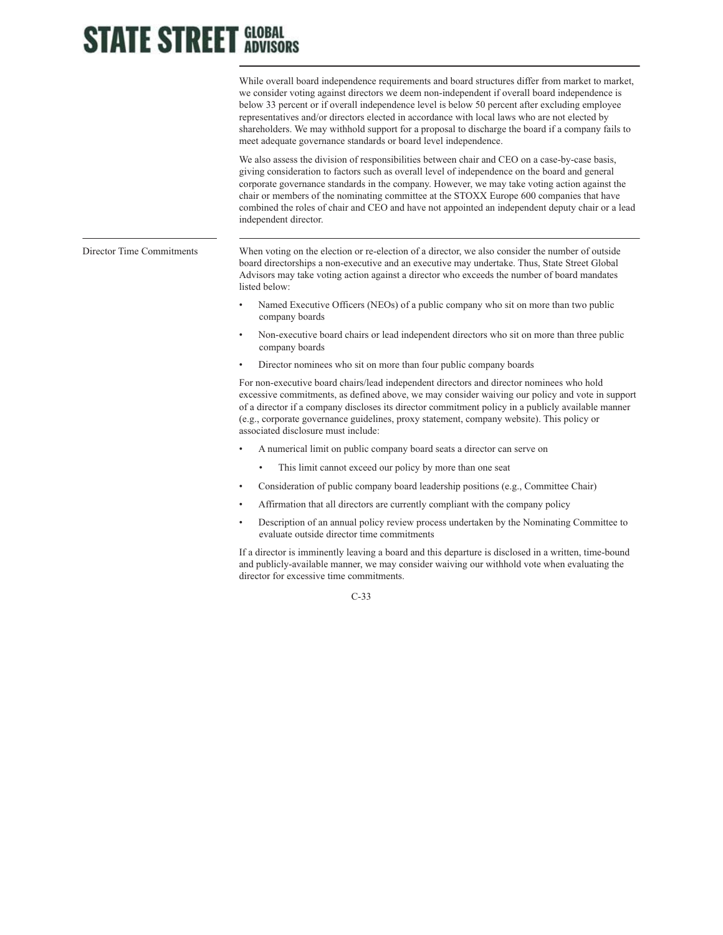# **STATE STREET GLOBAL STATE**

|                           | While overall board independence requirements and board structures differ from market to market,<br>we consider voting against directors we deem non-independent if overall board independence is<br>below 33 percent or if overall independence level is below 50 percent after excluding employee<br>representatives and/or directors elected in accordance with local laws who are not elected by<br>shareholders. We may withhold support for a proposal to discharge the board if a company fails to<br>meet adequate governance standards or board level independence. |
|---------------------------|------------------------------------------------------------------------------------------------------------------------------------------------------------------------------------------------------------------------------------------------------------------------------------------------------------------------------------------------------------------------------------------------------------------------------------------------------------------------------------------------------------------------------------------------------------------------------|
|                           | We also assess the division of responsibilities between chair and CEO on a case-by-case basis,<br>giving consideration to factors such as overall level of independence on the board and general<br>corporate governance standards in the company. However, we may take voting action against the<br>chair or members of the nominating committee at the STOXX Europe 600 companies that have<br>combined the roles of chair and CEO and have not appointed an independent deputy chair or a lead<br>independent director.                                                   |
| Director Time Commitments | When voting on the election or re-election of a director, we also consider the number of outside<br>board directorships a non-executive and an executive may undertake. Thus, State Street Global<br>Advisors may take voting action against a director who exceeds the number of board mandates<br>listed below:                                                                                                                                                                                                                                                            |
|                           | Named Executive Officers (NEOs) of a public company who sit on more than two public<br>$\bullet$<br>company boards                                                                                                                                                                                                                                                                                                                                                                                                                                                           |
|                           | Non-executive board chairs or lead independent directors who sit on more than three public<br>$\bullet$<br>company boards                                                                                                                                                                                                                                                                                                                                                                                                                                                    |
|                           | Director nominees who sit on more than four public company boards<br>$\bullet$                                                                                                                                                                                                                                                                                                                                                                                                                                                                                               |
|                           | For non-executive board chairs/lead independent directors and director nominees who hold<br>excessive commitments, as defined above, we may consider waiving our policy and vote in support<br>of a director if a company discloses its director commitment policy in a publicly available manner<br>(e.g., corporate governance guidelines, proxy statement, company website). This policy or<br>associated disclosure must include:                                                                                                                                        |
|                           | A numerical limit on public company board seats a director can serve on                                                                                                                                                                                                                                                                                                                                                                                                                                                                                                      |
|                           | This limit cannot exceed our policy by more than one seat                                                                                                                                                                                                                                                                                                                                                                                                                                                                                                                    |
|                           | Consideration of public company board leadership positions (e.g., Committee Chair)<br>$\bullet$                                                                                                                                                                                                                                                                                                                                                                                                                                                                              |
|                           | Affirmation that all directors are currently compliant with the company policy<br>$\bullet$                                                                                                                                                                                                                                                                                                                                                                                                                                                                                  |
|                           | Description of an annual policy review process undertaken by the Nominating Committee to<br>$\bullet$<br>evaluate outside director time commitments                                                                                                                                                                                                                                                                                                                                                                                                                          |
|                           | If a director is imminently leaving a board and this departure is disclosed in a written, time-bound<br>and publicly-available manner, we may consider waiving our withhold vote when evaluating the<br>director for excessive time commitments.                                                                                                                                                                                                                                                                                                                             |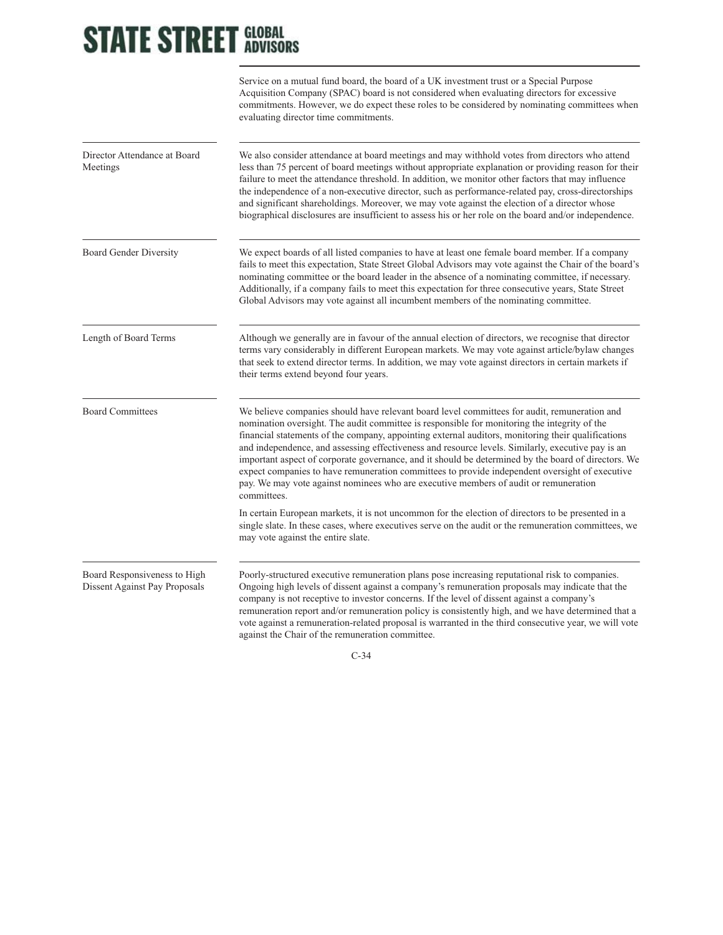Service on a mutual fund board, the board of a UK investment trust or a Special Purpose Acquisition Company (SPAC) board is not considered when evaluating directors for excessive commitments. However, we do expect these roles to be considered by nominating committees when evaluating director time commitments. Director Attendance at Board Meetings We also consider attendance at board meetings and may withhold votes from directors who attend less than 75 percent of board meetings without appropriate explanation or providing reason for their failure to meet the attendance threshold. In addition, we monitor other factors that may influence the independence of a non-executive director, such as performance-related pay, cross-directorships and significant shareholdings. Moreover, we may vote against the election of a director whose biographical disclosures are insufficient to assess his or her role on the board and/or independence. Board Gender Diversity We expect boards of all listed companies to have at least one female board member. If a company fails to meet this expectation, State Street Global Advisors may vote against the Chair of the board's nominating committee or the board leader in the absence of a nominating committee, if necessary. Additionally, if a company fails to meet this expectation for three consecutive years, State Street Global Advisors may vote against all incumbent members of the nominating committee. Length of Board Terms Although we generally are in favour of the annual election of directors, we recognise that director terms vary considerably in different European markets. We may vote against article/bylaw changes that seek to extend director terms. In addition, we may vote against directors in certain markets if their terms extend beyond four years. Board Committees We believe companies should have relevant board level committees for audit, remuneration and nomination oversight. The audit committee is responsible for monitoring the integrity of the financial statements of the company, appointing external auditors, monitoring their qualifications and independence, and assessing effectiveness and resource levels. Similarly, executive pay is an important aspect of corporate governance, and it should be determined by the board of directors. We expect companies to have remuneration committees to provide independent oversight of executive pay. We may vote against nominees who are executive members of audit or remuneration committees. In certain European markets, it is not uncommon for the election of directors to be presented in a single slate. In these cases, where executives serve on the audit or the remuneration committees, we may vote against the entire slate. Board Responsiveness to High Dissent Against Pay Proposals Poorly-structured executive remuneration plans pose increasing reputational risk to companies. Ongoing high levels of dissent against a company's remuneration proposals may indicate that the company is not receptive to investor concerns. If the level of dissent against a company's remuneration report and/or remuneration policy is consistently high, and we have determined that a vote against a remuneration-related proposal is warranted in the third consecutive year, we will vote

C-34

against the Chair of the remuneration committee.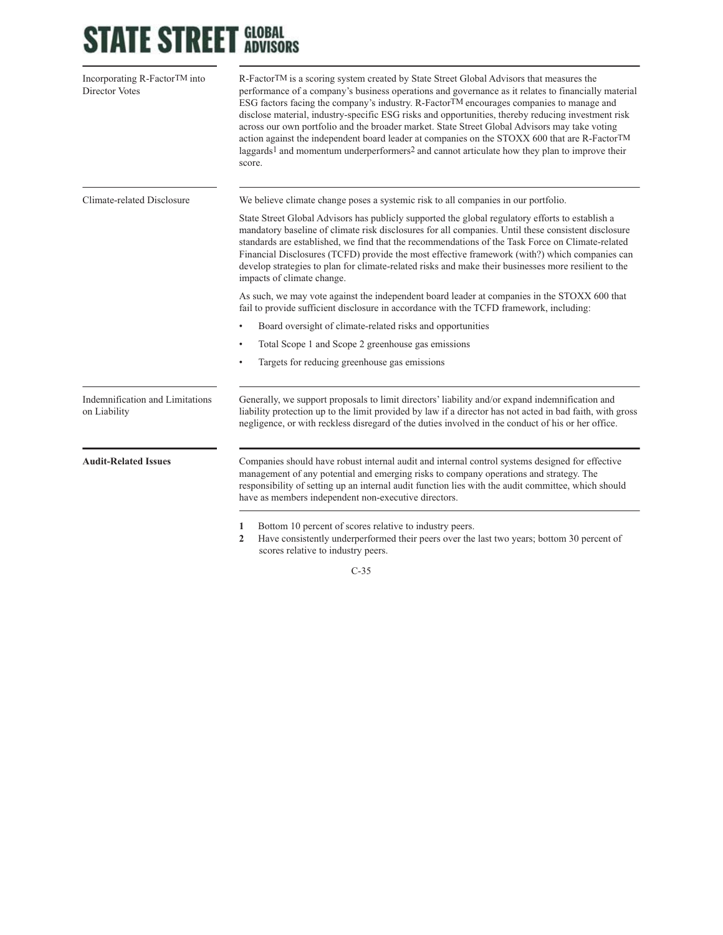# **STATE STREET GLOBAL STATE**

| Incorporating R-Factor <sup>TM</sup> into<br><b>Director Votes</b> | R-Factor <sup>TM</sup> is a scoring system created by State Street Global Advisors that measures the<br>performance of a company's business operations and governance as it relates to financially material<br>ESG factors facing the company's industry. R-Factor <sup>TM</sup> encourages companies to manage and<br>disclose material, industry-specific ESG risks and opportunities, thereby reducing investment risk<br>across our own portfolio and the broader market. State Street Global Advisors may take voting<br>action against the independent board leader at companies on the STOXX 600 that are R-FactorTM<br>laggards <sup>1</sup> and momentum underperformers <sup>2</sup> and cannot articulate how they plan to improve their<br>score. |
|--------------------------------------------------------------------|---------------------------------------------------------------------------------------------------------------------------------------------------------------------------------------------------------------------------------------------------------------------------------------------------------------------------------------------------------------------------------------------------------------------------------------------------------------------------------------------------------------------------------------------------------------------------------------------------------------------------------------------------------------------------------------------------------------------------------------------------------------|
| Climate-related Disclosure                                         | We believe climate change poses a systemic risk to all companies in our portfolio.                                                                                                                                                                                                                                                                                                                                                                                                                                                                                                                                                                                                                                                                            |
|                                                                    | State Street Global Advisors has publicly supported the global regulatory efforts to establish a<br>mandatory baseline of climate risk disclosures for all companies. Until these consistent disclosure<br>standards are established, we find that the recommendations of the Task Force on Climate-related<br>Financial Disclosures (TCFD) provide the most effective framework (with?) which companies can<br>develop strategies to plan for climate-related risks and make their businesses more resilient to the<br>impacts of climate change.                                                                                                                                                                                                            |
|                                                                    | As such, we may vote against the independent board leader at companies in the STOXX 600 that<br>fail to provide sufficient disclosure in accordance with the TCFD framework, including:                                                                                                                                                                                                                                                                                                                                                                                                                                                                                                                                                                       |
|                                                                    | Board oversight of climate-related risks and opportunities                                                                                                                                                                                                                                                                                                                                                                                                                                                                                                                                                                                                                                                                                                    |
|                                                                    | Total Scope 1 and Scope 2 greenhouse gas emissions                                                                                                                                                                                                                                                                                                                                                                                                                                                                                                                                                                                                                                                                                                            |
|                                                                    | Targets for reducing greenhouse gas emissions                                                                                                                                                                                                                                                                                                                                                                                                                                                                                                                                                                                                                                                                                                                 |
| Indemnification and Limitations<br>on Liability                    | Generally, we support proposals to limit directors' liability and/or expand indemnification and<br>liability protection up to the limit provided by law if a director has not acted in bad faith, with gross<br>negligence, or with reckless disregard of the duties involved in the conduct of his or her office.                                                                                                                                                                                                                                                                                                                                                                                                                                            |
| <b>Audit-Related Issues</b>                                        | Companies should have robust internal audit and internal control systems designed for effective<br>management of any potential and emerging risks to company operations and strategy. The<br>responsibility of setting up an internal audit function lies with the audit committee, which should<br>have as members independent non-executive directors.                                                                                                                                                                                                                                                                                                                                                                                                      |
|                                                                    | Bottom 10 percent of scores relative to industry peers.<br>1<br>$\overline{2}$<br>Have consistently underperformed their peers over the last two years; bottom 30 percent of<br>scores relative to industry peers.                                                                                                                                                                                                                                                                                                                                                                                                                                                                                                                                            |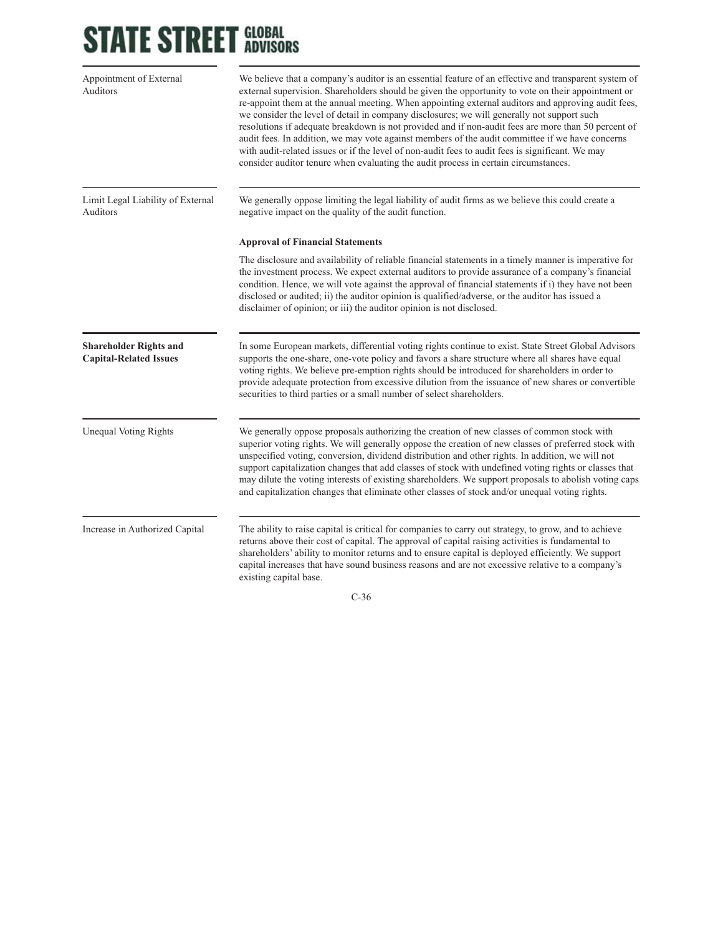# **STATE STREET GLOBAL STATE**

| Appointment of External<br>Auditors                            | We believe that a company's auditor is an essential feature of an effective and transparent system of<br>external supervision. Shareholders should be given the opportunity to vote on their appointment or<br>re-appoint them at the annual meeting. When appointing external auditors and approving audit fees,<br>we consider the level of detail in company disclosures; we will generally not support such<br>resolutions if adequate breakdown is not provided and if non-audit fees are more than 50 percent of<br>audit fees. In addition, we may vote against members of the audit committee if we have concerns<br>with audit-related issues or if the level of non-audit fees to audit fees is significant. We may<br>consider auditor tenure when evaluating the audit process in certain circumstances. |
|----------------------------------------------------------------|----------------------------------------------------------------------------------------------------------------------------------------------------------------------------------------------------------------------------------------------------------------------------------------------------------------------------------------------------------------------------------------------------------------------------------------------------------------------------------------------------------------------------------------------------------------------------------------------------------------------------------------------------------------------------------------------------------------------------------------------------------------------------------------------------------------------|
| Limit Legal Liability of External<br>Auditors                  | We generally oppose limiting the legal liability of audit firms as we believe this could create a<br>negative impact on the quality of the audit function.                                                                                                                                                                                                                                                                                                                                                                                                                                                                                                                                                                                                                                                           |
|                                                                | <b>Approval of Financial Statements</b>                                                                                                                                                                                                                                                                                                                                                                                                                                                                                                                                                                                                                                                                                                                                                                              |
|                                                                | The disclosure and availability of reliable financial statements in a timely manner is imperative for<br>the investment process. We expect external auditors to provide assurance of a company's financial<br>condition. Hence, we will vote against the approval of financial statements if i) they have not been<br>disclosed or audited; ii) the auditor opinion is qualified/adverse, or the auditor has issued a<br>disclaimer of opinion; or iii) the auditor opinion is not disclosed.                                                                                                                                                                                                                                                                                                                        |
| <b>Shareholder Rights and</b><br><b>Capital-Related Issues</b> | In some European markets, differential voting rights continue to exist. State Street Global Advisors<br>supports the one-share, one-vote policy and favors a share structure where all shares have equal<br>voting rights. We believe pre-emption rights should be introduced for shareholders in order to<br>provide adequate protection from excessive dilution from the issuance of new shares or convertible<br>securities to third parties or a small number of select shareholders.                                                                                                                                                                                                                                                                                                                            |
| <b>Unequal Voting Rights</b>                                   | We generally oppose proposals authorizing the creation of new classes of common stock with<br>superior voting rights. We will generally oppose the creation of new classes of preferred stock with<br>unspecified voting, conversion, dividend distribution and other rights. In addition, we will not<br>support capitalization changes that add classes of stock with undefined voting rights or classes that<br>may dilute the voting interests of existing shareholders. We support proposals to abolish voting caps<br>and capitalization changes that eliminate other classes of stock and/or unequal voting rights.                                                                                                                                                                                           |
| Increase in Authorized Capital                                 | The ability to raise capital is critical for companies to carry out strategy, to grow, and to achieve<br>returns above their cost of capital. The approval of capital raising activities is fundamental to<br>shareholders' ability to monitor returns and to ensure capital is deployed efficiently. We support<br>capital increases that have sound business reasons and are not excessive relative to a company's<br>existing capital base.                                                                                                                                                                                                                                                                                                                                                                       |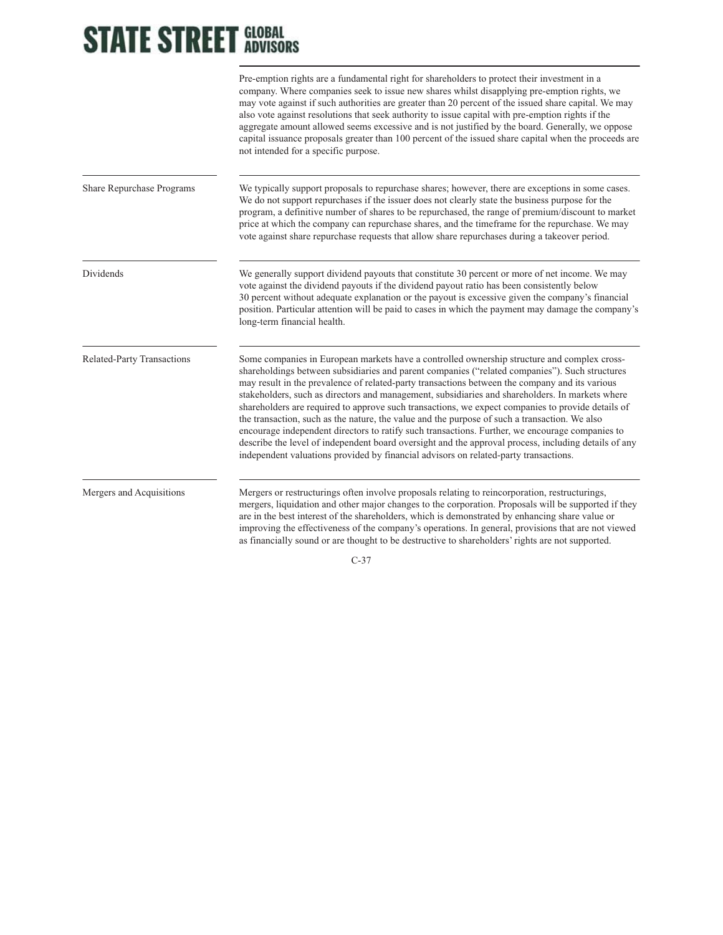# **STATE STREET SLOBAL STATE**

|                                   | Pre-emption rights are a fundamental right for shareholders to protect their investment in a<br>company. Where companies seek to issue new shares whilst disapplying pre-emption rights, we<br>may vote against if such authorities are greater than 20 percent of the issued share capital. We may<br>also vote against resolutions that seek authority to issue capital with pre-emption rights if the<br>aggregate amount allowed seems excessive and is not justified by the board. Generally, we oppose<br>capital issuance proposals greater than 100 percent of the issued share capital when the proceeds are<br>not intended for a specific purpose.                                                                                                                                                                                                                                               |
|-----------------------------------|-------------------------------------------------------------------------------------------------------------------------------------------------------------------------------------------------------------------------------------------------------------------------------------------------------------------------------------------------------------------------------------------------------------------------------------------------------------------------------------------------------------------------------------------------------------------------------------------------------------------------------------------------------------------------------------------------------------------------------------------------------------------------------------------------------------------------------------------------------------------------------------------------------------|
| Share Repurchase Programs         | We typically support proposals to repurchase shares; however, there are exceptions in some cases.<br>We do not support repurchases if the issuer does not clearly state the business purpose for the<br>program, a definitive number of shares to be repurchased, the range of premium/discount to market<br>price at which the company can repurchase shares, and the timeframe for the repurchase. We may<br>vote against share repurchase requests that allow share repurchases during a takeover period.                                                                                                                                                                                                                                                                                                                                                                                                |
| Dividends                         | We generally support dividend payouts that constitute 30 percent or more of net income. We may<br>vote against the dividend payouts if the dividend payout ratio has been consistently below<br>30 percent without adequate explanation or the payout is excessive given the company's financial<br>position. Particular attention will be paid to cases in which the payment may damage the company's<br>long-term financial health.                                                                                                                                                                                                                                                                                                                                                                                                                                                                       |
| <b>Related-Party Transactions</b> | Some companies in European markets have a controlled ownership structure and complex cross-<br>shareholdings between subsidiaries and parent companies ("related companies"). Such structures<br>may result in the prevalence of related-party transactions between the company and its various<br>stakeholders, such as directors and management, subsidiaries and shareholders. In markets where<br>shareholders are required to approve such transactions, we expect companies to provide details of<br>the transaction, such as the nature, the value and the purpose of such a transaction. We also<br>encourage independent directors to ratify such transactions. Further, we encourage companies to<br>describe the level of independent board oversight and the approval process, including details of any<br>independent valuations provided by financial advisors on related-party transactions. |
| Mergers and Acquisitions          | Mergers or restructurings often involve proposals relating to reincorporation, restructurings,<br>mergers, liquidation and other major changes to the corporation. Proposals will be supported if they<br>are in the best interest of the shareholders, which is demonstrated by enhancing share value or<br>improving the effectiveness of the company's operations. In general, provisions that are not viewed<br>as financially sound or are thought to be destructive to shareholders' rights are not supported.                                                                                                                                                                                                                                                                                                                                                                                        |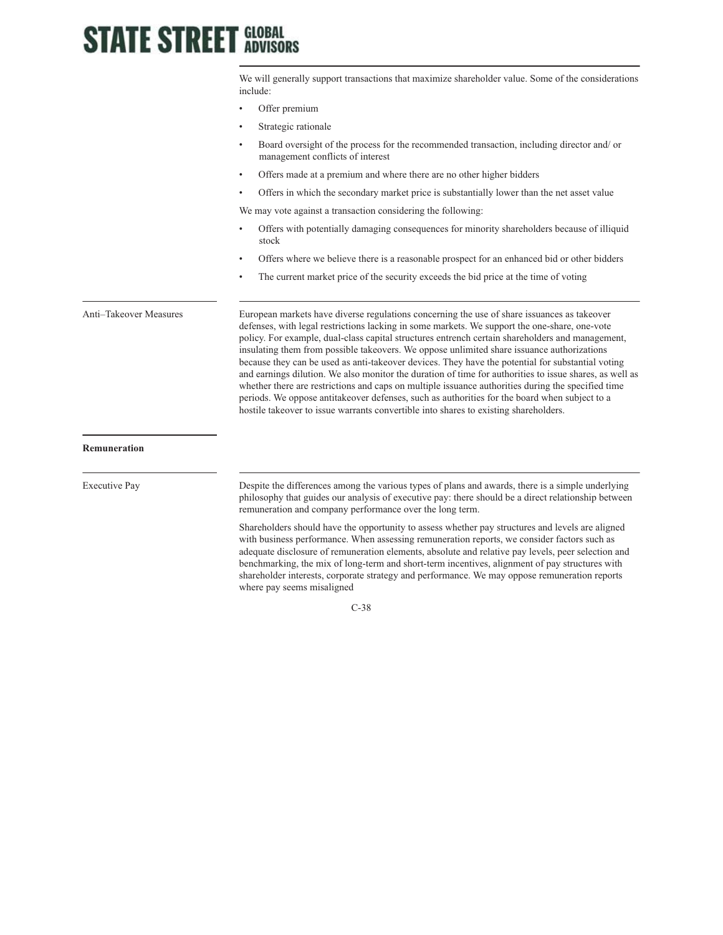We will generally support transactions that maximize shareholder value. Some of the considerations include:

- Offer premium
- Strategic rationale
- Board oversight of the process for the recommended transaction, including director and/ or management conflicts of interest
- Offers made at a premium and where there are no other higher bidders
- Offers in which the secondary market price is substantially lower than the net asset value

We may vote against a transaction considering the following:

- Offers with potentially damaging consequences for minority shareholders because of illiquid stock
- Offers where we believe there is a reasonable prospect for an enhanced bid or other bidders
- The current market price of the security exceeds the bid price at the time of voting

Anti–Takeover Measures

European markets have diverse regulations concerning the use of share issuances as takeover defenses, with legal restrictions lacking in some markets. We support the one-share, one-vote policy. For example, dual-class capital structures entrench certain shareholders and management, insulating them from possible takeovers. We oppose unlimited share issuance authorizations because they can be used as anti-takeover devices. They have the potential for substantial voting and earnings dilution. We also monitor the duration of time for authorities to issue shares, as well as whether there are restrictions and caps on multiple issuance authorities during the specified time periods. We oppose antitakeover defenses, such as authorities for the board when subject to a hostile takeover to issue warrants convertible into shares to existing shareholders.

### **Remuneration**

### Executive Pay

Despite the differences among the various types of plans and awards, there is a simple underlying philosophy that guides our analysis of executive pay: there should be a direct relationship between remuneration and company performance over the long term.

Shareholders should have the opportunity to assess whether pay structures and levels are aligned with business performance. When assessing remuneration reports, we consider factors such as adequate disclosure of remuneration elements, absolute and relative pay levels, peer selection and benchmarking, the mix of long-term and short-term incentives, alignment of pay structures with shareholder interests, corporate strategy and performance. We may oppose remuneration reports where pay seems misaligned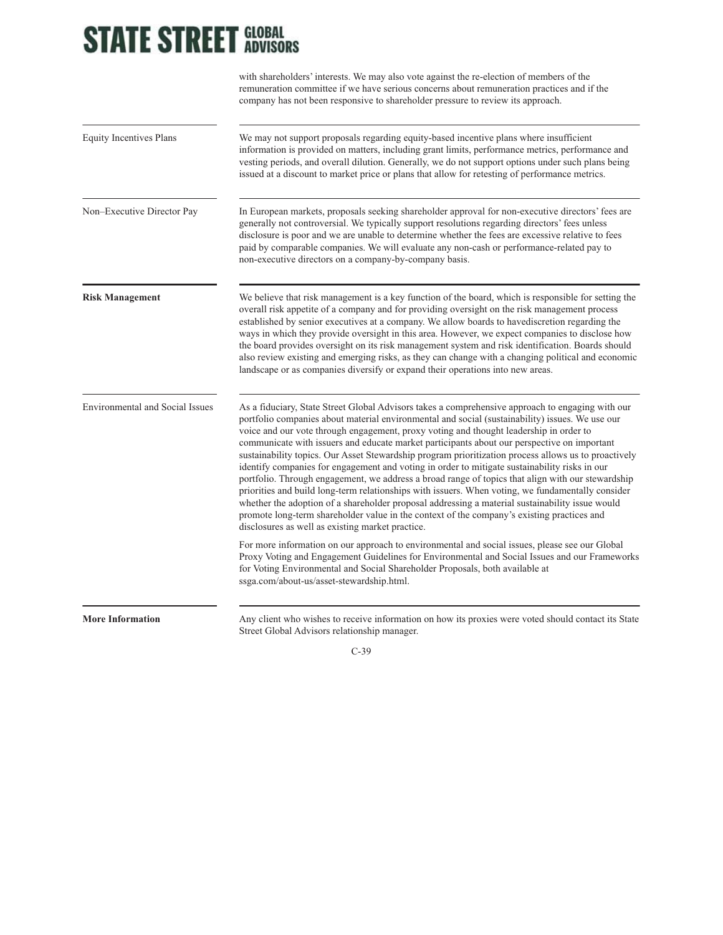with shareholders' interests. We may also vote against the re-election of members of the remuneration committee if we have serious concerns about remuneration practices and if the company has not been responsive to shareholder pressure to review its approach. Equity Incentives Plans We may not support proposals regarding equity-based incentive plans where insufficient information is provided on matters, including grant limits, performance metrics, performance and vesting periods, and overall dilution. Generally, we do not support options under such plans being issued at a discount to market price or plans that allow for retesting of performance metrics. Non–Executive Director Pay In European markets, proposals seeking shareholder approval for non-executive directors' fees are generally not controversial. We typically support resolutions regarding directors' fees unless disclosure is poor and we are unable to determine whether the fees are excessive relative to fees paid by comparable companies. We will evaluate any non-cash or performance-related pay to non-executive directors on a company-by-company basis. **Risk Management** We believe that risk management is a key function of the board, which is responsible for setting the overall risk appetite of a company and for providing oversight on the risk management process established by senior executives at a company. We allow boards to havediscretion regarding the ways in which they provide oversight in this area. However, we expect companies to disclose how the board provides oversight on its risk management system and risk identification. Boards should also review existing and emerging risks, as they can change with a changing political and economic landscape or as companies diversify or expand their operations into new areas. Environmental and Social Issues As a fiduciary, State Street Global Advisors takes a comprehensive approach to engaging with our portfolio companies about material environmental and social (sustainability) issues. We use our voice and our vote through engagement, proxy voting and thought leadership in order to communicate with issuers and educate market participants about our perspective on important sustainability topics. Our Asset Stewardship program prioritization process allows us to proactively identify companies for engagement and voting in order to mitigate sustainability risks in our portfolio. Through engagement, we address a broad range of topics that align with our stewardship priorities and build long-term relationships with issuers. When voting, we fundamentally consider whether the adoption of a shareholder proposal addressing a material sustainability issue would promote long-term shareholder value in the context of the company's existing practices and disclosures as well as existing market practice. For more information on our approach to environmental and social issues, please see our Global Proxy Voting and Engagement Guidelines for Environmental and Social Issues and our Frameworks for Voting Environmental and Social Shareholder Proposals, both available at ssga.com/about-us/asset-stewardship.html. **More Information** Any client who wishes to receive information on how its proxies were voted should contact its State

C-39

Street Global Advisors relationship manager.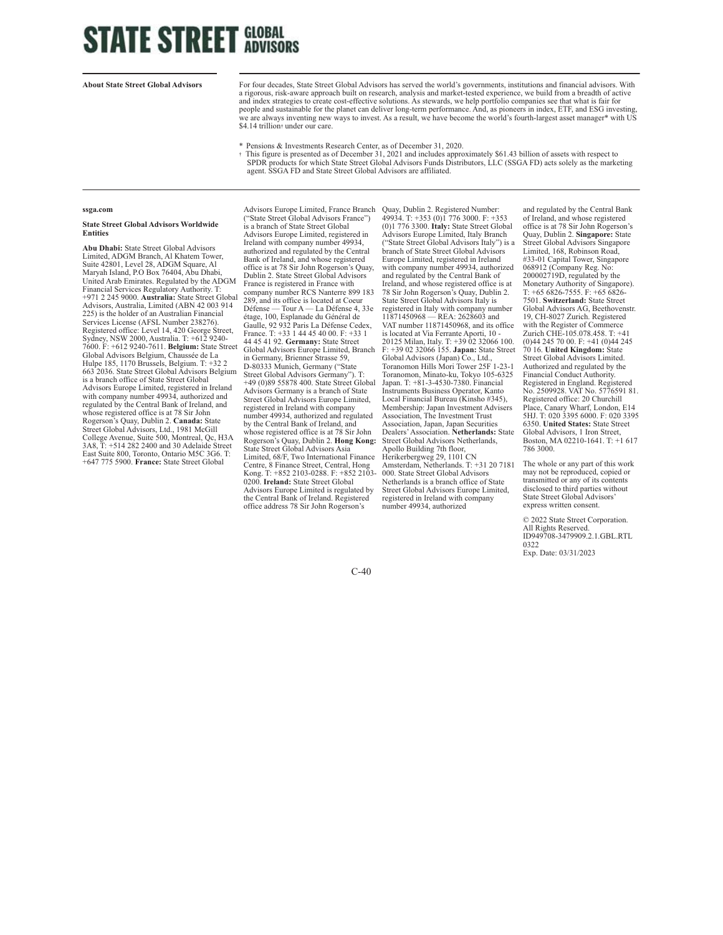**About State Street Global Advisors**

\*  Pensions & Investments Research Center, as of December 31, 2020.

†  This figure is presented as of December 31, 2021 and includes approximately \$61.43 billion of assets with respect to SPDR products for which State Street Global Advisors Funds Distributors, LLC (SSGA FD) acts solely as the marketing agent. SSGA FD and State Street Global Advisors are affiliated.

#### **ssga.com**

#### **State Street Global Advisors Worldwide Entities**

**Abu Dhabi:** State Street Global Advisors Limited, ADGM Branch, Al Khatem Tower, Suite 42801, Level 28, ADGM Square, Al Maryah Island, P.O Box 76404, Abu Dhabi, United Arab Emirates. Regulated by the ADGM Financial Services Regulatory Authority. T: +971 2 245 9000. **Australia:** State Street Global Advisors, Australia, Limited (ABN 42 003 914 225) is the holder of an Australian Financial Services License (AFSL Number 238276). Registered office: Level 14, 420 George Street, Sydney, NSW 2000, Australia. T: +612 9240- 7600. F: +612 9240-7611. **Belgium:** State Street Global Advisors Belgium, Chaussée de La Hulpe 185, 1170 Brussels, Belgium. T: +32 2 663 2036. State Street Global Advisors Belgium is a branch office of State Street Global Advisors Europe Limited, registered in Ireland with company number 49934, authorized and regulated by the Central Bank of Ireland, and whose registered office is at 78 Sir John Rogerson's Quay, Dublin 2. **Canada:** State Street Global Advisors, Ltd., 1981 McGill College Avenue, Suite 500, Montreal, Qc, H3A 3A8, T: +514 282 2400 and 30 Adelaide Street East Suite 800, Toronto, Ontario M5C 3G6. T: +647 775 5900. **France:** State Street Global

Advisors Europe Limited, France Branch ("State Street Global Advisors France") is a branch of State Street Global Advisors Europe Limited, registered in Ireland with company number 49934, authorized and regulated by the Central Bank of Ireland, and whose registered office is at 78 Sir John Rogerson's Quay, Dublin 2. State Street Global Advisors France is registered in France with company number RCS Nanterre 899 183 289, and its office is located at Coeur Défense — Tour A — La Défense 4, 33e étage, 100, Esplanade du Général de Gaulle, 92 932 Paris La Défense Cedex, France. T: +33 1 44 45 40 00. F: +33 1 44 45 41 92. **Germany:** State Street Global Advisors Europe Limited, Branch in Germany, Brienner Strasse 59, D-80333 Munich, Germany ("State Street Global Advisors Germany"). T: +49 (0)89 55878 400. State Street Global Advisors Germany is a branch of State Street Global Advisors Europe Limited, registered in Ireland with company number 49934, authorized and regulated by the Central Bank of Ireland, and whose registered office is at 78 Sir John Rogerson's Quay, Dublin 2. **Hong Kong:** State Street Global Advisors Asia Limited, 68/F, Two International Finance Centre, 8 Finance Street, Central, Hong Kong. T: +852 2103-0288. F: +852 2103- 0200. **Ireland:** State Street Global Advisors Europe Limited is regulated by the Central Bank of Ireland. Registered office address 78 Sir John Rogerson's

Quay, Dublin 2. Registered Number: 49934. T: +353 (0)1 776 3000. F: +353 (0)1 776 3300. **Italy:** State Street Global Advisors Europe Limited, Italy Branch ("State Street Global Advisors Italy") is a branch of State Street Global Advisors Europe Limited, registered in Ireland with company number 49934, authorized and regulated by the Central Bank of Ireland, and whose registered office is at 78 Sir John Rogerson's Quay, Dublin 2. State Street Global Advisors Italy is registered in Italy with company number 11871450968 — REA: 2628603 and VAT number 11871450968, and its office is located at Via Ferrante Aporti, 10 - 20125 Milan, Italy. T: +39 02 32066 100. F: +39 02 32066 155. **Japan:** State Street Global Advisors (Japan) Co., Ltd., Toranomon Hills Mori Tower 25F 1-23-1 Toranomon, Minato-ku, Tokyo 105-6325 Japan. T: +81-3-4530-7380. Financial Instruments Business Operator, Kanto Local Financial Bureau (Kinsho #345), Membership: Japan Investment Advisers Association, The Investment Trust Association, Japan, Japan Securities Dealers' Association. **Netherlands:** State Street Global Advisors Netherlands, Apollo Building 7th floor, Herikerbergweg 29, 1101 CN Amsterdam, Netherlands. T: +31 20 7181 000. State Street Global Advisors Netherlands is a branch office of State Street Global Advisors Europe Limited, registered in Ireland with company number 49934, authorized

and regulated by the Central Bank of Ireland, and whose registered office is at 78 Sir John Rogerson's Quay, Dublin 2. **Singapore:** State Street Global Advisors Singapore Limited, 168, Robinson Road, #33-01 Capital Tower, Singapore 068912 (Company Reg. No: 200002719D, regulated by the Monetary Authority of Singapore). T: +65 6826-7555. F: +65 6826- 7501. **Switzerland:** State Street Global Advisors AG, Beethovenstr. 19, CH-8027 Zurich. Registered with the Register of Commerce Zurich CHE-105.078.458. T: +41 (0)44 245 70 00. F: +41 (0)44 245 70 16. **United Kingdom:** State Street Global Advisors Limited. Authorized and regulated by the Financial Conduct Authority. Registered in England. Registered No. 2509928. VAT No. 5776591 81. Registered office: 20 Churchill Place, Canary Wharf, London, E14 5HJ. T: 020 3395 6000. F: 020 3395 6350. **United States:** State Street Global Advisors, 1 Iron Street, Boston, MA 02210-1641. T: +1 617 786 3000.

The whole or any part of this work may not be reproduced, copied or transmitted or any of its contents disclosed to third parties without State Street Global Advisors' express written consent.

© 2022 State Street Corporation. All Rights Reserved. ID949708-3479909.2.1.GBL.RTL 0322

Exp. Date: 03/31/2023

For four decades, State Street Global Advisors has served the world's governments, institutions and financial advisors. With a rigorous, risk-aware approach built on research, analysis and market-tested experience, we build from a breadth of active and index strategies to create cost-effective solutions. As stewards, we help portfolio companies see that what is fair for<br>people and sustainable for the planet can deliver long-term performance. And, as pioneers in index are always inventing new ways to invest. As a result, we have become the world's fourth-largest asset manager\* with US \$4.14 trillion<sup>†</sup> under our care.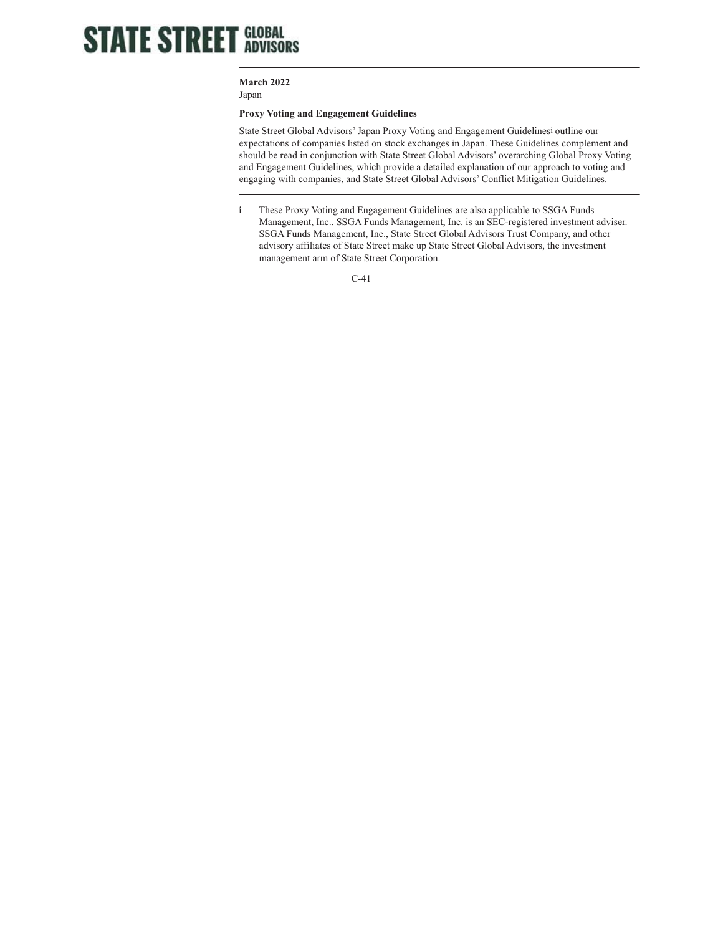**March 2022**

Japan

### **Proxy Voting and Engagement Guidelines**

State Street Global Advisors' Japan Proxy Voting and Engagement Guidelinesi outline our expectations of companies listed on stock exchanges in Japan. These Guidelines complement and should be read in conjunction with State Street Global Advisors' overarching Global Proxy Voting and Engagement Guidelines, which provide a detailed explanation of our approach to voting and engaging with companies, and State Street Global Advisors' Conflict Mitigation Guidelines.

**i**These Proxy Voting and Engagement Guidelines are also applicable to SSGA Funds Management, Inc.. SSGA Funds Management, Inc. is an SEC-registered investment adviser. SSGA Funds Management, Inc., State Street Global Advisors Trust Company, and other advisory affiliates of State Street make up State Street Global Advisors, the investment management arm of State Street Corporation.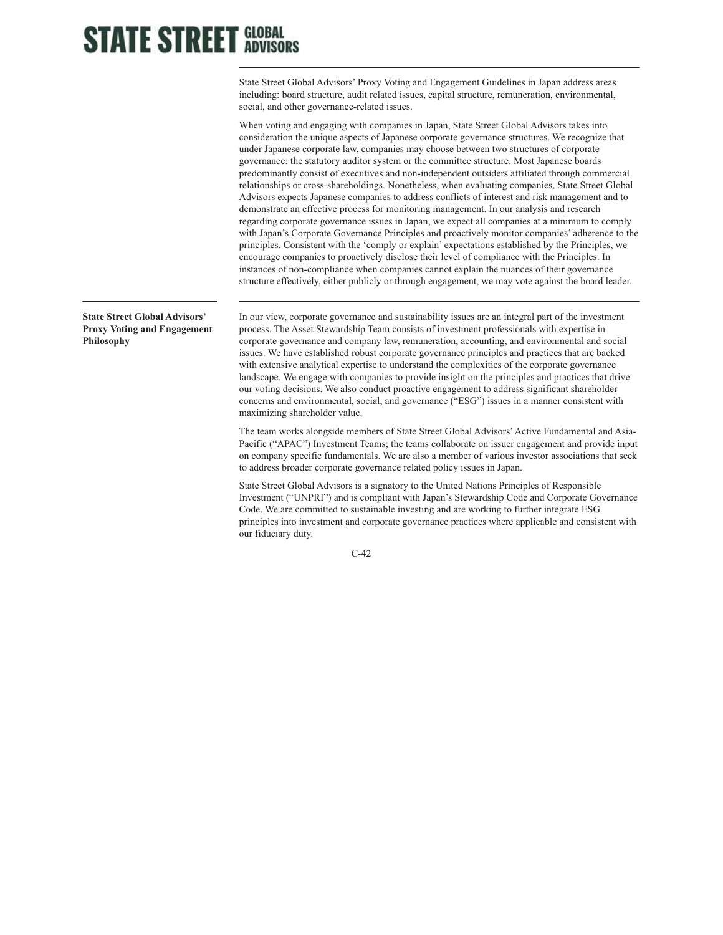State Street Global Advisors' Proxy Voting and Engagement Guidelines in Japan address areas including: board structure, audit related issues, capital structure, remuneration, environmental, social, and other governance-related issues.

When voting and engaging with companies in Japan, State Street Global Advisors takes into consideration the unique aspects of Japanese corporate governance structures. We recognize that under Japanese corporate law, companies may choose between two structures of corporate governance: the statutory auditor system or the committee structure. Most Japanese boards predominantly consist of executives and non-independent outsiders affiliated through commercial relationships or cross-shareholdings. Nonetheless, when evaluating companies, State Street Global Advisors expects Japanese companies to address conflicts of interest and risk management and to demonstrate an effective process for monitoring management. In our analysis and research regarding corporate governance issues in Japan, we expect all companies at a minimum to comply with Japan's Corporate Governance Principles and proactively monitor companies' adherence to the principles. Consistent with the 'comply or explain' expectations established by the Principles, we encourage companies to proactively disclose their level of compliance with the Principles. In instances of non-compliance when companies cannot explain the nuances of their governance structure effectively, either publicly or through engagement, we may vote against the board leader.

**State Street Global Advisors' Proxy Voting and Engagement Philosophy**

In our view, corporate governance and sustainability issues are an integral part of the investment process. The Asset Stewardship Team consists of investment professionals with expertise in corporate governance and company law, remuneration, accounting, and environmental and social issues. We have established robust corporate governance principles and practices that are backed with extensive analytical expertise to understand the complexities of the corporate governance landscape. We engage with companies to provide insight on the principles and practices that drive our voting decisions. We also conduct proactive engagement to address significant shareholder concerns and environmental, social, and governance ("ESG") issues in a manner consistent with maximizing shareholder value.

The team works alongside members of State Street Global Advisors' Active Fundamental and Asia-Pacific ("APAC") Investment Teams; the teams collaborate on issuer engagement and provide input on company specific fundamentals. We are also a member of various investor associations that seek to address broader corporate governance related policy issues in Japan.

State Street Global Advisors is a signatory to the United Nations Principles of Responsible Investment ("UNPRI") and is compliant with Japan's Stewardship Code and Corporate Governance Code. We are committed to sustainable investing and are working to further integrate ESG principles into investment and corporate governance practices where applicable and consistent with our fiduciary duty.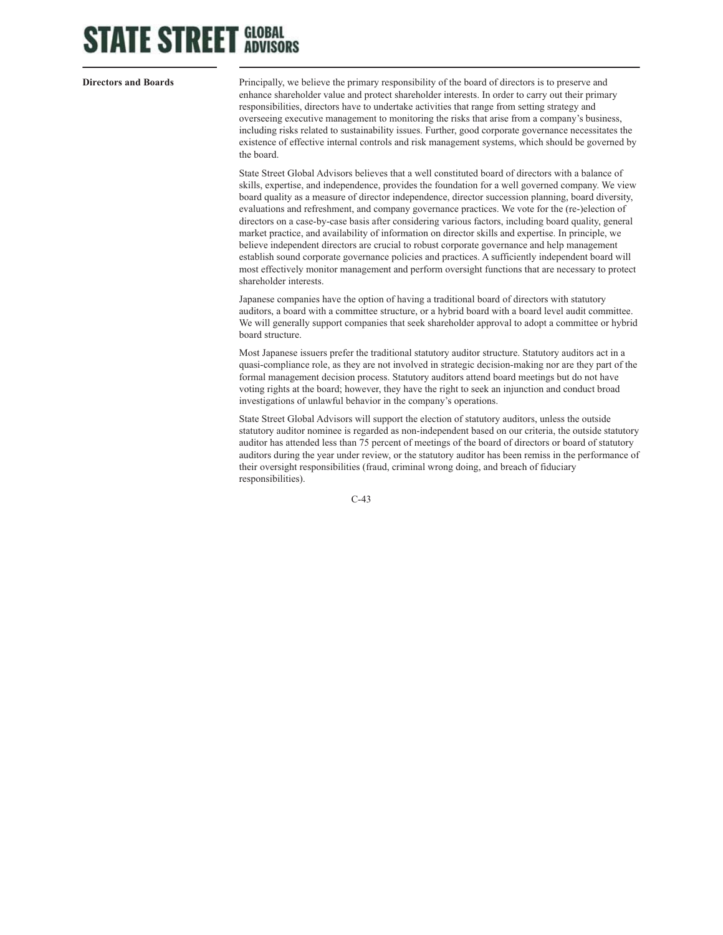#### **Directors and Boards**

Principally, we believe the primary responsibility of the board of directors is to preserve and enhance shareholder value and protect shareholder interests. In order to carry out their primary responsibilities, directors have to undertake activities that range from setting strategy and overseeing executive management to monitoring the risks that arise from a company's business, including risks related to sustainability issues. Further, good corporate governance necessitates the existence of effective internal controls and risk management systems, which should be governed by the board.

State Street Global Advisors believes that a well constituted board of directors with a balance of skills, expertise, and independence, provides the foundation for a well governed company. We view board quality as a measure of director independence, director succession planning, board diversity, evaluations and refreshment, and company governance practices. We vote for the (re-)election of directors on a case-by-case basis after considering various factors, including board quality, general market practice, and availability of information on director skills and expertise. In principle, we believe independent directors are crucial to robust corporate governance and help management establish sound corporate governance policies and practices. A sufficiently independent board will most effectively monitor management and perform oversight functions that are necessary to protect shareholder interests.

Japanese companies have the option of having a traditional board of directors with statutory auditors, a board with a committee structure, or a hybrid board with a board level audit committee. We will generally support companies that seek shareholder approval to adopt a committee or hybrid board structure.

Most Japanese issuers prefer the traditional statutory auditor structure. Statutory auditors act in a quasi-compliance role, as they are not involved in strategic decision-making nor are they part of the formal management decision process. Statutory auditors attend board meetings but do not have voting rights at the board; however, they have the right to seek an injunction and conduct broad investigations of unlawful behavior in the company's operations.

State Street Global Advisors will support the election of statutory auditors, unless the outside statutory auditor nominee is regarded as non-independent based on our criteria, the outside statutory auditor has attended less than 75 percent of meetings of the board of directors or board of statutory auditors during the year under review, or the statutory auditor has been remiss in the performance of their oversight responsibilities (fraud, criminal wrong doing, and breach of fiduciary responsibilities).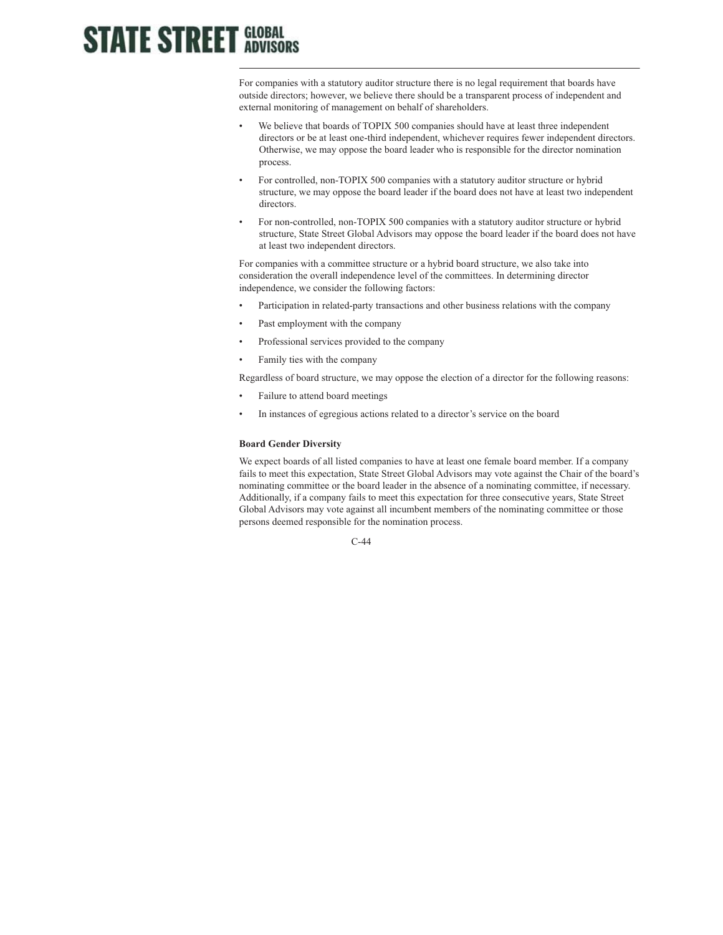For companies with a statutory auditor structure there is no legal requirement that boards have outside directors; however, we believe there should be a transparent process of independent and external monitoring of management on behalf of shareholders.

- We believe that boards of TOPIX 500 companies should have at least three independent directors or be at least one-third independent, whichever requires fewer independent directors. Otherwise, we may oppose the board leader who is responsible for the director nomination process.
- For controlled, non-TOPIX 500 companies with a statutory auditor structure or hybrid structure, we may oppose the board leader if the board does not have at least two independent directors.
- For non-controlled, non-TOPIX 500 companies with a statutory auditor structure or hybrid structure, State Street Global Advisors may oppose the board leader if the board does not have at least two independent directors.

For companies with a committee structure or a hybrid board structure, we also take into consideration the overall independence level of the committees. In determining director independence, we consider the following factors:

- Participation in related-party transactions and other business relations with the company
- Past employment with the company
- Professional services provided to the company
- Family ties with the company

Regardless of board structure, we may oppose the election of a director for the following reasons:

- Failure to attend board meetings
- In instances of egregious actions related to a director's service on the board

### **Board Gender Diversity**

We expect boards of all listed companies to have at least one female board member. If a company fails to meet this expectation, State Street Global Advisors may vote against the Chair of the board's nominating committee or the board leader in the absence of a nominating committee, if necessary. Additionally, if a company fails to meet this expectation for three consecutive years, State Street Global Advisors may vote against all incumbent members of the nominating committee or those persons deemed responsible for the nomination process.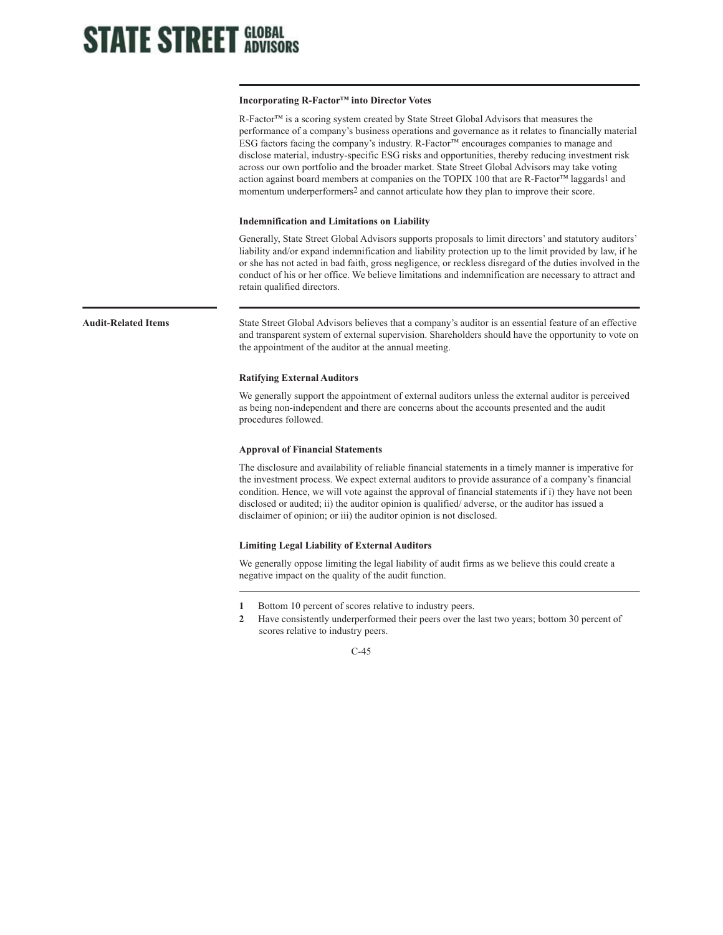### **Incorporating R-Factor™ into Director Votes**

R-Factor™ is a scoring system created by State Street Global Advisors that measures the performance of a company's business operations and governance as it relates to financially material ESG factors facing the company's industry. R-Factor™ encourages companies to manage and disclose material, industry-specific ESG risks and opportunities, thereby reducing investment risk across our own portfolio and the broader market. State Street Global Advisors may take voting action against board members at companies on the TOPIX 100 that are R-Factor™ laggards1 and momentum underperformers2 and cannot articulate how they plan to improve their score.

### **Indemnification and Limitations on Liability**

Generally, State Street Global Advisors supports proposals to limit directors' and statutory auditors' liability and/or expand indemnification and liability protection up to the limit provided by law, if he or she has not acted in bad faith, gross negligence, or reckless disregard of the duties involved in the conduct of his or her office. We believe limitations and indemnification are necessary to attract and retain qualified directors.

### **Audit-Related Items**

State Street Global Advisors believes that a company's auditor is an essential feature of an effective and transparent system of external supervision. Shareholders should have the opportunity to vote on the appointment of the auditor at the annual meeting.

### **Ratifying External Auditors**

We generally support the appointment of external auditors unless the external auditor is perceived as being non-independent and there are concerns about the accounts presented and the audit procedures followed.

#### **Approval of Financial Statements**

The disclosure and availability of reliable financial statements in a timely manner is imperative for the investment process. We expect external auditors to provide assurance of a company's financial condition. Hence, we will vote against the approval of financial statements if i) they have not been disclosed or audited; ii) the auditor opinion is qualified/ adverse, or the auditor has issued a disclaimer of opinion; or iii) the auditor opinion is not disclosed.

### **Limiting Legal Liability of External Auditors**

We generally oppose limiting the legal liability of audit firms as we believe this could create a negative impact on the quality of the audit function.

- **1**Bottom 10 percent of scores relative to industry peers.
- **2**Have consistently underperformed their peers over the last two years; bottom 30 percent of scores relative to industry peers.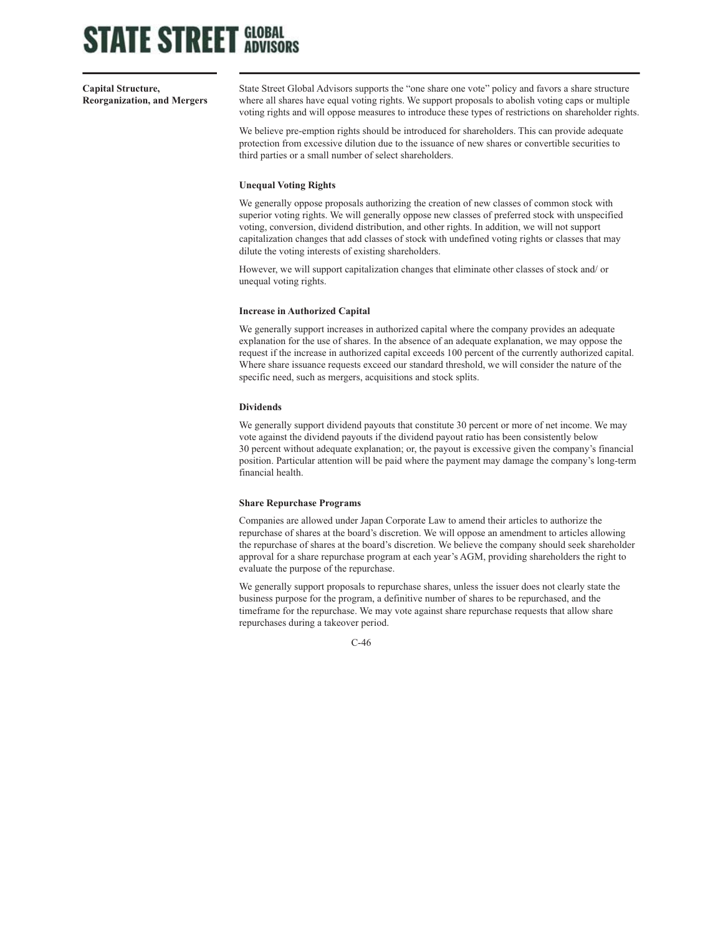| Capital Structure, |                                    |
|--------------------|------------------------------------|
|                    | <b>Reorganization, and Mergers</b> |

State Street Global Advisors supports the "one share one vote" policy and favors a share structure where all shares have equal voting rights. We support proposals to abolish voting caps or multiple voting rights and will oppose measures to introduce these types of restrictions on shareholder rights.

We believe pre-emption rights should be introduced for shareholders. This can provide adequate protection from excessive dilution due to the issuance of new shares or convertible securities to third parties or a small number of select shareholders.

### **Unequal Voting Rights**

We generally oppose proposals authorizing the creation of new classes of common stock with superior voting rights. We will generally oppose new classes of preferred stock with unspecified voting, conversion, dividend distribution, and other rights. In addition, we will not support capitalization changes that add classes of stock with undefined voting rights or classes that may dilute the voting interests of existing shareholders.

However, we will support capitalization changes that eliminate other classes of stock and/ or unequal voting rights.

### **Increase in Authorized Capital**

We generally support increases in authorized capital where the company provides an adequate explanation for the use of shares. In the absence of an adequate explanation, we may oppose the request if the increase in authorized capital exceeds 100 percent of the currently authorized capital. Where share issuance requests exceed our standard threshold, we will consider the nature of the specific need, such as mergers, acquisitions and stock splits.

### **Dividends**

We generally support dividend payouts that constitute 30 percent or more of net income. We may vote against the dividend payouts if the dividend payout ratio has been consistently below 30 percent without adequate explanation; or, the payout is excessive given the company's financial position. Particular attention will be paid where the payment may damage the company's long-term financial health.

### **Share Repurchase Programs**

Companies are allowed under Japan Corporate Law to amend their articles to authorize the repurchase of shares at the board's discretion. We will oppose an amendment to articles allowing the repurchase of shares at the board's discretion. We believe the company should seek shareholder approval for a share repurchase program at each year's AGM, providing shareholders the right to evaluate the purpose of the repurchase.

We generally support proposals to repurchase shares, unless the issuer does not clearly state the business purpose for the program, a definitive number of shares to be repurchased, and the timeframe for the repurchase. We may vote against share repurchase requests that allow share repurchases during a takeover period.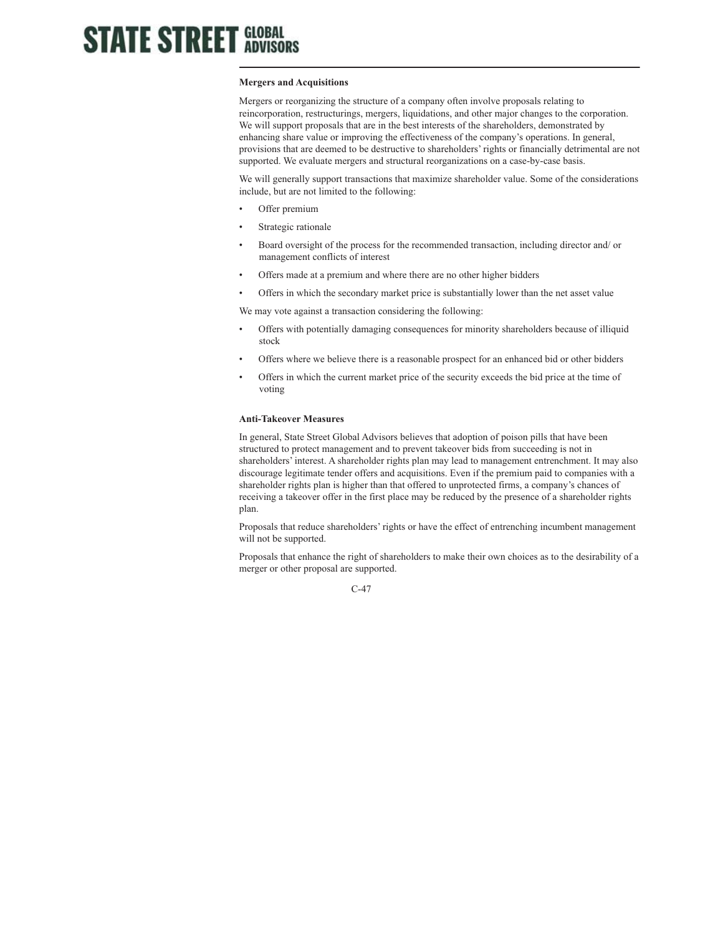### **Mergers and Acquisitions**

Mergers or reorganizing the structure of a company often involve proposals relating to reincorporation, restructurings, mergers, liquidations, and other major changes to the corporation. We will support proposals that are in the best interests of the shareholders, demonstrated by enhancing share value or improving the effectiveness of the company's operations. In general, provisions that are deemed to be destructive to shareholders' rights or financially detrimental are not supported. We evaluate mergers and structural reorganizations on a case-by-case basis.

We will generally support transactions that maximize shareholder value. Some of the considerations include, but are not limited to the following:

- Offer premium
- Strategic rationale
- Board oversight of the process for the recommended transaction, including director and/ or management conflicts of interest
- Offers made at a premium and where there are no other higher bidders
- Offers in which the secondary market price is substantially lower than the net asset value

We may vote against a transaction considering the following:

- Offers with potentially damaging consequences for minority shareholders because of illiquid stock
- Offers where we believe there is a reasonable prospect for an enhanced bid or other bidders
- Offers in which the current market price of the security exceeds the bid price at the time of voting

### **Anti-Takeover Measures**

In general, State Street Global Advisors believes that adoption of poison pills that have been structured to protect management and to prevent takeover bids from succeeding is not in shareholders' interest. A shareholder rights plan may lead to management entrenchment. It may also discourage legitimate tender offers and acquisitions. Even if the premium paid to companies with a shareholder rights plan is higher than that offered to unprotected firms, a company's chances of receiving a takeover offer in the first place may be reduced by the presence of a shareholder rights plan.

Proposals that reduce shareholders' rights or have the effect of entrenching incumbent management will not be supported.

Proposals that enhance the right of shareholders to make their own choices as to the desirability of a merger or other proposal are supported.

C-47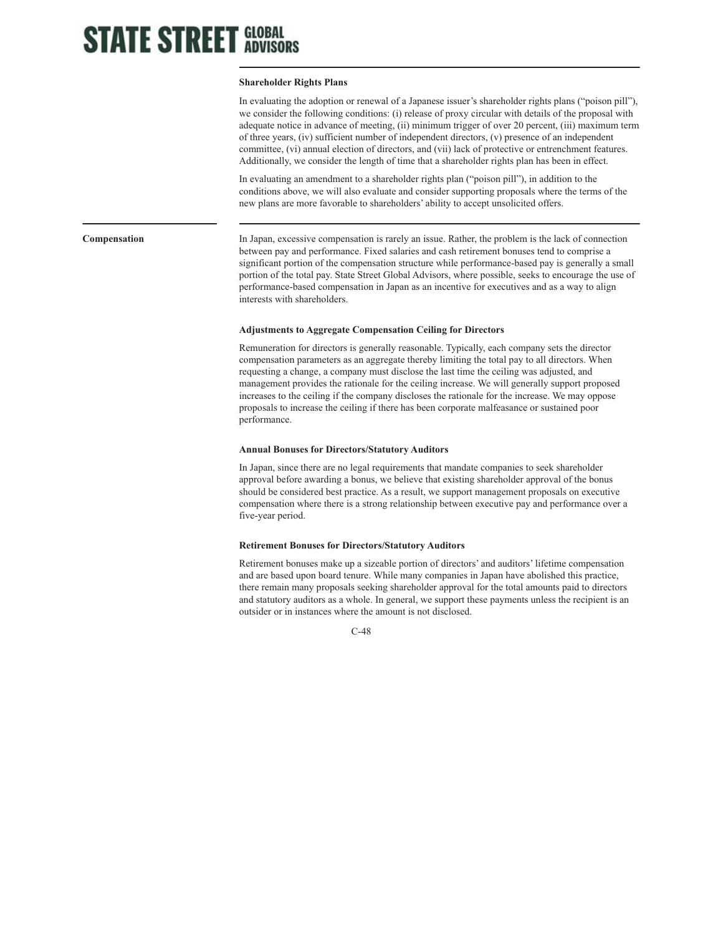### **Shareholder Rights Plans**

In evaluating the adoption or renewal of a Japanese issuer's shareholder rights plans ("poison pill"), we consider the following conditions: (i) release of proxy circular with details of the proposal with adequate notice in advance of meeting, (ii) minimum trigger of over 20 percent, (iii) maximum term of three years, (iv) sufficient number of independent directors, (v) presence of an independent committee, (vi) annual election of directors, and (vii) lack of protective or entrenchment features. Additionally, we consider the length of time that a shareholder rights plan has been in effect.

In evaluating an amendment to a shareholder rights plan ("poison pill"), in addition to the conditions above, we will also evaluate and consider supporting proposals where the terms of the new plans are more favorable to shareholders' ability to accept unsolicited offers.

### **Compensation**

In Japan, excessive compensation is rarely an issue. Rather, the problem is the lack of connection between pay and performance. Fixed salaries and cash retirement bonuses tend to comprise a significant portion of the compensation structure while performance-based pay is generally a small portion of the total pay. State Street Global Advisors, where possible, seeks to encourage the use of performance-based compensation in Japan as an incentive for executives and as a way to align interests with shareholders.

### **Adjustments to Aggregate Compensation Ceiling for Directors**

Remuneration for directors is generally reasonable. Typically, each company sets the director compensation parameters as an aggregate thereby limiting the total pay to all directors. When requesting a change, a company must disclose the last time the ceiling was adjusted, and management provides the rationale for the ceiling increase. We will generally support proposed increases to the ceiling if the company discloses the rationale for the increase. We may oppose proposals to increase the ceiling if there has been corporate malfeasance or sustained poor performance.

### **Annual Bonuses for Directors/Statutory Auditors**

In Japan, since there are no legal requirements that mandate companies to seek shareholder approval before awarding a bonus, we believe that existing shareholder approval of the bonus should be considered best practice. As a result, we support management proposals on executive compensation where there is a strong relationship between executive pay and performance over a five-year period.

### **Retirement Bonuses for Directors/Statutory Auditors**

Retirement bonuses make up a sizeable portion of directors' and auditors' lifetime compensation and are based upon board tenure. While many companies in Japan have abolished this practice, there remain many proposals seeking shareholder approval for the total amounts paid to directors and statutory auditors as a whole. In general, we support these payments unless the recipient is an outsider or in instances where the amount is not disclosed.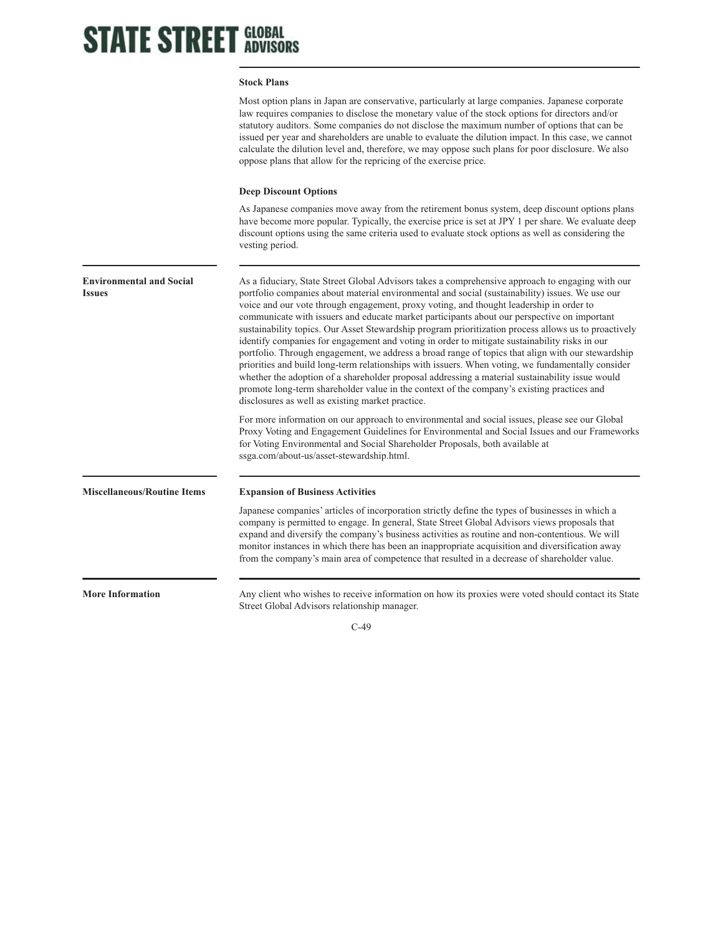### **Stock Plans**

|                                                  | Most option plans in Japan are conservative, particularly at large companies. Japanese corporate<br>law requires companies to disclose the monetary value of the stock options for directors and/or<br>statutory auditors. Some companies do not disclose the maximum number of options that can be<br>issued per year and shareholders are unable to evaluate the dilution impact. In this case, we cannot<br>calculate the dilution level and, therefore, we may oppose such plans for poor disclosure. We also<br>oppose plans that allow for the repricing of the exercise price.                                                                                                                                                                                                                                                                                                                                                                                                                                                                                 |
|--------------------------------------------------|-----------------------------------------------------------------------------------------------------------------------------------------------------------------------------------------------------------------------------------------------------------------------------------------------------------------------------------------------------------------------------------------------------------------------------------------------------------------------------------------------------------------------------------------------------------------------------------------------------------------------------------------------------------------------------------------------------------------------------------------------------------------------------------------------------------------------------------------------------------------------------------------------------------------------------------------------------------------------------------------------------------------------------------------------------------------------|
|                                                  | <b>Deep Discount Options</b>                                                                                                                                                                                                                                                                                                                                                                                                                                                                                                                                                                                                                                                                                                                                                                                                                                                                                                                                                                                                                                          |
|                                                  | As Japanese companies move away from the retirement bonus system, deep discount options plans<br>have become more popular. Typically, the exercise price is set at JPY 1 per share. We evaluate deep<br>discount options using the same criteria used to evaluate stock options as well as considering the<br>vesting period.                                                                                                                                                                                                                                                                                                                                                                                                                                                                                                                                                                                                                                                                                                                                         |
| <b>Environmental and Social</b><br><b>Issues</b> | As a fiduciary, State Street Global Advisors takes a comprehensive approach to engaging with our<br>portfolio companies about material environmental and social (sustainability) issues. We use our<br>voice and our vote through engagement, proxy voting, and thought leadership in order to<br>communicate with issuers and educate market participants about our perspective on important<br>sustainability topics. Our Asset Stewardship program prioritization process allows us to proactively<br>identify companies for engagement and voting in order to mitigate sustainability risks in our<br>portfolio. Through engagement, we address a broad range of topics that align with our stewardship<br>priorities and build long-term relationships with issuers. When voting, we fundamentally consider<br>whether the adoption of a shareholder proposal addressing a material sustainability issue would<br>promote long-term shareholder value in the context of the company's existing practices and<br>disclosures as well as existing market practice. |
|                                                  | For more information on our approach to environmental and social issues, please see our Global<br>Proxy Voting and Engagement Guidelines for Environmental and Social Issues and our Frameworks<br>for Voting Environmental and Social Shareholder Proposals, both available at<br>ssga.com/about-us/asset-stewardship.html.                                                                                                                                                                                                                                                                                                                                                                                                                                                                                                                                                                                                                                                                                                                                          |
| <b>Miscellaneous/Routine Items</b>               | <b>Expansion of Business Activities</b>                                                                                                                                                                                                                                                                                                                                                                                                                                                                                                                                                                                                                                                                                                                                                                                                                                                                                                                                                                                                                               |
|                                                  | Japanese companies' articles of incorporation strictly define the types of businesses in which a<br>company is permitted to engage. In general, State Street Global Advisors views proposals that<br>expand and diversify the company's business activities as routine and non-contentious. We will<br>monitor instances in which there has been an inappropriate acquisition and diversification away<br>from the company's main area of competence that resulted in a decrease of shareholder value.                                                                                                                                                                                                                                                                                                                                                                                                                                                                                                                                                                |
| <b>More Information</b>                          | Any client who wishes to receive information on how its proxies were voted should contact its State<br>Street Global Advisors relationship manager.                                                                                                                                                                                                                                                                                                                                                                                                                                                                                                                                                                                                                                                                                                                                                                                                                                                                                                                   |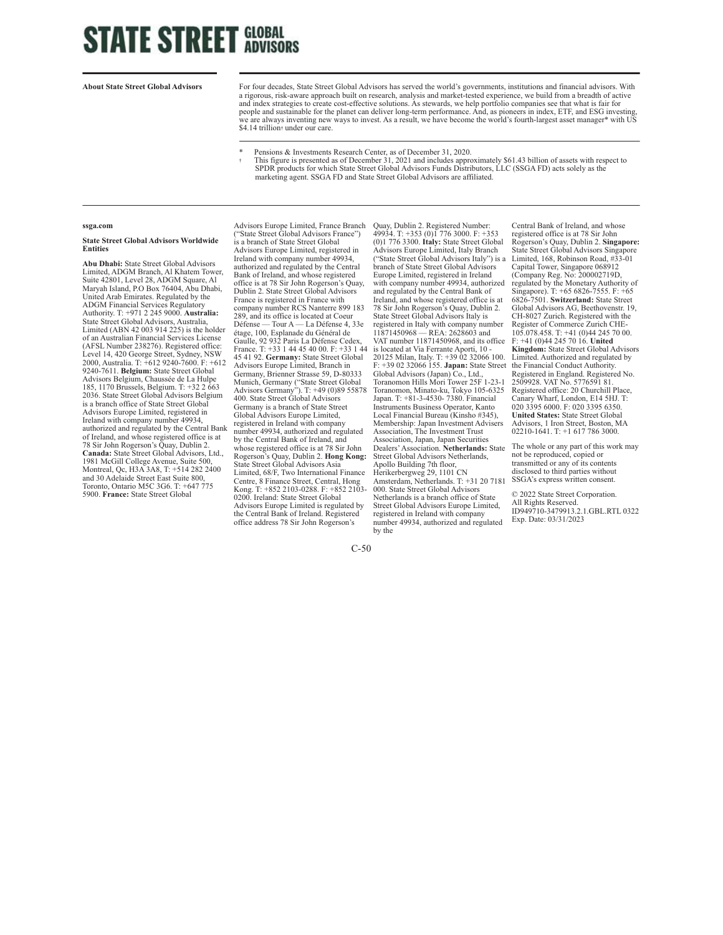**About State Street Global Advisors**

For four decades, State Street Global Advisors has served the world's governments, institutions and financial advisors. With a rigorous, risk-aware approach built on research, analysis and market-tested experience, we build from a breadth of active and index strategies to create cost-effective solutions. As stewards, we help portfolio companies see that what is fair for people and sustainable for the planet can deliver long-term performance. And, as pioneers in index, ETF, and ESG investing, we are always inventing new ways to invest. As a result, we have become the world's fourth-largest asset manager\* with US \$4.14 trillion<sup>†</sup> under our care.

- \*   Pensions & Investments Research Center, as of December 31, 2020.
- This figure is presented as of December 31, 2021 and includes approximately \$61.43 billion of assets with respect to SPDR products for which State Street Global Advisors Funds Distributors, LLC (SSGA FD) acts solely as the marketing agent. SSGA FD and State Street Global Advisors are affiliated.

#### **ssga.com**

#### **State Street Global Advisors Worldwide Entities**

**Abu Dhabi:** State Street Global Advisors Limited, ADGM Branch, Al Khatem Tower, Suite 42801, Level 28, ADGM Square, Al Maryah Island, P.O Box 76404, Abu Dhabi, United Arab Emirates. Regulated by the ADGM Financial Services Regulatory Authority. T: +971 2 245 9000. **Australia:** State Street Global Advisors, Australia, Limited (ABN 42 003 914 225) is the holder of an Australian Financial Services License (AFSL Number 238276). Registered office: Level 14, 420 George Street, Sydney, NSW 2000, Australia. T: +612 9240-7600. F: +612 9240-7611. **Belgium:** State Street Global Advisors Belgium, Chaussée de La Hulpe 185, 1170 Brussels, Belgium. T: +32 2 663 2036. State Street Global Advisors Belgium is a branch office of State Street Global Advisors Europe Limited, registered in Ireland with company number 49934, authorized and regulated by the Central Bank of Ireland, and whose registered office is at 78 Sir John Rogerson's Quay, Dublin 2. **Canada:** State Street Global Advisors, Ltd., 1981 McGill College Avenue, Suite 500, Montreal, Qc, H3A 3A8, T: +514 282 2400 and 30 Adelaide Street East Suite 800, Toronto, Ontario M5C 3G6. T: +647 775 5900. **France:** State Street Global

Advisors Europe Limited, France Branch ("State Street Global Advisors France") is a branch of State Street Global Advisors Europe Limited, registered in Ireland with company number 49934, authorized and regulated by the Central Bank of Ireland, and whose registered office is at 78 Sir John Rogerson's Quay, Dublin 2. State Street Global Advisors France is registered in France with company number RCS Nanterre 899 183 289, and its office is located at Coeur Défense — Tour A — La Défense 4, 33e étage, 100, Esplanade du Général de Gaulle, 92 932 Paris La Défense Cedex, France. T: +33 1 44 45 40 00. F: +33 1 44 45 41 92. **Germany:** State Street Global Advisors Europe Limited, Branch in Germany, Brienner Strasse 59, D-80333 Munich, Germany ("State Street Global Advisors Germany"). T: +49 (0)89 55878 400. State Street Global Advisors Germany is a branch of State Street Global Advisors Europe Limited, registered in Ireland with company number 49934, authorized and regulated by the Central Bank of Ireland, and whose registered office is at 78 Sir John Rogerson's Quay, Dublin 2. **Hong Kong:** State Street Global Advisors Asia Limited, 68/F, Two International Finance Centre, 8 Finance Street, Central, Hong Kong. T: +852 2103-0288. F: +852 2103- 0200. Ireland: State Street Global Advisors Europe Limited is regulated by the Central Bank of Ireland. Registered office address 78 Sir John Rogerson's

Quay, Dublin 2. Registered Number: 49934. T: +353 (0)1 776 3000. F: +353 (0)1 776 3300. **Italy:** State Street Global Advisors Europe Limited, Italy Branch ("State Street Global Advisors Italy") is a branch of State Street Global Advisors Europe Limited, registered in Ireland with company number 49934, authorized and regulated by the Central Bank of Ireland, and whose registered office is at 78 Sir John Rogerson's Quay, Dublin 2. State Street Global Advisors Italy is registered in Italy with company number 11871450968 — REA: 2628603 and VAT number 11871450968, and its office is located at Via Ferrante Aporti, 10 20125 Milan, Italy. T: +39 02 32066 100. F: +39 02 32066 155. **Japan:** State Street Global Advisors (Japan) Co., Ltd., Toranomon Hills Mori Tower 25F 1-23-1 Toranomon, Minato-ku, Tokyo 105-6325 Japan. T: +81-3-4530- 7380. Financial Instruments Business Operator, Kanto Local Financial Bureau (Kinsho #345), Membership: Japan Investment Advisers Association, The Investment Trust Association, Japan, Japan Securities Dealers' Association. **Netherlands:** State Street Global Advisors Netherlands, Apollo Building 7th floor, Herikerbergweg 29, 1101 CN Amsterdam, Netherlands. T: +31 20 7181 000. State Street Global Advisors Netherlands is a branch office of State Street Global Advisors Europe Limited, registered in Ireland with company number 49934, authorized and regulated by the

Central Bank of Ireland, and whose registered office is at 78 Sir John Rogerson's Quay, Dublin 2. **Singapore:** State Street Global Advisors Singapore Limited, 168, Robinson Road, #33-01 Capital Tower, Singapore 068912 (Company Reg. No: 200002719D, regulated by the Monetary Authority of Singapore). T: +65 6826-7555. F: +65 6826-7501. **Switzerland:** State Street Global Advisors AG, Beethovenstr. 19, CH-8027 Zurich. Registered with the Register of Commerce Zurich CHE-105.078.458. T: +41 (0)44 245 70 00. F: +41 (0)44 245 70 16. **United Kingdom:** State Street Global Advisors Limited. Authorized and regulated by the Financial Conduct Authority. Registered in England. Registered No. 2509928. VAT No. 5776591 81. Registered office: 20 Churchill Place, Canary Wharf, London, E14 5HJ. T: 020 3395 6000. F: 020 3395 6350. **United States:** State Street Global Advisors, 1 Iron Street, Boston, MA 02210-1641. T: +1 617 786 3000.

The whole or any part of this work may not be reproduced, copied or transmitted or any of its contents disclosed to third parties without SSGA's express written consent.

© 2022 State Street Corporation. All Rights Reserved. ID949710-3479913.2.1.GBL.RTL 0322 Exp. Date: 03/31/2023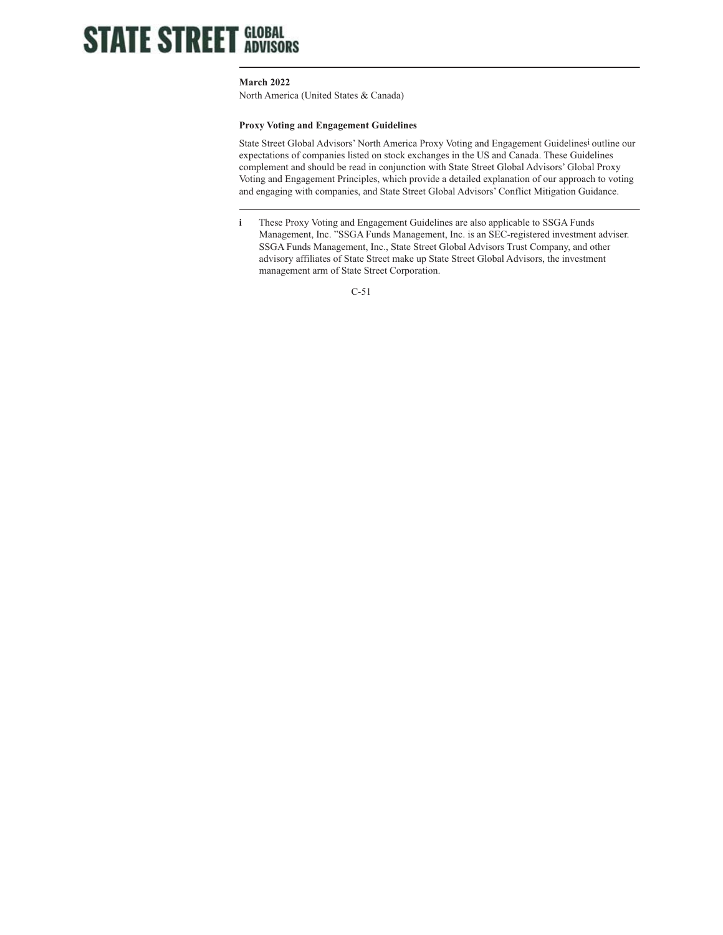### **March 2022**

North America (United States & Canada)

### **Proxy Voting and Engagement Guidelines**

State Street Global Advisors' North America Proxy Voting and Engagement Guidelinesi outline our expectations of companies listed on stock exchanges in the US and Canada. These Guidelines complement and should be read in conjunction with State Street Global Advisors' Global Proxy Voting and Engagement Principles, which provide a detailed explanation of our approach to voting and engaging with companies, and State Street Global Advisors' Conflict Mitigation Guidance.

**i**  These Proxy Voting and Engagement Guidelines are also applicable to SSGA Funds Management, Inc. "SSGA Funds Management, Inc. is an SEC-registered investment adviser. SSGA Funds Management, Inc., State Street Global Advisors Trust Company, and other advisory affiliates of State Street make up State Street Global Advisors, the investment management arm of State Street Corporation.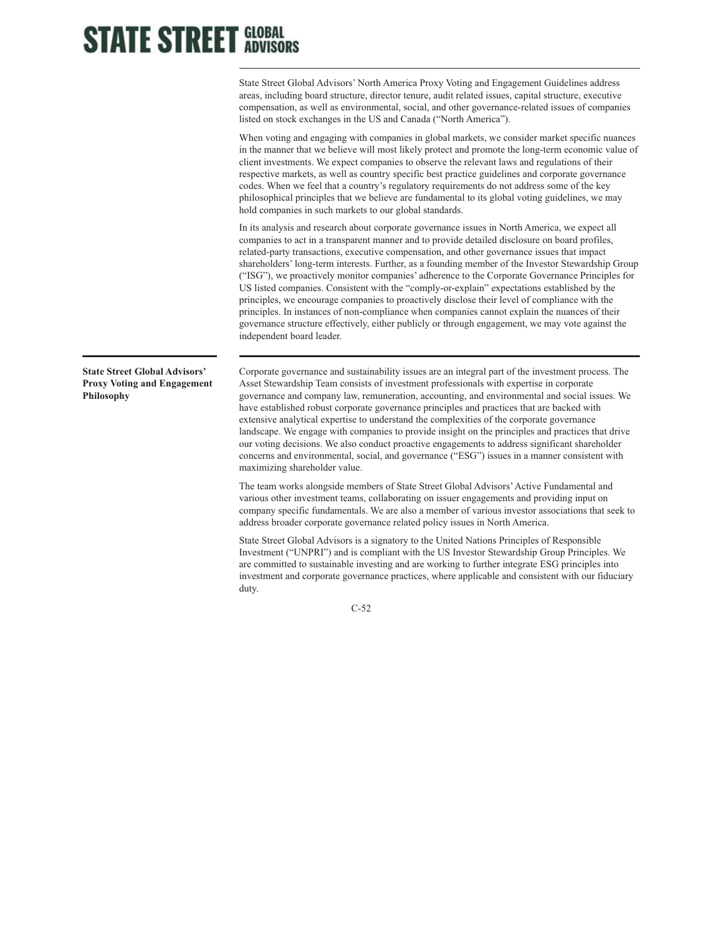State Street Global Advisors' North America Proxy Voting and Engagement Guidelines address areas, including board structure, director tenure, audit related issues, capital structure, executive compensation, as well as environmental, social, and other governance-related issues of companies listed on stock exchanges in the US and Canada ("North America").

When voting and engaging with companies in global markets, we consider market specific nuances in the manner that we believe will most likely protect and promote the long-term economic value of client investments. We expect companies to observe the relevant laws and regulations of their respective markets, as well as country specific best practice guidelines and corporate governance codes. When we feel that a country's regulatory requirements do not address some of the key philosophical principles that we believe are fundamental to its global voting guidelines, we may hold companies in such markets to our global standards.

In its analysis and research about corporate governance issues in North America, we expect all companies to act in a transparent manner and to provide detailed disclosure on board profiles, related-party transactions, executive compensation, and other governance issues that impact shareholders' long-term interests. Further, as a founding member of the Investor Stewardship Group ("ISG"), we proactively monitor companies' adherence to the Corporate Governance Principles for US listed companies. Consistent with the "comply-or-explain" expectations established by the principles, we encourage companies to proactively disclose their level of compliance with the principles. In instances of non-compliance when companies cannot explain the nuances of their governance structure effectively, either publicly or through engagement, we may vote against the independent board leader.

**State Street Global Advisors' Proxy Voting and Engagement Philosophy**

Corporate governance and sustainability issues are an integral part of the investment process. The Asset Stewardship Team consists of investment professionals with expertise in corporate governance and company law, remuneration, accounting, and environmental and social issues. We have established robust corporate governance principles and practices that are backed with extensive analytical expertise to understand the complexities of the corporate governance landscape. We engage with companies to provide insight on the principles and practices that drive our voting decisions. We also conduct proactive engagements to address significant shareholder concerns and environmental, social, and governance ("ESG") issues in a manner consistent with maximizing shareholder value.

The team works alongside members of State Street Global Advisors' Active Fundamental and various other investment teams, collaborating on issuer engagements and providing input on company specific fundamentals. We are also a member of various investor associations that seek to address broader corporate governance related policy issues in North America.

State Street Global Advisors is a signatory to the United Nations Principles of Responsible Investment ("UNPRI") and is compliant with the US Investor Stewardship Group Principles. We are committed to sustainable investing and are working to further integrate ESG principles into investment and corporate governance practices, where applicable and consistent with our fiduciary duty.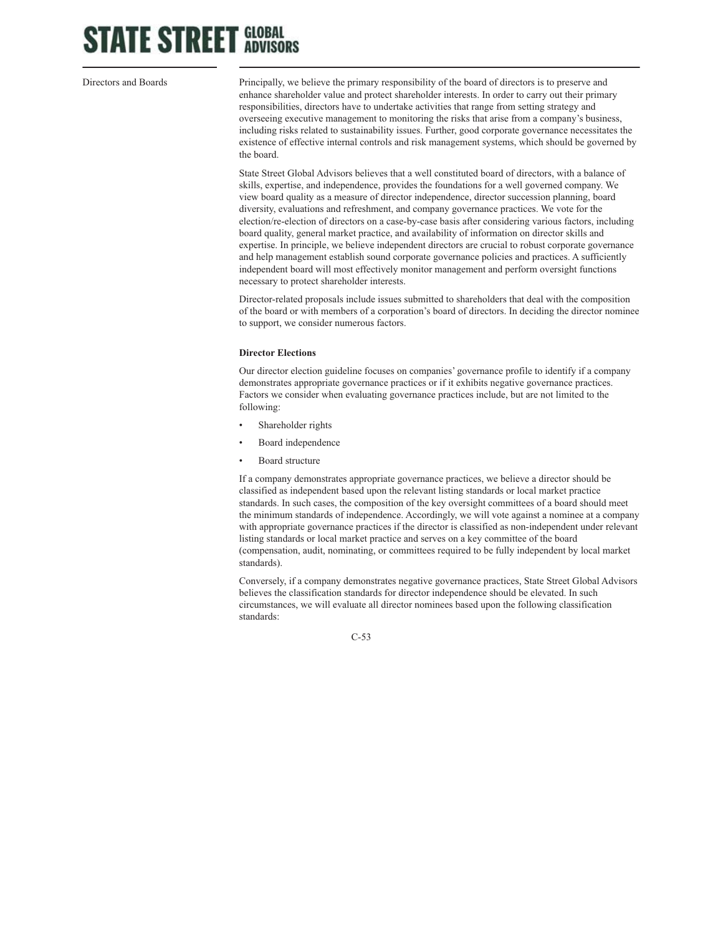### Directors and Boards

Principally, we believe the primary responsibility of the board of directors is to preserve and enhance shareholder value and protect shareholder interests. In order to carry out their primary responsibilities, directors have to undertake activities that range from setting strategy and overseeing executive management to monitoring the risks that arise from a company's business, including risks related to sustainability issues. Further, good corporate governance necessitates the existence of effective internal controls and risk management systems, which should be governed by the board.

State Street Global Advisors believes that a well constituted board of directors, with a balance of skills, expertise, and independence, provides the foundations for a well governed company. We view board quality as a measure of director independence, director succession planning, board diversity, evaluations and refreshment, and company governance practices. We vote for the election/re-election of directors on a case-by-case basis after considering various factors, including board quality, general market practice, and availability of information on director skills and expertise. In principle, we believe independent directors are crucial to robust corporate governance and help management establish sound corporate governance policies and practices. A sufficiently independent board will most effectively monitor management and perform oversight functions necessary to protect shareholder interests.

Director-related proposals include issues submitted to shareholders that deal with the composition of the board or with members of a corporation's board of directors. In deciding the director nominee to support, we consider numerous factors.

### **Director Elections**

Our director election guideline focuses on companies' governance profile to identify if a company demonstrates appropriate governance practices or if it exhibits negative governance practices. Factors we consider when evaluating governance practices include, but are not limited to the following:

- Shareholder rights
- Board independence
- Board structure

If a company demonstrates appropriate governance practices, we believe a director should be classified as independent based upon the relevant listing standards or local market practice standards. In such cases, the composition of the key oversight committees of a board should meet the minimum standards of independence. Accordingly, we will vote against a nominee at a company with appropriate governance practices if the director is classified as non-independent under relevant listing standards or local market practice and serves on a key committee of the board (compensation, audit, nominating, or committees required to be fully independent by local market standards).

Conversely, if a company demonstrates negative governance practices, State Street Global Advisors believes the classification standards for director independence should be elevated. In such circumstances, we will evaluate all director nominees based upon the following classification standards: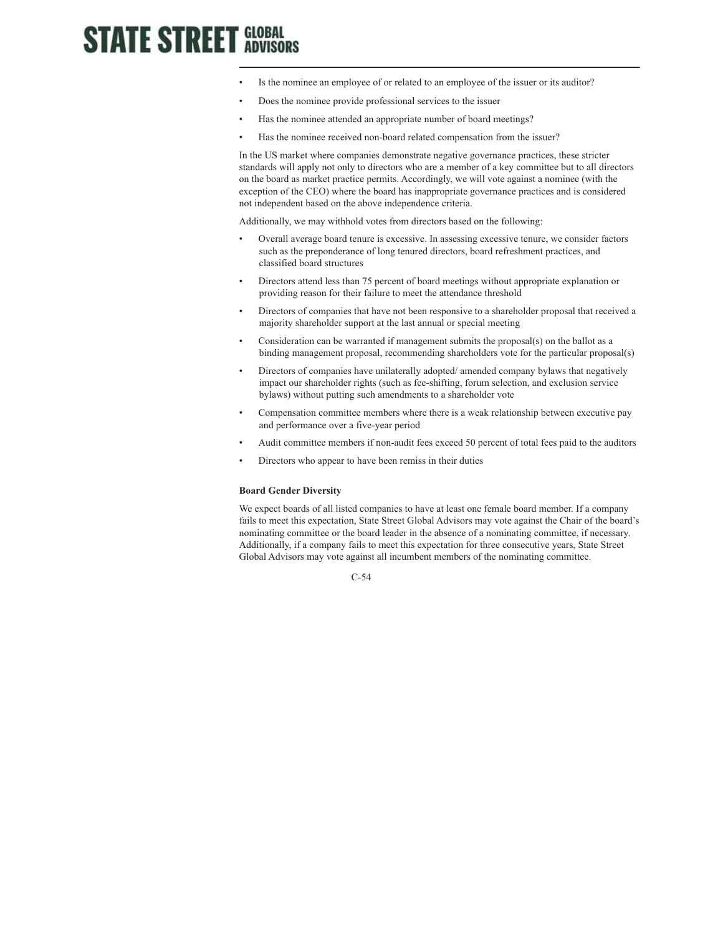- Is the nominee an employee of or related to an employee of the issuer or its auditor?
- Does the nominee provide professional services to the issuer
- Has the nominee attended an appropriate number of board meetings?
- Has the nominee received non-board related compensation from the issuer?

In the US market where companies demonstrate negative governance practices, these stricter standards will apply not only to directors who are a member of a key committee but to all directors on the board as market practice permits. Accordingly, we will vote against a nominee (with the exception of the CEO) where the board has inappropriate governance practices and is considered not independent based on the above independence criteria.

Additionally, we may withhold votes from directors based on the following:

- Overall average board tenure is excessive. In assessing excessive tenure, we consider factors such as the preponderance of long tenured directors, board refreshment practices, and classified board structures
- Directors attend less than 75 percent of board meetings without appropriate explanation or providing reason for their failure to meet the attendance threshold
- Directors of companies that have not been responsive to a shareholder proposal that received a majority shareholder support at the last annual or special meeting
- Consideration can be warranted if management submits the proposal(s) on the ballot as a binding management proposal, recommending shareholders vote for the particular proposal(s)
- Directors of companies have unilaterally adopted/amended company bylaws that negatively impact our shareholder rights (such as fee-shifting, forum selection, and exclusion service bylaws) without putting such amendments to a shareholder vote
- Compensation committee members where there is a weak relationship between executive pay and performance over a five-year period
- Audit committee members if non-audit fees exceed 50 percent of total fees paid to the auditors
- Directors who appear to have been remiss in their duties

### **Board Gender Diversity**

We expect boards of all listed companies to have at least one female board member. If a company fails to meet this expectation, State Street Global Advisors may vote against the Chair of the board's nominating committee or the board leader in the absence of a nominating committee, if necessary. Additionally, if a company fails to meet this expectation for three consecutive years, State Street Global Advisors may vote against all incumbent members of the nominating committee.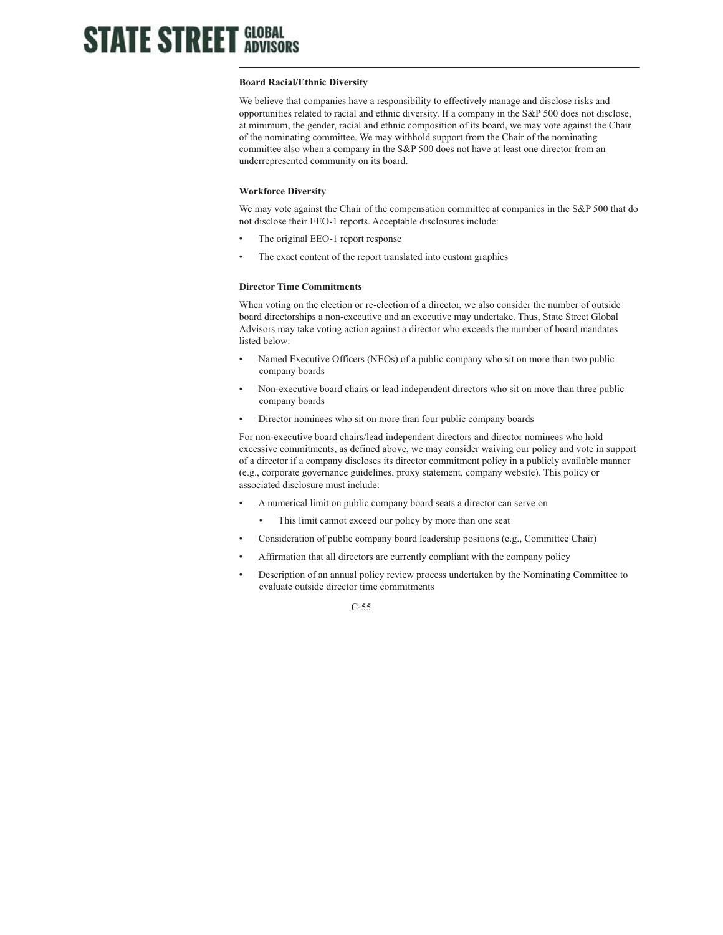### **Board Racial/Ethnic Diversity**

We believe that companies have a responsibility to effectively manage and disclose risks and opportunities related to racial and ethnic diversity. If a company in the S&P 500 does not disclose, at minimum, the gender, racial and ethnic composition of its board, we may vote against the Chair of the nominating committee. We may withhold support from the Chair of the nominating committee also when a company in the S&P 500 does not have at least one director from an underrepresented community on its board.

### **Workforce Diversity**

We may vote against the Chair of the compensation committee at companies in the S&P 500 that do not disclose their EEO-1 reports. Acceptable disclosures include:

- The original EEO-1 report response
- The exact content of the report translated into custom graphics

### **Director Time Commitments**

When voting on the election or re-election of a director, we also consider the number of outside board directorships a non-executive and an executive may undertake. Thus, State Street Global Advisors may take voting action against a director who exceeds the number of board mandates listed below:

- Named Executive Officers (NEOs) of a public company who sit on more than two public company boards
- Non-executive board chairs or lead independent directors who sit on more than three public company boards
- Director nominees who sit on more than four public company boards

For non-executive board chairs/lead independent directors and director nominees who hold excessive commitments, as defined above, we may consider waiving our policy and vote in support of a director if a company discloses its director commitment policy in a publicly available manner (e.g., corporate governance guidelines, proxy statement, company website). This policy or associated disclosure must include:

- A numerical limit on public company board seats a director can serve on
	- This limit cannot exceed our policy by more than one seat
- Consideration of public company board leadership positions (e.g., Committee Chair)
- Affirmation that all directors are currently compliant with the company policy
- Description of an annual policy review process undertaken by the Nominating Committee to evaluate outside director time commitments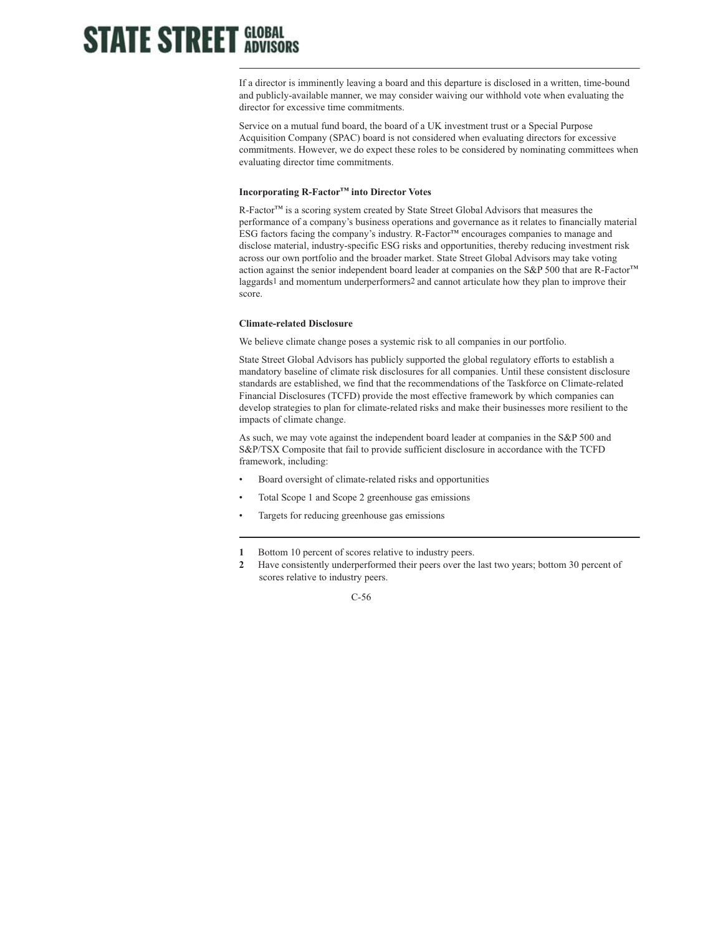If a director is imminently leaving a board and this departure is disclosed in a written, time-bound and publicly-available manner, we may consider waiving our withhold vote when evaluating the director for excessive time commitments.

Service on a mutual fund board, the board of a UK investment trust or a Special Purpose Acquisition Company (SPAC) board is not considered when evaluating directors for excessive commitments. However, we do expect these roles to be considered by nominating committees when evaluating director time commitments.

### **Incorporating R-Factor™ into Director Votes**

R-Factor™ is a scoring system created by State Street Global Advisors that measures the performance of a company's business operations and governance as it relates to financially material ESG factors facing the company's industry. R-Factor™ encourages companies to manage and disclose material, industry-specific ESG risks and opportunities, thereby reducing investment risk across our own portfolio and the broader market. State Street Global Advisors may take voting action against the senior independent board leader at companies on the S&P 500 that are R-Factor™ laggards1 and momentum underperformers2 and cannot articulate how they plan to improve their score.

### **Climate-related Disclosure**

We believe climate change poses a systemic risk to all companies in our portfolio.

State Street Global Advisors has publicly supported the global regulatory efforts to establish a mandatory baseline of climate risk disclosures for all companies. Until these consistent disclosure standards are established, we find that the recommendations of the Taskforce on Climate-related Financial Disclosures (TCFD) provide the most effective framework by which companies can develop strategies to plan for climate-related risks and make their businesses more resilient to the impacts of climate change.

As such, we may vote against the independent board leader at companies in the S&P 500 and S&P/TSX Composite that fail to provide sufficient disclosure in accordance with the TCFD framework, including:

- Board oversight of climate-related risks and opportunities
- Total Scope 1 and Scope 2 greenhouse gas emissions
- Targets for reducing greenhouse gas emissions
- **1**Bottom 10 percent of scores relative to industry peers.
- **2**Have consistently underperformed their peers over the last two years; bottom 30 percent of scores relative to industry peers.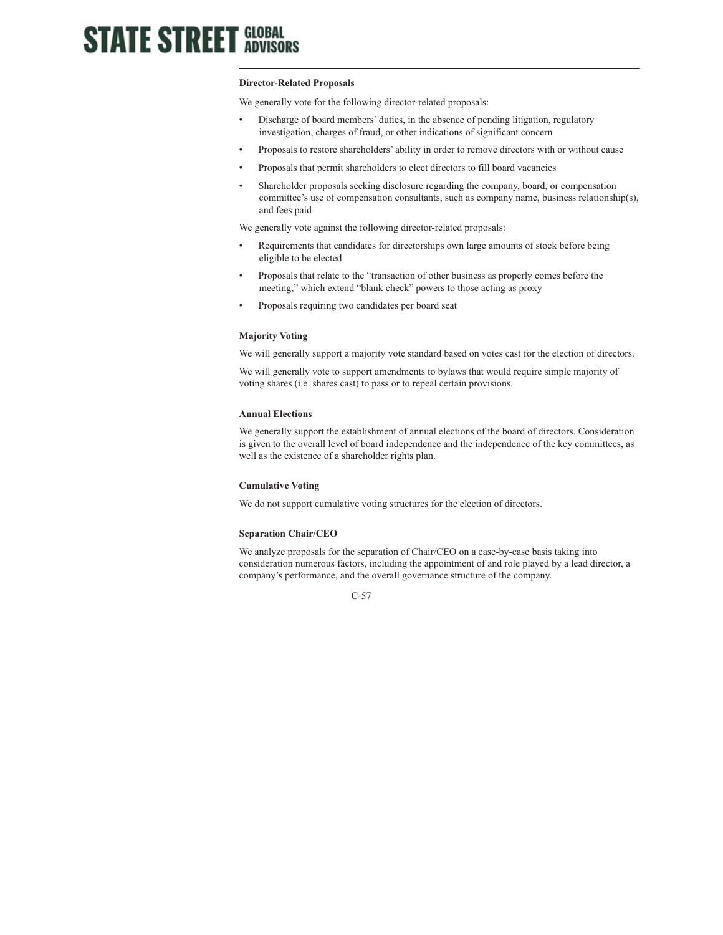### **Director-Related Proposals**

We generally vote for the following director-related proposals:

- Discharge of board members' duties, in the absence of pending litigation, regulatory investigation, charges of fraud, or other indications of significant concern
- Proposals to restore shareholders' ability in order to remove directors with or without cause
- Proposals that permit shareholders to elect directors to fill board vacancies
- Shareholder proposals seeking disclosure regarding the company, board, or compensation committee's use of compensation consultants, such as company name, business relationship(s), and fees paid

We generally vote against the following director-related proposals:

- Requirements that candidates for directorships own large amounts of stock before being eligible to be elected
- Proposals that relate to the "transaction of other business as properly comes before the meeting," which extend "blank check" powers to those acting as proxy
- Proposals requiring two candidates per board seat

### **Majority Voting**

We will generally support a majority vote standard based on votes cast for the election of directors.

We will generally vote to support amendments to bylaws that would require simple majority of voting shares (i.e. shares cast) to pass or to repeal certain provisions.

### **Annual Elections**

We generally support the establishment of annual elections of the board of directors. Consideration is given to the overall level of board independence and the independence of the key committees, as well as the existence of a shareholder rights plan.

### **Cumulative Voting**

We do not support cumulative voting structures for the election of directors.

### **Separation Chair/CEO**

We analyze proposals for the separation of Chair/CEO on a case-by-case basis taking into consideration numerous factors, including the appointment of and role played by a lead director, a company's performance, and the overall governance structure of the company.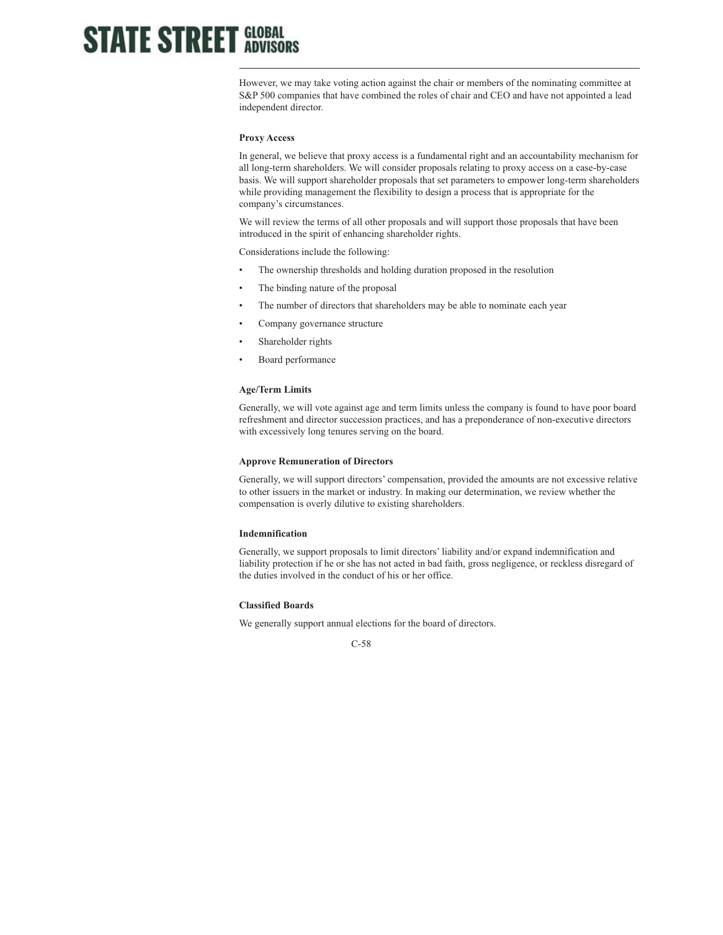However, we may take voting action against the chair or members of the nominating committee at S&P 500 companies that have combined the roles of chair and CEO and have not appointed a lead independent director.

### **Proxy Access**

In general, we believe that proxy access is a fundamental right and an accountability mechanism for all long-term shareholders. We will consider proposals relating to proxy access on a case-by-case basis. We will support shareholder proposals that set parameters to empower long-term shareholders while providing management the flexibility to design a process that is appropriate for the company's circumstances.

We will review the terms of all other proposals and will support those proposals that have been introduced in the spirit of enhancing shareholder rights.

Considerations include the following:

- The ownership thresholds and holding duration proposed in the resolution
- The binding nature of the proposal
- The number of directors that shareholders may be able to nominate each year
- Company governance structure
- Shareholder rights
- Board performance

### **Age/Term Limits**

Generally, we will vote against age and term limits unless the company is found to have poor board refreshment and director succession practices, and has a preponderance of non-executive directors with excessively long tenures serving on the board.

### **Approve Remuneration of Directors**

Generally, we will support directors' compensation, provided the amounts are not excessive relative to other issuers in the market or industry. In making our determination, we review whether the compensation is overly dilutive to existing shareholders.

### **Indemnification**

Generally, we support proposals to limit directors' liability and/or expand indemnification and liability protection if he or she has not acted in bad faith, gross negligence, or reckless disregard of the duties involved in the conduct of his or her office.

### **Classified Boards**

We generally support annual elections for the board of directors.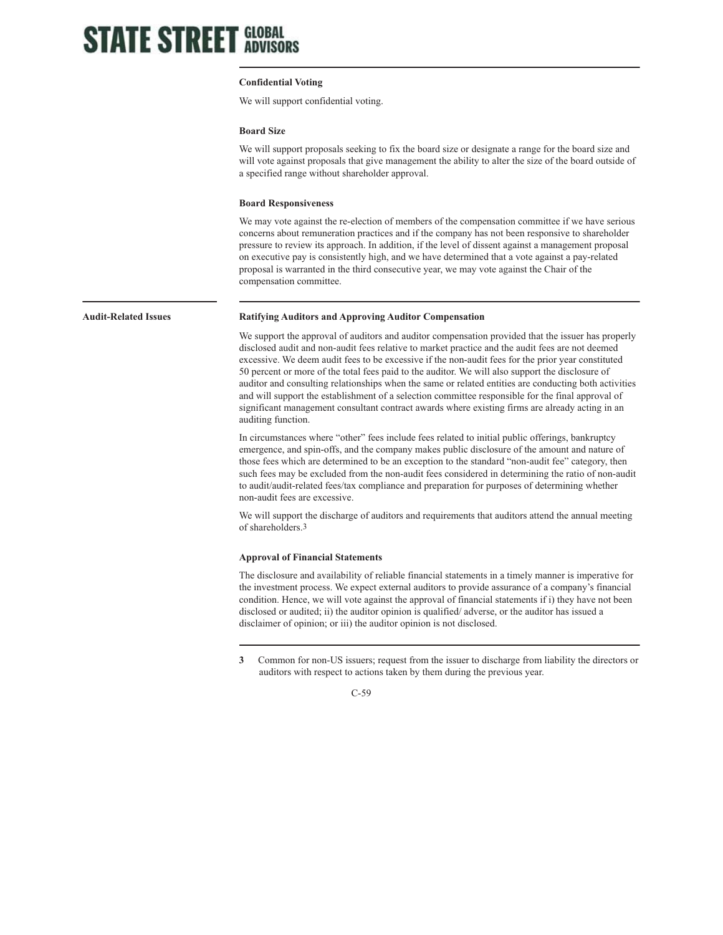### **Confidential Voting**

We will support confidential voting.

### **Board Size**

We will support proposals seeking to fix the board size or designate a range for the board size and will vote against proposals that give management the ability to alter the size of the board outside of a specified range without shareholder approval.

### **Board Responsiveness**

We may vote against the re-election of members of the compensation committee if we have serious concerns about remuneration practices and if the company has not been responsive to shareholder pressure to review its approach. In addition, if the level of dissent against a management proposal on executive pay is consistently high, and we have determined that a vote against a pay-related proposal is warranted in the third consecutive year, we may vote against the Chair of the compensation committee.

### **Audit-Related Issues Ratifying Auditors and Approving Auditor Compensation**

We support the approval of auditors and auditor compensation provided that the issuer has properly disclosed audit and non-audit fees relative to market practice and the audit fees are not deemed excessive. We deem audit fees to be excessive if the non-audit fees for the prior year constituted 50 percent or more of the total fees paid to the auditor. We will also support the disclosure of auditor and consulting relationships when the same or related entities are conducting both activities and will support the establishment of a selection committee responsible for the final approval of significant management consultant contract awards where existing firms are already acting in an auditing function.

In circumstances where "other" fees include fees related to initial public offerings, bankruptcy emergence, and spin-offs, and the company makes public disclosure of the amount and nature of those fees which are determined to be an exception to the standard "non-audit fee" category, then such fees may be excluded from the non-audit fees considered in determining the ratio of non-audit to audit/audit-related fees/tax compliance and preparation for purposes of determining whether non-audit fees are excessive.

We will support the discharge of auditors and requirements that auditors attend the annual meeting of shareholders.3

### **Approval of Financial Statements**

The disclosure and availability of reliable financial statements in a timely manner is imperative for the investment process. We expect external auditors to provide assurance of a company's financial condition. Hence, we will vote against the approval of financial statements if i) they have not been disclosed or audited; ii) the auditor opinion is qualified/ adverse, or the auditor has issued a disclaimer of opinion; or iii) the auditor opinion is not disclosed.

**<sup>3</sup>**Common for non-US issuers; request from the issuer to discharge from liability the directors or auditors with respect to actions taken by them during the previous year.

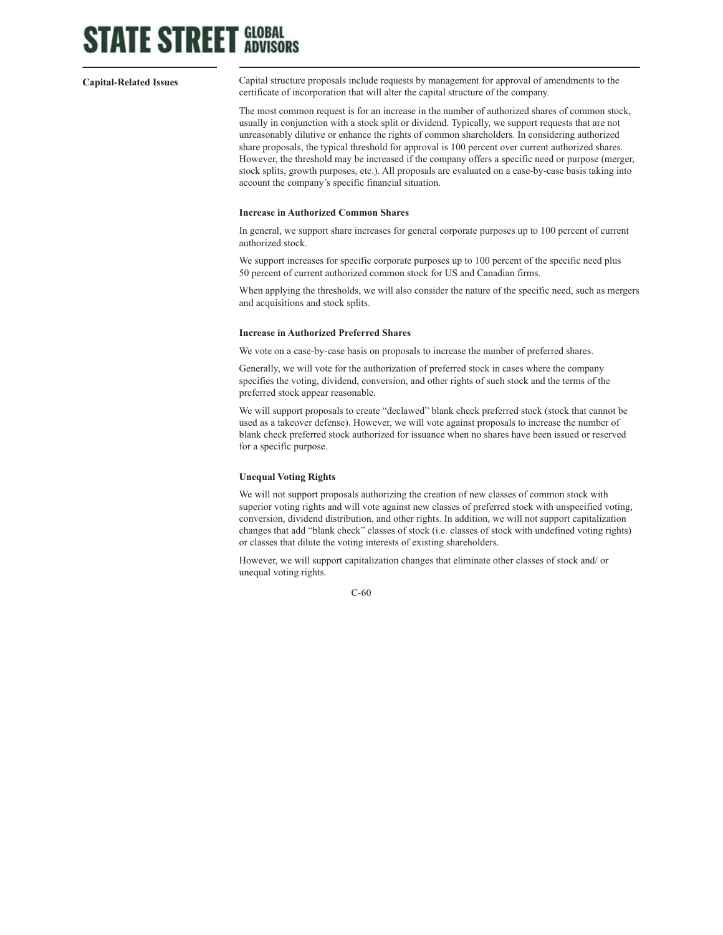### **Capital-Related Issues**

Capital structure proposals include requests by management for approval of amendments to the certificate of incorporation that will alter the capital structure of the company.

The most common request is for an increase in the number of authorized shares of common stock, usually in conjunction with a stock split or dividend. Typically, we support requests that are not unreasonably dilutive or enhance the rights of common shareholders. In considering authorized share proposals, the typical threshold for approval is 100 percent over current authorized shares. However, the threshold may be increased if the company offers a specific need or purpose (merger, stock splits, growth purposes, etc.). All proposals are evaluated on a case-by-case basis taking into account the company's specific financial situation.

### **Increase in Authorized Common Shares**

In general, we support share increases for general corporate purposes up to 100 percent of current authorized stock.

We support increases for specific corporate purposes up to 100 percent of the specific need plus 50 percent of current authorized common stock for US and Canadian firms.

When applying the thresholds, we will also consider the nature of the specific need, such as mergers and acquisitions and stock splits.

### **Increase in Authorized Preferred Shares**

We vote on a case-by-case basis on proposals to increase the number of preferred shares.

Generally, we will vote for the authorization of preferred stock in cases where the company specifies the voting, dividend, conversion, and other rights of such stock and the terms of the preferred stock appear reasonable.

We will support proposals to create "declawed" blank check preferred stock (stock that cannot be used as a takeover defense). However, we will vote against proposals to increase the number of blank check preferred stock authorized for issuance when no shares have been issued or reserved for a specific purpose.

### **Unequal Voting Rights**

We will not support proposals authorizing the creation of new classes of common stock with superior voting rights and will vote against new classes of preferred stock with unspecified voting, conversion, dividend distribution, and other rights. In addition, we will not support capitalization changes that add "blank check" classes of stock (i.e. classes of stock with undefined voting rights) or classes that dilute the voting interests of existing shareholders.

However, we will support capitalization changes that eliminate other classes of stock and/ or unequal voting rights.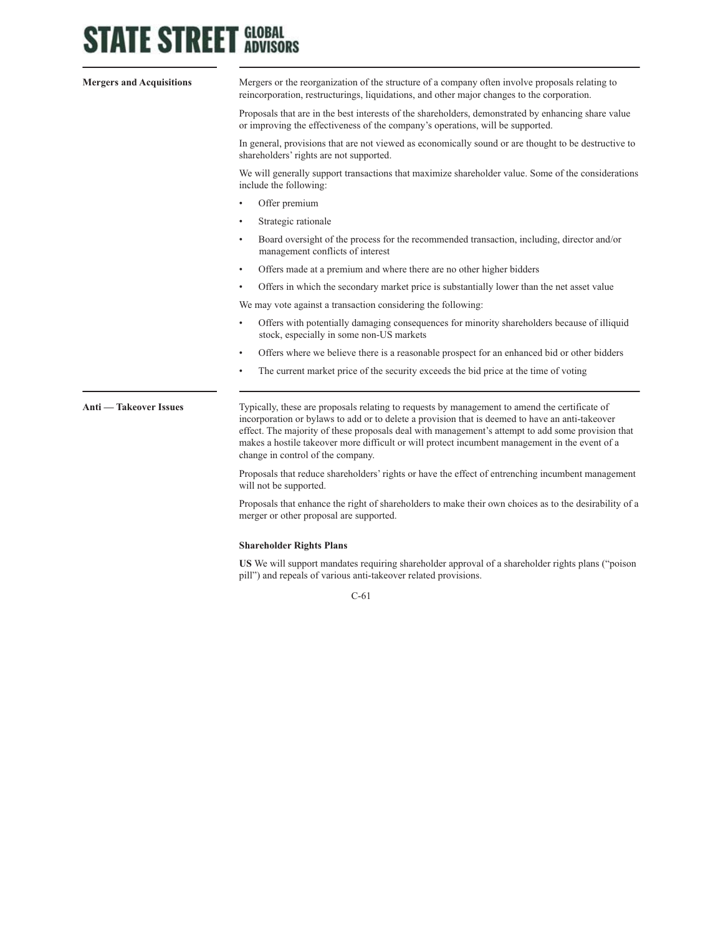| <b>Mergers and Acquisitions</b> | Mergers or the reorganization of the structure of a company often involve proposals relating to<br>reincorporation, restructurings, liquidations, and other major changes to the corporation.                                                                                                                                                                                                                                                                                                                                                                                                                                                                                                                                    |
|---------------------------------|----------------------------------------------------------------------------------------------------------------------------------------------------------------------------------------------------------------------------------------------------------------------------------------------------------------------------------------------------------------------------------------------------------------------------------------------------------------------------------------------------------------------------------------------------------------------------------------------------------------------------------------------------------------------------------------------------------------------------------|
|                                 | Proposals that are in the best interests of the shareholders, demonstrated by enhancing share value<br>or improving the effectiveness of the company's operations, will be supported.                                                                                                                                                                                                                                                                                                                                                                                                                                                                                                                                            |
|                                 | In general, provisions that are not viewed as economically sound or are thought to be destructive to<br>shareholders' rights are not supported.                                                                                                                                                                                                                                                                                                                                                                                                                                                                                                                                                                                  |
|                                 | We will generally support transactions that maximize shareholder value. Some of the considerations<br>include the following:                                                                                                                                                                                                                                                                                                                                                                                                                                                                                                                                                                                                     |
|                                 | Offer premium<br>$\bullet$                                                                                                                                                                                                                                                                                                                                                                                                                                                                                                                                                                                                                                                                                                       |
|                                 | Strategic rationale<br>$\bullet$                                                                                                                                                                                                                                                                                                                                                                                                                                                                                                                                                                                                                                                                                                 |
|                                 | Board oversight of the process for the recommended transaction, including, director and/or<br>$\bullet$<br>management conflicts of interest                                                                                                                                                                                                                                                                                                                                                                                                                                                                                                                                                                                      |
|                                 | Offers made at a premium and where there are no other higher bidders<br>$\bullet$                                                                                                                                                                                                                                                                                                                                                                                                                                                                                                                                                                                                                                                |
|                                 | Offers in which the secondary market price is substantially lower than the net asset value                                                                                                                                                                                                                                                                                                                                                                                                                                                                                                                                                                                                                                       |
|                                 | We may vote against a transaction considering the following:                                                                                                                                                                                                                                                                                                                                                                                                                                                                                                                                                                                                                                                                     |
|                                 | Offers with potentially damaging consequences for minority shareholders because of illiquid<br>stock, especially in some non-US markets                                                                                                                                                                                                                                                                                                                                                                                                                                                                                                                                                                                          |
|                                 | Offers where we believe there is a reasonable prospect for an enhanced bid or other bidders<br>$\bullet$                                                                                                                                                                                                                                                                                                                                                                                                                                                                                                                                                                                                                         |
|                                 | The current market price of the security exceeds the bid price at the time of voting                                                                                                                                                                                                                                                                                                                                                                                                                                                                                                                                                                                                                                             |
| <b>Anti — Takeover Issues</b>   | Typically, these are proposals relating to requests by management to amend the certificate of<br>incorporation or bylaws to add or to delete a provision that is deemed to have an anti-takeover<br>effect. The majority of these proposals deal with management's attempt to add some provision that<br>makes a hostile takeover more difficult or will protect incumbent management in the event of a<br>change in control of the company.<br>Proposals that reduce shareholders' rights or have the effect of entrenching incumbent management<br>will not be supported.<br>Proposals that enhance the right of shareholders to make their own choices as to the desirability of a<br>merger or other proposal are supported. |
|                                 |                                                                                                                                                                                                                                                                                                                                                                                                                                                                                                                                                                                                                                                                                                                                  |

### **Shareholder Rights Plans**

**US** We will support mandates requiring shareholder approval of a shareholder rights plans ("poison pill") and repeals of various anti-takeover related provisions.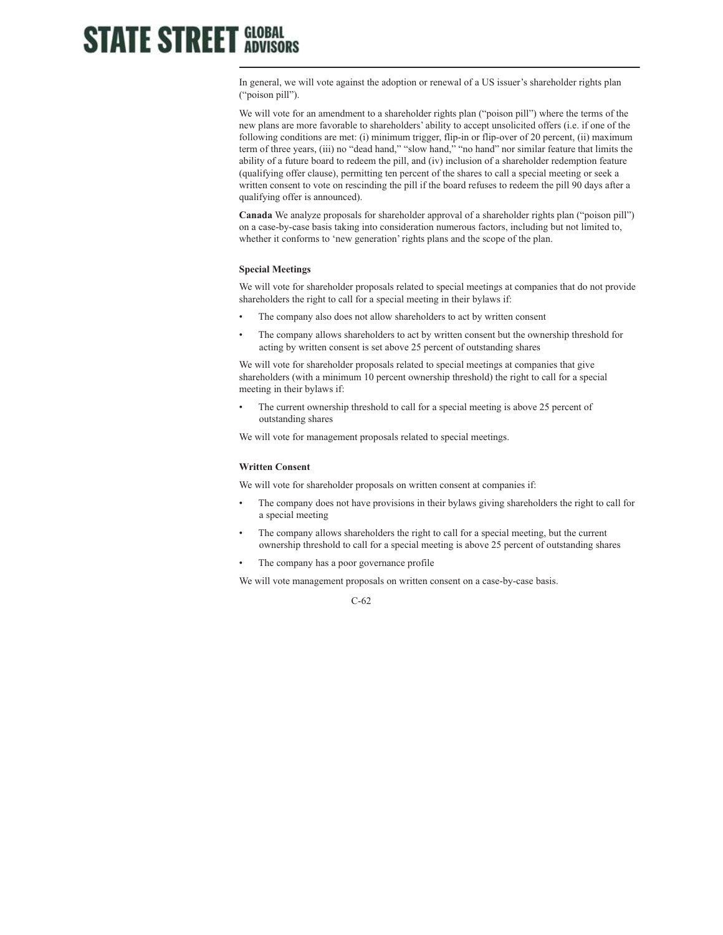In general, we will vote against the adoption or renewal of a US issuer's shareholder rights plan ("poison pill").

We will vote for an amendment to a shareholder rights plan ("poison pill") where the terms of the new plans are more favorable to shareholders' ability to accept unsolicited offers (i.e. if one of the following conditions are met: (i) minimum trigger, flip-in or flip-over of 20 percent, (ii) maximum term of three years, (iii) no "dead hand," "slow hand," "no hand" nor similar feature that limits the ability of a future board to redeem the pill, and (iv) inclusion of a shareholder redemption feature (qualifying offer clause), permitting ten percent of the shares to call a special meeting or seek a written consent to vote on rescinding the pill if the board refuses to redeem the pill 90 days after a qualifying offer is announced).

**Canada** We analyze proposals for shareholder approval of a shareholder rights plan ("poison pill") on a case-by-case basis taking into consideration numerous factors, including but not limited to, whether it conforms to 'new generation' rights plans and the scope of the plan.

### **Special Meetings**

We will vote for shareholder proposals related to special meetings at companies that do not provide shareholders the right to call for a special meeting in their bylaws if:

- The company also does not allow shareholders to act by written consent
- The company allows shareholders to act by written consent but the ownership threshold for acting by written consent is set above 25 percent of outstanding shares

We will vote for shareholder proposals related to special meetings at companies that give shareholders (with a minimum 10 percent ownership threshold) the right to call for a special meeting in their bylaws if:

The current ownership threshold to call for a special meeting is above 25 percent of outstanding shares

We will vote for management proposals related to special meetings.

### **Written Consent**

We will vote for shareholder proposals on written consent at companies if:

- The company does not have provisions in their bylaws giving shareholders the right to call for a special meeting
- The company allows shareholders the right to call for a special meeting, but the current ownership threshold to call for a special meeting is above 25 percent of outstanding shares
- The company has a poor governance profile

We will vote management proposals on written consent on a case-by-case basis.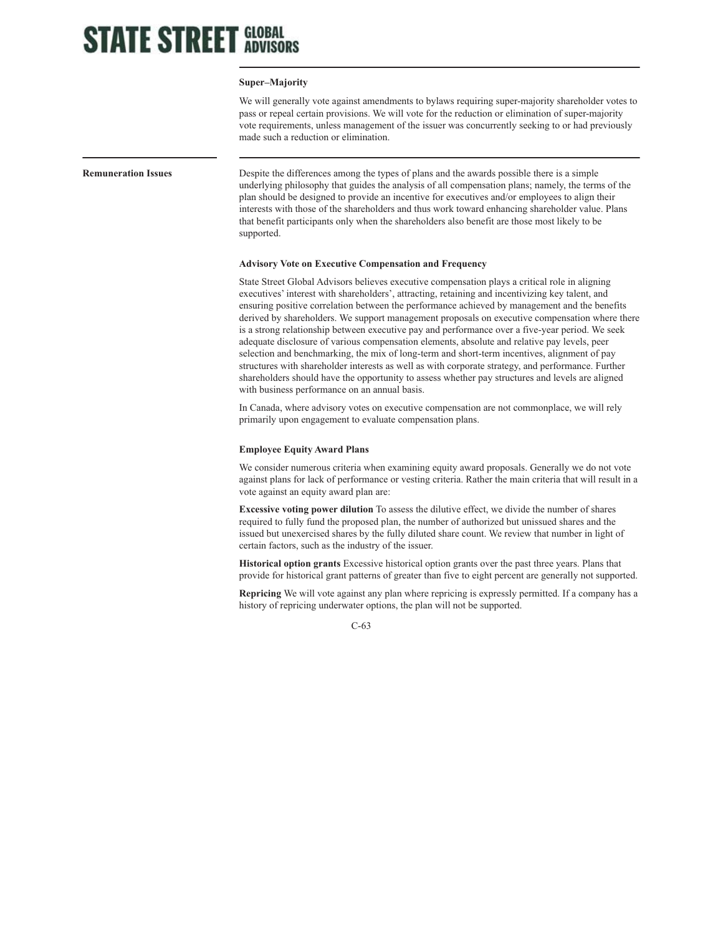### **Super–Majority**

We will generally vote against amendments to bylaws requiring super-majority shareholder votes to pass or repeal certain provisions. We will vote for the reduction or elimination of super-majority vote requirements, unless management of the issuer was concurrently seeking to or had previously made such a reduction or elimination.

### **Remuneration Issues**

Despite the differences among the types of plans and the awards possible there is a simple underlying philosophy that guides the analysis of all compensation plans; namely, the terms of the plan should be designed to provide an incentive for executives and/or employees to align their interests with those of the shareholders and thus work toward enhancing shareholder value. Plans that benefit participants only when the shareholders also benefit are those most likely to be supported.

### **Advisory Vote on Executive Compensation and Frequency**

State Street Global Advisors believes executive compensation plays a critical role in aligning executives' interest with shareholders', attracting, retaining and incentivizing key talent, and ensuring positive correlation between the performance achieved by management and the benefits derived by shareholders. We support management proposals on executive compensation where there is a strong relationship between executive pay and performance over a five-year period. We seek adequate disclosure of various compensation elements, absolute and relative pay levels, peer selection and benchmarking, the mix of long-term and short-term incentives, alignment of pay structures with shareholder interests as well as with corporate strategy, and performance. Further shareholders should have the opportunity to assess whether pay structures and levels are aligned with business performance on an annual basis.

In Canada, where advisory votes on executive compensation are not commonplace, we will rely primarily upon engagement to evaluate compensation plans.

### **Employee Equity Award Plans**

We consider numerous criteria when examining equity award proposals. Generally we do not vote against plans for lack of performance or vesting criteria. Rather the main criteria that will result in a vote against an equity award plan are:

**Excessive voting power dilution** To assess the dilutive effect, we divide the number of shares required to fully fund the proposed plan, the number of authorized but unissued shares and the issued but unexercised shares by the fully diluted share count. We review that number in light of certain factors, such as the industry of the issuer.

**Historical option grants** Excessive historical option grants over the past three years. Plans that provide for historical grant patterns of greater than five to eight percent are generally not supported.

**Repricing** We will vote against any plan where repricing is expressly permitted. If a company has a history of repricing underwater options, the plan will not be supported.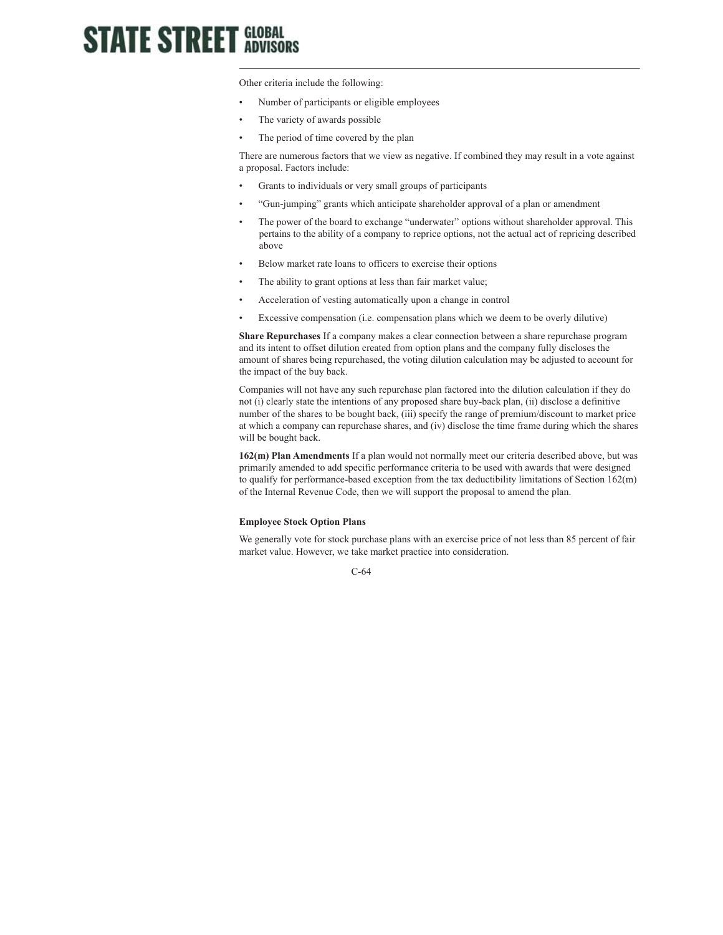Other criteria include the following:

- Number of participants or eligible employees
- The variety of awards possible
- The period of time covered by the plan

There are numerous factors that we view as negative. If combined they may result in a vote against a proposal. Factors include:

- Grants to individuals or very small groups of participants
- "Gun-jumping" grants which anticipate shareholder approval of a plan or amendment
- The power of the board to exchange "underwater" options without shareholder approval. This pertains to the ability of a company to reprice options, not the actual act of repricing described above
- Below market rate loans to officers to exercise their options
- The ability to grant options at less than fair market value;
- Acceleration of vesting automatically upon a change in control
- Excessive compensation (i.e. compensation plans which we deem to be overly dilutive)

**Share Repurchases** If a company makes a clear connection between a share repurchase program and its intent to offset dilution created from option plans and the company fully discloses the amount of shares being repurchased, the voting dilution calculation may be adjusted to account for the impact of the buy back.

Companies will not have any such repurchase plan factored into the dilution calculation if they do not (i) clearly state the intentions of any proposed share buy-back plan, (ii) disclose a definitive number of the shares to be bought back, (iii) specify the range of premium/discount to market price at which a company can repurchase shares, and (iv) disclose the time frame during which the shares will be bought back.

**162(m) Plan Amendments** If a plan would not normally meet our criteria described above, but was primarily amended to add specific performance criteria to be used with awards that were designed to qualify for performance-based exception from the tax deductibility limitations of Section 162(m) of the Internal Revenue Code, then we will support the proposal to amend the plan.

### **Employee Stock Option Plans**

We generally vote for stock purchase plans with an exercise price of not less than 85 percent of fair market value. However, we take market practice into consideration.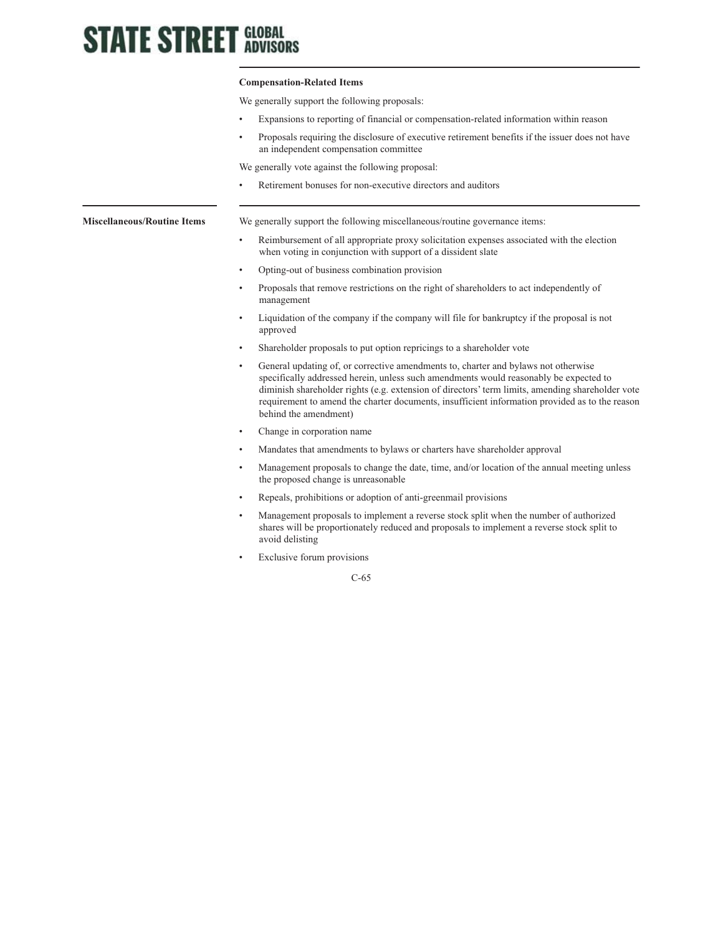### **Compensation-Related Items**

We generally support the following proposals:

- Expansions to reporting of financial or compensation-related information within reason
- Proposals requiring the disclosure of executive retirement benefits if the issuer does not have an independent compensation committee

We generally vote against the following proposal:

• Retirement bonuses for non-executive directors and auditors

| <b>Miscellaneous/Routine Items</b> | We generally support the following miscellaneous/routine governance items:                                                                                                                                                                                                                                                                                                                                              |
|------------------------------------|-------------------------------------------------------------------------------------------------------------------------------------------------------------------------------------------------------------------------------------------------------------------------------------------------------------------------------------------------------------------------------------------------------------------------|
|                                    | Reimbursement of all appropriate proxy solicitation expenses associated with the election<br>$\bullet$<br>when voting in conjunction with support of a dissident slate                                                                                                                                                                                                                                                  |
|                                    | Opting-out of business combination provision<br>$\bullet$                                                                                                                                                                                                                                                                                                                                                               |
|                                    | Proposals that remove restrictions on the right of shareholders to act independently of<br>$\bullet$<br>management                                                                                                                                                                                                                                                                                                      |
|                                    | Liquidation of the company if the company will file for bankruptcy if the proposal is not<br>$\bullet$<br>approved                                                                                                                                                                                                                                                                                                      |
|                                    | Shareholder proposals to put option repricings to a shareholder vote<br>$\bullet$                                                                                                                                                                                                                                                                                                                                       |
|                                    | General updating of, or corrective amendments to, charter and bylaws not otherwise<br>$\bullet$<br>specifically addressed herein, unless such amendments would reasonably be expected to<br>diminish shareholder rights (e.g. extension of directors' term limits, amending shareholder vote<br>requirement to amend the charter documents, insufficient information provided as to the reason<br>behind the amendment) |
|                                    | Change in corporation name<br>$\bullet$                                                                                                                                                                                                                                                                                                                                                                                 |
|                                    | Mandates that amendments to bylaws or charters have shareholder approval<br>$\bullet$                                                                                                                                                                                                                                                                                                                                   |
|                                    | Management proposals to change the date, time, and/or location of the annual meeting unless<br>$\bullet$<br>the proposed change is unreasonable                                                                                                                                                                                                                                                                         |
|                                    | Repeals, prohibitions or adoption of anti-greenmail provisions<br>$\bullet$                                                                                                                                                                                                                                                                                                                                             |
|                                    | Management proposals to implement a reverse stock split when the number of authorized<br>$\bullet$<br>shares will be proportionately reduced and proposals to implement a reverse stock split to<br>avoid delisting                                                                                                                                                                                                     |
|                                    | Exclusive forum provisions<br>$\bullet$                                                                                                                                                                                                                                                                                                                                                                                 |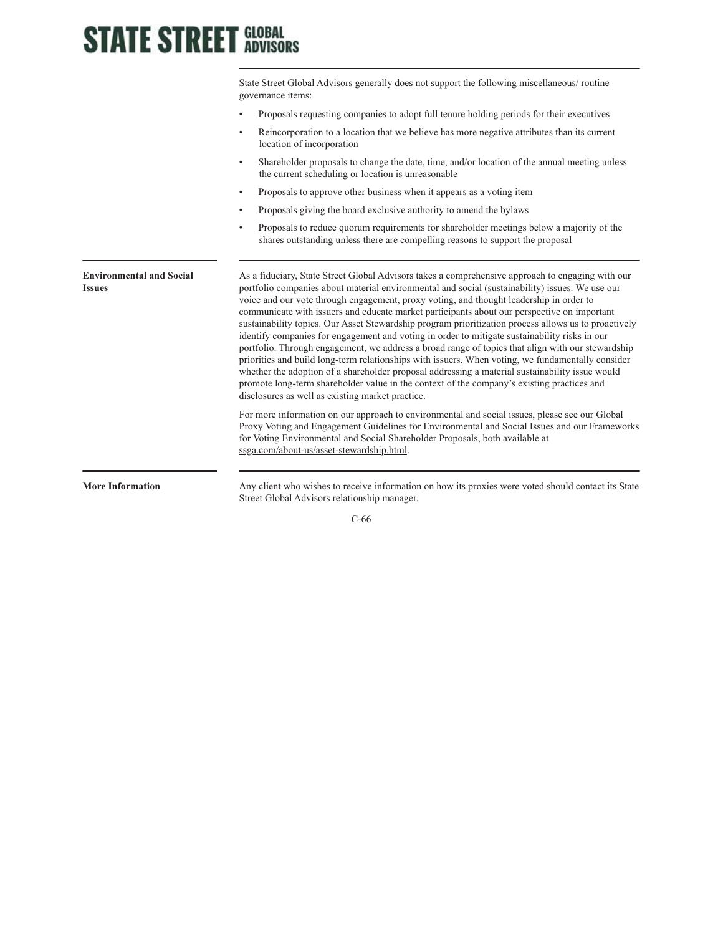|                                                  | State Street Global Advisors generally does not support the following miscellaneous/ routine<br>governance items:                                                                                                                                                                                                                                                                                                                                                                                                                                                                                                                                                                                                                                                                                                                                                                                                                                                                                                                                                     |
|--------------------------------------------------|-----------------------------------------------------------------------------------------------------------------------------------------------------------------------------------------------------------------------------------------------------------------------------------------------------------------------------------------------------------------------------------------------------------------------------------------------------------------------------------------------------------------------------------------------------------------------------------------------------------------------------------------------------------------------------------------------------------------------------------------------------------------------------------------------------------------------------------------------------------------------------------------------------------------------------------------------------------------------------------------------------------------------------------------------------------------------|
|                                                  | Proposals requesting companies to adopt full tenure holding periods for their executives                                                                                                                                                                                                                                                                                                                                                                                                                                                                                                                                                                                                                                                                                                                                                                                                                                                                                                                                                                              |
|                                                  | Reincorporation to a location that we believe has more negative attributes than its current<br>$\bullet$<br>location of incorporation                                                                                                                                                                                                                                                                                                                                                                                                                                                                                                                                                                                                                                                                                                                                                                                                                                                                                                                                 |
|                                                  | Shareholder proposals to change the date, time, and/or location of the annual meeting unless<br>$\bullet$<br>the current scheduling or location is unreasonable                                                                                                                                                                                                                                                                                                                                                                                                                                                                                                                                                                                                                                                                                                                                                                                                                                                                                                       |
|                                                  | Proposals to approve other business when it appears as a voting item<br>$\bullet$                                                                                                                                                                                                                                                                                                                                                                                                                                                                                                                                                                                                                                                                                                                                                                                                                                                                                                                                                                                     |
|                                                  | Proposals giving the board exclusive authority to amend the bylaws<br>$\bullet$                                                                                                                                                                                                                                                                                                                                                                                                                                                                                                                                                                                                                                                                                                                                                                                                                                                                                                                                                                                       |
|                                                  | Proposals to reduce quorum requirements for shareholder meetings below a majority of the<br>$\bullet$<br>shares outstanding unless there are compelling reasons to support the proposal                                                                                                                                                                                                                                                                                                                                                                                                                                                                                                                                                                                                                                                                                                                                                                                                                                                                               |
| <b>Environmental and Social</b><br><b>Issues</b> | As a fiduciary, State Street Global Advisors takes a comprehensive approach to engaging with our<br>portfolio companies about material environmental and social (sustainability) issues. We use our<br>voice and our vote through engagement, proxy voting, and thought leadership in order to<br>communicate with issuers and educate market participants about our perspective on important<br>sustainability topics. Our Asset Stewardship program prioritization process allows us to proactively<br>identify companies for engagement and voting in order to mitigate sustainability risks in our<br>portfolio. Through engagement, we address a broad range of topics that align with our stewardship<br>priorities and build long-term relationships with issuers. When voting, we fundamentally consider<br>whether the adoption of a shareholder proposal addressing a material sustainability issue would<br>promote long-term shareholder value in the context of the company's existing practices and<br>disclosures as well as existing market practice. |
|                                                  | For more information on our approach to environmental and social issues, please see our Global<br>Proxy Voting and Engagement Guidelines for Environmental and Social Issues and our Frameworks<br>for Voting Environmental and Social Shareholder Proposals, both available at<br>ssga.com/about-us/asset-stewardship.html.                                                                                                                                                                                                                                                                                                                                                                                                                                                                                                                                                                                                                                                                                                                                          |
| <b>More Information</b>                          | Any client who wishes to receive information on how its proxies were voted should contact its State                                                                                                                                                                                                                                                                                                                                                                                                                                                                                                                                                                                                                                                                                                                                                                                                                                                                                                                                                                   |

Any client who wishes to receive information on how its proxies were voted should contact its State Street Global Advisors relationship manager.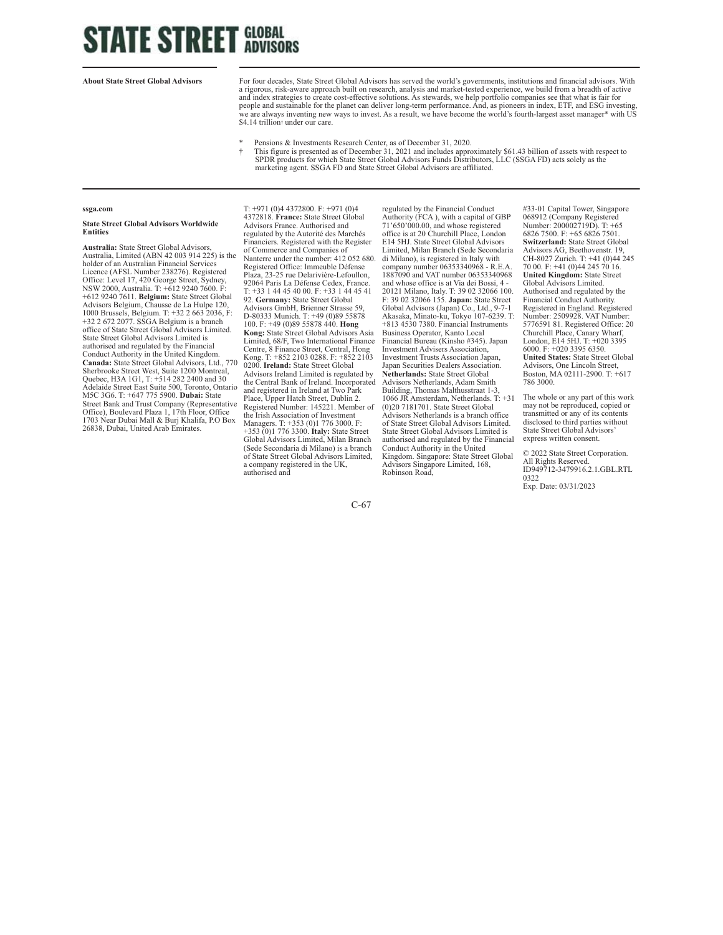**About State Street Global Advisors**

For four decades, State Street Global Advisors has served the world's governments, institutions and financial advisors. With a rigorous, risk-aware approach built on research, analysis and market-tested experience, we build from a breadth of active and index strategies to create cost-effective solutions. As stewards, we help portfolio companies see that what is fair for people and sustainable for the planet can deliver long-term performance. And, as pioneers in index, ETF, and ESG investing, we are always inventing new ways to invest. As a result, we have become the world's fourth-largest asset manager\* with US \$4.14 trillion<sup>†</sup> under our care.

- \*   Pensions & Investments Research Center, as of December 31, 2020.
- This figure is presented as of December 31, 2021 and includes approximately \$61.43 billion of assets with respect to SPDR products for which State Street Global Advisors Funds Distributors, LLC (SSGA FD) acts solely as the marketing agent. SSGA FD and State Street Global Advisors are affiliated.

#### **ssga.com**

#### **State Street Global Advisors Worldwide Entities**

**Australia:** State Street Global Advisors, Australia, Limited (ABN 42 003 914 225) is the holder of an Australian Financial Services Licence (AFSL Number 238276). Registered Office: Level 17, 420 George Street, Sydney, NSW 2000, Australia. T: +612 9240 7600. F: +612 9240 7611. **Belgium:** State Street Global Advisors Belgium, Chausse de La Hulpe 120, 1000 Brussels, Belgium. T: +32 2 663 2036, F: +32 2 672 2077. SSGA Belgium is a branch office of State Street Global Advisors Limited. State Street Global Advisors Limited is authorised and regulated by the Financial Conduct Authority in the United Kingdom. **Canada:** State Street Global Advisors, Ltd., 770 Sherbrooke Street West, Suite 1200 Montreal, Quebec, H3A 1G1, T: +514 282 2400 and 30 Adelaide Street East Suite 500, Toronto, Ontario M5C 3G6. T: +647 775 5900. **Dubai:** State Street Bank and Trust Company (Representative Office), Boulevard Plaza 1, 17th Floor, Office 1703 Near Dubai Mall & Burj Khalifa, P.O Box 26838, Dubai, United Arab Emirates.

T: +971 (0)4 4372800. F: +971 (0)4 4372818. **France:** State Street Global Advisors France. Authorised and regulated by the Autorité des Marchés Financiers. Registered with the Register of Commerce and Companies of Nanterre under the number: 412 052 680. Registered Office: Immeuble Défense Plaza, 23-25 rue Delarivière-Lefoullon, 92064 Paris La Défense Cedex, France. T: +33 1 44 45 40 00. F: +33 1 44 45 41 92. **Germany:** State Street Global Advisors GmbH, Brienner Strasse 59, D-80333 Munich. T: +49 (0)89 55878 100. F: +49 (0)89 55878 440. **Hong Kong:** State Street Global Advisors Asia Limited, 68/F, Two International Finance Centre, 8 Finance Street, Central, Hong Kong. T: +852 2103 0288. F: +852 2103 0200. **Ireland:** State Street Global Advisors Ireland Limited is regulated by the Central Bank of Ireland. Incorporated and registered in Ireland at Two Park Place, Upper Hatch Street, Dublin 2. Registered Number: 145221. Member of the Irish Association of Investment Managers. T: +353 (0)1 776 3000. F: +353 (0)1 776 3300. **Italy:** State Street Global Advisors Limited, Milan Branch (Sede Secondaria di Milano) is a branch of State Street Global Advisors Limited, a company registered in the UK, authorised and

regulated by the Financial Conduct Authority (FCA ), with a capital of GBP 71'650'000.00, and whose registered office is at 20 Churchill Place, London E14 5HJ. State Street Global Advisors Limited, Milan Branch (Sede Secondaria di Milano), is registered in Italy with company number 06353340968 - R.E.A. 1887090 and VAT number 06353340968 and whose office is at Via dei Bossi, 4 20121 Milano, Italy. T: 39 02 32066 100. F: 39 02 32066 155. **Japan:** State Street Global Advisors (Japan) Co., Ltd., 9-7-1 Akasaka, Minato-ku, Tokyo 107-6239. T: +813 4530 7380. Financial Instruments Business Operator, Kanto Local Financial Bureau (Kinsho #345). Japan Investment Advisers Association, Investment Trusts Association Japan, Japan Securities Dealers Association. **Netherlands:** State Street Global Advisors Netherlands, Adam Smith Building, Thomas Malthusstraat 1-3, 1066 JR Amsterdam, Netherlands. T: +31 (0)20 7181701. State Street Global Advisors Netherlands is a branch office of State Street Global Advisors Limited. State Street Global Advisors Limited is authorised and regulated by the Financial Conduct Authority in the United Kingdom. Singapore: State Street Global Advisors Singapore Limited, 168, Robinson Road,

#33-01 Capital Tower, Singapore 068912 (Company Registered Number: 200002719D). T: +65 6826 7500. F: +65 6826 7501. **Switzerland:** State Street Global Advisors AG, Beethovenstr. 19, CH-8027 Zurich. T: +41 (0)44 245 70 00. F: +41 (0)44 245 70 16. **United Kingdom:** State Street Global Advisors Limited. Authorised and regulated by the Financial Conduct Authority. Registered in England. Registered Number: 2509928. VAT Number: 5776591 81. Registered Office: 20 Churchill Place, Canary Wharf, London, E14 5HJ. T: +020 3395 6000. F: +020 3395 6350. **United States:** State Street Global Advisors, One Lincoln Street, Boston, MA 02111-2900. T: +617 786 3000.

The whole or any part of this work may not be reproduced, copied or transmitted or any of its contents disclosed to third parties without State Street Global Advisors' express written consent.

© 2022 State Street Corporation. All Rights Reserved. ID949712-3479916.2.1.GBL.RTL 0322 Exp. Date: 03/31/2023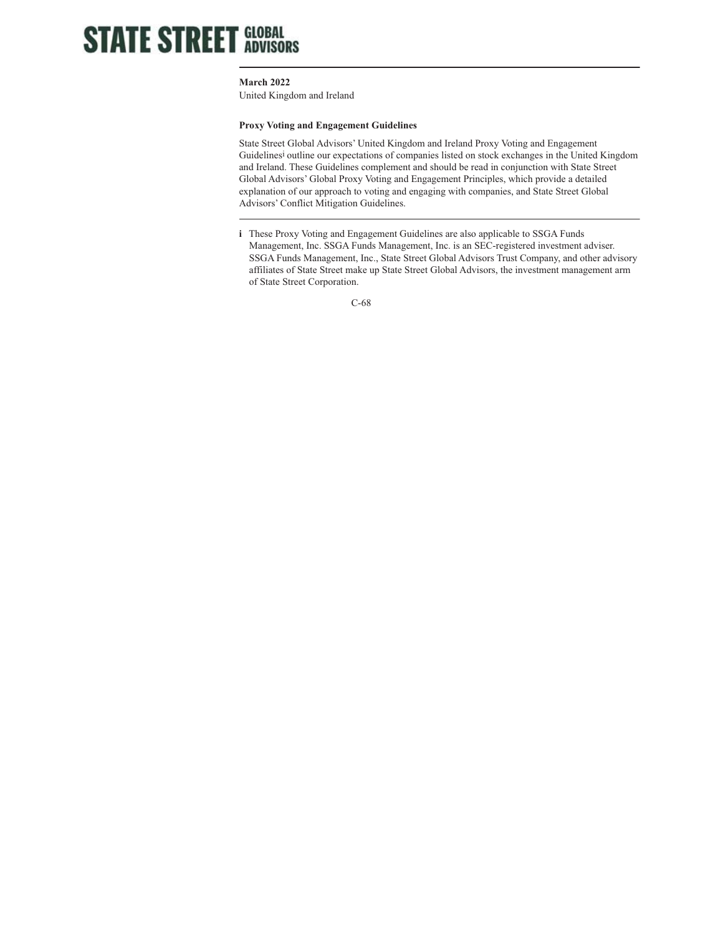**March 2022**

United Kingdom and Ireland

#### **Proxy Voting and Engagement Guidelines**

State Street Global Advisors' United Kingdom and Ireland Proxy Voting and Engagement Guidelinesi outline our expectations of companies listed on stock exchanges in the United Kingdom and Ireland. These Guidelines complement and should be read in conjunction with State Street Global Advisors' Global Proxy Voting and Engagement Principles, which provide a detailed explanation of our approach to voting and engaging with companies, and State Street Global Advisors' Conflict Mitigation Guidelines.

**i**  These Proxy Voting and Engagement Guidelines are also applicable to SSGA Funds Management, Inc. SSGA Funds Management, Inc. is an SEC-registered investment adviser. SSGA Funds Management, Inc., State Street Global Advisors Trust Company, and other advisory affiliates of State Street make up State Street Global Advisors, the investment management arm of State Street Corporation.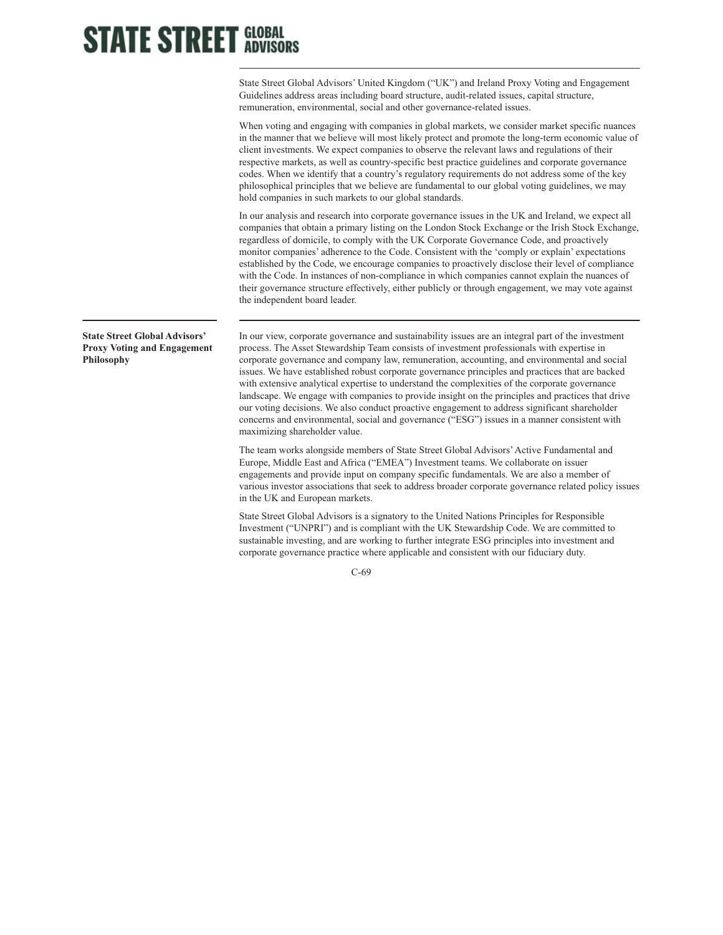State Street Global Advisors' United Kingdom ("UK") and Ireland Proxy Voting and Engagement Guidelines address areas including board structure, audit-related issues, capital structure, remuneration, environmental, social and other governance-related issues.

When voting and engaging with companies in global markets, we consider market specific nuances in the manner that we believe will most likely protect and promote the long-term economic value of client investments. We expect companies to observe the relevant laws and regulations of their respective markets, as well as country-specific best practice guidelines and corporate governance codes. When we identify that a country's regulatory requirements do not address some of the key philosophical principles that we believe are fundamental to our global voting guidelines, we may hold companies in such markets to our global standards.

In our analysis and research into corporate governance issues in the UK and Ireland, we expect all companies that obtain a primary listing on the London Stock Exchange or the Irish Stock Exchange, regardless of domicile, to comply with the UK Corporate Governance Code, and proactively monitor companies' adherence to the Code. Consistent with the 'comply or explain' expectations established by the Code, we encourage companies to proactively disclose their level of compliance with the Code. In instances of non-compliance in which companies cannot explain the nuances of their governance structure effectively, either publicly or through engagement, we may vote against the independent board leader.

**State Street Global Advisors' Proxy Voting and Engagement Philosophy**

In our view, corporate governance and sustainability issues are an integral part of the investment process. The Asset Stewardship Team consists of investment professionals with expertise in corporate governance and company law, remuneration, accounting, and environmental and social issues. We have established robust corporate governance principles and practices that are backed with extensive analytical expertise to understand the complexities of the corporate governance landscape. We engage with companies to provide insight on the principles and practices that drive our voting decisions. We also conduct proactive engagement to address significant shareholder concerns and environmental, social and governance ("ESG") issues in a manner consistent with maximizing shareholder value.

The team works alongside members of State Street Global Advisors' Active Fundamental and Europe, Middle East and Africa ("EMEA") Investment teams. We collaborate on issuer engagements and provide input on company specific fundamentals. We are also a member of various investor associations that seek to address broader corporate governance related policy issues in the UK and European markets.

State Street Global Advisors is a signatory to the United Nations Principles for Responsible Investment ("UNPRI") and is compliant with the UK Stewardship Code. We are committed to sustainable investing, and are working to further integrate ESG principles into investment and corporate governance practice where applicable and consistent with our fiduciary duty.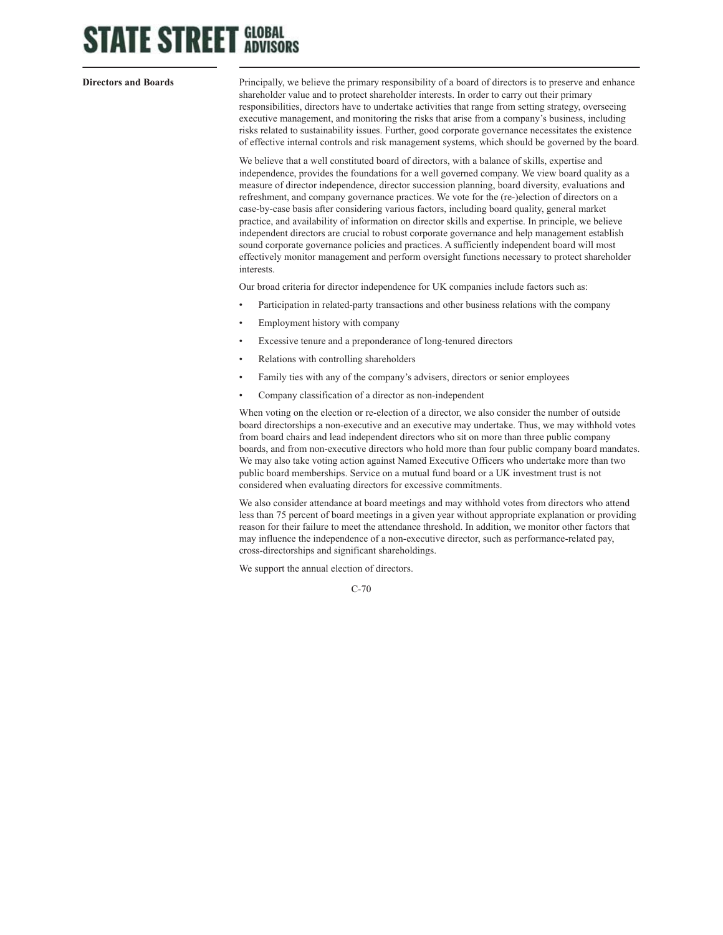# **STATE STREET SLOBAL STATE**

| <b>Directors and Boards</b> | Principally, we believe the primary responsibility of a board of directors is to preserve and enhance<br>shareholder value and to protect shareholder interests. In order to carry out their primary<br>responsibilities, directors have to undertake activities that range from setting strategy, overseeing<br>executive management, and monitoring the risks that arise from a company's business, including<br>risks related to sustainability issues. Further, good corporate governance necessitates the existence<br>of effective internal controls and risk management systems, which should be governed by the board.                                                                                                                                                                                                                                                                                                      |
|-----------------------------|-------------------------------------------------------------------------------------------------------------------------------------------------------------------------------------------------------------------------------------------------------------------------------------------------------------------------------------------------------------------------------------------------------------------------------------------------------------------------------------------------------------------------------------------------------------------------------------------------------------------------------------------------------------------------------------------------------------------------------------------------------------------------------------------------------------------------------------------------------------------------------------------------------------------------------------|
|                             | We believe that a well constituted board of directors, with a balance of skills, expertise and<br>independence, provides the foundations for a well governed company. We view board quality as a<br>measure of director independence, director succession planning, board diversity, evaluations and<br>refreshment, and company governance practices. We vote for the (re-)election of directors on a<br>case-by-case basis after considering various factors, including board quality, general market<br>practice, and availability of information on director skills and expertise. In principle, we believe<br>independent directors are crucial to robust corporate governance and help management establish<br>sound corporate governance policies and practices. A sufficiently independent board will most<br>effectively monitor management and perform oversight functions necessary to protect shareholder<br>interests. |
|                             | Our broad criteria for director independence for UK companies include factors such as:                                                                                                                                                                                                                                                                                                                                                                                                                                                                                                                                                                                                                                                                                                                                                                                                                                              |
|                             | Participation in related-party transactions and other business relations with the company<br>$\bullet$                                                                                                                                                                                                                                                                                                                                                                                                                                                                                                                                                                                                                                                                                                                                                                                                                              |
|                             | $\bullet$<br>Employment history with company                                                                                                                                                                                                                                                                                                                                                                                                                                                                                                                                                                                                                                                                                                                                                                                                                                                                                        |
|                             | Excessive tenure and a preponderance of long-tenured directors<br>$\bullet$                                                                                                                                                                                                                                                                                                                                                                                                                                                                                                                                                                                                                                                                                                                                                                                                                                                         |
|                             | Relations with controlling shareholders<br>$\bullet$                                                                                                                                                                                                                                                                                                                                                                                                                                                                                                                                                                                                                                                                                                                                                                                                                                                                                |
|                             | Family ties with any of the company's advisers, directors or senior employees<br>$\bullet$                                                                                                                                                                                                                                                                                                                                                                                                                                                                                                                                                                                                                                                                                                                                                                                                                                          |
|                             | Company classification of a director as non-independent                                                                                                                                                                                                                                                                                                                                                                                                                                                                                                                                                                                                                                                                                                                                                                                                                                                                             |
|                             | When voting on the election or re-election of a director, we also consider the number of outside<br>board directorships a non-executive and an executive may undertake. Thus, we may withhold votes<br>from board chairs and lead independent directors who sit on more than three public company<br>boards, and from non-executive directors who hold more than four public company board mandates.<br>We may also take voting action against Named Executive Officers who undertake more than two<br>public board memberships. Service on a mutual fund board or a UK investment trust is not<br>considered when evaluating directors for excessive commitments.                                                                                                                                                                                                                                                                  |
|                             | We also consider attendance at board meetings and may withhold votes from directors who attend<br>less than 75 percent of board meetings in a given year without appropriate explanation or providing<br>reason for their failure to meet the attendance threshold. In addition, we monitor other factors that<br>may influence the independence of a non-executive director, such as performance-related pay,<br>cross-directorships and significant shareholdings.                                                                                                                                                                                                                                                                                                                                                                                                                                                                |
|                             | We support the annual election of directors.                                                                                                                                                                                                                                                                                                                                                                                                                                                                                                                                                                                                                                                                                                                                                                                                                                                                                        |
|                             | $C-70$                                                                                                                                                                                                                                                                                                                                                                                                                                                                                                                                                                                                                                                                                                                                                                                                                                                                                                                              |
|                             |                                                                                                                                                                                                                                                                                                                                                                                                                                                                                                                                                                                                                                                                                                                                                                                                                                                                                                                                     |
|                             |                                                                                                                                                                                                                                                                                                                                                                                                                                                                                                                                                                                                                                                                                                                                                                                                                                                                                                                                     |
|                             |                                                                                                                                                                                                                                                                                                                                                                                                                                                                                                                                                                                                                                                                                                                                                                                                                                                                                                                                     |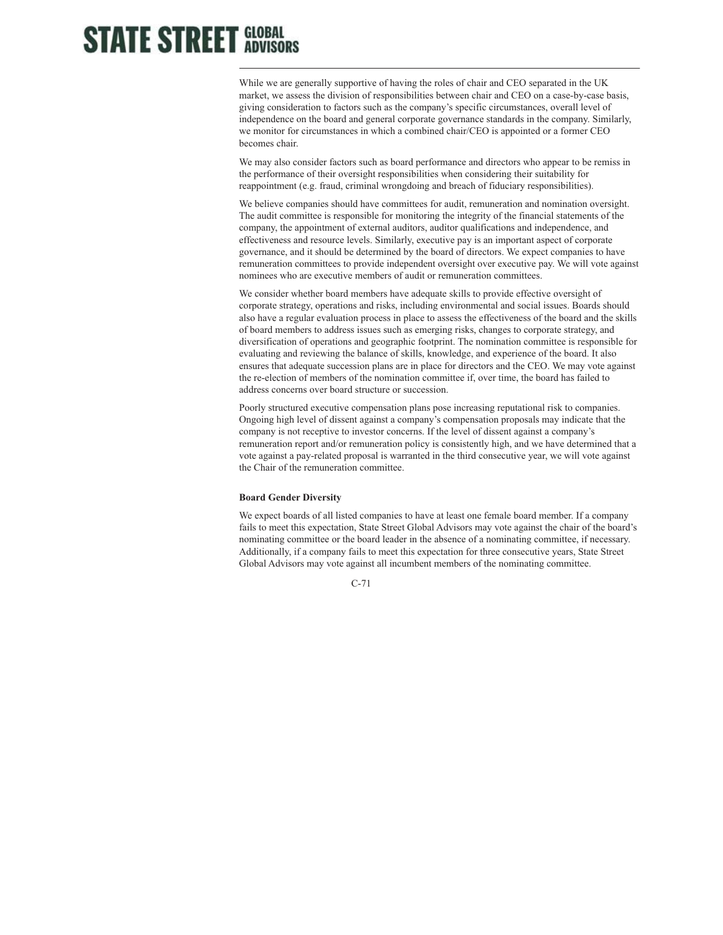While we are generally supportive of having the roles of chair and CEO separated in the UK market, we assess the division of responsibilities between chair and CEO on a case-by-case basis, giving consideration to factors such as the company's specific circumstances, overall level of independence on the board and general corporate governance standards in the company. Similarly, we monitor for circumstances in which a combined chair/CEO is appointed or a former CEO becomes chair.

We may also consider factors such as board performance and directors who appear to be remiss in the performance of their oversight responsibilities when considering their suitability for reappointment (e.g. fraud, criminal wrongdoing and breach of fiduciary responsibilities).

We believe companies should have committees for audit, remuneration and nomination oversight. The audit committee is responsible for monitoring the integrity of the financial statements of the company, the appointment of external auditors, auditor qualifications and independence, and effectiveness and resource levels. Similarly, executive pay is an important aspect of corporate governance, and it should be determined by the board of directors. We expect companies to have remuneration committees to provide independent oversight over executive pay. We will vote against nominees who are executive members of audit or remuneration committees.

We consider whether board members have adequate skills to provide effective oversight of corporate strategy, operations and risks, including environmental and social issues. Boards should also have a regular evaluation process in place to assess the effectiveness of the board and the skills of board members to address issues such as emerging risks, changes to corporate strategy, and diversification of operations and geographic footprint. The nomination committee is responsible for evaluating and reviewing the balance of skills, knowledge, and experience of the board. It also ensures that adequate succession plans are in place for directors and the CEO. We may vote against the re-election of members of the nomination committee if, over time, the board has failed to address concerns over board structure or succession.

Poorly structured executive compensation plans pose increasing reputational risk to companies. Ongoing high level of dissent against a company's compensation proposals may indicate that the company is not receptive to investor concerns. If the level of dissent against a company's remuneration report and/or remuneration policy is consistently high, and we have determined that a vote against a pay-related proposal is warranted in the third consecutive year, we will vote against the Chair of the remuneration committee.

#### **Board Gender Diversity**

We expect boards of all listed companies to have at least one female board member. If a company fails to meet this expectation, State Street Global Advisors may vote against the chair of the board's nominating committee or the board leader in the absence of a nominating committee, if necessary. Additionally, if a company fails to meet this expectation for three consecutive years, State Street Global Advisors may vote against all incumbent members of the nominating committee.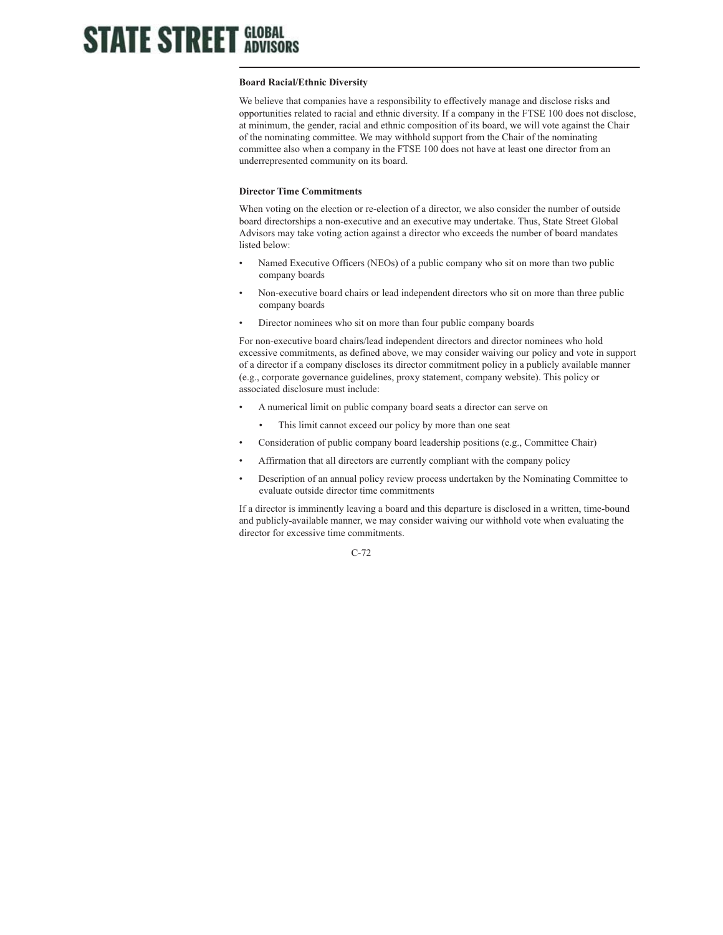#### **Board Racial/Ethnic Diversity**

We believe that companies have a responsibility to effectively manage and disclose risks and opportunities related to racial and ethnic diversity. If a company in the FTSE 100 does not disclose, at minimum, the gender, racial and ethnic composition of its board, we will vote against the Chair of the nominating committee. We may withhold support from the Chair of the nominating committee also when a company in the FTSE 100 does not have at least one director from an underrepresented community on its board.

#### **Director Time Commitments**

When voting on the election or re-election of a director, we also consider the number of outside board directorships a non-executive and an executive may undertake. Thus, State Street Global Advisors may take voting action against a director who exceeds the number of board mandates listed below:

- Named Executive Officers (NEOs) of a public company who sit on more than two public company boards
- Non-executive board chairs or lead independent directors who sit on more than three public company boards
- Director nominees who sit on more than four public company boards

For non-executive board chairs/lead independent directors and director nominees who hold excessive commitments, as defined above, we may consider waiving our policy and vote in support of a director if a company discloses its director commitment policy in a publicly available manner (e.g., corporate governance guidelines, proxy statement, company website). This policy or associated disclosure must include:

- A numerical limit on public company board seats a director can serve on
	- This limit cannot exceed our policy by more than one seat
- Consideration of public company board leadership positions (e.g., Committee Chair)
- Affirmation that all directors are currently compliant with the company policy
- Description of an annual policy review process undertaken by the Nominating Committee to evaluate outside director time commitments

If a director is imminently leaving a board and this departure is disclosed in a written, time-bound and publicly-available manner, we may consider waiving our withhold vote when evaluating the director for excessive time commitments.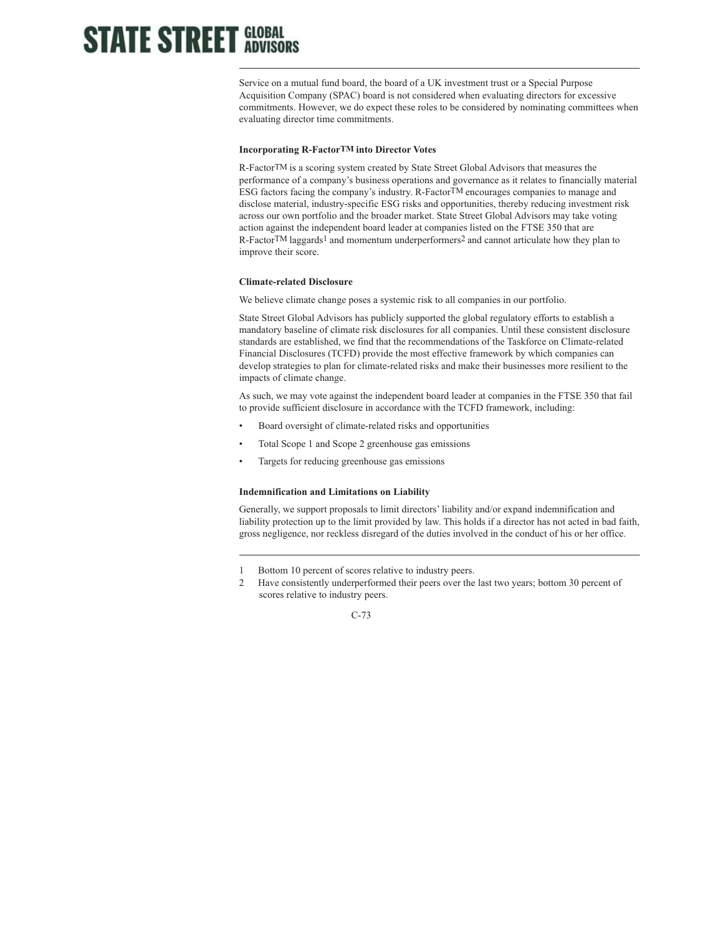Service on a mutual fund board, the board of a UK investment trust or a Special Purpose Acquisition Company (SPAC) board is not considered when evaluating directors for excessive commitments. However, we do expect these roles to be considered by nominating committees when evaluating director time commitments.

#### **Incorporating R-FactorTM into Director Votes**

R-FactorTM is a scoring system created by State Street Global Advisors that measures the performance of a company's business operations and governance as it relates to financially material ESG factors facing the company's industry. R-FactorTM encourages companies to manage and disclose material, industry-specific ESG risks and opportunities, thereby reducing investment risk across our own portfolio and the broader market. State Street Global Advisors may take voting action against the independent board leader at companies listed on the FTSE 350 that are R-FactorTM laggards1 and momentum underperformers2 and cannot articulate how they plan to improve their score.

#### **Climate-related Disclosure**

We believe climate change poses a systemic risk to all companies in our portfolio.

State Street Global Advisors has publicly supported the global regulatory efforts to establish a mandatory baseline of climate risk disclosures for all companies. Until these consistent disclosure standards are established, we find that the recommendations of the Taskforce on Climate-related Financial Disclosures (TCFD) provide the most effective framework by which companies can develop strategies to plan for climate-related risks and make their businesses more resilient to the impacts of climate change.

As such, we may vote against the independent board leader at companies in the FTSE 350 that fail to provide sufficient disclosure in accordance with the TCFD framework, including:

- Board oversight of climate-related risks and opportunities
- Total Scope 1 and Scope 2 greenhouse gas emissions
- Targets for reducing greenhouse gas emissions

#### **Indemnification and Limitations on Liability**

Generally, we support proposals to limit directors' liability and/or expand indemnification and liability protection up to the limit provided by law. This holds if a director has not acted in bad faith, gross negligence, nor reckless disregard of the duties involved in the conduct of his or her office.

2   Have consistently underperformed their peers over the last two years; bottom 30 percent of scores relative to industry peers.

 <sup>1</sup>Bottom 10 percent of scores relative to industry peers.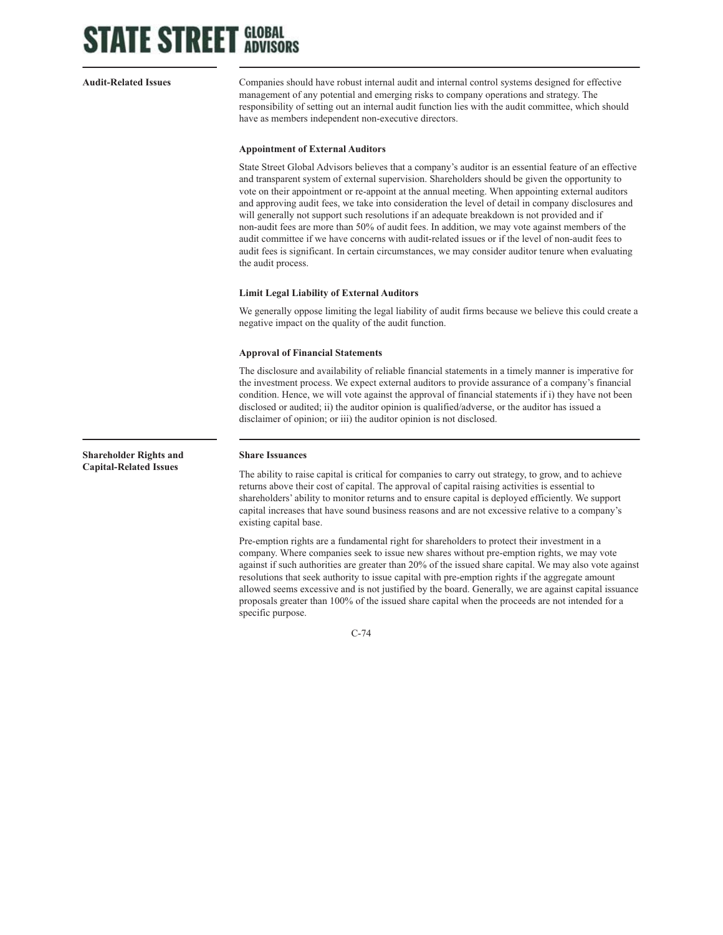#### **Audit-Related Issues**

**Shareholder Rights and Capital-Related Issues**

Companies should have robust internal audit and internal control systems designed for effective management of any potential and emerging risks to company operations and strategy. The responsibility of setting out an internal audit function lies with the audit committee, which should have as members independent non-executive directors.

#### **Appointment of External Auditors**

State Street Global Advisors believes that a company's auditor is an essential feature of an effective and transparent system of external supervision. Shareholders should be given the opportunity to vote on their appointment or re-appoint at the annual meeting. When appointing external auditors and approving audit fees, we take into consideration the level of detail in company disclosures and will generally not support such resolutions if an adequate breakdown is not provided and if non-audit fees are more than 50% of audit fees. In addition, we may vote against members of the audit committee if we have concerns with audit-related issues or if the level of non-audit fees to audit fees is significant. In certain circumstances, we may consider auditor tenure when evaluating the audit process.

#### **Limit Legal Liability of External Auditors**

We generally oppose limiting the legal liability of audit firms because we believe this could create a negative impact on the quality of the audit function.

#### **Approval of Financial Statements**

The disclosure and availability of reliable financial statements in a timely manner is imperative for the investment process. We expect external auditors to provide assurance of a company's financial condition. Hence, we will vote against the approval of financial statements if i) they have not been disclosed or audited; ii) the auditor opinion is qualified/adverse, or the auditor has issued a disclaimer of opinion; or iii) the auditor opinion is not disclosed.

**Share Issuances**

The ability to raise capital is critical for companies to carry out strategy, to grow, and to achieve returns above their cost of capital. The approval of capital raising activities is essential to shareholders' ability to monitor returns and to ensure capital is deployed efficiently. We support capital increases that have sound business reasons and are not excessive relative to a company's existing capital base.

Pre-emption rights are a fundamental right for shareholders to protect their investment in a company. Where companies seek to issue new shares without pre-emption rights, we may vote against if such authorities are greater than 20% of the issued share capital. We may also vote against resolutions that seek authority to issue capital with pre-emption rights if the aggregate amount allowed seems excessive and is not justified by the board. Generally, we are against capital issuance proposals greater than 100% of the issued share capital when the proceeds are not intended for a specific purpose.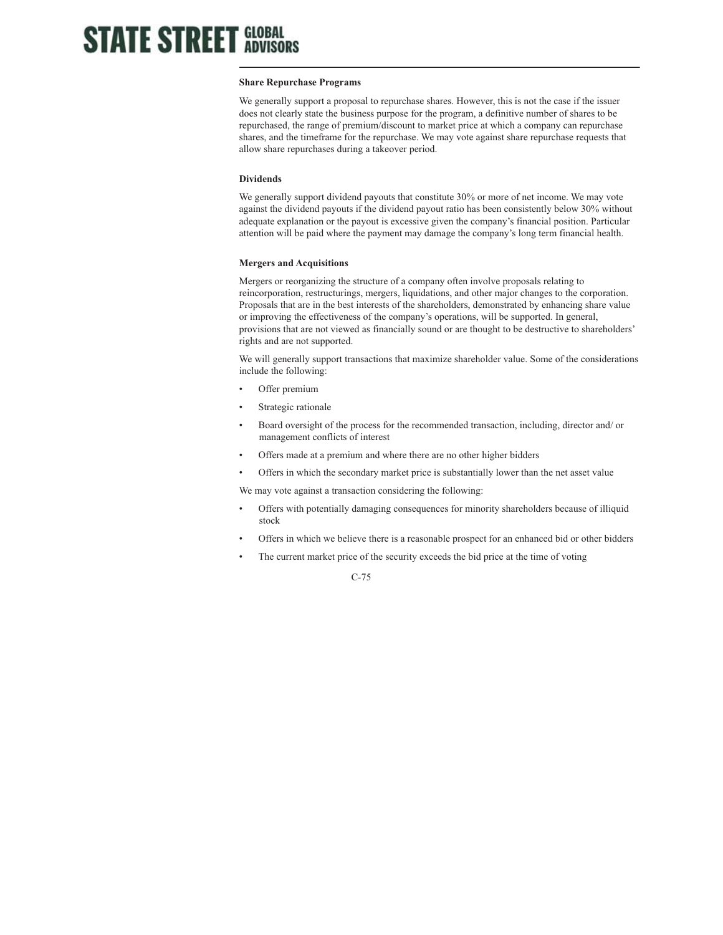#### **Share Repurchase Programs**

We generally support a proposal to repurchase shares. However, this is not the case if the issuer does not clearly state the business purpose for the program, a definitive number of shares to be repurchased, the range of premium/discount to market price at which a company can repurchase shares, and the timeframe for the repurchase. We may vote against share repurchase requests that allow share repurchases during a takeover period.

#### **Dividends**

We generally support dividend payouts that constitute 30% or more of net income. We may vote against the dividend payouts if the dividend payout ratio has been consistently below 30% without adequate explanation or the payout is excessive given the company's financial position. Particular attention will be paid where the payment may damage the company's long term financial health.

#### **Mergers and Acquisitions**

Mergers or reorganizing the structure of a company often involve proposals relating to reincorporation, restructurings, mergers, liquidations, and other major changes to the corporation. Proposals that are in the best interests of the shareholders, demonstrated by enhancing share value or improving the effectiveness of the company's operations, will be supported. In general, provisions that are not viewed as financially sound or are thought to be destructive to shareholders' rights and are not supported.

We will generally support transactions that maximize shareholder value. Some of the considerations include the following:

- Offer premium
- Strategic rationale
- Board oversight of the process for the recommended transaction, including, director and/ or management conflicts of interest
- Offers made at a premium and where there are no other higher bidders
- Offers in which the secondary market price is substantially lower than the net asset value

We may vote against a transaction considering the following:

- Offers with potentially damaging consequences for minority shareholders because of illiquid stock
- Offers in which we believe there is a reasonable prospect for an enhanced bid or other bidders
- The current market price of the security exceeds the bid price at the time of voting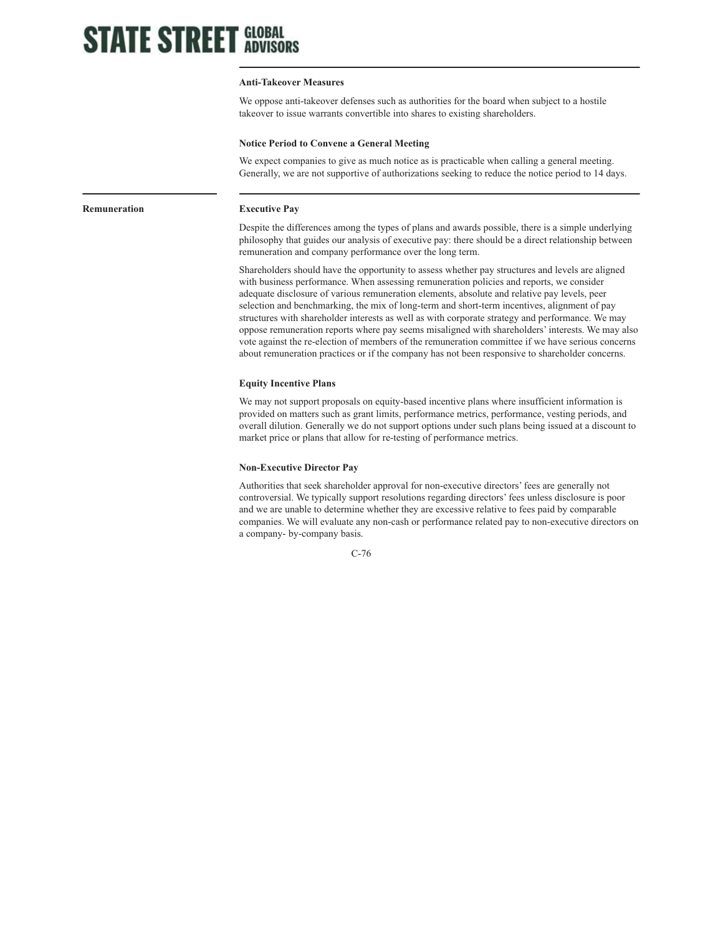#### **Anti-Takeover Measures**

We oppose anti-takeover defenses such as authorities for the board when subject to a hostile takeover to issue warrants convertible into shares to existing shareholders.

#### **Notice Period to Convene a General Meeting**

We expect companies to give as much notice as is practicable when calling a general meeting. Generally, we are not supportive of authorizations seeking to reduce the notice period to 14 days.

#### **Remuneration Executive Pay**

Despite the differences among the types of plans and awards possible, there is a simple underlying philosophy that guides our analysis of executive pay: there should be a direct relationship between remuneration and company performance over the long term.

Shareholders should have the opportunity to assess whether pay structures and levels are aligned with business performance. When assessing remuneration policies and reports, we consider adequate disclosure of various remuneration elements, absolute and relative pay levels, peer selection and benchmarking, the mix of long-term and short-term incentives, alignment of pay structures with shareholder interests as well as with corporate strategy and performance. We may oppose remuneration reports where pay seems misaligned with shareholders' interests. We may also vote against the re-election of members of the remuneration committee if we have serious concerns about remuneration practices or if the company has not been responsive to shareholder concerns.

#### **Equity Incentive Plans**

We may not support proposals on equity-based incentive plans where insufficient information is provided on matters such as grant limits, performance metrics, performance, vesting periods, and overall dilution. Generally we do not support options under such plans being issued at a discount to market price or plans that allow for re-testing of performance metrics.

#### **Non-Executive Director Pay**

Authorities that seek shareholder approval for non-executive directors' fees are generally not controversial. We typically support resolutions regarding directors' fees unless disclosure is poor and we are unable to determine whether they are excessive relative to fees paid by comparable companies. We will evaluate any non-cash or performance related pay to non-executive directors on a company- by-company basis.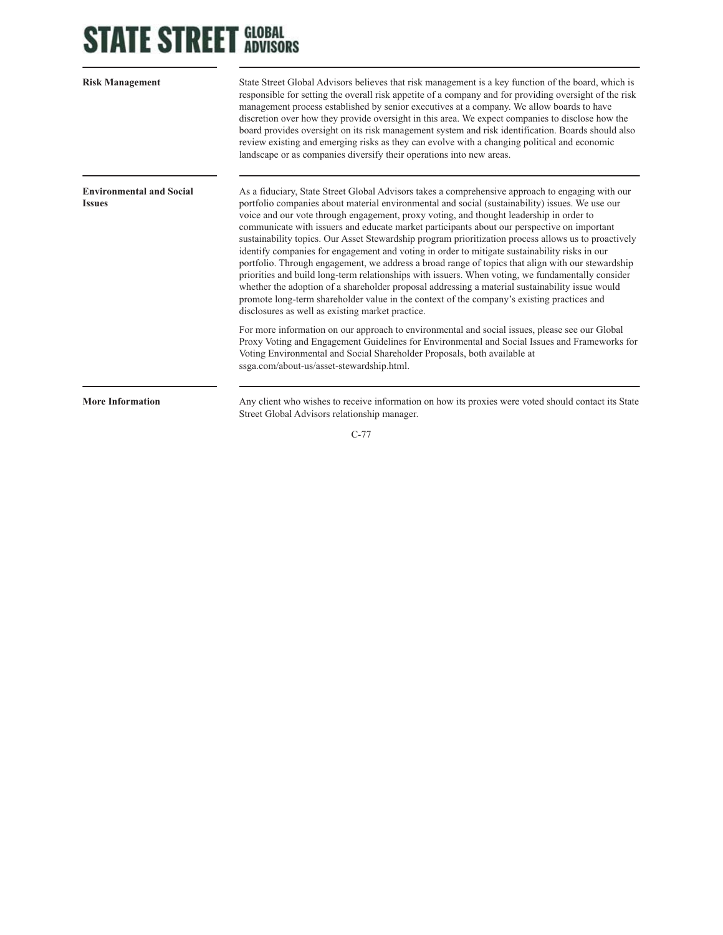| <b>Risk Management</b>                           | State Street Global Advisors believes that risk management is a key function of the board, which is<br>responsible for setting the overall risk appetite of a company and for providing oversight of the risk<br>management process established by senior executives at a company. We allow boards to have<br>discretion over how they provide oversight in this area. We expect companies to disclose how the<br>board provides oversight on its risk management system and risk identification. Boards should also<br>review existing and emerging risks as they can evolve with a changing political and economic<br>landscape or as companies diversify their operations into new areas.                                                                                                                                                                                                                                                                                                                                                                          |
|--------------------------------------------------|-----------------------------------------------------------------------------------------------------------------------------------------------------------------------------------------------------------------------------------------------------------------------------------------------------------------------------------------------------------------------------------------------------------------------------------------------------------------------------------------------------------------------------------------------------------------------------------------------------------------------------------------------------------------------------------------------------------------------------------------------------------------------------------------------------------------------------------------------------------------------------------------------------------------------------------------------------------------------------------------------------------------------------------------------------------------------|
| <b>Environmental and Social</b><br><b>Issues</b> | As a fiduciary, State Street Global Advisors takes a comprehensive approach to engaging with our<br>portfolio companies about material environmental and social (sustainability) issues. We use our<br>voice and our vote through engagement, proxy voting, and thought leadership in order to<br>communicate with issuers and educate market participants about our perspective on important<br>sustainability topics. Our Asset Stewardship program prioritization process allows us to proactively<br>identify companies for engagement and voting in order to mitigate sustainability risks in our<br>portfolio. Through engagement, we address a broad range of topics that align with our stewardship<br>priorities and build long-term relationships with issuers. When voting, we fundamentally consider<br>whether the adoption of a shareholder proposal addressing a material sustainability issue would<br>promote long-term shareholder value in the context of the company's existing practices and<br>disclosures as well as existing market practice. |
|                                                  | For more information on our approach to environmental and social issues, please see our Global<br>Proxy Voting and Engagement Guidelines for Environmental and Social Issues and Frameworks for<br>Voting Environmental and Social Shareholder Proposals, both available at<br>ssga.com/about-us/asset-stewardship.html.                                                                                                                                                                                                                                                                                                                                                                                                                                                                                                                                                                                                                                                                                                                                              |
| <b>More Information</b>                          | Any client who wishes to receive information on how its proxies were voted should contact its State                                                                                                                                                                                                                                                                                                                                                                                                                                                                                                                                                                                                                                                                                                                                                                                                                                                                                                                                                                   |

C-77

Street Global Advisors relationship manager.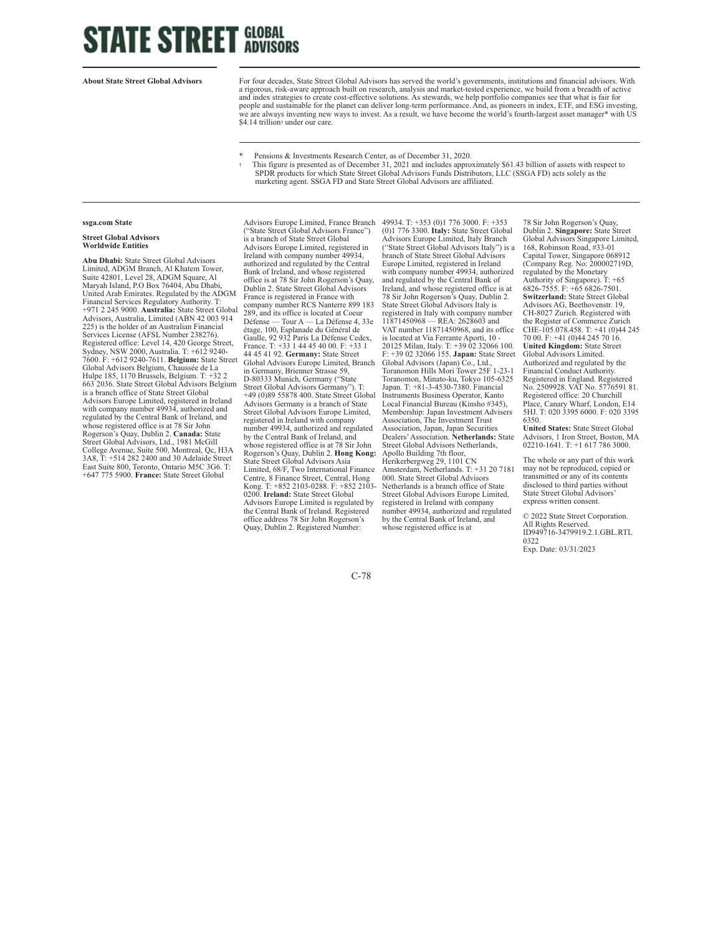**About State Street Global Advisors**

For four decades, State Street Global Advisors has served the world's governments, institutions and financial advisors. With a rigorous, risk-aware approach built on research, analysis and market-tested experience, we build from a breadth of active and index strategies to create cost-effective solutions. As stewards, we help portfolio companies see that what is fair for people and sustainable for the planet can deliver long-term performance. And, as pioneers in index, ETF, and ESG investing, we are always inventing new ways to invest. As a result, we have become the world's fourth-largest asset manager\* with US \$4.14 trillion<sup>†</sup> under our care.

\*   Pensions & Investments Research Center, as of December 31, 2020.

†  This figure is presented as of December 31, 2021 and includes approximately \$61.43 billion of assets with respect to SPDR products for which State Street Global Advisors Funds Distributors, LLC (SSGA FD) acts solely as the marketing agent. SSGA FD and State Street Global Advisors are affiliated.

#### **ssga.com State**

#### **Street Global Advisors Worldwide Entities**

**Abu Dhabi:** State Street Global Advisors Limited, ADGM Branch, Al Khatem Tower, Suite 42801, Level 28, ADGM Square, Al Maryah Island, P.O Box 76404, Abu Dhabi, United Arab Emirates. Regulated by the ADGM Financial Services Regulatory Authority. T: +971 2 245 9000. **Australia:** State Street Global Advisors, Australia, Limited (ABN 42 003 914 225) is the holder of an Australian Financial Services License (AFSL Number 238276). Registered office: Level 14, 420 George Street, Sydney, NSW 2000, Australia. T: +612 9240- 7600. F: +612 9240-7611. **Belgium:** State Street Global Advisors Belgium, Chaussée de La Hulpe 185, 1170 Brussels, Belgium. T: +32 2 663 2036. State Street Global Advisors Belgium is a branch office of State Street Global Advisors Europe Limited, registered in Ireland with company number 49934, authorized and regulated by the Central Bank of Ireland, and whose registered office is at 78 Sir John Rogerson's Quay, Dublin 2. **Canada:** State Street Global Advisors, Ltd., 1981 McGill College Avenue, Suite 500, Montreal, Qc, H3A 3A8, T: +514 282 2400 and 30 Adelaide Street East Suite 800, Toronto, Ontario M5C 3G6. T: +647 775 5900. **France:** State Street Global

("State Street Global Advisors France") is a branch of State Street Global Advisors Europe Limited, registered in Ireland with company number 49934, authorized and regulated by the Central Bank of Ireland, and whose registered office is at 78 Sir John Rogerson's Quay, Dublin 2. State Street Global Advisors France is registered in France with company number RCS Nanterre 899 183 289, and its office is located at Coeur Défense — Tour A — La Défense 4, 33e étage, 100, Esplanade du Général de Gaulle, 92 932 Paris La Défense Cedex, France. T: +33 1 44 45 40 00. F: +33 1 44 45 41 92. **Germany:** State Street Global Advisors Europe Limited, Branch in Germany, Brienner Strasse 59, D-80333 Munich, Germany ("State Street Global Advisors Germany"). T: +49 (0)89 55878 400. State Street Global Advisors Germany is a branch of State Street Global Advisors Europe Limited, registered in Ireland with company number 49934, authorized and regulated by the Central Bank of Ireland, and whose registered office is at 78 Sir John Rogerson's Quay, Dublin 2. **Hong Kong:** State Street Global Advisors Asia Limited, 68/F, Two International Finance Centre, 8 Finance Street, Central, Hong Kong. T: +852 2103-0288. F: +852 2103- 0200. **Ireland:** State Street Global Advisors Europe Limited is regulated by the Central Bank of Ireland. Registered office address 78 Sir John Rogerson's Quay, Dublin 2. Registered Number:

Advisors Europe Limited, France Branch 49934. T: +353 (0)1 776 3000. F: +353 (0)1 776 3300. **Italy:** State Street Global Advisors Europe Limited, Italy Branch ("State Street Global Advisors Italy") is a branch of State Street Global Advisors Europe Limited, registered in Ireland with company number 49934, authorized and regulated by the Central Bank of Ireland, and whose registered office is at 78 Sir John Rogerson's Quay, Dublin 2. State Street Global Advisors Italy is registered in Italy with company number 11871450968 — REA: 2628603 and VAT number 11871450968, and its office is located at Via Ferrante Aporti, 10 - 20125 Milan, Italy. T: +39 02 32066 100. F: +39 02 32066 155. **Japan:** State Street Global Advisors (Japan) Co., Ltd., Toranomon Hills Mori Tower 25F 1-23-1 Toranomon, Minato-ku, Tokyo 105-6325 Japan. T: +81-3-4530-7380. Financial Instruments Business Operator, Kanto Local Financial Bureau (Kinsho #345), Membership: Japan Investment Advisers Association, The Investment Trust Association, Japan, Japan Securities Dealers' Association. **Netherlands:** State Street Global Advisors Netherlands, Apollo Building 7th floor, Herikerbergweg 29, 1101 CN Amsterdam, Netherlands. T: +31 20 7181 000. State Street Global Advisors Netherlands is a branch office of State Street Global Advisors Europe Limited, registered in Ireland with company number 49934, authorized and regulated by the Central Bank of Ireland, and whose registered office is at

78 Sir John Rogerson's Quay, Dublin 2. **Singapore:** State Street Global Advisors Singapore Limited, 168, Robinson Road, #33-01 Capital Tower, Singapore 068912 (Company Reg. No: 200002719D, regulated by the Monetary Authority of Singapore). T: +65 6826-7555. F: +65 6826-7501. **Switzerland:** State Street Global Advisors AG, Beethovenstr. 19, CH-8027 Zurich. Registered with the Register of Commerce Zurich CHE-105.078.458. T: +41 (0)44 245 70 00. F: +41 (0)44 245 70 16. **United Kingdom:** State Street Global Advisors Limited. Authorized and regulated by the Financial Conduct Authority. Registered in England. Registered No. 2509928. VAT No. 5776591 81. Registered office: 20 Churchill Place, Canary Wharf, London, E14 5HJ. T: 020 3395 6000. F: 020 3395 6350. **United States:** State Street Global

Advisors, 1 Iron Street, Boston, MA 02210-1641. T: +1 617 786 3000.

The whole or any part of this work may not be reproduced, copied or transmitted or any of its contents disclosed to third parties without State Street Global Advisors' express written consent.

© 2022 State Street Corporation. All Rights Reserved. ID949716-3479919.2.1.GBL.RTL 0322 Exp. Date: 03/31/2023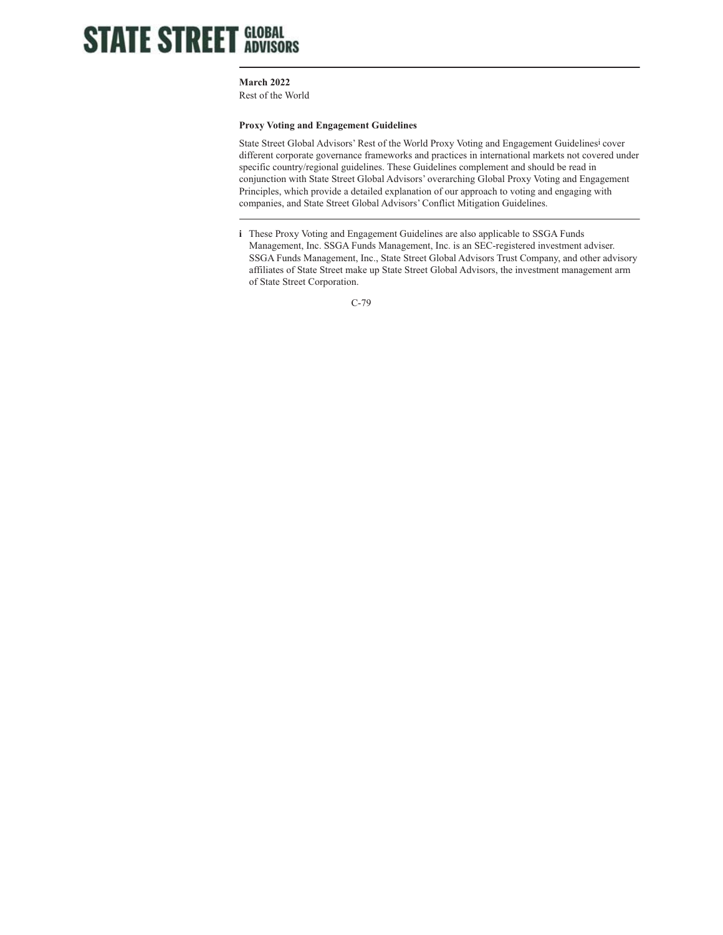**March 2022** Rest of the World

#### **Proxy Voting and Engagement Guidelines**

State Street Global Advisors' Rest of the World Proxy Voting and Engagement Guidelinesi cover different corporate governance frameworks and practices in international markets not covered under specific country/regional guidelines. These Guidelines complement and should be read in conjunction with State Street Global Advisors' overarching Global Proxy Voting and Engagement Principles, which provide a detailed explanation of our approach to voting and engaging with companies, and State Street Global Advisors' Conflict Mitigation Guidelines.

**i**  These Proxy Voting and Engagement Guidelines are also applicable to SSGA Funds Management, Inc. SSGA Funds Management, Inc. is an SEC-registered investment adviser. SSGA Funds Management, Inc., State Street Global Advisors Trust Company, and other advisory affiliates of State Street make up State Street Global Advisors, the investment management arm of State Street Corporation.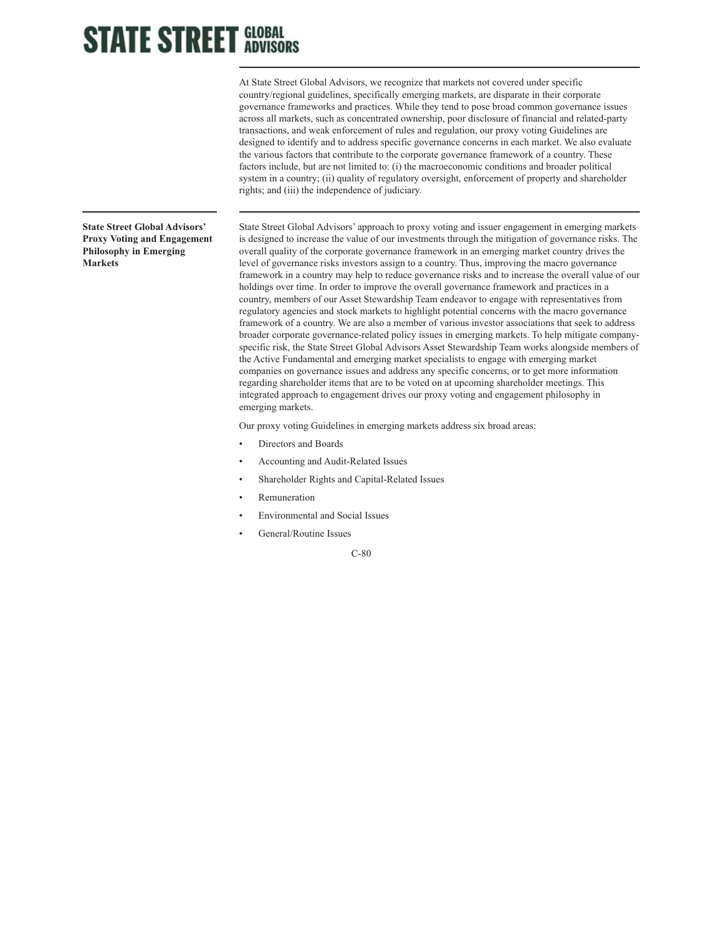At State Street Global Advisors, we recognize that markets not covered under specific country/regional guidelines, specifically emerging markets, are disparate in their corporate governance frameworks and practices. While they tend to pose broad common governance issues across all markets, such as concentrated ownership, poor disclosure of financial and related-party transactions, and weak enforcement of rules and regulation, our proxy voting Guidelines are designed to identify and to address specific governance concerns in each market. We also evaluate the various factors that contribute to the corporate governance framework of a country. These factors include, but are not limited to: (i) the macroeconomic conditions and broader political system in a country; (ii) quality of regulatory oversight, enforcement of property and shareholder rights; and (iii) the independence of judiciary.

**State Street Global Advisors' Proxy Voting and Engagement Philosophy in Emerging Markets**

State Street Global Advisors' approach to proxy voting and issuer engagement in emerging markets is designed to increase the value of our investments through the mitigation of governance risks. The overall quality of the corporate governance framework in an emerging market country drives the level of governance risks investors assign to a country. Thus, improving the macro governance framework in a country may help to reduce governance risks and to increase the overall value of our holdings over time. In order to improve the overall governance framework and practices in a country, members of our Asset Stewardship Team endeavor to engage with representatives from regulatory agencies and stock markets to highlight potential concerns with the macro governance framework of a country. We are also a member of various investor associations that seek to address broader corporate governance-related policy issues in emerging markets. To help mitigate companyspecific risk, the State Street Global Advisors Asset Stewardship Team works alongside members of the Active Fundamental and emerging market specialists to engage with emerging market companies on governance issues and address any specific concerns, or to get more information regarding shareholder items that are to be voted on at upcoming shareholder meetings. This integrated approach to engagement drives our proxy voting and engagement philosophy in emerging markets.

Our proxy voting Guidelines in emerging markets address six broad areas:

- Directors and Boards
- Accounting and Audit-Related Issues
- Shareholder Rights and Capital-Related Issues
- **Remuneration**
- Environmental and Social Issues
- General/Routine Issues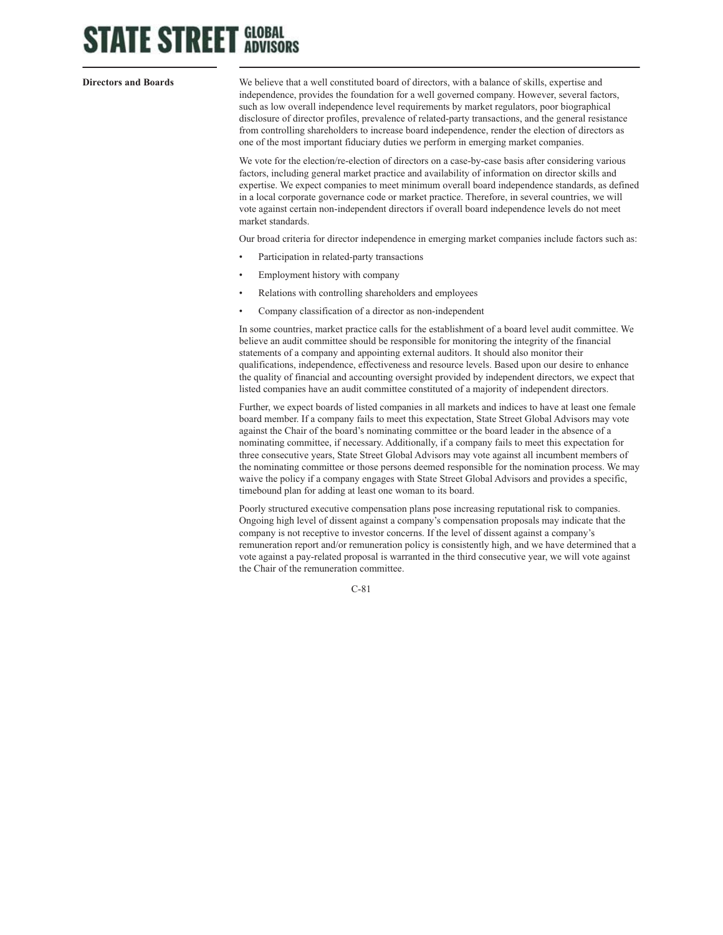| <b>Directors and Boards</b> | We believe that a well constituted board of directors, with a balance of skills, expertise and<br>independence, provides the foundation for a well governed company. However, several factors,<br>such as low overall independence level requirements by market regulators, poor biographical<br>disclosure of director profiles, prevalence of related-party transactions, and the general resistance<br>from controlling shareholders to increase board independence, render the election of directors as<br>one of the most important fiduciary duties we perform in emerging market companies. |
|-----------------------------|----------------------------------------------------------------------------------------------------------------------------------------------------------------------------------------------------------------------------------------------------------------------------------------------------------------------------------------------------------------------------------------------------------------------------------------------------------------------------------------------------------------------------------------------------------------------------------------------------|
|                             | We vote for the election/re-election of directors on a case-by-case basis after considering various<br>factors, including general market practice and availability of information on director skills and<br>expertise. We expect companies to meet minimum overall board independence standards, as defined<br>in a local corporate governance code or market practice. Therefore, in several countries, we will<br>vote against certain non-independent directors if overall board independence levels do not meet<br>market standards.                                                           |
|                             | Our broad criteria for director independence in emerging market companies include factors such as:                                                                                                                                                                                                                                                                                                                                                                                                                                                                                                 |
|                             | Participation in related-party transactions                                                                                                                                                                                                                                                                                                                                                                                                                                                                                                                                                        |
|                             | Employment history with company<br>٠                                                                                                                                                                                                                                                                                                                                                                                                                                                                                                                                                               |
|                             | Relations with controlling shareholders and employees<br>٠                                                                                                                                                                                                                                                                                                                                                                                                                                                                                                                                         |
|                             | Company classification of a director as non-independent<br>٠                                                                                                                                                                                                                                                                                                                                                                                                                                                                                                                                       |
|                             | In some countries, market practice calls for the establishment of a board level audit committee. We<br>believe an audit committee should be responsible for monitoring the integrity of the financial<br>المزوراة محطا ومحمول وجازوا والجحارات والمستقل والمستحقوق والمستخدم والمستحدث والمحاور والمحارب والمستحققة والمستحقق                                                                                                                                                                                                                                                                      |

statements of a company and appointing external auditors. It should also monitor their qualifications, independence, effectiveness and resource levels. Based upon our desire to enhance the quality of financial and accounting oversight provided by independent directors, we expect that listed companies have an audit committee constituted of a majority of independent directors.

Further, we expect boards of listed companies in all markets and indices to have at least one female board member. If a company fails to meet this expectation, State Street Global Advisors may vote against the Chair of the board's nominating committee or the board leader in the absence of a nominating committee, if necessary. Additionally, if a company fails to meet this expectation for three consecutive years, State Street Global Advisors may vote against all incumbent members of the nominating committee or those persons deemed responsible for the nomination process. We may waive the policy if a company engages with State Street Global Advisors and provides a specific, timebound plan for adding at least one woman to its board.

Poorly structured executive compensation plans pose increasing reputational risk to companies. Ongoing high level of dissent against a company's compensation proposals may indicate that the company is not receptive to investor concerns. If the level of dissent against a company's remuneration report and/or remuneration policy is consistently high, and we have determined that a vote against a pay-related proposal is warranted in the third consecutive year, we will vote against the Chair of the remuneration committee.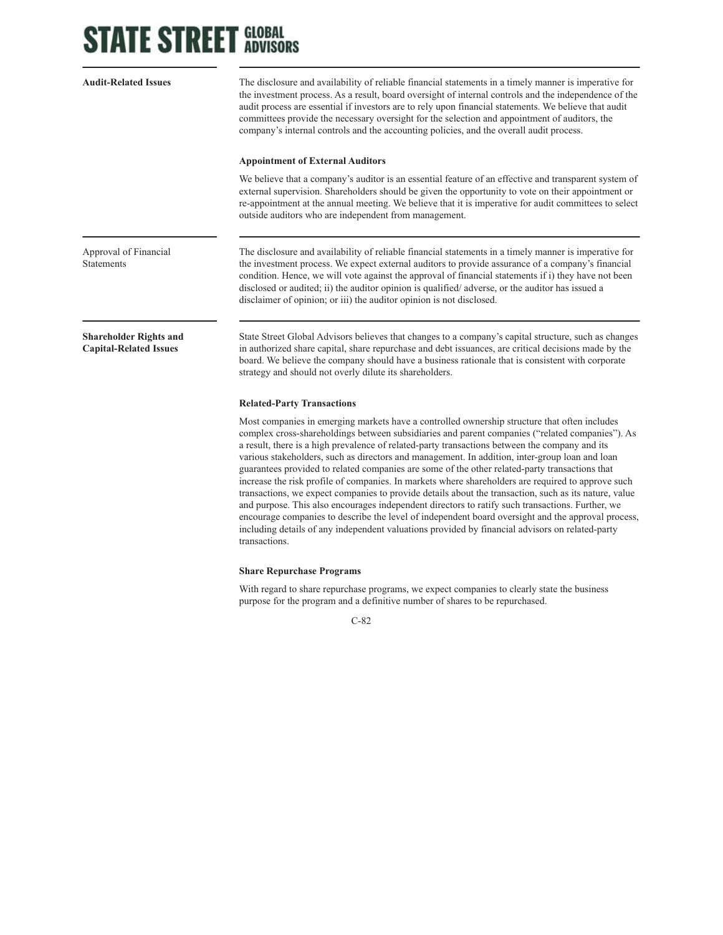| <b>Audit-Related Issues</b>                                    | The disclosure and availability of reliable financial statements in a timely manner is imperative for<br>the investment process. As a result, board oversight of internal controls and the independence of the<br>audit process are essential if investors are to rely upon financial statements. We believe that audit<br>committees provide the necessary oversight for the selection and appointment of auditors, the<br>company's internal controls and the accounting policies, and the overall audit process.                                                                                                                                                                                                                                                                                                                                                                                                                                                                                                                                |
|----------------------------------------------------------------|----------------------------------------------------------------------------------------------------------------------------------------------------------------------------------------------------------------------------------------------------------------------------------------------------------------------------------------------------------------------------------------------------------------------------------------------------------------------------------------------------------------------------------------------------------------------------------------------------------------------------------------------------------------------------------------------------------------------------------------------------------------------------------------------------------------------------------------------------------------------------------------------------------------------------------------------------------------------------------------------------------------------------------------------------|
|                                                                | <b>Appointment of External Auditors</b>                                                                                                                                                                                                                                                                                                                                                                                                                                                                                                                                                                                                                                                                                                                                                                                                                                                                                                                                                                                                            |
|                                                                | We believe that a company's auditor is an essential feature of an effective and transparent system of<br>external supervision. Shareholders should be given the opportunity to vote on their appointment or<br>re-appointment at the annual meeting. We believe that it is imperative for audit committees to select<br>outside auditors who are independent from management.                                                                                                                                                                                                                                                                                                                                                                                                                                                                                                                                                                                                                                                                      |
| Approval of Financial<br><b>Statements</b>                     | The disclosure and availability of reliable financial statements in a timely manner is imperative for<br>the investment process. We expect external auditors to provide assurance of a company's financial<br>condition. Hence, we will vote against the approval of financial statements if i) they have not been<br>disclosed or audited; ii) the auditor opinion is qualified/adverse, or the auditor has issued a<br>disclaimer of opinion; or iii) the auditor opinion is not disclosed.                                                                                                                                                                                                                                                                                                                                                                                                                                                                                                                                                      |
| <b>Shareholder Rights and</b><br><b>Capital-Related Issues</b> | State Street Global Advisors believes that changes to a company's capital structure, such as changes<br>in authorized share capital, share repurchase and debt issuances, are critical decisions made by the<br>board. We believe the company should have a business rationale that is consistent with corporate<br>strategy and should not overly dilute its shareholders.                                                                                                                                                                                                                                                                                                                                                                                                                                                                                                                                                                                                                                                                        |
|                                                                | <b>Related-Party Transactions</b>                                                                                                                                                                                                                                                                                                                                                                                                                                                                                                                                                                                                                                                                                                                                                                                                                                                                                                                                                                                                                  |
|                                                                | Most companies in emerging markets have a controlled ownership structure that often includes<br>complex cross-shareholdings between subsidiaries and parent companies ("related companies"). As<br>a result, there is a high prevalence of related-party transactions between the company and its<br>various stakeholders, such as directors and management. In addition, inter-group loan and loan<br>guarantees provided to related companies are some of the other related-party transactions that<br>increase the risk profile of companies. In markets where shareholders are required to approve such<br>transactions, we expect companies to provide details about the transaction, such as its nature, value<br>and purpose. This also encourages independent directors to ratify such transactions. Further, we<br>encourage companies to describe the level of independent board oversight and the approval process,<br>including details of any independent valuations provided by financial advisors on related-party<br>transactions. |
|                                                                | <b>Share Repurchase Programs</b>                                                                                                                                                                                                                                                                                                                                                                                                                                                                                                                                                                                                                                                                                                                                                                                                                                                                                                                                                                                                                   |

With regard to share repurchase programs, we expect companies to clearly state the business purpose for the program and a definitive number of shares to be repurchased.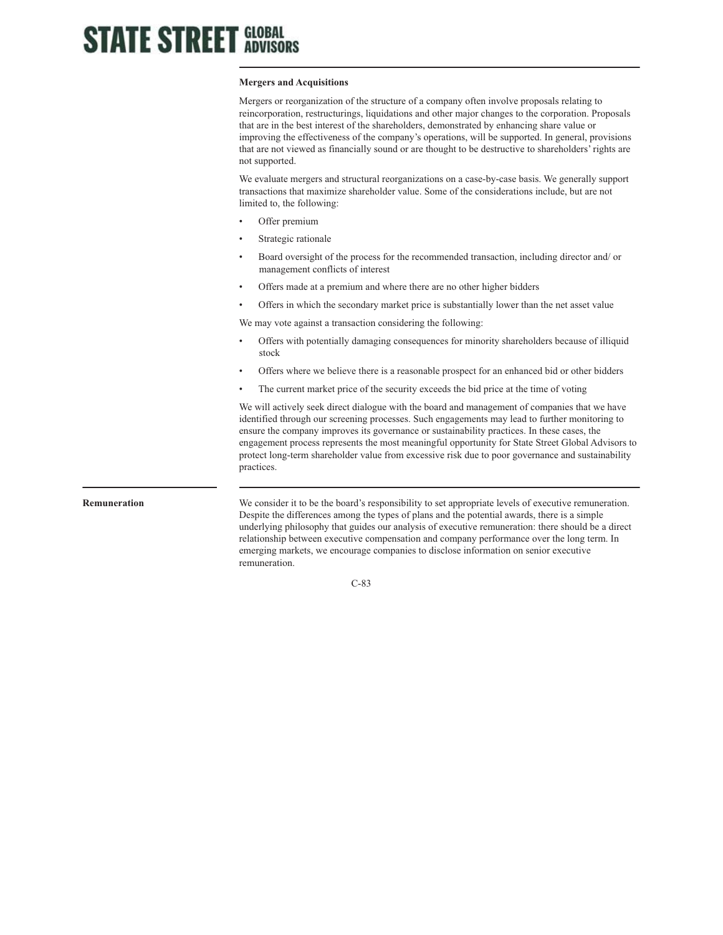#### **Mergers and Acquisitions**

Mergers or reorganization of the structure of a company often involve proposals relating to reincorporation, restructurings, liquidations and other major changes to the corporation. Proposals that are in the best interest of the shareholders, demonstrated by enhancing share value or improving the effectiveness of the company's operations, will be supported. In general, provisions that are not viewed as financially sound or are thought to be destructive to shareholders' rights are not supported.

We evaluate mergers and structural reorganizations on a case-by-case basis. We generally support transactions that maximize shareholder value. Some of the considerations include, but are not limited to, the following:

- Offer premium
- Strategic rationale
- Board oversight of the process for the recommended transaction, including director and/ or management conflicts of interest
- Offers made at a premium and where there are no other higher bidders
- Offers in which the secondary market price is substantially lower than the net asset value

We may vote against a transaction considering the following:

- Offers with potentially damaging consequences for minority shareholders because of illiquid stock
- Offers where we believe there is a reasonable prospect for an enhanced bid or other bidders
- The current market price of the security exceeds the bid price at the time of voting

We will actively seek direct dialogue with the board and management of companies that we have identified through our screening processes. Such engagements may lead to further monitoring to ensure the company improves its governance or sustainability practices. In these cases, the engagement process represents the most meaningful opportunity for State Street Global Advisors to protect long-term shareholder value from excessive risk due to poor governance and sustainability practices.

**Remuneration**

We consider it to be the board's responsibility to set appropriate levels of executive remuneration. Despite the differences among the types of plans and the potential awards, there is a simple underlying philosophy that guides our analysis of executive remuneration: there should be a direct relationship between executive compensation and company performance over the long term. In emerging markets, we encourage companies to disclose information on senior executive remuneration.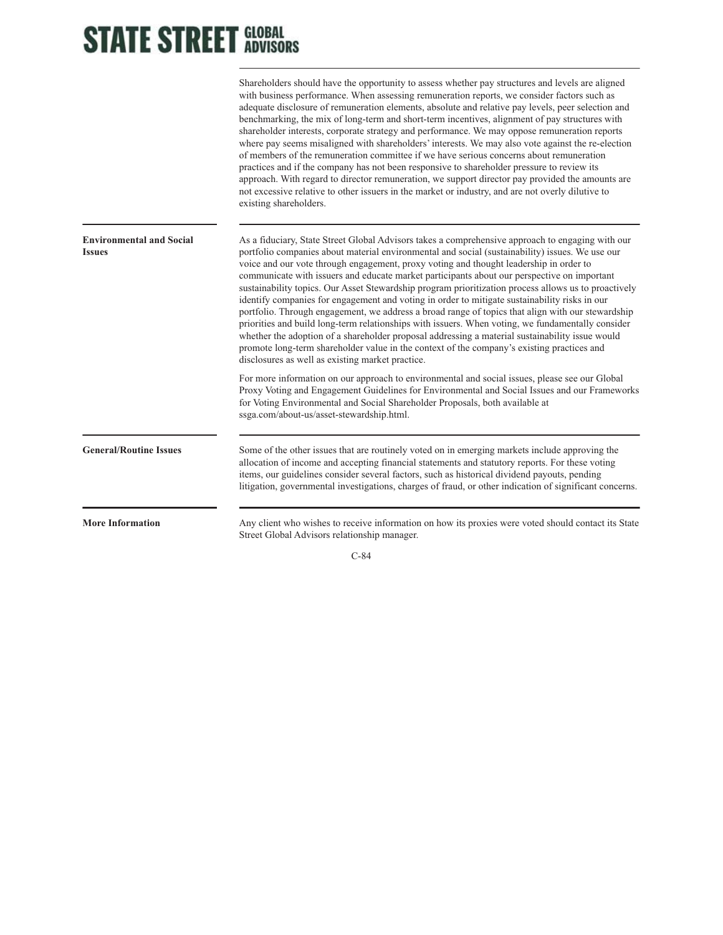|                                                  | Shareholders should have the opportunity to assess whether pay structures and levels are aligned<br>with business performance. When assessing remuneration reports, we consider factors such as<br>adequate disclosure of remuneration elements, absolute and relative pay levels, peer selection and<br>benchmarking, the mix of long-term and short-term incentives, alignment of pay structures with<br>shareholder interests, corporate strategy and performance. We may oppose remuneration reports<br>where pay seems misaligned with shareholders' interests. We may also vote against the re-election<br>of members of the remuneration committee if we have serious concerns about remuneration<br>practices and if the company has not been responsive to shareholder pressure to review its<br>approach. With regard to director remuneration, we support director pay provided the amounts are<br>not excessive relative to other issuers in the market or industry, and are not overly dilutive to<br>existing shareholders.                            |
|--------------------------------------------------|----------------------------------------------------------------------------------------------------------------------------------------------------------------------------------------------------------------------------------------------------------------------------------------------------------------------------------------------------------------------------------------------------------------------------------------------------------------------------------------------------------------------------------------------------------------------------------------------------------------------------------------------------------------------------------------------------------------------------------------------------------------------------------------------------------------------------------------------------------------------------------------------------------------------------------------------------------------------------------------------------------------------------------------------------------------------|
| <b>Environmental and Social</b><br><b>Issues</b> | As a fiduciary, State Street Global Advisors takes a comprehensive approach to engaging with our<br>portfolio companies about material environmental and social (sustainability) issues. We use our<br>voice and our vote through engagement, proxy voting and thought leadership in order to<br>communicate with issuers and educate market participants about our perspective on important<br>sustainability topics. Our Asset Stewardship program prioritization process allows us to proactively<br>identify companies for engagement and voting in order to mitigate sustainability risks in our<br>portfolio. Through engagement, we address a broad range of topics that align with our stewardship<br>priorities and build long-term relationships with issuers. When voting, we fundamentally consider<br>whether the adoption of a shareholder proposal addressing a material sustainability issue would<br>promote long-term shareholder value in the context of the company's existing practices and<br>disclosures as well as existing market practice. |
|                                                  | For more information on our approach to environmental and social issues, please see our Global<br>Proxy Voting and Engagement Guidelines for Environmental and Social Issues and our Frameworks<br>for Voting Environmental and Social Shareholder Proposals, both available at<br>ssga.com/about-us/asset-stewardship.html.                                                                                                                                                                                                                                                                                                                                                                                                                                                                                                                                                                                                                                                                                                                                         |
| <b>General/Routine Issues</b>                    | Some of the other issues that are routinely voted on in emerging markets include approving the<br>allocation of income and accepting financial statements and statutory reports. For these voting<br>items, our guidelines consider several factors, such as historical dividend payouts, pending<br>litigation, governmental investigations, charges of fraud, or other indication of significant concerns.                                                                                                                                                                                                                                                                                                                                                                                                                                                                                                                                                                                                                                                         |
| <b>More Information</b>                          | Any client who wishes to receive information on how its proxies were voted should contact its State<br>Street Global Advisors relationship manager.                                                                                                                                                                                                                                                                                                                                                                                                                                                                                                                                                                                                                                                                                                                                                                                                                                                                                                                  |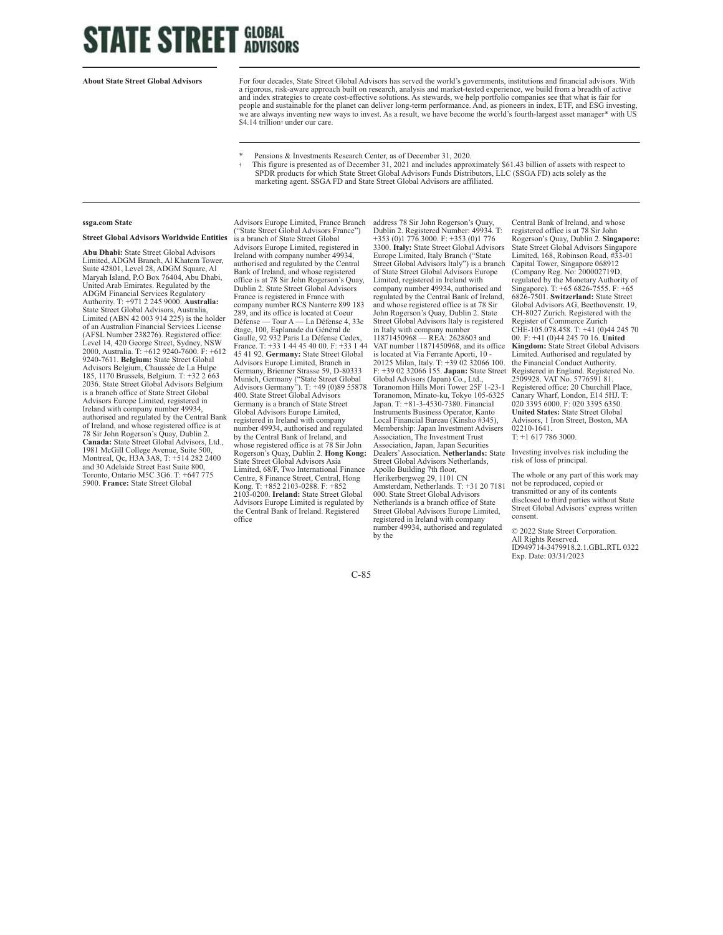**About State Street Global Advisors**

\*   Pensions & Investments Research Center, as of December 31, 2020.

†  This figure is presented as of December 31, 2021 and includes approximately \$61.43 billion of assets with respect to SPDR products for which State Street Global Advisors Funds Distributors, LLC (SSGA FD) acts solely as the marketing agent. SSGA FD and State Street Global Advisors are affiliated.

#### **ssga.com State**

#### **Street Global Advisors Worldwide Entities**

**Abu Dhabi:** State Street Global Advisors Limited, ADGM Branch, Al Khatem Tower, Suite 42801, Level 28, ADGM Square, Al Maryah Island, P.O Box 76404, Abu Dhabi, United Arab Emirates. Regulated by the ADGM Financial Services Regulatory Authority. T: +971 2 245 9000. **Australia:** State Street Global Advisors, Australia, Limited (ABN 42 003 914 225) is the holder of an Australian Financial Services License (AFSL Number 238276). Registered office: Level 14, 420 George Street, Sydney, NSW 2000, Australia. T: +612 9240-7600. F: +612 9240-7611. **Belgium:** State Street Global Advisors Belgium, Chaussée de La Hulpe 185, 1170 Brussels, Belgium. T: +32 2 663 2036. State Street Global Advisors Belgium is a branch office of State Street Global Advisors Europe Limited, registered in Ireland with company number 49934, authorised and regulated by the Central Bank of Ireland, and whose registered office is at 78 Sir John Rogerson's Quay, Dublin 2. **Canada:** State Street Global Advisors, Ltd., 1981 McGill College Avenue, Suite 500, Montreal, Qc, H3A 3A8, T: +514 282 2400 and 30 Adelaide Street East Suite 800, Toronto, Ontario M5C 3G6. T: +647 775 5900. **France:** State Street Global

Advisors Europe Limited, France Branch ("State Street Global Advisors France") is a branch of State Street Global Advisors Europe Limited, registered in Ireland with company number 49934, authorised and regulated by the Central Bank of Ireland, and whose registered office is at 78 Sir John Rogerson's Quay, Dublin 2. State Street Global Advisors France is registered in France with company number RCS Nanterre 899 183 289, and its office is located at Coeur Défense — Tour A — La Défense 4, 33e étage, 100, Esplanade du Général de Gaulle, 92 932 Paris La Défense Cedex, France. T: +33 1 44 45 40 00. F: +33 1 44 45 41 92. **Germany:** State Street Global Advisors Europe Limited, Branch in Germany, Brienner Strasse 59, D-80333 Munich, Germany ("State Street Global Advisors Germany"). T: +49 (0)89 55878 400. State Street Global Advisors Germany is a branch of State Street Global Advisors Europe Limited, registered in Ireland with company number 49934, authorised and regulated by the Central Bank of Ireland, and whose registered office is at 78 Sir John Rogerson's Quay, Dublin 2. **Hong Kong:** State Street Global Advisors Asia Limited, 68/F, Two International Finance Centre, 8 Finance Street, Central, Hong Kong. T: +852 2103-0288. F: +852 2103-0200. **Ireland:** State Street Global Advisors Europe Limited is regulated by the Central Bank of Ireland. Registered office

address 78 Sir John Rogerson's Quay, Dublin 2. Registered Number: 49934. T: +353 (0)1 776 3000. F: +353 (0)1 776 3300. **Italy:** State Street Global Advisors Europe Limited, Italy Branch ("State Street Global Advisors Italy") is a branch of State Street Global Advisors Europe Limited, registered in Ireland with company number 49934, authorised and regulated by the Central Bank of Ireland, and whose registered office is at 78 Sir John Rogerson's Quay, Dublin 2. State Street Global Advisors Italy is registered in Italy with company number 11871450968 — REA: 2628603 and VAT number 11871450968, and its office is located at Via Ferrante Aporti, 10 -

20125 Milan, Italy. T: +39 02 32066 100. F: +39 02 32066 155. **Japan:** State Street Global Advisors (Japan) Co., Ltd., Toranomon Hills Mori Tower 25F 1-23-1 Toranomon, Minato-ku, Tokyo 105-6325 Japan. T: +81-3-4530-7380. Financial Instruments Business Operator, Kanto Local Financial Bureau (Kinsho #345), Membership: Japan Investment Advisers Association, The Investment Trust Association, Japan, Japan Securities Dealers' Association. **Netherlands:** State Street Global Advisors Netherlands, Apollo Building 7th floor, Herikerbergweg 29, 1101 CN Amsterdam, Netherlands. T: +31 20 7181 000. State Street Global Advisors Netherlands is a branch office of State Street Global Advisors Europe Limited, registered in Ireland with company

number 49934, authorised and regulated by the

Central Bank of Ireland, and whose registered office is at 78 Sir John Rogerson's Quay, Dublin 2. **Singapore:** State Street Global Advisors Singapore Limited, 168, Robinson Road, #33-01 Capital Tower, Singapore 068912 (Company Reg. No: 200002719D, regulated by the Monetary Authority of Singapore). T: +65 6826-7555. F: +65 6826-7501. **Switzerland:** State Street Global Advisors AG, Beethovenstr. 19, CH-8027 Zurich. Registered with the Register of Commerce Zurich CHE-105.078.458. T: +41 (0)44 245 70 00. F: +41 (0)44 245 70 16. **United Kingdom:** State Street Global Advisors Limited. Authorised and regulated by the Financial Conduct Authority. Registered in England. Registered No. 2509928. VAT No. 5776591 81. Registered office: 20 Churchill Place, Canary Wharf, London, E14 5HJ. T: 020 3395 6000. F: 020 3395 6350. **United States:** State Street Global Advisors, 1 Iron Street, Boston, MA 02210-1641.  $T: +1, 617, 786, 3000$ 

Investing involves risk including the risk of loss of principal.

The whole or any part of this work may not be reproduced, copied or transmitted or any of its contents disclosed to third parties without State Street Global Advisors' express written consent.

© 2022 State Street Corporation. All Rights Reserved. ID949714-3479918.2.1.GBL.RTL 0322 Exp. Date: 03/31/2023

For four decades, State Street Global Advisors has served the world's governments, institutions and financial advisors. With a rigorous, risk-aware approach built on research, analysis and market-tested experience, we build from a breadth of active and index strategies to create cost-effective solutions. As stewards, we help portfolio companies see that what is fair for people and sustainable for the planet can deliver long-term performance. And, as pioneers in index, ETF, and ESG investing, we are always inventing new ways to invest. As a result, we have become the world's fourth-largest asset manager\* with US \$4.14 trillion<sup>†</sup> under our care.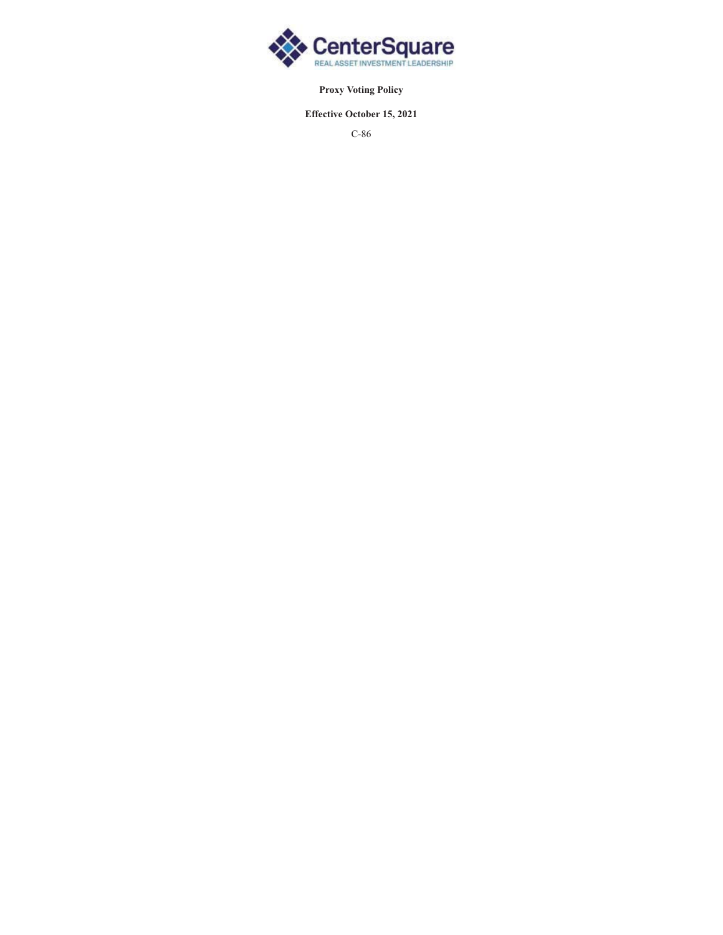

#### **Proxy Voting Policy**

#### **Effective October 15, 2021**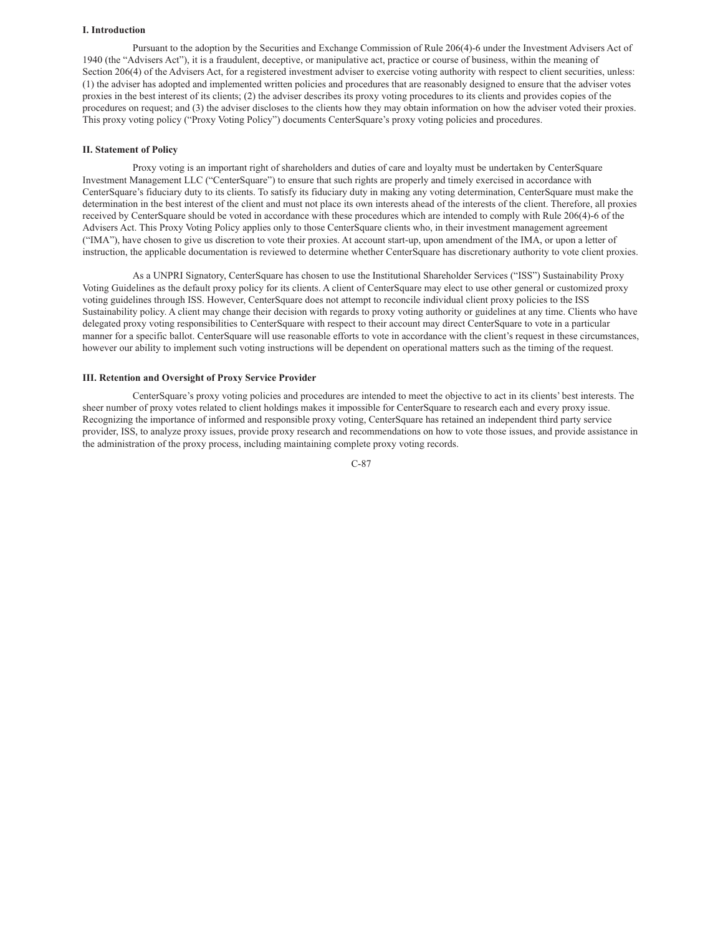#### **I. Introduction**

Pursuant to the adoption by the Securities and Exchange Commission of Rule 206(4)-6 under the Investment Advisers Act of 1940 (the "Advisers Act"), it is a fraudulent, deceptive, or manipulative act, practice or course of business, within the meaning of Section 206(4) of the Advisers Act, for a registered investment adviser to exercise voting authority with respect to client securities, unless: (1) the adviser has adopted and implemented written policies and procedures that are reasonably designed to ensure that the adviser votes proxies in the best interest of its clients; (2) the adviser describes its proxy voting procedures to its clients and provides copies of the procedures on request; and (3) the adviser discloses to the clients how they may obtain information on how the adviser voted their proxies. This proxy voting policy ("Proxy Voting Policy") documents CenterSquare's proxy voting policies and procedures.

#### **II. Statement of Policy**

Proxy voting is an important right of shareholders and duties of care and loyalty must be undertaken by CenterSquare Investment Management LLC ("CenterSquare") to ensure that such rights are properly and timely exercised in accordance with CenterSquare's fiduciary duty to its clients. To satisfy its fiduciary duty in making any voting determination, CenterSquare must make the determination in the best interest of the client and must not place its own interests ahead of the interests of the client. Therefore, all proxies received by CenterSquare should be voted in accordance with these procedures which are intended to comply with Rule 206(4)-6 of the Advisers Act. This Proxy Voting Policy applies only to those CenterSquare clients who, in their investment management agreement ("IMA"), have chosen to give us discretion to vote their proxies. At account start-up, upon amendment of the IMA, or upon a letter of instruction, the applicable documentation is reviewed to determine whether CenterSquare has discretionary authority to vote client proxies.

As a UNPRI Signatory, CenterSquare has chosen to use the Institutional Shareholder Services ("ISS") Sustainability Proxy Voting Guidelines as the default proxy policy for its clients. A client of CenterSquare may elect to use other general or customized proxy voting guidelines through ISS. However, CenterSquare does not attempt to reconcile individual client proxy policies to the ISS Sustainability policy. A client may change their decision with regards to proxy voting authority or guidelines at any time. Clients who have delegated proxy voting responsibilities to CenterSquare with respect to their account may direct CenterSquare to vote in a particular manner for a specific ballot. CenterSquare will use reasonable efforts to vote in accordance with the client's request in these circumstances, however our ability to implement such voting instructions will be dependent on operational matters such as the timing of the request.

#### **III. Retention and Oversight of Proxy Service Provider**

CenterSquare's proxy voting policies and procedures are intended to meet the objective to act in its clients' best interests. The sheer number of proxy votes related to client holdings makes it impossible for CenterSquare to research each and every proxy issue. Recognizing the importance of informed and responsible proxy voting, CenterSquare has retained an independent third party service provider, ISS, to analyze proxy issues, provide proxy research and recommendations on how to vote those issues, and provide assistance in the administration of the proxy process, including maintaining complete proxy voting records.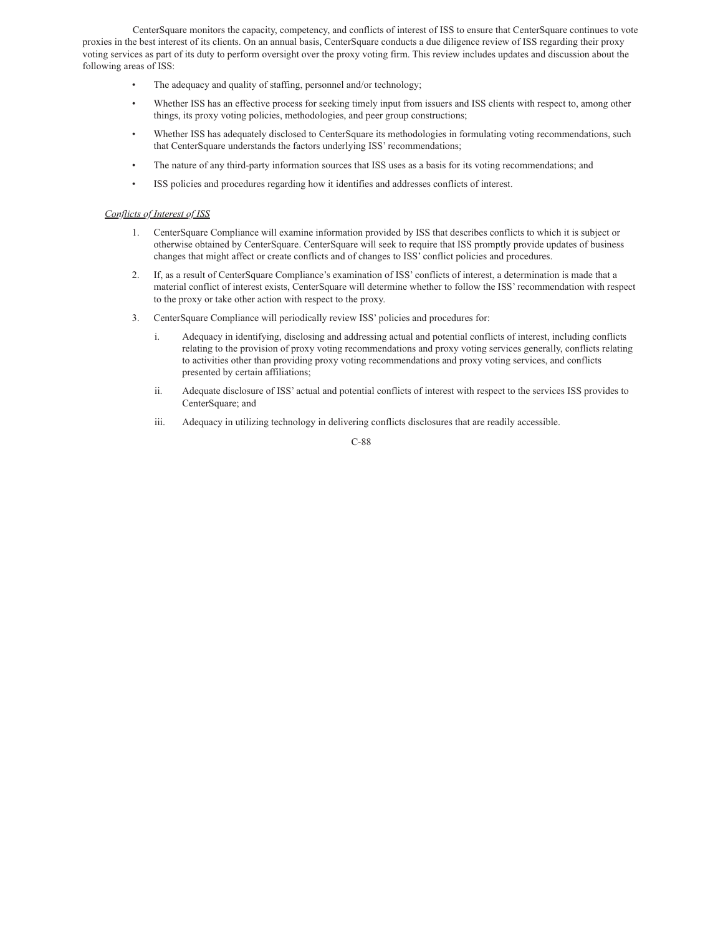CenterSquare monitors the capacity, competency, and conflicts of interest of ISS to ensure that CenterSquare continues to vote proxies in the best interest of its clients. On an annual basis, CenterSquare conducts a due diligence review of ISS regarding their proxy voting services as part of its duty to perform oversight over the proxy voting firm. This review includes updates and discussion about the following areas of ISS:

- The adequacy and quality of staffing, personnel and/or technology;
- Whether ISS has an effective process for seeking timely input from issuers and ISS clients with respect to, among other things, its proxy voting policies, methodologies, and peer group constructions;
- Whether ISS has adequately disclosed to CenterSquare its methodologies in formulating voting recommendations, such that CenterSquare understands the factors underlying ISS' recommendations;
- The nature of any third-party information sources that ISS uses as a basis for its voting recommendations; and
- ISS policies and procedures regarding how it identifies and addresses conflicts of interest.

#### *Conflicts of Interest of ISS*

- 1. CenterSquare Compliance will examine information provided by ISS that describes conflicts to which it is subject or otherwise obtained by CenterSquare. CenterSquare will seek to require that ISS promptly provide updates of business changes that might affect or create conflicts and of changes to ISS' conflict policies and procedures.
- 2. If, as a result of CenterSquare Compliance's examination of ISS' conflicts of interest, a determination is made that a material conflict of interest exists, CenterSquare will determine whether to follow the ISS' recommendation with respect to the proxy or take other action with respect to the proxy.
- 3. CenterSquare Compliance will periodically review ISS' policies and procedures for:
	- i. Adequacy in identifying, disclosing and addressing actual and potential conflicts of interest, including conflicts relating to the provision of proxy voting recommendations and proxy voting services generally, conflicts relating to activities other than providing proxy voting recommendations and proxy voting services, and conflicts presented by certain affiliations;
	- ii. Adequate disclosure of ISS' actual and potential conflicts of interest with respect to the services ISS provides to CenterSquare; and
	- iii. Adequacy in utilizing technology in delivering conflicts disclosures that are readily accessible.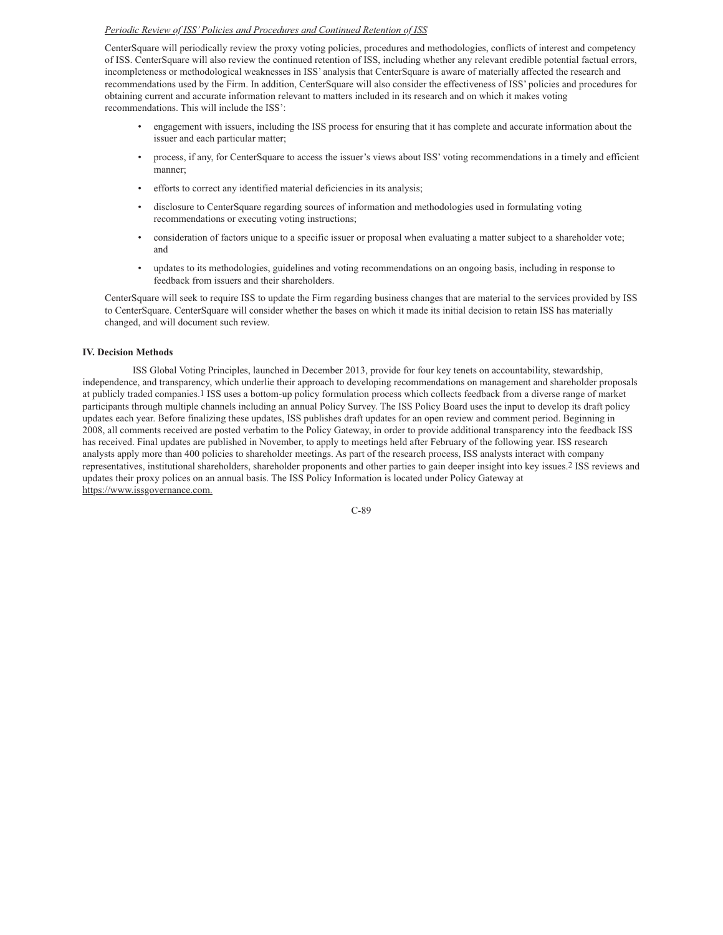#### *Periodic Review of ISS' Policies and Procedures and Continued Retention of ISS*

CenterSquare will periodically review the proxy voting policies, procedures and methodologies, conflicts of interest and competency of ISS. CenterSquare will also review the continued retention of ISS, including whether any relevant credible potential factual errors, incompleteness or methodological weaknesses in ISS' analysis that CenterSquare is aware of materially affected the research and recommendations used by the Firm. In addition, CenterSquare will also consider the effectiveness of ISS' policies and procedures for obtaining current and accurate information relevant to matters included in its research and on which it makes voting recommendations. This will include the ISS':

- engagement with issuers, including the ISS process for ensuring that it has complete and accurate information about the issuer and each particular matter;
- process, if any, for CenterSquare to access the issuer's views about ISS' voting recommendations in a timely and efficient manner;
- efforts to correct any identified material deficiencies in its analysis;
- disclosure to CenterSquare regarding sources of information and methodologies used in formulating voting recommendations or executing voting instructions;
- consideration of factors unique to a specific issuer or proposal when evaluating a matter subject to a shareholder vote; and
- updates to its methodologies, guidelines and voting recommendations on an ongoing basis, including in response to feedback from issuers and their shareholders.

CenterSquare will seek to require ISS to update the Firm regarding business changes that are material to the services provided by ISS to CenterSquare. CenterSquare will consider whether the bases on which it made its initial decision to retain ISS has materially changed, and will document such review.

#### **IV. Decision Methods**

ISS Global Voting Principles, launched in December 2013, provide for four key tenets on accountability, stewardship, independence, and transparency, which underlie their approach to developing recommendations on management and shareholder proposals at publicly traded companies.1 ISS uses a bottom-up policy formulation process which collects feedback from a diverse range of market participants through multiple channels including an annual Policy Survey. The ISS Policy Board uses the input to develop its draft policy updates each year. Before finalizing these updates, ISS publishes draft updates for an open review and comment period. Beginning in 2008, all comments received are posted verbatim to the Policy Gateway, in order to provide additional transparency into the feedback ISS has received. Final updates are published in November, to apply to meetings held after February of the following year. ISS research analysts apply more than 400 policies to shareholder meetings. As part of the research process, ISS analysts interact with company representatives, institutional shareholders, shareholder proponents and other parties to gain deeper insight into key issues.2 ISS reviews and updates their proxy polices on an annual basis. The ISS Policy Information is located under Policy Gateway at https://www.issgovernance.com.

C-89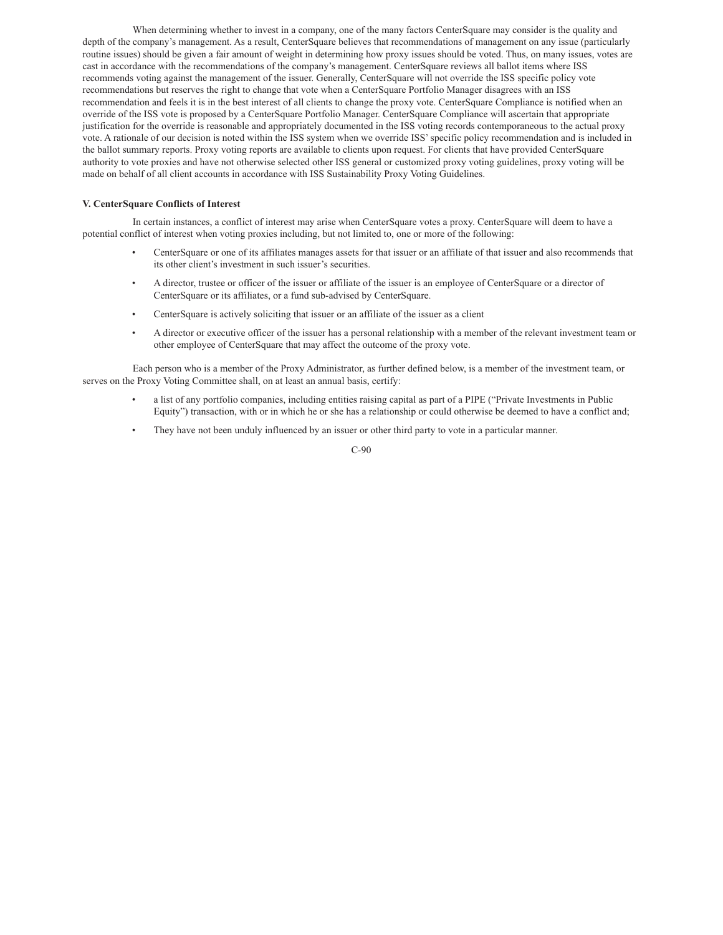When determining whether to invest in a company, one of the many factors CenterSquare may consider is the quality and depth of the company's management. As a result, CenterSquare believes that recommendations of management on any issue (particularly routine issues) should be given a fair amount of weight in determining how proxy issues should be voted. Thus, on many issues, votes are cast in accordance with the recommendations of the company's management. CenterSquare reviews all ballot items where ISS recommends voting against the management of the issuer. Generally, CenterSquare will not override the ISS specific policy vote recommendations but reserves the right to change that vote when a CenterSquare Portfolio Manager disagrees with an ISS recommendation and feels it is in the best interest of all clients to change the proxy vote. CenterSquare Compliance is notified when an override of the ISS vote is proposed by a CenterSquare Portfolio Manager. CenterSquare Compliance will ascertain that appropriate justification for the override is reasonable and appropriately documented in the ISS voting records contemporaneous to the actual proxy vote. A rationale of our decision is noted within the ISS system when we override ISS' specific policy recommendation and is included in the ballot summary reports. Proxy voting reports are available to clients upon request. For clients that have provided CenterSquare authority to vote proxies and have not otherwise selected other ISS general or customized proxy voting guidelines, proxy voting will be made on behalf of all client accounts in accordance with ISS Sustainability Proxy Voting Guidelines.

#### **V. CenterSquare Conflicts of Interest**

In certain instances, a conflict of interest may arise when CenterSquare votes a proxy. CenterSquare will deem to have a potential conflict of interest when voting proxies including, but not limited to, one or more of the following:

- CenterSquare or one of its affiliates manages assets for that issuer or an affiliate of that issuer and also recommends that its other client's investment in such issuer's securities.
- A director, trustee or officer of the issuer or affiliate of the issuer is an employee of CenterSquare or a director of CenterSquare or its affiliates, or a fund sub-advised by CenterSquare.
- CenterSquare is actively soliciting that issuer or an affiliate of the issuer as a client
- A director or executive officer of the issuer has a personal relationship with a member of the relevant investment team or other employee of CenterSquare that may affect the outcome of the proxy vote.

Each person who is a member of the Proxy Administrator, as further defined below, is a member of the investment team, or serves on the Proxy Voting Committee shall, on at least an annual basis, certify:

- a list of any portfolio companies, including entities raising capital as part of a PIPE ("Private Investments in Public Equity") transaction, with or in which he or she has a relationship or could otherwise be deemed to have a conflict and;
- They have not been unduly influenced by an issuer or other third party to vote in a particular manner.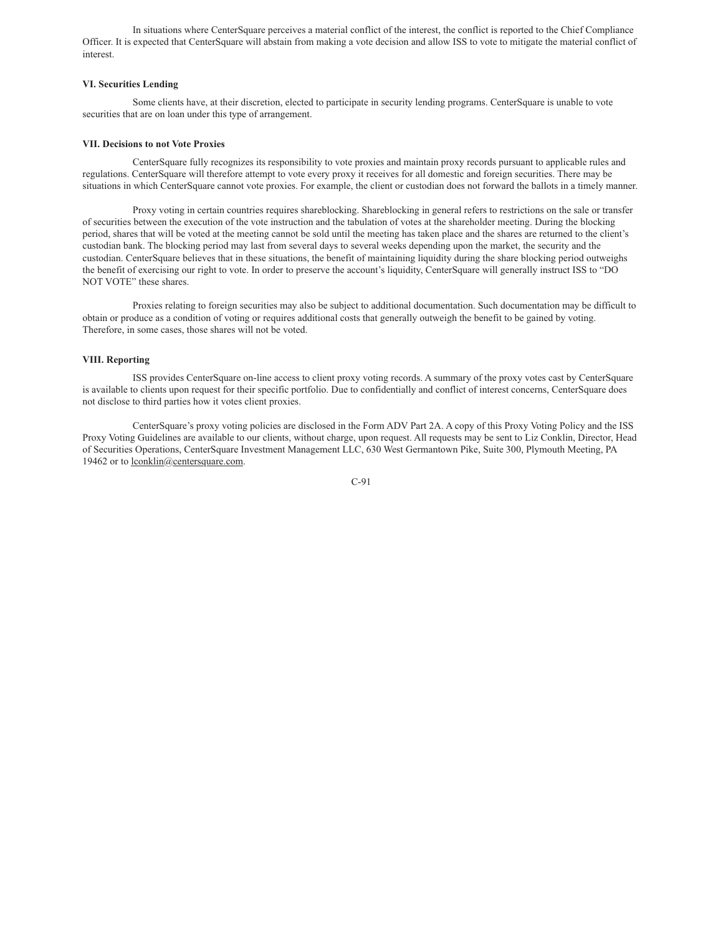In situations where CenterSquare perceives a material conflict of the interest, the conflict is reported to the Chief Compliance Officer. It is expected that CenterSquare will abstain from making a vote decision and allow ISS to vote to mitigate the material conflict of interest.

#### **VI. Securities Lending**

Some clients have, at their discretion, elected to participate in security lending programs. CenterSquare is unable to vote securities that are on loan under this type of arrangement.

#### **VII. Decisions to not Vote Proxies**

CenterSquare fully recognizes its responsibility to vote proxies and maintain proxy records pursuant to applicable rules and regulations. CenterSquare will therefore attempt to vote every proxy it receives for all domestic and foreign securities. There may be situations in which CenterSquare cannot vote proxies. For example, the client or custodian does not forward the ballots in a timely manner.

Proxy voting in certain countries requires shareblocking. Shareblocking in general refers to restrictions on the sale or transfer of securities between the execution of the vote instruction and the tabulation of votes at the shareholder meeting. During the blocking period, shares that will be voted at the meeting cannot be sold until the meeting has taken place and the shares are returned to the client's custodian bank. The blocking period may last from several days to several weeks depending upon the market, the security and the custodian. CenterSquare believes that in these situations, the benefit of maintaining liquidity during the share blocking period outweighs the benefit of exercising our right to vote. In order to preserve the account's liquidity, CenterSquare will generally instruct ISS to "DO NOT VOTE" these shares.

Proxies relating to foreign securities may also be subject to additional documentation. Such documentation may be difficult to obtain or produce as a condition of voting or requires additional costs that generally outweigh the benefit to be gained by voting. Therefore, in some cases, those shares will not be voted.

#### **VIII. Reporting**

ISS provides CenterSquare on-line access to client proxy voting records. A summary of the proxy votes cast by CenterSquare is available to clients upon request for their specific portfolio. Due to confidentially and conflict of interest concerns, CenterSquare does not disclose to third parties how it votes client proxies.

CenterSquare's proxy voting policies are disclosed in the Form ADV Part 2A. A copy of this Proxy Voting Policy and the ISS Proxy Voting Guidelines are available to our clients, without charge, upon request. All requests may be sent to Liz Conklin, Director, Head of Securities Operations, CenterSquare Investment Management LLC, 630 West Germantown Pike, Suite 300, Plymouth Meeting, PA 19462 or to lconklin@centersquare.com.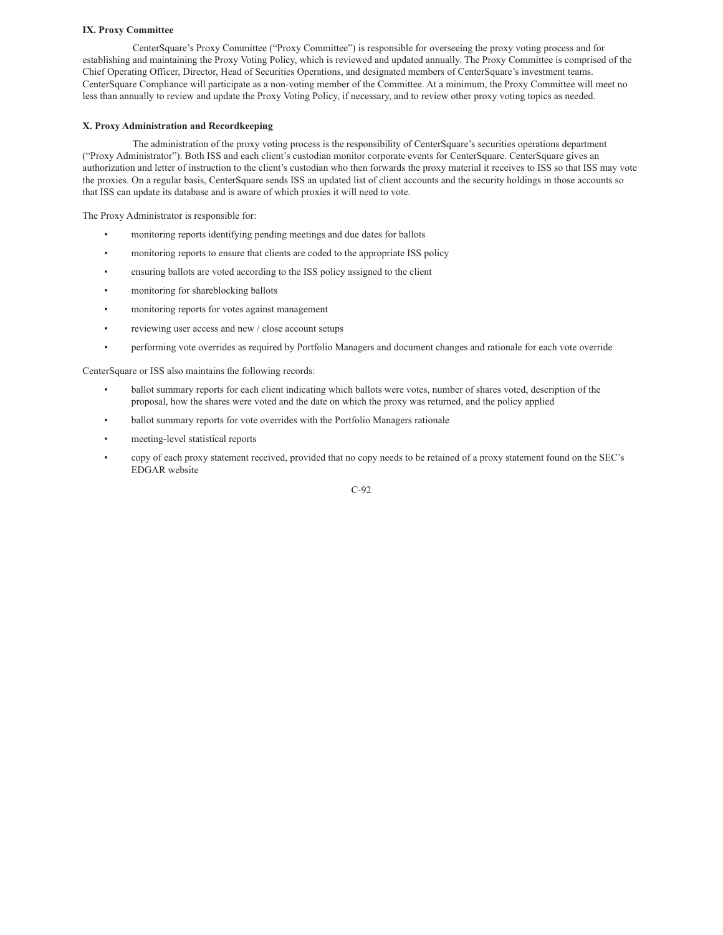#### **IX. Proxy Committee**

CenterSquare's Proxy Committee ("Proxy Committee") is responsible for overseeing the proxy voting process and for establishing and maintaining the Proxy Voting Policy, which is reviewed and updated annually. The Proxy Committee is comprised of the Chief Operating Officer, Director, Head of Securities Operations, and designated members of CenterSquare's investment teams. CenterSquare Compliance will participate as a non-voting member of the Committee. At a minimum, the Proxy Committee will meet no less than annually to review and update the Proxy Voting Policy, if necessary, and to review other proxy voting topics as needed.

#### **X. Proxy Administration and Recordkeeping**

The administration of the proxy voting process is the responsibility of CenterSquare's securities operations department ("Proxy Administrator"). Both ISS and each client's custodian monitor corporate events for CenterSquare. CenterSquare gives an authorization and letter of instruction to the client's custodian who then forwards the proxy material it receives to ISS so that ISS may vote the proxies. On a regular basis, CenterSquare sends ISS an updated list of client accounts and the security holdings in those accounts so that ISS can update its database and is aware of which proxies it will need to vote.

The Proxy Administrator is responsible for:

- monitoring reports identifying pending meetings and due dates for ballots
- monitoring reports to ensure that clients are coded to the appropriate ISS policy
- ensuring ballots are voted according to the ISS policy assigned to the client
- monitoring for shareblocking ballots
- monitoring reports for votes against management
- reviewing user access and new / close account setups
- performing vote overrides as required by Portfolio Managers and document changes and rationale for each vote override

CenterSquare or ISS also maintains the following records:

- ballot summary reports for each client indicating which ballots were votes, number of shares voted, description of the proposal, how the shares were voted and the date on which the proxy was returned, and the policy applied
- ballot summary reports for vote overrides with the Portfolio Managers rationale
- meeting-level statistical reports
- copy of each proxy statement received, provided that no copy needs to be retained of a proxy statement found on the SEC's EDGAR website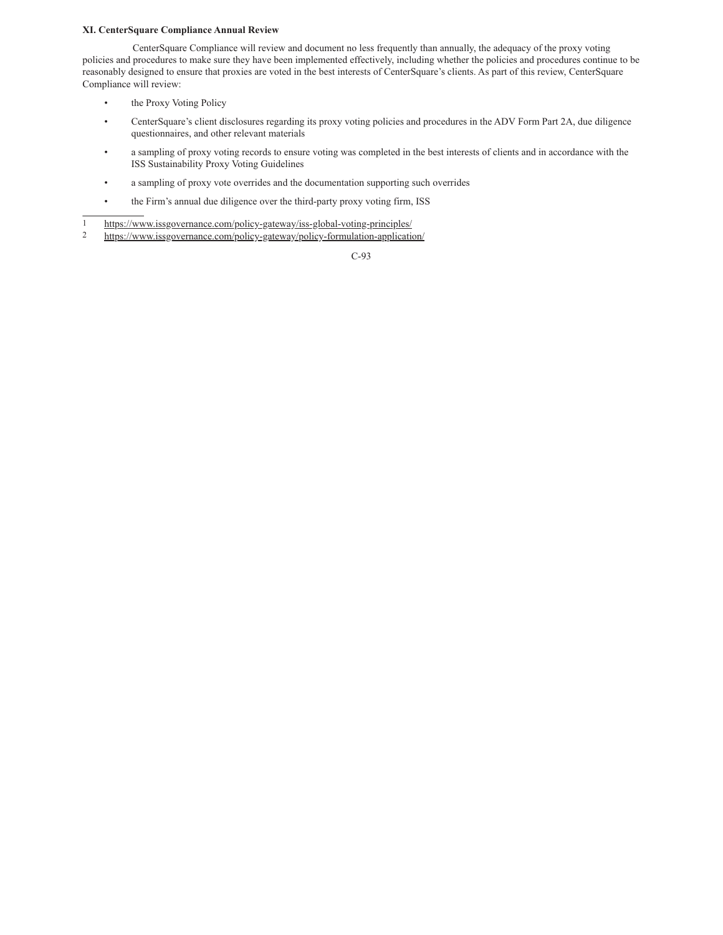#### **XI. CenterSquare Compliance Annual Review**

CenterSquare Compliance will review and document no less frequently than annually, the adequacy of the proxy voting policies and procedures to make sure they have been implemented effectively, including whether the policies and procedures continue to be reasonably designed to ensure that proxies are voted in the best interests of CenterSquare's clients. As part of this review, CenterSquare Compliance will review:

- the Proxy Voting Policy
- CenterSquare's client disclosures regarding its proxy voting policies and procedures in the ADV Form Part 2A, due diligence questionnaires, and other relevant materials
- a sampling of proxy voting records to ensure voting was completed in the best interests of clients and in accordance with the ISS Sustainability Proxy Voting Guidelines
- a sampling of proxy vote overrides and the documentation supporting such overrides
- the Firm's annual due diligence over the third-party proxy voting firm, ISS

2 https://www.issgovernance.com/policy-gateway/policy-formulation-application/

<sup>1</sup> https://www.issgovernance.com/policy-gateway/iss-global-voting-principles/

C-93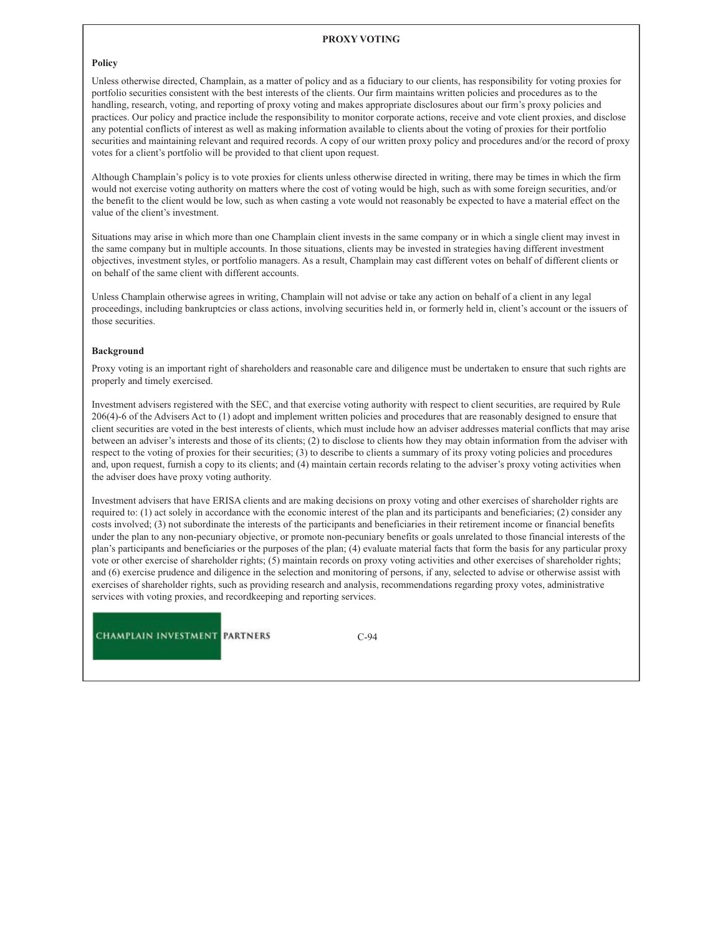#### **PROXY VOTING**

#### **Policy**

Unless otherwise directed, Champlain, as a matter of policy and as a fiduciary to our clients, has responsibility for voting proxies for portfolio securities consistent with the best interests of the clients. Our firm maintains written policies and procedures as to the handling, research, voting, and reporting of proxy voting and makes appropriate disclosures about our firm's proxy policies and practices. Our policy and practice include the responsibility to monitor corporate actions, receive and vote client proxies, and disclose any potential conflicts of interest as well as making information available to clients about the voting of proxies for their portfolio securities and maintaining relevant and required records. A copy of our written proxy policy and procedures and/or the record of proxy votes for a client's portfolio will be provided to that client upon request.

Although Champlain's policy is to vote proxies for clients unless otherwise directed in writing, there may be times in which the firm would not exercise voting authority on matters where the cost of voting would be high, such as with some foreign securities, and/or the benefit to the client would be low, such as when casting a vote would not reasonably be expected to have a material effect on the value of the client's investment.

Situations may arise in which more than one Champlain client invests in the same company or in which a single client may invest in the same company but in multiple accounts. In those situations, clients may be invested in strategies having different investment objectives, investment styles, or portfolio managers. As a result, Champlain may cast different votes on behalf of different clients or on behalf of the same client with different accounts.

Unless Champlain otherwise agrees in writing, Champlain will not advise or take any action on behalf of a client in any legal proceedings, including bankruptcies or class actions, involving securities held in, or formerly held in, client's account or the issuers of those securities.

#### **Background**

Proxy voting is an important right of shareholders and reasonable care and diligence must be undertaken to ensure that such rights are properly and timely exercised.

Investment advisers registered with the SEC, and that exercise voting authority with respect to client securities, are required by Rule 206(4)-6 of the Advisers Act to (1) adopt and implement written policies and procedures that are reasonably designed to ensure that client securities are voted in the best interests of clients, which must include how an adviser addresses material conflicts that may arise between an adviser's interests and those of its clients; (2) to disclose to clients how they may obtain information from the adviser with respect to the voting of proxies for their securities; (3) to describe to clients a summary of its proxy voting policies and procedures and, upon request, furnish a copy to its clients; and (4) maintain certain records relating to the adviser's proxy voting activities when the adviser does have proxy voting authority.

Investment advisers that have ERISA clients and are making decisions on proxy voting and other exercises of shareholder rights are required to: (1) act solely in accordance with the economic interest of the plan and its participants and beneficiaries; (2) consider any costs involved; (3) not subordinate the interests of the participants and beneficiaries in their retirement income or financial benefits under the plan to any non-pecuniary objective, or promote non-pecuniary benefits or goals unrelated to those financial interests of the plan's participants and beneficiaries or the purposes of the plan; (4) evaluate material facts that form the basis for any particular proxy vote or other exercise of shareholder rights; (5) maintain records on proxy voting activities and other exercises of shareholder rights; and (6) exercise prudence and diligence in the selection and monitoring of persons, if any, selected to advise or otherwise assist with exercises of shareholder rights, such as providing research and analysis, recommendations regarding proxy votes, administrative services with voting proxies, and recordkeeping and reporting services.

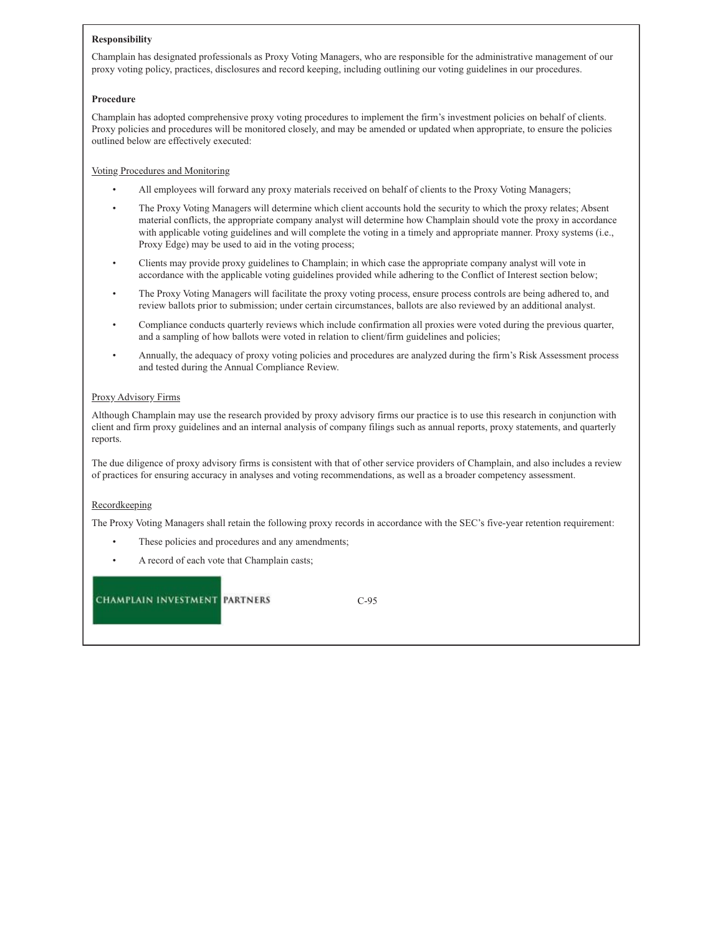#### **Responsibility**

Champlain has designated professionals as Proxy Voting Managers, who are responsible for the administrative management of our proxy voting policy, practices, disclosures and record keeping, including outlining our voting guidelines in our procedures.

#### **Procedure**

Champlain has adopted comprehensive proxy voting procedures to implement the firm's investment policies on behalf of clients. Proxy policies and procedures will be monitored closely, and may be amended or updated when appropriate, to ensure the policies outlined below are effectively executed:

Voting Procedures and Monitoring

- All employees will forward any proxy materials received on behalf of clients to the Proxy Voting Managers;
- The Proxy Voting Managers will determine which client accounts hold the security to which the proxy relates; Absent material conflicts, the appropriate company analyst will determine how Champlain should vote the proxy in accordance with applicable voting guidelines and will complete the voting in a timely and appropriate manner. Proxy systems (i.e., Proxy Edge) may be used to aid in the voting process;
- Clients may provide proxy guidelines to Champlain; in which case the appropriate company analyst will vote in accordance with the applicable voting guidelines provided while adhering to the Conflict of Interest section below;
- The Proxy Voting Managers will facilitate the proxy voting process, ensure process controls are being adhered to, and review ballots prior to submission; under certain circumstances, ballots are also reviewed by an additional analyst.
- Compliance conducts quarterly reviews which include confirmation all proxies were voted during the previous quarter, and a sampling of how ballots were voted in relation to client/firm guidelines and policies;
- Annually, the adequacy of proxy voting policies and procedures are analyzed during the firm's Risk Assessment process and tested during the Annual Compliance Review.

#### Proxy Advisory Firms

Although Champlain may use the research provided by proxy advisory firms our practice is to use this research in conjunction with client and firm proxy guidelines and an internal analysis of company filings such as annual reports, proxy statements, and quarterly reports.

The due diligence of proxy advisory firms is consistent with that of other service providers of Champlain, and also includes a review of practices for ensuring accuracy in analyses and voting recommendations, as well as a broader competency assessment.

#### Recordkeeping

The Proxy Voting Managers shall retain the following proxy records in accordance with the SEC's five-year retention requirement:

- These policies and procedures and any amendments;
- A record of each vote that Champlain casts;

CHAMPLAIN INVESTMENT PARTNERS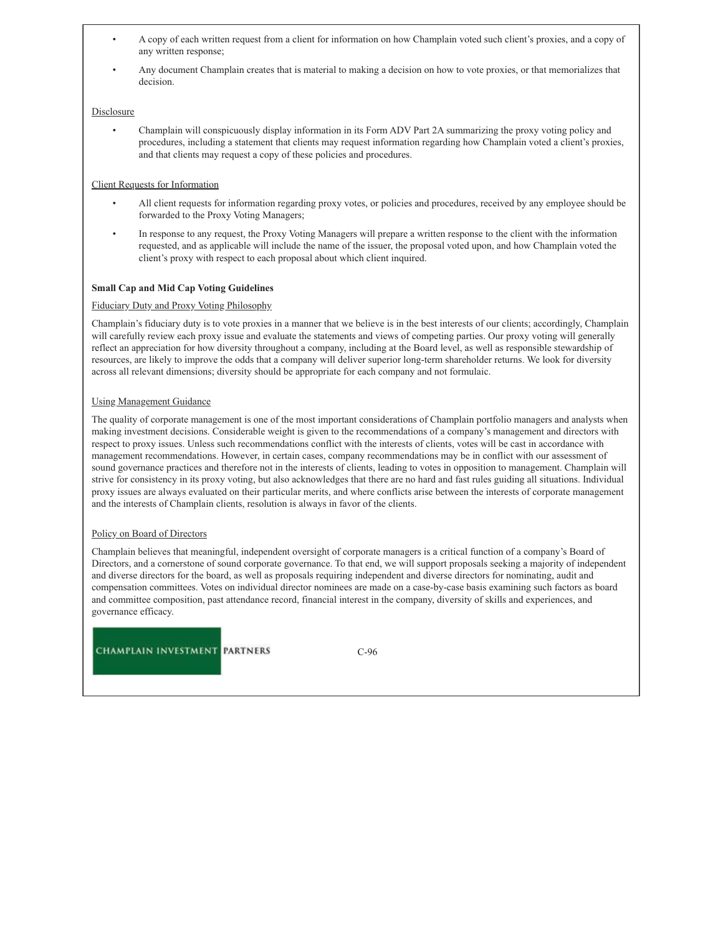- A copy of each written request from a client for information on how Champlain voted such client's proxies, and a copy of any written response;
- Any document Champlain creates that is material to making a decision on how to vote proxies, or that memorializes that decision.

#### Disclosure

• Champlain will conspicuously display information in its Form ADV Part 2A summarizing the proxy voting policy and procedures, including a statement that clients may request information regarding how Champlain voted a client's proxies, and that clients may request a copy of these policies and procedures.

#### Client Requests for Information

- All client requests for information regarding proxy votes, or policies and procedures, received by any employee should be forwarded to the Proxy Voting Managers;
- In response to any request, the Proxy Voting Managers will prepare a written response to the client with the information requested, and as applicable will include the name of the issuer, the proposal voted upon, and how Champlain voted the client's proxy with respect to each proposal about which client inquired.

#### **Small Cap and Mid Cap Voting Guidelines**

#### Fiduciary Duty and Proxy Voting Philosophy

Champlain's fiduciary duty is to vote proxies in a manner that we believe is in the best interests of our clients; accordingly, Champlain will carefully review each proxy issue and evaluate the statements and views of competing parties. Our proxy voting will generally reflect an appreciation for how diversity throughout a company, including at the Board level, as well as responsible stewardship of resources, are likely to improve the odds that a company will deliver superior long-term shareholder returns. We look for diversity across all relevant dimensions; diversity should be appropriate for each company and not formulaic.

#### Using Management Guidance

The quality of corporate management is one of the most important considerations of Champlain portfolio managers and analysts when making investment decisions. Considerable weight is given to the recommendations of a company's management and directors with respect to proxy issues. Unless such recommendations conflict with the interests of clients, votes will be cast in accordance with management recommendations. However, in certain cases, company recommendations may be in conflict with our assessment of sound governance practices and therefore not in the interests of clients, leading to votes in opposition to management. Champlain will strive for consistency in its proxy voting, but also acknowledges that there are no hard and fast rules guiding all situations. Individual proxy issues are always evaluated on their particular merits, and where conflicts arise between the interests of corporate management and the interests of Champlain clients, resolution is always in favor of the clients.

#### Policy on Board of Directors

Champlain believes that meaningful, independent oversight of corporate managers is a critical function of a company's Board of Directors, and a cornerstone of sound corporate governance. To that end, we will support proposals seeking a majority of independent and diverse directors for the board, as well as proposals requiring independent and diverse directors for nominating, audit and compensation committees. Votes on individual director nominees are made on a case-by-case basis examining such factors as board and committee composition, past attendance record, financial interest in the company, diversity of skills and experiences, and governance efficacy.

**CHAMPLAIN INVESTMENT PARTNERS**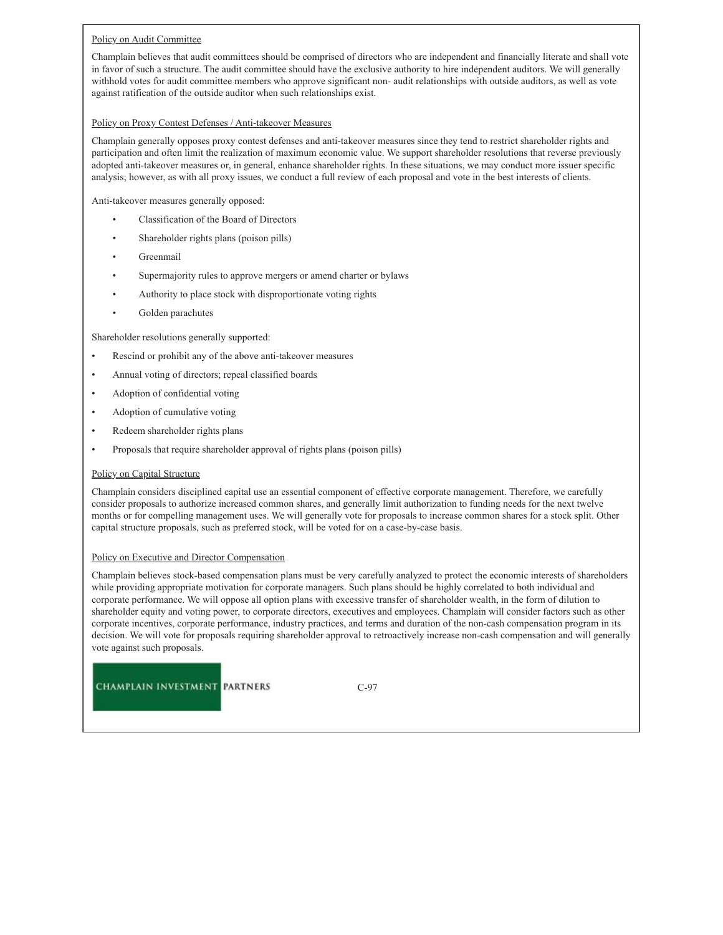#### Policy on Audit Committee

Champlain believes that audit committees should be comprised of directors who are independent and financially literate and shall vote in favor of such a structure. The audit committee should have the exclusive authority to hire independent auditors. We will generally withhold votes for audit committee members who approve significant non- audit relationships with outside auditors, as well as vote against ratification of the outside auditor when such relationships exist.

#### Policy on Proxy Contest Defenses / Anti-takeover Measures

Champlain generally opposes proxy contest defenses and anti-takeover measures since they tend to restrict shareholder rights and participation and often limit the realization of maximum economic value. We support shareholder resolutions that reverse previously adopted anti-takeover measures or, in general, enhance shareholder rights. In these situations, we may conduct more issuer specific analysis; however, as with all proxy issues, we conduct a full review of each proposal and vote in the best interests of clients.

Anti-takeover measures generally opposed:

- Classification of the Board of Directors
- Shareholder rights plans (poison pills)
- **Greenmail**
- Supermajority rules to approve mergers or amend charter or bylaws
- Authority to place stock with disproportionate voting rights
- Golden parachutes

Shareholder resolutions generally supported:

- Rescind or prohibit any of the above anti-takeover measures
- Annual voting of directors; repeal classified boards
- Adoption of confidential voting
- Adoption of cumulative voting
- Redeem shareholder rights plans
- Proposals that require shareholder approval of rights plans (poison pills)

#### Policy on Capital Structure

Champlain considers disciplined capital use an essential component of effective corporate management. Therefore, we carefully consider proposals to authorize increased common shares, and generally limit authorization to funding needs for the next twelve months or for compelling management uses. We will generally vote for proposals to increase common shares for a stock split. Other capital structure proposals, such as preferred stock, will be voted for on a case-by-case basis.

#### Policy on Executive and Director Compensation

Champlain believes stock-based compensation plans must be very carefully analyzed to protect the economic interests of shareholders while providing appropriate motivation for corporate managers. Such plans should be highly correlated to both individual and corporate performance. We will oppose all option plans with excessive transfer of shareholder wealth, in the form of dilution to shareholder equity and voting power, to corporate directors, executives and employees. Champlain will consider factors such as other corporate incentives, corporate performance, industry practices, and terms and duration of the non-cash compensation program in its decision. We will vote for proposals requiring shareholder approval to retroactively increase non-cash compensation and will generally vote against such proposals.

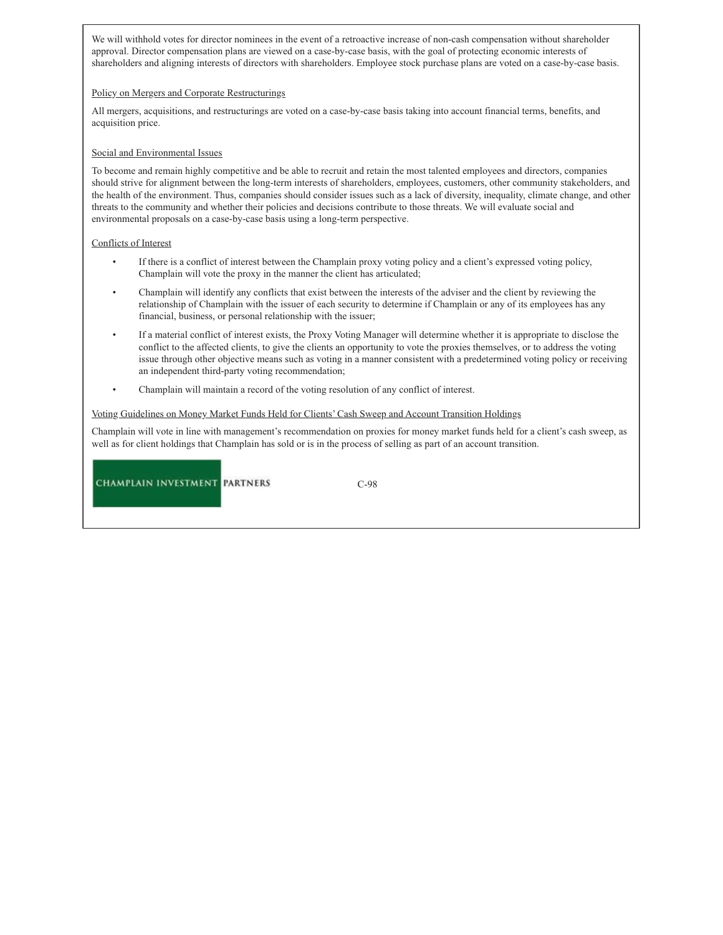We will withhold votes for director nominees in the event of a retroactive increase of non-cash compensation without shareholder approval. Director compensation plans are viewed on a case-by-case basis, with the goal of protecting economic interests of shareholders and aligning interests of directors with shareholders. Employee stock purchase plans are voted on a case-by-case basis.

#### Policy on Mergers and Corporate Restructurings

All mergers, acquisitions, and restructurings are voted on a case-by-case basis taking into account financial terms, benefits, and acquisition price.

#### Social and Environmental Issues

To become and remain highly competitive and be able to recruit and retain the most talented employees and directors, companies should strive for alignment between the long-term interests of shareholders, employees, customers, other community stakeholders, and the health of the environment. Thus, companies should consider issues such as a lack of diversity, inequality, climate change, and other threats to the community and whether their policies and decisions contribute to those threats. We will evaluate social and environmental proposals on a case-by-case basis using a long-term perspective.

#### Conflicts of Interest

- If there is a conflict of interest between the Champlain proxy voting policy and a client's expressed voting policy, Champlain will vote the proxy in the manner the client has articulated;
- Champlain will identify any conflicts that exist between the interests of the adviser and the client by reviewing the relationship of Champlain with the issuer of each security to determine if Champlain or any of its employees has any financial, business, or personal relationship with the issuer;
- If a material conflict of interest exists, the Proxy Voting Manager will determine whether it is appropriate to disclose the conflict to the affected clients, to give the clients an opportunity to vote the proxies themselves, or to address the voting issue through other objective means such as voting in a manner consistent with a predetermined voting policy or receiving an independent third-party voting recommendation;
- Champlain will maintain a record of the voting resolution of any conflict of interest.

#### Voting Guidelines on Money Market Funds Held for Clients' Cash Sweep and Account Transition Holdings

Champlain will vote in line with management's recommendation on proxies for money market funds held for a client's cash sweep, as well as for client holdings that Champlain has sold or is in the process of selling as part of an account transition.

**CHAMPLAIN INVESTMENT PARTNERS**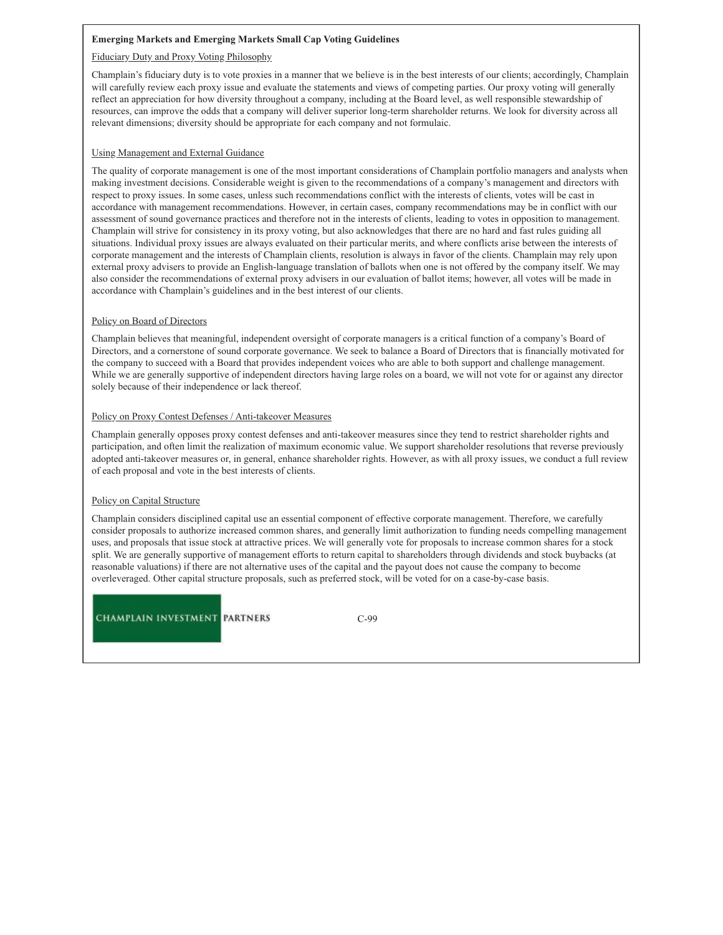#### **Emerging Markets and Emerging Markets Small Cap Voting Guidelines**

#### Fiduciary Duty and Proxy Voting Philosophy

Champlain's fiduciary duty is to vote proxies in a manner that we believe is in the best interests of our clients; accordingly, Champlain will carefully review each proxy issue and evaluate the statements and views of competing parties. Our proxy voting will generally reflect an appreciation for how diversity throughout a company, including at the Board level, as well responsible stewardship of resources, can improve the odds that a company will deliver superior long-term shareholder returns. We look for diversity across all relevant dimensions; diversity should be appropriate for each company and not formulaic.

#### Using Management and External Guidance

The quality of corporate management is one of the most important considerations of Champlain portfolio managers and analysts when making investment decisions. Considerable weight is given to the recommendations of a company's management and directors with respect to proxy issues. In some cases, unless such recommendations conflict with the interests of clients, votes will be cast in accordance with management recommendations. However, in certain cases, company recommendations may be in conflict with our assessment of sound governance practices and therefore not in the interests of clients, leading to votes in opposition to management. Champlain will strive for consistency in its proxy voting, but also acknowledges that there are no hard and fast rules guiding all situations. Individual proxy issues are always evaluated on their particular merits, and where conflicts arise between the interests of corporate management and the interests of Champlain clients, resolution is always in favor of the clients. Champlain may rely upon external proxy advisers to provide an English-language translation of ballots when one is not offered by the company itself. We may also consider the recommendations of external proxy advisers in our evaluation of ballot items; however, all votes will be made in accordance with Champlain's guidelines and in the best interest of our clients.

#### Policy on Board of Directors

Champlain believes that meaningful, independent oversight of corporate managers is a critical function of a company's Board of Directors, and a cornerstone of sound corporate governance. We seek to balance a Board of Directors that is financially motivated for the company to succeed with a Board that provides independent voices who are able to both support and challenge management. While we are generally supportive of independent directors having large roles on a board, we will not vote for or against any director solely because of their independence or lack thereof.

#### Policy on Proxy Contest Defenses / Anti-takeover Measures

Champlain generally opposes proxy contest defenses and anti-takeover measures since they tend to restrict shareholder rights and participation, and often limit the realization of maximum economic value. We support shareholder resolutions that reverse previously adopted anti-takeover measures or, in general, enhance shareholder rights. However, as with all proxy issues, we conduct a full review of each proposal and vote in the best interests of clients.

#### Policy on Capital Structure

Champlain considers disciplined capital use an essential component of effective corporate management. Therefore, we carefully consider proposals to authorize increased common shares, and generally limit authorization to funding needs compelling management uses, and proposals that issue stock at attractive prices. We will generally vote for proposals to increase common shares for a stock split. We are generally supportive of management efforts to return capital to shareholders through dividends and stock buybacks (at reasonable valuations) if there are not alternative uses of the capital and the payout does not cause the company to become overleveraged. Other capital structure proposals, such as preferred stock, will be voted for on a case-by-case basis.

**CHAMPLAIN INVESTMENT PARTNERS**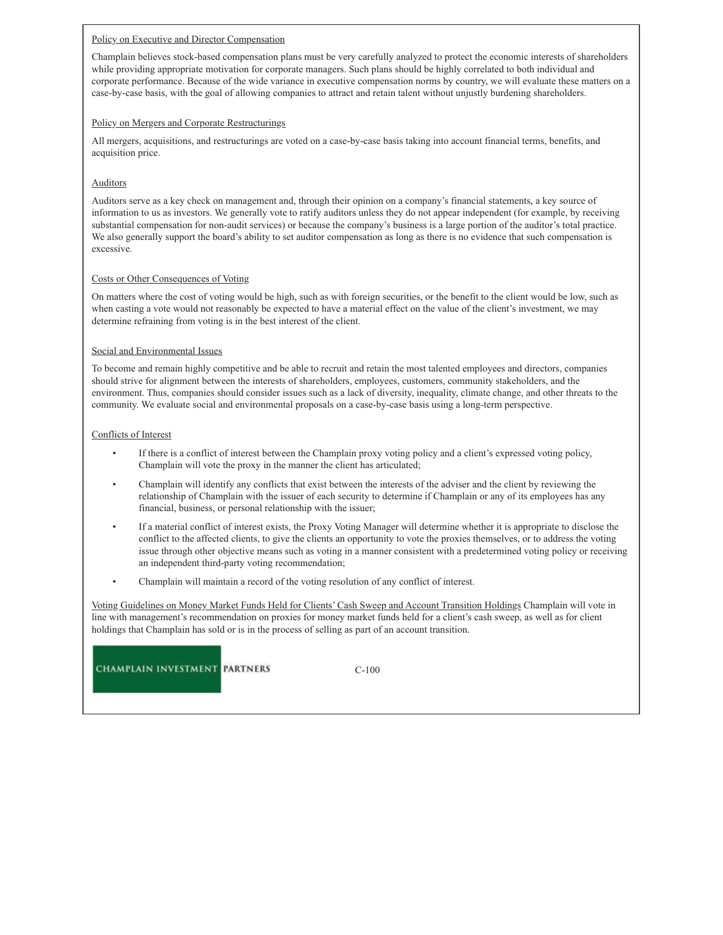#### Policy on Executive and Director Compensation

Champlain believes stock-based compensation plans must be very carefully analyzed to protect the economic interests of shareholders while providing appropriate motivation for corporate managers. Such plans should be highly correlated to both individual and corporate performance. Because of the wide variance in executive compensation norms by country, we will evaluate these matters on a case-by-case basis, with the goal of allowing companies to attract and retain talent without unjustly burdening shareholders.

#### Policy on Mergers and Corporate Restructurings

All mergers, acquisitions, and restructurings are voted on a case-by-case basis taking into account financial terms, benefits, and acquisition price.

#### **Auditors**

Auditors serve as a key check on management and, through their opinion on a company's financial statements, a key source of information to us as investors. We generally vote to ratify auditors unless they do not appear independent (for example, by receiving substantial compensation for non-audit services) or because the company's business is a large portion of the auditor's total practice. We also generally support the board's ability to set auditor compensation as long as there is no evidence that such compensation is excessive.

#### Costs or Other Consequences of Voting

On matters where the cost of voting would be high, such as with foreign securities, or the benefit to the client would be low, such as when casting a vote would not reasonably be expected to have a material effect on the value of the client's investment, we may determine refraining from voting is in the best interest of the client.

#### Social and Environmental Issues

To become and remain highly competitive and be able to recruit and retain the most talented employees and directors, companies should strive for alignment between the interests of shareholders, employees, customers, community stakeholders, and the environment. Thus, companies should consider issues such as a lack of diversity, inequality, climate change, and other threats to the community. We evaluate social and environmental proposals on a case-by-case basis using a long-term perspective.

#### Conflicts of Interest

- If there is a conflict of interest between the Champlain proxy voting policy and a client's expressed voting policy, Champlain will vote the proxy in the manner the client has articulated;
- Champlain will identify any conflicts that exist between the interests of the adviser and the client by reviewing the relationship of Champlain with the issuer of each security to determine if Champlain or any of its employees has any financial, business, or personal relationship with the issuer;
- If a material conflict of interest exists, the Proxy Voting Manager will determine whether it is appropriate to disclose the conflict to the affected clients, to give the clients an opportunity to vote the proxies themselves, or to address the voting issue through other objective means such as voting in a manner consistent with a predetermined voting policy or receiving an independent third-party voting recommendation;
- Champlain will maintain a record of the voting resolution of any conflict of interest.

Voting Guidelines on Money Market Funds Held for Clients' Cash Sweep and Account Transition Holdings Champlain will vote in line with management's recommendation on proxies for money market funds held for a client's cash sweep, as well as for client holdings that Champlain has sold or is in the process of selling as part of an account transition.

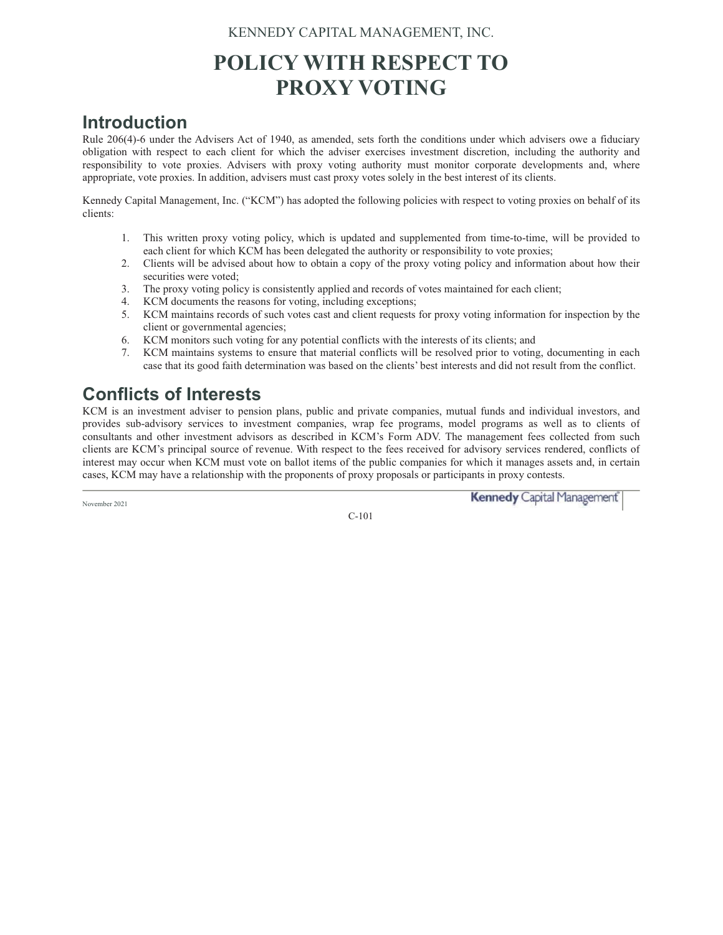### KENNEDY CAPITAL MANAGEMENT, INC.

### **POLICY WITH RESPECT TO PROXY VOTING**

### **Introduction**

Rule 206(4)-6 under the Advisers Act of 1940, as amended, sets forth the conditions under which advisers owe a fiduciary obligation with respect to each client for which the adviser exercises investment discretion, including the authority and responsibility to vote proxies. Advisers with proxy voting authority must monitor corporate developments and, where appropriate, vote proxies. In addition, advisers must cast proxy votes solely in the best interest of its clients.

Kennedy Capital Management, Inc. ("KCM") has adopted the following policies with respect to voting proxies on behalf of its clients:

- 1. This written proxy voting policy, which is updated and supplemented from time-to-time, will be provided to each client for which KCM has been delegated the authority or responsibility to vote proxies;
- 2. Clients will be advised about how to obtain a copy of the proxy voting policy and information about how their securities were voted;
- 3. The proxy voting policy is consistently applied and records of votes maintained for each client;
- 4. KCM documents the reasons for voting, including exceptions;
- 5. KCM maintains records of such votes cast and client requests for proxy voting information for inspection by the client or governmental agencies;
- 6. KCM monitors such voting for any potential conflicts with the interests of its clients; and
- 7. KCM maintains systems to ensure that material conflicts will be resolved prior to voting, documenting in each case that its good faith determination was based on the clients' best interests and did not result from the conflict.

### **Conflicts of Interests**

KCM is an investment adviser to pension plans, public and private companies, mutual funds and individual investors, and provides sub-advisory services to investment companies, wrap fee programs, model programs as well as to clients of consultants and other investment advisors as described in KCM's Form ADV. The management fees collected from such clients are KCM's principal source of revenue. With respect to the fees received for advisory services rendered, conflicts of interest may occur when KCM must vote on ballot items of the public companies for which it manages assets and, in certain cases, KCM may have a relationship with the proponents of proxy proposals or participants in proxy contests.

November 2021

C-101

Kennedy Capital Management<sup>®</sup>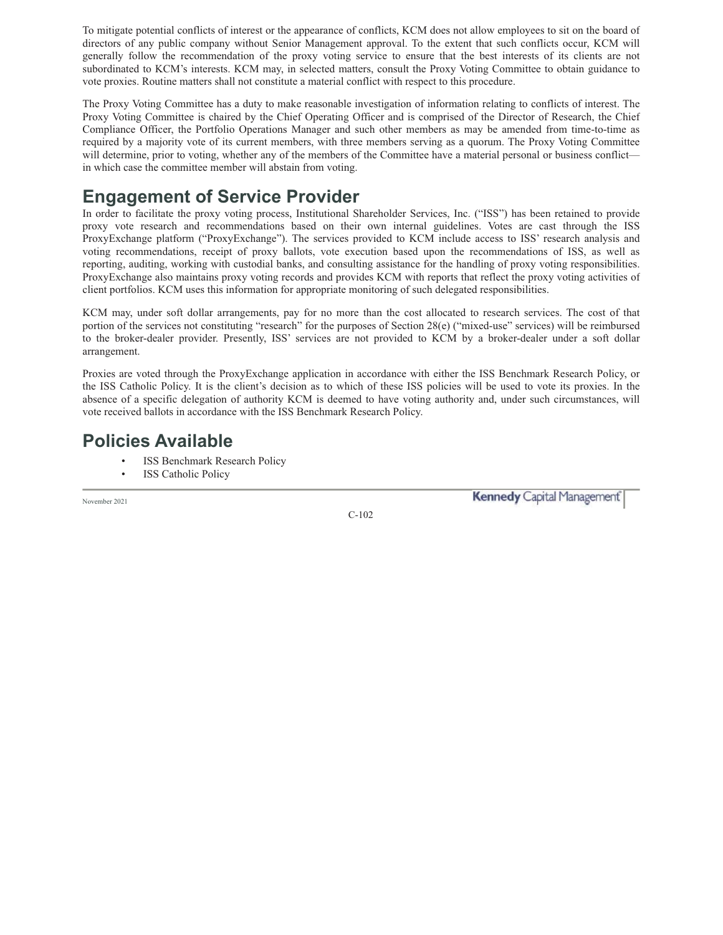To mitigate potential conflicts of interest or the appearance of conflicts, KCM does not allow employees to sit on the board of directors of any public company without Senior Management approval. To the extent that such conflicts occur, KCM will generally follow the recommendation of the proxy voting service to ensure that the best interests of its clients are not subordinated to KCM's interests. KCM may, in selected matters, consult the Proxy Voting Committee to obtain guidance to vote proxies. Routine matters shall not constitute a material conflict with respect to this procedure.

The Proxy Voting Committee has a duty to make reasonable investigation of information relating to conflicts of interest. The Proxy Voting Committee is chaired by the Chief Operating Officer and is comprised of the Director of Research, the Chief Compliance Officer, the Portfolio Operations Manager and such other members as may be amended from time-to-time as required by a majority vote of its current members, with three members serving as a quorum. The Proxy Voting Committee will determine, prior to voting, whether any of the members of the Committee have a material personal or business conflict in which case the committee member will abstain from voting.

# **Engagement of Service Provider**

In order to facilitate the proxy voting process, Institutional Shareholder Services, Inc. ("ISS") has been retained to provide proxy vote research and recommendations based on their own internal guidelines. Votes are cast through the ISS ProxyExchange platform ("ProxyExchange"). The services provided to KCM include access to ISS' research analysis and voting recommendations, receipt of proxy ballots, vote execution based upon the recommendations of ISS, as well as reporting, auditing, working with custodial banks, and consulting assistance for the handling of proxy voting responsibilities. ProxyExchange also maintains proxy voting records and provides KCM with reports that reflect the proxy voting activities of client portfolios. KCM uses this information for appropriate monitoring of such delegated responsibilities.

KCM may, under soft dollar arrangements, pay for no more than the cost allocated to research services. The cost of that portion of the services not constituting "research" for the purposes of Section 28(e) ("mixed-use" services) will be reimbursed to the broker-dealer provider. Presently, ISS' services are not provided to KCM by a broker-dealer under a soft dollar arrangement.

Proxies are voted through the ProxyExchange application in accordance with either the ISS Benchmark Research Policy, or the ISS Catholic Policy. It is the client's decision as to which of these ISS policies will be used to vote its proxies. In the absence of a specific delegation of authority KCM is deemed to have voting authority and, under such circumstances, will vote received ballots in accordance with the ISS Benchmark Research Policy.

# **Policies Available**

- ISS Benchmark Research Policy
- ISS Catholic Policy

November 2021

C-102

**Kennedy Capital Management**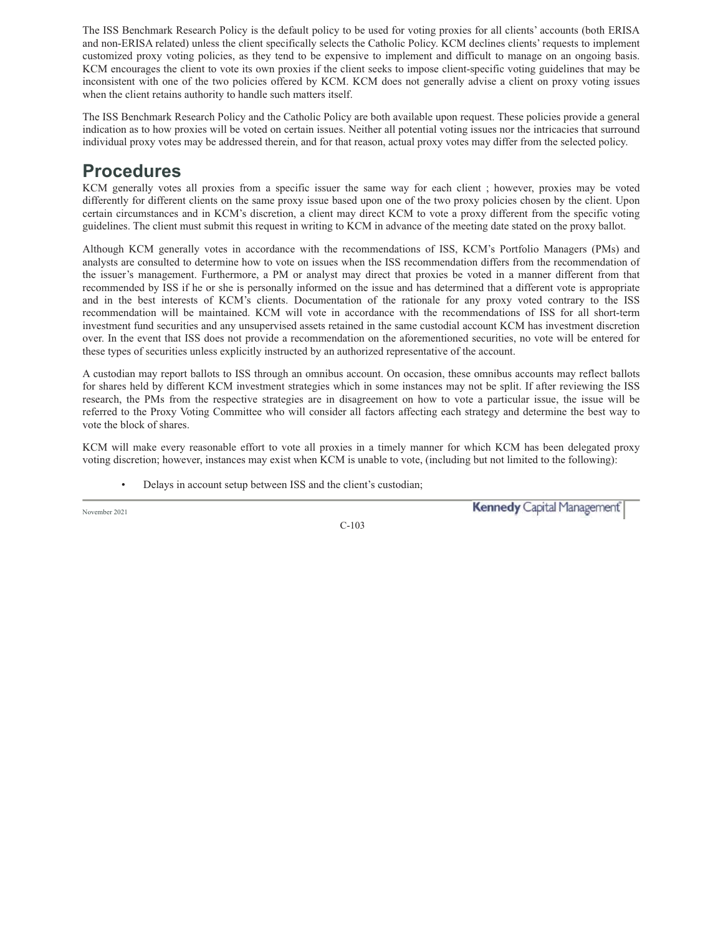The ISS Benchmark Research Policy is the default policy to be used for voting proxies for all clients' accounts (both ERISA and non-ERISA related) unless the client specifically selects the Catholic Policy. KCM declines clients' requests to implement customized proxy voting policies, as they tend to be expensive to implement and difficult to manage on an ongoing basis. KCM encourages the client to vote its own proxies if the client seeks to impose client-specific voting guidelines that may be inconsistent with one of the two policies offered by KCM. KCM does not generally advise a client on proxy voting issues when the client retains authority to handle such matters itself.

The ISS Benchmark Research Policy and the Catholic Policy are both available upon request. These policies provide a general indication as to how proxies will be voted on certain issues. Neither all potential voting issues nor the intricacies that surround individual proxy votes may be addressed therein, and for that reason, actual proxy votes may differ from the selected policy.

# **Procedures**

KCM generally votes all proxies from a specific issuer the same way for each client ; however, proxies may be voted differently for different clients on the same proxy issue based upon one of the two proxy policies chosen by the client. Upon certain circumstances and in KCM's discretion, a client may direct KCM to vote a proxy different from the specific voting guidelines. The client must submit this request in writing to KCM in advance of the meeting date stated on the proxy ballot.

Although KCM generally votes in accordance with the recommendations of ISS, KCM's Portfolio Managers (PMs) and analysts are consulted to determine how to vote on issues when the ISS recommendation differs from the recommendation of the issuer's management. Furthermore, a PM or analyst may direct that proxies be voted in a manner different from that recommended by ISS if he or she is personally informed on the issue and has determined that a different vote is appropriate and in the best interests of KCM's clients. Documentation of the rationale for any proxy voted contrary to the ISS recommendation will be maintained. KCM will vote in accordance with the recommendations of ISS for all short-term investment fund securities and any unsupervised assets retained in the same custodial account KCM has investment discretion over. In the event that ISS does not provide a recommendation on the aforementioned securities, no vote will be entered for these types of securities unless explicitly instructed by an authorized representative of the account.

A custodian may report ballots to ISS through an omnibus account. On occasion, these omnibus accounts may reflect ballots for shares held by different KCM investment strategies which in some instances may not be split. If after reviewing the ISS research, the PMs from the respective strategies are in disagreement on how to vote a particular issue, the issue will be referred to the Proxy Voting Committee who will consider all factors affecting each strategy and determine the best way to vote the block of shares.

KCM will make every reasonable effort to vote all proxies in a timely manner for which KCM has been delegated proxy voting discretion; however, instances may exist when KCM is unable to vote, (including but not limited to the following):

• Delays in account setup between ISS and the client's custodian;

November 2021

C-103

Kennedy Capital Management<sup>®</sup>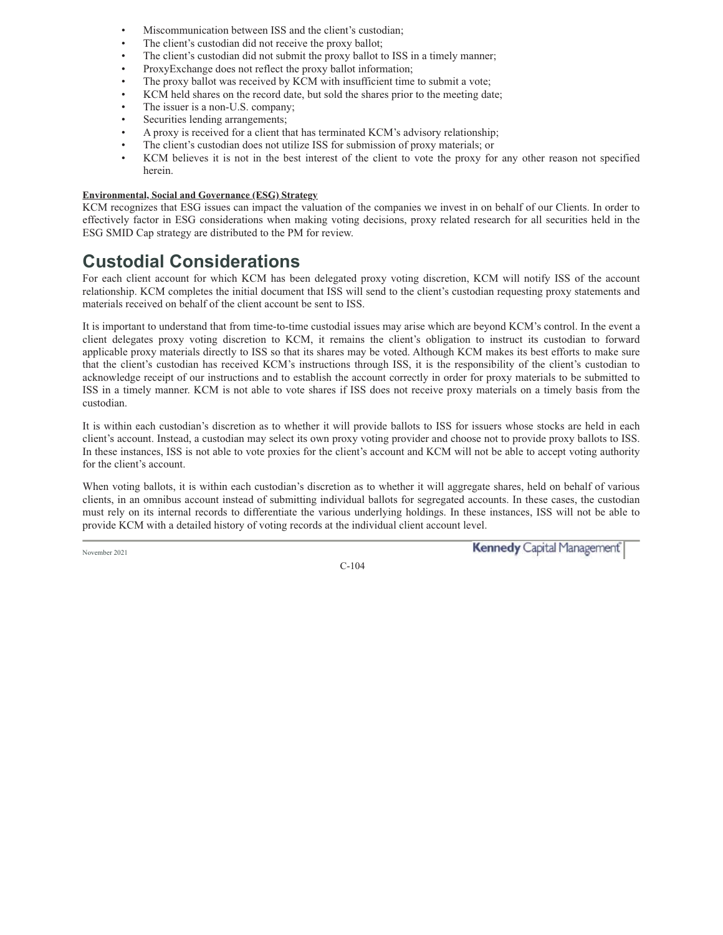- Miscommunication between ISS and the client's custodian;
- The client's custodian did not receive the proxy ballot;
- The client's custodian did not submit the proxy ballot to ISS in a timely manner;
- ProxyExchange does not reflect the proxy ballot information;
- The proxy ballot was received by KCM with insufficient time to submit a vote;
- KCM held shares on the record date, but sold the shares prior to the meeting date;
- The issuer is a non-U.S. company;
- Securities lending arrangements;
- A proxy is received for a client that has terminated KCM's advisory relationship;
- The client's custodian does not utilize ISS for submission of proxy materials; or
- KCM believes it is not in the best interest of the client to vote the proxy for any other reason not specified herein.

# **Environmental, Social and Governance (ESG) Strategy**

KCM recognizes that ESG issues can impact the valuation of the companies we invest in on behalf of our Clients. In order to effectively factor in ESG considerations when making voting decisions, proxy related research for all securities held in the ESG SMID Cap strategy are distributed to the PM for review.

# **Custodial Considerations**

For each client account for which KCM has been delegated proxy voting discretion, KCM will notify ISS of the account relationship. KCM completes the initial document that ISS will send to the client's custodian requesting proxy statements and materials received on behalf of the client account be sent to ISS.

It is important to understand that from time-to-time custodial issues may arise which are beyond KCM's control. In the event a client delegates proxy voting discretion to KCM, it remains the client's obligation to instruct its custodian to forward applicable proxy materials directly to ISS so that its shares may be voted. Although KCM makes its best efforts to make sure that the client's custodian has received KCM's instructions through ISS, it is the responsibility of the client's custodian to acknowledge receipt of our instructions and to establish the account correctly in order for proxy materials to be submitted to ISS in a timely manner. KCM is not able to vote shares if ISS does not receive proxy materials on a timely basis from the custodian.

It is within each custodian's discretion as to whether it will provide ballots to ISS for issuers whose stocks are held in each client's account. Instead, a custodian may select its own proxy voting provider and choose not to provide proxy ballots to ISS. In these instances, ISS is not able to vote proxies for the client's account and KCM will not be able to accept voting authority for the client's account.

When voting ballots, it is within each custodian's discretion as to whether it will aggregate shares, held on behalf of various clients, in an omnibus account instead of submitting individual ballots for segregated accounts. In these cases, the custodian must rely on its internal records to differentiate the various underlying holdings. In these instances, ISS will not be able to provide KCM with a detailed history of voting records at the individual client account level.

November 2021

Kennedy Capital Management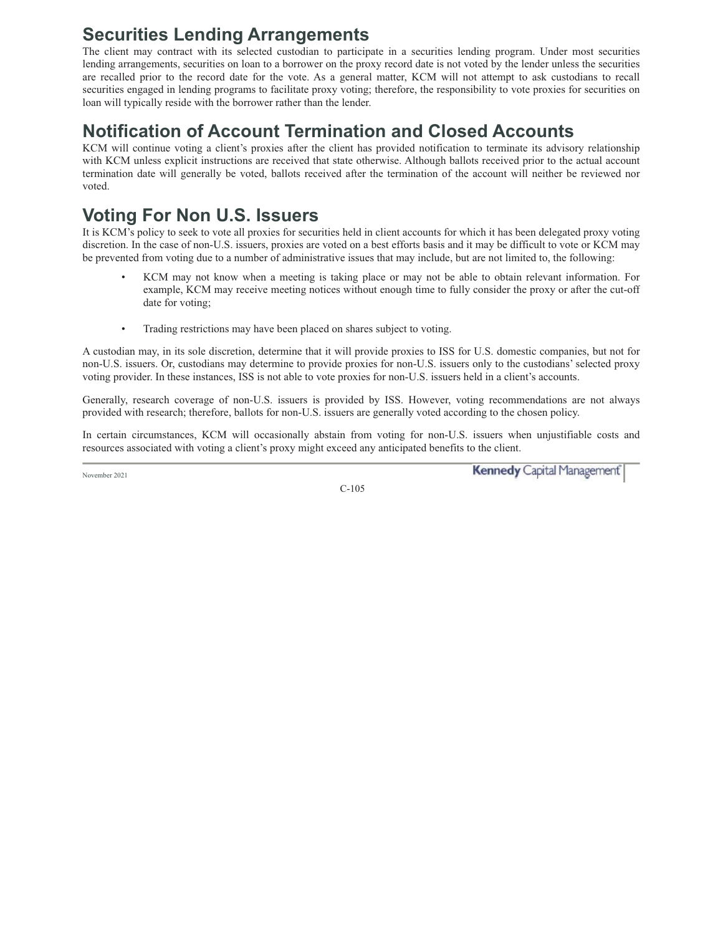# **Securities Lending Arrangements**

The client may contract with its selected custodian to participate in a securities lending program. Under most securities lending arrangements, securities on loan to a borrower on the proxy record date is not voted by the lender unless the securities are recalled prior to the record date for the vote. As a general matter, KCM will not attempt to ask custodians to recall securities engaged in lending programs to facilitate proxy voting; therefore, the responsibility to vote proxies for securities on loan will typically reside with the borrower rather than the lender.

# **Notification of Account Termination and Closed Accounts**

KCM will continue voting a client's proxies after the client has provided notification to terminate its advisory relationship with KCM unless explicit instructions are received that state otherwise. Although ballots received prior to the actual account termination date will generally be voted, ballots received after the termination of the account will neither be reviewed nor voted.

# **Voting For Non U.S. Issuers**

It is KCM's policy to seek to vote all proxies for securities held in client accounts for which it has been delegated proxy voting discretion. In the case of non-U.S. issuers, proxies are voted on a best efforts basis and it may be difficult to vote or KCM may be prevented from voting due to a number of administrative issues that may include, but are not limited to, the following:

- KCM may not know when a meeting is taking place or may not be able to obtain relevant information. For example, KCM may receive meeting notices without enough time to fully consider the proxy or after the cut-off date for voting;
- Trading restrictions may have been placed on shares subject to voting.

A custodian may, in its sole discretion, determine that it will provide proxies to ISS for U.S. domestic companies, but not for non-U.S. issuers. Or, custodians may determine to provide proxies for non-U.S. issuers only to the custodians' selected proxy voting provider. In these instances, ISS is not able to vote proxies for non-U.S. issuers held in a client's accounts.

Generally, research coverage of non-U.S. issuers is provided by ISS. However, voting recommendations are not always provided with research; therefore, ballots for non-U.S. issuers are generally voted according to the chosen policy.

In certain circumstances, KCM will occasionally abstain from voting for non-U.S. issuers when unjustifiable costs and resources associated with voting a client's proxy might exceed any anticipated benefits to the client.

November 2021

Kennedy Capital Management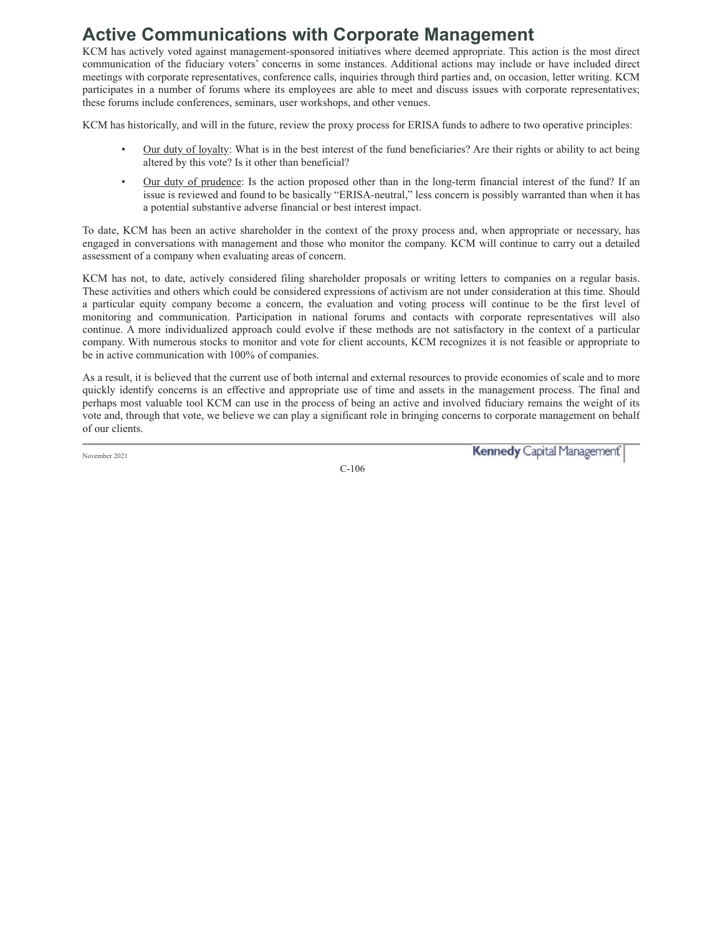# **Active Communications with Corporate Management**

KCM has actively voted against management-sponsored initiatives where deemed appropriate. This action is the most direct communication of the fiduciary voters' concerns in some instances. Additional actions may include or have included direct meetings with corporate representatives, conference calls, inquiries through third parties and, on occasion, letter writing. KCM participates in a number of forums where its employees are able to meet and discuss issues with corporate representatives; these forums include conferences, seminars, user workshops, and other venues.

KCM has historically, and will in the future, review the proxy process for ERISA funds to adhere to two operative principles:

- Our duty of loyalty: What is in the best interest of the fund beneficiaries? Are their rights or ability to act being altered by this vote? Is it other than beneficial?
- Our duty of prudence: Is the action proposed other than in the long-term financial interest of the fund? If an issue is reviewed and found to be basically "ERISA-neutral," less concern is possibly warranted than when it has a potential substantive adverse financial or best interest impact.

To date, KCM has been an active shareholder in the context of the proxy process and, when appropriate or necessary, has engaged in conversations with management and those who monitor the company. KCM will continue to carry out a detailed assessment of a company when evaluating areas of concern.

KCM has not, to date, actively considered filing shareholder proposals or writing letters to companies on a regular basis. These activities and others which could be considered expressions of activism are not under consideration at this time. Should a particular equity company become a concern, the evaluation and voting process will continue to be the first level of monitoring and communication. Participation in national forums and contacts with corporate representatives will also continue. A more individualized approach could evolve if these methods are not satisfactory in the context of a particular company. With numerous stocks to monitor and vote for client accounts, KCM recognizes it is not feasible or appropriate to be in active communication with 100% of companies.

As a result, it is believed that the current use of both internal and external resources to provide economies of scale and to more quickly identify concerns is an effective and appropriate use of time and assets in the management process. The final and perhaps most valuable tool KCM can use in the process of being an active and involved fiduciary remains the weight of its vote and, through that vote, we believe we can play a significant role in bringing concerns to corporate management on behalf of our clients.

November 2021

Kennedy Capital Management®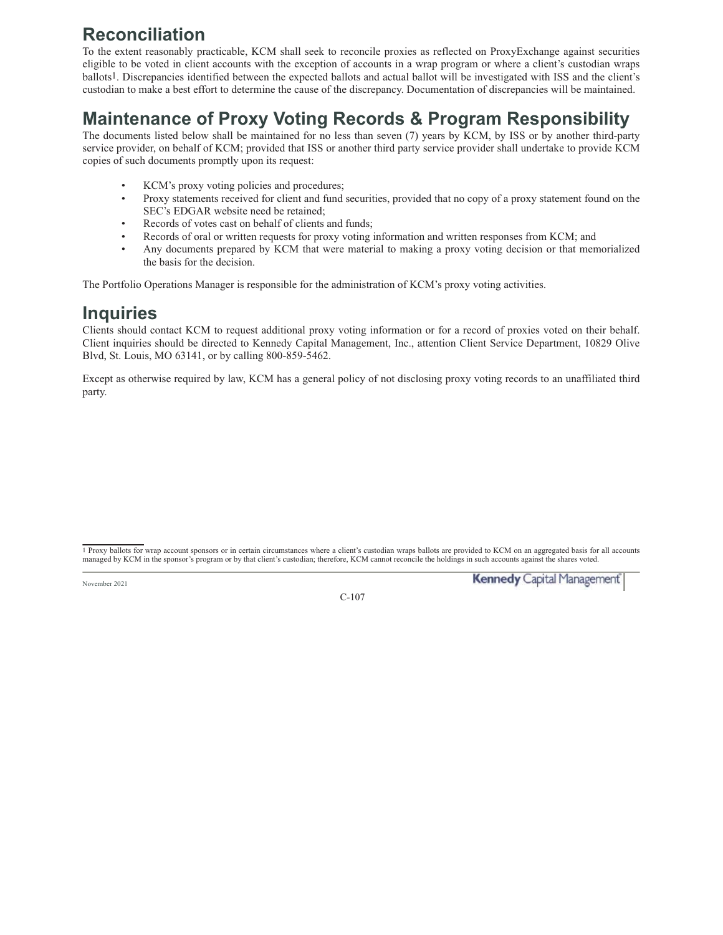# **Reconciliation**

To the extent reasonably practicable, KCM shall seek to reconcile proxies as reflected on ProxyExchange against securities eligible to be voted in client accounts with the exception of accounts in a wrap program or where a client's custodian wraps ballots1. Discrepancies identified between the expected ballots and actual ballot will be investigated with ISS and the client's custodian to make a best effort to determine the cause of the discrepancy. Documentation of discrepancies will be maintained.

# **Maintenance of Proxy Voting Records & Program Responsibility**

The documents listed below shall be maintained for no less than seven (7) years by KCM, by ISS or by another third-party service provider, on behalf of KCM; provided that ISS or another third party service provider shall undertake to provide KCM copies of such documents promptly upon its request:

- KCM's proxy voting policies and procedures;
- Proxy statements received for client and fund securities, provided that no copy of a proxy statement found on the SEC's EDGAR website need be retained;
- Records of votes cast on behalf of clients and funds;
- Records of oral or written requests for proxy voting information and written responses from KCM; and
- Any documents prepared by KCM that were material to making a proxy voting decision or that memorialized the basis for the decision.

The Portfolio Operations Manager is responsible for the administration of KCM's proxy voting activities.

# **Inquiries**

Clients should contact KCM to request additional proxy voting information or for a record of proxies voted on their behalf. Client inquiries should be directed to Kennedy Capital Management, Inc., attention Client Service Department, 10829 Olive Blvd, St. Louis, MO 63141, or by calling 800-859-5462.

Except as otherwise required by law, KCM has a general policy of not disclosing proxy voting records to an unaffiliated third party.

November 2021

C-107

**Kennedy Capital Management** 

<sup>1</sup> Proxy ballots for wrap account sponsors or in certain circumstances where a client's custodian wraps ballots are provided to KCM on an aggregated basis for all accounts managed by KCM in the sponsor's program or by that client's custodian; therefore, KCM cannot reconcile the holdings in such accounts against the shares voted.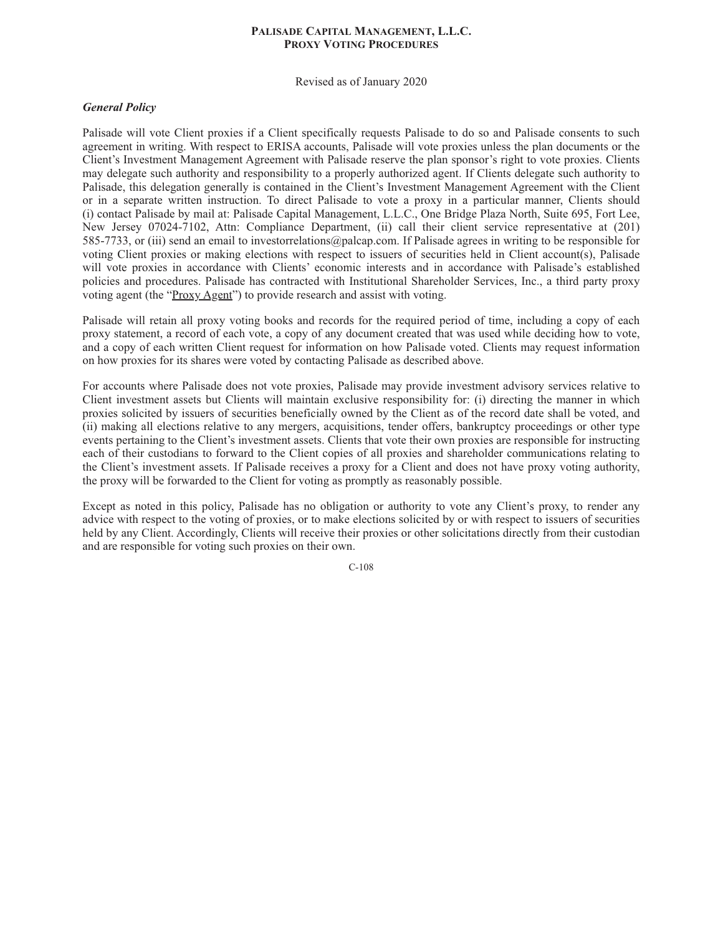# **PALISADE CAPITAL MANAGEMENT, L.L.C. PROXY VOTING PROCEDURES**

Revised as of January 2020

# *General Policy*

Palisade will vote Client proxies if a Client specifically requests Palisade to do so and Palisade consents to such agreement in writing. With respect to ERISA accounts, Palisade will vote proxies unless the plan documents or the Client's Investment Management Agreement with Palisade reserve the plan sponsor's right to vote proxies. Clients may delegate such authority and responsibility to a properly authorized agent. If Clients delegate such authority to Palisade, this delegation generally is contained in the Client's Investment Management Agreement with the Client or in a separate written instruction. To direct Palisade to vote a proxy in a particular manner, Clients should (i) contact Palisade by mail at: Palisade Capital Management, L.L.C., One Bridge Plaza North, Suite 695, Fort Lee, New Jersey 07024-7102, Attn: Compliance Department, (ii) call their client service representative at (201) 585-7733, or (iii) send an email to investorrelations@palcap.com. If Palisade agrees in writing to be responsible for voting Client proxies or making elections with respect to issuers of securities held in Client account(s), Palisade will vote proxies in accordance with Clients' economic interests and in accordance with Palisade's established policies and procedures. Palisade has contracted with Institutional Shareholder Services, Inc., a third party proxy voting agent (the "Proxy Agent") to provide research and assist with voting.

Palisade will retain all proxy voting books and records for the required period of time, including a copy of each proxy statement, a record of each vote, a copy of any document created that was used while deciding how to vote, and a copy of each written Client request for information on how Palisade voted. Clients may request information on how proxies for its shares were voted by contacting Palisade as described above.

For accounts where Palisade does not vote proxies, Palisade may provide investment advisory services relative to Client investment assets but Clients will maintain exclusive responsibility for: (i) directing the manner in which proxies solicited by issuers of securities beneficially owned by the Client as of the record date shall be voted, and (ii) making all elections relative to any mergers, acquisitions, tender offers, bankruptcy proceedings or other type events pertaining to the Client's investment assets. Clients that vote their own proxies are responsible for instructing each of their custodians to forward to the Client copies of all proxies and shareholder communications relating to the Client's investment assets. If Palisade receives a proxy for a Client and does not have proxy voting authority, the proxy will be forwarded to the Client for voting as promptly as reasonably possible.

Except as noted in this policy, Palisade has no obligation or authority to vote any Client's proxy, to render any advice with respect to the voting of proxies, or to make elections solicited by or with respect to issuers of securities held by any Client. Accordingly, Clients will receive their proxies or other solicitations directly from their custodian and are responsible for voting such proxies on their own.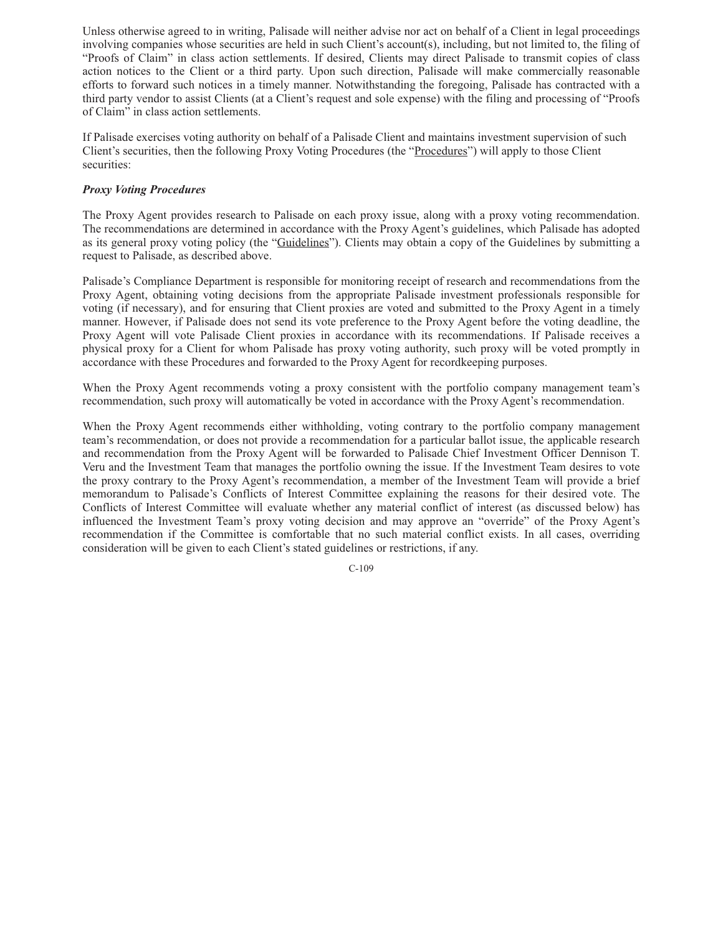Unless otherwise agreed to in writing, Palisade will neither advise nor act on behalf of a Client in legal proceedings involving companies whose securities are held in such Client's account(s), including, but not limited to, the filing of "Proofs of Claim" in class action settlements. If desired, Clients may direct Palisade to transmit copies of class action notices to the Client or a third party. Upon such direction, Palisade will make commercially reasonable efforts to forward such notices in a timely manner. Notwithstanding the foregoing, Palisade has contracted with a third party vendor to assist Clients (at a Client's request and sole expense) with the filing and processing of "Proofs of Claim" in class action settlements.

If Palisade exercises voting authority on behalf of a Palisade Client and maintains investment supervision of such Client's securities, then the following Proxy Voting Procedures (the "Procedures") will apply to those Client securities:

# *Proxy Voting Procedures*

The Proxy Agent provides research to Palisade on each proxy issue, along with a proxy voting recommendation. The recommendations are determined in accordance with the Proxy Agent's guidelines, which Palisade has adopted as its general proxy voting policy (the "Guidelines"). Clients may obtain a copy of the Guidelines by submitting a request to Palisade, as described above.

Palisade's Compliance Department is responsible for monitoring receipt of research and recommendations from the Proxy Agent, obtaining voting decisions from the appropriate Palisade investment professionals responsible for voting (if necessary), and for ensuring that Client proxies are voted and submitted to the Proxy Agent in a timely manner. However, if Palisade does not send its vote preference to the Proxy Agent before the voting deadline, the Proxy Agent will vote Palisade Client proxies in accordance with its recommendations. If Palisade receives a physical proxy for a Client for whom Palisade has proxy voting authority, such proxy will be voted promptly in accordance with these Procedures and forwarded to the Proxy Agent for recordkeeping purposes.

When the Proxy Agent recommends voting a proxy consistent with the portfolio company management team's recommendation, such proxy will automatically be voted in accordance with the Proxy Agent's recommendation.

When the Proxy Agent recommends either withholding, voting contrary to the portfolio company management team's recommendation, or does not provide a recommendation for a particular ballot issue, the applicable research and recommendation from the Proxy Agent will be forwarded to Palisade Chief Investment Officer Dennison T. Veru and the Investment Team that manages the portfolio owning the issue. If the Investment Team desires to vote the proxy contrary to the Proxy Agent's recommendation, a member of the Investment Team will provide a brief memorandum to Palisade's Conflicts of Interest Committee explaining the reasons for their desired vote. The Conflicts of Interest Committee will evaluate whether any material conflict of interest (as discussed below) has influenced the Investment Team's proxy voting decision and may approve an "override" of the Proxy Agent's recommendation if the Committee is comfortable that no such material conflict exists. In all cases, overriding consideration will be given to each Client's stated guidelines or restrictions, if any.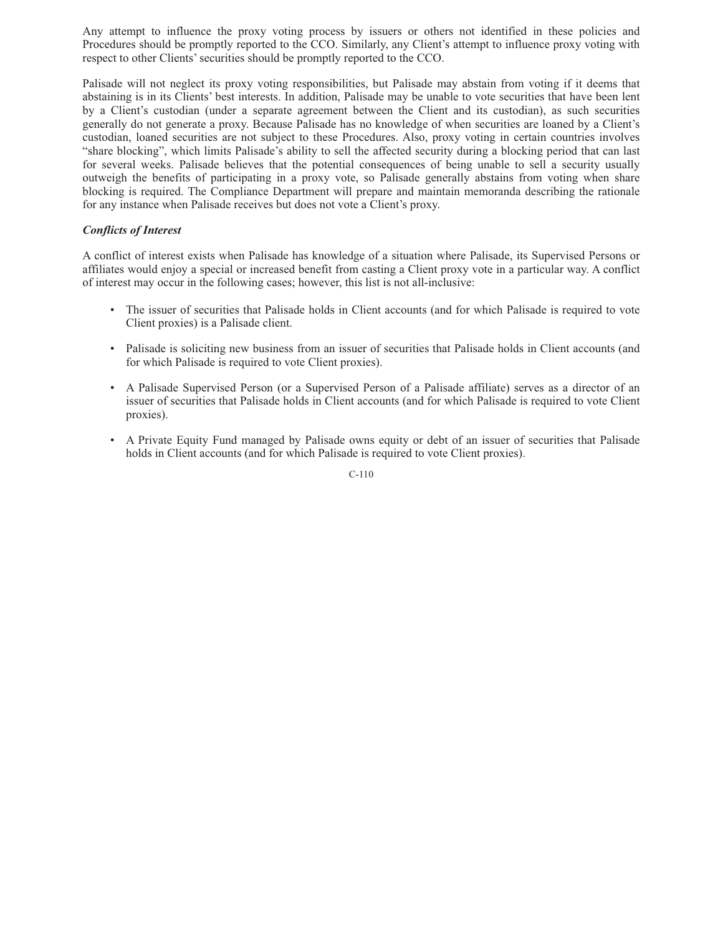Any attempt to influence the proxy voting process by issuers or others not identified in these policies and Procedures should be promptly reported to the CCO. Similarly, any Client's attempt to influence proxy voting with respect to other Clients' securities should be promptly reported to the CCO.

Palisade will not neglect its proxy voting responsibilities, but Palisade may abstain from voting if it deems that abstaining is in its Clients' best interests. In addition, Palisade may be unable to vote securities that have been lent by a Client's custodian (under a separate agreement between the Client and its custodian), as such securities generally do not generate a proxy. Because Palisade has no knowledge of when securities are loaned by a Client's custodian, loaned securities are not subject to these Procedures. Also, proxy voting in certain countries involves "share blocking", which limits Palisade's ability to sell the affected security during a blocking period that can last for several weeks. Palisade believes that the potential consequences of being unable to sell a security usually outweigh the benefits of participating in a proxy vote, so Palisade generally abstains from voting when share blocking is required. The Compliance Department will prepare and maintain memoranda describing the rationale for any instance when Palisade receives but does not vote a Client's proxy.

# *Conflicts of Interest*

A conflict of interest exists when Palisade has knowledge of a situation where Palisade, its Supervised Persons or affiliates would enjoy a special or increased benefit from casting a Client proxy vote in a particular way. A conflict of interest may occur in the following cases; however, this list is not all-inclusive:

- The issuer of securities that Palisade holds in Client accounts (and for which Palisade is required to vote Client proxies) is a Palisade client.
- Palisade is soliciting new business from an issuer of securities that Palisade holds in Client accounts (and for which Palisade is required to vote Client proxies).
- A Palisade Supervised Person (or a Supervised Person of a Palisade affiliate) serves as a director of an issuer of securities that Palisade holds in Client accounts (and for which Palisade is required to vote Client proxies).
- A Private Equity Fund managed by Palisade owns equity or debt of an issuer of securities that Palisade holds in Client accounts (and for which Palisade is required to vote Client proxies).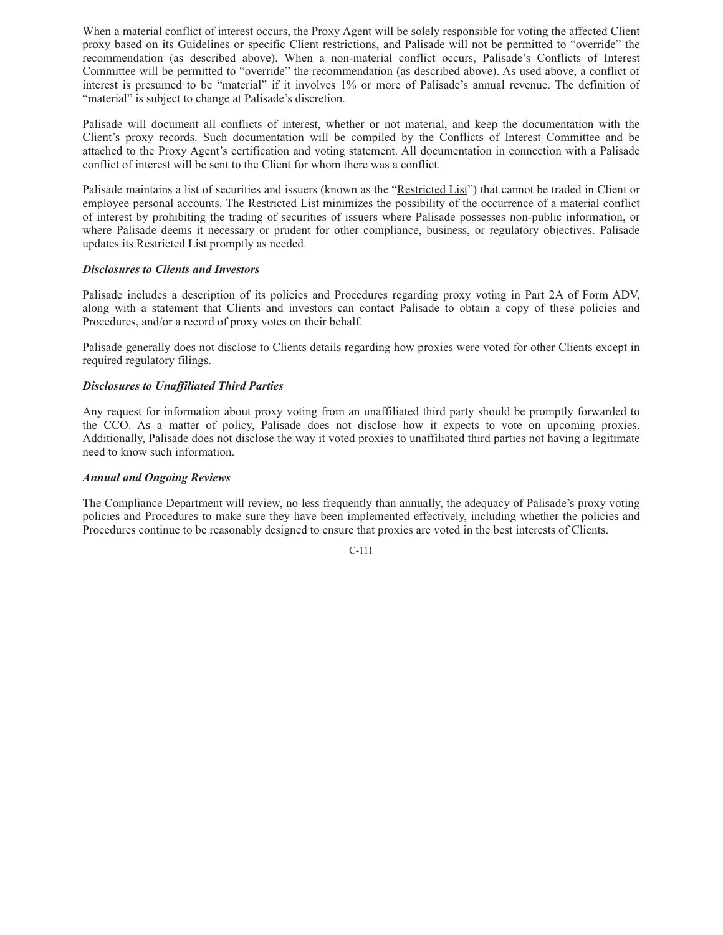When a material conflict of interest occurs, the Proxy Agent will be solely responsible for voting the affected Client proxy based on its Guidelines or specific Client restrictions, and Palisade will not be permitted to "override" the recommendation (as described above). When a non-material conflict occurs, Palisade's Conflicts of Interest Committee will be permitted to "override" the recommendation (as described above). As used above, a conflict of interest is presumed to be "material" if it involves 1% or more of Palisade's annual revenue. The definition of "material" is subject to change at Palisade's discretion.

Palisade will document all conflicts of interest, whether or not material, and keep the documentation with the Client's proxy records. Such documentation will be compiled by the Conflicts of Interest Committee and be attached to the Proxy Agent's certification and voting statement. All documentation in connection with a Palisade conflict of interest will be sent to the Client for whom there was a conflict.

Palisade maintains a list of securities and issuers (known as the "Restricted List") that cannot be traded in Client or employee personal accounts. The Restricted List minimizes the possibility of the occurrence of a material conflict of interest by prohibiting the trading of securities of issuers where Palisade possesses non-public information, or where Palisade deems it necessary or prudent for other compliance, business, or regulatory objectives. Palisade updates its Restricted List promptly as needed.

# *Disclosures to Clients and Investors*

Palisade includes a description of its policies and Procedures regarding proxy voting in Part 2A of Form ADV, along with a statement that Clients and investors can contact Palisade to obtain a copy of these policies and Procedures, and/or a record of proxy votes on their behalf.

Palisade generally does not disclose to Clients details regarding how proxies were voted for other Clients except in required regulatory filings.

# *Disclosures to Unaffiliated Third Parties*

Any request for information about proxy voting from an unaffiliated third party should be promptly forwarded to the CCO. As a matter of policy, Palisade does not disclose how it expects to vote on upcoming proxies. Additionally, Palisade does not disclose the way it voted proxies to unaffiliated third parties not having a legitimate need to know such information.

# *Annual and Ongoing Reviews*

The Compliance Department will review, no less frequently than annually, the adequacy of Palisade's proxy voting policies and Procedures to make sure they have been implemented effectively, including whether the policies and Procedures continue to be reasonably designed to ensure that proxies are voted in the best interests of Clients.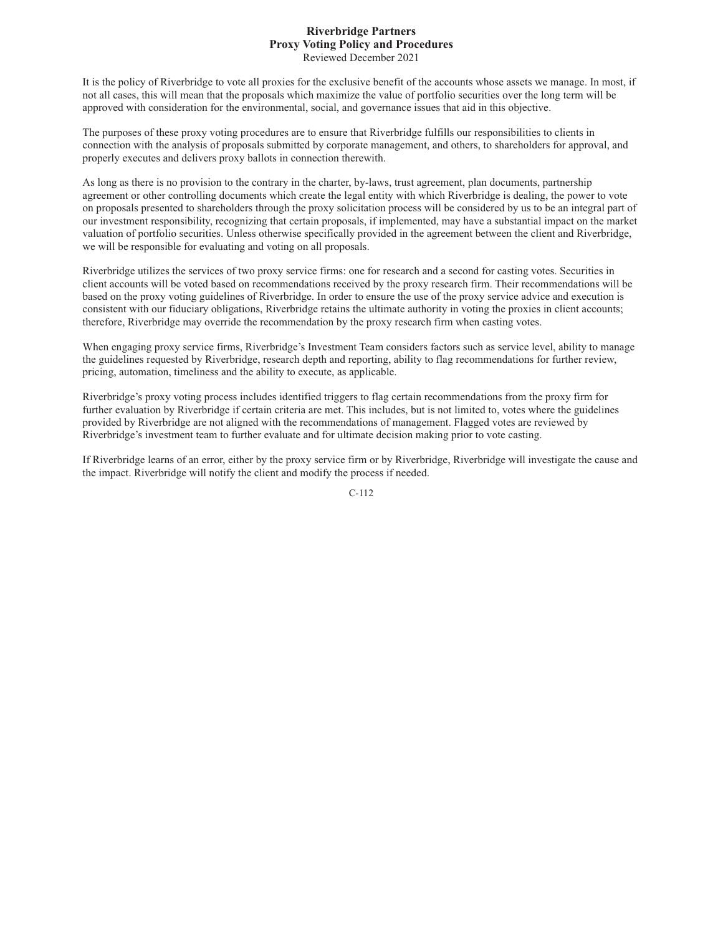# **Riverbridge Partners Proxy Voting Policy and Procedures** Reviewed December 2021

It is the policy of Riverbridge to vote all proxies for the exclusive benefit of the accounts whose assets we manage. In most, if not all cases, this will mean that the proposals which maximize the value of portfolio securities over the long term will be approved with consideration for the environmental, social, and governance issues that aid in this objective.

The purposes of these proxy voting procedures are to ensure that Riverbridge fulfills our responsibilities to clients in connection with the analysis of proposals submitted by corporate management, and others, to shareholders for approval, and properly executes and delivers proxy ballots in connection therewith.

As long as there is no provision to the contrary in the charter, by-laws, trust agreement, plan documents, partnership agreement or other controlling documents which create the legal entity with which Riverbridge is dealing, the power to vote on proposals presented to shareholders through the proxy solicitation process will be considered by us to be an integral part of our investment responsibility, recognizing that certain proposals, if implemented, may have a substantial impact on the market valuation of portfolio securities. Unless otherwise specifically provided in the agreement between the client and Riverbridge, we will be responsible for evaluating and voting on all proposals.

Riverbridge utilizes the services of two proxy service firms: one for research and a second for casting votes. Securities in client accounts will be voted based on recommendations received by the proxy research firm. Their recommendations will be based on the proxy voting guidelines of Riverbridge. In order to ensure the use of the proxy service advice and execution is consistent with our fiduciary obligations, Riverbridge retains the ultimate authority in voting the proxies in client accounts; therefore, Riverbridge may override the recommendation by the proxy research firm when casting votes.

When engaging proxy service firms, Riverbridge's Investment Team considers factors such as service level, ability to manage the guidelines requested by Riverbridge, research depth and reporting, ability to flag recommendations for further review, pricing, automation, timeliness and the ability to execute, as applicable.

Riverbridge's proxy voting process includes identified triggers to flag certain recommendations from the proxy firm for further evaluation by Riverbridge if certain criteria are met. This includes, but is not limited to, votes where the guidelines provided by Riverbridge are not aligned with the recommendations of management. Flagged votes are reviewed by Riverbridge's investment team to further evaluate and for ultimate decision making prior to vote casting.

If Riverbridge learns of an error, either by the proxy service firm or by Riverbridge, Riverbridge will investigate the cause and the impact. Riverbridge will notify the client and modify the process if needed.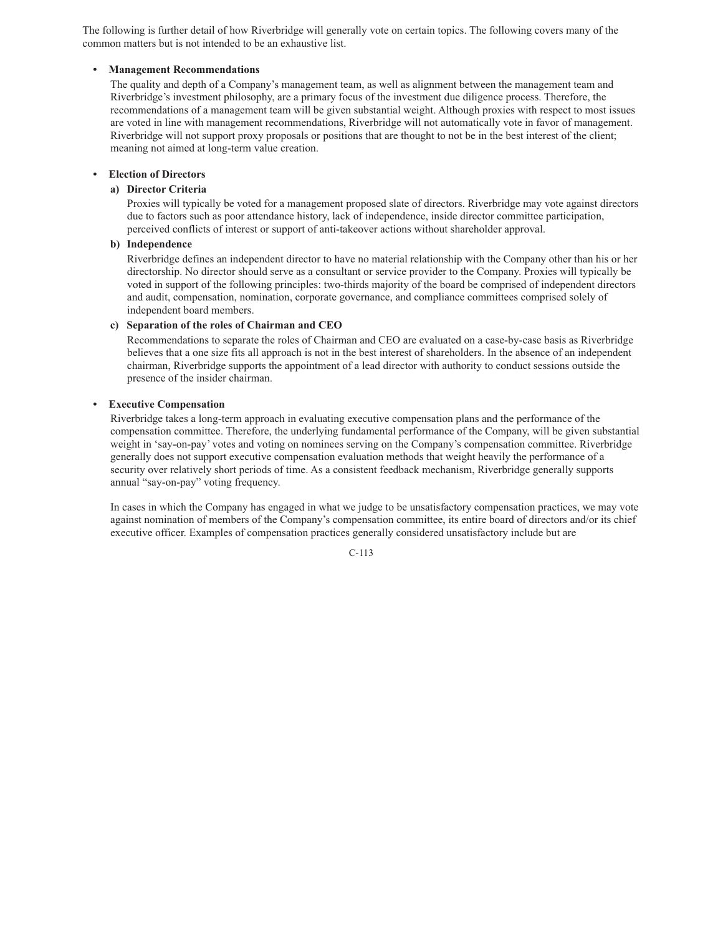The following is further detail of how Riverbridge will generally vote on certain topics. The following covers many of the common matters but is not intended to be an exhaustive list.

### **• Management Recommendations**

The quality and depth of a Company's management team, as well as alignment between the management team and Riverbridge's investment philosophy, are a primary focus of the investment due diligence process. Therefore, the recommendations of a management team will be given substantial weight. Although proxies with respect to most issues are voted in line with management recommendations, Riverbridge will not automatically vote in favor of management. Riverbridge will not support proxy proposals or positions that are thought to not be in the best interest of the client; meaning not aimed at long-term value creation.

### **• Election of Directors**

#### **a) Director Criteria**

Proxies will typically be voted for a management proposed slate of directors. Riverbridge may vote against directors due to factors such as poor attendance history, lack of independence, inside director committee participation, perceived conflicts of interest or support of anti-takeover actions without shareholder approval.

# **b) Independence**

Riverbridge defines an independent director to have no material relationship with the Company other than his or her directorship. No director should serve as a consultant or service provider to the Company. Proxies will typically be voted in support of the following principles: two-thirds majority of the board be comprised of independent directors and audit, compensation, nomination, corporate governance, and compliance committees comprised solely of independent board members.

# **c) Separation of the roles of Chairman and CEO**

Recommendations to separate the roles of Chairman and CEO are evaluated on a case-by-case basis as Riverbridge believes that a one size fits all approach is not in the best interest of shareholders. In the absence of an independent chairman, Riverbridge supports the appointment of a lead director with authority to conduct sessions outside the presence of the insider chairman.

#### **• Executive Compensation**

Riverbridge takes a long-term approach in evaluating executive compensation plans and the performance of the compensation committee. Therefore, the underlying fundamental performance of the Company, will be given substantial weight in 'say-on-pay' votes and voting on nominees serving on the Company's compensation committee. Riverbridge generally does not support executive compensation evaluation methods that weight heavily the performance of a security over relatively short periods of time. As a consistent feedback mechanism, Riverbridge generally supports annual "say-on-pay" voting frequency.

In cases in which the Company has engaged in what we judge to be unsatisfactory compensation practices, we may vote against nomination of members of the Company's compensation committee, its entire board of directors and/or its chief executive officer. Examples of compensation practices generally considered unsatisfactory include but are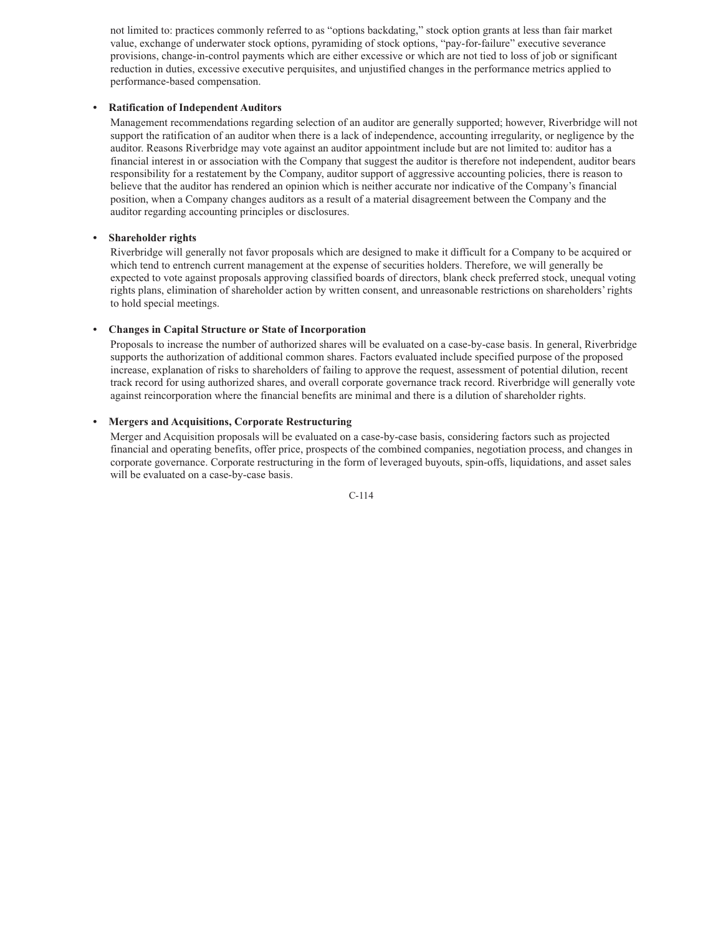not limited to: practices commonly referred to as "options backdating," stock option grants at less than fair market value, exchange of underwater stock options, pyramiding of stock options, "pay-for-failure" executive severance provisions, change-in-control payments which are either excessive or which are not tied to loss of job or significant reduction in duties, excessive executive perquisites, and unjustified changes in the performance metrics applied to performance-based compensation.

# **• Ratification of Independent Auditors**

Management recommendations regarding selection of an auditor are generally supported; however, Riverbridge will not support the ratification of an auditor when there is a lack of independence, accounting irregularity, or negligence by the auditor. Reasons Riverbridge may vote against an auditor appointment include but are not limited to: auditor has a financial interest in or association with the Company that suggest the auditor is therefore not independent, auditor bears responsibility for a restatement by the Company, auditor support of aggressive accounting policies, there is reason to believe that the auditor has rendered an opinion which is neither accurate nor indicative of the Company's financial position, when a Company changes auditors as a result of a material disagreement between the Company and the auditor regarding accounting principles or disclosures.

## **• Shareholder rights**

Riverbridge will generally not favor proposals which are designed to make it difficult for a Company to be acquired or which tend to entrench current management at the expense of securities holders. Therefore, we will generally be expected to vote against proposals approving classified boards of directors, blank check preferred stock, unequal voting rights plans, elimination of shareholder action by written consent, and unreasonable restrictions on shareholders' rights to hold special meetings.

# **• Changes in Capital Structure or State of Incorporation**

Proposals to increase the number of authorized shares will be evaluated on a case-by-case basis. In general, Riverbridge supports the authorization of additional common shares. Factors evaluated include specified purpose of the proposed increase, explanation of risks to shareholders of failing to approve the request, assessment of potential dilution, recent track record for using authorized shares, and overall corporate governance track record. Riverbridge will generally vote against reincorporation where the financial benefits are minimal and there is a dilution of shareholder rights.

## **• Mergers and Acquisitions, Corporate Restructuring**

Merger and Acquisition proposals will be evaluated on a case-by-case basis, considering factors such as projected financial and operating benefits, offer price, prospects of the combined companies, negotiation process, and changes in corporate governance. Corporate restructuring in the form of leveraged buyouts, spin-offs, liquidations, and asset sales will be evaluated on a case-by-case basis.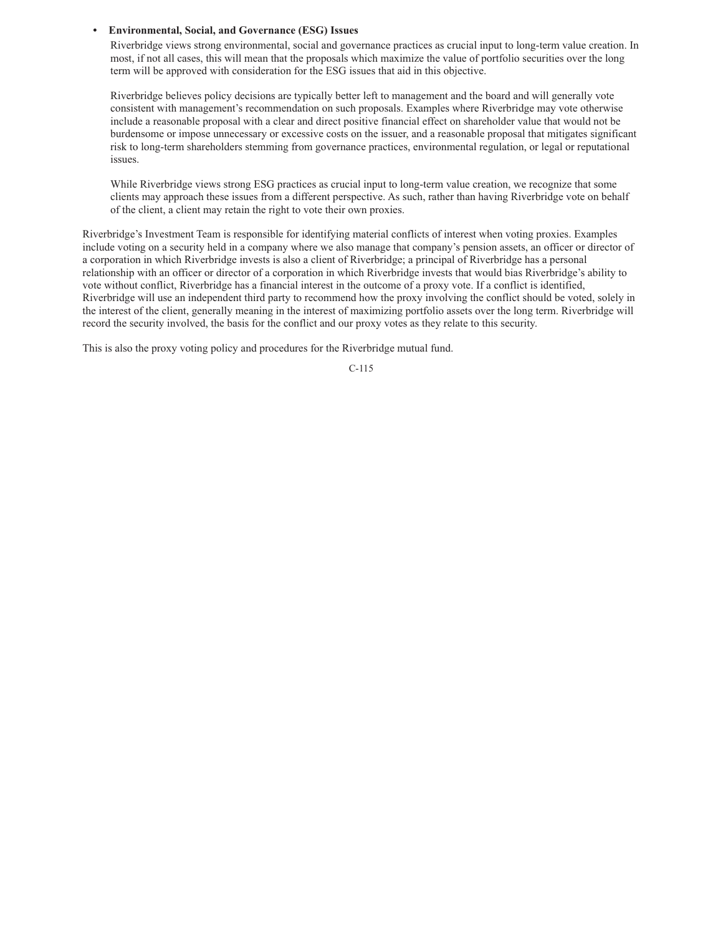# **• Environmental, Social, and Governance (ESG) Issues**

Riverbridge views strong environmental, social and governance practices as crucial input to long-term value creation. In most, if not all cases, this will mean that the proposals which maximize the value of portfolio securities over the long term will be approved with consideration for the ESG issues that aid in this objective.

Riverbridge believes policy decisions are typically better left to management and the board and will generally vote consistent with management's recommendation on such proposals. Examples where Riverbridge may vote otherwise include a reasonable proposal with a clear and direct positive financial effect on shareholder value that would not be burdensome or impose unnecessary or excessive costs on the issuer, and a reasonable proposal that mitigates significant risk to long-term shareholders stemming from governance practices, environmental regulation, or legal or reputational issues.

While Riverbridge views strong ESG practices as crucial input to long-term value creation, we recognize that some clients may approach these issues from a different perspective. As such, rather than having Riverbridge vote on behalf of the client, a client may retain the right to vote their own proxies.

Riverbridge's Investment Team is responsible for identifying material conflicts of interest when voting proxies. Examples include voting on a security held in a company where we also manage that company's pension assets, an officer or director of a corporation in which Riverbridge invests is also a client of Riverbridge; a principal of Riverbridge has a personal relationship with an officer or director of a corporation in which Riverbridge invests that would bias Riverbridge's ability to vote without conflict, Riverbridge has a financial interest in the outcome of a proxy vote. If a conflict is identified, Riverbridge will use an independent third party to recommend how the proxy involving the conflict should be voted, solely in the interest of the client, generally meaning in the interest of maximizing portfolio assets over the long term. Riverbridge will record the security involved, the basis for the conflict and our proxy votes as they relate to this security.

This is also the proxy voting policy and procedures for the Riverbridge mutual fund.

C-115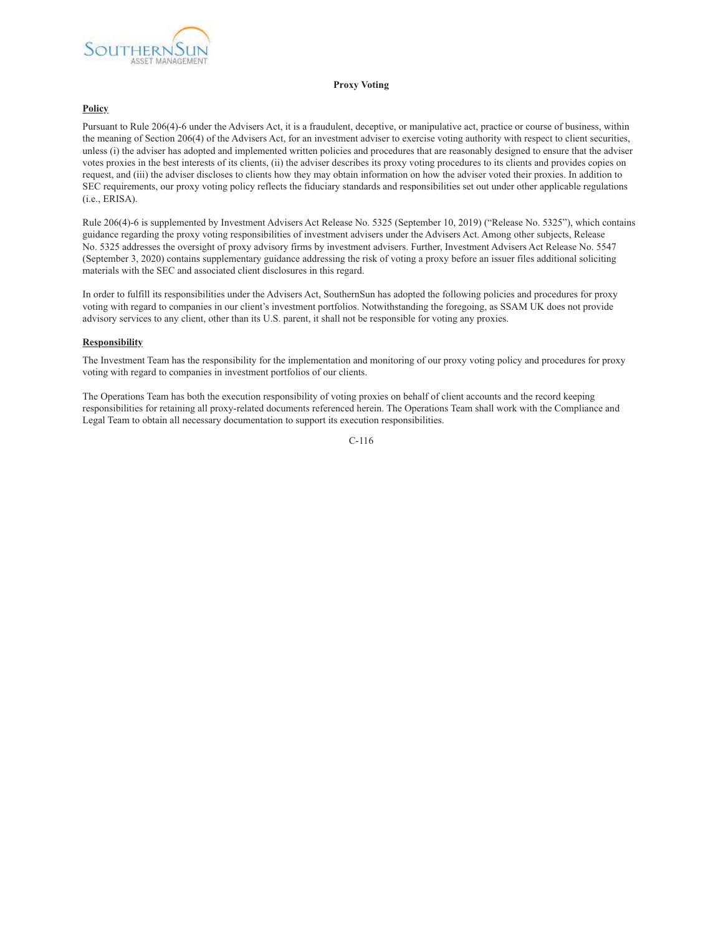

### **Proxy Voting**

# **Policy**

Pursuant to Rule 206(4)-6 under the Advisers Act, it is a fraudulent, deceptive, or manipulative act, practice or course of business, within the meaning of Section 206(4) of the Advisers Act, for an investment adviser to exercise voting authority with respect to client securities, unless (i) the adviser has adopted and implemented written policies and procedures that are reasonably designed to ensure that the adviser votes proxies in the best interests of its clients, (ii) the adviser describes its proxy voting procedures to its clients and provides copies on request, and (iii) the adviser discloses to clients how they may obtain information on how the adviser voted their proxies. In addition to SEC requirements, our proxy voting policy reflects the fiduciary standards and responsibilities set out under other applicable regulations (i.e., ERISA).

Rule 206(4)-6 is supplemented by Investment Advisers Act Release No. 5325 (September 10, 2019) ("Release No. 5325"), which contains guidance regarding the proxy voting responsibilities of investment advisers under the Advisers Act. Among other subjects, Release No. 5325 addresses the oversight of proxy advisory firms by investment advisers. Further, Investment Advisers Act Release No. 5547 (September 3, 2020) contains supplementary guidance addressing the risk of voting a proxy before an issuer files additional soliciting materials with the SEC and associated client disclosures in this regard.

In order to fulfill its responsibilities under the Advisers Act, SouthernSun has adopted the following policies and procedures for proxy voting with regard to companies in our client's investment portfolios. Notwithstanding the foregoing, as SSAM UK does not provide advisory services to any client, other than its U.S. parent, it shall not be responsible for voting any proxies.

### **Responsibility**

The Investment Team has the responsibility for the implementation and monitoring of our proxy voting policy and procedures for proxy voting with regard to companies in investment portfolios of our clients.

The Operations Team has both the execution responsibility of voting proxies on behalf of client accounts and the record keeping responsibilities for retaining all proxy-related documents referenced herein. The Operations Team shall work with the Compliance and Legal Team to obtain all necessary documentation to support its execution responsibilities.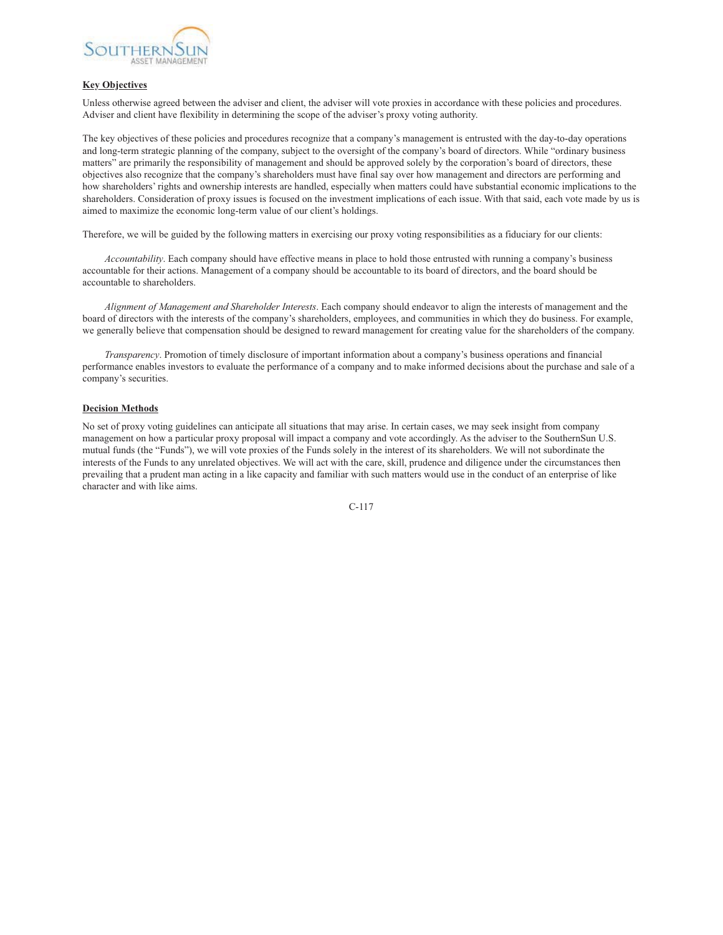

### **Key Objectives**

Unless otherwise agreed between the adviser and client, the adviser will vote proxies in accordance with these policies and procedures. Adviser and client have flexibility in determining the scope of the adviser's proxy voting authority.

The key objectives of these policies and procedures recognize that a company's management is entrusted with the day-to-day operations and long-term strategic planning of the company, subject to the oversight of the company's board of directors. While "ordinary business matters" are primarily the responsibility of management and should be approved solely by the corporation's board of directors, these objectives also recognize that the company's shareholders must have final say over how management and directors are performing and how shareholders' rights and ownership interests are handled, especially when matters could have substantial economic implications to the shareholders. Consideration of proxy issues is focused on the investment implications of each issue. With that said, each vote made by us is aimed to maximize the economic long-term value of our client's holdings.

Therefore, we will be guided by the following matters in exercising our proxy voting responsibilities as a fiduciary for our clients:

*Accountability*. Each company should have effective means in place to hold those entrusted with running a company's business accountable for their actions. Management of a company should be accountable to its board of directors, and the board should be accountable to shareholders.

*Alignment of Management and Shareholder Interests*. Each company should endeavor to align the interests of management and the board of directors with the interests of the company's shareholders, employees, and communities in which they do business. For example, we generally believe that compensation should be designed to reward management for creating value for the shareholders of the company.

*Transparency*. Promotion of timely disclosure of important information about a company's business operations and financial performance enables investors to evaluate the performance of a company and to make informed decisions about the purchase and sale of a company's securities.

### **Decision Methods**

No set of proxy voting guidelines can anticipate all situations that may arise. In certain cases, we may seek insight from company management on how a particular proxy proposal will impact a company and vote accordingly. As the adviser to the SouthernSun U.S. mutual funds (the "Funds"), we will vote proxies of the Funds solely in the interest of its shareholders. We will not subordinate the interests of the Funds to any unrelated objectives. We will act with the care, skill, prudence and diligence under the circumstances then prevailing that a prudent man acting in a like capacity and familiar with such matters would use in the conduct of an enterprise of like character and with like aims.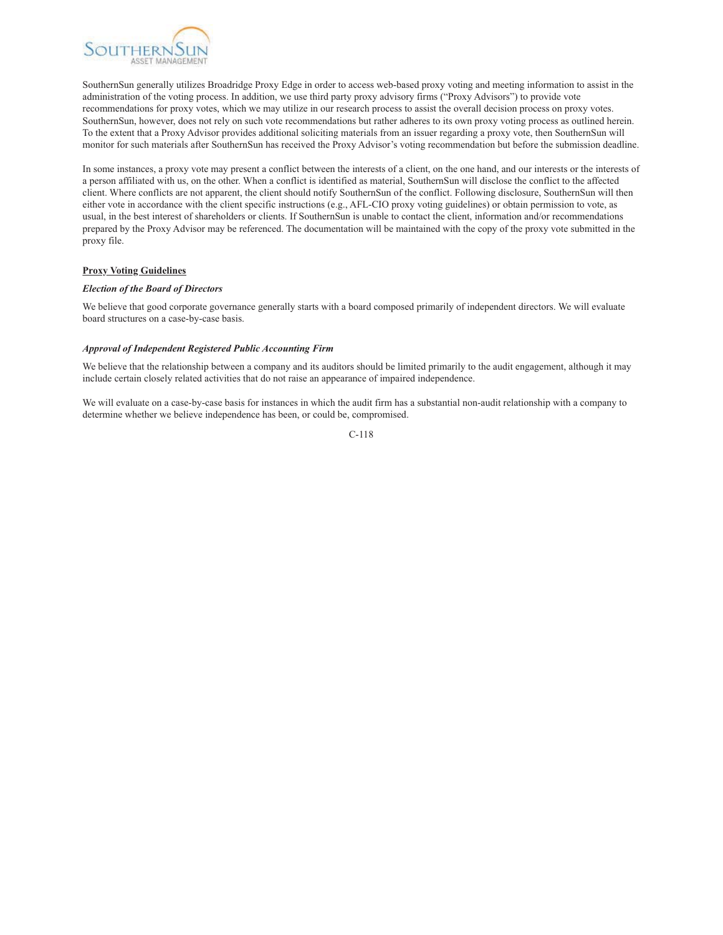

SouthernSun generally utilizes Broadridge Proxy Edge in order to access web-based proxy voting and meeting information to assist in the administration of the voting process. In addition, we use third party proxy advisory firms ("Proxy Advisors") to provide vote recommendations for proxy votes, which we may utilize in our research process to assist the overall decision process on proxy votes. SouthernSun, however, does not rely on such vote recommendations but rather adheres to its own proxy voting process as outlined herein. To the extent that a Proxy Advisor provides additional soliciting materials from an issuer regarding a proxy vote, then SouthernSun will monitor for such materials after SouthernSun has received the Proxy Advisor's voting recommendation but before the submission deadline.

In some instances, a proxy vote may present a conflict between the interests of a client, on the one hand, and our interests or the interests of a person affiliated with us, on the other. When a conflict is identified as material, SouthernSun will disclose the conflict to the affected client. Where conflicts are not apparent, the client should notify SouthernSun of the conflict. Following disclosure, SouthernSun will then either vote in accordance with the client specific instructions (e.g., AFL-CIO proxy voting guidelines) or obtain permission to vote, as usual, in the best interest of shareholders or clients. If SouthernSun is unable to contact the client, information and/or recommendations prepared by the Proxy Advisor may be referenced. The documentation will be maintained with the copy of the proxy vote submitted in the proxy file.

## **Proxy Voting Guidelines**

### *Election of the Board of Directors*

We believe that good corporate governance generally starts with a board composed primarily of independent directors. We will evaluate board structures on a case-by-case basis.

### *Approval of Independent Registered Public Accounting Firm*

We believe that the relationship between a company and its auditors should be limited primarily to the audit engagement, although it may include certain closely related activities that do not raise an appearance of impaired independence.

We will evaluate on a case-by-case basis for instances in which the audit firm has a substantial non-audit relationship with a company to determine whether we believe independence has been, or could be, compromised.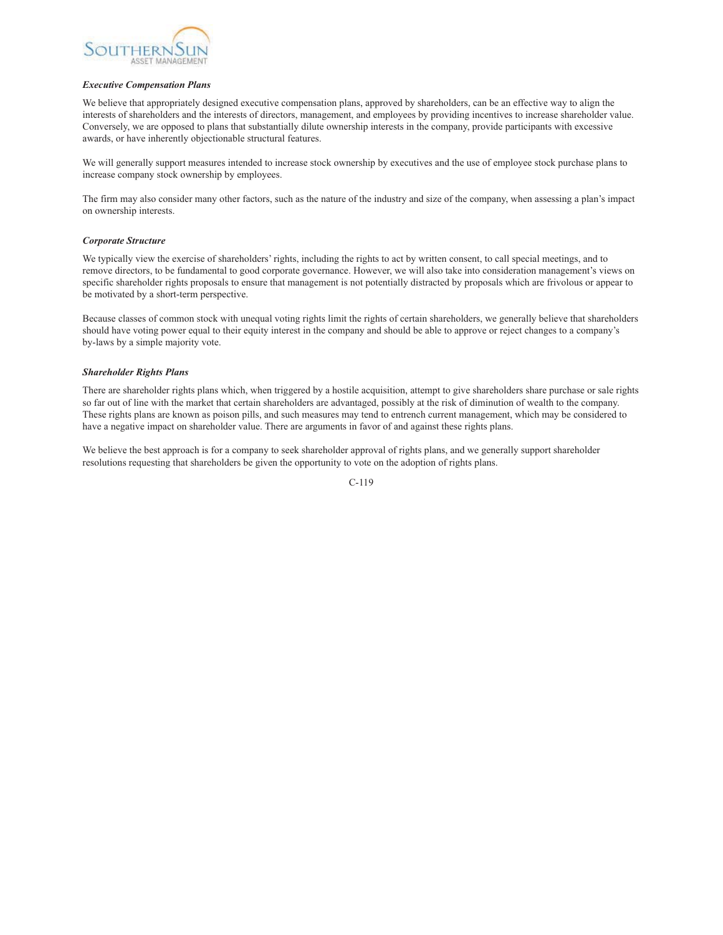

#### *Executive Compensation Plans*

We believe that appropriately designed executive compensation plans, approved by shareholders, can be an effective way to align the interests of shareholders and the interests of directors, management, and employees by providing incentives to increase shareholder value. Conversely, we are opposed to plans that substantially dilute ownership interests in the company, provide participants with excessive awards, or have inherently objectionable structural features.

We will generally support measures intended to increase stock ownership by executives and the use of employee stock purchase plans to increase company stock ownership by employees.

The firm may also consider many other factors, such as the nature of the industry and size of the company, when assessing a plan's impact on ownership interests.

#### *Corporate Structure*

We typically view the exercise of shareholders' rights, including the rights to act by written consent, to call special meetings, and to remove directors, to be fundamental to good corporate governance. However, we will also take into consideration management's views on specific shareholder rights proposals to ensure that management is not potentially distracted by proposals which are frivolous or appear to be motivated by a short-term perspective.

Because classes of common stock with unequal voting rights limit the rights of certain shareholders, we generally believe that shareholders should have voting power equal to their equity interest in the company and should be able to approve or reject changes to a company's by-laws by a simple majority vote.

#### *Shareholder Rights Plans*

There are shareholder rights plans which, when triggered by a hostile acquisition, attempt to give shareholders share purchase or sale rights so far out of line with the market that certain shareholders are advantaged, possibly at the risk of diminution of wealth to the company. These rights plans are known as poison pills, and such measures may tend to entrench current management, which may be considered to have a negative impact on shareholder value. There are arguments in favor of and against these rights plans.

We believe the best approach is for a company to seek shareholder approval of rights plans, and we generally support shareholder resolutions requesting that shareholders be given the opportunity to vote on the adoption of rights plans.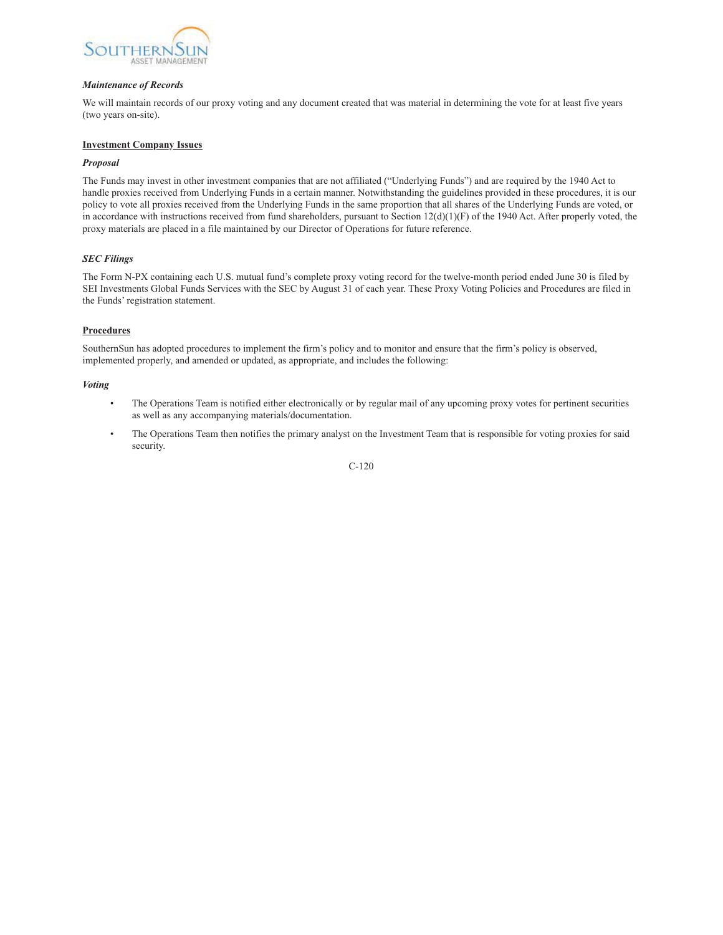

### *Maintenance of Records*

We will maintain records of our proxy voting and any document created that was material in determining the vote for at least five years (two years on-site).

#### **Investment Company Issues**

#### *Proposal*

The Funds may invest in other investment companies that are not affiliated ("Underlying Funds") and are required by the 1940 Act to handle proxies received from Underlying Funds in a certain manner. Notwithstanding the guidelines provided in these procedures, it is our policy to vote all proxies received from the Underlying Funds in the same proportion that all shares of the Underlying Funds are voted, or in accordance with instructions received from fund shareholders, pursuant to Section  $12(d)(F)$  of the 1940 Act. After properly voted, the proxy materials are placed in a file maintained by our Director of Operations for future reference.

#### *SEC Filings*

The Form N-PX containing each U.S. mutual fund's complete proxy voting record for the twelve-month period ended June 30 is filed by SEI Investments Global Funds Services with the SEC by August 31 of each year. These Proxy Voting Policies and Procedures are filed in the Funds' registration statement.

### **Procedures**

SouthernSun has adopted procedures to implement the firm's policy and to monitor and ensure that the firm's policy is observed, implemented properly, and amended or updated, as appropriate, and includes the following:

# *Voting*

- The Operations Team is notified either electronically or by regular mail of any upcoming proxy votes for pertinent securities as well as any accompanying materials/documentation.
- The Operations Team then notifies the primary analyst on the Investment Team that is responsible for voting proxies for said security.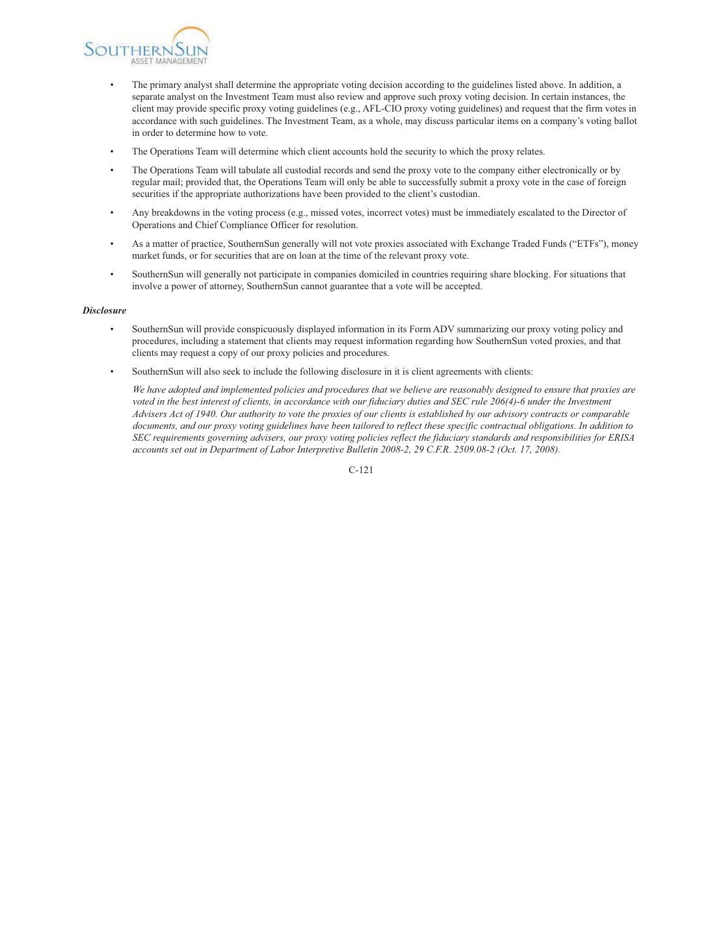

- The primary analyst shall determine the appropriate voting decision according to the guidelines listed above. In addition, a separate analyst on the Investment Team must also review and approve such proxy voting decision. In certain instances, the client may provide specific proxy voting guidelines (e.g., AFL-CIO proxy voting guidelines) and request that the firm votes in accordance with such guidelines. The Investment Team, as a whole, may discuss particular items on a company's voting ballot in order to determine how to vote.
- The Operations Team will determine which client accounts hold the security to which the proxy relates.
- The Operations Team will tabulate all custodial records and send the proxy vote to the company either electronically or by regular mail; provided that, the Operations Team will only be able to successfully submit a proxy vote in the case of foreign securities if the appropriate authorizations have been provided to the client's custodian.
- Any breakdowns in the voting process (e.g., missed votes, incorrect votes) must be immediately escalated to the Director of Operations and Chief Compliance Officer for resolution.
- As a matter of practice, SouthernSun generally will not vote proxies associated with Exchange Traded Funds ("ETFs"), money market funds, or for securities that are on loan at the time of the relevant proxy vote.
- SouthernSun will generally not participate in companies domiciled in countries requiring share blocking. For situations that involve a power of attorney, SouthernSun cannot guarantee that a vote will be accepted.

#### *Disclosure*

- SouthernSun will provide conspicuously displayed information in its Form ADV summarizing our proxy voting policy and procedures, including a statement that clients may request information regarding how SouthernSun voted proxies, and that clients may request a copy of our proxy policies and procedures.
- SouthernSun will also seek to include the following disclosure in it is client agreements with clients:

*We have adopted and implemented policies and procedures that we believe are reasonably designed to ensure that proxies are voted in the best interest of clients, in accordance with our fiduciary duties and SEC rule 206(4)-6 under the Investment Advisers Act of 1940. Our authority to vote the proxies of our clients is established by our advisory contracts or comparable documents, and our proxy voting guidelines have been tailored to reflect these specific contractual obligations. In addition to SEC requirements governing advisers, our proxy voting policies reflect the fiduciary standards and responsibilities for ERISA accounts set out in Department of Labor Interpretive Bulletin 2008-2, 29 C.F.R. 2509.08-2 (Oct. 17, 2008).*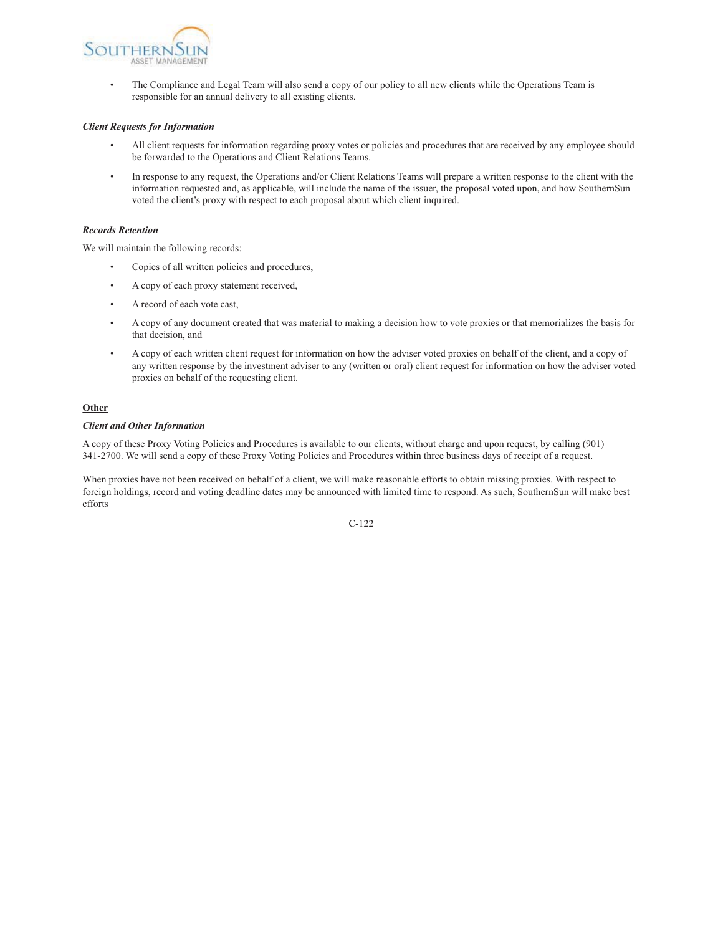

• The Compliance and Legal Team will also send a copy of our policy to all new clients while the Operations Team is responsible for an annual delivery to all existing clients.

#### *Client Requests for Information*

- All client requests for information regarding proxy votes or policies and procedures that are received by any employee should be forwarded to the Operations and Client Relations Teams.
- In response to any request, the Operations and/or Client Relations Teams will prepare a written response to the client with the information requested and, as applicable, will include the name of the issuer, the proposal voted upon, and how SouthernSun voted the client's proxy with respect to each proposal about which client inquired.

#### *Records Retention*

We will maintain the following records:

- Copies of all written policies and procedures,
- A copy of each proxy statement received,
- A record of each vote cast,
- A copy of any document created that was material to making a decision how to vote proxies or that memorializes the basis for that decision, and
- A copy of each written client request for information on how the adviser voted proxies on behalf of the client, and a copy of any written response by the investment adviser to any (written or oral) client request for information on how the adviser voted proxies on behalf of the requesting client.

### **Other**

#### *Client and Other Information*

A copy of these Proxy Voting Policies and Procedures is available to our clients, without charge and upon request, by calling (901) 341-2700. We will send a copy of these Proxy Voting Policies and Procedures within three business days of receipt of a request.

When proxies have not been received on behalf of a client, we will make reasonable efforts to obtain missing proxies. With respect to foreign holdings, record and voting deadline dates may be announced with limited time to respond. As such, SouthernSun will make best efforts